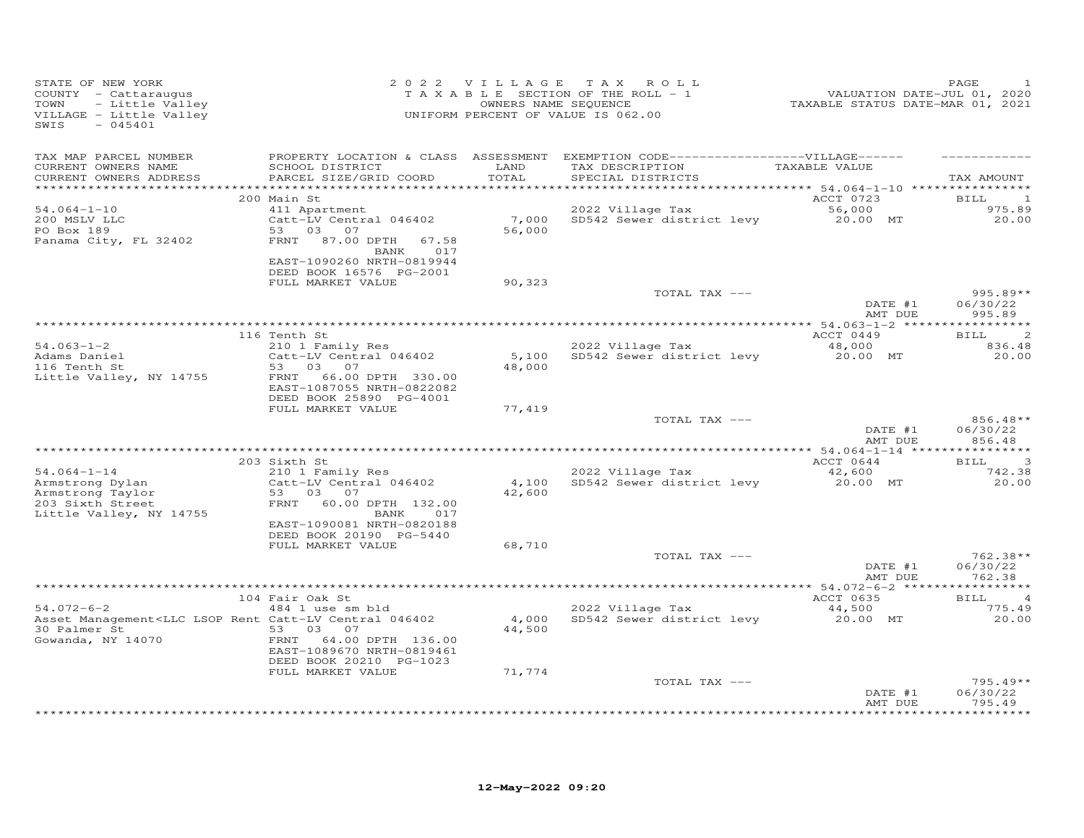| STATE OF NEW YORK<br>COUNTY - Cattaraugus<br>TOWN<br>- Little Valley<br>VILLAGE - Little Valley<br>SWIS<br>$-045401$                               |                                                                                                                                                             | 2022 VILLAGE    | TAX ROLL<br>TAXABLE SECTION OF THE ROLL - 1<br>OWNERS NAME SEQUENCE<br>UNIFORM PERCENT OF VALUE IS 062.00                               | 21 - 2020<br>VALUATION DATE-JUL 01, 2020<br>TAXABLE STATUS DATE-MAR 01, 2021 | PAGE                                             |
|----------------------------------------------------------------------------------------------------------------------------------------------------|-------------------------------------------------------------------------------------------------------------------------------------------------------------|-----------------|-----------------------------------------------------------------------------------------------------------------------------------------|------------------------------------------------------------------------------|--------------------------------------------------|
| TAX MAP PARCEL NUMBER<br>CURRENT OWNERS NAME<br>CURRENT OWNERS ADDRESS<br>************************                                                 | SCHOOL DISTRICT<br>PARCEL SIZE/GRID COORD                                                                                                                   | LAND<br>TOTAL   | PROPERTY LOCATION & CLASS ASSESSMENT EXEMPTION CODE-----------------VILLAGE------<br>TAX DESCRIPTION TAXABLE VALUE<br>SPECIAL DISTRICTS |                                                                              | TAX AMOUNT                                       |
| $54.064 - 1 - 10$<br>200 MSLV LLC<br>PO Box 189<br>Panama City, FL 32402                                                                           | 200 Main St<br>411 Apartment<br>Catt-LV Central 046402<br>53 03 07<br>FRNT 87.00 DPTH<br>67.58<br>BANK 017<br>EAST-1090260 NRTH-0819944                     | 56,000          | 2022 Village Tax<br>7,000 SD542 Sewer district levy 20.00 MT                                                                            | ACCT 0723<br>56,000                                                          | BILL 1<br>975.89<br>20.00                        |
|                                                                                                                                                    | DEED BOOK 16576 PG-2001<br>FULL MARKET VALUE                                                                                                                | 90,323          | TOTAL TAX ---                                                                                                                           | DATE #1<br>AMT DUE                                                           | $995.89**$<br>06/30/22<br>995.89                 |
| $54.063 - 1 - 2$<br>Adams Daniel<br>116 Tenth St<br>Little Valley, NY 14755                                                                        | 116 Tenth St<br>210 1 Family Res<br>Catt-LV Central 046402<br>53 03 07<br>FRNT<br>66.00 DPTH 330.00<br>EAST-1087055 NRTH-0822082<br>DEED BOOK 25890 PG-4001 | 48,000          | 2022 Village Tax<br>5,100 SD542 Sewer district levy                                                                                     | ACCT 0449<br>48,000<br>20.00 MT                                              | $\overline{c}$<br><b>BILL</b><br>836.48<br>20.00 |
|                                                                                                                                                    | FULL MARKET VALUE                                                                                                                                           | 77,419          | TOTAL TAX ---                                                                                                                           | DATE #1                                                                      | 856.48**<br>06/30/22                             |
|                                                                                                                                                    | 203 Sixth St                                                                                                                                                |                 |                                                                                                                                         | AMT DUE<br>ACCT 0644                                                         | 856.48<br>- 3<br>BILL                            |
| $54.064 - 1 - 14$<br>Armstrong Dylan<br>Armstrong Taylor<br>203 Sixth Street<br>Little Valley, NY 14755                                            | 210 1 Family Res<br>Catt-LV Central 046402<br>53 03 07<br>FRNT 60.00 DPTH 132.00<br>BANK<br>017<br>EAST-1090081 NRTH-0820188<br>DEED BOOK 20190 PG-5440     | 42,600          | 2022 Village Tax<br>4,100 SD542 Sewer district levy                                                                                     | 42,600<br>20.00 MT                                                           | 742.38<br>20.00                                  |
|                                                                                                                                                    | FULL MARKET VALUE                                                                                                                                           | 68,710          | TOTAL TAX ---                                                                                                                           | DATE #1<br>AMT DUE                                                           | 762.38**<br>06/30/22<br>762.38                   |
| $54.072 - 6 - 2$<br>Asset Management <llc 046402<br="" catt-lv="" central="" lsop="" rent="">30 Palmer St<br/>53 03 07<br/>Gowanda, NY 14070</llc> | 104 Fair Oak St<br>484 1 use sm bld<br>FRNT 64.00 DPTH 136.00<br>EAST-1089670 NRTH-0819461<br>DEED BOOK 20210 PG-1023                                       | 4,000<br>44,500 | 2022 Village Tax<br>SD542 Sewer district levy                                                                                           | ACCT 0635<br>44,500<br>20.00 MT                                              | $\overline{4}$<br>BILL<br>775.49<br>20.00        |
|                                                                                                                                                    | FULL MARKET VALUE                                                                                                                                           | 71,774          | TOTAL TAX ---                                                                                                                           | DATE #1<br>AMT DUE                                                           | $795.49**$<br>06/30/22<br>795.49                 |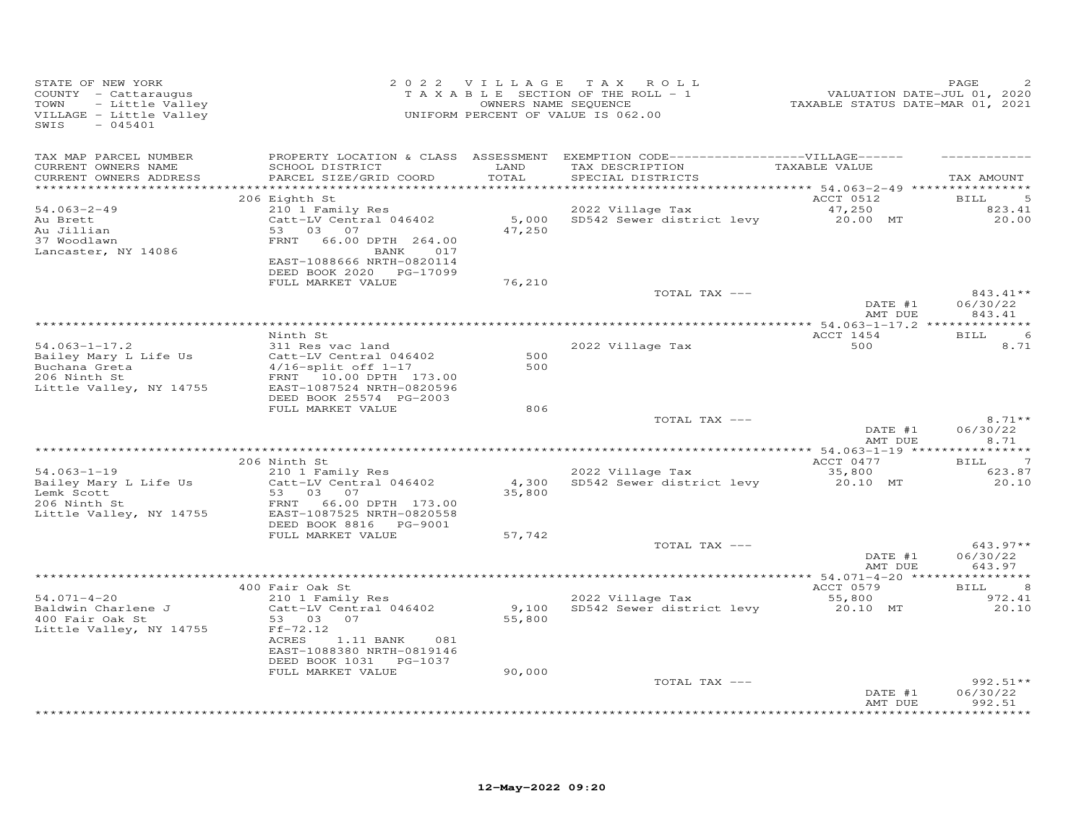| STATE OF NEW YORK<br>COUNTY - Cattaraugus<br>TOWN<br>- Little Valley<br>VILLAGE - Little Valley<br>$-045401$<br>SWIS |                                                                                  |                 | 2022 VILLAGE TAX ROLL<br>TAXABLE SECTION OF THE ROLL - 1<br>OWNERS NAME SEQUENCE<br>UNIFORM PERCENT OF VALUE IS 062.00    | -------<br>TAXABLE STATUS DATE-JUL 01, 2020<br>TAXABLE STATUS DATE-MAR 01, 2021 | PAGE                             |
|----------------------------------------------------------------------------------------------------------------------|----------------------------------------------------------------------------------|-----------------|---------------------------------------------------------------------------------------------------------------------------|---------------------------------------------------------------------------------|----------------------------------|
| TAX MAP PARCEL NUMBER<br>CURRENT OWNERS NAME<br>CURRENT OWNERS ADDRESS<br>************************                   | SCHOOL DISTRICT<br>PARCEL SIZE/GRID COORD                                        | LAND<br>TOTAL   | PROPERTY LOCATION & CLASS ASSESSMENT EXEMPTION CODE-----------------VILLAGE------<br>TAX DESCRIPTION<br>SPECIAL DISTRICTS | TAXABLE VALUE                                                                   | TAX AMOUNT                       |
|                                                                                                                      | 206 Eighth St                                                                    |                 |                                                                                                                           | ACCT 0512                                                                       | BILL<br>5                        |
| $54.063 - 2 - 49$                                                                                                    | 210 1 Family Res                                                                 |                 | 2022 Village Tax                                                                                                          | 47,250                                                                          | 823.41                           |
| Au Brett<br>Au Jillian                                                                                               | Catt-LV Central 046402<br>53 03 07                                               | 47,250          | 5,000 SD542 Sewer district levy 20.00 MT                                                                                  |                                                                                 | 20.00                            |
| 37 Woodlawn<br>Lancaster, NY 14086                                                                                   | FRNT 66.00 DPTH 264.00<br>BANK 017<br>EAST-1088666 NRTH-0820114                  |                 |                                                                                                                           |                                                                                 |                                  |
|                                                                                                                      | DEED BOOK 2020 PG-17099                                                          |                 |                                                                                                                           |                                                                                 |                                  |
|                                                                                                                      | FULL MARKET VALUE                                                                | 76,210          | TOTAL TAX ---                                                                                                             |                                                                                 | 843.41**                         |
|                                                                                                                      |                                                                                  |                 |                                                                                                                           | DATE #1<br>AMT DUE                                                              | 06/30/22<br>843.41               |
|                                                                                                                      | Ninth St                                                                         |                 |                                                                                                                           | ACCT 1454                                                                       | 6<br>BILL                        |
| $54.063 - 1 - 17.2$                                                                                                  | 311 Res vac land                                                                 |                 | 2022 Village Tax                                                                                                          | 500                                                                             | 8.71                             |
| Bailey Mary L Life Us<br>Buchana Greta<br>206 Ninth St                                                               | Catt-LV Central 046402<br>$4/16$ -split off $1-17$<br>FRNT 10.00 DPTH 173.00     | 500<br>500      |                                                                                                                           |                                                                                 |                                  |
| Little Valley, NY 14755                                                                                              | EAST-1087524 NRTH-0820596<br>DEED BOOK 25574 PG-2003                             |                 |                                                                                                                           |                                                                                 |                                  |
|                                                                                                                      | FULL MARKET VALUE                                                                | 806             | TOTAL TAX ---                                                                                                             |                                                                                 | $8.71**$                         |
|                                                                                                                      |                                                                                  |                 |                                                                                                                           | DATE #1<br>AMT DUE                                                              | 06/30/22<br>8.71                 |
|                                                                                                                      | 206 Ninth St                                                                     |                 |                                                                                                                           | ACCT 0477                                                                       | $\overline{7}$<br>BILL           |
| $54.063 - 1 - 19$                                                                                                    | 210 1 Family Res                                                                 |                 | 2022 Village Tax                                                                                                          | 35,800                                                                          | 623.87                           |
| Bailey Mary L Life Us<br>Lemk Scott                                                                                  | Catt-LV Central 046402<br>53 03 07                                               | 4,300<br>35,800 | SD542 Sewer district levy                                                                                                 | 20.10 MT                                                                        | 20.10                            |
| 206 Ninth St<br>Little Valley, NY 14755                                                                              | FRNT 66.00 DPTH 173.00<br>EAST-1087525 NRTH-0820558<br>DEED BOOK 8816    PG-9001 |                 |                                                                                                                           |                                                                                 |                                  |
|                                                                                                                      | FULL MARKET VALUE                                                                | 57,742          |                                                                                                                           |                                                                                 |                                  |
|                                                                                                                      |                                                                                  |                 | TOTAL TAX ---                                                                                                             | DATE #1<br>AMT DUE                                                              | $643.97**$<br>06/30/22<br>643.97 |
|                                                                                                                      |                                                                                  |                 |                                                                                                                           |                                                                                 |                                  |
| $54.071 - 4 - 20$                                                                                                    | 400 Fair Oak St<br>210 1 Family Res                                              |                 | 2022 Village Tax                                                                                                          | ACCT 0579<br>55,800                                                             | <b>BILL</b><br>8<br>972.41       |
| Baldwin Charlene J<br>400 Fair Oak St<br>Little Valley, NY 14755                                                     | Catt-LV Central 046402<br>53 03<br>07<br>$Ff-72.12$<br>ACRES<br>1.11 BANK<br>081 | 55,800          | 9,100 SD542 Sewer district levy                                                                                           | 20.10 MT                                                                        | 20.10                            |
|                                                                                                                      | EAST-1088380 NRTH-0819146<br>DEED BOOK 1031 PG-1037                              |                 |                                                                                                                           |                                                                                 |                                  |
|                                                                                                                      | FULL MARKET VALUE                                                                | 90,000          | TOTAL TAX ---                                                                                                             |                                                                                 | $992.51**$                       |
|                                                                                                                      |                                                                                  |                 |                                                                                                                           | DATE #1<br>AMT DUE                                                              | 06/30/22<br>992.51               |
|                                                                                                                      |                                                                                  |                 |                                                                                                                           |                                                                                 | .                                |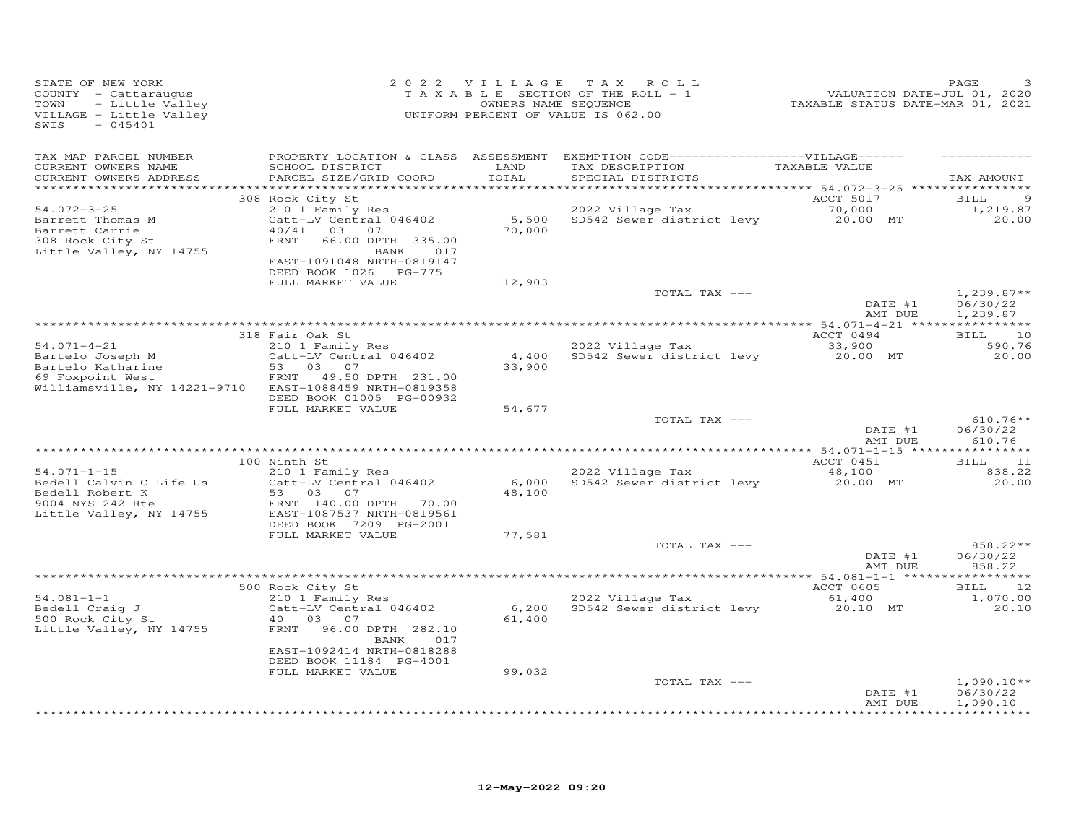| STATE OF NEW YORK<br>COUNTY - Cattaraugus<br>TOWN<br>- Little Valley<br>VILLAGE - Little Valley<br>$-045401$<br>SWIS                     |                                                                                                                                                                                                        |                           | 2022 VILLAGE TAX ROLL<br>TAXABLE SECTION OF THE ROLL - 1<br>OWNERS NAME SEQUENCE<br>UNIFORM PERCENT OF VALUE IS 062.00                  | 7 141<br>2020 - TAXABLE STATUS DATE-JUL<br>2021 - TAXABLE STATUS DATE-MAR | PAGE                                                        |
|------------------------------------------------------------------------------------------------------------------------------------------|--------------------------------------------------------------------------------------------------------------------------------------------------------------------------------------------------------|---------------------------|-----------------------------------------------------------------------------------------------------------------------------------------|---------------------------------------------------------------------------|-------------------------------------------------------------|
| TAX MAP PARCEL NUMBER<br>CURRENT OWNERS NAME<br>CURRENT OWNERS ADDRESS<br>***********************                                        | SCHOOL DISTRICT<br>PARCEL SIZE/GRID COORD                                                                                                                                                              | LAND<br>TOTAL             | PROPERTY LOCATION & CLASS ASSESSMENT EXEMPTION CODE-----------------VILLAGE------<br>TAX DESCRIPTION TAXABLE VALUE<br>SPECIAL DISTRICTS |                                                                           | TAX AMOUNT                                                  |
| $54.072 - 3 - 25$<br>Barrett Thomas M<br>Barrett Carrie<br>308 Rock City St<br>Little Valley, NY 14755                                   | 308 Rock City St<br>210 1 Family Res<br>Catt-LV Central 046402<br>40/41 03 07<br>FRNT<br>66.00 DPTH 335.00<br>BANK 017<br>EAST-1091048 NRTH-0819147<br>DEED BOOK 1026 PG-775                           | 70,000                    | 2022 Village Tax<br>5,500 SD542 Sewer district levy 20.00 MT                                                                            | ACCT 5017<br>70,000                                                       | 9<br>BILL<br>1,219.87<br>20.00                              |
|                                                                                                                                          | FULL MARKET VALUE                                                                                                                                                                                      | 112,903                   | TOTAL TAX ---                                                                                                                           | DATE #1<br>AMT DUE                                                        | $1,239.87**$<br>06/30/22<br>1,239.87                        |
| $54.071 - 4 - 21$<br>Bartelo Joseph M<br>Bartelo Katharine<br>69 Foxpoint West<br>Williamsville, NY 14221-9710 EAST-1088459 NRTH-0819358 | 318 Fair Oak St<br>210 1 Family Res<br>Catt-LV Central 046402<br>53 03 07<br>FRNT<br>49.50 DPTH 231.00<br>DEED BOOK 01005 PG-00932                                                                     | 33,900                    | 2022 Village Tax<br>4,400 SD542 Sewer district levy                                                                                     | ACCT 0494<br>33,900<br>20.00 MT                                           | 10<br>BILL<br>590.76<br>20.00                               |
|                                                                                                                                          | FULL MARKET VALUE                                                                                                                                                                                      | 54,677                    | TOTAL TAX ---                                                                                                                           | DATE #1<br>AMT DUE                                                        | $610.76**$<br>06/30/22<br>610.76                            |
|                                                                                                                                          |                                                                                                                                                                                                        |                           |                                                                                                                                         |                                                                           |                                                             |
| $54.071 - 1 - 15$<br>Bedell Calvin C Life Us<br>Bedell Robert K<br>9004 NYS 242 Rte<br>Little Valley, NY 14755                           | 100 Ninth St<br>210 1 Family Res<br>Catt-LV Central 046402<br>53 03 07<br>FRNT 140.00 DPTH 70.00<br>EAST-1087537 NRTH-0819561<br>DEED BOOK 17209 PG-2001                                               | 6,000<br>48,100           | 2022 Village Tax<br>SD542 Sewer district levy                                                                                           | ACCT 0451<br>48,100<br>20.00 MT                                           | BILL 11<br>838.22<br>20.00                                  |
|                                                                                                                                          | FULL MARKET VALUE                                                                                                                                                                                      | 77,581                    | TOTAL TAX ---                                                                                                                           | DATE #1<br>AMT DUE                                                        | 858.22**<br>06/30/22<br>858.22                              |
|                                                                                                                                          |                                                                                                                                                                                                        |                           |                                                                                                                                         |                                                                           |                                                             |
| $54.081 - 1 - 1$<br>Bedell Craig J<br>500 Rock City St<br>Little Valley, NY 14755                                                        | 500 Rock City St<br>210 1 Family Res<br>Catt-LV Central 046402<br>40 03<br>07<br>FRNT<br>96.00 DPTH 282.10<br>BANK<br>017<br>EAST-1092414 NRTH-0818288<br>DEED BOOK 11184 PG-4001<br>FULL MARKET VALUE | 6,200<br>61,400<br>99,032 | 2022 Village Tax<br>SD542 Sewer district levy                                                                                           | ACCT 0605<br>61,400<br>20.10 MT                                           | 12<br><b>BILL</b><br>1,070.00<br>20.10                      |
|                                                                                                                                          |                                                                                                                                                                                                        |                           | TOTAL TAX ---                                                                                                                           | DATE #1<br>AMT DUE                                                        | $1,090.10**$<br>06/30/22<br>1,090.10<br>* * * * * * * * * * |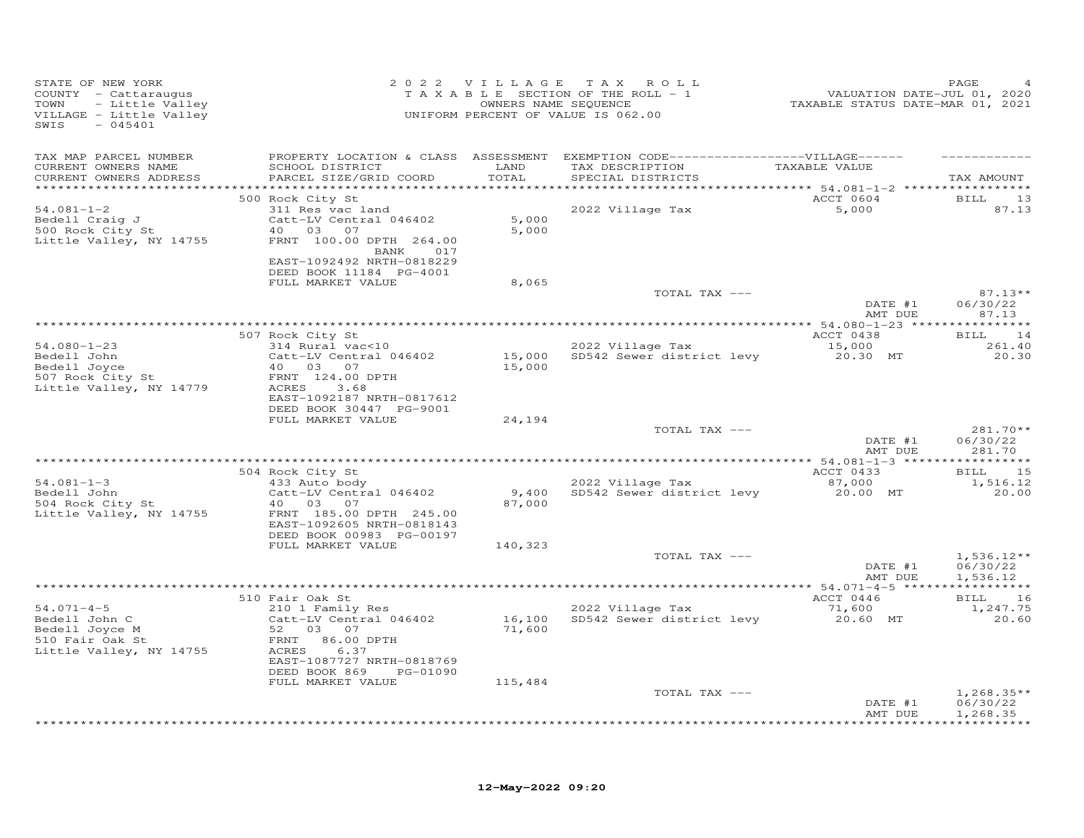| TAX MAP PARCEL NUMBER<br>PROPERTY LOCATION & CLASS ASSESSMENT EXEMPTION CODE------------------VILLAGE------<br>TAX DESCRIPTION TAXABLE VALUE<br>CURRENT OWNERS NAME<br>SCHOOL DISTRICT<br>LAND<br>PARCEL SIZE/GRID COORD<br>TOTAL<br>CURRENT OWNERS ADDRESS<br>SPECIAL DISTRICTS<br>ACCT 0604<br>500 Rock City St<br>311 Res vac land<br>$54.081 - 1 - 2$<br>2022 Village Tax<br>5,000<br>5,000<br>Bedell Craig J<br>Catt-LV Central 046402<br>500 Rock City St<br>40  03  07<br>5,000<br>Little Valley, NY 14755<br>FRNT 100.00 DPTH 264.00<br>BANK 017<br>EAST-1092492 NRTH-0818229<br>DEED BOOK 11184 PG-4001<br>8,065<br>FULL MARKET VALUE<br>TOTAL TAX ---<br>DATE #1 | TAX AMOUNT<br>BILL 13<br>87.13<br>$87.13**$ |
|----------------------------------------------------------------------------------------------------------------------------------------------------------------------------------------------------------------------------------------------------------------------------------------------------------------------------------------------------------------------------------------------------------------------------------------------------------------------------------------------------------------------------------------------------------------------------------------------------------------------------------------------------------------------------|---------------------------------------------|
|                                                                                                                                                                                                                                                                                                                                                                                                                                                                                                                                                                                                                                                                            |                                             |
|                                                                                                                                                                                                                                                                                                                                                                                                                                                                                                                                                                                                                                                                            |                                             |
|                                                                                                                                                                                                                                                                                                                                                                                                                                                                                                                                                                                                                                                                            |                                             |
|                                                                                                                                                                                                                                                                                                                                                                                                                                                                                                                                                                                                                                                                            |                                             |
| AMT DUE                                                                                                                                                                                                                                                                                                                                                                                                                                                                                                                                                                                                                                                                    | 06/30/22<br>87.13                           |
|                                                                                                                                                                                                                                                                                                                                                                                                                                                                                                                                                                                                                                                                            |                                             |
| 507 Rock City St<br>ACCT 0438<br>314 Rural vac<10<br>2022 Village Tax<br>$54.080 - 1 - 23$<br>15,000<br>20.30 MT<br>15,000 SD542 Sewer district levy<br>Bedell John<br>Catt-LV Central 046402<br>Bedell John<br>Bedell Joyce<br>507 Rock City St<br>40  03  07<br>15,000<br>FRNT 124.00 DPTH<br>Little Valley, NY 14779<br>ACRES<br>3.68<br>EAST-1092187 NRTH-0817612                                                                                                                                                                                                                                                                                                      | BILL 14<br>261.40<br>20.30                  |
| DEED BOOK 30447 PG-9001<br>FULL MARKET VALUE                                                                                                                                                                                                                                                                                                                                                                                                                                                                                                                                                                                                                               |                                             |
| 24,194<br>TOTAL TAX ---<br>DATE #1<br>AMT DUE                                                                                                                                                                                                                                                                                                                                                                                                                                                                                                                                                                                                                              | 281.70**<br>06/30/22<br>281.70              |
|                                                                                                                                                                                                                                                                                                                                                                                                                                                                                                                                                                                                                                                                            |                                             |
| ACCT 0433<br>504 Rock City St<br>$54.081 - 1 - 3$<br>2022 Village Tax<br>87,000<br>433 Auto body<br>Bedell John<br>SD542 Sewer district levy 20.00 MT<br>Catt-LV Central 046402<br>9,400<br>504 Rock City St<br>40 03 07<br>87,000<br>Little Valley, NY 14755<br>FRNT 185.00 DPTH 245.00<br>EAST-1092605 NRTH-0818143<br>DEED BOOK 00983 PG-00197                                                                                                                                                                                                                                                                                                                          | BILL 15<br>1,516.12<br>20.00                |
| FULL MARKET VALUE<br>140,323                                                                                                                                                                                                                                                                                                                                                                                                                                                                                                                                                                                                                                               |                                             |
| TOTAL TAX ---<br>DATE #1<br>AMT DUE                                                                                                                                                                                                                                                                                                                                                                                                                                                                                                                                                                                                                                        | $1,536.12**$<br>06/30/22<br>1,536.12        |
| ACCT 0446                                                                                                                                                                                                                                                                                                                                                                                                                                                                                                                                                                                                                                                                  |                                             |
| 510 Fair Oak St<br>2022 Village Tax<br>210 1 Family Res<br>$54.071 - 4 - 5$<br>71,600<br>20.60 MT<br>16,100 SD542 Sewer district levy<br>Bedell John C<br>Catt-LV Central 046402<br>Bedell Joyce M<br>52 03 07<br>71,600<br>510 Fair Oak St<br>FRNT 86.00 DPTH<br>6.37<br>Little Valley, NY 14755<br>ACRES<br>EAST-1087727 NRTH-0818769<br>DEED BOOK 869<br>PG-01090                                                                                                                                                                                                                                                                                                       | BILL 16<br>1,247.75<br>20.60                |
| FULL MARKET VALUE<br>115,484<br>TOTAL TAX ---<br>DATE #1<br>AMT DUE                                                                                                                                                                                                                                                                                                                                                                                                                                                                                                                                                                                                        | $1,268.35**$<br>06/30/22<br>1,268.35        |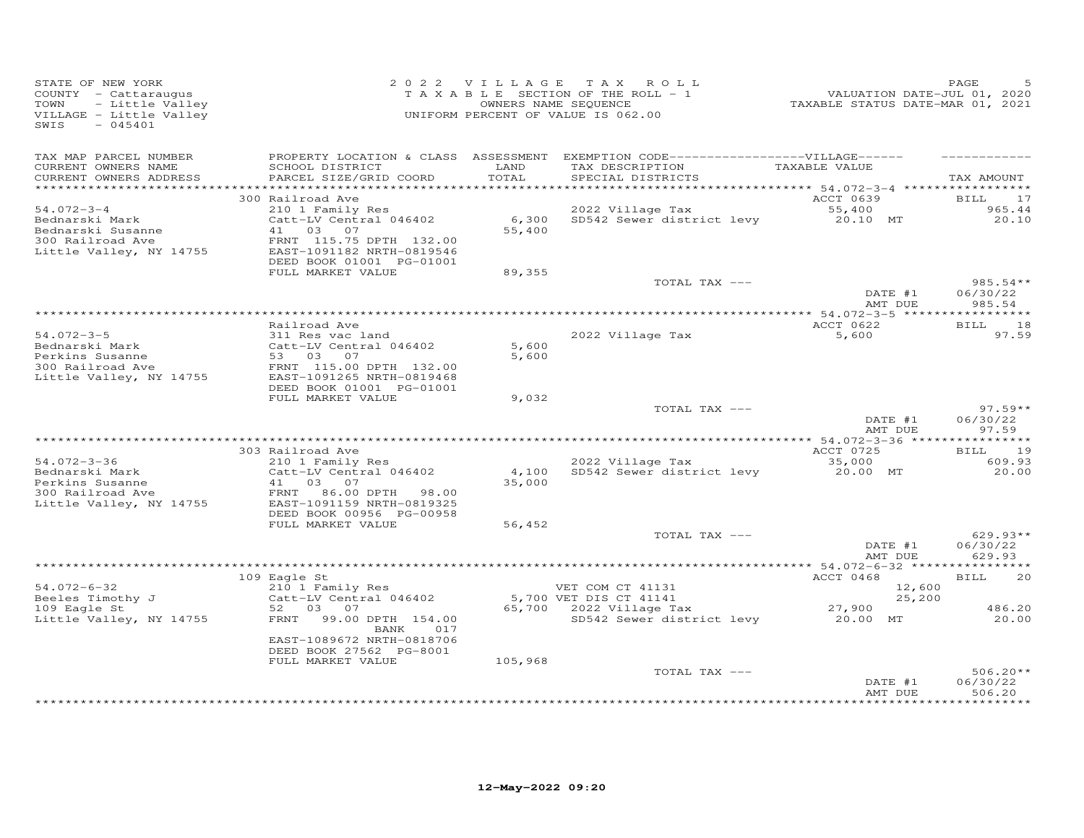| STATE OF NEW YORK<br>COUNTY - Cattaraugus<br>- Little Valley<br>TOWN<br>VILLAGE - Little Valley<br>$-045401$<br>SWIS |                                                                                                                         |                 | 2022 VILLAGE TAX ROLL<br>TAXABLE SECTION OF THE ROLL - 1<br>OWNERS NAME SEQUENCE<br>UNIFORM PERCENT OF VALUE IS 062.00     | VALUATION DATE-JUL 01, 2020<br>TAXABLE STATUS DATE-MAR 01, 2021 | PAGE                             |
|----------------------------------------------------------------------------------------------------------------------|-------------------------------------------------------------------------------------------------------------------------|-----------------|----------------------------------------------------------------------------------------------------------------------------|-----------------------------------------------------------------|----------------------------------|
| TAX MAP PARCEL NUMBER<br>CURRENT OWNERS NAME<br>CURRENT OWNERS ADDRESS<br>************************                   | SCHOOL DISTRICT<br>PARCEL SIZE/GRID COORD                                                                               | LAND<br>TOTAL   | PROPERTY LOCATION & CLASS ASSESSMENT EXEMPTION CODE------------------VILLAGE------<br>TAX DESCRIPTION<br>SPECIAL DISTRICTS | TAXABLE VALUE                                                   | TAX AMOUNT                       |
|                                                                                                                      | 300 Railroad Ave                                                                                                        |                 |                                                                                                                            | ACCT 0639                                                       | 17<br><b>BILL</b>                |
| $54.072 - 3 - 4$<br>Bednarski Mark<br>Bednarski Susanne<br>300 Railroad Ave<br>Little Valley, NY 14755               | 210 1 Family Res<br>Catt-LV Central 046402<br>41 03 07<br>FRNT 115.75 DPTH 132.00<br>EAST-1091182 NRTH-0819546          | 6,300<br>55,400 | 2022 Village Tax<br>SD542 Sewer district levy 20.10 MT                                                                     | 55,400                                                          | 965.44<br>20.10                  |
|                                                                                                                      | DEED BOOK 01001 PG-01001<br>FULL MARKET VALUE                                                                           | 89,355          |                                                                                                                            |                                                                 |                                  |
|                                                                                                                      |                                                                                                                         |                 | TOTAL TAX ---                                                                                                              | DATE #1<br>AMT DUE                                              | $985.54**$<br>06/30/22<br>985.54 |
|                                                                                                                      |                                                                                                                         |                 |                                                                                                                            |                                                                 |                                  |
| $54.072 - 3 - 5$<br>Bednarski Mark                                                                                   | Railroad Ave<br>311 Res vac land<br>Catt-LV Central 046402                                                              | 5,600           | 2022 Village Tax                                                                                                           | ACCT 0622<br>5,600                                              | <b>BILL</b><br>18<br>97.59       |
| Perkins Susanne<br>300 Railroad Ave<br>Little Valley, NY 14755                                                       | 53 03 07<br>FRNT 115.00 DPTH 132.00<br>EAST-1091265 NRTH-0819468<br>DEED BOOK 01001 PG-01001                            | 5,600           |                                                                                                                            |                                                                 |                                  |
|                                                                                                                      | FULL MARKET VALUE                                                                                                       | 9,032           | TOTAL TAX ---                                                                                                              | DATE #1<br>AMT DUE                                              | $97.59**$<br>06/30/22<br>97.59   |
|                                                                                                                      |                                                                                                                         |                 | **********************************                                                                                         | *************** 54.072-3-36 **                                  | *********                        |
| 54.072-3-36                                                                                                          | 303 Railroad Ave<br>210 1 Family Res                                                                                    |                 | 2022 Village Tax                                                                                                           | ACCT 0725<br>35,000                                             | 19<br>BILL<br>609.93             |
| Bednarski Mark<br>Perkins Susanne<br>300 Railroad Ave<br>Little Valley, NY 14755                                     | Catt-LV Central 046402<br>41<br>03 07<br>FRNT 86.00 DPTH 98.00<br>EAST-1091159 NRTH-0819325<br>DEED BOOK 00956 PG-00958 | 35,000          | 4,100 SD542 Sewer district levy                                                                                            | 20.00 MT                                                        | 20.00                            |
|                                                                                                                      | FULL MARKET VALUE                                                                                                       | 56,452          |                                                                                                                            |                                                                 |                                  |
|                                                                                                                      |                                                                                                                         |                 | TOTAL TAX ---                                                                                                              | DATE #1<br>AMT DUE                                              | $629.93**$<br>06/30/22<br>629.93 |
|                                                                                                                      | 109 Eagle St                                                                                                            |                 |                                                                                                                            | ACCT 0468                                                       | BILL<br>20                       |
| 54.072-6-32<br>Beeles Timothy J                                                                                      | 210 1 Family Res<br>Catt-LV Central 046402                                                                              |                 | VET COM CT 41131<br>5,700 VET DIS CT 41141                                                                                 | 12,600<br>25,200                                                |                                  |
| 109 Eagle St<br>Little Valley, NY 14755                                                                              | 52 03 07<br>FRNT<br>99.00 DPTH 154.00<br>BANK 017<br>EAST-1089672 NRTH-0818706                                          |                 | SD542 Sewer district levy 20.00 MT                                                                                         | 27,900                                                          | 486.20<br>20.00                  |
|                                                                                                                      | DEED BOOK 27562 PG-8001<br>FULL MARKET VALUE                                                                            | 105,968         |                                                                                                                            |                                                                 |                                  |
|                                                                                                                      |                                                                                                                         |                 | TOTAL TAX ---                                                                                                              | DATE #1<br>AMT DUE                                              | $506.20**$<br>06/30/22<br>506.20 |
|                                                                                                                      |                                                                                                                         |                 |                                                                                                                            |                                                                 | $******$                         |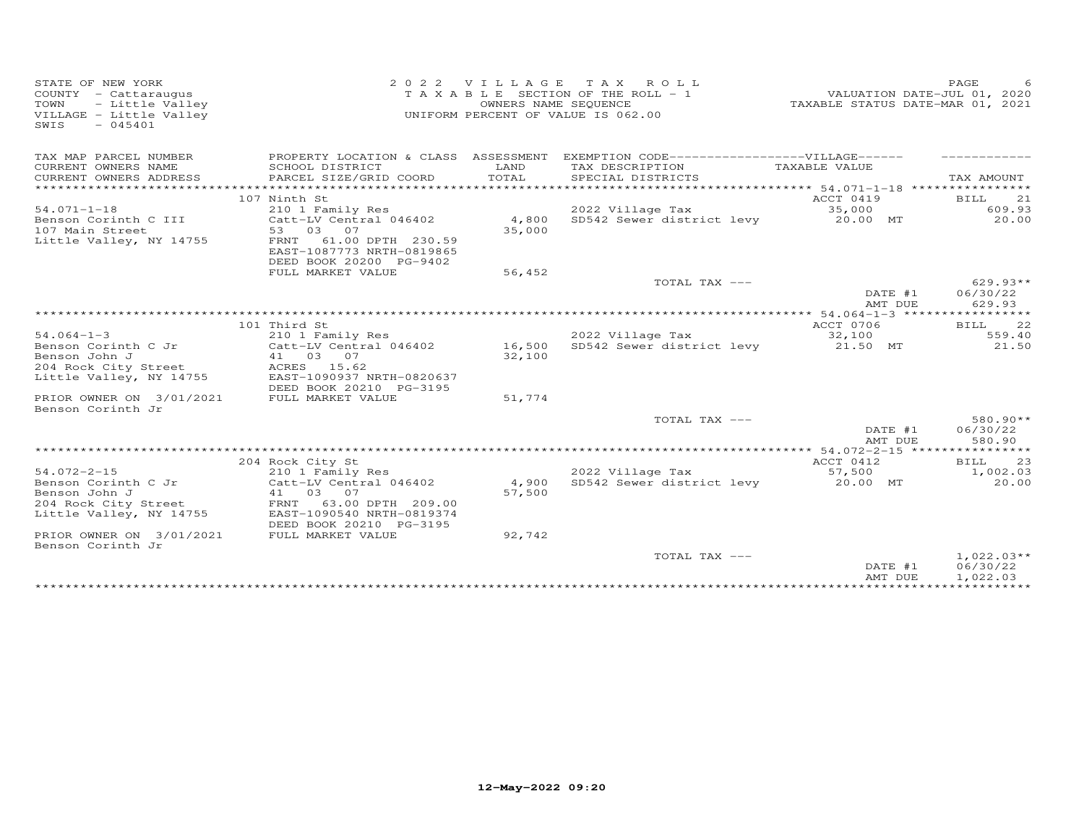| VILLAGE - Little Valley<br>UNIFORM PERCENT OF VALUE IS 062.00<br>$-045401$<br>SWIS                                                                                                                                                               |                                                            |
|--------------------------------------------------------------------------------------------------------------------------------------------------------------------------------------------------------------------------------------------------|------------------------------------------------------------|
| PROPERTY LOCATION & CLASS ASSESSMENT EXEMPTION CODE-----------------VILLAGE------<br>TAX MAP PARCEL NUMBER                                                                                                                                       |                                                            |
| LAND<br>CURRENT OWNERS NAME<br>SCHOOL DISTRICT<br>TAX DESCRIPTION<br>TOTAL<br>CURRENT OWNERS ADDRESS<br>PARCEL SIZE/GRID COORD<br>SPECIAL DISTRICTS                                                                                              | TAXABLE VALUE<br>TAX AMOUNT                                |
| 107 Ninth St                                                                                                                                                                                                                                     | ACCT 0419<br>BILL<br>21                                    |
| $54.071 - 1 - 18$<br>2022 Village Tax<br>210 1 Family Res                                                                                                                                                                                        | 35,000<br>609.93                                           |
| 4,800<br>SD542 Sewer district levy<br>Benson Corinth C III<br>Catt-LV Central 046402<br>53 03<br>35,000<br>107 Main Street<br>07<br>Little Valley, NY 14755<br>FRNT<br>61.00 DPTH 230.59<br>EAST-1087773 NRTH-0819865<br>DEED BOOK 20200 PG-9402 | 20.00<br>20.00 MT                                          |
| FULL MARKET VALUE<br>56,452                                                                                                                                                                                                                      |                                                            |
| TOTAL TAX ---                                                                                                                                                                                                                                    | $629.93**$<br>06/30/22<br>DATE #1<br>629.93<br>AMT DUE     |
|                                                                                                                                                                                                                                                  |                                                            |
| 101 Third St                                                                                                                                                                                                                                     | 22<br>ACCT 0706<br>BILL                                    |
| $54.064 - 1 - 3$<br>2022 Village Tax<br>210 1 Family Res<br>16,500<br>SD542 Sewer district levy<br>Benson Corinth C Jr<br>Catt-LV Central 046402                                                                                                 | 32,100<br>559.40<br>21.50 MT<br>21.50                      |
| Benson John J<br>41 03 07<br>32,100<br>ACRES 15.62<br>204 Rock City Street<br>Little Valley, NY 14755<br>EAST-1090937 NRTH-0820637<br>DEED BOOK 20210 PG-3195                                                                                    |                                                            |
| FULL MARKET VALUE<br>PRIOR OWNER ON 3/01/2021<br>51,774<br>Benson Corinth Jr                                                                                                                                                                     |                                                            |
| TOTAL TAX ---                                                                                                                                                                                                                                    | $580.90**$<br>DATE #1<br>06/30/22<br>580.90<br>AMT DUE     |
|                                                                                                                                                                                                                                                  |                                                            |
| 204 Rock City St                                                                                                                                                                                                                                 | ACCT 0412<br>23<br>BILL                                    |
| $54.072 - 2 - 15$<br>2022 Village Tax<br>210 1 Family Res                                                                                                                                                                                        | 1,002.03<br>57,500                                         |
| 4,900<br>SD542 Sewer district levy<br>Benson Corinth C Jr<br>Catt-LV Central 046402                                                                                                                                                              | 20.00<br>20.00 MT                                          |
| 57,500<br>Benson John J<br>41 03 07<br>FRNT 63.00 DPTH 209.00                                                                                                                                                                                    |                                                            |
| 204 Rock City Street<br>Little Valley, NY 14755<br>EAST-1090540 NRTH-0819374<br>DEED BOOK 20210 PG-3195                                                                                                                                          |                                                            |
| 92,742<br>PRIOR OWNER ON 3/01/2021<br>FULL MARKET VALUE<br>Benson Corinth Jr                                                                                                                                                                     |                                                            |
| TOTAL TAX ---                                                                                                                                                                                                                                    | $1,022.03**$<br>06/30/22<br>DATE #1<br>1,022.03<br>AMT DUE |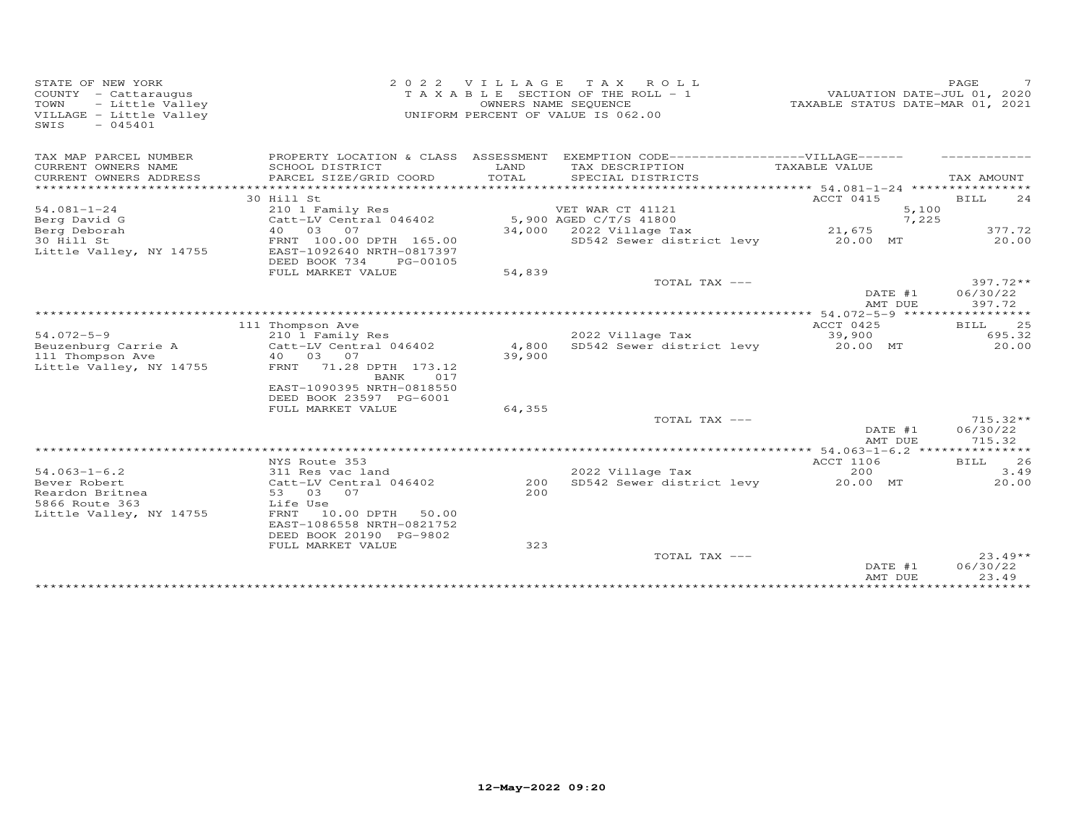| STATE OF NEW YORK<br>COUNTY - Cattaraugus<br>TOWN<br>- Little Valley<br>VILLAGE - Little Valley<br>SWIS<br>$-045401$ | 2 0 2 2                                                                                                         | VILLAGE       | T A X<br>ROLL ROLL<br>T A X A B L E SECTION OF THE ROLL - 1<br>OWNERS NAME SEQUENCE<br>UNIFORM PERCENT OF VALUE IS 062.00 | VALUATION DATE-JUL 01, 2020<br>TAXABLE STATUS DATE-MAR 01, 2021      | PAGE<br>7                        |
|----------------------------------------------------------------------------------------------------------------------|-----------------------------------------------------------------------------------------------------------------|---------------|---------------------------------------------------------------------------------------------------------------------------|----------------------------------------------------------------------|----------------------------------|
| TAX MAP PARCEL NUMBER                                                                                                | PROPERTY LOCATION & CLASS ASSESSMENT                                                                            |               | EXEMPTION CODE-------------------VILLAGE------                                                                            |                                                                      |                                  |
| CURRENT OWNERS NAME<br>CURRENT OWNERS ADDRESS<br>*****************                                                   | SCHOOL DISTRICT<br>PARCEL SIZE/GRID COORD                                                                       | LAND<br>TOTAL | TAX DESCRIPTION<br>SPECIAL DISTRICTS                                                                                      | TAXABLE VALUE<br>********************* 54.081-1-24 ***************** | TAX AMOUNT                       |
|                                                                                                                      | 30 Hill St                                                                                                      |               |                                                                                                                           | ACCT 0415                                                            | BILL<br>24                       |
| $54.081 - 1 - 24$                                                                                                    | 210 1 Family Res                                                                                                |               | VET WAR CT 41121                                                                                                          | 5,100                                                                |                                  |
| Berg David G                                                                                                         | Catt-LV Central 046402                                                                                          |               | 5,900 AGED C/T/S 41800                                                                                                    | 7,225                                                                |                                  |
| Berg Deborah                                                                                                         | 03<br>07<br>40                                                                                                  | 34,000        | 2022 Village Tax                                                                                                          | 21,675                                                               | 377.72                           |
| 30 Hill St<br>Little Valley, NY 14755                                                                                | FRNT 100.00 DPTH 165.00<br>EAST-1092640 NRTH-0817397<br>DEED BOOK 734<br>PG-00105                               |               | SD542 Sewer district levy                                                                                                 | 20.00 MT                                                             | 20.00                            |
|                                                                                                                      | FULL MARKET VALUE                                                                                               | 54,839        |                                                                                                                           |                                                                      |                                  |
|                                                                                                                      |                                                                                                                 |               | TOTAL TAX ---                                                                                                             |                                                                      | $397.72**$                       |
|                                                                                                                      |                                                                                                                 |               |                                                                                                                           | DATE #1<br>AMT DUE                                                   | 06/30/22<br>397.72               |
|                                                                                                                      |                                                                                                                 |               |                                                                                                                           |                                                                      |                                  |
|                                                                                                                      | 111 Thompson Ave                                                                                                |               |                                                                                                                           | ACCT 0425                                                            | 25<br><b>BILL</b>                |
| $54.072 - 5 - 9$                                                                                                     | 210 1 Family Res                                                                                                |               | 2022 Village Tax                                                                                                          | 39,900                                                               | 695.32                           |
| Beuzenburg Carrie A                                                                                                  | Catt-LV Central 046402                                                                                          | 4,800         | SD542 Sewer district levy                                                                                                 | 20.00 MT                                                             | 20.00                            |
| 111 Thompson Ave<br>Little Valley, NY 14755                                                                          | 03 07<br>40<br>71.28 DPTH 173.12<br>FRNT<br>017<br>BANK<br>EAST-1090395 NRTH-0818550<br>DEED BOOK 23597 PG-6001 | 39,900        |                                                                                                                           |                                                                      |                                  |
|                                                                                                                      | FULL MARKET VALUE                                                                                               | 64,355        |                                                                                                                           |                                                                      |                                  |
|                                                                                                                      |                                                                                                                 |               | TOTAL TAX ---                                                                                                             | DATE #1<br>AMT DUE                                                   | $715.32**$<br>06/30/22<br>715.32 |
|                                                                                                                      |                                                                                                                 |               |                                                                                                                           |                                                                      |                                  |
|                                                                                                                      | NYS Route 353                                                                                                   |               |                                                                                                                           | <b>ACCT 1106</b>                                                     | 26<br>BILL                       |
| $54.063 - 1 - 6.2$                                                                                                   | 311 Res vac land                                                                                                |               | 2022 Village Tax                                                                                                          | 200                                                                  | 3.49                             |
| Bever Robert<br>Reardon Britnea<br>5866 Route 363<br>Little Valley, NY 14755                                         | Catt-LV Central 046402<br>03 07<br>53<br>Life Use<br>FRNT<br>10.00 DPTH<br>50.00<br>EAST-1086558 NRTH-0821752   | 200<br>2.00   | SD542 Sewer district levy                                                                                                 | 20.00 MT                                                             | 20.00                            |
|                                                                                                                      | DEED BOOK 20190 PG-9802                                                                                         |               |                                                                                                                           |                                                                      |                                  |
|                                                                                                                      | FULL MARKET VALUE                                                                                               | 323           | TOTAL TAX ---                                                                                                             | DATE #1                                                              | $23.49**$<br>06/30/22            |
|                                                                                                                      |                                                                                                                 |               |                                                                                                                           | AMT DUE                                                              | 23.49                            |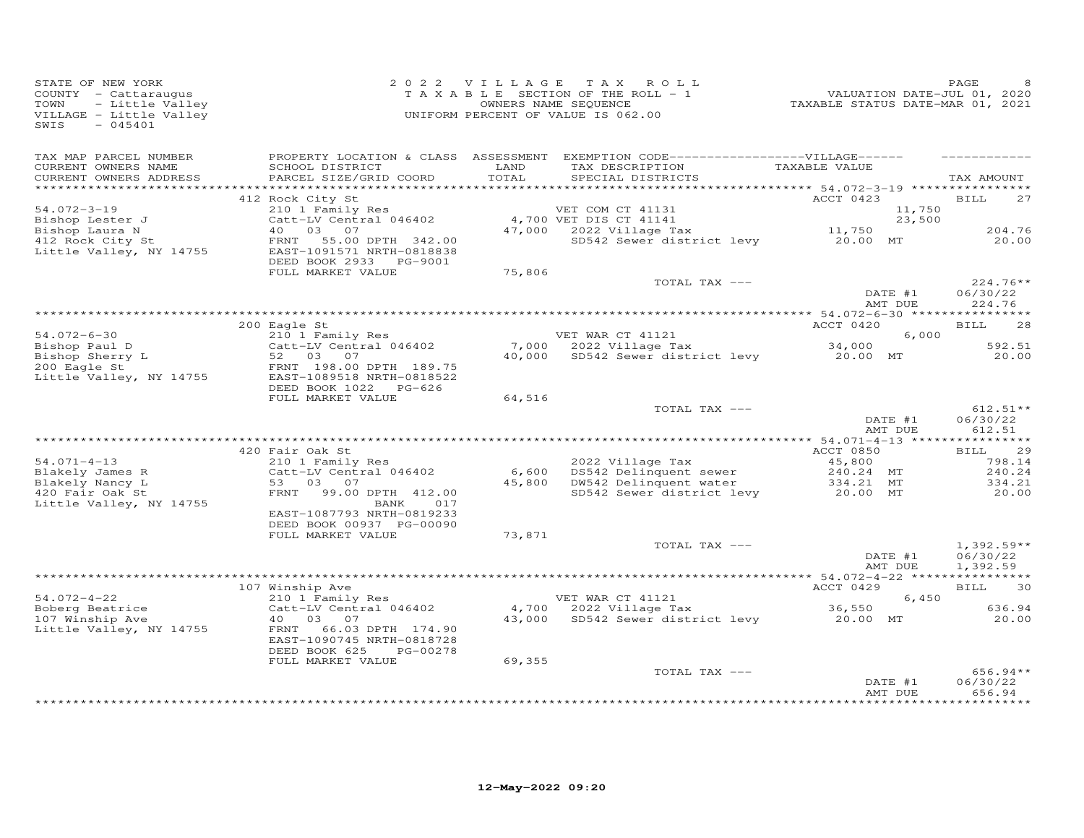| STATE OF NEW YORK<br>COUNTY - Cattaraugus<br>- Little Valley<br>TOWN<br>VILLAGE - Little Valley<br>$-045401$<br>SWIS |                                                                                                                                                          |               | 2022 VILLAGE TAX ROLL<br>TAXABLE SECTION OF THE ROLL - 1<br>OWNERS NAME SEQUENCE<br>UNIFORM PERCENT OF VALUE IS 062.00    | VALUATION DATE-JUL 01, 2020<br>TAXABLE STATUS DATE-MAR 01, 2021 | PAGE                                |
|----------------------------------------------------------------------------------------------------------------------|----------------------------------------------------------------------------------------------------------------------------------------------------------|---------------|---------------------------------------------------------------------------------------------------------------------------|-----------------------------------------------------------------|-------------------------------------|
| TAX MAP PARCEL NUMBER<br>CURRENT OWNERS NAME<br>CURRENT OWNERS ADDRESS                                               | SCHOOL DISTRICT<br>PARCEL SIZE/GRID COORD                                                                                                                | LAND<br>TOTAL | PROPERTY LOCATION & CLASS ASSESSMENT EXEMPTION CODE-----------------VILLAGE------<br>TAX DESCRIPTION<br>SPECIAL DISTRICTS | TAXABLE VALUE                                                   | TAX AMOUNT                          |
|                                                                                                                      | 412 Rock City St                                                                                                                                         |               |                                                                                                                           | ACCT 0423                                                       | 27<br><b>BILL</b>                   |
| $54.072 - 3 - 19$<br>Bishop Lester J<br>Bishop Laura N<br>412 Rock City St<br>Little Valley, NY 14755                | 210 1 Family Res<br>Catt-LV Central 046402<br>40  03  07<br>FRNT<br>55.00 DPTH 342.00<br>EAST-1091571 NRTH-0818838<br>DEED BOOK 2933 PG-9001             |               | VET COM CT 41131<br>4,700 VET DIS CT 41141<br>$47,000$ 2022 Village Tax<br>SD542 Sewer district levy 20.00 MT             | 11,750<br>23,500<br>11,750                                      | 204.76<br>20.00                     |
|                                                                                                                      | FULL MARKET VALUE                                                                                                                                        | 75,806        |                                                                                                                           |                                                                 |                                     |
|                                                                                                                      |                                                                                                                                                          |               | TOTAL TAX ---                                                                                                             | DATE #1<br>AMT DUE                                              | $224.76**$<br>06/30/22<br>224.76    |
|                                                                                                                      |                                                                                                                                                          |               |                                                                                                                           |                                                                 |                                     |
| $54.072 - 6 - 30$                                                                                                    | 200 Eagle St<br>210 1 Family Res<br>Catt-LV Central 046402                                                                                               |               | VET WAR CT 41121<br>7,000 2022 Village Tax                                                                                | ACCT 0420<br>6,000                                              | <b>BILL</b><br>28<br>592.51         |
| Bishop Paul D<br>Bishop Sherry L<br>200 Eagle St<br>200 Eagle St<br>Little Valley, NY 14755                          | 52 03 07<br>FRNT 198.00 DPTH 189.75<br>EAST-1089518 NRTH-0818522<br>DEED BOOK 1022 PG-626                                                                |               | 7,000 2022 Village Tax 34,000<br>40,000 SD542 Sewer district levy 20.00 MT                                                |                                                                 | 20.00                               |
|                                                                                                                      | FULL MARKET VALUE                                                                                                                                        | 64,516        | TOTAL TAX ---                                                                                                             | DATE #1                                                         | $612.51**$<br>06/30/22              |
|                                                                                                                      |                                                                                                                                                          |               |                                                                                                                           | AMT DUE                                                         | 612.51                              |
|                                                                                                                      | 420 Fair Oak St                                                                                                                                          |               |                                                                                                                           | ACCT 0850                                                       | 29<br>BILL                          |
| $54.071 - 4 - 13$<br>Blakely James R<br>Blakely Nancy L<br>420 Fair Oak St<br>Little Valley, NY 14755                | 210 1 Family Res<br>Catt-LV Central 046402<br>53 03 07<br>FRNT 99.00 DPTH 412.00<br>017<br>BANK<br>EAST-1087793 NRTH-0819233<br>DEED BOOK 00937 PG-00090 |               | 2022 Village Tax<br>6,600 DS542 Delinquent sewer<br>45,800 DW542 Delinquent water<br>SD542 Sewer district levy            | 45,800<br>240.24 MT<br>334.21 MT<br>20.00 MT<br>334.21 MT       | 798.14<br>240.24<br>334.21<br>20.00 |
|                                                                                                                      | FULL MARKET VALUE                                                                                                                                        | 73,871        | TOTAL TAX ---                                                                                                             |                                                                 | $1,392.59**$                        |
|                                                                                                                      |                                                                                                                                                          |               |                                                                                                                           | DATE #1<br>AMT DUE                                              | 06/30/22<br>1,392.59                |
|                                                                                                                      | 107 Winship Ave                                                                                                                                          |               |                                                                                                                           | ACCT 0429                                                       | 30<br><b>BILL</b>                   |
| $54.072 - 4 - 22$                                                                                                    | 210 1 Family Res                                                                                                                                         |               | VET WAR CT 41121                                                                                                          | 6,450                                                           |                                     |
| Boberg Beatrice<br>107 Winship Ave<br>Little Valley, NY 14755                                                        | Catt-LV Central 046402<br>40 03 07<br>66.03 DPTH 174.90<br>FRNT<br>EAST-1090745 NRTH-0818728<br>DEED BOOK 625<br>PG-00278                                | 43,000        | 4,700 2022 Village Tax<br>SD542 Sewer district levy 20.00 MT                                                              | 36,550                                                          | 636.94<br>20.00                     |
|                                                                                                                      | FULL MARKET VALUE                                                                                                                                        | 69,355        | TOTAL TAX ---                                                                                                             | DATE #1<br>AMT DUE                                              | $656.94**$<br>06/30/22<br>656.94    |
|                                                                                                                      |                                                                                                                                                          |               |                                                                                                                           |                                                                 | * * * * * * * * * *                 |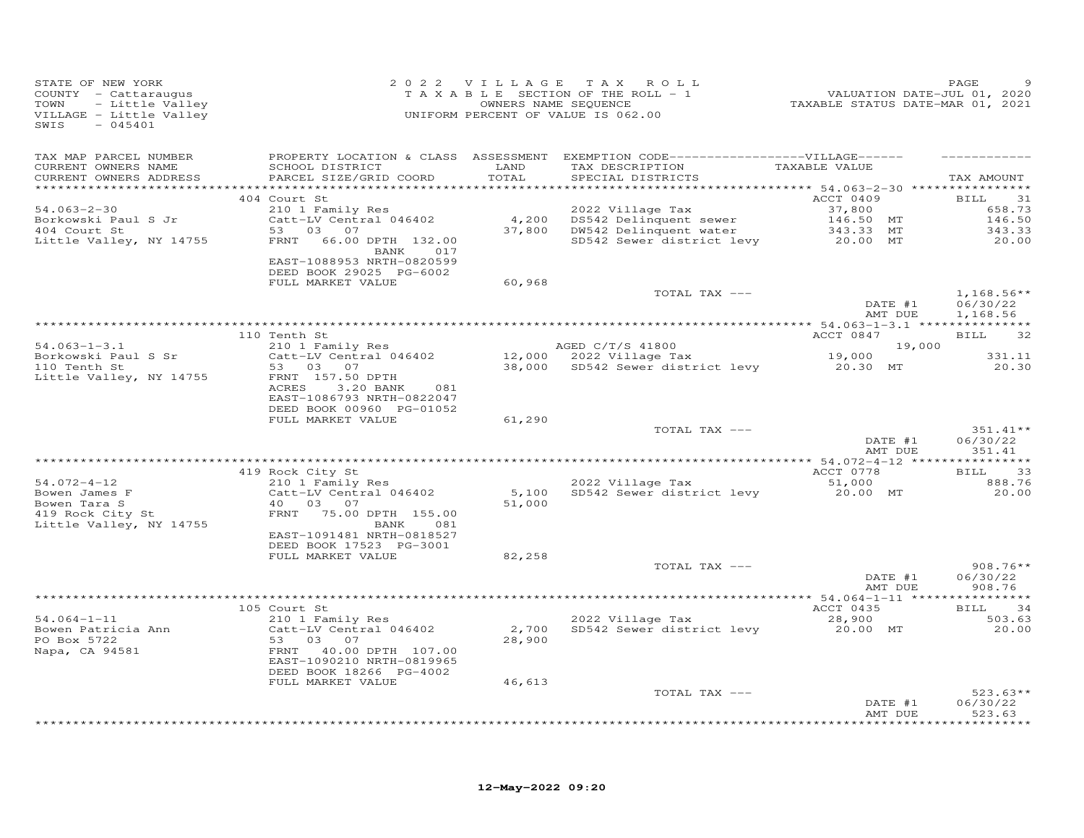| STATE OF NEW YORK<br>COUNTY - Cattaraugus<br>TAXABLE SECTION OF THE ROLL - 1<br>TOWNERS NAME SEQUENCE<br>VILLAGE - Little Valley<br>SWIS - 045401<br>SWIS - 045401<br>SWIS<br>$-045401$ |                                                                                            |        |                                                                                                                                          | 9<br>7200 VALUATION DATE-JUL<br>72021 TAXABLE STATUS DATE-MAR | PAGE                        |
|-----------------------------------------------------------------------------------------------------------------------------------------------------------------------------------------|--------------------------------------------------------------------------------------------|--------|------------------------------------------------------------------------------------------------------------------------------------------|---------------------------------------------------------------|-----------------------------|
| TAX MAP PARCEL NUMBER                                                                                                                                                                   |                                                                                            |        | PROPERTY LOCATION & CLASS ASSESSMENT EXEMPTION CODE------------------VILLAGE------                                                       |                                                               |                             |
| CURRENT OWNERS NAME<br>CURRENT OWNERS ADDRESS                                                                                                                                           | SCHOOL DISTRICT LAND<br>PARCEL SIZE/GRID COORD                                             | TOTAL  | TAX DESCRIPTION TAXABLE VALUE<br>SPECIAL DISTRICTS                                                                                       |                                                               | TAX AMOUNT                  |
|                                                                                                                                                                                         |                                                                                            |        |                                                                                                                                          | <b>ACCT 0409</b>                                              |                             |
| $54.063 - 2 - 30$                                                                                                                                                                       | 404 Court St<br>210 1 Family Res                                                           |        |                                                                                                                                          |                                                               | <b>BILL</b><br>31<br>658.73 |
| Borkowski Paul S Jr<br>404 Court St                                                                                                                                                     | Catt-LV Central 046402<br>53 03 07                                                         |        |                                                                                                                                          |                                                               | 146.50                      |
|                                                                                                                                                                                         |                                                                                            |        |                                                                                                                                          |                                                               | 343.33                      |
| Little Valley, NY 14755                                                                                                                                                                 | FRNT 66.00 DPTH 132.00<br>BANK 017<br>EAST-1088953 NRTH-0820599<br>DEED BOOK 29025 PG-6002 |        | 2022 Village Tax<br>4,200 DS542 Delinquent sewer 37,800<br>37,800 DW542 Delinquent water 343.33 MT<br>SD542 Sewer district levy 20.00 MT |                                                               | 20.00                       |
|                                                                                                                                                                                         | FULL MARKET VALUE                                                                          | 60,968 |                                                                                                                                          |                                                               |                             |
|                                                                                                                                                                                         |                                                                                            |        | TOTAL TAX ---                                                                                                                            |                                                               | $1,168.56**$                |
|                                                                                                                                                                                         |                                                                                            |        |                                                                                                                                          | DATE #1<br>AMT DUE                                            | 06/30/22<br>1,168.56        |
|                                                                                                                                                                                         | 110 Tenth St                                                                               |        |                                                                                                                                          | ACCT 0847                                                     | <b>BILL</b><br>32           |
| $54.063 - 1 - 3.1$                                                                                                                                                                      |                                                                                            |        |                                                                                                                                          |                                                               |                             |
| Borkowski Paul S Sr<br>110 Tenth St                                                                                                                                                     |                                                                                            |        |                                                                                                                                          |                                                               | 331.11                      |
| Little Valley, NY 14755                                                                                                                                                                 | FRNT 157.50 DPTH<br>ACRES<br>3.20 BANK<br>081<br>EAST-1086793 NRTH-0822047                 |        |                                                                                                                                          |                                                               | 20.30                       |
|                                                                                                                                                                                         | DEED BOOK 00960 PG-01052<br>FULL MARKET VALUE                                              | 61,290 |                                                                                                                                          |                                                               |                             |
|                                                                                                                                                                                         |                                                                                            |        | TOTAL TAX ---                                                                                                                            |                                                               | 351.41**                    |
|                                                                                                                                                                                         |                                                                                            |        |                                                                                                                                          | DATE #1<br>AMT DUE                                            | 06/30/22<br>351.41          |
|                                                                                                                                                                                         | 419 Rock City St                                                                           |        |                                                                                                                                          | ACCT 0778                                                     | BILL 33                     |
| $54.072 - 4 - 12$<br>Bowen James F<br>Bowen Tara S<br>419 Rock City St                                                                                                                  | Rock City St<br>210 1 Family Res<br>Catt-LV Central 046402<br>40 03 07                     |        | 2022 Village Tax 51,000<br>5,100 SD542 Sewer district levy 20.00 MT                                                                      |                                                               | 888.76<br>20.00             |
| Little Valley, NY 14755                                                                                                                                                                 | FRNT 75.00 DPTH 155.00<br>BANK 081<br>EAST-1091481 NRTH-0818527                            | 51,000 |                                                                                                                                          |                                                               |                             |
|                                                                                                                                                                                         | DEED BOOK 17523 PG-3001                                                                    |        |                                                                                                                                          |                                                               |                             |
|                                                                                                                                                                                         | FULL MARKET VALUE                                                                          | 82,258 | TOTAL TAX ---                                                                                                                            |                                                               | $908.76**$                  |
|                                                                                                                                                                                         |                                                                                            |        |                                                                                                                                          | DATE #1<br>AMT DUE                                            | 06/30/22<br>908.76          |
|                                                                                                                                                                                         |                                                                                            |        |                                                                                                                                          |                                                               |                             |
|                                                                                                                                                                                         | 105 Court St<br>Source St.<br>210 1 Family Res                                             |        | 2022 Village Tax                                                                                                                         | ACCT 0435                                                     | <b>BILL</b><br>34           |
| $54.064 - 1 - 11$                                                                                                                                                                       |                                                                                            | 28,900 | 2022 Village Tax 28,900<br>2,700 SD542 Sewer district levy 20.00 MT                                                                      |                                                               | 503.63<br>20.00             |
|                                                                                                                                                                                         | EAST-1090210 NRTH-0819965<br>DEED BOOK 18266 PG-4002                                       |        |                                                                                                                                          |                                                               |                             |
|                                                                                                                                                                                         | FULL MARKET VALUE                                                                          | 46,613 |                                                                                                                                          |                                                               |                             |
|                                                                                                                                                                                         |                                                                                            |        | TOTAL TAX ---                                                                                                                            |                                                               | $523.63**$                  |
|                                                                                                                                                                                         |                                                                                            |        |                                                                                                                                          | DATE #1<br>AMT DUE                                            | 06/30/22<br>523.63<br>.     |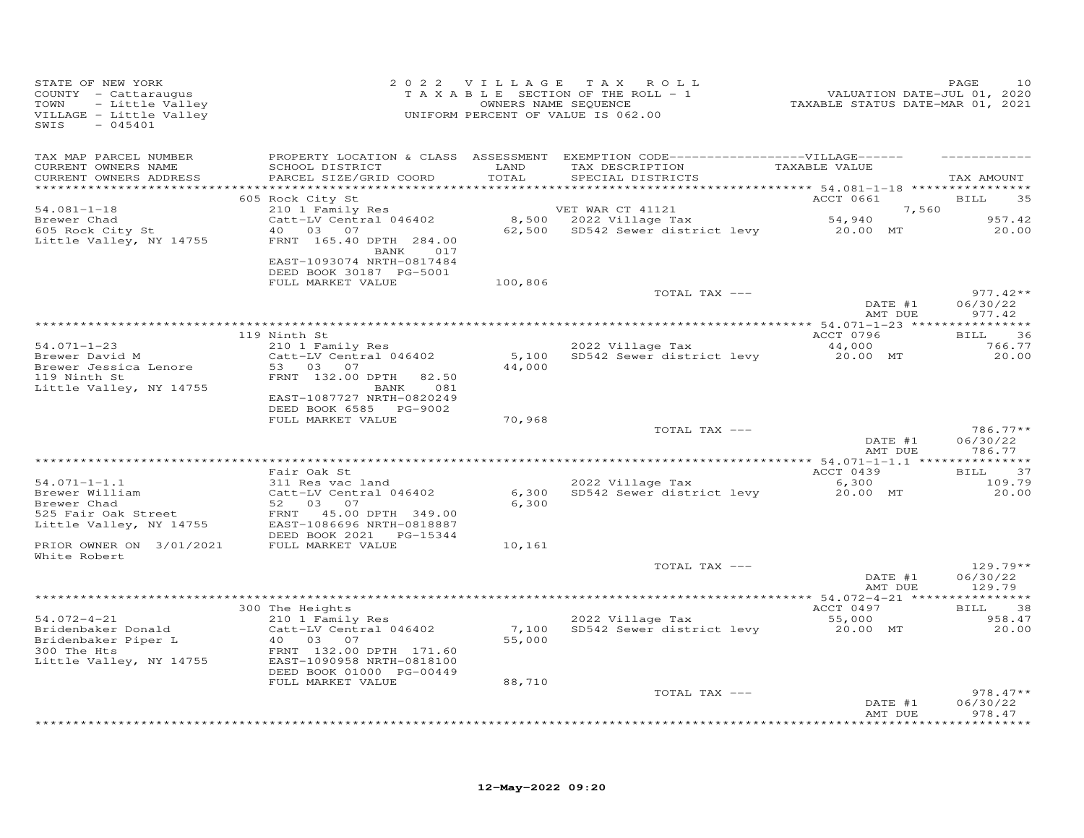| STATE OF NEW YORK<br>COUNTY - Cattaraugus<br>- Little Valley<br>TOWN<br>VILLAGE - Little Valley<br>SWIS<br>$-045401$ |                                                                                                                                                    |               | 2022 VILLAGE TAX ROLL<br>TAXABLE SECTION OF THE ROLL - 1<br>OWNERS NAME SEQUENCE<br>UNIFORM PERCENT OF VALUE IS 062.00                                      | 210<br>2020 / PALUATION DATE-JUL<br>2021 TAXABLE STATUS DATE-MAR | PAGE<br>10             |
|----------------------------------------------------------------------------------------------------------------------|----------------------------------------------------------------------------------------------------------------------------------------------------|---------------|-------------------------------------------------------------------------------------------------------------------------------------------------------------|------------------------------------------------------------------|------------------------|
| TAX MAP PARCEL NUMBER                                                                                                |                                                                                                                                                    |               | PROPERTY LOCATION & CLASS ASSESSMENT EXEMPTION CODE------------------VILLAGE------                                                                          |                                                                  |                        |
| CURRENT OWNERS NAME<br>CURRENT OWNERS ADDRESS                                                                        | SCHOOL DISTRICT<br>PARCEL SIZE/GRID COORD                                                                                                          | LAND<br>TOTAL | TAX DESCRIPTION TAXABLE VALUE<br>SPECIAL DISTRICTS                                                                                                          |                                                                  | TAX AMOUNT             |
|                                                                                                                      | 605 Rock City St                                                                                                                                   |               |                                                                                                                                                             | ACCT 0661 BILL                                                   | 35                     |
| $54.081 - 1 - 18$                                                                                                    | 210 1 Family Res                                                                                                                                   |               |                                                                                                                                                             | 7,560                                                            |                        |
| Brewer Chad                                                                                                          | Catt-LV Central 046402<br>40 03 07                                                                                                                 |               | VET WAR CT 41121<br>8,500 2022 Village Tax<br>VET WAR CT 41121 7, 56<br>8,500 2022 Village Tax 54,940<br>62,500 SD542 Sewer district levy 20.00 MT 20.00 20 |                                                                  | 957.42                 |
| 605 Rock City St                                                                                                     |                                                                                                                                                    |               |                                                                                                                                                             |                                                                  | 20.00                  |
| Little Valley, NY 14755                                                                                              | FRNT 165.40 DPTH 284.00<br>BANK 017                                                                                                                |               |                                                                                                                                                             |                                                                  |                        |
|                                                                                                                      | EAST-1093074 NRTH-0817484                                                                                                                          |               |                                                                                                                                                             |                                                                  |                        |
|                                                                                                                      | DEED BOOK 30187 PG-5001                                                                                                                            |               |                                                                                                                                                             |                                                                  |                        |
|                                                                                                                      | FULL MARKET VALUE                                                                                                                                  | 100,806       |                                                                                                                                                             |                                                                  |                        |
|                                                                                                                      |                                                                                                                                                    |               | TOTAL TAX ---                                                                                                                                               | DATE #1                                                          | $977.42**$<br>06/30/22 |
|                                                                                                                      |                                                                                                                                                    |               |                                                                                                                                                             | AMT DUE                                                          | 977.42                 |
|                                                                                                                      |                                                                                                                                                    |               |                                                                                                                                                             |                                                                  |                        |
|                                                                                                                      | 119 Ninth St                                                                                                                                       |               |                                                                                                                                                             | ACCT 0796                                                        | BILL 36                |
| $54.071 - 1 - 23$<br>Brewer David M                                                                                  | 210 1 Family Res                                                                                                                                   |               | 2022 Village Tax                                                                                                                                            | 44,000<br>20.00 MT                                               | 766.77                 |
| Brewer Jessica Lenore                                                                                                | Catt-LV Central 046402<br>53 03 07                                                                                                                 | 44,000        | 5,100 SD542 Sewer district levy                                                                                                                             |                                                                  | 20.00                  |
| 119 Ninth St                                                                                                         | FRNT 132.00 DPTH<br>82.50                                                                                                                          |               |                                                                                                                                                             |                                                                  |                        |
| Little Valley, NY 14755                                                                                              | BANK 081                                                                                                                                           |               |                                                                                                                                                             |                                                                  |                        |
|                                                                                                                      | EAST-1087727 NRTH-0820249                                                                                                                          |               |                                                                                                                                                             |                                                                  |                        |
|                                                                                                                      | DEED BOOK 6585 PG-9002<br>FULL MARKET VALUE                                                                                                        | 70,968        |                                                                                                                                                             |                                                                  |                        |
|                                                                                                                      |                                                                                                                                                    |               | TOTAL TAX ---                                                                                                                                               |                                                                  | 786.77**               |
|                                                                                                                      |                                                                                                                                                    |               |                                                                                                                                                             | DATE #1                                                          | 06/30/22               |
|                                                                                                                      |                                                                                                                                                    |               |                                                                                                                                                             | AMT DUE                                                          | 786.77                 |
|                                                                                                                      | Fair Oak St                                                                                                                                        |               |                                                                                                                                                             |                                                                  | BILL 37                |
| $54.071 - 1 - 1.1$                                                                                                   | 311 Res vac land                                                                                                                                   |               |                                                                                                                                                             | ACCT 0439                                                        | 109.79                 |
| 54.071-1-1.1<br>Brewer William                                                                                       | Catt-LV Central 046402                                                                                                                             | 6,300         |                                                                                                                                                             |                                                                  | 20.00                  |
| Brewer Chad                                                                                                          | 52 03 07                                                                                                                                           | 6,300         |                                                                                                                                                             |                                                                  |                        |
|                                                                                                                      | Brewer Chad<br>525 Fair Oak Street<br>Little Valley, NY 14755<br>EAST-1086696 NRTH-0818887<br>EAST-1086696 NRTH-0818887<br>ETER POOK 2021 PG-15344 |               |                                                                                                                                                             |                                                                  |                        |
|                                                                                                                      | DEED BOOK 2021    PG-15344                                                                                                                         |               |                                                                                                                                                             |                                                                  |                        |
| PRIOR OWNER ON 3/01/2021 FULL MARKET VALUE                                                                           |                                                                                                                                                    | 10,161        |                                                                                                                                                             |                                                                  |                        |
| White Robert                                                                                                         |                                                                                                                                                    |               |                                                                                                                                                             |                                                                  |                        |
|                                                                                                                      |                                                                                                                                                    |               | TOTAL TAX ---                                                                                                                                               |                                                                  | 129.79**               |
|                                                                                                                      |                                                                                                                                                    |               |                                                                                                                                                             | DATE #1<br>AMT DUE                                               | 06/30/22<br>129.79     |
|                                                                                                                      |                                                                                                                                                    |               |                                                                                                                                                             |                                                                  |                        |
|                                                                                                                      | 300 The Heights<br>ine meights<br>210 1 Family Res<br>Cott IV I                                                                                    |               |                                                                                                                                                             | ACCT 0497                                                        | <b>BILL</b><br>38      |
| $54.072 - 4 - 21$                                                                                                    |                                                                                                                                                    |               | 2022 Village Tax<br>2022 Village Tax 55,000<br>7,100 SD542 Sewer district levy 20.00 MT                                                                     |                                                                  | 958.47                 |
| Bridenbaker Donald<br>Bridenbaker Piper L<br>300 The Hts                                                             | Catt-LV Central 046402                                                                                                                             | 55,000        |                                                                                                                                                             |                                                                  | 20.00                  |
|                                                                                                                      | FRNT 132.00 DPTH 171.60                                                                                                                            |               |                                                                                                                                                             |                                                                  |                        |
|                                                                                                                      | Little Valley, NY 14755 EAST-1090958 NRTH-0818100                                                                                                  |               |                                                                                                                                                             |                                                                  |                        |
|                                                                                                                      | DEED BOOK 01000 PG-00449                                                                                                                           |               |                                                                                                                                                             |                                                                  |                        |
|                                                                                                                      | FULL MARKET VALUE                                                                                                                                  | 88,710        |                                                                                                                                                             |                                                                  |                        |
|                                                                                                                      |                                                                                                                                                    |               | TOTAL TAX ---                                                                                                                                               | DATE #1                                                          | $978.47**$<br>06/30/22 |
|                                                                                                                      |                                                                                                                                                    |               |                                                                                                                                                             | AMT DUE                                                          | 978.47                 |
|                                                                                                                      |                                                                                                                                                    |               |                                                                                                                                                             |                                                                  | *********              |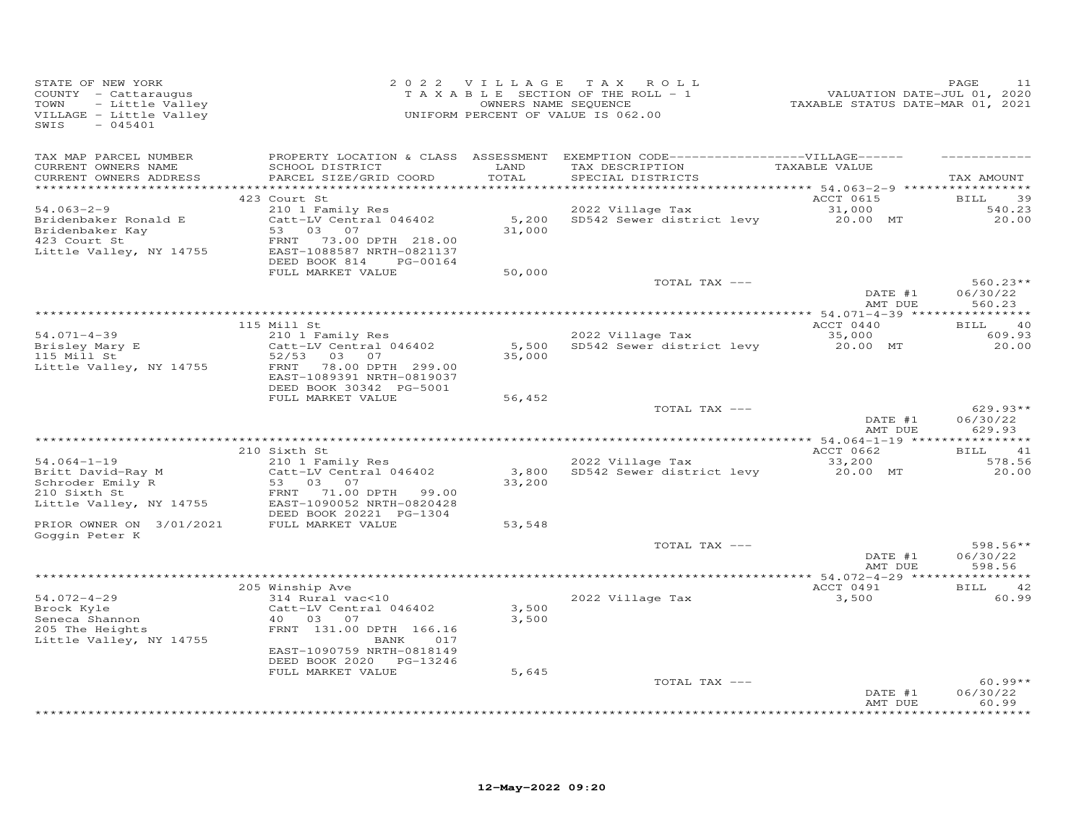| STATE OF NEW YORK<br>COUNTY - Cattaraugus<br>- Little Valley<br>TOWN<br>VILLAGE - Little Valley<br>$-045401$<br>SWIS   |                                                                                                                                                                             |                | 2022 VILLAGE TAX ROLL<br>T A X A B L E SECTION OF THE ROLL - 1<br>OWNERS NAME SEQUENCE<br>UNIFORM PERCENT OF VALUE IS 062.00            | 211 - 1232<br>VALUATION DATE-JUL 01, 2020<br>TAXABLE STATUS DATE-MAR 01, 2021 | PAGE<br>11                           |
|------------------------------------------------------------------------------------------------------------------------|-----------------------------------------------------------------------------------------------------------------------------------------------------------------------------|----------------|-----------------------------------------------------------------------------------------------------------------------------------------|-------------------------------------------------------------------------------|--------------------------------------|
| TAX MAP PARCEL NUMBER<br>CURRENT OWNERS NAME<br>CURRENT OWNERS ADDRESS                                                 | SCHOOL DISTRICT LAND<br>PARCEL SIZE/GRID COORD                                                                                                                              | TOTAL          | PROPERTY LOCATION & CLASS ASSESSMENT EXEMPTION CODE-----------------VILLAGE------<br>TAX DESCRIPTION TAXABLE VALUE<br>SPECIAL DISTRICTS |                                                                               | TAX AMOUNT                           |
| $54.063 - 2 - 9$<br>Bridenbaker Ronald E<br>Bridenbaker Kay<br>100 Court St<br>423 Court St<br>Little Valley, NY 14755 | 423 Court St<br>210 1 Family Res<br>Catt-LV Central 046402<br>53 03 07<br>FRNT<br>73.00 DPTH 218.00<br>EAST-1088587 NRTH-0821137                                            | 31,000         | 2022 Village Tax<br>5,200 SD542 Sewer district levy 20.00 MT                                                                            | ACCT 0615<br>31,000                                                           | <b>BILL</b><br>39<br>540.23<br>20.00 |
|                                                                                                                        | DEED BOOK 814 PG-00164<br>FULL MARKET VALUE                                                                                                                                 | 50,000         | TOTAL TAX ---                                                                                                                           |                                                                               | $560.23**$                           |
|                                                                                                                        |                                                                                                                                                                             |                |                                                                                                                                         | DATE #1<br>AMT DUE                                                            | 06/30/22<br>560.23                   |
|                                                                                                                        | 115 Mill St                                                                                                                                                                 |                |                                                                                                                                         | ACCT 0440                                                                     | BILL 40                              |
| $54.071 - 4 - 39$<br>Brisley Mary E<br>115 Mill St                                                                     | 210 1 Family Res<br>Catt-LV Central 046402<br>52/53 03 07<br>Little Valley, NY 14755 FRNT 78.00 DPTH 299.00<br>EAST-1089391 NRTH-0819037                                    | 35,000         | 2022 Village Tax<br>5,500 SD542 Sewer district levy                                                                                     | 35,000<br>20.00 MT                                                            | 609.93<br>20.00                      |
|                                                                                                                        | DEED BOOK 30342 PG-5001<br>FULL MARKET VALUE                                                                                                                                | 56,452         | TOTAL TAX ---                                                                                                                           | DATE #1<br>AMT DUE                                                            | $629.93**$<br>06/30/22<br>629.93     |
|                                                                                                                        | 210 Sixth St                                                                                                                                                                |                |                                                                                                                                         | ACCT 0662                                                                     | BILL 41                              |
| $54.064 - 1 - 19$<br>Britt David-Ray M<br>Schroder Emily R<br>210 Sixth St<br>Little Valley, NY 14755                  | 210 1 Family Res<br>Catt-LV Central 046402<br>Catt-Ly<br>53 03 07<br>FRNT 71.00 DPTH<br>1090052 NRTH-08<br>99.00<br>EAST-1090052 NRTH-0820428<br>DEED BOOK 20221 PG-1304    | 33,200         | 2022 Village Tax<br>3,800 SD542 Sewer district levy                                                                                     | 33,200<br>20.00 MT                                                            | 578.56<br>20.00                      |
| PRIOR OWNER ON 3/01/2021<br>Goggin Peter K                                                                             | FULL MARKET VALUE                                                                                                                                                           | 53,548         |                                                                                                                                         |                                                                               |                                      |
|                                                                                                                        |                                                                                                                                                                             |                | TOTAL TAX ---                                                                                                                           | DATE #1<br>AMT DUE                                                            | $598.56**$<br>06/30/22<br>598.56     |
|                                                                                                                        |                                                                                                                                                                             |                |                                                                                                                                         |                                                                               |                                      |
| $54.072 - 4 - 29$<br>54.072-4-29<br>Brock Kyle<br>Seneca Shannon<br>205 The Heights<br>Little Valley, NY 14755         | 205 Winship Ave<br>314 Rural vac<10<br>Catt-LV Central 046402<br>40 03 07<br>FRNT 131.00 DPTH 166.16<br>BANK<br>017<br>EAST-1090759 NRTH-0818149<br>DEED BOOK 2020 PG-13246 | 3,500<br>3,500 | 2022 Village Tax                                                                                                                        | ACCT 0491<br>3,500                                                            | BILL 42<br>60.99                     |
|                                                                                                                        | FULL MARKET VALUE                                                                                                                                                           | 5,645          | TOTAL TAX ---                                                                                                                           | DATE #1<br>AMT DUE                                                            | $60.99**$<br>06/30/22<br>60.99       |
|                                                                                                                        |                                                                                                                                                                             |                |                                                                                                                                         |                                                                               | ********                             |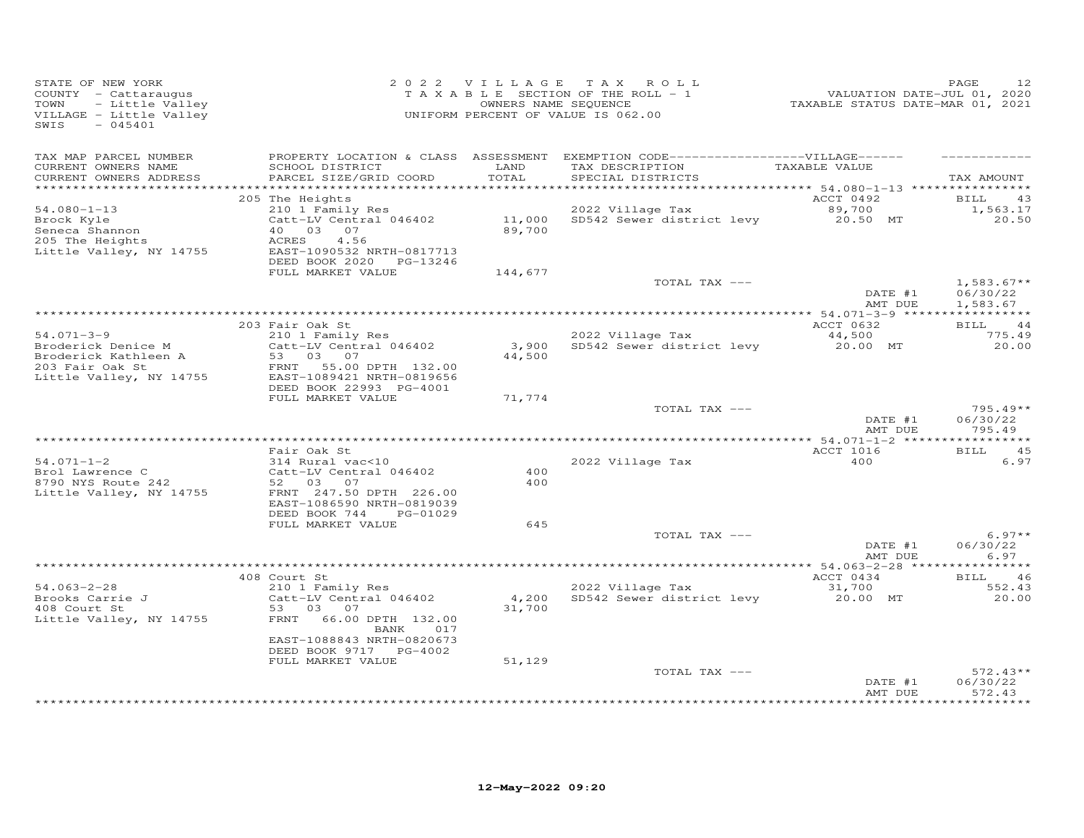| STATE OF NEW YORK<br>COUNTY - Cattaraugus<br>TOWN<br>- Little Valley<br>VILLAGE - Little Valley<br>$-045401$<br>SWIS |                                                                                   |                 | 2022 VILLAGE TAX ROLL<br>TAXABLE SECTION OF THE ROLL - 1<br>OWNERS NAME SEQUENCE<br>UNIFORM PERCENT OF VALUE IS 062.00    | 212<br>2020 / FAXABLE STATUS DATE-JUL<br>2021 TAXABLE STATUS DATE-MAR | PAGE<br>12                       |
|----------------------------------------------------------------------------------------------------------------------|-----------------------------------------------------------------------------------|-----------------|---------------------------------------------------------------------------------------------------------------------------|-----------------------------------------------------------------------|----------------------------------|
| TAX MAP PARCEL NUMBER<br>CURRENT OWNERS NAME<br>CURRENT OWNERS ADDRESS                                               | SCHOOL DISTRICT<br>PARCEL SIZE/GRID COORD                                         | LAND<br>TOTAL   | PROPERTY LOCATION & CLASS ASSESSMENT EXEMPTION CODE-----------------VILLAGE------<br>TAX DESCRIPTION<br>SPECIAL DISTRICTS | TAXABLE VALUE                                                         | TAX AMOUNT                       |
| $54.080 - 1 - 13$<br>Brock Kyle                                                                                      | 205 The Heights<br>210 1 Family Res<br>Catt-LV Central 046402                     |                 | 2022 Village Tax<br>11,000 SD542 Sewer district levy 20.50 MT<br>89,700                                                   | ACCT 0492<br>89,700                                                   | 43<br>BILL<br>1,563.17<br>20.50  |
| Seneca Shannon<br>205 The Heights<br>Little Valley, NY 14755                                                         | 40 03 07<br>4.56<br>ACRES<br>EAST-1090532 NRTH-0817713<br>DEED BOOK 2020 PG-13246 |                 |                                                                                                                           |                                                                       |                                  |
|                                                                                                                      | FULL MARKET VALUE                                                                 | 144,677         | TOTAL TAX ---                                                                                                             | DATE #1                                                               | $1,583.67**$<br>06/30/22         |
|                                                                                                                      |                                                                                   |                 |                                                                                                                           | AMT DUE                                                               | 1,583.67                         |
|                                                                                                                      | 203 Fair Oak St<br>$210$ 1 Family Res                                             |                 |                                                                                                                           | ACCT 0632                                                             | <b>BILL</b><br>-44               |
| $54.071 - 3 - 9$<br>Broderick Denice M<br>Broderick Kathleen A<br>203 Fair Oak St                                    | Catt-LV Central 046402<br>53 03 07<br>FRNT 55.00 DPTH 132.00                      | 3,900<br>44,500 | 2022 Village Tax<br>SD542 Sewer district levy                                                                             | 44,500<br>20.00 MT                                                    | 775.49<br>20.00                  |
| Little Valley, NY 14755                                                                                              | EAST-1089421 NRTH-0819656<br>DEED BOOK 22993 PG-4001<br>FULL MARKET VALUE         | 71,774          |                                                                                                                           |                                                                       |                                  |
|                                                                                                                      |                                                                                   |                 | TOTAL TAX ---                                                                                                             | DATE #1<br>AMT DUE                                                    | $795.49**$<br>06/30/22<br>795.49 |
|                                                                                                                      | Fair Oak St                                                                       |                 |                                                                                                                           | ACCT 1016                                                             | 45<br>BILL                       |
| $54.071 - 1 - 2$<br>Brol Lawrence C<br>8790 NYS Route 242                                                            | 314 Rural vac<10<br>Catt-LV Central 046402<br>52 03 07                            | 400<br>400      | 2022 Village Tax                                                                                                          | 400                                                                   | 6.97                             |
| Little Valley, NY 14755                                                                                              | FRNT 247.50 DPTH 226.00<br>EAST-1086590 NRTH-0819039<br>DEED BOOK 744<br>PG-01029 |                 |                                                                                                                           |                                                                       |                                  |
|                                                                                                                      | FULL MARKET VALUE                                                                 | 645             |                                                                                                                           |                                                                       |                                  |
|                                                                                                                      |                                                                                   |                 | TOTAL TAX ---                                                                                                             | DATE #1<br>AMT DUE                                                    | $6.97**$<br>06/30/22<br>6.97     |
|                                                                                                                      | 408 Court St                                                                      |                 |                                                                                                                           | ACCT 0434                                                             | BILL 46                          |
| $54.063 - 2 - 28$                                                                                                    | 210 1 Family Res                                                                  |                 | 2022 Village Tax                                                                                                          | 31,700                                                                | 552.43                           |
| $54.003$ $\mu$ $\mu$ .<br>Brooks Carrie J<br>408 Court St<br>Little Valley, NY 14755                                 | Catt-LV Central 046402<br>53 03 07<br>66.00 DPTH 132.00<br>FRNT<br>BANK 017       | 4,200<br>31,700 | SD542 Sewer district levy                                                                                                 | 20.00 MT                                                              | 20.00                            |
|                                                                                                                      | EAST-1088843 NRTH-0820673<br>DEED BOOK 9717 PG-4002<br>FULL MARKET VALUE          | 51,129          |                                                                                                                           |                                                                       |                                  |
|                                                                                                                      |                                                                                   |                 | TOTAL TAX ---                                                                                                             | DATE #1<br>AMT DUE                                                    | $572.43**$<br>06/30/22<br>572.43 |
|                                                                                                                      |                                                                                   |                 |                                                                                                                           |                                                                       | ******                           |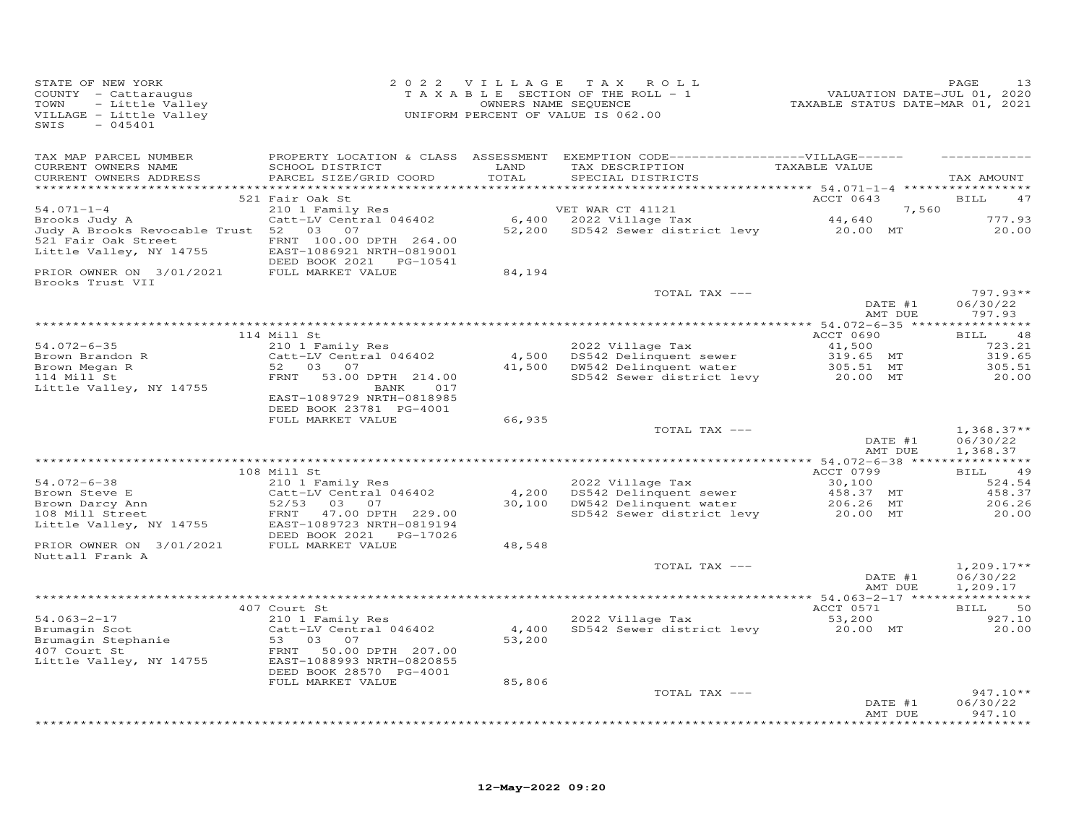| STATE OF NEW YORK<br>COUNTY - Cattaraugus<br>- Little Valley<br>TOWN<br>VILLAGE - Little Valley<br>$-045401$<br>SWIS |                                                                                             | 2022 VILLAGE                  | TAX ROLL<br>T A X A B L E SECTION OF THE ROLL - 1<br>OWNERS NAME SEQUENCE<br>UNIFORM PERCENT OF VALUE IS 062.00           | VALUATION DATE-JUL 01, 2020<br>TAXABLE STATUS DATE-MAR 01, 2021            | PAGE<br>13                           |
|----------------------------------------------------------------------------------------------------------------------|---------------------------------------------------------------------------------------------|-------------------------------|---------------------------------------------------------------------------------------------------------------------------|----------------------------------------------------------------------------|--------------------------------------|
| TAX MAP PARCEL NUMBER<br>CURRENT OWNERS NAME<br>CURRENT OWNERS ADDRESS                                               | SCHOOL DISTRICT<br>PARCEL SIZE/GRID COORD                                                   | LAND<br>TOTAL<br>************ | PROPERTY LOCATION & CLASS ASSESSMENT EXEMPTION CODE-----------------VILLAGE------<br>TAX DESCRIPTION<br>SPECIAL DISTRICTS | TAXABLE VALUE<br>**************************** 54.071-1-4 ***************** | TAX AMOUNT                           |
|                                                                                                                      | 521 Fair Oak St                                                                             |                               |                                                                                                                           | ACCT 0643                                                                  | BILL<br>47                           |
| $54.071 - 1 - 4$<br>Brooks Judy A                                                                                    | 210 1 Family Res<br>Catt-LV Central 046402                                                  |                               | VET WAR CT 41121<br>6,400 2022 Village Tax                                                                                | 7,560<br>44,640                                                            | 777.93                               |
| Judy A Brooks Revocable Trust 52<br>521 Fair Oak Street<br>Little Valley, NY 14755                                   | 03 07<br>FRNT 100.00 DPTH 264.00<br>EAST-1086921 NRTH-0819001<br>DEED BOOK 2021    PG-10541 |                               | 52,200 SD542 Sewer district levy 20.00 MT                                                                                 |                                                                            | 20.00                                |
| PRIOR OWNER ON 3/01/2021<br>Brooks Trust VII                                                                         | FULL MARKET VALUE                                                                           | 84,194                        |                                                                                                                           |                                                                            |                                      |
|                                                                                                                      |                                                                                             |                               | TOTAL TAX ---                                                                                                             |                                                                            | $797.93**$                           |
|                                                                                                                      |                                                                                             |                               |                                                                                                                           | DATE #1<br>AMT DUE                                                         | 06/30/22<br>797.93                   |
|                                                                                                                      |                                                                                             |                               |                                                                                                                           |                                                                            |                                      |
|                                                                                                                      | 114 Mill St                                                                                 |                               |                                                                                                                           | ACCT 0690                                                                  | BILL<br>48                           |
| $54.072 - 6 - 35$<br>Brown Brandon R                                                                                 | 210 1 Family Res<br>Catt-LV Central 046402                                                  |                               | 2022 Village Tax<br>4,500 DS542 Delinquent sewer                                                                          | 41,500<br>319.65 MT                                                        | 723.21<br>319.65                     |
| Brown Megan R                                                                                                        | 52 03<br>07                                                                                 |                               | 41,500 DW542 Delinquent water                                                                                             | 305.51 MT                                                                  | 305.51                               |
| 114 Mill St                                                                                                          | 53.00 DPTH 214.00<br>FRNT                                                                   |                               | SD542 Sewer district levy                                                                                                 | 20.00 MT                                                                   | 20.00                                |
| Little Valley, NY 14755                                                                                              | 017<br>BANK<br>EAST-1089729 NRTH-0818985<br>DEED BOOK 23781 PG-4001                         |                               |                                                                                                                           |                                                                            |                                      |
|                                                                                                                      | FULL MARKET VALUE                                                                           | 66,935                        |                                                                                                                           |                                                                            |                                      |
|                                                                                                                      |                                                                                             |                               | TOTAL TAX ---                                                                                                             | DATE #1<br>AMT DUE                                                         | $1,368.37**$<br>06/30/22<br>1,368.37 |
|                                                                                                                      |                                                                                             |                               |                                                                                                                           |                                                                            |                                      |
| $54.072 - 6 - 38$                                                                                                    | 108 Mill St<br>210 1 Family Res                                                             |                               | 2022 Village Tax                                                                                                          | ACCT 0799<br>30,100                                                        | BILL 49<br>524.54                    |
| Brown Steve E                                                                                                        | Catt-LV Central 046402                                                                      | 4,200                         | DS542 Delinquent sewer                                                                                                    | 458.37 MT                                                                  | 458.37                               |
| Brown Darcy Ann                                                                                                      | 52/53<br>03 07                                                                              | 30,100                        | DW542 Delinquent water                                                                                                    | 206.26 MT                                                                  | 206.26                               |
| 108 Mill Street<br>Little Valley, NY 14755                                                                           | 47.00 DPTH 229.00<br>FRNT<br>EAST-1089723 NRTH-0819194<br>DEED BOOK 2021    PG-17026        |                               | SD542 Sewer district levy                                                                                                 | 20.00 MT                                                                   | 20.00                                |
| PRIOR OWNER ON 3/01/2021<br>Nuttall Frank A                                                                          | FULL MARKET VALUE                                                                           | 48,548                        |                                                                                                                           |                                                                            |                                      |
|                                                                                                                      |                                                                                             |                               | TOTAL TAX ---                                                                                                             | DATE #1<br>AMT DUE                                                         | $1,209.17**$<br>06/30/22<br>1,209.17 |
|                                                                                                                      |                                                                                             |                               |                                                                                                                           |                                                                            |                                      |
| $54.063 - 2 - 17$                                                                                                    | 407 Court St<br>210 1 Family Res                                                            |                               | 2022 Village Tax                                                                                                          | ACCT 0571<br>53,200                                                        | 50<br>BILL<br>927.10                 |
| Brumagin Scot                                                                                                        | Catt-LV Central 046402                                                                      | 4,400                         | SD542 Sewer district levy                                                                                                 | 20.00 MT                                                                   | 20.00                                |
| Brumagin Stephanie<br>407 Court St                                                                                   | 53<br>03<br>07                                                                              | 53,200                        |                                                                                                                           |                                                                            |                                      |
| 407 Court St<br>Little Valley, NY 14755                                                                              | 50.00 DPTH 207.00<br>FRNT<br>EAST-1088993 NRTH-0820855<br>DEED BOOK 28570 PG-4001           |                               |                                                                                                                           |                                                                            |                                      |
|                                                                                                                      | FULL MARKET VALUE                                                                           | 85,806                        |                                                                                                                           |                                                                            |                                      |
|                                                                                                                      |                                                                                             |                               | TOTAL TAX ---                                                                                                             | DATE #1<br>AMT DUE                                                         | $947.10**$<br>06/30/22               |
|                                                                                                                      |                                                                                             |                               |                                                                                                                           |                                                                            | 947.10<br>* * * * * * * *            |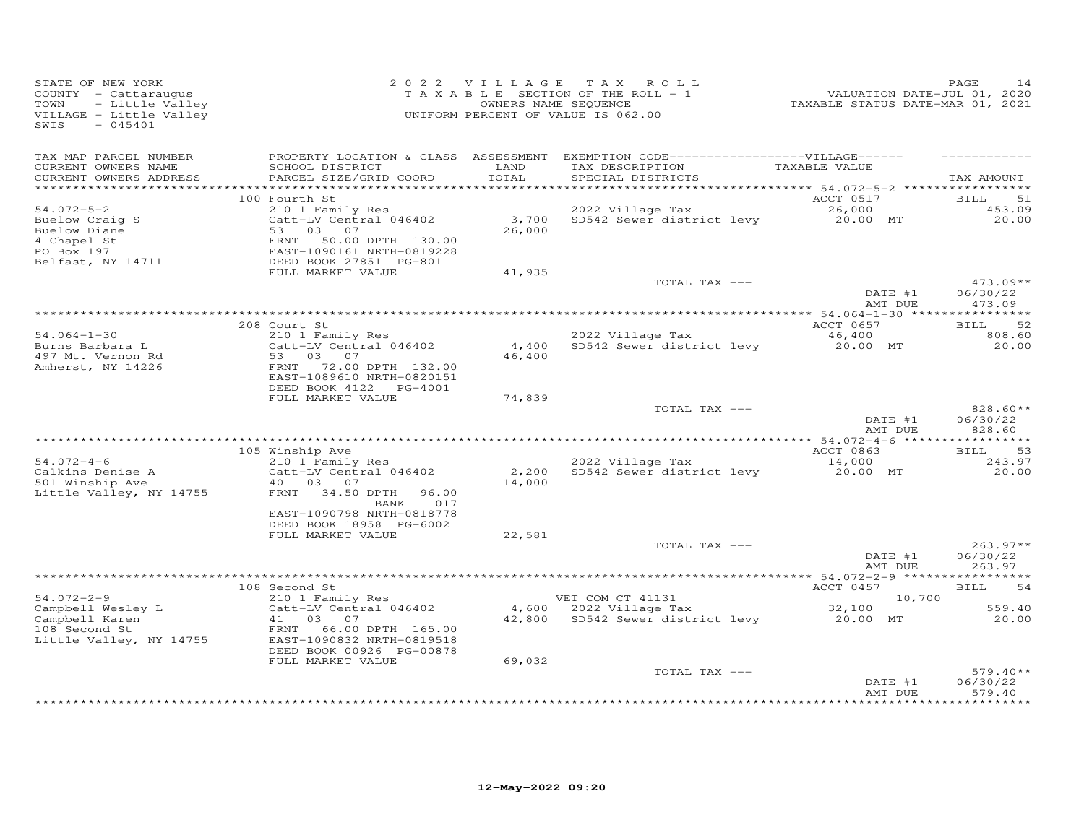| STATE OF NEW YORK<br>COUNTY - Cattaraugus<br>TOWN<br>- Little Valley<br>VILLAGE - Little Valley<br>$-045401$<br>SWIS |                                                                                                                                                                                        |                           | 2022 VILLAGE TAX ROLL<br>T A X A B L E SECTION OF THE ROLL - 1<br>OWNERS NAME SEQUENCE<br>UNIFORM PERCENT OF VALUE IS 062.00 | VALUATION DATE-JUL 01, 2020<br>TAXABLE STATUS DATE-MAR 01, 2021 | PAGE<br>14                           |
|----------------------------------------------------------------------------------------------------------------------|----------------------------------------------------------------------------------------------------------------------------------------------------------------------------------------|---------------------------|------------------------------------------------------------------------------------------------------------------------------|-----------------------------------------------------------------|--------------------------------------|
| TAX MAP PARCEL NUMBER<br>CURRENT OWNERS NAME<br>CURRENT OWNERS ADDRESS                                               | SCHOOL DISTRICT<br>PARCEL SIZE/GRID COORD                                                                                                                                              | LAND<br>TOTAL             | PROPERTY LOCATION & CLASS ASSESSMENT EXEMPTION CODE------------------VILLAGE------<br>TAX DESCRIPTION<br>SPECIAL DISTRICTS   | TAXABLE VALUE                                                   | TAX AMOUNT                           |
| $54.072 - 5 - 2$<br>Buelow Craig S<br>Buelow Diane<br>4 Chapel St<br>PO Box 197<br>Belfast, NY 14711                 | 100 Fourth St<br>210 1 Family Res<br>Catt-LV Central 046402<br>03<br>07<br>53<br>FRNT<br>50.00 DPTH 130.00<br>EAST-1090161 NRTH-0819228<br>DEED BOOK 27851 PG-801<br>FULL MARKET VALUE | 3,700<br>26,000<br>41,935 | 2022 Village Tax<br>SD542 Sewer district levy 20.00 MT                                                                       | ACCT 0517<br>26,000                                             | BILL<br>51<br>453.09<br>20,00        |
|                                                                                                                      |                                                                                                                                                                                        |                           | TOTAL TAX ---                                                                                                                | DATE #1<br>AMT DUE                                              | $473.09**$<br>06/30/22<br>473.09     |
|                                                                                                                      |                                                                                                                                                                                        |                           |                                                                                                                              |                                                                 |                                      |
| $54.064 - 1 - 30$<br>Burns Barbara L<br>497 Mt. Vernon Rd<br>Amherst, NY 14226                                       | 208 Court St<br>210 1 Family Res<br>Catt-LV Central 046402<br>53 03 07<br>FRNT 72.00 DPTH 132.00<br>EAST-1089610 NRTH-0820151                                                          | 4,400<br>46,400           | 2022 Village Tax<br>SD542 Sewer district levy                                                                                | ACCT 0657<br>46,400<br>20.00 MT                                 | 52<br>BILL<br>808.60<br>20.00        |
|                                                                                                                      | DEED BOOK 4122<br>PG-4001<br>FULL MARKET VALUE                                                                                                                                         | 74,839                    | TOTAL TAX ---                                                                                                                | DATE #1<br>AMT DUE                                              | 828.60**<br>06/30/22<br>828.60       |
|                                                                                                                      |                                                                                                                                                                                        |                           |                                                                                                                              |                                                                 |                                      |
| $54.072 - 4 - 6$<br>Calkins Denise A<br>501 Winship Ave<br>Little Valley, NY 14755                                   | 105 Winship Ave<br>210 1 Family Res<br>Catt-LV Central 046402<br>40  03  07<br>FRNT<br>34.50 DPTH<br>96.00<br>017<br>BANK<br>EAST-1090798 NRTH-0818778<br>DEED BOOK 18958 PG-6002      | 2,200<br>14,000           | 2022 Village Tax<br>SD542 Sewer district levy                                                                                | ACCT 0863<br>14,000<br>20.00 MT                                 | <b>BILL</b><br>53<br>243.97<br>20.00 |
|                                                                                                                      | FULL MARKET VALUE                                                                                                                                                                      | 22,581                    |                                                                                                                              |                                                                 |                                      |
|                                                                                                                      |                                                                                                                                                                                        |                           | TOTAL TAX ---                                                                                                                | DATE #1<br>AMT DUE                                              | $263.97**$<br>06/30/22<br>263.97     |
|                                                                                                                      |                                                                                                                                                                                        |                           |                                                                                                                              |                                                                 |                                      |
| $54.072 - 2 - 9$                                                                                                     | 108 Second St<br>210 1 Family Res                                                                                                                                                      |                           | VET COM CT 41131                                                                                                             | ACCT 0457<br>10,700                                             | <b>BILL</b><br>54                    |
| Campbell Wesley L<br>Campbell Karen<br>108 Second St<br>Little Valley, NY 14755                                      | Catt-LV Central 046402<br>41<br>03 07<br>FRNT<br>66.00 DPTH 165.00<br>EAST-1090832 NRTH-0819518<br>DEED BOOK 00926 PG-00878                                                            | 4,600<br>42,800           | 2022 Village Tax<br>SD542 Sewer district levy                                                                                | 32,100<br>20.00 MT                                              | 559.40<br>20.00                      |
|                                                                                                                      | FULL MARKET VALUE                                                                                                                                                                      | 69,032                    | TOTAL TAX ---                                                                                                                | DATE #1<br>AMT DUE                                              | $579.40**$<br>06/30/22<br>579.40     |
|                                                                                                                      |                                                                                                                                                                                        |                           |                                                                                                                              |                                                                 | *********                            |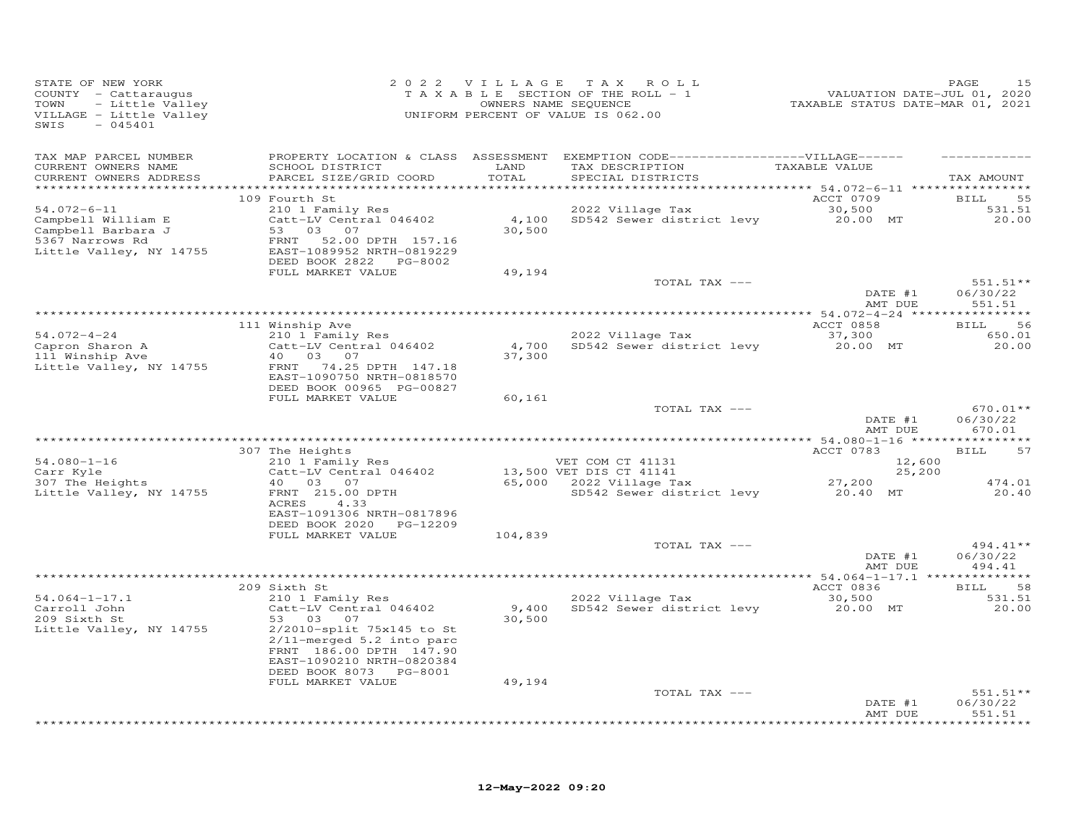| STATE OF NEW YORK<br>COUNTY - Cattaraugus<br>- Little Valley<br>TOWN<br>VILLAGE - Little Valley<br>SWIS<br>$-045401$ |                                                                                                                                                                     | 2022 VILLAGE    | TAX ROLL<br>TAXABLE SECTION OF THE ROLL - 1<br>OWNERS NAME SEQUENCE<br>UNIFORM PERCENT OF VALUE IS 062.00                 | 1.001<br>7202 VALUATION DATE-JUL 01, 2020<br>72021 TAXABLE STATUS DATE-MAR | PAGE<br>15                           |
|----------------------------------------------------------------------------------------------------------------------|---------------------------------------------------------------------------------------------------------------------------------------------------------------------|-----------------|---------------------------------------------------------------------------------------------------------------------------|----------------------------------------------------------------------------|--------------------------------------|
| TAX MAP PARCEL NUMBER<br>CURRENT OWNERS NAME<br>CURRENT OWNERS ADDRESS<br>**********************                     | SCHOOL DISTRICT<br>PARCEL SIZE/GRID COORD                                                                                                                           | LAND<br>TOTAL   | PROPERTY LOCATION & CLASS ASSESSMENT EXEMPTION CODE-----------------VILLAGE------<br>TAX DESCRIPTION<br>SPECIAL DISTRICTS | TAXABLE VALUE                                                              | TAX AMOUNT                           |
| $54.072 - 6 - 11$<br>Campbell William E<br>Campbell Barbara J<br>5367 Narrows Rd<br>Little Valley, NY 14755          | 109 Fourth St<br>210 1 Family Res<br>Catt-LV Central 046402<br>53 03 07<br>52.00 DPTH 157.16<br>FRNT<br>EAST-1089952 NRTH-0819229<br>DEED BOOK 2822<br>PG-8002      | 4,100<br>30,500 | 2022 Village Tax<br>SD542 Sewer district levy                                                                             | ACCT 0709<br>30,500<br>20.00 MT                                            | 55<br><b>BILL</b><br>531.51<br>20.00 |
|                                                                                                                      | FULL MARKET VALUE                                                                                                                                                   | 49,194          | TOTAL TAX ---                                                                                                             | DATE #1<br>AMT DUE                                                         | $551.51**$<br>06/30/22<br>551.51     |
| $54.072 - 4 - 24$<br>Capron Sharon A<br>111 Winship Ave<br>Little Valley, NY 14755                                   | 111 Winship Ave<br>210 1 Family Res<br>Catt-LV Central 046402<br>40  03  07<br>74.25 DPTH 147.18<br>FRNT<br>EAST-1090750 NRTH-0818570                               | 4,700<br>37,300 |                                                                                                                           | ACCT 0858                                                                  | 56<br>BILL<br>650.01<br>20.00        |
|                                                                                                                      | DEED BOOK 00965 PG-00827<br>FULL MARKET VALUE                                                                                                                       | 60,161          | TOTAL TAX ---                                                                                                             | DATE #1                                                                    | $670.01**$<br>06/30/22               |
| $54.080 - 1 - 16$                                                                                                    | * * * * * * * * * * * * * * * * *<br>307 The Heights<br>210 1 Family Res                                                                                            |                 | VET COM CT 41131                                                                                                          | AMT DUE<br>ACCT 0783<br>12,600                                             | 670.01<br>57<br><b>BILL</b>          |
| Carr Kyle<br>307 The Heights<br>Little Valley, NY 14755                                                              | Catt-LV Central 046402<br>40  03  07<br>FRNT 215.00 DPTH<br>4.33<br>ACRES<br>EAST-1091306 NRTH-0817896<br>DEED BOOK 2020 PG-12209                                   |                 | 13,500 VET DIS CT 41141<br>65,000    2022 Village Tax<br>SD542 Sewer district levy 20.40 MT                               | 25,200<br>27,200                                                           | 474.01<br>20.40                      |
|                                                                                                                      | FULL MARKET VALUE                                                                                                                                                   | 104,839         | TOTAL TAX ---                                                                                                             | DATE #1                                                                    | 494.41**<br>06/30/22                 |
|                                                                                                                      |                                                                                                                                                                     |                 |                                                                                                                           | AMT DUE                                                                    | 494.41                               |
| $54.064 - 1 - 17.1$<br>Carroll John<br>209 Sixth St<br>Little Valley, NY 14755                                       | 209 Sixth St<br>210 1 Family Res<br>Catt-LV Central 046402<br>53 03<br>07<br>2/2010-split 75x145 to St<br>$2/11$ -merged $5.2$ into parc<br>FRNT 186.00 DPTH 147.90 | 9,400<br>30,500 | 2022 Village Tax<br>SD542 Sewer district levy                                                                             | ACCT 0836<br>30,500<br>20.00 MT                                            | 58<br>BILL<br>531.51<br>20.00        |
|                                                                                                                      | EAST-1090210 NRTH-0820384<br>DEED BOOK 8073 PG-8001<br>FULL MARKET VALUE                                                                                            | 49,194          | TOTAL TAX ---                                                                                                             | DATE #1<br>AMT DUE                                                         | $551.51**$<br>06/30/22<br>551.51     |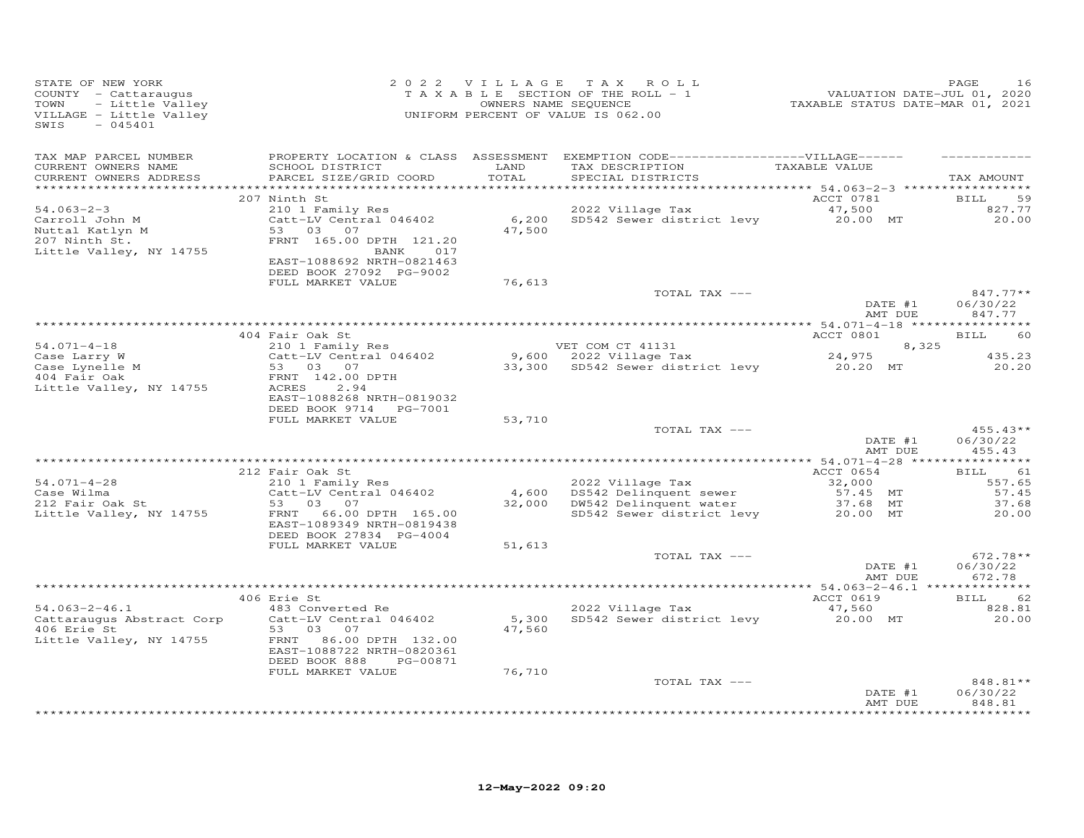| STATE OF NEW YORK<br>COUNTY - Cattaraugus<br>TOWN<br>- Little Valley<br>VILLAGE - Little Valley<br>$-045401$<br>SWIS | 2 0 2 2 V I L L A G E T A X R O L<br>T A X A B L E SECTION OF THE ROLL - 1<br>OWNERS NAME SEQUENCE<br>UNIFORM PERCENT OF VALUE IS 062.00 |        | 2022 VILLAGE TAX ROLL<br>TAXABLE SECTION OF THE ROLL - 1<br>OWNERS NAME SEQUENCE                                                                                                                                                      | r HAGE<br>701, 2020<br>TAXABLE STATUS DATE-MAR 01, 2021 | PAGE<br>16                           |
|----------------------------------------------------------------------------------------------------------------------|------------------------------------------------------------------------------------------------------------------------------------------|--------|---------------------------------------------------------------------------------------------------------------------------------------------------------------------------------------------------------------------------------------|---------------------------------------------------------|--------------------------------------|
| TAX MAP PARCEL NUMBER<br>CURRENT OWNERS NAME<br>CURRENT OWNERS ADDRESS                                               | SCHOOL DISTRICT LAND<br>PARCEL SIZE/GRID COORD                                                                                           | TOTAL  | PROPERTY LOCATION & CLASS ASSESSMENT EXEMPTION CODE-----------------VILLAGE------<br>TAX DESCRIPTION TAXABLE VALUE<br>SPECIAL DISTRICTS                                                                                               |                                                         | TAX AMOUNT                           |
| $54.063 - 2 - 3$<br>Carroll John M                                                                                   | 207 Ninth St<br>210 1 Family Res<br>Catt-LV Central 046402                                                                               |        | 2022 Village Tax<br>2022 Village Tax 47,500<br>6,200 SD542 Sewer district levy 20.00 MT                                                                                                                                               | ACCT 0781                                               | <b>BILL</b><br>59<br>827.77<br>20.00 |
| Nuttal Katlyn M<br>207 Ninth St.<br>Little Valley, NY 14755                                                          | 53 03 07<br>FRNT 165.00 DPTH 121.20<br>BANK 017<br>EAST-1088692 NRTH-0821463<br>DEED BOOK 27092 PG-9002                                  | 47,500 |                                                                                                                                                                                                                                       |                                                         |                                      |
|                                                                                                                      | FULL MARKET VALUE                                                                                                                        | 76,613 |                                                                                                                                                                                                                                       |                                                         |                                      |
|                                                                                                                      |                                                                                                                                          |        | TOTAL TAX ---                                                                                                                                                                                                                         | DATE #1<br>AAT DUE                                      | $847.77**$<br>06/30/22<br>847.77     |
|                                                                                                                      |                                                                                                                                          |        |                                                                                                                                                                                                                                       |                                                         |                                      |
| $54.071 - 4 - 18$                                                                                                    | 404 Fair Oak St                                                                                                                          |        |                                                                                                                                                                                                                                       | ACCT 0801<br>8,325                                      | <b>BILL</b><br>60                    |
|                                                                                                                      |                                                                                                                                          |        |                                                                                                                                                                                                                                       |                                                         | 435.23                               |
| Case Larry W<br>Case Lynelle M<br>404 Fair Oak<br>404 Fair Oak<br>Little Valley, NY 14755                            | 210 1 Family Res<br>210 1 Family Res<br>Catt-LV Central 046402<br>53 03.07<br>FRNT 142.00 DPTH<br>ACRES<br>2.94                          |        | VET COM CT 41131 8,325<br>9,600 2022 Village Tax 24,975<br>33,300 SD542 Sewer district levy 20.20 MT                                                                                                                                  |                                                         | 20.20                                |
|                                                                                                                      | EAST-1088268 NRTH-0819032<br>DEED BOOK 9714    PG-7001<br>FULL MARKET VALUE                                                              | 53,710 |                                                                                                                                                                                                                                       |                                                         |                                      |
|                                                                                                                      |                                                                                                                                          |        | TOTAL TAX ---                                                                                                                                                                                                                         | DATE #1<br>AMT DUE                                      | $455.43**$<br>06/30/22<br>455.43     |
|                                                                                                                      |                                                                                                                                          |        |                                                                                                                                                                                                                                       |                                                         |                                      |
| $54.071 - 4 - 28$                                                                                                    | 212 Fair Oak St<br>210 1 Family Res                                                                                                      |        |                                                                                                                                                                                                                                       | ACCT 0654                                               | BILL 61<br>557.65                    |
|                                                                                                                      |                                                                                                                                          |        |                                                                                                                                                                                                                                       |                                                         | 57.45                                |
| Case Wilma<br>212 Fair Oak St<br>Little Valley, NY 14755                                                             | $Catt-u v = 53$ 03 07<br>53 03 07<br>EAST-1089349 NRTH-0819438<br>DEED BOOK 27834 PG-4004                                                |        | 210 1 Family Res<br>Catt-LV Central 046402<br>53 03 07 32,000<br>FRNT 66.00 DFTH 165.00 32,000 DW542 Delinquent water 37.68 MT<br>FRNT 66.00 DPTH 165.00 32,000 DW542 Delinquent water 37.68 MT<br>FRNT 66.00 DPTH 165.00 SD542 Sewer |                                                         | 37.68<br>20.00                       |
|                                                                                                                      | FULL MARKET VALUE                                                                                                                        | 51,613 |                                                                                                                                                                                                                                       |                                                         |                                      |
|                                                                                                                      |                                                                                                                                          |        | TOTAL TAX ---                                                                                                                                                                                                                         | DATE #1<br>AMT DUE                                      | $672.78**$<br>06/30/22<br>672.78     |
|                                                                                                                      |                                                                                                                                          |        |                                                                                                                                                                                                                                       |                                                         | BILL 62                              |
| $54.063 - 2 - 46.1$                                                                                                  | 406 Erie St<br>483 Converted Re                                                                                                          |        | 2022 Village Tax                                                                                                                                                                                                                      | ACCT 0619                                               | 828.81                               |
| Cattaraugus Abstract Corp<br>406 Erie St                                                                             | 53 03 07                                                                                                                                 | 47,560 | 483 Converted Re 2022 Village Tax 47,560<br>Catt-LV Central 046402 5,300 SD542 Sewer district levy 20.00 MT                                                                                                                           |                                                         | 20.00                                |
| Little Valley, NY 14755                                                                                              | FRNT 86.00 DPTH 132.00<br>EAST-1088722 NRTH-0820361<br>DEED BOOK 888 PG-00871                                                            |        |                                                                                                                                                                                                                                       |                                                         |                                      |
|                                                                                                                      | FULL MARKET VALUE                                                                                                                        | 76,710 |                                                                                                                                                                                                                                       |                                                         |                                      |
|                                                                                                                      |                                                                                                                                          |        | TOTAL TAX ---                                                                                                                                                                                                                         | DATE #1<br>AMT DUE                                      | 848.81**<br>06/30/22<br>848.81       |
|                                                                                                                      |                                                                                                                                          |        |                                                                                                                                                                                                                                       |                                                         |                                      |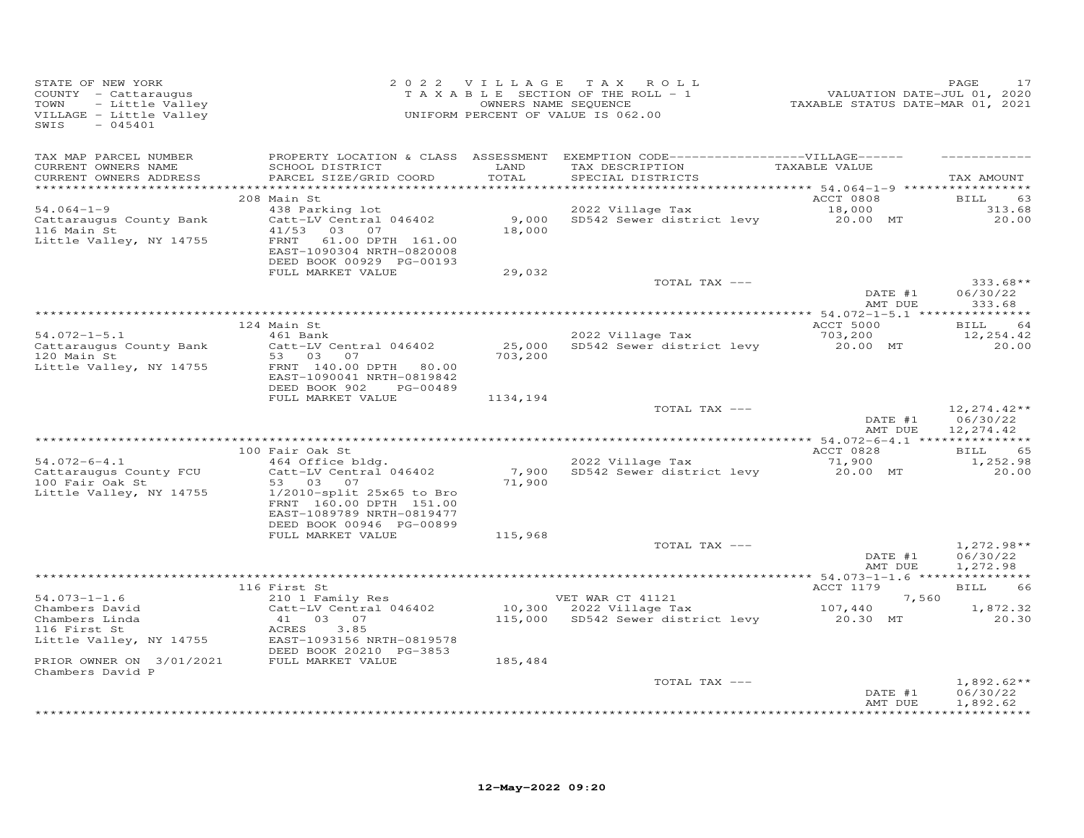| STATE OF NEW YORK<br>COUNTY - Cattaraugus<br>TOWN<br>VILLAGE - Little Valley<br>SWIS<br>$-045401$                                                                                                                                                                                                                         | OF NEW YORK PAGE 17<br>Y - Cattaraugus Cattaraugus CRASS TAXABLE SECTION OF THE ROLL - 1<br>- Little Valley CRASS TAXABLE SECTION OF THE ROLL - 1<br>- Little Valley CRASS ONNERS NAME SEQUENCE<br>- 045401 CRASS ON THE CRASS OF VALU |                  |                                                                                         |                               |                                                |
|---------------------------------------------------------------------------------------------------------------------------------------------------------------------------------------------------------------------------------------------------------------------------------------------------------------------------|----------------------------------------------------------------------------------------------------------------------------------------------------------------------------------------------------------------------------------------|------------------|-----------------------------------------------------------------------------------------|-------------------------------|------------------------------------------------|
| TAX MAP PARCEL NUMBER<br>CURRENT OWNERS NAME<br>CURRENT OWNERS ADDRESS                                                                                                                                                                                                                                                    | PROPERTY LOCATION & CLASS ASSESSMENT EXEMPTION CODE-----------------VILLAGE------<br>SCHOOL DISTRICT LAND<br>PARCEL SIZE/GRID COORD                                                                                                    | TOTAL            | TAX DESCRIPTION TAXABLE VALUE<br>SPECIAL DISTRICTS                                      |                               | TAX AMOUNT                                     |
| $54.064 - 1 - 9$<br>Cattaraugus County Bank<br>116 Main St<br>Little Valley, NY 14755                                                                                                                                                                                                                                     | 208 Main St<br>438 Parking lot<br>Catt-LV Central 046402<br>41/53 03 07<br>FRNT<br>61.00 DPTH 161.00<br>EAST-1090304 NRTH-0820008<br>DEED BOOK 00929 PG-00193<br>FULL MARKET VALUE                                                     | 18,000<br>29,032 | ACCT 0808<br>2022 Village Tax 18,000<br>9,000 SD542 Sewer district levy 20.00 MT        | ACCT 0808 BILL                | 63<br>313.68<br>20.00                          |
|                                                                                                                                                                                                                                                                                                                           |                                                                                                                                                                                                                                        |                  | TOTAL TAX ---                                                                           | DATE #1<br>AMT DUE            | $333.68**$<br>06/30/22<br>333.68               |
| $54.072 - 1 - 5.1$<br>Cattaraugus County Bank<br>120 Main St<br>Little Valley, NY 14755                                                                                                                                                                                                                                   | 124 Main St<br>---- >-<br>Catt-LV Central 046402<br>53 03 07<br>FRNT 140.00 DPTH 80.00<br>EAST-1090041 NRTH-0819842                                                                                                                    | 703,200          | 2022 Village Tax<br>2022 Village Tax 5.200<br>25,000 SD542 Sewer district levy 20.00 MT | ACCT 5000 BILL 64             | 12,254.42<br>20.00                             |
|                                                                                                                                                                                                                                                                                                                           | DEED BOOK 902 PG-00489<br>FULL MARKET VALUE                                                                                                                                                                                            | 1134,194         | TOTAL TAX ---                                                                           | AMT DUE                       | $12,274.42**$<br>DATE #1 06/30/22<br>12,274.42 |
|                                                                                                                                                                                                                                                                                                                           |                                                                                                                                                                                                                                        |                  |                                                                                         |                               |                                                |
| $54.072 - 6 - 4.1$<br>Cattaraugus County FCU<br>100 Fair Oak St<br>Little Valley, NY 14755                                                                                                                                                                                                                                | 100 Fair Oak St<br>% rail oak 5c<br>464 Office bldg.<br>Catt-LV Central 046402<br>53 03 07<br>$1/2010$ -split $25x65$ to Bro<br>FRNT 160.00 DPTH 151.00<br>EAST-1089789 NRTH-0819477                                                   | 71,900           | 2022 Village Tax<br>2022 Village Tax 71,900<br>7,900 SD542 Sewer district levy 20.00 MT | <b>ACCT 0828</b>              | BILL 65<br>1,252.98<br>20.00                   |
|                                                                                                                                                                                                                                                                                                                           | DEED BOOK 00946 PG-00899<br>FULL MARKET VALUE                                                                                                                                                                                          | 115,968          | TOTAL TAX ---                                                                           | DATE #1<br>DATE #1<br>AMT DUE | $1,272.98**$<br>06/30/22<br>1,272.98           |
|                                                                                                                                                                                                                                                                                                                           |                                                                                                                                                                                                                                        |                  |                                                                                         |                               |                                                |
| 116 First St<br>210 1 Family Res<br>Chambers David Catt-LV Central 046402 2022 Village Tax<br>Chambers Linda 41 03 07 116 First St<br>20.30 MT 20.30<br>20.30 MT 20.30<br>20.30 MT 20.30<br>Little Valley, NY 14755<br>EAST-1093156 NRTH-0819578<br>FILE BOOM 20210 BC-3853<br>PRIOR OWNER ON 3/01/2021 FULL MARKET VALUE | DEED BOOK 20210 PG-3853                                                                                                                                                                                                                | 185,484          |                                                                                         | $ACCT$ 1179                   |                                                |
| Chambers David P                                                                                                                                                                                                                                                                                                          |                                                                                                                                                                                                                                        |                  | TOTAL TAX ---                                                                           | DATE #1<br>AMT DUE            | $1,892.62**$<br>06/30/22<br>1,892.62           |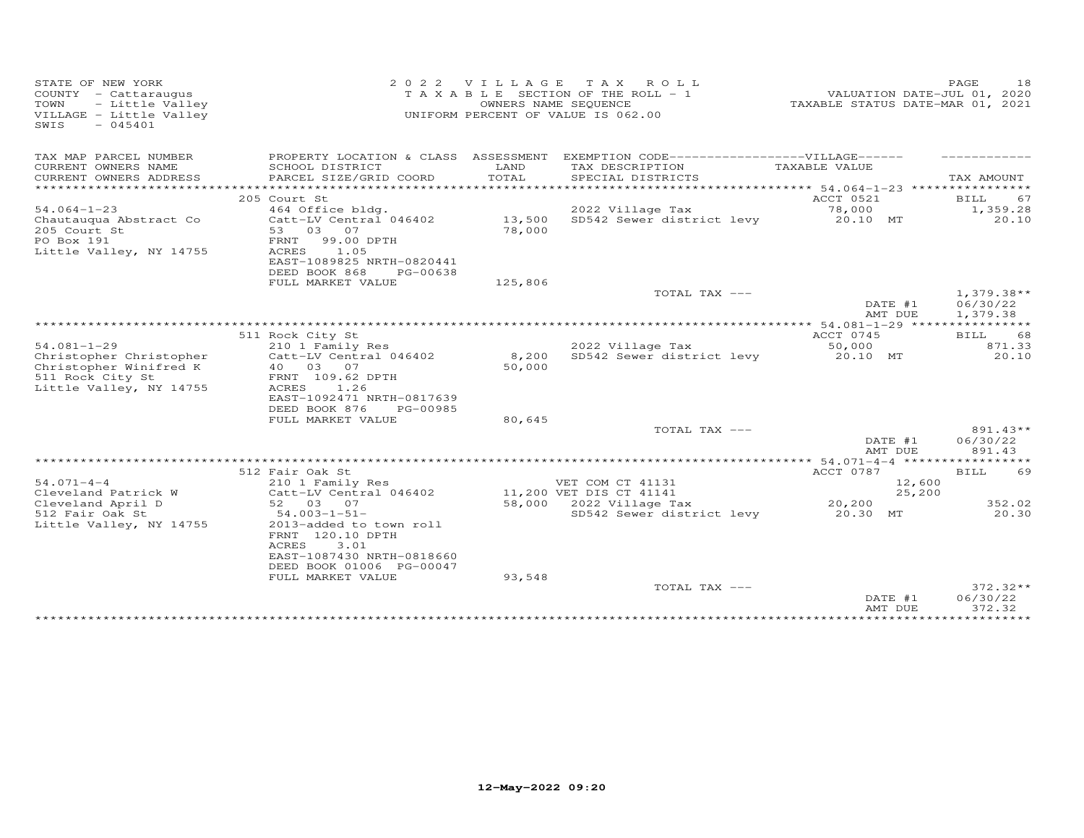| STATE OF NEW YORK<br>COUNTY - Cattaraugus<br>TOWN<br>- Little Valley<br>VILLAGE - Little Valley<br>$-045401$<br>SWIS | 2 0 2 2                                               | VILLAGE          | T A X<br>ROLL<br>TAXABLE SECTION OF THE ROLL - 1<br>OWNERS NAME SEQUENCE<br>UNIFORM PERCENT OF VALUE IS 062.00 | TAXABLE STATUS DATE-MAR 01, 2021 | PAGE<br>18<br>VALUATION DATE-JUL 01, 2020 |
|----------------------------------------------------------------------------------------------------------------------|-------------------------------------------------------|------------------|----------------------------------------------------------------------------------------------------------------|----------------------------------|-------------------------------------------|
| TAX MAP PARCEL NUMBER                                                                                                |                                                       |                  | PROPERTY LOCATION & CLASS ASSESSMENT EXEMPTION CODE-----------------VILLAGE------                              |                                  |                                           |
| CURRENT OWNERS NAME<br>CURRENT OWNERS ADDRESS                                                                        | SCHOOL DISTRICT<br>PARCEL SIZE/GRID COORD             | LAND<br>TOTAL    | TAX DESCRIPTION<br>SPECIAL DISTRICTS                                                                           | TAXABLE VALUE                    | TAX AMOUNT                                |
| **********************                                                                                               |                                                       |                  |                                                                                                                |                                  |                                           |
|                                                                                                                      | 205 Court St                                          |                  |                                                                                                                | ACCT 0521                        | 67<br>BILL                                |
| $54.064 - 1 - 23$                                                                                                    | 464 Office bldg.                                      |                  | 2022 Village Tax                                                                                               | 78,000                           | 1,359.28                                  |
| Chautauqua Abstract Co<br>205 Court St                                                                               | Catt-LV Central 046402<br>53 03<br>07                 | 13,500<br>78,000 | SD542 Sewer district levy                                                                                      | 20.10 MT                         | 20.10                                     |
| PO Box 191                                                                                                           | 99.00 DPTH<br>FRNT                                    |                  |                                                                                                                |                                  |                                           |
| Little Valley, NY 14755                                                                                              | ACRES<br>1.05                                         |                  |                                                                                                                |                                  |                                           |
|                                                                                                                      | EAST-1089825 NRTH-0820441                             |                  |                                                                                                                |                                  |                                           |
|                                                                                                                      | DEED BOOK 868<br>PG-00638                             |                  |                                                                                                                |                                  |                                           |
|                                                                                                                      | FULL MARKET VALUE                                     | 125,806          |                                                                                                                |                                  |                                           |
|                                                                                                                      |                                                       |                  | TOTAL TAX ---                                                                                                  |                                  | $1,379.38**$                              |
|                                                                                                                      |                                                       |                  |                                                                                                                | DATE #1                          | 06/30/22                                  |
|                                                                                                                      |                                                       |                  |                                                                                                                | AMT DUE                          | 1,379.38                                  |
|                                                                                                                      | 511 Rock City St                                      |                  |                                                                                                                | ACCT 0745                        | 68<br>BILL                                |
| $54.081 - 1 - 29$                                                                                                    | 210 1 Family Res                                      |                  | 2022 Village Tax                                                                                               | 50,000                           | 871.33                                    |
| Christopher Christopher                                                                                              | Catt-LV Central 046402                                | 8,200            | SD542 Sewer district levy                                                                                      | 20.10 MT                         | 20.10                                     |
| Christopher Winifred K                                                                                               | 40  03  07                                            | 50,000           |                                                                                                                |                                  |                                           |
| 511 Rock City St                                                                                                     | FRNT 109.62 DPTH                                      |                  |                                                                                                                |                                  |                                           |
| Little Valley, NY 14755                                                                                              | ACRES<br>1.26                                         |                  |                                                                                                                |                                  |                                           |
|                                                                                                                      | EAST-1092471 NRTH-0817639                             |                  |                                                                                                                |                                  |                                           |
|                                                                                                                      | DEED BOOK 876<br>PG-00985                             |                  |                                                                                                                |                                  |                                           |
|                                                                                                                      | FULL MARKET VALUE                                     | 80,645           |                                                                                                                |                                  |                                           |
|                                                                                                                      |                                                       |                  | TOTAL TAX ---                                                                                                  |                                  | 891.43**                                  |
|                                                                                                                      |                                                       |                  |                                                                                                                | DATE #1<br>AMT DUE               | 06/30/22<br>891.43                        |
|                                                                                                                      |                                                       |                  |                                                                                                                |                                  |                                           |
|                                                                                                                      | 512 Fair Oak St                                       |                  |                                                                                                                | ACCT 0787                        | BILL<br>69                                |
| $54.071 - 4 - 4$                                                                                                     | 210 1 Family Res                                      |                  | VET COM CT 41131                                                                                               | 12,600                           |                                           |
| Cleveland Patrick W                                                                                                  | Catt-LV Central 046402                                |                  | 11,200 VET DIS CT 41141                                                                                        | 25,200                           |                                           |
| Cleveland April D                                                                                                    | 52 03 07                                              |                  | 58,000 2022 Village Tax                                                                                        | 20,200                           | 352.02                                    |
| 512 Fair Oak St                                                                                                      | $54.003 - 1 - 51 -$                                   |                  | SD542 Sewer district levy                                                                                      | 20.30 MT                         | 20.30                                     |
| Little Valley, NY 14755                                                                                              | 2013-added to town roll                               |                  |                                                                                                                |                                  |                                           |
|                                                                                                                      | FRNT 120.10 DPTH                                      |                  |                                                                                                                |                                  |                                           |
|                                                                                                                      | 3.01<br>ACRES                                         |                  |                                                                                                                |                                  |                                           |
|                                                                                                                      | EAST-1087430 NRTH-0818660<br>DEED BOOK 01006 PG-00047 |                  |                                                                                                                |                                  |                                           |
|                                                                                                                      | FULL MARKET VALUE                                     | 93,548           |                                                                                                                |                                  |                                           |
|                                                                                                                      |                                                       |                  | TOTAL TAX ---                                                                                                  |                                  | $372.32**$                                |
|                                                                                                                      |                                                       |                  |                                                                                                                | DATE #1                          | 06/30/22                                  |
|                                                                                                                      |                                                       |                  |                                                                                                                | AMT DUE                          | 372.32                                    |
|                                                                                                                      |                                                       |                  |                                                                                                                |                                  |                                           |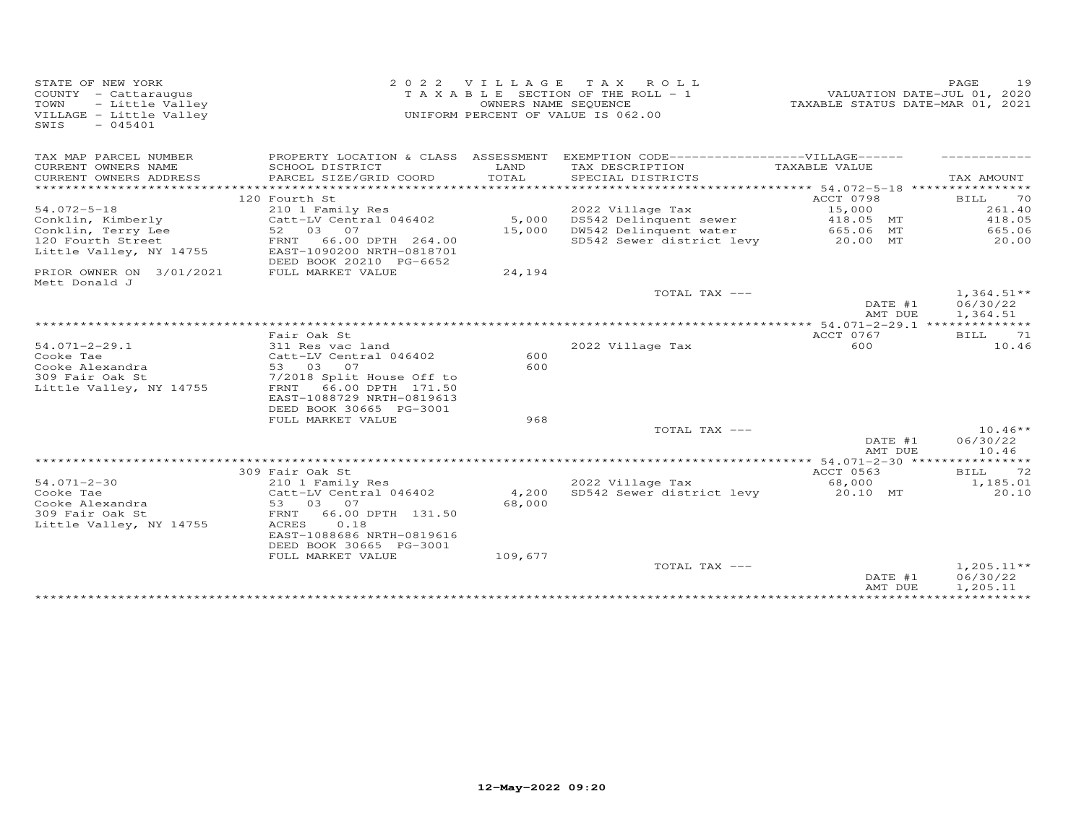| STATE OF NEW YORK<br>COUNTY - Cattaraugus<br>TOWN<br>- Little Valley<br>VILLAGE - Little Valley<br>SWIS<br>$-045401$ |                                                                                   | 2022 VILLAGE | TAX ROLL<br>T A X A B L E SECTION OF THE ROLL - 1<br>OWNERS NAME SEQUENCE<br>UNIFORM PERCENT OF VALUE IS 062.00 | TAXABLE STATUS DATE-MAR 01, 2021 | 19<br>PAGE<br>VALUATION DATE-JUL 01, 2020 |
|----------------------------------------------------------------------------------------------------------------------|-----------------------------------------------------------------------------------|--------------|-----------------------------------------------------------------------------------------------------------------|----------------------------------|-------------------------------------------|
| TAX MAP PARCEL NUMBER                                                                                                |                                                                                   |              | PROPERTY LOCATION & CLASS ASSESSMENT EXEMPTION CODE------------------VILLAGE------                              |                                  |                                           |
| CURRENT OWNERS NAME                                                                                                  | SCHOOL DISTRICT                                                                   | LAND         | TAX DESCRIPTION                                                                                                 | TAXABLE VALUE                    |                                           |
| CURRENT OWNERS ADDRESS                                                                                               | PARCEL SIZE/GRID COORD                                                            | TOTAL        | SPECIAL DISTRICTS                                                                                               |                                  | TAX AMOUNT                                |
|                                                                                                                      | 120 Fourth St                                                                     |              |                                                                                                                 | <b>ACCT 0798</b>                 | 70<br><b>BILL</b>                         |
| $54.072 - 5 - 18$                                                                                                    | 210 1 Family Res                                                                  |              | 2022 Village Tax                                                                                                | 15,000                           | 261.40                                    |
| Conklin, Kimberly                                                                                                    | Catt-LV Central 046402                                                            | 5,000        | DS542 Delinquent sewer                                                                                          | 418.05 MT                        | 418.05                                    |
| Conklin, Terry Lee                                                                                                   | 52 03 07                                                                          | 15,000       | DW542 Delinquent water                                                                                          | 665.06 MT                        | 665.06                                    |
| 120 Fourth Street<br>Little Valley, NY 14755                                                                         | 66.00 DPTH 264.00<br>FRNT<br>EAST-1090200 NRTH-0818701<br>DEED BOOK 20210 PG-6652 |              | SD542 Sewer district levy                                                                                       | 20.00 MT                         | 20.00                                     |
| PRIOR OWNER ON 3/01/2021<br>Mett Donald J                                                                            | FULL MARKET VALUE                                                                 | 24,194       |                                                                                                                 |                                  |                                           |
|                                                                                                                      |                                                                                   |              | TOTAL TAX ---                                                                                                   | DATE #1<br>AMT DUE               | $1,364.51**$<br>06/30/22<br>1,364.51      |
|                                                                                                                      |                                                                                   |              |                                                                                                                 |                                  |                                           |
|                                                                                                                      | Fair Oak St                                                                       |              |                                                                                                                 | ACCT 0767                        | BILL<br>71                                |
| $54.071 - 2 - 29.1$                                                                                                  | 311 Res vac land                                                                  | 600          | 2022 Village Tax                                                                                                | 600                              | 10.46                                     |
| Cooke Tae<br>Cooke Alexandra                                                                                         | Catt-LV Central 046402<br>53 03<br>07                                             | 600          |                                                                                                                 |                                  |                                           |
| 309 Fair Oak St                                                                                                      | 7/2018 Split House Off to                                                         |              |                                                                                                                 |                                  |                                           |
| Little Valley, NY 14755                                                                                              | FRNT<br>66.00 DPTH 171.50<br>EAST-1088729 NRTH-0819613<br>DEED BOOK 30665 PG-3001 |              |                                                                                                                 |                                  |                                           |
|                                                                                                                      | FULL MARKET VALUE                                                                 | 968          |                                                                                                                 |                                  |                                           |
|                                                                                                                      |                                                                                   |              | TOTAL TAX ---                                                                                                   | DATE #1                          | $10.46**$<br>06/30/22                     |
|                                                                                                                      |                                                                                   |              |                                                                                                                 | AMT DUE                          | 10.46                                     |
|                                                                                                                      | 309 Fair Oak St                                                                   |              |                                                                                                                 | ACCT 0563                        | 72<br><b>BILL</b>                         |
| $54.071 - 2 - 30$                                                                                                    | 210 1 Family Res                                                                  |              | 2022 Village Tax                                                                                                | 68,000                           | 1,185.01                                  |
| Cooke Tae                                                                                                            | Catt-LV Central 046402                                                            | 4,200        | SD542 Sewer district levy                                                                                       | 20.10 MT                         | 20.10                                     |
| Cooke Alexandra                                                                                                      | 53 03<br>07                                                                       | 68,000       |                                                                                                                 |                                  |                                           |
| 309 Fair Oak St                                                                                                      | 66.00 DPTH 131.50<br>FRNT                                                         |              |                                                                                                                 |                                  |                                           |
| Little Valley, NY 14755                                                                                              | ACRES<br>0.18<br>EAST-1088686 NRTH-0819616<br>DEED BOOK 30665 PG-3001             |              |                                                                                                                 |                                  |                                           |
|                                                                                                                      | FULL MARKET VALUE                                                                 | 109,677      |                                                                                                                 |                                  |                                           |
|                                                                                                                      |                                                                                   |              | TOTAL TAX ---                                                                                                   | DATE #1<br>AMT DUE               | $1,205.11**$<br>06/30/22<br>1,205.11      |
|                                                                                                                      |                                                                                   |              |                                                                                                                 |                                  |                                           |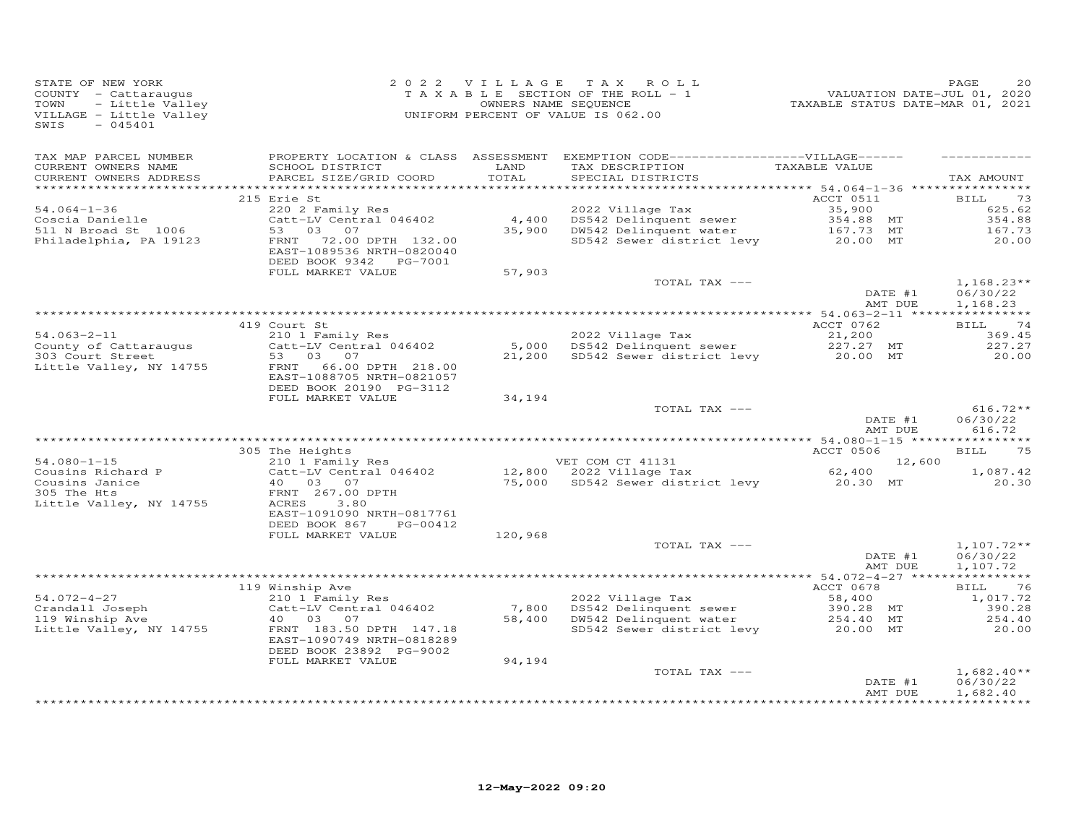| STATE OF NEW YORK<br>COUNTY - Cattaraugus<br>- Little Valley<br>TOWN<br>VILLAGE - Little Valley<br>SWIS<br>$-045401$ |                                                                                     |               | 2022 VILLAGE TAX ROLL<br>T A X A B L E SECTION OF THE ROLL - 1<br>OWNERS NAME SEQUENCE<br>UNIFORM PERCENT OF VALUE IS 062.00 | 220<br>7202 , VALUATION DATE-JUL<br>72021 TAXABLE STATUS DATE-MAR | PAGE<br>20                           |
|----------------------------------------------------------------------------------------------------------------------|-------------------------------------------------------------------------------------|---------------|------------------------------------------------------------------------------------------------------------------------------|-------------------------------------------------------------------|--------------------------------------|
| TAX MAP PARCEL NUMBER<br>CURRENT OWNERS NAME<br>CURRENT OWNERS ADDRESS                                               | SCHOOL DISTRICT<br>PARCEL SIZE/GRID COORD                                           | LAND<br>TOTAL | PROPERTY LOCATION & CLASS ASSESSMENT EXEMPTION CODE------------------VILLAGE------<br>TAX DESCRIPTION<br>SPECIAL DISTRICTS   | TAXABLE VALUE                                                     | TAX AMOUNT                           |
|                                                                                                                      |                                                                                     |               |                                                                                                                              |                                                                   |                                      |
|                                                                                                                      | 215 Erie St                                                                         |               |                                                                                                                              | ACCT 0511                                                         | <b>BILL</b><br>73                    |
| $54.064 - 1 - 36$                                                                                                    | 220 2 Family Res                                                                    |               | 2022 Village Tax                                                                                                             | 35,900                                                            | 625.62                               |
| Coscia Danielle<br>511 N Broad St 1006                                                                               | Catt-LV Central 046402<br>53<br>03<br>07                                            | 35,900        | 4,400 DS542 Delinquent sewer<br>DW542 Delinquent water                                                                       | 354.88 MT<br>167.73 MT                                            | 354.88<br>167.73                     |
| Philadelphia, PA 19123                                                                                               | FRNT<br>72.00 DPTH 132.00<br>EAST-1089536 NRTH-0820040<br>DEED BOOK 9342    PG-7001 |               | SD542 Sewer district levy                                                                                                    | 20.00 MT                                                          | 20.00                                |
|                                                                                                                      | FULL MARKET VALUE                                                                   | 57,903        | TOTAL TAX ---                                                                                                                |                                                                   | $1,168.23**$                         |
|                                                                                                                      |                                                                                     |               |                                                                                                                              | DATE #1<br>AMT DUE                                                | 06/30/22<br>1,168.23                 |
|                                                                                                                      |                                                                                     |               |                                                                                                                              |                                                                   |                                      |
|                                                                                                                      | 419 Court St                                                                        |               |                                                                                                                              | ACCT 0762                                                         | BILL 74                              |
| $54.063 - 2 - 11$<br>County of Cattaraugus                                                                           | 210 1 Family Res<br>Catt-LV Central 046402                                          |               | 2022 Village Tax<br>5,000 DS542 Delinquent sewer                                                                             | 21,200                                                            | 369.45<br>227.27                     |
| 303 Court Street                                                                                                     | 53 03 07                                                                            |               | 21,200 SD542 Sewer district levy                                                                                             | 227.27 MT<br>20.00 MT                                             | 20.00                                |
| Little Valley, NY 14755                                                                                              | 66.00 DPTH 218.00<br>FRNT<br>EAST-1088705 NRTH-0821057<br>DEED BOOK 20190 PG-3112   |               |                                                                                                                              |                                                                   |                                      |
|                                                                                                                      | FULL MARKET VALUE                                                                   | 34,194        |                                                                                                                              |                                                                   |                                      |
|                                                                                                                      |                                                                                     |               | TOTAL TAX ---                                                                                                                | DATE #1<br>AMT DUE                                                | $616.72**$<br>06/30/22<br>616.72     |
|                                                                                                                      |                                                                                     |               |                                                                                                                              |                                                                   |                                      |
|                                                                                                                      | 305 The Heights                                                                     |               |                                                                                                                              | ACCT 0506                                                         | 75<br>BILL                           |
| $54.080 - 1 - 15$                                                                                                    | 210 1 Family Res                                                                    |               | VET COM CT 41131                                                                                                             | 12,600                                                            |                                      |
| Cousins Richard P<br>Cousins Janice<br>305 The Hts                                                                   | Catt-LV Central 046402<br>40 03 07<br>FRNT 267.00 DPTH                              |               | VEI CONT CITE 2022<br>12,800 2022 Village Tax<br>75,000 SD542 Sewer distr<br>SD542 Sewer district levy                       | 62,400<br>20.30 MT                                                | 1,087.42<br>20.30                    |
| Little Valley, NY 14755                                                                                              | <b>ACRES</b><br>3.80<br>EAST-1091090 NRTH-0817761<br>DEED BOOK 867<br>PG-00412      |               |                                                                                                                              |                                                                   |                                      |
|                                                                                                                      | FULL MARKET VALUE                                                                   | 120,968       |                                                                                                                              |                                                                   |                                      |
|                                                                                                                      |                                                                                     |               | TOTAL TAX ---                                                                                                                | DATE #1<br>AMT DUE                                                | $1,107.72**$<br>06/30/22<br>1,107.72 |
|                                                                                                                      |                                                                                     |               |                                                                                                                              |                                                                   |                                      |
|                                                                                                                      | 119 Winship Ave                                                                     |               |                                                                                                                              | ACCT 0678                                                         | 76<br>BILL                           |
| $54.072 - 4 - 27$<br>Crandall Joseph                                                                                 | 210 1 Family Res<br>Catt-LV Central 046402                                          | 7,800         | 2022 Village Tax<br>DS542 Delinquent sewer                                                                                   | 58,400<br>390.28 MT                                               | 1,017.72<br>390.28                   |
| 119 Winship Ave                                                                                                      | 40  03  07                                                                          | 58,400        | DW542 Delinquent water                                                                                                       | 254.40 MT                                                         | 254.40                               |
| Little Valley, NY 14755                                                                                              | FRNT 183.50 DPTH 147.18<br>EAST-1090749 NRTH-0818289<br>DEED BOOK 23892 PG-9002     |               | SD542 Sewer district levy                                                                                                    | 20.00 MT                                                          | 20.00                                |
|                                                                                                                      | FULL MARKET VALUE                                                                   | 94,194        |                                                                                                                              |                                                                   |                                      |
|                                                                                                                      |                                                                                     |               | TOTAL TAX ---                                                                                                                | DATE #1<br>AMT DUE                                                | $1,682.40**$<br>06/30/22<br>1,682.40 |
|                                                                                                                      |                                                                                     |               |                                                                                                                              |                                                                   |                                      |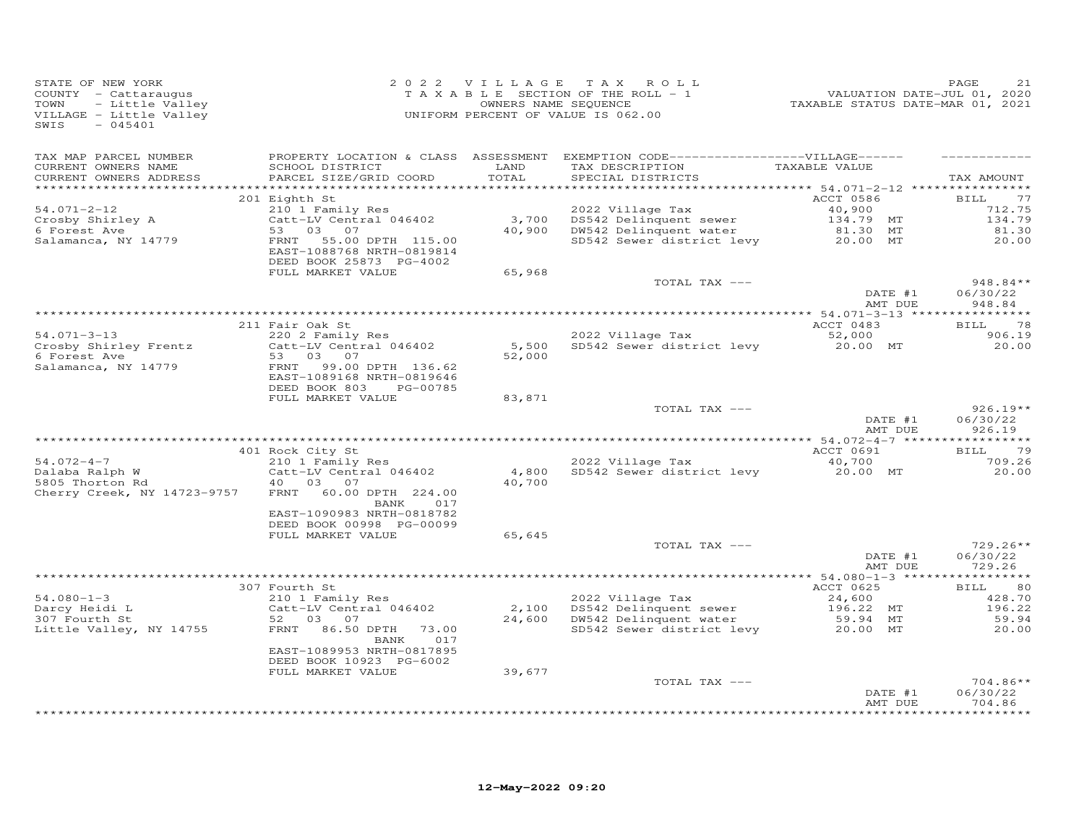| STATE OF NEW YORK<br>COUNTY - Cattaraugus<br>TOWN<br>- Little Valley<br>VILLAGE - Little Valley<br>$-045401$<br>SWIS |                                                                                     |                 | 2022 VILLAGE TAX ROLL<br>TAXABLE SECTION OF THE ROLL - 1<br>OWNERS NAME SEQUENCE<br>UNIFORM PERCENT OF VALUE IS 062.00     | 1<br>2020 VALUATION DATE-JUL<br>2021 TAXABLE STATUS DATE-MAR | PAGE<br>21                        |
|----------------------------------------------------------------------------------------------------------------------|-------------------------------------------------------------------------------------|-----------------|----------------------------------------------------------------------------------------------------------------------------|--------------------------------------------------------------|-----------------------------------|
| TAX MAP PARCEL NUMBER<br>CURRENT OWNERS NAME<br>CURRENT OWNERS ADDRESS                                               | SCHOOL DISTRICT<br>PARCEL SIZE/GRID COORD                                           | LAND<br>TOTAL   | PROPERTY LOCATION & CLASS ASSESSMENT EXEMPTION CODE------------------VILLAGE------<br>TAX DESCRIPTION<br>SPECIAL DISTRICTS | TAXABLE VALUE                                                | TAX AMOUNT                        |
|                                                                                                                      | 201 Eighth St                                                                       |                 |                                                                                                                            | ACCT 0586                                                    | 77<br><b>BILL</b>                 |
| 54.071-2-12                                                                                                          | 210 1 Family Res                                                                    |                 | 2022 Village Tax                                                                                                           | 40,900                                                       | 712.75                            |
| Crosby Shirley A                                                                                                     | Catt-LV Central 046402                                                              |                 | 3,700 DS542 Delinquent sewer<br>40,900 DW542 Delinquent water                                                              | 134.79 MT                                                    | 134.79                            |
| 6 Forest Ave<br>Salamanca, NY 14779                                                                                  | 53 03 07<br>FRNT<br>55.00 DPTH 115.00                                               |                 | SD542 Sewer district levy                                                                                                  | 81.30 MT<br>20.00 MT                                         | 81.30<br>20.00                    |
|                                                                                                                      | EAST-1088768 NRTH-0819814<br>DEED BOOK 25873 PG-4002                                |                 |                                                                                                                            |                                                              |                                   |
|                                                                                                                      | FULL MARKET VALUE                                                                   | 65,968          |                                                                                                                            |                                                              |                                   |
|                                                                                                                      |                                                                                     |                 | TOTAL TAX ---                                                                                                              | DATE #1                                                      | $948.84**$<br>06/30/22            |
|                                                                                                                      |                                                                                     |                 |                                                                                                                            | AMT DUE                                                      | 948.84                            |
|                                                                                                                      |                                                                                     |                 |                                                                                                                            |                                                              |                                   |
|                                                                                                                      | 211 Fair Oak St                                                                     |                 |                                                                                                                            | ACCT 0483                                                    | <b>BILL</b><br>78                 |
| $54.071 - 3 - 13$                                                                                                    | 220 2 Family Res                                                                    |                 | 2022 Village Tax                                                                                                           | 52,000                                                       | 906.19                            |
| Crosby Shirley Frentz<br>6 Forest Ave                                                                                | Catt-LV Central 046402<br>53 03 07                                                  | 5,500<br>52,000 | SD542 Sewer district levy                                                                                                  | 20.00 MT                                                     | 20.00                             |
| Salamanca, NY 14779                                                                                                  | FRNT<br>99.00 DPTH 136.62<br>EAST-1089168 NRTH-0819646<br>DEED BOOK 803<br>PG-00785 |                 |                                                                                                                            |                                                              |                                   |
|                                                                                                                      | FULL MARKET VALUE                                                                   | 83,871          | TOTAL TAX ---                                                                                                              |                                                              | $926.19**$                        |
|                                                                                                                      |                                                                                     |                 |                                                                                                                            | DATE #1<br>AMT DUE                                           | 06/30/22<br>926.19                |
|                                                                                                                      |                                                                                     |                 |                                                                                                                            |                                                              |                                   |
|                                                                                                                      | 401 Rock City St                                                                    |                 |                                                                                                                            | ACCT 0691                                                    | <b>BILL</b><br>79                 |
| $54.072 - 4 - 7$<br>Dalaba Ralph W                                                                                   | 210 1 Family Res<br>Catt-LV Central 046402                                          |                 | 2022 Village Tax<br>4,800 SD542 Sewer district levy                                                                        | 40,700<br>20.00 MT                                           | 709.26<br>20.00                   |
| 5805 Thorton Rd<br>Cherry Creek, NY 14723-9757                                                                       | 40 03 07<br>FRNT 60.00 DPTH 224.00<br>017                                           | 40,700          |                                                                                                                            |                                                              |                                   |
|                                                                                                                      | BANK<br>EAST-1090983 NRTH-0818782<br>DEED BOOK 00998 PG-00099                       |                 |                                                                                                                            |                                                              |                                   |
|                                                                                                                      | FULL MARKET VALUE                                                                   | 65,645          | TOTAL TAX ---                                                                                                              |                                                              | $729.26**$                        |
|                                                                                                                      |                                                                                     |                 |                                                                                                                            | DATE #1<br>AMT DUE                                           | 06/30/22<br>729.26                |
|                                                                                                                      |                                                                                     |                 |                                                                                                                            |                                                              |                                   |
| $54.080 - 1 - 3$                                                                                                     | 307 Fourth St<br>210 1 Family Res                                                   |                 | 2022 Village Tax                                                                                                           | ACCT 0625                                                    | BILL<br>80<br>428.70              |
| Darcy Heidi L                                                                                                        | Catt-LV Central 046402                                                              |                 | 2,100 DS542 Delinquent sewer                                                                                               | 24,600<br>196.22 MT                                          | 196.22                            |
| 307 Fourth St                                                                                                        | 52 03<br>07                                                                         |                 | 24,600 DW542 Delinquent water                                                                                              | 59.94 MT                                                     | 59.94                             |
| Little Valley, NY 14755                                                                                              | FRNT 86.50 DPTH 73.00<br>017<br>BANK                                                |                 | SD542 Sewer district levy                                                                                                  | 20.00 MT                                                     | 20,00                             |
|                                                                                                                      | EAST-1089953 NRTH-0817895<br>DEED BOOK 10923 PG-6002                                |                 |                                                                                                                            |                                                              |                                   |
|                                                                                                                      | FULL MARKET VALUE                                                                   | 39,677          |                                                                                                                            |                                                              |                                   |
|                                                                                                                      |                                                                                     |                 | TOTAL TAX ---                                                                                                              |                                                              | $704.86**$                        |
|                                                                                                                      |                                                                                     |                 |                                                                                                                            | DATE #1<br>AMT DUE                                           | 06/30/22<br>704.86<br>*********** |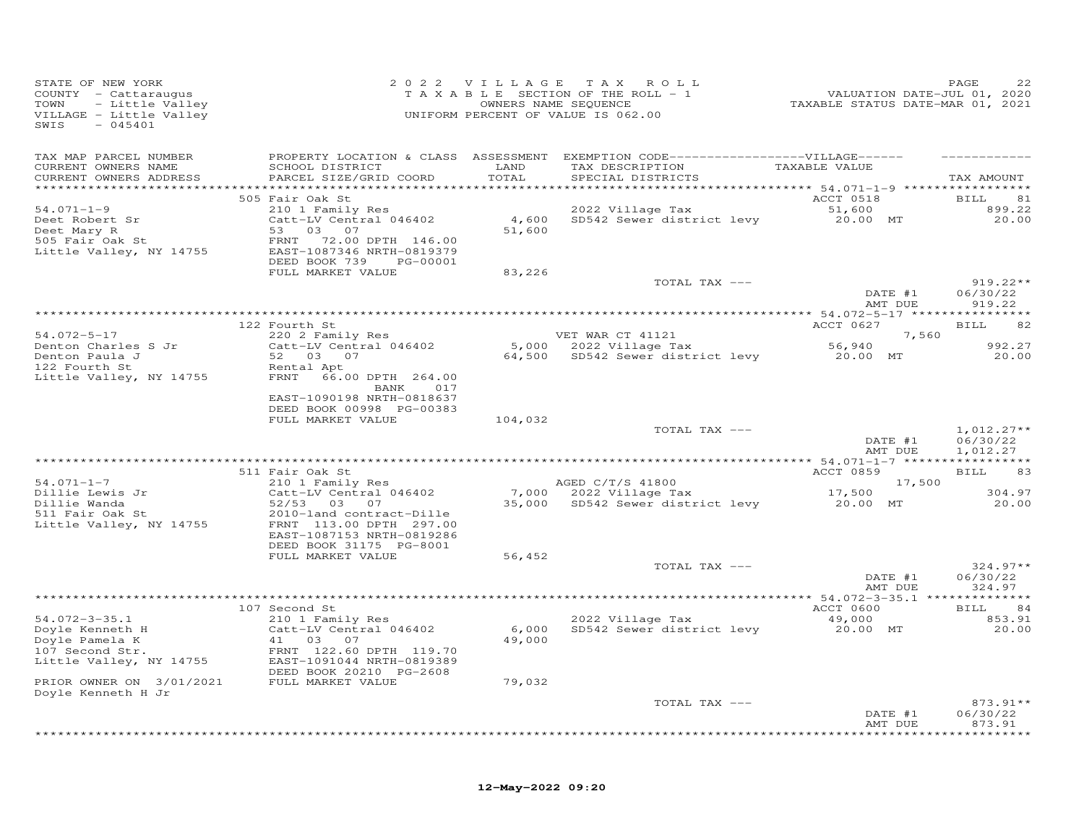| STATE OF NEW YORK<br>COUNTY - Cattaraugus<br>- Little Valley<br>TOWN<br>VILLAGE - Little Valley<br>SWIS<br>$-045401$ |                                                                                                                                           |                 | 2022 VILLAGE TAX ROLL<br>TAXABLE SECTION OF THE ROLL - 1<br>OWNERS NAME SEQUENCE<br>UNIFORM PERCENT OF VALUE IS 062.00 |                    | PAGE<br>220<br>VALUATION DATE-JUL 01, 2020<br>TAXABLE STATUS DATE-MAR 01, 2021 |
|----------------------------------------------------------------------------------------------------------------------|-------------------------------------------------------------------------------------------------------------------------------------------|-----------------|------------------------------------------------------------------------------------------------------------------------|--------------------|--------------------------------------------------------------------------------|
| TAX MAP PARCEL NUMBER                                                                                                |                                                                                                                                           |                 | PROPERTY LOCATION & CLASS ASSESSMENT EXEMPTION CODE------------------VILLAGE------                                     |                    |                                                                                |
| CURRENT OWNERS NAME<br>CURRENT OWNERS ADDRESS                                                                        | SCHOOL DISTRICT<br>PARCEL SIZE/GRID COORD                                                                                                 | LAND<br>TOTAL   | TAX DESCRIPTION<br>SPECIAL DISTRICTS                                                                                   | TAXABLE VALUE      | TAX AMOUNT                                                                     |
|                                                                                                                      | 505 Fair Oak St                                                                                                                           |                 |                                                                                                                        | ACCT 0518          | 81<br>BILL                                                                     |
| $54.071 - 1 - 9$                                                                                                     | 210 1 Family Res                                                                                                                          |                 | 2022 Village Tax                                                                                                       | 51,600             | 899.22                                                                         |
| Deet Robert Sr<br>Deet Mary R<br>$505$ Fair Oak St<br>Little Valley, NY 14755                                        | Catt-LV Central 046402<br>53 03 07<br>FRNT 72.00 DPTH 146.00<br>EAST-1087346 NRTH-0819379<br>DEED BOOK 739<br>PG-00001                    | 51,600          | 4,600 SD542 Sewer district levy                                                                                        | 20.00 MT           | 20.00                                                                          |
|                                                                                                                      | FULL MARKET VALUE                                                                                                                         | 83,226          |                                                                                                                        |                    |                                                                                |
|                                                                                                                      |                                                                                                                                           |                 | TOTAL TAX ---                                                                                                          | DATE #1            | $919.22**$<br>06/30/22<br>AMT DUE<br>919.22                                    |
|                                                                                                                      |                                                                                                                                           |                 |                                                                                                                        |                    |                                                                                |
|                                                                                                                      | 122 Fourth St                                                                                                                             |                 |                                                                                                                        | ACCT 0627          | BILL<br>82                                                                     |
| $54.072 - 5 - 17$                                                                                                    | 220 2 Family Res                                                                                                                          |                 | VET WAR CT 41121<br>5,000 $2022$ Village Tax                                                                           |                    | 7,560<br>992.27                                                                |
| Denton Charles S Jr                                                                                                  | $Catt-LV$ Central 046402<br>52 03 07                                                                                                      |                 | 64,500 SD542 Sewer district levy                                                                                       | 56,940<br>20.00 MT | 20.00                                                                          |
| Denton Paula J<br>122 Fourth St<br>122 Fourth St<br>Little Valley, NY 14755                                          | Rental Apt<br>FRNT 66.00 DPTH 264.00<br>BANK 017<br>EAST-1090198 NRTH-0818637                                                             |                 |                                                                                                                        |                    |                                                                                |
|                                                                                                                      | DEED BOOK 00998 PG-00383                                                                                                                  |                 |                                                                                                                        |                    |                                                                                |
|                                                                                                                      | FULL MARKET VALUE                                                                                                                         | 104,032         |                                                                                                                        |                    |                                                                                |
|                                                                                                                      |                                                                                                                                           |                 | TOTAL TAX ---                                                                                                          |                    | $1,012.27**$<br>06/30/22<br>DATE #1<br>AMT DUE<br>1,012.27                     |
|                                                                                                                      |                                                                                                                                           |                 |                                                                                                                        |                    |                                                                                |
|                                                                                                                      | 511 Fair Oak St                                                                                                                           |                 |                                                                                                                        | ACCT 0859          | <b>BILL</b><br>83                                                              |
| $54.071 - 1 - 7$<br>Dillie Lewis Jr                                                                                  | 210 1 Family Res<br>Catt-LV Central 046402                                                                                                |                 | AGED C/T/S 41800<br>7,000 2022 Village Tax                                                                             | 17,500             | 17,500<br>304.97                                                               |
| Dillie Wanda<br>$511$ Fair Oak St<br>Little Valley, NY 14755                                                         | 52/53 03 07<br>2010-land contract-Dille<br>FRNT 113.00 DPTH 297.00<br>EAST-1087153 NRTH-0819286                                           |                 | 35,000 SD542 Sewer district levy 20.00 MT                                                                              |                    | 20.00                                                                          |
|                                                                                                                      | DEED BOOK 31175 PG-8001                                                                                                                   |                 |                                                                                                                        |                    |                                                                                |
|                                                                                                                      | FULL MARKET VALUE                                                                                                                         | 56,452          |                                                                                                                        |                    |                                                                                |
|                                                                                                                      |                                                                                                                                           |                 | TOTAL TAX ---                                                                                                          | DATE #1            | $324.97**$<br>06/30/22<br>AMT DUE<br>324.97                                    |
|                                                                                                                      |                                                                                                                                           |                 |                                                                                                                        |                    |                                                                                |
|                                                                                                                      | 107 Second St                                                                                                                             |                 |                                                                                                                        | ACCT 0600          | 84<br>BILL                                                                     |
| $54.072 - 3 - 35.1$<br>Doyle Kenneth H<br>Doyle Pamela K<br>107 Second Str.<br>Little Valley, NY 14755               | 210 1 Family Res<br>Catt-LV Central 046402<br>41 03 07<br>FRNT 122.60 DPTH 119.70<br>EAST-1091044 NRTH-0819389<br>DEED BOOK 20210 PG-2608 | 6,000<br>49,000 | 2022 Village Tax<br>SD542 Sewer district levy                                                                          | 49,000<br>20.00 MT | 853.91<br>20.00                                                                |
| PRIOR OWNER ON 3/01/2021                                                                                             | FULL MARKET VALUE                                                                                                                         | 79,032          |                                                                                                                        |                    |                                                                                |
| Doyle Kenneth H Jr                                                                                                   |                                                                                                                                           |                 | TOTAL TAX ---                                                                                                          |                    | 873.91**<br>DATE #1<br>06/30/22<br>873.91<br>AMT DUE                           |
|                                                                                                                      |                                                                                                                                           |                 |                                                                                                                        |                    | *******                                                                        |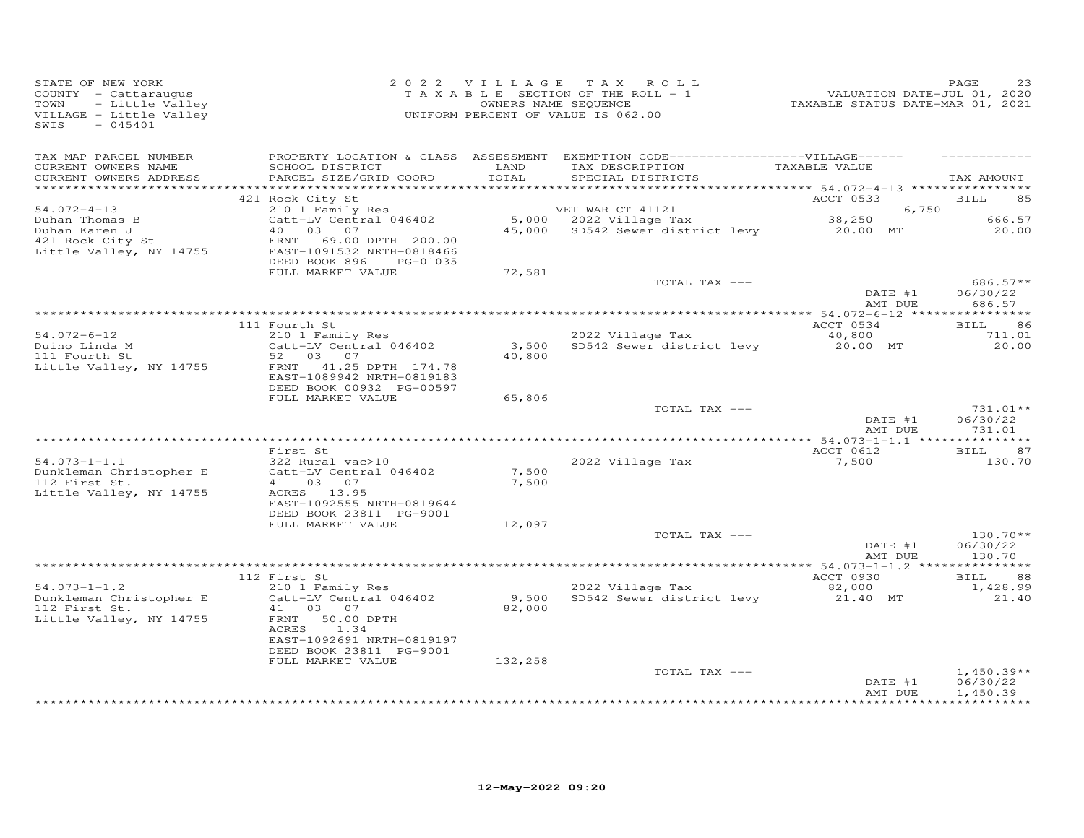| STATE OF NEW YORK<br>COUNTY - Cattaraugus<br>- Little Valley<br>TOWN<br>VILLAGE - Little Valley<br>$-045401$<br>SWIS |                                                      |               | 2022 VILLAGE TAX ROLL<br>TAXABLE SECTION OF THE ROLL - 1<br>OWNERS NAME SEQUENCE<br>UNIFORM PERCENT OF VALUE IS 062.00                                                   | 23 FASE<br>VALUATION DATE-JUL 01, 2020<br>TAXABLE STATUS DATE-MAR 01, 2021 | PAGE<br>23                    |
|----------------------------------------------------------------------------------------------------------------------|------------------------------------------------------|---------------|--------------------------------------------------------------------------------------------------------------------------------------------------------------------------|----------------------------------------------------------------------------|-------------------------------|
| TAX MAP PARCEL NUMBER<br>CURRENT OWNERS NAME<br>CURRENT OWNERS ADDRESS                                               | SCHOOL DISTRICT<br>PARCEL SIZE/GRID COORD            | LAND<br>TOTAL | PROPERTY LOCATION & CLASS ASSESSMENT EXEMPTION CODE------------------VILLAGE------<br>TAX DESCRIPTION TAXABLE VALUE<br>SPECIAL DISTRICTS                                 |                                                                            | TAX AMOUNT                    |
|                                                                                                                      | 421 Rock City St                                     |               |                                                                                                                                                                          | ACCT 0533                                                                  | <b>BILL</b><br>85             |
| $54.072 - 4 - 13$                                                                                                    | 210 1 Family Res                                     |               | VET WAR CT 41121                                                                                                                                                         | 6,750                                                                      |                               |
| Duhan Thomas B                                                                                                       | Catt-LV Central 046402<br>40 03 07                   |               | VET WAR CT 41121 6, 75<br>5,000 2022 Village Tax 38,250 38,250<br>45,000 SD542 Sewer district levy 20.00 MT<br>5,000 2022 Village Tax<br>45,000 SD542 Sewer district lew |                                                                            | 666.57<br>20.00               |
| Duhan Karen J<br>421 Rock City St                                                                                    | FRNT 69.00 DPTH 200.00                               |               |                                                                                                                                                                          |                                                                            |                               |
| Little Valley, NY 14755                                                                                              | EAST-1091532 NRTH-0818466<br>DEED BOOK 896 PG-01035  |               |                                                                                                                                                                          |                                                                            |                               |
|                                                                                                                      | FULL MARKET VALUE                                    | 72,581        |                                                                                                                                                                          |                                                                            |                               |
|                                                                                                                      |                                                      |               | TOTAL TAX ---                                                                                                                                                            |                                                                            | $686.57**$                    |
|                                                                                                                      |                                                      |               |                                                                                                                                                                          | DATE #1<br>ATE #1                                                          | 06/30/22<br>686.57            |
|                                                                                                                      |                                                      |               |                                                                                                                                                                          |                                                                            |                               |
| $54.072 - 6 - 12$                                                                                                    | 111 Fourth St<br>210 1 Family Res                    |               | 2022 Village Tax                                                                                                                                                         | ACCT 0534<br>40,800                                                        | <b>BILL</b><br>86<br>711.01   |
| Duino Linda M                                                                                                        | Catt-LV Central 046402                               | 3,500         | SD542 Sewer district levy                                                                                                                                                | 20.00 MT                                                                   | 20.00                         |
| 111 Fourth St                                                                                                        | 52 03 07                                             | 40,800        |                                                                                                                                                                          |                                                                            |                               |
| Little Valley, NY 14755                                                                                              | FRNT 41.25 DPTH 174.78<br>EAST-1089942 NRTH-0819183  |               |                                                                                                                                                                          |                                                                            |                               |
|                                                                                                                      | DEED BOOK 00932 PG-00597                             |               |                                                                                                                                                                          |                                                                            |                               |
|                                                                                                                      | FULL MARKET VALUE                                    | 65,806        | TOTAL TAX ---                                                                                                                                                            |                                                                            | $731.01**$                    |
|                                                                                                                      |                                                      |               |                                                                                                                                                                          | DATE #1<br>NMT DUE                                                         | 06/30/22<br>731.01            |
|                                                                                                                      |                                                      |               |                                                                                                                                                                          |                                                                            |                               |
|                                                                                                                      | First St                                             |               |                                                                                                                                                                          | ACCT 0612                                                                  | <b>BILL</b><br>87             |
| $54.073 - 1 - 1.1$                                                                                                   | 322 Rural vac>10<br>Catt-LV Central 046402           | 7,500         | 2022 Village Tax                                                                                                                                                         | 7,500                                                                      | 130.70                        |
| Dunkleman Christopher E<br>112 First St.                                                                             | 41 03 07                                             | 7,500         |                                                                                                                                                                          |                                                                            |                               |
| Little Valley, NY 14755                                                                                              | ACRES 13.95                                          |               |                                                                                                                                                                          |                                                                            |                               |
|                                                                                                                      | EAST-1092555 NRTH-0819644                            |               |                                                                                                                                                                          |                                                                            |                               |
|                                                                                                                      | DEED BOOK 23811 PG-9001                              |               |                                                                                                                                                                          |                                                                            |                               |
|                                                                                                                      | FULL MARKET VALUE                                    | 12,097        | TOTAL TAX ---                                                                                                                                                            |                                                                            | $130.70**$                    |
|                                                                                                                      |                                                      |               |                                                                                                                                                                          | DATE #1                                                                    | 06/30/22                      |
|                                                                                                                      |                                                      |               |                                                                                                                                                                          | AMT DUE                                                                    | 130.70                        |
|                                                                                                                      |                                                      |               |                                                                                                                                                                          |                                                                            |                               |
| $54.073 - 1 - 1.2$                                                                                                   | 112 First St<br>210 1 Family Res                     |               | 2022 Village Tax                                                                                                                                                         | ACCT 0930<br>82,000                                                        | <b>BILL</b><br>88<br>1,428.99 |
| Dunkleman Christopher E                                                                                              | Catt-LV Central 046402                               |               | 9,500 SD542 Sewer district levy                                                                                                                                          | 21.40 MT                                                                   | 21.40                         |
| 112 First St.                                                                                                        | 41 03 07                                             | 82,000        |                                                                                                                                                                          |                                                                            |                               |
| Little Valley, NY 14755                                                                                              | FRNT 50.00 DPTH                                      |               |                                                                                                                                                                          |                                                                            |                               |
|                                                                                                                      | ACRES<br>1.34                                        |               |                                                                                                                                                                          |                                                                            |                               |
|                                                                                                                      | EAST-1092691 NRTH-0819197<br>DEED BOOK 23811 PG-9001 |               |                                                                                                                                                                          |                                                                            |                               |
|                                                                                                                      | FULL MARKET VALUE                                    | 132,258       |                                                                                                                                                                          |                                                                            |                               |
|                                                                                                                      |                                                      |               | TOTAL TAX ---                                                                                                                                                            |                                                                            | $1,450.39**$                  |
|                                                                                                                      |                                                      |               |                                                                                                                                                                          | DATE #1                                                                    | 06/30/22                      |
|                                                                                                                      |                                                      |               |                                                                                                                                                                          | AMT DUE                                                                    | 1,450.39<br>**********        |
|                                                                                                                      |                                                      |               |                                                                                                                                                                          |                                                                            |                               |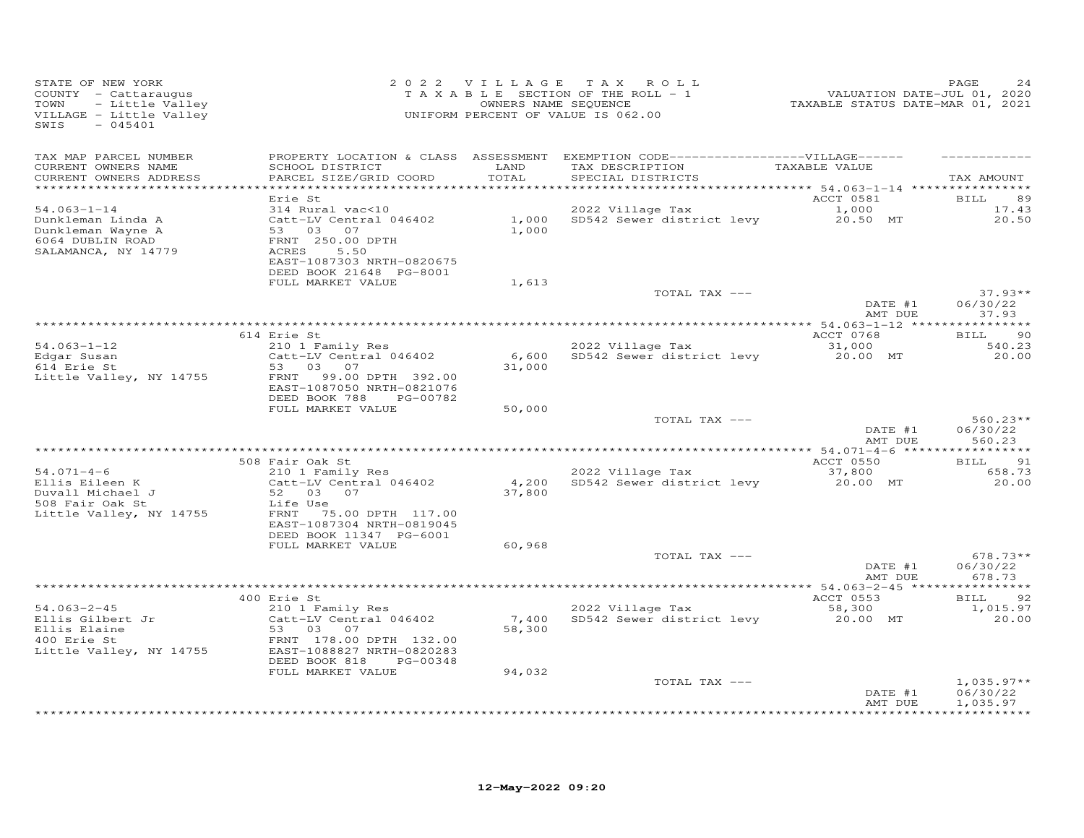| STATE OF NEW YORK<br>COUNTY - Cattaraugus<br>- Little Valley<br>TOWN<br>VILLAGE - Little Valley<br>SWIS<br>$-045401$    |                                                                                                                                                               |                 | 2022 VILLAGE TAX ROLL<br>TAXABLE SECTION OF THE ROLL - 1<br>OWNERS NAME SEQUENCE<br>UNIFORM PERCENT OF VALUE IS 062.00    | r ALUATION DATE-JUL 01, 2020<br>2020 TAXABLE STATUS DATE-MAR 01, 2021 | PAGE<br>24                       |
|-------------------------------------------------------------------------------------------------------------------------|---------------------------------------------------------------------------------------------------------------------------------------------------------------|-----------------|---------------------------------------------------------------------------------------------------------------------------|-----------------------------------------------------------------------|----------------------------------|
| TAX MAP PARCEL NUMBER<br>CURRENT OWNERS NAME<br>CURRENT OWNERS ADDRESS                                                  | SCHOOL DISTRICT<br>PARCEL SIZE/GRID COORD                                                                                                                     | LAND<br>TOTAL   | PROPERTY LOCATION & CLASS ASSESSMENT EXEMPTION CODE-----------------VILLAGE------<br>TAX DESCRIPTION<br>SPECIAL DISTRICTS | TAXABLE VALUE                                                         | TAX AMOUNT                       |
|                                                                                                                         | Erie St                                                                                                                                                       |                 |                                                                                                                           | ACCT 0581                                                             | <b>BILL</b><br>89                |
| $54.063 - 1 - 14$<br>Dunkleman Linda A<br>Dunkleman Wayne A<br>6064 DUBLIN ROAD<br>SALAMANCA, NY 14779                  | 314 Rural vac<10<br>Catt-LV Central 046402<br>53 03 07<br>FRNT 250.00 DPTH<br>5.50<br>ACRES<br>EAST-1087303 NRTH-0820675<br>DEED BOOK 21648 PG-8001           | 1,000<br>1,000  | 2022 Village Tax<br>SD542 Sewer district levy                                                                             | 1,000<br>20.50 MT                                                     | 17.43<br>20.50                   |
|                                                                                                                         | FULL MARKET VALUE                                                                                                                                             | 1,613           |                                                                                                                           |                                                                       |                                  |
|                                                                                                                         |                                                                                                                                                               |                 | TOTAL TAX ---                                                                                                             | DATE #1<br>AMT DUE                                                    | $37.93**$<br>06/30/22<br>37.93   |
|                                                                                                                         |                                                                                                                                                               |                 |                                                                                                                           |                                                                       |                                  |
| $54.063 - 1 - 12$                                                                                                       | 614 Erie St<br>210 1 Family Res                                                                                                                               |                 | 2022 Village Tax                                                                                                          | ACCT 0768<br>31,000                                                   | 90<br><b>BILL</b><br>540.23      |
| Edgar Susan<br>614 Erie St<br>Little Valley, NY 14755                                                                   | Catt-LV Central 046402<br>53 03 07<br>99.00 DPTH 392.00<br>FRNT<br>EAST-1087050 NRTH-0821076                                                                  | 6,600<br>31,000 | SD542 Sewer district levy                                                                                                 | 20.00 MT                                                              | 20.00                            |
|                                                                                                                         | DEED BOOK 788<br>PG-00782<br>FULL MARKET VALUE                                                                                                                | 50,000          |                                                                                                                           |                                                                       |                                  |
|                                                                                                                         |                                                                                                                                                               |                 | TOTAL TAX ---                                                                                                             | DATE #1<br>AMT DUE                                                    | $560.23**$<br>06/30/22<br>560.23 |
|                                                                                                                         | 508 Fair Oak St                                                                                                                                               |                 |                                                                                                                           | ACCT 0550                                                             | <b>BILL</b><br>91                |
| $54.071 - 4 - 6$<br>Ellis Eileen K<br>Duvall Michael J<br>508 Fair Oak St<br>508 Fair Oak St<br>Little Valley, NY 14755 | 210 1 Family Res<br>Catt-LV Central 046402<br>52 03 07<br>Life Use<br>FRNT 75.00 DPTH 117.00<br>EAST-1087304 NRTH-0819045<br>DEED BOOK 11347 PG-6001          | 4,200<br>37,800 | 2022 Village Tax<br>SD542 Sewer district levy                                                                             | 37,800<br>20.00 MT                                                    | 658.73<br>20.00                  |
|                                                                                                                         | FULL MARKET VALUE                                                                                                                                             | 60,968          |                                                                                                                           |                                                                       |                                  |
|                                                                                                                         |                                                                                                                                                               |                 | TOTAL TAX ---                                                                                                             | DATE #1<br>AMT DUE                                                    | $678.73**$<br>06/30/22<br>678.73 |
|                                                                                                                         |                                                                                                                                                               |                 |                                                                                                                           |                                                                       |                                  |
| $54.063 - 2 - 45$<br>Ellis Gilbert Jr<br>Ellis Elaine<br>400 Erie St<br>400 Erie St<br>Little Valley, NY 14755          | 400 Erie St<br>210 1 Family Res<br>Catt-LV Central 046402<br>53 03<br>07<br>FRNT 178.00 DPTH 132.00<br>EAST-1088827 NRTH-0820283<br>DEED BOOK 818<br>PG-00348 | 7,400<br>58,300 | 2022 Village Tax<br>SD542 Sewer district levy                                                                             | ACCT 0553<br>58,300<br>20.00 MT                                       | 92<br>BILL<br>1,015.97<br>20.00  |
|                                                                                                                         | FULL MARKET VALUE                                                                                                                                             | 94,032          | TOTAL TAX ---                                                                                                             | DATE #1                                                               | $1,035.97**$<br>06/30/22         |
|                                                                                                                         |                                                                                                                                                               |                 |                                                                                                                           | AMT DUE                                                               | 1,035.97                         |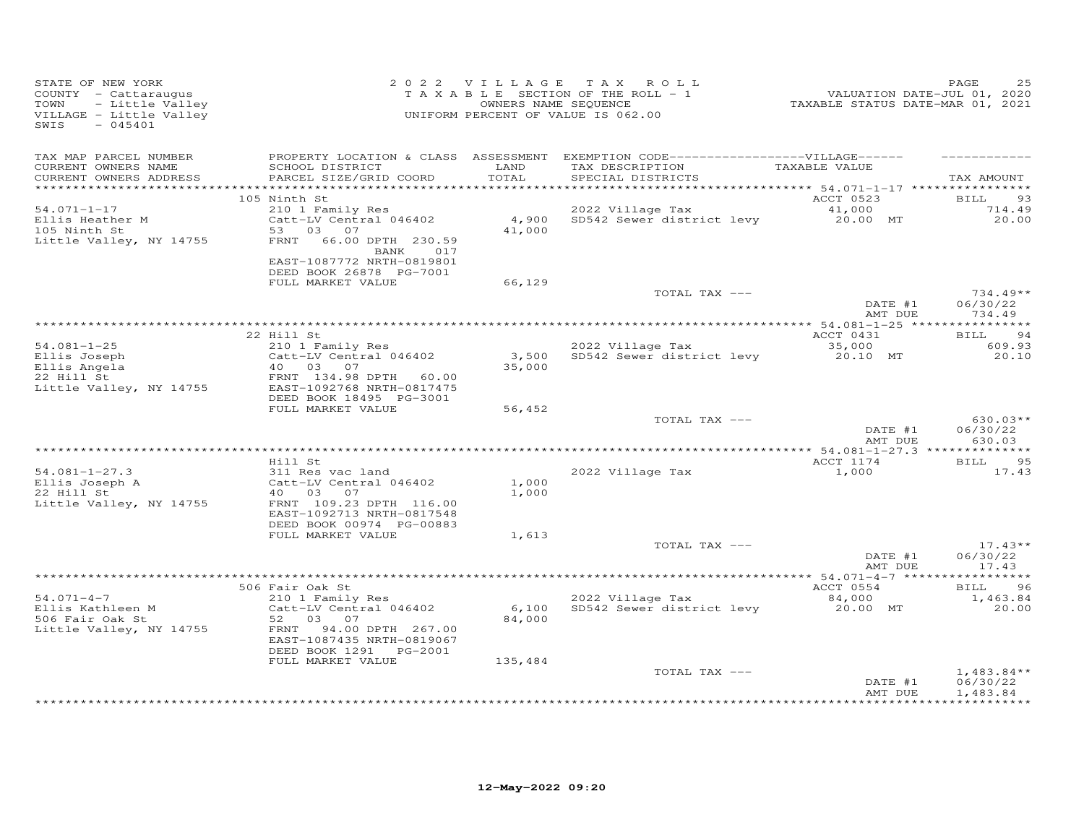| STATE OF NEW YORK<br>COUNTY - Cattaraugus<br>TOWN<br>- Little Valley<br>VILLAGE - Little Valley<br>SWIS<br>$-045401$ |                                                                                                                                    | 2022 VILLAGE    | TAX ROLL<br>T A X A B L E SECTION OF THE ROLL - 1<br>OWNERS NAME SEQUENCE<br>UNIFORM PERCENT OF VALUE IS 062.00            | VALUATION DATE-JUL 01, 2020<br>TAXABLE STATUS DATE-MAR 01, 2021 | PAGE                                                          |
|----------------------------------------------------------------------------------------------------------------------|------------------------------------------------------------------------------------------------------------------------------------|-----------------|----------------------------------------------------------------------------------------------------------------------------|-----------------------------------------------------------------|---------------------------------------------------------------|
| TAX MAP PARCEL NUMBER<br>CURRENT OWNERS NAME<br>CURRENT OWNERS ADDRESS                                               | SCHOOL DISTRICT<br>PARCEL SIZE/GRID COORD                                                                                          | LAND<br>TOTAL   | PROPERTY LOCATION & CLASS ASSESSMENT EXEMPTION CODE------------------VILLAGE------<br>TAX DESCRIPTION<br>SPECIAL DISTRICTS | TAXABLE VALUE                                                   | TAX AMOUNT                                                    |
|                                                                                                                      | 105 Ninth St                                                                                                                       |                 |                                                                                                                            | ACCT 0523                                                       | 93<br>BILL                                                    |
| $54.071 - 1 - 17$<br>Ellis Heather M<br>105 Ninth St<br>Little Valley, NY 14755                                      | 210 1 Family Res<br>Catt-LV Central 046402<br>03 07<br>53<br>FRNT<br>66.00 DPTH 230.59<br>017<br>BANK<br>EAST-1087772 NRTH-0819801 | 4,900<br>41,000 | 2022 Village Tax<br>SD542 Sewer district levy                                                                              | 41,000<br>20.00 MT                                              | 714.49<br>20.00                                               |
|                                                                                                                      | DEED BOOK 26878 PG-7001                                                                                                            |                 |                                                                                                                            |                                                                 |                                                               |
|                                                                                                                      | FULL MARKET VALUE                                                                                                                  | 66,129          | TOTAL TAX ---                                                                                                              |                                                                 | $734.49**$                                                    |
|                                                                                                                      |                                                                                                                                    |                 |                                                                                                                            | DATE #1<br>AMT DUE                                              | 06/30/22<br>734.49                                            |
|                                                                                                                      |                                                                                                                                    |                 |                                                                                                                            |                                                                 |                                                               |
| $54.081 - 1 - 25$                                                                                                    | 22 Hill St<br>210 1 Family Res                                                                                                     |                 | 2022 Village Tax                                                                                                           | ACCT 0431<br>35,000                                             | <b>BILL</b><br>-94<br>609.93                                  |
| Ellis Joseph<br>Ellis Angela                                                                                         | Catt-LV Central 046402<br>40<br>03<br>07                                                                                           | 3,500<br>35,000 | SD542 Sewer district levy                                                                                                  | 20.10 MT                                                        | 20.10                                                         |
| 22 Hill St<br>Little Valley, NY 14755                                                                                | FRNT 134.98 DPTH 60.00<br>EAST-1092768 NRTH-0817475<br>DEED BOOK 18495 PG-3001                                                     |                 |                                                                                                                            |                                                                 |                                                               |
|                                                                                                                      | FULL MARKET VALUE                                                                                                                  | 56,452          |                                                                                                                            |                                                                 |                                                               |
|                                                                                                                      |                                                                                                                                    |                 | TOTAL TAX ---                                                                                                              | DATE #1<br>AMT DUE                                              | $630.03**$<br>06/30/22<br>630.03                              |
|                                                                                                                      |                                                                                                                                    |                 |                                                                                                                            |                                                                 |                                                               |
| $54.081 - 1 - 27.3$<br>Ellis Joseph A                                                                                | Hill St<br>311 Res vac land<br>Catt-LV Central 046402                                                                              | 1,000           | 2022 Village Tax                                                                                                           | ACCT 1174<br>1,000                                              | 95<br><b>BILL</b><br>17.43                                    |
| 22 Hill St<br>Little Valley, NY 14755                                                                                | 40 03<br>07<br>FRNT 109.23 DPTH 116.00<br>EAST-1092713 NRTH-0817548                                                                | 1,000           |                                                                                                                            |                                                                 |                                                               |
|                                                                                                                      | DEED BOOK 00974 PG-00883<br>FULL MARKET VALUE                                                                                      | 1,613           |                                                                                                                            |                                                                 |                                                               |
|                                                                                                                      |                                                                                                                                    |                 | TOTAL TAX ---                                                                                                              |                                                                 | $17.43**$                                                     |
|                                                                                                                      |                                                                                                                                    |                 |                                                                                                                            | DATE #1<br>AMT DUE                                              | 06/30/22<br>17.43                                             |
|                                                                                                                      | 506 Fair Oak St                                                                                                                    |                 |                                                                                                                            | ACCT 0554                                                       | 96<br>BILL                                                    |
| $54.071 - 4 - 7$                                                                                                     | 210 1 Family Res                                                                                                                   |                 | 2022 Village Tax                                                                                                           | 84,000                                                          | 1,463.84                                                      |
| Ellis Kathleen M<br>506 Fair Oak St<br>Little Valley, NY 14755                                                       | Catt-LV Central 046402<br>52<br>03<br>07<br>94.00 DPTH 267.00<br>FRNT<br>EAST-1087435 NRTH-0819067<br>DEED BOOK 1291 PG-2001       | 6,100<br>84,000 | SD542 Sewer district levy                                                                                                  | 20.00 MT                                                        | 20,00                                                         |
|                                                                                                                      | FULL MARKET VALUE                                                                                                                  | 135,484         |                                                                                                                            |                                                                 |                                                               |
|                                                                                                                      |                                                                                                                                    |                 |                                                                                                                            | DATE #1<br>AMT DUE                                              | $1,483.84**$<br>06/30/22<br>1,483.84<br>+ + + + + + + + + + + |
|                                                                                                                      |                                                                                                                                    |                 | TOTAL TAX ---                                                                                                              |                                                                 |                                                               |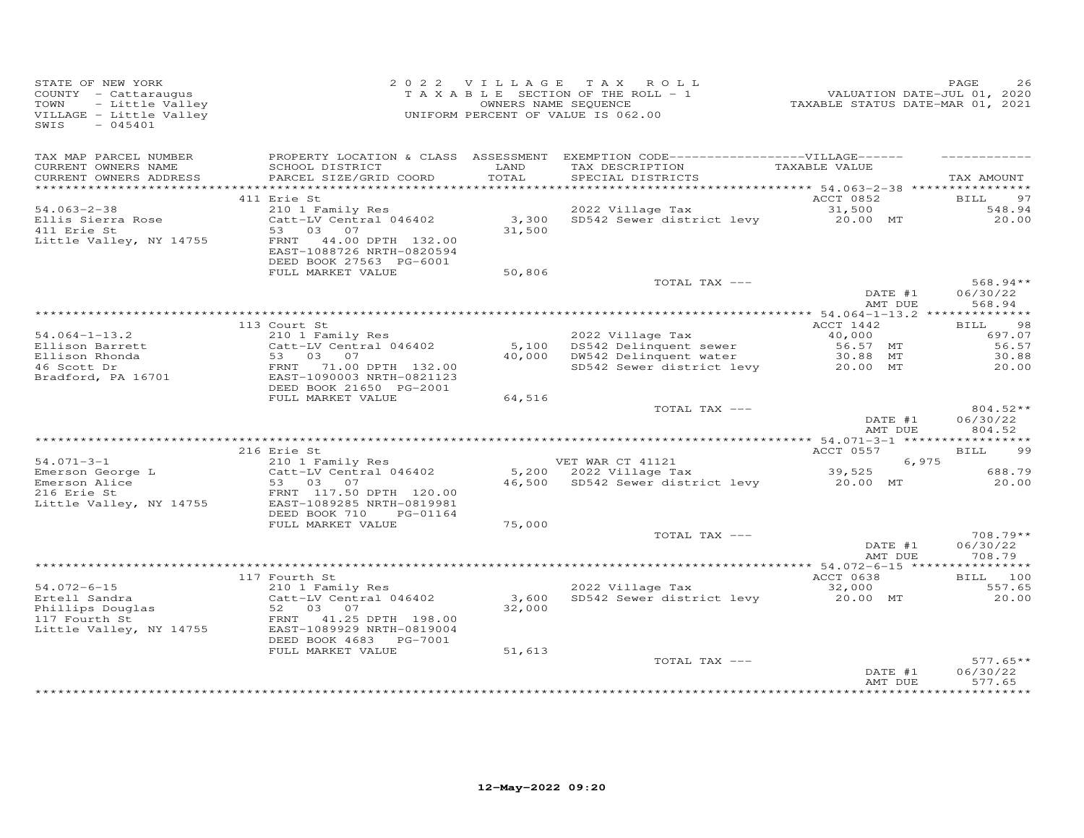| STATE OF NEW YORK<br>Y - Cattaraugus<br>- Little Valley<br>GE - Little Valley<br>- 045401<br>COUNTY - Cattaraugus<br>TOWN<br>VILLAGE - Little Valley<br>SWIS |                                                                                                                                                                                                                                                                             |                 | 2022 VILLAGE TAX ROLL<br>$T$ A X A B L E SECTION OF THE ROLL - 1<br>OWNERS NAME SEQUENCE<br>UNIFORM PERCENT OF VALUE IS 062.00 | 2020<br>2020 / PALUATION DATE-JUL<br>2021 / TAXABLE STATUS DATE-MAR | PAGE<br>26                       |
|--------------------------------------------------------------------------------------------------------------------------------------------------------------|-----------------------------------------------------------------------------------------------------------------------------------------------------------------------------------------------------------------------------------------------------------------------------|-----------------|--------------------------------------------------------------------------------------------------------------------------------|---------------------------------------------------------------------|----------------------------------|
| TAX MAP PARCEL NUMBER                                                                                                                                        |                                                                                                                                                                                                                                                                             |                 | PROPERTY LOCATION & CLASS ASSESSMENT EXEMPTION CODE-----------------VILLAGE------                                              |                                                                     |                                  |
| CURRENT OWNERS NAME<br>CURRENT OWNERS ADDRESS                                                                                                                | SCHOOL DISTRICT<br>PARCEL SIZE/GRID COORD                                                                                                                                                                                                                                   | LAND<br>TOTAL   | TAX DESCRIPTION TAXABLE VALUE<br>SPECIAL DISTRICTS                                                                             |                                                                     | TAX AMOUNT                       |
|                                                                                                                                                              | 411 Erie St                                                                                                                                                                                                                                                                 |                 |                                                                                                                                | ACCT 0852                                                           | <b>BILL</b><br>97                |
| $54.063 - 2 - 38$                                                                                                                                            |                                                                                                                                                                                                                                                                             |                 | 2022 Village Tax                                                                                                               |                                                                     | 548.94                           |
| Ellis Sierra Rose<br>411 Erie St<br>Little Valley, NY 14755                                                                                                  | 53 03 07<br>FRNT 44.00 DPTH 132.00                                                                                                                                                                                                                                          | 31,500          | 2022 Village Tax<br>2022 Village Tax<br>Catt-LV Central 046402 3,300 SD542 Sewer district levy 20.00 MT                        |                                                                     | 20.00                            |
|                                                                                                                                                              | EAST-1088726 NRTH-0820594<br>DEED BOOK 27563 PG-6001<br>FULL MARKET VALUE                                                                                                                                                                                                   | 50,806          |                                                                                                                                |                                                                     |                                  |
|                                                                                                                                                              |                                                                                                                                                                                                                                                                             |                 | TOTAL TAX ---                                                                                                                  |                                                                     | $568.94**$                       |
|                                                                                                                                                              |                                                                                                                                                                                                                                                                             |                 |                                                                                                                                | DATE #1<br>AMT DUE                                                  | 06/30/22<br>568.94               |
|                                                                                                                                                              |                                                                                                                                                                                                                                                                             |                 |                                                                                                                                |                                                                     |                                  |
|                                                                                                                                                              | 113 Court St                                                                                                                                                                                                                                                                |                 |                                                                                                                                | ACCT 1442                                                           | <b>BILL</b><br>98                |
|                                                                                                                                                              | 210 1 Family Res                                                                                                                                                                                                                                                            |                 | 2022 Village Tax                                                                                                               | 40,000<br>56.57 MT                                                  | 697.07<br>56.57                  |
|                                                                                                                                                              |                                                                                                                                                                                                                                                                             |                 |                                                                                                                                |                                                                     | 30.88                            |
|                                                                                                                                                              | 54.064-1-13.2<br>Ellison Barrett Catt-LV Central 046402<br>Ellison Rhonda<br>46 Scott Dr<br>Bradford, PA 16701<br>ERNT 71.00 DPTH 132.00<br>ERNT 71.00 DPTH 132.00<br>ERNT 71.00 DPTH 132.00<br>ERNT 71.00 DPTH 132.00<br>ERST-1090003 NRTH-0821<br>DEED BOOK 21650 PG-2001 |                 | 5,100 DS542 Delinquent sewer 56.57 MT<br>40,000 DW542 Delinquent water 30.88 MT<br>SD542 Sewer district levy 20.00 MT          |                                                                     | 20.00                            |
|                                                                                                                                                              | FULL MARKET VALUE                                                                                                                                                                                                                                                           | 64,516          |                                                                                                                                |                                                                     |                                  |
|                                                                                                                                                              |                                                                                                                                                                                                                                                                             |                 | TOTAL TAX ---                                                                                                                  |                                                                     | $804.52**$                       |
|                                                                                                                                                              |                                                                                                                                                                                                                                                                             |                 |                                                                                                                                | $\text{DATE}_{\text{min}}$ #1<br>AMT DUE                            | 06/30/22<br>804.52               |
|                                                                                                                                                              |                                                                                                                                                                                                                                                                             |                 |                                                                                                                                |                                                                     |                                  |
| $54.071 - 3 - 1$                                                                                                                                             | 216 Erie St<br>o Erre st<br>210 1 Family Res                                                                                                                                                                                                                                |                 |                                                                                                                                | ACCT 0557<br>6,975                                                  | <b>BILL</b><br>99                |
|                                                                                                                                                              | Catt-LV Central 046402                                                                                                                                                                                                                                                      |                 | VEI WAR CT 41121 6,975<br>5,200 2022 Village Tax 39,525<br>16,500 SD542 Sewer district limit                                   |                                                                     | 688.79                           |
|                                                                                                                                                              | 34.071-3-1<br>Emerson George L<br>Emerson Alice Catt-LV Central 046402<br>216 Erie St<br>Little Valley, NY 14755 EAST-1089285 NRTH-0819981                                                                                                                                  |                 | 46,500 SD542 Sewer district levy 20.00 MT                                                                                      |                                                                     | 20.00                            |
|                                                                                                                                                              | DEED BOOK 710<br>PG-01164<br>FULL MARKET VALUE                                                                                                                                                                                                                              | 75,000          |                                                                                                                                |                                                                     |                                  |
|                                                                                                                                                              |                                                                                                                                                                                                                                                                             |                 | TOTAL TAX ---                                                                                                                  |                                                                     | 708.79**                         |
|                                                                                                                                                              |                                                                                                                                                                                                                                                                             |                 |                                                                                                                                | DATE #1<br>AMT DUE                                                  | 06/30/22<br>708.79               |
|                                                                                                                                                              |                                                                                                                                                                                                                                                                             |                 |                                                                                                                                |                                                                     |                                  |
| $54.072 - 6 - 15$                                                                                                                                            | 117 Fourth St                                                                                                                                                                                                                                                               |                 | 2022 Village Tax                                                                                                               | ACCT 0638<br>32,000                                                 | BILL 100<br>557.65               |
| Ertell Sandra<br>Phillips Douglas<br>117 Fourth St                                                                                                           | 210 1 Family Res<br>Catt-LV Central 046402<br>52 03 07                                                                                                                                                                                                                      | 3,600<br>32,000 | SD542 Sewer district levy and 20.00 MT                                                                                         |                                                                     | 20.00                            |
| 117 Fourth St<br>Little Valley, NY 14755                                                                                                                     | FRNT 41.25 DPTH 198.00<br>EAST-1089929 NRTH-0819004<br>DEED BOOK 4683 PG-7001                                                                                                                                                                                               |                 |                                                                                                                                |                                                                     |                                  |
|                                                                                                                                                              | FULL MARKET VALUE                                                                                                                                                                                                                                                           | 51,613          |                                                                                                                                |                                                                     |                                  |
|                                                                                                                                                              |                                                                                                                                                                                                                                                                             |                 | TOTAL TAX ---                                                                                                                  | DATE #1<br>AMT DUE                                                  | $577.65**$<br>06/30/22<br>577.65 |
|                                                                                                                                                              |                                                                                                                                                                                                                                                                             |                 |                                                                                                                                |                                                                     |                                  |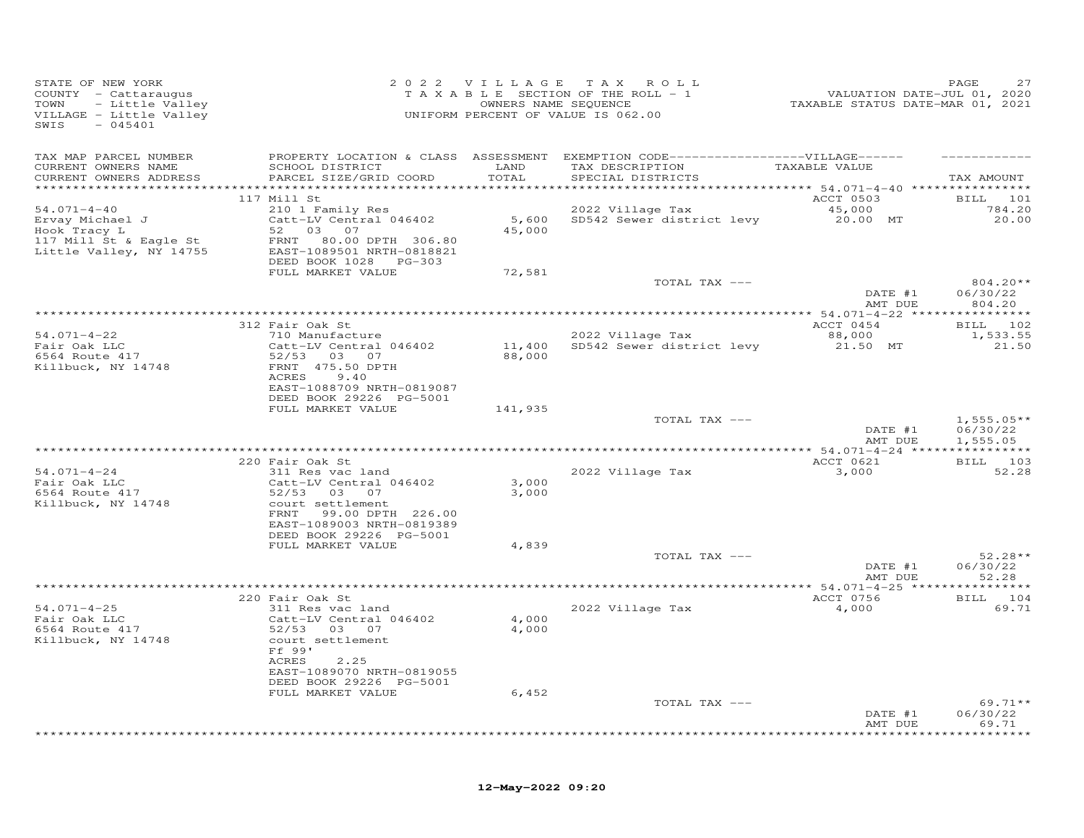| SWIS - 045401                                                          | STATE OF NEW YORK $2022$ VILLAGE TAX ROLL<br>COUNTY - Cattaraugus TAXABLE SECTION OF THE ROLL - 1<br>TOWN - Little Valley (WINERS NAME SEQUENCE<br>VILLAGE - Little Valley (WINERS NAME SEQUENCE<br>VILLAGE - Little Valley (WINERS NA |                |                                                                     | 27 PAGE<br>2020 VALUATION DATE-JUL<br>2021 TAXABLE STATUS DATE-MAR | PAGE<br>2.7                          |
|------------------------------------------------------------------------|----------------------------------------------------------------------------------------------------------------------------------------------------------------------------------------------------------------------------------------|----------------|---------------------------------------------------------------------|--------------------------------------------------------------------|--------------------------------------|
| TAX MAP PARCEL NUMBER<br>CURRENT OWNERS NAME<br>CURRENT OWNERS ADDRESS | PROPERTY LOCATION & CLASS ASSESSMENT EXEMPTION CODE-----------------VILLAGE------<br>SCHOOL DISTRICT LAND<br>PARCEL SIZE/GRID COORD                                                                                                    | TOTAL          | TAX DESCRIPTION TAXABLE VALUE<br>SPECIAL DISTRICTS                  |                                                                    | TAX AMOUNT                           |
|                                                                        | 117 Mill St                                                                                                                                                                                                                            |                |                                                                     | <b>ACCT 0503</b>                                                   | BILL 101                             |
| $54.071 - 4 - 40$                                                      | 210 1 Family Res<br>Catt-LV Central 046402                                                                                                                                                                                             |                | 2022 Village Tax                                                    |                                                                    | 784.20                               |
| Ervay Michael J<br>Hook Tracy L<br>117 Mill                            | ---- 11 acy 1<br>117 Mill St & Eagle St 52 03 07<br>Little Valley, NY 14755 EAST-1089501 NRTH-0818821                                                                                                                                  | 45,000         | 2022 Village Tax 45,000<br>5,600 SD542 Sewer district levy 20.00 MT |                                                                    | 20.00                                |
|                                                                        |                                                                                                                                                                                                                                        |                |                                                                     |                                                                    |                                      |
|                                                                        | FULL MARKET VALUE                                                                                                                                                                                                                      | 72,581         | TOTAL TAX ---                                                       | $\overline{\text{DATE}}$ #1                                        | 804.20**<br>06/30/22                 |
|                                                                        |                                                                                                                                                                                                                                        |                |                                                                     | AMT DUE                                                            | 804.20                               |
|                                                                        | 312 Fair Oak St                                                                                                                                                                                                                        |                |                                                                     | ACCT 0454                                                          | BILL 102                             |
| $54.071 - 4 - 22$                                                      | 710 Manufacture                                                                                                                                                                                                                        |                | 2022 Village Tax                                                    | 88,000<br>21.50 MT                                                 | 1,533.55                             |
| Fair Oak LLC<br>6564 Route 417<br>Killbuck, NY 14748                   | Catt-LV Central 046402<br>52/53 03 07<br>FRNT 475.50 DPTH                                                                                                                                                                              | 88,000         | 11,400 SD542 Sewer district levy                                    |                                                                    | 21.50                                |
|                                                                        | ACRES<br>9.40<br>EAST-1088709 NRTH-0819087<br>DEED BOOK 29226 PG-5001                                                                                                                                                                  |                |                                                                     |                                                                    |                                      |
|                                                                        | FULL MARKET VALUE                                                                                                                                                                                                                      | 141,935        |                                                                     |                                                                    |                                      |
|                                                                        |                                                                                                                                                                                                                                        |                | TOTAL TAX ---                                                       | DATE #1<br>AMT DUE                                                 | $1,555.05**$<br>06/30/22<br>1,555.05 |
|                                                                        |                                                                                                                                                                                                                                        |                |                                                                     |                                                                    |                                      |
| $54.071 - 4 - 24$<br>Fair Oak LLC<br>6564 Route 417                    | 220 Fair Oak St<br>220 Fair Oak St<br>311 Res vac land<br>Catt-LV Central 046402<br>$52/53$ 03 07                                                                                                                                      | 3,000<br>3,000 | 2022 Village Tax                                                    | ACCT 0621<br>3,000                                                 | BILL 103<br>52.28                    |
| Killbuck, NY 14748                                                     | court settlement<br>FRNT 99.00 DPTH 226.00<br>EAST-1089003 NRTH-0819389<br>DEED BOOK 29226 PG-5001                                                                                                                                     |                |                                                                     |                                                                    |                                      |
|                                                                        | FULL MARKET VALUE                                                                                                                                                                                                                      | 4,839          | TOTAL TAX ---                                                       |                                                                    | $52.28**$                            |
|                                                                        |                                                                                                                                                                                                                                        |                |                                                                     | DATE #1<br>AMT DUE                                                 | 06/30/22<br>52.28                    |
|                                                                        |                                                                                                                                                                                                                                        |                |                                                                     |                                                                    |                                      |
| $54.071 - 4 - 25$<br>Fair Oak LLC                                      | 220 Fair Oak St<br>311 Res vac land<br>Catt-LV Central 046402                                                                                                                                                                          | 4,000          | 2022 Village Tax                                                    | ACCT 0756<br>4,000                                                 | BILL 104<br>69.71                    |
| $5564$ Route $417$<br>$Ki11h$<br>Killbuck, NY 14748                    | 52/53 03 07<br>court settlement<br>Ff 99'<br>ACRES 2.25<br>EAST-1089070 NRTH-0819055<br>DEED BOOK 29226 PG-5001                                                                                                                        | 4,000          |                                                                     |                                                                    |                                      |
|                                                                        | FULL MARKET VALUE                                                                                                                                                                                                                      | 6,452          |                                                                     |                                                                    |                                      |
|                                                                        |                                                                                                                                                                                                                                        |                | TOTAL TAX ---                                                       | DATE #1<br>AMT DUE                                                 | $69.71**$<br>06/30/22<br>69.71       |
|                                                                        |                                                                                                                                                                                                                                        |                |                                                                     |                                                                    | *********                            |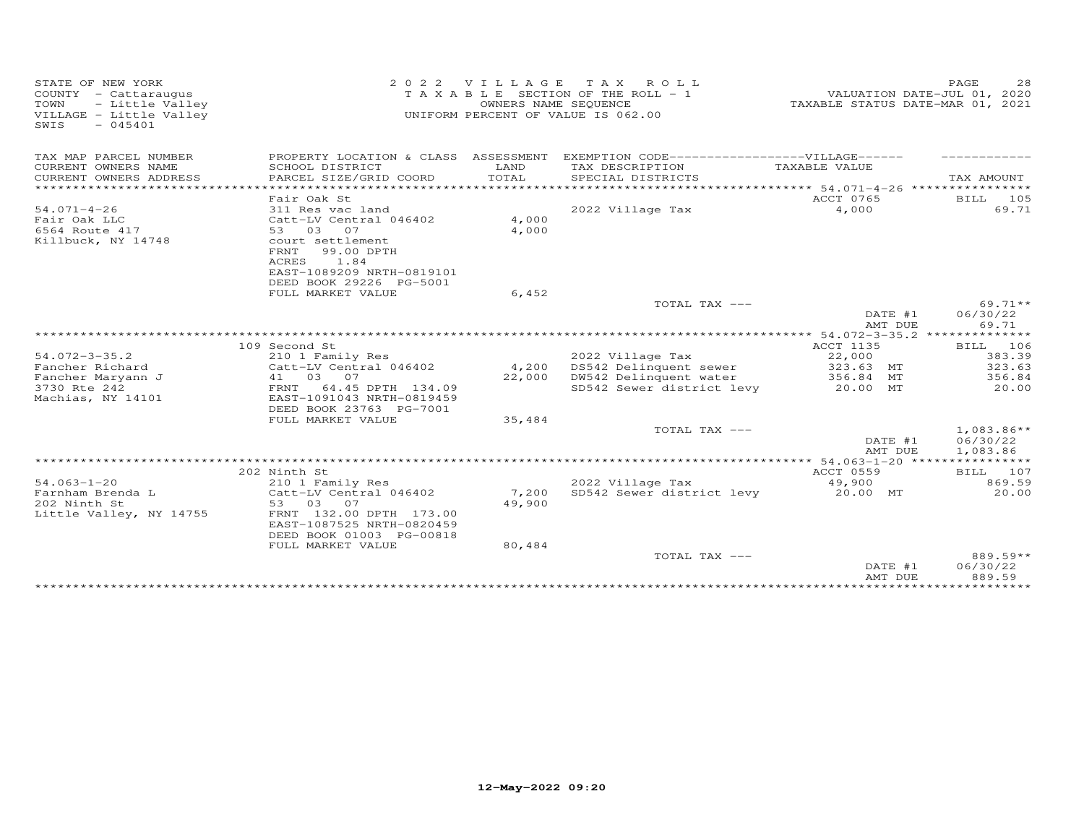| STATE OF NEW YORK<br>COUNTY - Cattaraugus<br>- Little Valley<br>TOWN<br>VILLAGE - Little Valley<br>SWIS<br>$-045401$ | VILLAGE<br>OWNERS NAME SEQUENCE                                                                                                                                                             | T A X<br>ROLL<br>TAXABLE SECTION OF THE ROLL - 1<br>UNIFORM PERCENT OF VALUE IS 062.00 |                                                                                                   | PAGE<br>VALUATION DATE-JUL 01, 2020<br>TAXABLE STATUS DATE-MAR 01, 2021 | 28                                  |  |
|----------------------------------------------------------------------------------------------------------------------|---------------------------------------------------------------------------------------------------------------------------------------------------------------------------------------------|----------------------------------------------------------------------------------------|---------------------------------------------------------------------------------------------------|-------------------------------------------------------------------------|-------------------------------------|--|
| TAX MAP PARCEL NUMBER<br>CURRENT OWNERS NAME<br>CURRENT OWNERS ADDRESS                                               | PROPERTY LOCATION & CLASS ASSESSMENT<br>SCHOOL DISTRICT<br>PARCEL SIZE/GRID COORD                                                                                                           | LAND<br>TOTAL                                                                          | EXEMPTION CODE-------------------VILLAGE------<br>TAX DESCRIPTION<br>SPECIAL DISTRICTS            | TAXABLE VALUE                                                           | TAX AMOUNT                          |  |
|                                                                                                                      |                                                                                                                                                                                             |                                                                                        |                                                                                                   |                                                                         |                                     |  |
| $54.071 - 4 - 26$<br>Fair Oak LLC<br>6564 Route 417<br>Killbuck, NY 14748                                            | Fair Oak St<br>311 Res vac land<br>Catt-LV Central 046402<br>53 03<br>07<br>court settlement<br>99.00 DPTH<br>FRNT<br>ACRES<br>1.84<br>EAST-1089209 NRTH-0819101<br>DEED BOOK 29226 PG-5001 | 4,000<br>4,000                                                                         | 2022 Village Tax                                                                                  | ACCT 0765<br>4,000                                                      | BILL 105<br>69.71                   |  |
|                                                                                                                      | FULL MARKET VALUE                                                                                                                                                                           | 6,452                                                                                  | TOTAL TAX ---                                                                                     |                                                                         | $69.71**$                           |  |
|                                                                                                                      |                                                                                                                                                                                             |                                                                                        |                                                                                                   | DATE #1<br>AMT DUE                                                      | 06/30/22<br>69.71                   |  |
|                                                                                                                      | 109 Second St                                                                                                                                                                               |                                                                                        |                                                                                                   | ACCT 1135                                                               | BILL 106                            |  |
| $54.072 - 3 - 35.2$<br>Fancher Richard<br>Fancher Maryann J<br>3730 Rte 242                                          | 210 1 Family Res<br>Catt-LV Central 046402<br>41 03 07<br>64.45 DPTH 134.09<br>FRNT                                                                                                         | 4,200<br>22,000                                                                        | 2022 Village Tax<br>DS542 Delinquent sewer<br>DW542 Delinquent water<br>SD542 Sewer district levy | 22,000<br>323.63 MT<br>356.84 MT<br>20.00 MT                            | 383.39<br>323.63<br>356.84<br>20.00 |  |
| Machias, NY 14101                                                                                                    | EAST-1091043 NRTH-0819459<br>DEED BOOK 23763 PG-7001<br>FULL MARKET VALUE                                                                                                                   | 35,484                                                                                 | TOTAL TAX ---                                                                                     |                                                                         | $1,083.86**$                        |  |
|                                                                                                                      |                                                                                                                                                                                             |                                                                                        |                                                                                                   | DATE #1<br>AMT DUE                                                      | 06/30/22<br>1,083.86                |  |
|                                                                                                                      |                                                                                                                                                                                             |                                                                                        |                                                                                                   |                                                                         |                                     |  |
| $54.063 - 1 - 20$<br>Farnham Brenda L<br>202 Ninth St<br>Little Valley, NY 14755                                     | 202 Ninth St<br>210 1 Family Res<br>Catt-LV Central 046402<br>53 03 07<br>FRNT 132.00 DPTH 173.00<br>EAST-1087525 NRTH-0820459<br>DEED BOOK 01003 PG-00818<br>FULL MARKET VALUE             | 7,200<br>49,900<br>80,484                                                              | 2022 Village Tax<br>SD542 Sewer district levy                                                     | ACCT 0559<br>49,900<br>20.00 MT                                         | BILL 107<br>869.59<br>20.00         |  |
|                                                                                                                      |                                                                                                                                                                                             |                                                                                        | TOTAL TAX ---                                                                                     | DATE #1<br>AMT DUE                                                      | 889.59**<br>06/30/22<br>889.59      |  |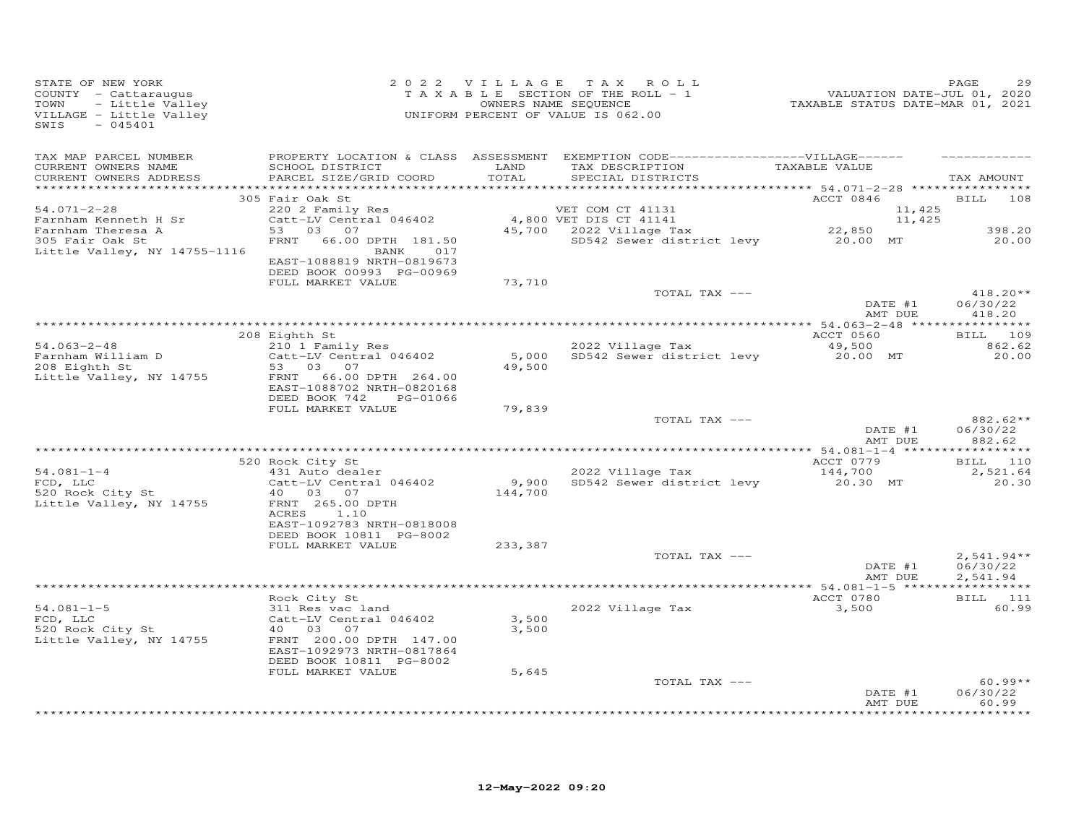| STATE OF NEW YORK<br>COUNTY - Cattaraugus<br>TOWN<br>- Little Valley<br>VILLAGE - Little Valley<br>SWIS<br>$-045401$ |                                                                                               |               | 2022 VILLAGE TAX ROLL<br>TAXABLE SECTION OF THE ROLL - 1<br>OWNERS NAME SEQUENCE<br>UNIFORM PERCENT OF VALUE IS 062.00                   | 23 14<br>VALUATION DATE-JUL 01, 2020<br>TAXABLE STATUS DATE-MAR 01, 2021 | PAGE                             |
|----------------------------------------------------------------------------------------------------------------------|-----------------------------------------------------------------------------------------------|---------------|------------------------------------------------------------------------------------------------------------------------------------------|--------------------------------------------------------------------------|----------------------------------|
| TAX MAP PARCEL NUMBER<br>CURRENT OWNERS NAME<br>CURRENT OWNERS ADDRESS                                               | SCHOOL DISTRICT<br>PARCEL SIZE/GRID COORD                                                     | LAND<br>TOTAL | PROPERTY LOCATION & CLASS ASSESSMENT EXEMPTION CODE------------------VILLAGE------<br>TAX DESCRIPTION TAXABLE VALUE<br>SPECIAL DISTRICTS |                                                                          | TAX AMOUNT                       |
|                                                                                                                      | 305 Fair Oak St                                                                               |               |                                                                                                                                          | ACCT 0846                                                                | BILL 108                         |
| 54.071-2-28                                                                                                          | 220 2 Family Res                                                                              |               |                                                                                                                                          | 11,425                                                                   |                                  |
| Farnham Kenneth H Sr<br>Farnham Theresa A                                                                            | Catt-LV Central 046402<br>53 03 07                                                            |               | 4,800 VET DIS CT 41141                                                                                                                   | 11,425                                                                   | 398.20                           |
| 305 Fair Oak St<br>Little Valley, NY 14755-1116                                                                      | FRNT 66.00 DPTH 181.50<br>BANK 017                                                            |               | VET COM CT 41131 11,4<br>4,800 VET DIS CT 41141 11,4<br>45,700 2022 Village Tax 22,850<br>SD542 Sewer district levy 20.00 MT             |                                                                          | 20.00                            |
|                                                                                                                      | EAST-1088819 NRTH-0819673<br>DEED BOOK 00993 PG-00969<br>FULL MARKET VALUE                    | 73,710        |                                                                                                                                          |                                                                          |                                  |
|                                                                                                                      |                                                                                               |               | TOTAL TAX ---                                                                                                                            | DATE #1<br>AMT DUE                                                       | $418.20**$<br>06/30/22<br>418.20 |
|                                                                                                                      |                                                                                               |               |                                                                                                                                          |                                                                          |                                  |
|                                                                                                                      | 208 Eighth St                                                                                 |               |                                                                                                                                          | ACCT 0560                                                                | BILL 109                         |
| $54.063 - 2 - 48$                                                                                                    | 210 1 Family Res<br>Catt-LV Central 046402                                                    |               | 2022 Village Tax<br>5,000 SD542 Sewer district levy 20.00 MT                                                                             | 49,500                                                                   | 862.62<br>20.00                  |
| Farnham William D<br>208 Eighth St                                                                                   | 53 03 07                                                                                      | 49,500        |                                                                                                                                          |                                                                          |                                  |
| Little Valley, NY 14755                                                                                              | FRNT 66.00 DPTH 264.00<br>EAST-1088702 NRTH-0820168<br>DEED BOOK 742<br>PG-01066              |               |                                                                                                                                          |                                                                          |                                  |
|                                                                                                                      | FULL MARKET VALUE                                                                             | 79,839        |                                                                                                                                          |                                                                          |                                  |
|                                                                                                                      |                                                                                               |               | TOTAL TAX ---                                                                                                                            | DATE #1<br>AMT DUE                                                       | 882.62**<br>06/30/22<br>882.62   |
|                                                                                                                      |                                                                                               |               |                                                                                                                                          |                                                                          | BILL 110                         |
| $54.081 - 1 - 4$                                                                                                     | 520 Rock City St<br>431 Auto dealer                                                           |               | 2022 Village Tax                                                                                                                         | ACCT 0779<br>144,700                                                     | 2,521.64                         |
| FCD, LLC<br>520 Rock City St<br>Little Valley, NY 14755                                                              | Catt-LV Central 046402<br>40 03 07<br>FRNT 265.00 DPTH                                        | 144,700       | 2022 Village Tax<br>9,900 SD542 Sewer district levy                                                                                      | 20.30 MT                                                                 | 20.30                            |
|                                                                                                                      | ACRES 1.10<br>EAST-1092783 NRTH-0818008<br>DEED BOOK 10811 PG-8002                            |               |                                                                                                                                          |                                                                          |                                  |
|                                                                                                                      | FULL MARKET VALUE                                                                             | 233,387       | TOTAL TAX ---                                                                                                                            |                                                                          | $2,541.94**$                     |
|                                                                                                                      |                                                                                               |               |                                                                                                                                          | DATE #1<br>AMT DUE                                                       | 06/30/22<br>2,541.94             |
|                                                                                                                      | Rock City St                                                                                  |               |                                                                                                                                          | ACCT 0780                                                                | BILL 111                         |
| $54.081 - 1 - 5$<br>FCD, LLC                                                                                         | 311 Res vac land<br>Catt-LV Central 046402                                                    | 3,500         | 2022 Village Tax                                                                                                                         | 3,500                                                                    | 60.99                            |
| $520$ Rock City St<br>Little Valley, NY 14755                                                                        | 40  03  07<br>FRNT 200.00 DPTH 147.00<br>EAST-1092973 NRTH-0817864<br>DEED BOOK 10811 PG-8002 | 3,500         |                                                                                                                                          |                                                                          |                                  |
|                                                                                                                      | FULL MARKET VALUE                                                                             | 5,645         |                                                                                                                                          |                                                                          |                                  |
|                                                                                                                      |                                                                                               |               | TOTAL TAX ---                                                                                                                            | DATE #1                                                                  | $60.99**$<br>06/30/22<br>60.99   |
|                                                                                                                      |                                                                                               |               |                                                                                                                                          | AMT DUE                                                                  | ***********                      |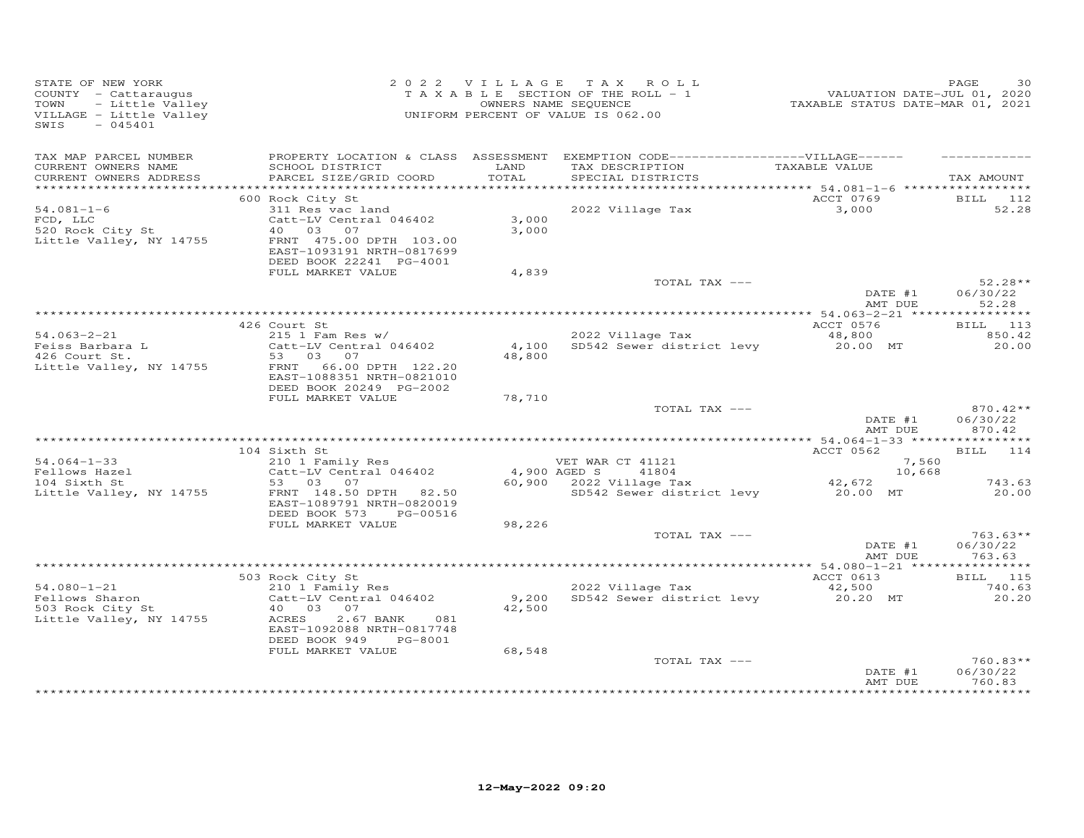| STATE OF NEW YORK<br>COUNTY - Cattaraugus<br>TOWN<br>VILLAGE - Little Valley<br>SWIS<br>$-045401$ | OF NEW YORK PAGE 30<br>Y - Cattaraugus Cattaraugus Cattaraugus TAXABLE SECTION OF THE ROLL - 1<br>- Little Valley CONNERS NAME SEQUENCE CONNERS NAME SEQUENCE<br>THE SECTION OF THE ROLL - 1<br>- 2021 CONNERS NAME SEQUENCE CONNERS N     |               |                                                                     |           |                                                                          |                      |
|---------------------------------------------------------------------------------------------------|--------------------------------------------------------------------------------------------------------------------------------------------------------------------------------------------------------------------------------------------|---------------|---------------------------------------------------------------------|-----------|--------------------------------------------------------------------------|----------------------|
| TAX MAP PARCEL NUMBER                                                                             | PROPERTY LOCATION & CLASS ASSESSMENT EXEMPTION CODE------------------VILLAGE------                                                                                                                                                         |               |                                                                     |           |                                                                          |                      |
| CURRENT OWNERS NAME<br>CURRENT OWNERS ADDRESS                                                     | SCHOOL DISTRICT<br>PARCEL SIZE/GRID COORD                                                                                                                                                                                                  | LAND<br>TOTAL | TAX DESCRIPTION TAXABLE VALUE<br>SPECIAL DISTRICTS                  |           |                                                                          | TAX AMOUNT           |
|                                                                                                   |                                                                                                                                                                                                                                            |               |                                                                     |           |                                                                          |                      |
|                                                                                                   | 600 Rock City St                                                                                                                                                                                                                           |               |                                                                     | ACCT 0769 |                                                                          | <b>BILL</b> 112      |
| $54.081 - 1 - 6$<br>$FCD$ , LLC<br>FCD, LLC<br>520 Rock City St                                   | Note that<br>311 Res vac land<br>Catt-LV Central 046402 3,000<br>40 03 07 3,000                                                                                                                                                            |               | 2022 Village Tax 3,000                                              |           |                                                                          | 52.28                |
| Little Valley, NY 14755                                                                           | 40 03 07<br>FRNT 475.00 DPTH 103.00<br>EAST-1093191 NRTH-0817699                                                                                                                                                                           | 3,000         |                                                                     |           |                                                                          |                      |
|                                                                                                   | DEED BOOK 22241 PG-4001<br>FULL MARKET VALUE                                                                                                                                                                                               | 4,839         |                                                                     |           |                                                                          |                      |
|                                                                                                   |                                                                                                                                                                                                                                            |               | TOTAL TAX ---                                                       |           | DATE #1                                                                  | $52.28**$            |
|                                                                                                   |                                                                                                                                                                                                                                            |               |                                                                     |           | AMT DUE                                                                  | 06/30/22<br>52.28    |
|                                                                                                   |                                                                                                                                                                                                                                            |               |                                                                     |           |                                                                          |                      |
|                                                                                                   | 426 Court St                                                                                                                                                                                                                               |               | 2022 Village Tax                                                    | ACCT 0576 |                                                                          | <b>BILL</b> 113      |
|                                                                                                   |                                                                                                                                                                                                                                            |               | 2022 Village Tax 48,800<br>4,100 SD542 Sewer district levy 20.00 MT |           |                                                                          | 850.42<br>20.00      |
|                                                                                                   |                                                                                                                                                                                                                                            | 48,800        |                                                                     |           |                                                                          |                      |
|                                                                                                   | 54.063-2-21<br>Feiss Barbara L<br>Teiss Barbara L<br>426 Court St.<br>53 03 07<br>Little Valley, NY 14755<br>ERNT 66.00 DPTH 122.20<br>EAST-1088351 NRTH-0821010                                                                           |               |                                                                     |           |                                                                          |                      |
|                                                                                                   | DEED BOOK 20249 PG-2002                                                                                                                                                                                                                    |               |                                                                     |           |                                                                          |                      |
|                                                                                                   | FULL MARKET VALUE                                                                                                                                                                                                                          | 78,710        | TOTAL TAX ---                                                       |           |                                                                          | $870.42**$           |
|                                                                                                   |                                                                                                                                                                                                                                            |               |                                                                     |           | DATE #1<br>AMT DUE                                                       | 06/30/22<br>870.42   |
|                                                                                                   |                                                                                                                                                                                                                                            |               |                                                                     |           |                                                                          |                      |
|                                                                                                   |                                                                                                                                                                                                                                            |               |                                                                     |           |                                                                          | BILL 114             |
|                                                                                                   |                                                                                                                                                                                                                                            |               |                                                                     |           |                                                                          |                      |
|                                                                                                   |                                                                                                                                                                                                                                            |               |                                                                     |           |                                                                          | 743.63               |
|                                                                                                   | 104 Sixth St<br>54.064-1-33 210 1 Family Res<br>Fellows Hazel 210 1 Family Res<br>Catt-LV Central 046402 4,900 AGED S 41804 10,668<br>53 03 07 42,672 60,900 2022 Village Tax<br>10,668 53 03 07 550 60,900 2022 Village Tax<br>5542 Sewer |               |                                                                     |           |                                                                          | 20.00                |
|                                                                                                   | DEED BOOK 573 PG-00516<br>FULL MARKET VALUE                                                                                                                                                                                                | 98,226        |                                                                     |           |                                                                          |                      |
|                                                                                                   |                                                                                                                                                                                                                                            |               | TOTAL TAX ---                                                       |           |                                                                          | $763.63**$           |
|                                                                                                   |                                                                                                                                                                                                                                            |               |                                                                     |           | $\begin{array}{cc}\n\text{DATE} & \#1 \\ \hline\n\end{array}$<br>AMT DUE | 06/30/22<br>763.63   |
|                                                                                                   |                                                                                                                                                                                                                                            |               |                                                                     |           |                                                                          |                      |
|                                                                                                   |                                                                                                                                                                                                                                            |               |                                                                     | ACCT 0613 |                                                                          | <b>BILL</b> 115      |
|                                                                                                   |                                                                                                                                                                                                                                            |               |                                                                     |           |                                                                          | 740.63               |
|                                                                                                   | Catt-LV Central 046402<br>40  03  07                                                                                                                                                                                                       |               |                                                                     |           |                                                                          | 20.20                |
|                                                                                                   | DEED BOOK 949 PG-8001                                                                                                                                                                                                                      |               |                                                                     |           |                                                                          |                      |
|                                                                                                   | FULL MARKET VALUE                                                                                                                                                                                                                          | 68,548        |                                                                     |           |                                                                          |                      |
|                                                                                                   |                                                                                                                                                                                                                                            |               | TOTAL TAX ---                                                       |           | DATE #1                                                                  | 760.83**<br>06/30/22 |
|                                                                                                   |                                                                                                                                                                                                                                            |               |                                                                     |           | AMT DUE                                                                  | 760.83               |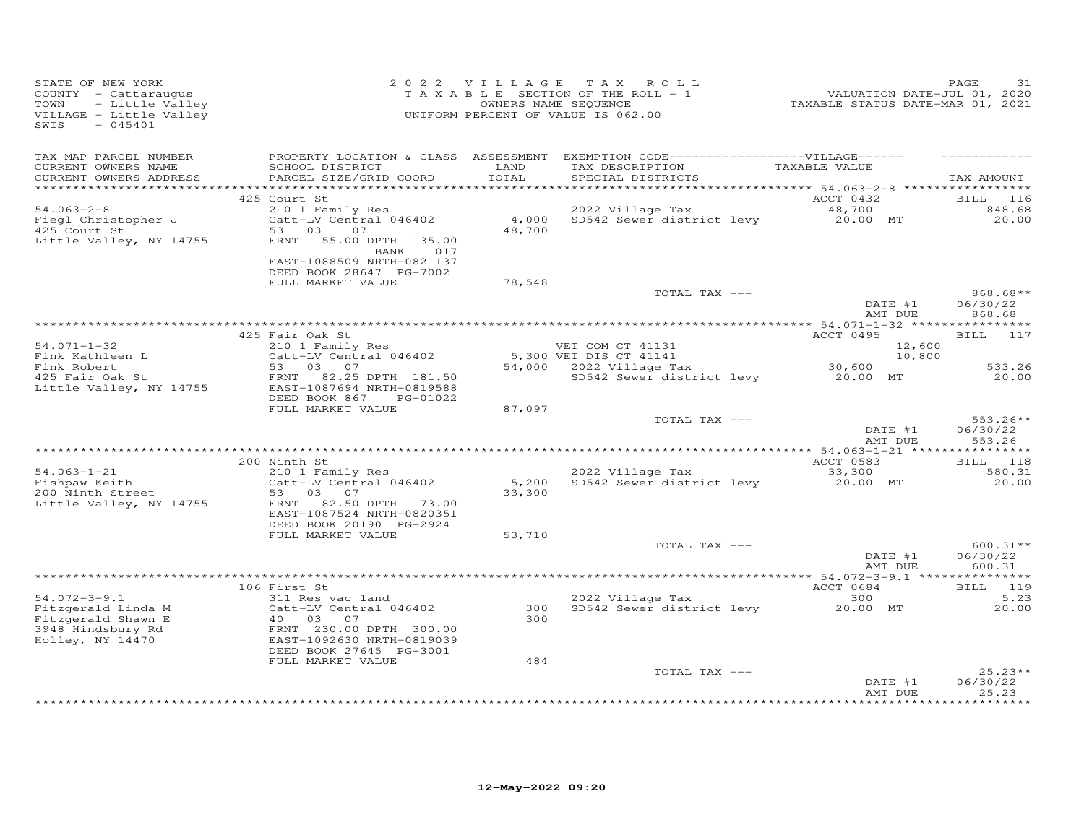| STATE OF NEW YORK<br>COUNTY - Cattaraugus<br>TOWN<br>- Little Valley<br>VILLAGE - Little Valley<br>SWIS<br>$-045401$ |                                                                                                                                                                                  | 2022 VILLAGE    | TAX ROLL<br>TAXABLE SECTION OF THE ROLL - 1<br>OWNERS NAME SEQUENCE<br>UNIFORM PERCENT OF VALUE IS 062.00                  | VALUATION DATE-JUL 01, 2020<br>TAXABLE STATUS DATE-MAR 01, 2021 | PAGE<br>31                            |
|----------------------------------------------------------------------------------------------------------------------|----------------------------------------------------------------------------------------------------------------------------------------------------------------------------------|-----------------|----------------------------------------------------------------------------------------------------------------------------|-----------------------------------------------------------------|---------------------------------------|
| TAX MAP PARCEL NUMBER<br>CURRENT OWNERS NAME<br>CURRENT OWNERS ADDRESS                                               | SCHOOL DISTRICT<br>PARCEL SIZE/GRID COORD                                                                                                                                        | LAND<br>TOTAL   | PROPERTY LOCATION & CLASS ASSESSMENT EXEMPTION CODE------------------VILLAGE------<br>TAX DESCRIPTION<br>SPECIAL DISTRICTS | TAXABLE VALUE                                                   | TAX AMOUNT                            |
| $54.063 - 2 - 8$<br>Fiegl Christopher J<br>425 Court St<br>Little Valley, NY 14755                                   | 425 Court St<br>210 1 Family Res<br>Catt-LV Central 046402<br>03<br>53<br>07<br>55.00 DPTH 135.00<br>FRNT<br>017<br>BANK<br>EAST-1088509 NRTH-0821137<br>DEED BOOK 28647 PG-7002 | 4,000<br>48,700 | 2022 Village Tax<br>SD542 Sewer district levy                                                                              | ACCT 0432<br>48,700<br>20.00 MT                                 | <b>BILL</b><br>116<br>848.68<br>20.00 |
|                                                                                                                      | FULL MARKET VALUE                                                                                                                                                                | 78,548          | TOTAL TAX ---                                                                                                              | DATE #1                                                         | 868.68**<br>06/30/22                  |
|                                                                                                                      | 425 Fair Oak St                                                                                                                                                                  |                 |                                                                                                                            | AMT DUE<br>ACCT 0495                                            | 868.68<br>BILL 117                    |
| $54.071 - 1 - 32$<br>Fink Kathleen L<br>Fink Robert<br>425 Fair Oak St<br>Little Valley, NY 14755                    | 210 1 Family Res<br>Catt-LV Central 046402<br>53 03<br>07<br>FRNT 82.25 DPTH 181.50<br>EAST-1087694 NRTH-0819588                                                                 |                 | VET COM CT 41131<br>5,300 VET DIS CT 41141<br>54,000 2022 Village Tax<br>SD542 Sewer district levy                         | 12,600<br>10,800<br>30,600<br>20.00 MT                          | 533.26<br>20.00                       |
|                                                                                                                      | DEED BOOK 867<br>PG-01022<br>FULL MARKET VALUE                                                                                                                                   | 87,097          | TOTAL TAX ---                                                                                                              | DATE #1                                                         | $553.26**$<br>06/30/22                |
|                                                                                                                      |                                                                                                                                                                                  |                 |                                                                                                                            | AMT DUE                                                         | 553.26                                |
| $54.063 - 1 - 21$<br>Fishpaw Keith                                                                                   | 200 Ninth St<br>210 1 Family Res<br>Catt-LV Central 046402                                                                                                                       | 5,200           | 2022 Village Tax<br>SD542 Sewer district levy                                                                              | ACCT 0583<br>33,300<br>20.00 MT                                 | BILL 118<br>580.31<br>20.00           |
| 200 Ninth Street<br>Little Valley, NY 14755                                                                          | 53<br>03<br>07<br>82.50 DPTH 173.00<br>FRNT<br>EAST-1087524 NRTH-0820351<br>DEED BOOK 20190 PG-2924                                                                              | 33,300          |                                                                                                                            |                                                                 |                                       |
|                                                                                                                      | FULL MARKET VALUE                                                                                                                                                                | 53,710          | TOTAL TAX ---                                                                                                              | DATE #1<br>AMT DUE                                              | $600.31**$<br>06/30/22<br>600.31      |
|                                                                                                                      |                                                                                                                                                                                  |                 |                                                                                                                            |                                                                 |                                       |
| $54.072 - 3 - 9.1$<br>Fitzgerald Linda M<br>Fitzgerald Shawn E<br>3948 Hindsbury Rd<br>Holley, NY 14470              | 106 First St<br>311 Res vac land<br>Catt-LV Central 046402<br>40 03<br>07<br>FRNT 230.00 DPTH 300.00<br>EAST-1092630 NRTH-0819039                                                | 300<br>300      | 2022 Village Tax<br>SD542 Sewer district levy                                                                              | ACCT 0684<br>300<br>20.00 MT                                    | BILL 119<br>5.23<br>20.00             |
|                                                                                                                      | DEED BOOK 27645 PG-3001<br>FULL MARKET VALUE                                                                                                                                     | 484             | TOTAL TAX ---                                                                                                              | DATE #1<br>AMT DUE                                              | $25.23**$<br>06/30/22<br>25.23        |
|                                                                                                                      |                                                                                                                                                                                  |                 |                                                                                                                            | *****************                                               | ***********                           |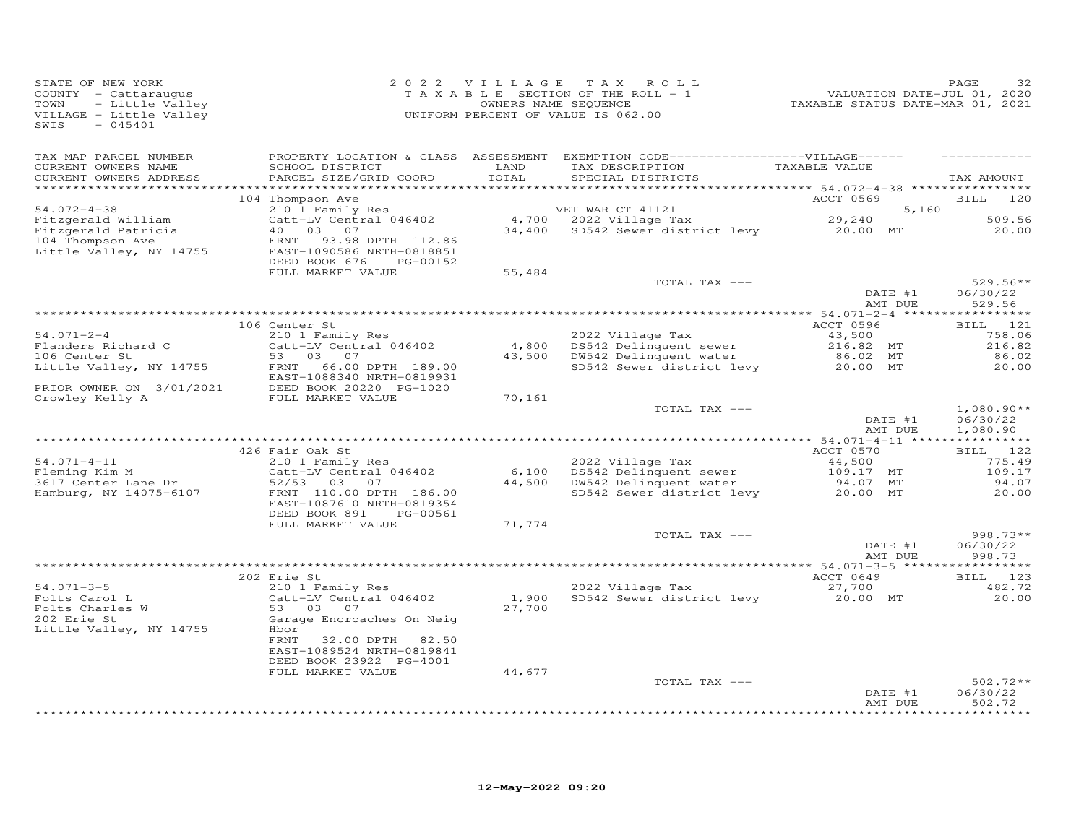| STATE OF NEW YORK<br>COUNTY - Cattaraugus<br>TOWN<br>- Little Valley<br>VILLAGE - Little Valley<br>$-045401$<br>SWIS |                                                                                     |                 | 2022 VILLAGE TAX<br>ROLL<br>T A X A B L E SECTION OF THE ROLL - 1<br>OWNERS NAME SEQUENCE<br>UNIFORM PERCENT OF VALUE IS 062.00 | TAXABLE STATUS DATE-MAR 01, 2021 | PAGE<br>32<br>VALUATION DATE-JUL 01, 2020 |
|----------------------------------------------------------------------------------------------------------------------|-------------------------------------------------------------------------------------|-----------------|---------------------------------------------------------------------------------------------------------------------------------|----------------------------------|-------------------------------------------|
| TAX MAP PARCEL NUMBER<br>CURRENT OWNERS NAME<br>CURRENT OWNERS ADDRESS<br>***********************                    | SCHOOL DISTRICT<br>PARCEL SIZE/GRID COORD                                           | LAND<br>TOTAL   | PROPERTY LOCATION & CLASS ASSESSMENT EXEMPTION CODE-----------------VILLAGE------<br>TAX DESCRIPTION<br>SPECIAL DISTRICTS       | TAXABLE VALUE                    | TAX AMOUNT                                |
|                                                                                                                      | 104 Thompson Ave                                                                    |                 |                                                                                                                                 | ACCT 0569                        | 120<br>BILL                               |
| $54.072 - 4 - 38$                                                                                                    | 210 1 Family Res                                                                    |                 | VET WAR CT 41121                                                                                                                |                                  | 5,160                                     |
| Fitzgerald William<br>Fitzgerald Patricia                                                                            | Catt-LV Central 046402<br>40<br>03<br>07                                            | 34,400          | 4,700 2022 Village Tax<br>SD542 Sewer district levy 20.00 MT                                                                    | 29,240                           | 509.56<br>20.00                           |
| 104 Thompson Ave<br>Little Valley, NY 14755                                                                          | 93.98 DPTH 112.86<br>FRNT<br>EAST-1090586 NRTH-0818851<br>DEED BOOK 676<br>PG-00152 |                 |                                                                                                                                 |                                  |                                           |
|                                                                                                                      | FULL MARKET VALUE                                                                   | 55,484          |                                                                                                                                 |                                  |                                           |
|                                                                                                                      |                                                                                     |                 | TOTAL TAX ---                                                                                                                   | DATE #1                          | $529.56**$<br>06/30/22                    |
|                                                                                                                      |                                                                                     |                 |                                                                                                                                 | AMT DUE                          | 529.56                                    |
|                                                                                                                      |                                                                                     |                 |                                                                                                                                 |                                  |                                           |
|                                                                                                                      | 106 Center St                                                                       |                 |                                                                                                                                 | ACCT 0596                        | BILL 121                                  |
| $54.071 - 2 - 4$                                                                                                     | 210 1 Family Res                                                                    |                 | 2022 Village Tax                                                                                                                | 43,500                           | 758.06                                    |
| Flanders Richard C<br>106 Center St                                                                                  | Catt-LV Central 046402<br>53 03<br>07                                               | 4,800<br>43,500 | DS542 Delinquent sewer<br>DW542 Delinquent water                                                                                | 216.82 MT<br>86.02 MT            | 216.82<br>86.02                           |
| Little Valley, NY 14755                                                                                              | 66.00 DPTH 189.00<br>FRNT                                                           |                 | SD542 Sewer district levy                                                                                                       | 20.00 MT                         | 20.00                                     |
|                                                                                                                      | EAST-1088340 NRTH-0819931                                                           |                 |                                                                                                                                 |                                  |                                           |
| PRIOR OWNER ON 3/01/2021                                                                                             | DEED BOOK 20220 PG-1020                                                             |                 |                                                                                                                                 |                                  |                                           |
| Crowley Kelly A                                                                                                      | FULL MARKET VALUE                                                                   | 70,161          |                                                                                                                                 |                                  |                                           |
|                                                                                                                      |                                                                                     |                 | TOTAL TAX ---                                                                                                                   | DATE #1<br>AMT DUE               | $1,080.90**$<br>06/30/22<br>1,080.90      |
|                                                                                                                      |                                                                                     |                 |                                                                                                                                 |                                  |                                           |
| $54.071 - 4 - 11$                                                                                                    | 426 Fair Oak St<br>210 1 Family Res                                                 |                 | 2022 Village Tax                                                                                                                | ACCT 0570<br>44,500              | BILL 122<br>775.49                        |
| Fleming Kim M                                                                                                        | Catt-LV Central 046402                                                              | 6,100           | DS542 Delinquent sewer                                                                                                          | 109.17 MT                        | 109.17                                    |
| 3617 Center Lane Dr                                                                                                  | $52/53$ 03<br>07                                                                    | 44,500          | DW542 Delinquent water                                                                                                          | 94.07 MT                         | 94.07                                     |
| Hamburg, NY 14075-6107                                                                                               | FRNT 110.00 DPTH 186.00<br>EAST-1087610 NRTH-0819354<br>DEED BOOK 891<br>PG-00561   |                 | SD542 Sewer district levy                                                                                                       | 20.00 MT                         | 20.00                                     |
|                                                                                                                      | FULL MARKET VALUE                                                                   | 71,774          |                                                                                                                                 |                                  |                                           |
|                                                                                                                      |                                                                                     |                 | TOTAL TAX ---                                                                                                                   |                                  | $998.73**$                                |
|                                                                                                                      |                                                                                     |                 |                                                                                                                                 | DATE #1<br>AMT DUE               | 06/30/22<br>998.73                        |
|                                                                                                                      | 202 Erie St                                                                         |                 |                                                                                                                                 | ACCT 0649                        | 123<br>BILL                               |
| $54.071 - 3 - 5$                                                                                                     | 210 1 Family Res                                                                    |                 | 2022 Village Tax                                                                                                                | 27,700                           | 482.72                                    |
| Folts Carol L                                                                                                        | Catt-LV Central 046402                                                              | 1,900           | SD542 Sewer district levy                                                                                                       | 20.00 MT                         | 20.00                                     |
| Folts Charles W<br>202 Erie St<br>Little Valley, NY 14755                                                            | 03<br>53<br>07<br>Garage Encroaches On Neig<br>Hbor<br>FRNT<br>32.00 DPTH<br>82.50  | 27,700          |                                                                                                                                 |                                  |                                           |
|                                                                                                                      | EAST-1089524 NRTH-0819841                                                           |                 |                                                                                                                                 |                                  |                                           |
|                                                                                                                      | DEED BOOK 23922 PG-4001<br>FULL MARKET VALUE                                        | 44,677          |                                                                                                                                 |                                  |                                           |
|                                                                                                                      |                                                                                     |                 | TOTAL TAX ---                                                                                                                   |                                  | $502.72**$                                |
|                                                                                                                      |                                                                                     |                 |                                                                                                                                 | DATE #1<br>AMT DUE               | 06/30/22<br>502.72                        |
|                                                                                                                      |                                                                                     |                 |                                                                                                                                 |                                  | *********                                 |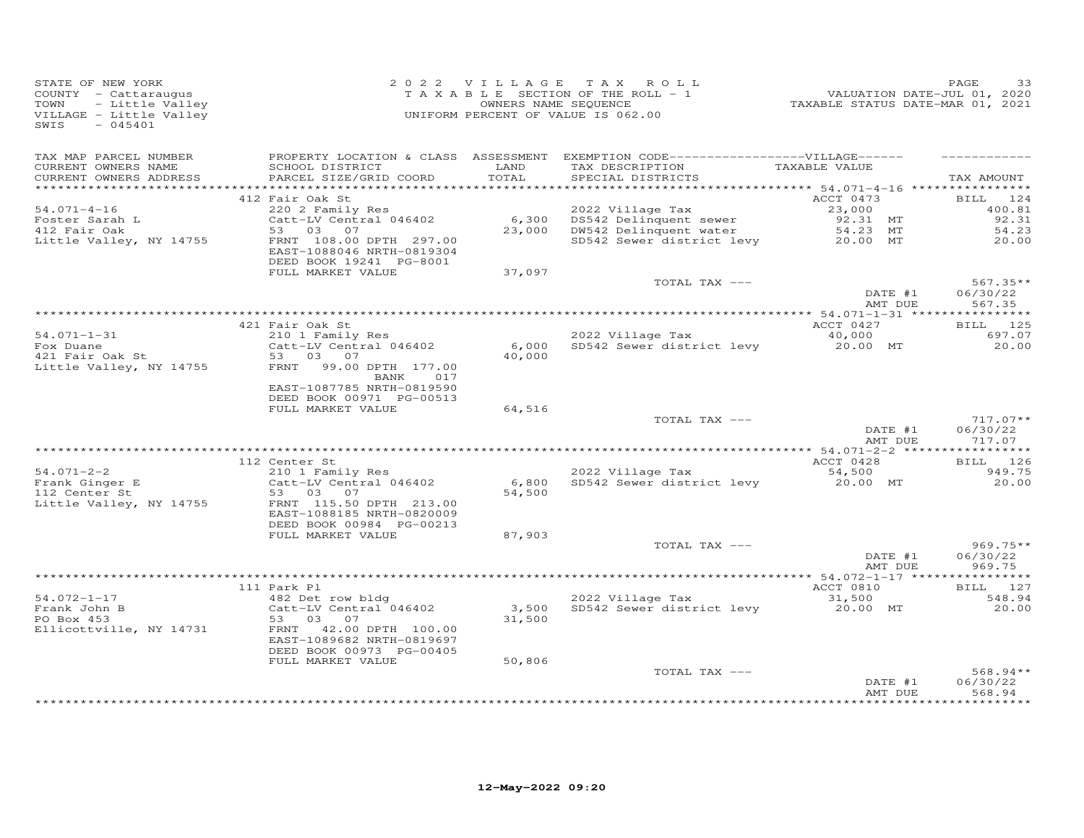| STATE OF NEW YORK<br>COUNTY - Cattaraugus<br>TOWN<br>- Little Valley<br>VILLAGE - Little Valley<br>$-045401$<br>SWIS |                                                                                  | 2022 VILLAGE    | TAX ROLL<br>TAXABLE SECTION OF THE ROLL - 1<br>OWNERS NAME SEQUENCE<br>UNIFORM PERCENT OF VALUE IS 062.00                 | VALUATION DATE-JUL 01, 2020<br>TAXABLE STATUS DATE-MAR 01, 2021 | PAGE<br>33                       |
|----------------------------------------------------------------------------------------------------------------------|----------------------------------------------------------------------------------|-----------------|---------------------------------------------------------------------------------------------------------------------------|-----------------------------------------------------------------|----------------------------------|
| TAX MAP PARCEL NUMBER<br>CURRENT OWNERS NAME<br>CURRENT OWNERS ADDRESS<br>*************************                  | SCHOOL DISTRICT<br>PARCEL SIZE/GRID COORD                                        | LAND<br>TOTAL   | PROPERTY LOCATION & CLASS ASSESSMENT EXEMPTION CODE-----------------VILLAGE------<br>TAX DESCRIPTION<br>SPECIAL DISTRICTS | TAXABLE VALUE                                                   | TAX AMOUNT                       |
|                                                                                                                      | 412 Fair Oak St                                                                  |                 |                                                                                                                           | ACCT 0473                                                       | <b>BILL</b><br>124               |
| $54.071 - 4 - 16$<br>Foster Sarah L<br>412 Fair Oak                                                                  | 220 2 Family Res<br>Catt-LV Central 046402<br>53 03<br>07                        | 6,300<br>23,000 | 2022 Village Tax<br>DS542 Delinquent sewer<br>DW542 Delinquent water                                                      | 23,000<br>92.31 MT<br>54.23 MT                                  | 400.81<br>92.31<br>54.23         |
| Little Valley, NY 14755                                                                                              | FRNT 108.00 DPTH 297.00<br>EAST-1088046 NRTH-0819304<br>DEED BOOK 19241 PG-8001  |                 | SD542 Sewer district levy                                                                                                 | 20.00 MT                                                        | 20.00                            |
|                                                                                                                      | FULL MARKET VALUE                                                                | 37,097          |                                                                                                                           |                                                                 |                                  |
|                                                                                                                      |                                                                                  |                 | TOTAL TAX ---                                                                                                             | DATE #1<br>AMT DUE                                              | $567.35**$<br>06/30/22<br>567.35 |
|                                                                                                                      |                                                                                  |                 |                                                                                                                           |                                                                 |                                  |
|                                                                                                                      | 421 Fair Oak St                                                                  |                 |                                                                                                                           | ACCT 0427                                                       | BILL 125                         |
| $54.071 - 1 - 31$<br>Fox Duane                                                                                       | 210 1 Family Res<br>Catt-LV Central 046402                                       | 6,000           | 2022 Village Tax<br>SD542 Sewer district levy                                                                             | 40,000<br>20.00 MT                                              | 697.07<br>20,00                  |
| 421 Fair Oak St                                                                                                      | 53 03 07                                                                         | 40,000          |                                                                                                                           |                                                                 |                                  |
| Little Valley, NY 14755                                                                                              | FRNT<br>99.00 DPTH 177.00<br>017<br>BANK<br>EAST-1087785 NRTH-0819590            |                 |                                                                                                                           |                                                                 |                                  |
|                                                                                                                      | DEED BOOK 00971 PG-00513<br>FULL MARKET VALUE                                    | 64,516          |                                                                                                                           |                                                                 |                                  |
|                                                                                                                      |                                                                                  |                 | TOTAL TAX ---                                                                                                             | DATE #1                                                         | $717.07**$<br>06/30/22           |
|                                                                                                                      |                                                                                  |                 |                                                                                                                           | AMT DUE                                                         | 717.07                           |
|                                                                                                                      | 112 Center St                                                                    |                 |                                                                                                                           | ACCT 0428                                                       | BILL 126                         |
| $54.071 - 2 - 2$                                                                                                     | 210 1 Family Res                                                                 |                 | 2022 Village Tax                                                                                                          | 54,500                                                          | 949.75                           |
| Frank Ginger E<br>112 Center St                                                                                      | Catt-LV Central 046402<br>03<br>53<br>07                                         | 6,800<br>54,500 | SD542 Sewer district levy                                                                                                 | 20.00 MT                                                        | 20,00                            |
| Little Valley, NY 14755                                                                                              | FRNT 115.50 DPTH 213.00<br>EAST-1088185 NRTH-0820009<br>DEED BOOK 00984 PG-00213 |                 |                                                                                                                           |                                                                 |                                  |
|                                                                                                                      | FULL MARKET VALUE                                                                | 87,903          |                                                                                                                           |                                                                 |                                  |
|                                                                                                                      |                                                                                  |                 | TOTAL TAX ---                                                                                                             | DATE #1<br>AMT DUE                                              | $969.75**$<br>06/30/22<br>969.75 |
|                                                                                                                      |                                                                                  |                 |                                                                                                                           |                                                                 |                                  |
|                                                                                                                      | 111 Park Pl                                                                      |                 |                                                                                                                           | ACCT 0810                                                       | BILL 127                         |
| $54.072 - 1 - 17$<br>Frank John B<br>PO Box 453                                                                      | 482 Det row bldg<br>Catt-LV Central 046402<br>53<br>03<br>07                     | 3,500<br>31,500 | 2022 Village Tax<br>SD542 Sewer district levy                                                                             | 31,500<br>20.00 MT                                              | 548.94<br>20,00                  |
| Ellicottville, NY 14731                                                                                              | FRNT 42.00 DPTH 100.00<br>EAST-1089682 NRTH-0819697<br>DEED BOOK 00973 PG-00405  |                 |                                                                                                                           |                                                                 |                                  |
|                                                                                                                      | FULL MARKET VALUE                                                                | 50,806          |                                                                                                                           |                                                                 |                                  |
|                                                                                                                      |                                                                                  |                 | TOTAL TAX ---                                                                                                             | DATE #1<br>AMT DUE                                              | 568.94**<br>06/30/22<br>568.94   |
|                                                                                                                      |                                                                                  |                 |                                                                                                                           |                                                                 |                                  |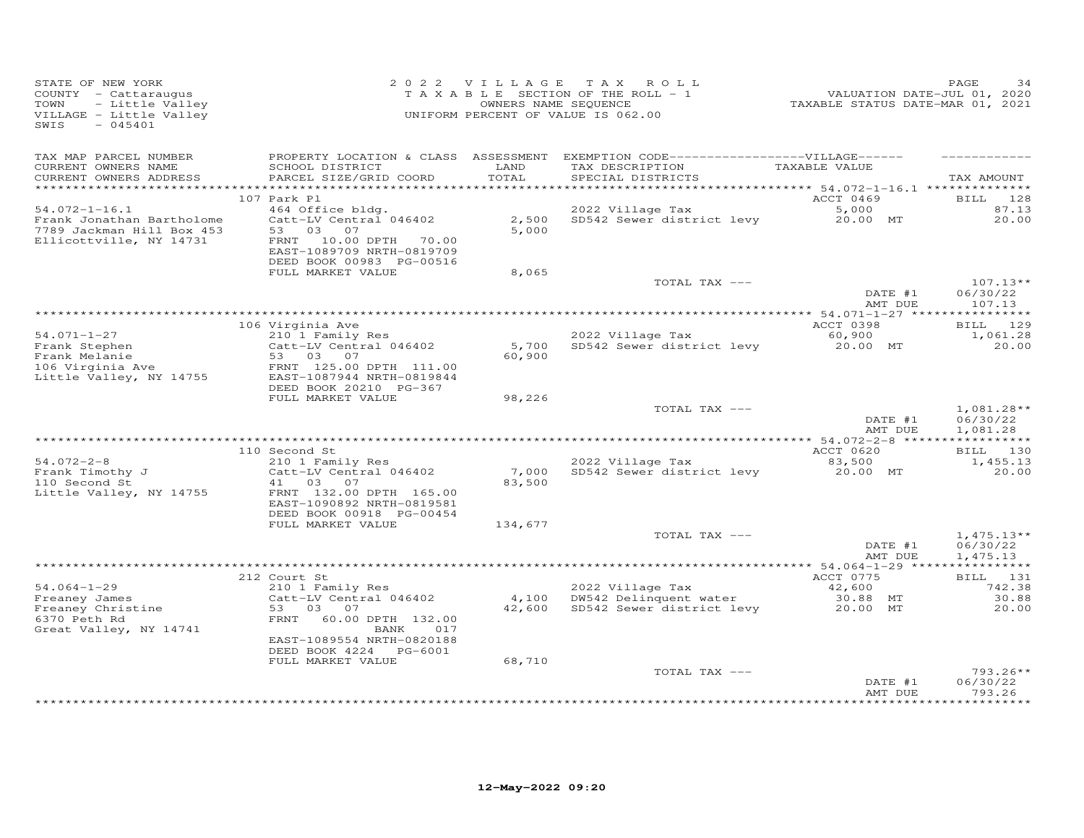| STATE OF NEW YORK<br>COUNTY - Cattaraugus<br>TOWN<br>- Little Valley<br>VILLAGE - Little Valley<br>$-045401$<br>SWIS               | 2 0 2 2 V I L L A G E T A X R C<br>T A X A B L E SECTION OF THE ROLL<br>OWNERS NAME SEQUENCE<br>UNIFORM PERCENT OF VALUE IS 062.00           |                 | 2022 VILLAGE TAX ROLL<br>T A X A B L E SECTION OF THE ROLL - 1                                                                          | 292<br>VALUATION DATE-JUL 01, 2020<br>TAXABLE STATUS DATE-MAR 01, 2021 | PAGE                                       |
|------------------------------------------------------------------------------------------------------------------------------------|----------------------------------------------------------------------------------------------------------------------------------------------|-----------------|-----------------------------------------------------------------------------------------------------------------------------------------|------------------------------------------------------------------------|--------------------------------------------|
| TAX MAP PARCEL NUMBER<br>CURRENT OWNERS NAME<br>CURRENT OWNERS ADDRESS                                                             | SCHOOL DISTRICT<br>PARCEL SIZE/GRID COORD                                                                                                    | LAND<br>TOTAL   | PROPERTY LOCATION & CLASS ASSESSMENT EXEMPTION CODE-----------------VILLAGE------<br>TAX DESCRIPTION TAXABLE VALUE<br>SPECIAL DISTRICTS |                                                                        | TAX AMOUNT                                 |
| $54.072 - 1 - 16.1$<br>Frank Jonathan Bartholome<br>7789 Jackman Hill Box 453<br>Ellicottville, NY 14731                           | 107 Park Pl<br>464 Office bldg.<br>Catt-LV Central 046402<br>53<br>03 07<br>10.00 DPTH 70.00<br>FRNT<br>EAST-1089709 NRTH-0819709            | 5,000           | 2022 Village Tax<br>2,500 SD542 Sewer district levy                                                                                     | ACCT 0469<br>5,000<br>20.00 MT                                         | 128<br>BILL<br>87.13<br>20.00              |
|                                                                                                                                    | DEED BOOK 00983 PG-00516<br>FULL MARKET VALUE                                                                                                | 8,065           | TOTAL TAX ---                                                                                                                           |                                                                        | $107.13**$                                 |
|                                                                                                                                    |                                                                                                                                              |                 |                                                                                                                                         | DATE #1<br>AMT DUE                                                     | 06/30/22<br>107.13                         |
|                                                                                                                                    |                                                                                                                                              |                 |                                                                                                                                         |                                                                        |                                            |
| $54.071 - 1 - 27$<br>Frank Stephen<br>Frank Melanie<br>106 Virginia Ave                                                            | 106 Virginia Ave<br>210 1 Family Res<br>Catt-LV Central 046402<br>53 03 07<br>FRNT 125.00 DPTH 111.00                                        | 5,700<br>60,900 | 2022 Village Tax<br>SD542 Sewer district levy                                                                                           | ACCT 0398<br>60,900<br>20.00 MT                                        | BILL 129<br>1,061.28<br>20.00              |
| Little Valley, NY 14755                                                                                                            | EAST-1087944 NRTH-0819844<br>DEED BOOK 20210 PG-367<br>FULL MARKET VALUE                                                                     | 98,226          | TOTAL TAX ---                                                                                                                           | DATE #1                                                                | $1,081.28**$<br>06/30/22                   |
|                                                                                                                                    |                                                                                                                                              |                 |                                                                                                                                         | AMT DUE                                                                | 1,081.28                                   |
| $54.072 - 2 - 8$<br>Frank Timothy J<br>110 Second St.<br>110 Second St<br>Little Valley, NY 14755                                  | 110 Second St<br>210 1 Family Res<br>Catt-LV Central 046402<br>41 03 07<br>FRNT 132.00 DPTH 165.00<br>EAST-1090892 NRTH-0819581              | 83,500          | 2022 Village Tax<br>7,000 SD542 Sewer district levy                                                                                     | ACCT 0620<br>83,500<br>20.00 MT                                        | BILL 130<br>1,455.13<br>20.00              |
|                                                                                                                                    | DEED BOOK 00918 PG-00454<br>FULL MARKET VALUE                                                                                                | 134,677         |                                                                                                                                         |                                                                        |                                            |
|                                                                                                                                    |                                                                                                                                              |                 | TOTAL TAX ---                                                                                                                           | DATE #1<br>AMT DUE                                                     | $1,475.13**$<br>06/30/22<br>1,475.13       |
|                                                                                                                                    |                                                                                                                                              |                 |                                                                                                                                         |                                                                        |                                            |
| $54.064 - 1 - 29$<br>Freaney James<br>Freaney James<br>Freaney Christine<br>6370 Peth Rd<br>6370 Peth Rd<br>Great Valley, NY 14741 | 212 Court St<br>210 1 Family Res<br>Catt-LV Central 046402<br>53 03 07<br>FRNT 60.00 DPTH 132.00<br>BANK<br>017<br>EAST-1089554 NRTH-0820188 |                 | 2022 Village Tax<br>4,100 DW542 Delinquent water<br>4,100 DW542 Delinquent water 30.88 MT<br>42,600 SD542 Sewer district levy 20.00 MT  | ACCT 0775<br>42,600                                                    | BILL 131<br>742.38<br>30.88<br>20.00       |
|                                                                                                                                    | DEED BOOK 4224 PG-6001<br>FULL MARKET VALUE                                                                                                  | 68,710          | TOTAL TAX ---                                                                                                                           | DATE #1<br>AMT DUE                                                     | $793.26**$<br>06/30/22<br>793.26<br>****** |
|                                                                                                                                    |                                                                                                                                              |                 |                                                                                                                                         |                                                                        |                                            |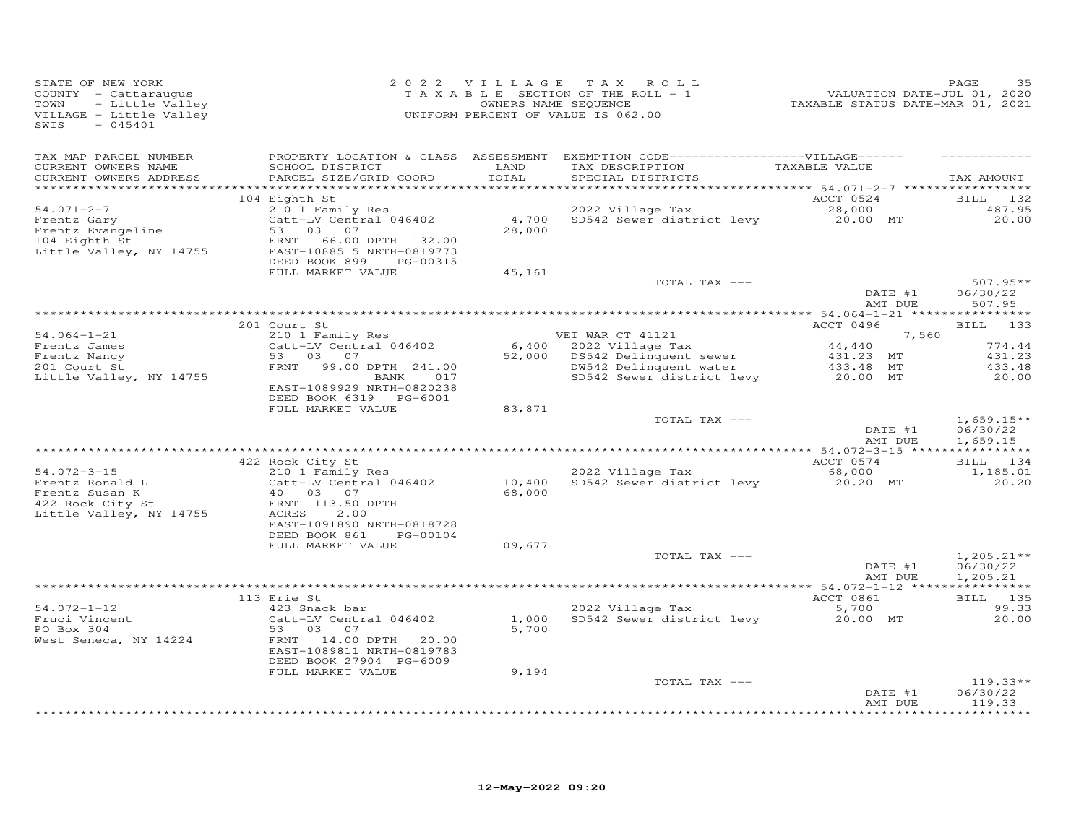| STATE OF NEW YORK<br>COUNTY - Cattaraugus<br>- Little Valley<br>TOWN<br>VILLAGE - Little Valley<br>SWIS<br>$-045401$ |                                                                                                                                               | 2022 VILLAGE     | TAX ROLL<br>T A X A B L E SECTION OF THE ROLL - 1<br>OWNERS NAME SEQUENCE<br>UNIFORM PERCENT OF VALUE IS 062.00            | -------<br>2020 VALUATION DATE-JUL 01, 2020<br>2021 TAXABLE STATUS DATE-MART | PAGE<br>35                           |
|----------------------------------------------------------------------------------------------------------------------|-----------------------------------------------------------------------------------------------------------------------------------------------|------------------|----------------------------------------------------------------------------------------------------------------------------|------------------------------------------------------------------------------|--------------------------------------|
| TAX MAP PARCEL NUMBER<br>CURRENT OWNERS NAME<br>CURRENT OWNERS ADDRESS                                               | SCHOOL DISTRICT<br>PARCEL SIZE/GRID COORD                                                                                                     | LAND<br>TOTAL    | PROPERTY LOCATION & CLASS ASSESSMENT EXEMPTION CODE------------------VILLAGE------<br>TAX DESCRIPTION<br>SPECIAL DISTRICTS | TAXABLE VALUE                                                                | TAX AMOUNT                           |
| $54.071 - 2 - 7$<br>Frentz Gary<br>Frentz Evangeline<br>104 Eighth St<br>Little Valley, NY 14755                     | 104 Eighth St<br>210 1 Family Res<br>Catt-LV Central 046402<br>53<br>03 07<br>66.00 DPTH 132.00<br>FRNT<br>EAST-1088515 NRTH-0819773          | 4,700<br>28,000  | 2022 Village Tax<br>SD542 Sewer district levy                                                                              | ACCT 0524<br>28,000<br>20.00 MT                                              | BILL 132<br>487.95<br>20,00          |
|                                                                                                                      | DEED BOOK 899<br>PG-00315<br>FULL MARKET VALUE                                                                                                | 45,161           | TOTAL TAX ---                                                                                                              | DATE #1                                                                      | $507.95**$<br>06/30/22               |
|                                                                                                                      |                                                                                                                                               |                  |                                                                                                                            | AMT DUE                                                                      | 507.95                               |
| $54.064 - 1 - 21$                                                                                                    | 201 Court St<br>210 1 Family Res                                                                                                              |                  | VET WAR CT 41121                                                                                                           | ACCT 0496                                                                    | BILL 133                             |
| Frentz James<br>Frentz Nancy<br>201 Court St<br>Little Valley, NY 14755                                              | Catt-LV Central 046402<br>53 03<br>07<br>99.00 DPTH 241.00<br>FRNT<br>BANK<br>017<br>EAST-1089929 NRTH-0820238<br>DEED BOOK 6319 PG-6001      | 6,400<br>52,000  | 2022 Village Tax<br>DS542 Delinquent sewer<br>DW542 Delinquent water<br>SD542 Sewer district levy                          | 7,560<br>44,440<br>431.23 MT<br>433.48 MT<br>20.00 MT                        | 774.44<br>431.23<br>433.48<br>20.00  |
|                                                                                                                      | FULL MARKET VALUE                                                                                                                             | 83,871           | TOTAL TAX ---                                                                                                              | DATE #1<br>AMT DUE                                                           | $1,659.15**$<br>06/30/22<br>1,659.15 |
|                                                                                                                      |                                                                                                                                               |                  |                                                                                                                            |                                                                              |                                      |
| $54.072 - 3 - 15$                                                                                                    | 422 Rock City St<br>210 1 Family Res                                                                                                          |                  | 2022 Village Tax                                                                                                           | ACCT 0574<br>68,000                                                          | BILL 134<br>1,185.01                 |
| Frentz Ronald L<br>Frentz Susan K<br>422 Rock City St<br>Little Valley, NY 14755                                     | Catt-LV Central 046402<br>40 03 07<br>FRNT 113.50 DPTH<br>ACRES<br>2.00<br>EAST-1091890 NRTH-0818728<br>DEED BOOK 861<br>PG-00104             | 10,400<br>68,000 | SD542 Sewer district levy                                                                                                  | 20.20 MT                                                                     | 20.20                                |
|                                                                                                                      | FULL MARKET VALUE                                                                                                                             | 109,677          |                                                                                                                            |                                                                              |                                      |
|                                                                                                                      |                                                                                                                                               |                  | TOTAL TAX ---                                                                                                              | DATE #1<br>AMT DUE                                                           | $1,205.21**$<br>06/30/22<br>1,205.21 |
|                                                                                                                      | 113 Erie St                                                                                                                                   |                  |                                                                                                                            | ACCT 0861                                                                    | BILL 135                             |
| $54.072 - 1 - 12$<br>Fruci Vincent<br>PO Box 304<br>West Seneca, NY 14224                                            | 423 Snack bar<br>Catt-LV Central 046402<br>53 03<br>07<br>14.00 DPTH<br>FRNT<br>20.00<br>EAST-1089811 NRTH-0819783<br>DEED BOOK 27904 PG-6009 | 1,000<br>5,700   | 2022 Village Tax<br>SD542 Sewer district levy                                                                              | 5,700<br>20.00 MT                                                            | 99.33<br>20.00                       |
|                                                                                                                      | FULL MARKET VALUE                                                                                                                             | 9,194            | TOTAL TAX ---                                                                                                              | DATE #1                                                                      | $119.33**$<br>06/30/22               |
|                                                                                                                      |                                                                                                                                               |                  |                                                                                                                            | AMT DUE                                                                      | 119.33                               |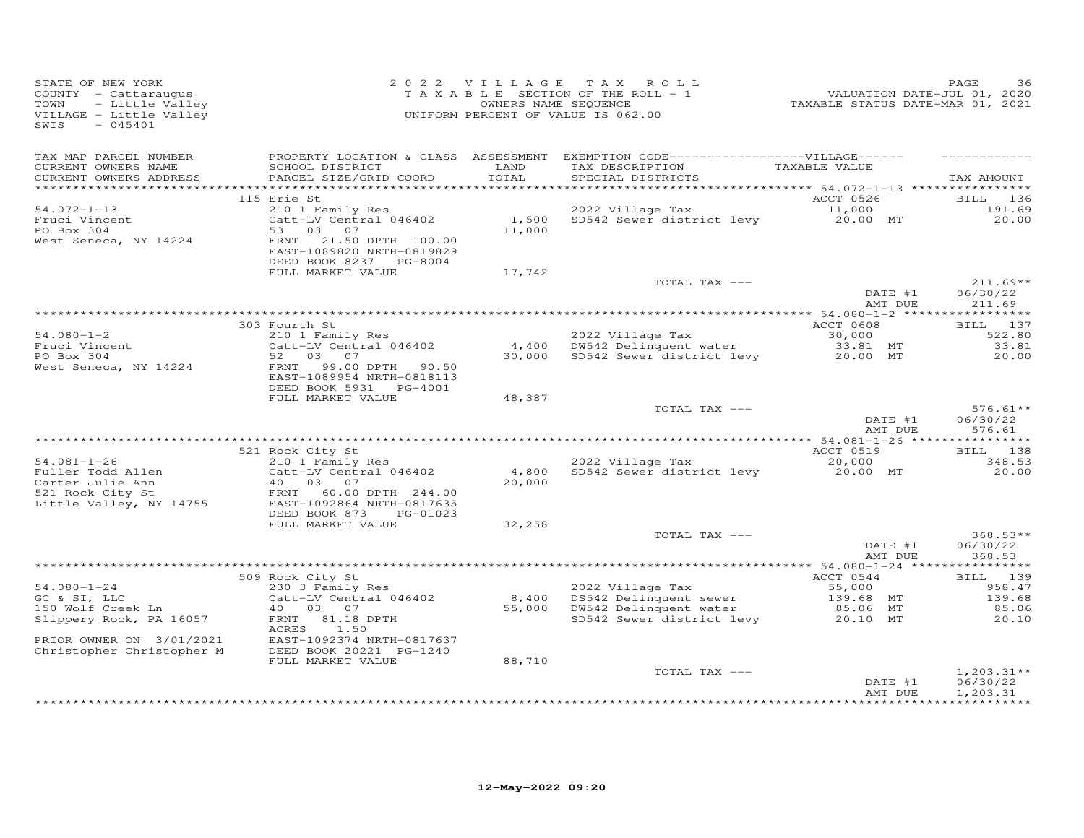| STATE OF NEW YORK<br>COUNTY - Cattaraugus<br>TOWN<br>VILLAGE - Little Valley<br>SWIS<br>$-045401$ | UF NEW YORK<br>Y - Cattaraugus<br>- Little Valley<br>T A X A B L E SECTION OF THE ROLL - 1<br>- Little Valley<br>T A X A B L E SECTION OF THE ROLL - 1<br>- OWNERS NAME SEQUENCE<br>- 045401<br>- 045401 |               | 2022 VILLAGE TAX ROLL<br>022 VILLAGE IAA KOLL<br>TAXABLE SECTION OF THE ROLL - 1 VALUATION DATE-JUL 01, 2020<br>OWNERS NAME SEQUENCE TAXABLE STATUS DATE-MAR 01, 2021                                                                |                    | PAGE<br>36                       |
|---------------------------------------------------------------------------------------------------|----------------------------------------------------------------------------------------------------------------------------------------------------------------------------------------------------------|---------------|--------------------------------------------------------------------------------------------------------------------------------------------------------------------------------------------------------------------------------------|--------------------|----------------------------------|
| TAX MAP PARCEL NUMBER<br>CURRENT OWNERS NAME<br>CURRENT OWNERS ADDRESS                            | SCHOOL DISTRICT<br>PARCEL SIZE/GRID COORD                                                                                                                                                                | LAND<br>TOTAL | PROPERTY LOCATION & CLASS ASSESSMENT EXEMPTION CODE-----------------VILLAGE------<br>TAX DESCRIPTION TAXABLE VALUE<br>SPECIAL DISTRICTS                                                                                              |                    | TAX AMOUNT                       |
|                                                                                                   |                                                                                                                                                                                                          |               |                                                                                                                                                                                                                                      |                    |                                  |
|                                                                                                   | 115 Erie St                                                                                                                                                                                              |               |                                                                                                                                                                                                                                      |                    | BILL 136                         |
| $54.072 - 1 - 13$<br>Fruci Vincent<br>PO Box 304                                                  | 210 1 Family Res<br>Catt-LV Central 046402                                                                                                                                                               |               | ACCT 0526<br>1,500 SD542 Sewer district levy 11,000<br>11,000 MT                                                                                                                                                                     |                    | 191.69<br>20.00                  |
| West Seneca, NY 14224                                                                             | 53 03 07<br>FRNT 21.50 DPTH 100.00<br>EAST-1089820 NRTH-0819829<br>DEED BOOK 8237 PG-8004                                                                                                                |               |                                                                                                                                                                                                                                      |                    |                                  |
|                                                                                                   | FULL MARKET VALUE                                                                                                                                                                                        | 17,742        |                                                                                                                                                                                                                                      |                    |                                  |
|                                                                                                   |                                                                                                                                                                                                          |               | TOTAL TAX ---                                                                                                                                                                                                                        | DATE #1            | $211.69**$<br>06/30/22           |
|                                                                                                   |                                                                                                                                                                                                          |               |                                                                                                                                                                                                                                      | AMT DUE            | 211.69                           |
|                                                                                                   | 303 Fourth St                                                                                                                                                                                            |               |                                                                                                                                                                                                                                      | ACCT 0608          | BILL 137                         |
| $54.080 - 1 - 2$                                                                                  | 210 1 Family Res                                                                                                                                                                                         |               |                                                                                                                                                                                                                                      |                    | 522.80                           |
| Fruci Vincent<br>PO Box 304                                                                       | Catt-LV Central 046402                                                                                                                                                                                   |               | 2022 Village Tax 30,000<br>4,400 DW542 Delinquent water 33.81 MT<br>30,000 SD542 Sewer district levy 20.00 MT                                                                                                                        |                    | 33.81                            |
| PO Box 304                                                                                        | 52 03 07                                                                                                                                                                                                 |               |                                                                                                                                                                                                                                      |                    | 20.00                            |
| West Seneca, NY 14224                                                                             | FRNT 99.00 DPTH 90.50<br>EAST-1089954 NRTH-0818113<br>DEED BOOK 5931 PG-4001                                                                                                                             |               |                                                                                                                                                                                                                                      |                    |                                  |
|                                                                                                   | FULL MARKET VALUE                                                                                                                                                                                        | 48,387        |                                                                                                                                                                                                                                      |                    |                                  |
|                                                                                                   |                                                                                                                                                                                                          |               | TOTAL TAX ---                                                                                                                                                                                                                        | DATE #1<br>AMT DUE | $576.61**$<br>06/30/22<br>576.61 |
|                                                                                                   |                                                                                                                                                                                                          |               |                                                                                                                                                                                                                                      |                    |                                  |
|                                                                                                   | 521 Rock City St                                                                                                                                                                                         |               |                                                                                                                                                                                                                                      | ACCT 0519          | BILL 138                         |
| $54.081 - 1 - 26$                                                                                 | 210 1 Family Res<br>Catt-LV Central 046402                                                                                                                                                               |               | 2022 Village Tax (20,000)<br>4,800 SD542 Sewer district levy (20,000 MT)                                                                                                                                                             |                    | 348.53                           |
| Fuller Todd Allen                                                                                 | $\begin{bmatrix} \text{Catt} & -\text{iv} & \text{v} & \text{v} \\ 40 & 03 & 07 \\ 0 & 0 & 0 \end{bmatrix}$                                                                                              | 20,000        |                                                                                                                                                                                                                                      |                    | 20.00                            |
| Carter Julie Ann<br>521 Rock City St<br>Little Valley, NY 14755                                   | FRNT 60.00 DPTH 244.00<br>EAST-1092864 NRTH-0817635<br>DEED BOOK 873 PG-01023                                                                                                                            |               |                                                                                                                                                                                                                                      |                    |                                  |
|                                                                                                   | FULL MARKET VALUE                                                                                                                                                                                        | 32,258        |                                                                                                                                                                                                                                      |                    |                                  |
|                                                                                                   |                                                                                                                                                                                                          |               | TOTAL TAX ---                                                                                                                                                                                                                        | DATE #1            | $368.53**$                       |
|                                                                                                   |                                                                                                                                                                                                          |               |                                                                                                                                                                                                                                      |                    | 06/30/22                         |
|                                                                                                   |                                                                                                                                                                                                          |               |                                                                                                                                                                                                                                      | AMT DUE            | 368.53                           |
|                                                                                                   | 509 Rock City St                                                                                                                                                                                         |               |                                                                                                                                                                                                                                      | ACCT 0544          | BILL 139                         |
| $54.080 - 1 - 24$                                                                                 | Rock City St<br>230 3 Family Res                                                                                                                                                                         |               |                                                                                                                                                                                                                                      |                    | 958.47                           |
|                                                                                                   |                                                                                                                                                                                                          |               |                                                                                                                                                                                                                                      |                    | 139.68                           |
| -- w oi, LLC<br>150 Wolf Creek Ln<br>Slinner                                                      |                                                                                                                                                                                                          |               | 230 3 Family Res<br>Catt-LV Central 046402 8,400 DS542 Delinquent sewer 55,000 MT<br>40 03 07 55,000 DW542 Delinquent water 85.06 MT<br>FRNT 81.18 DPTH 55,000 DW542 Delinquent water 85.06 MT<br>SD542 Sewer district levy 20.10 MT |                    | 85.06                            |
| Slippery Rock, PA 16057                                                                           | ACRES<br>1.50                                                                                                                                                                                            |               |                                                                                                                                                                                                                                      |                    | 20.10                            |
| PRIOR OWNER ON 3/01/2021<br>Christopher Christopher M                                             | EAST-1092374 NRTH-0817637<br>DEED BOOK 20221 PG-1240                                                                                                                                                     | 88,710        |                                                                                                                                                                                                                                      |                    |                                  |
|                                                                                                   | FULL MARKET VALUE                                                                                                                                                                                        |               | TOTAL TAX ---                                                                                                                                                                                                                        |                    | $1,203.31**$                     |
|                                                                                                   |                                                                                                                                                                                                          |               |                                                                                                                                                                                                                                      | DATE #1<br>AMT DUE | 06/30/22<br>1,203.31             |
|                                                                                                   |                                                                                                                                                                                                          |               |                                                                                                                                                                                                                                      |                    |                                  |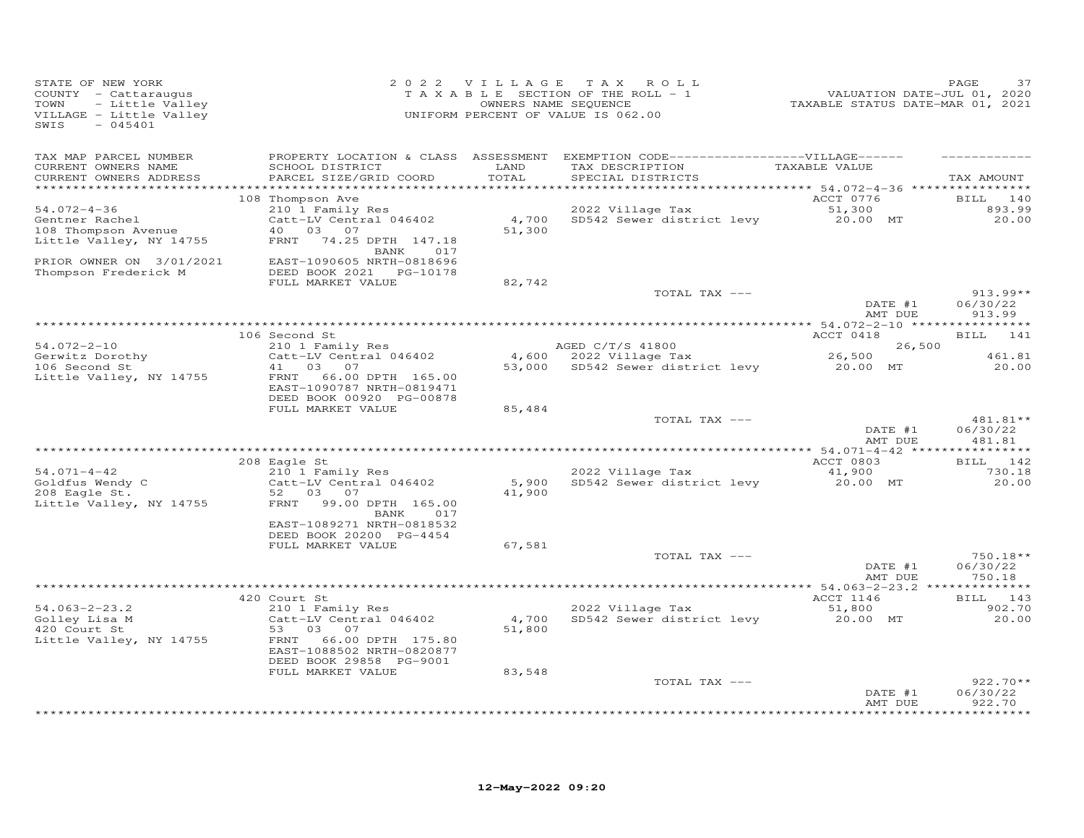| STATE OF NEW YORK<br>COUNTY - Cattaraugus<br>- Little Valley<br>TOWN<br>VILLAGE - Little Valley<br>SWIS<br>$-045401$ |                                                                                    | 2022 VILLAGE    | TAX ROLL<br>TAXABLE SECTION OF THE ROLL - 1<br>OWNERS NAME SEQUENCE<br>UNIFORM PERCENT OF VALUE IS 062.00                 | VALUATION DATE-JUL 01, 2020<br>TAXABLE STATUS DATE-MAR 01, 2021 | PAGE                             |
|----------------------------------------------------------------------------------------------------------------------|------------------------------------------------------------------------------------|-----------------|---------------------------------------------------------------------------------------------------------------------------|-----------------------------------------------------------------|----------------------------------|
| TAX MAP PARCEL NUMBER<br>CURRENT OWNERS NAME<br>CURRENT OWNERS ADDRESS<br>************************                   | SCHOOL DISTRICT<br>PARCEL SIZE/GRID COORD                                          | LAND<br>TOTAL   | PROPERTY LOCATION & CLASS ASSESSMENT EXEMPTION CODE-----------------VILLAGE------<br>TAX DESCRIPTION<br>SPECIAL DISTRICTS | TAXABLE VALUE                                                   | TAX AMOUNT                       |
|                                                                                                                      | 108 Thompson Ave                                                                   |                 |                                                                                                                           | ACCT 0776                                                       | BILL 140                         |
| $54.072 - 4 - 36$<br>Gentner Rachel<br>108 Thompson Avenue                                                           | 210 1 Family Res<br>Catt-LV Central 046402<br>40  03  07                           | 4,700<br>51,300 | 2022 Village Tax<br>SD542 Sewer district levy                                                                             | 51,300<br>20.00 MT                                              | 893.99<br>20.00                  |
| Little Valley, NY 14755                                                                                              | FRNT 74.25 DPTH 147.18<br>BANK<br>017                                              |                 |                                                                                                                           |                                                                 |                                  |
| PRIOR OWNER ON 3/01/2021<br>Thompson Frederick M                                                                     | EAST-1090605 NRTH-0818696<br>FULL MARKET VALUE                                     |                 |                                                                                                                           |                                                                 |                                  |
|                                                                                                                      |                                                                                    | 82,742          | TOTAL TAX ---                                                                                                             |                                                                 | $913.99**$                       |
|                                                                                                                      |                                                                                    |                 |                                                                                                                           | DATE #1<br>AMT DUE                                              | 06/30/22<br>913.99               |
|                                                                                                                      |                                                                                    |                 |                                                                                                                           |                                                                 |                                  |
| $54.072 - 2 - 10$                                                                                                    | 106 Second St<br>210 1 Family Res                                                  |                 | AGED C/T/S 41800                                                                                                          | ACCT 0418<br>26,500                                             | BILL 141                         |
| Gerwitz Dorothy                                                                                                      | Catt-LV Central 046402                                                             |                 | 4,600 2022 Village Tax                                                                                                    | 26,500                                                          | 461.81                           |
| 106 Second St                                                                                                        | 03<br>07<br>41                                                                     |                 | 53,000 SD542 Sewer district levy 20.00 MT                                                                                 |                                                                 | 20.00                            |
| Little Valley, NY 14755                                                                                              | FRNT<br>66.00 DPTH 165.00<br>EAST-1090787 NRTH-0819471<br>DEED BOOK 00920 PG-00878 |                 |                                                                                                                           |                                                                 |                                  |
|                                                                                                                      | FULL MARKET VALUE                                                                  | 85,484          |                                                                                                                           |                                                                 |                                  |
|                                                                                                                      |                                                                                    |                 | TOTAL TAX ---                                                                                                             | DATE #1<br>AMT DUE                                              | 481.81**<br>06/30/22<br>481.81   |
|                                                                                                                      |                                                                                    |                 |                                                                                                                           |                                                                 |                                  |
| $54.071 - 4 - 42$                                                                                                    | 208 Eagle St<br>210 1 Family Res                                                   |                 | 2022 Village Tax                                                                                                          | ACCT 0803<br>41,900                                             | BILL 142<br>730.18               |
| Goldfus Wendy C<br>208 Eagle St.                                                                                     | Catt-LV Central 046402<br>52 03<br>07                                              | 5,900<br>41,900 | SD542 Sewer district levy                                                                                                 | 20.00 MT                                                        | 20.00                            |
| Little Valley, NY 14755                                                                                              | 99.00 DPTH 165.00<br>FRNT<br>BANK<br>017                                           |                 |                                                                                                                           |                                                                 |                                  |
|                                                                                                                      | EAST-1089271 NRTH-0818532<br>DEED BOOK 20200 PG-4454<br>FULL MARKET VALUE          | 67,581          |                                                                                                                           |                                                                 |                                  |
|                                                                                                                      |                                                                                    |                 | TOTAL TAX ---                                                                                                             |                                                                 | $750.18**$                       |
|                                                                                                                      |                                                                                    |                 |                                                                                                                           | DATE #1<br>AMT DUE                                              | 06/30/22<br>750.18               |
|                                                                                                                      | 420 Court St                                                                       |                 |                                                                                                                           | ACCT 1146                                                       | BILL 143                         |
| $54.063 - 2 - 23.2$                                                                                                  | 210 1 Family Res                                                                   |                 | 2022 Village Tax                                                                                                          | 51,800                                                          | 902.70                           |
| Golley Lisa M<br>420 Court St                                                                                        | Catt-LV Central 046402<br>53 03<br>07                                              | 4,700<br>51,800 | SD542 Sewer district levy                                                                                                 | 20.00 MT                                                        | 20.00                            |
| Little Valley, NY 14755                                                                                              | 66.00 DPTH 175.80<br>FRNT<br>EAST-1088502 NRTH-0820877<br>DEED BOOK 29858 PG-9001  |                 |                                                                                                                           |                                                                 |                                  |
|                                                                                                                      | FULL MARKET VALUE                                                                  | 83,548          |                                                                                                                           |                                                                 |                                  |
|                                                                                                                      |                                                                                    |                 | TOTAL TAX ---                                                                                                             | DATE #1<br>AMT DUE                                              | $922.70**$<br>06/30/22<br>922.70 |
|                                                                                                                      |                                                                                    |                 |                                                                                                                           |                                                                 | **********                       |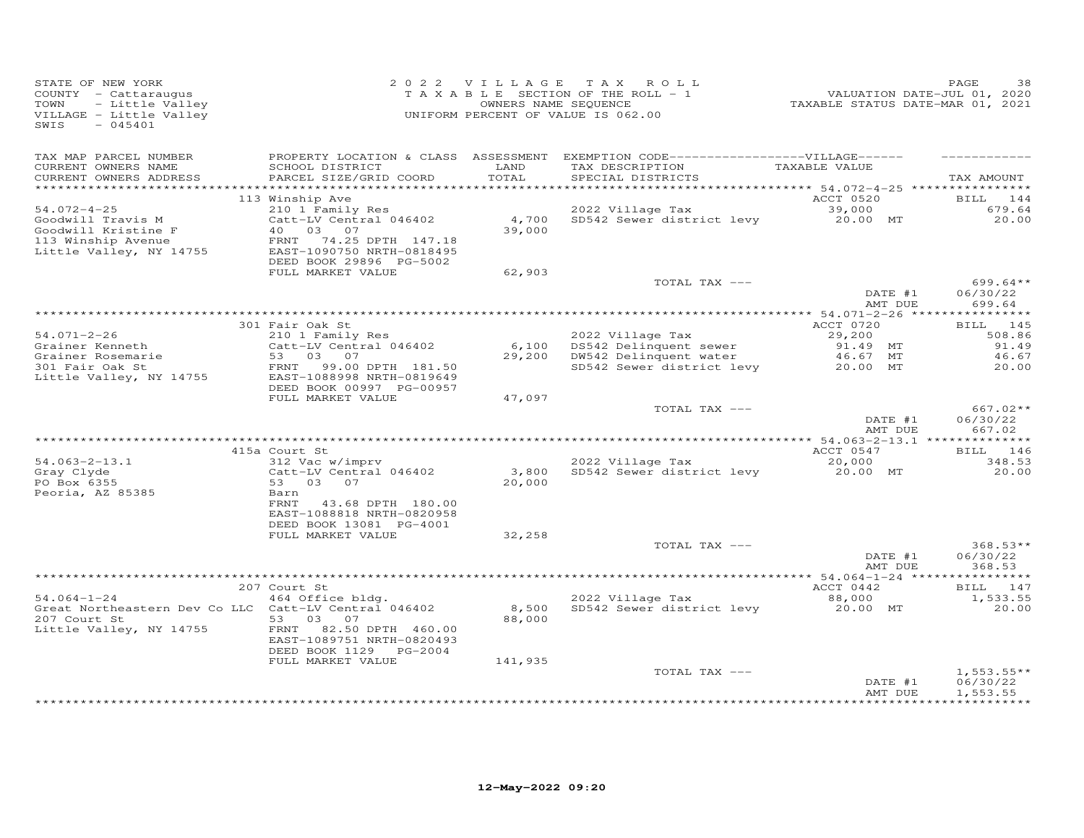| PROPERTY LOCATION & CLASS ASSESSMENT EXEMPTION CODE------------------VILLAGE------<br>TAX MAP PARCEL NUMBER<br>CURRENT OWNERS NAME<br>LAND<br>TAXABLE VALUE<br>SCHOOL DISTRICT<br>TAX DESCRIPTION                                                                                                                                                          | TAX AMOUNT                                                  |
|------------------------------------------------------------------------------------------------------------------------------------------------------------------------------------------------------------------------------------------------------------------------------------------------------------------------------------------------------------|-------------------------------------------------------------|
| TOTAL<br>CURRENT OWNERS ADDRESS<br>PARCEL SIZE/GRID COORD<br>SPECIAL DISTRICTS                                                                                                                                                                                                                                                                             |                                                             |
| ACCT 0520<br>113 Winship Ave                                                                                                                                                                                                                                                                                                                               | BILL<br>144                                                 |
| $54.072 - 4 - 25$<br>210 1 Family Res<br>2022 Village Tax<br>39,000<br>4,700<br>Goodwill Travis M<br>Catt-LV Central 046402<br>SD542 Sewer district levy<br>20.00 MT<br>39,000<br>Goodwill Kristine F<br>40<br>03 07<br>113 Winship Avenue<br>FRNT<br>74.25 DPTH 147.18<br>Little Valley, NY 14755<br>EAST-1090750 NRTH-0818495<br>DEED BOOK 29896 PG-5002 | 679.64<br>20,00                                             |
| FULL MARKET VALUE<br>62,903                                                                                                                                                                                                                                                                                                                                |                                                             |
| TOTAL TAX ---<br>DATE #1<br>AMT DUE                                                                                                                                                                                                                                                                                                                        | $699.64**$<br>06/30/22<br>699.64                            |
|                                                                                                                                                                                                                                                                                                                                                            |                                                             |
| 301 Fair Oak St<br>ACCT 0720<br>$54.071 - 2 - 26$<br>29,200<br>210 1 Family Res<br>2022 Village Tax<br>Grainer Kenneth<br>Catt-LV Central 046402<br>6,100<br>DS542 Delinquent sewer<br>91.49 MT<br>Grainer Rosemarie<br>03 07<br>DW542 Delinquent water<br>53<br>29,200<br>46.67 MT                                                                        | BILL 145<br>508.86<br>91.49<br>46.67                        |
| 301 Fair Oak St<br>SD542 Sewer district levy<br>20.00 MT<br>FRNT<br>99.00 DPTH 181.50<br>Little Valley, NY 14755<br>EAST-1088998 NRTH-0819649<br>DEED BOOK 00997 PG-00957<br>FULL MARKET VALUE<br>47,097                                                                                                                                                   | 20.00                                                       |
| TOTAL TAX ---<br>DATE #1<br>AMT DUE                                                                                                                                                                                                                                                                                                                        | $667.02**$<br>06/30/22<br>667.02                            |
|                                                                                                                                                                                                                                                                                                                                                            |                                                             |
| 415a Court St<br>ACCT 0547<br>$54.063 - 2 - 13.1$<br>312 Vac w/imprv<br>2022 Village Tax<br>20,000<br>Catt-LV Central 046402<br>3,800<br>SD542 Sewer district levy<br>Gray Clyde<br>20.00 MT<br>PO Box 6355<br>53 03 07<br>20,000<br>Peoria, AZ 85385<br>Barn                                                                                              | BILL 146<br>348.53<br>20.00                                 |
| FRNT<br>43.68 DPTH 180.00<br>EAST-1088818 NRTH-0820958<br>DEED BOOK 13081 PG-4001<br>FULL MARKET VALUE<br>32,258                                                                                                                                                                                                                                           |                                                             |
| TOTAL TAX ---<br>DATE #1<br>AMT DUE                                                                                                                                                                                                                                                                                                                        | $368.53**$<br>06/30/22<br>368.53                            |
|                                                                                                                                                                                                                                                                                                                                                            | **********                                                  |
| 207 Court St<br>ACCT 0442                                                                                                                                                                                                                                                                                                                                  | 147<br>BILL                                                 |
| $54.064 - 1 - 24$<br>464 Office bldg.<br>2022 Village Tax<br>88,000<br>Great Northeastern Dev Co LLC Catt-LV Central 046402<br>8,500<br>SD542 Sewer district levy<br>20.00 MT<br>207 Court St<br>53<br>03<br>07<br>88,000<br>Little Valley, NY 14755<br>82.50 DPTH 460.00<br>FRNT<br>EAST-1089751 NRTH-0820493<br>DEED BOOK 1129 PG-2004                   | 1,533.55<br>20.00                                           |
| FULL MARKET VALUE<br>141,935<br>TOTAL TAX ---<br>DATE #1<br>AMT DUE                                                                                                                                                                                                                                                                                        | $1,553.55**$<br>06/30/22<br>1,553.55<br>* * * * * * * * * * |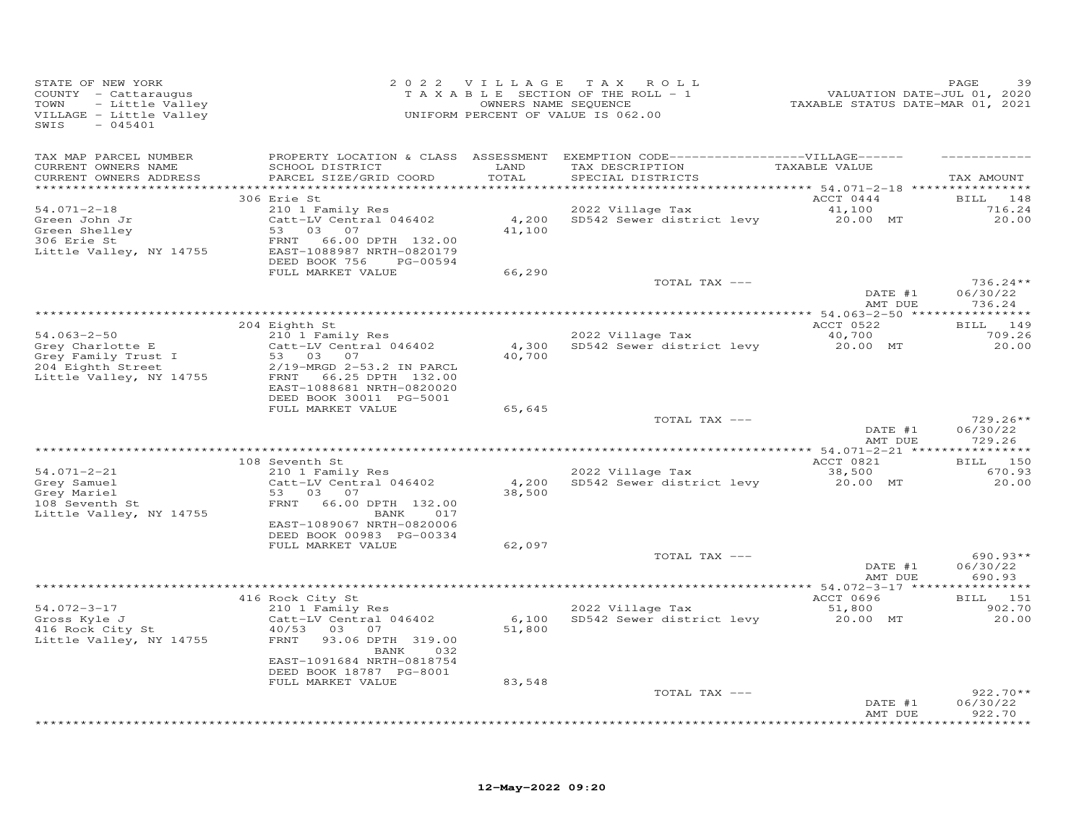| STATE OF NEW YORK<br>COUNTY - Cattaraugus<br>- Little Valley<br>TOWN<br>VILLAGE - Little Valley<br>$-045401$<br>SWIS |                                                                                                                                                                                        |                           | 2022 VILLAGE TAX ROLL<br>T A X A B L E SECTION OF THE ROLL - 1<br>OWNERS NAME SEQUENCE<br>UNIFORM PERCENT OF VALUE IS 062.00 | VALUATION DATE-JUL 01, 2020<br>TAXABLE STATUS DATE-MAR 01, 2021 | PAGE<br>39                                           |
|----------------------------------------------------------------------------------------------------------------------|----------------------------------------------------------------------------------------------------------------------------------------------------------------------------------------|---------------------------|------------------------------------------------------------------------------------------------------------------------------|-----------------------------------------------------------------|------------------------------------------------------|
| TAX MAP PARCEL NUMBER<br>CURRENT OWNERS NAME<br>CURRENT OWNERS ADDRESS                                               | SCHOOL DISTRICT<br>PARCEL SIZE/GRID COORD                                                                                                                                              | LAND<br>TOTAL             | PROPERTY LOCATION & CLASS ASSESSMENT EXEMPTION CODE------------------VILLAGE------<br>TAX DESCRIPTION<br>SPECIAL DISTRICTS   | TAXABLE VALUE                                                   | TAX AMOUNT                                           |
| $54.071 - 2 - 18$<br>Green John Jr<br>Green Shelley<br>306 Erie St<br>Little Valley, NY 14755                        | 306 Erie St<br>210 1 Family Res<br>Catt-LV Central 046402<br>53 03<br>07<br>FRNT<br>66.00 DPTH 132.00<br>EAST-1088987 NRTH-0820179<br>DEED BOOK 756<br>PG-00594<br>FULL MARKET VALUE   | 4,200<br>41,100<br>66,290 | 2022 Village Tax<br>SD542 Sewer district levy                                                                                | ACCT 0444<br>41,100<br>20.00 MT                                 | BILL 148<br>716.24<br>20.00                          |
|                                                                                                                      |                                                                                                                                                                                        |                           | TOTAL TAX ---                                                                                                                | DATE #1<br>AMT DUE                                              | $736.24**$<br>06/30/22<br>736.24                     |
| $54.063 - 2 - 50$<br>Grey Charlotte E<br>Grey Family Trust I<br>204 Eighth Street<br>Little Valley, NY 14755         | 204 Eighth St<br>210 1 Family Res<br>Catt-LV Central 046402<br>53 03 07<br>2/19-MRGD 2-53.2 IN PARCL<br>FRNT 66.25 DPTH 132.00<br>EAST-1088681 NRTH-0820020<br>DEED BOOK 30011 PG-5001 | 4,300<br>40,700           | 2022 Village Tax<br>SD542 Sewer district levy                                                                                | ACCT 0522<br>40,700<br>20.00 MT                                 | 149<br>BILL<br>709.26<br>20.00                       |
|                                                                                                                      | FULL MARKET VALUE                                                                                                                                                                      | 65,645                    | TOTAL TAX ---                                                                                                                | DATE #1<br>AMT DUE                                              | $729.26**$<br>06/30/22<br>729.26                     |
| $54.071 - 2 - 21$<br>Grey Samuel<br>Grey Mariel<br>108 Seventh St<br>Little Valley, NY 14755                         | 108 Seventh St<br>210 1 Family Res<br>Catt-LV Central 046402<br>53 03<br>07<br>FRNT<br>66.00 DPTH 132.00<br>BANK<br>017<br>EAST-1089067 NRTH-0820006                                   | 4,200<br>38,500           | 2022 Village Tax<br>SD542 Sewer district levy                                                                                | ACCT 0821<br>38,500<br>20.00 MT                                 | * * * * * * * * * * *<br>BILL 150<br>670.93<br>20.00 |
|                                                                                                                      | DEED BOOK 00983 PG-00334<br>FULL MARKET VALUE                                                                                                                                          | 62,097                    | TOTAL TAX ---                                                                                                                | DATE #1<br>AMT DUE                                              | $690.93**$<br>06/30/22<br>690.93                     |
|                                                                                                                      |                                                                                                                                                                                        |                           |                                                                                                                              | ACCT 0696                                                       | BILL 151                                             |
| $54.072 - 3 - 17$<br>Gross Kyle J<br>416 Rock City St<br>Little Valley, NY 14755                                     | 416 Rock City St<br>210 1 Family Res<br>Catt-LV Central 046402<br>40/53 03<br>07<br>FRNT<br>93.06 DPTH 319.00<br>BANK<br>032<br>EAST-1091684 NRTH-0818754                              | 51,800                    | 2022 Village Tax<br>6,100 SD542 Sewer district levy                                                                          | 51,800<br>20.00 MT                                              | 902.70<br>20.00                                      |
|                                                                                                                      | DEED BOOK 18787 PG-8001<br>FULL MARKET VALUE                                                                                                                                           | 83,548                    | TOTAL TAX ---                                                                                                                | DATE #1<br>AMT DUE                                              | $922.70**$<br>06/30/22<br>922.70                     |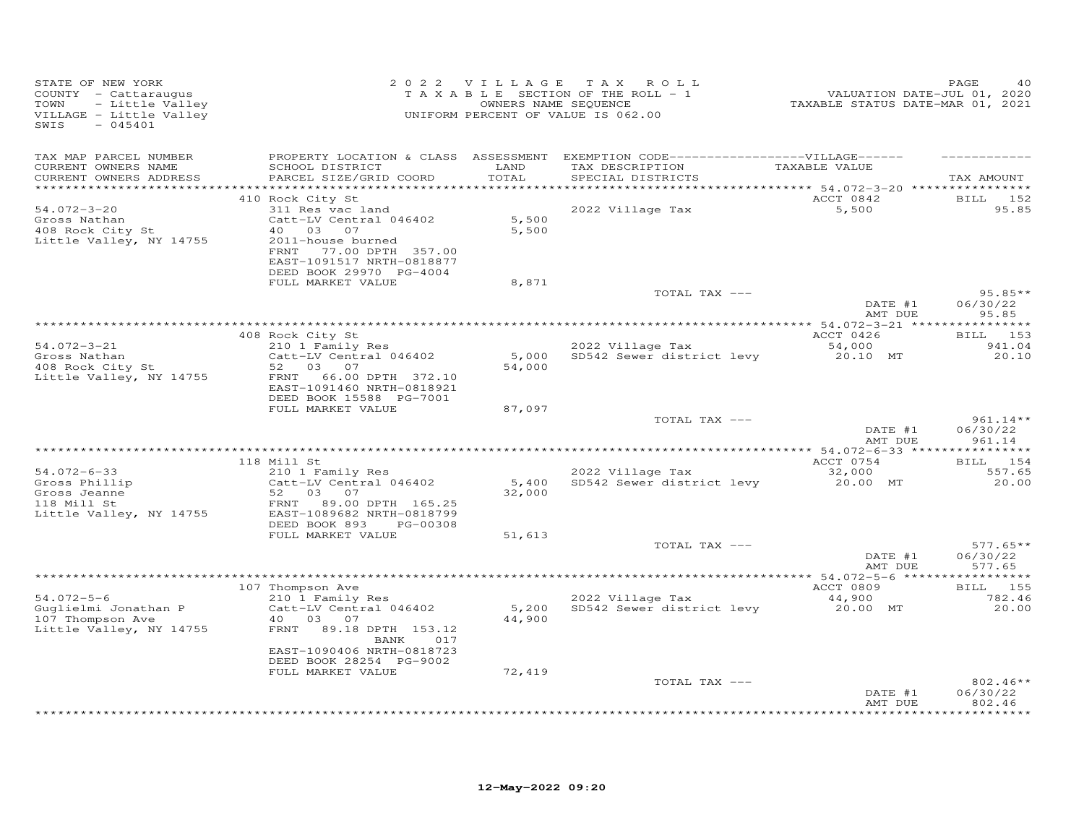| PROPERTY LOCATION & CLASS ASSESSMENT EXEMPTION CODE-----------------VILLAGE------<br>TAX MAP PARCEL NUMBER<br>TAXABLE VALUE<br>CURRENT OWNERS NAME<br>SCHOOL DISTRICT<br>LAND<br>TAX DESCRIPTION<br>CURRENT OWNERS ADDRESS<br>PARCEL SIZE/GRID COORD<br>TOTAL<br>SPECIAL DISTRICTS<br>ACCT 0842<br>410 Rock City St<br>$54.072 - 3 - 20$<br>2022 Village Tax<br>5,500<br>311 Res vac land<br>5,500<br>Catt-LV Central 046402<br>Gross Nathan<br>408 Rock City St<br>5,500<br>40 03 07<br>Little Valley, NY 14755<br>2011-house burned<br>FRNT 77.00 DPTH 357.00<br>EAST-1091517 NRTH-0818877<br>DEED BOOK 29970 PG-4004<br>FULL MARKET VALUE<br>8,871<br>TOTAL TAX ---<br>DATE #1<br>AMT DUE<br>95.85<br>ACCT 0426<br>408 Rock City St<br>2022 Village Tax<br>$54.072 - 3 - 21$<br>54,000<br>210 1 Family Res<br>Gross Nathan<br>Catt-LV Central 046402<br>5,000 SD542 Sewer district levy 20.10 MT<br>408 Rock City St<br>54,000<br>52<br>03 07<br>66.00 DPTH 372.10<br>Little Valley, NY 14755<br>FRNT<br>EAST-1091460 NRTH-0818921<br>DEED BOOK 15588 PG-7001<br>FULL MARKET VALUE<br>87,097<br>TOTAL TAX ---<br>DATE #1<br>AMT DUE<br>961.14<br>ACCT 0754<br>118 Mill St<br>210 1 Family Res<br>2022 Village Tax<br>54.072-6-33<br>32,000<br>Gross Phillip<br>Gross Jeanne<br>110 Mill St<br>Catt-LV Central 046402<br>5,400<br>SD542 Sewer district levy<br>20.00 MT<br>52 03<br>32,000<br>07<br>FRNT<br>89.00 DPTH 165.25<br>Little Valley, NY 14755<br>EAST-1089682 NRTH-0818799<br>DEED BOOK 893<br>PG-00308<br>FULL MARKET VALUE<br>51,613<br>TOTAL TAX ---<br>DATE #1<br>06/30/22<br>AMT DUE<br>577.65<br>107 Thompson Ave<br>ACCT 0809<br>2022 Village Tax<br>210 1 Family Res<br>$54.072 - 5 - 6$<br>44,900<br>5,200 SD542 Sewer district levy<br>Guglielmi Jonathan P<br>Catt-LV Central 046402<br>20.00 MT<br>44,900<br>107 Thompson Ave<br>40 03 07<br>Little Valley, NY 14755<br>FRNT<br>89.18 DPTH 153.12<br>BANK<br>017<br>EAST-1090406 NRTH-0818723<br>DEED BOOK 28254 PG-9002<br>FULL MARKET VALUE<br>72,419<br>TOTAL TAX ---<br>06/30/22<br>DATE #1 | STATE OF NEW YORK<br>COUNTY - Cattaraugus<br>TOWN<br>- Little Valley<br>VILLAGE - Little Valley<br>$-045401$<br>SWIS |  | 2022 VILLAGE TAX ROLL<br>TAXABLE SECTION OF THE ROLL - 1<br>OWNERS NAME SEQUENCE<br>UNIFORM PERCENT OF VALUE IS 062.00 | vALUATION DATE-JUL 01, 2020<br>TAXABLE STATUS DATE-MAR 01, 2021 | PAGE                                      |
|--------------------------------------------------------------------------------------------------------------------------------------------------------------------------------------------------------------------------------------------------------------------------------------------------------------------------------------------------------------------------------------------------------------------------------------------------------------------------------------------------------------------------------------------------------------------------------------------------------------------------------------------------------------------------------------------------------------------------------------------------------------------------------------------------------------------------------------------------------------------------------------------------------------------------------------------------------------------------------------------------------------------------------------------------------------------------------------------------------------------------------------------------------------------------------------------------------------------------------------------------------------------------------------------------------------------------------------------------------------------------------------------------------------------------------------------------------------------------------------------------------------------------------------------------------------------------------------------------------------------------------------------------------------------------------------------------------------------------------------------------------------------------------------------------------------------------------------------------------------------------------------------------------------------------------------------------------------------------------------------------------------------------------------------------------------------------|----------------------------------------------------------------------------------------------------------------------|--|------------------------------------------------------------------------------------------------------------------------|-----------------------------------------------------------------|-------------------------------------------|
|                                                                                                                                                                                                                                                                                                                                                                                                                                                                                                                                                                                                                                                                                                                                                                                                                                                                                                                                                                                                                                                                                                                                                                                                                                                                                                                                                                                                                                                                                                                                                                                                                                                                                                                                                                                                                                                                                                                                                                                                                                                                          |                                                                                                                      |  |                                                                                                                        |                                                                 | TAX AMOUNT                                |
|                                                                                                                                                                                                                                                                                                                                                                                                                                                                                                                                                                                                                                                                                                                                                                                                                                                                                                                                                                                                                                                                                                                                                                                                                                                                                                                                                                                                                                                                                                                                                                                                                                                                                                                                                                                                                                                                                                                                                                                                                                                                          |                                                                                                                      |  |                                                                                                                        |                                                                 | <b>BILL</b> 152<br>95.85                  |
|                                                                                                                                                                                                                                                                                                                                                                                                                                                                                                                                                                                                                                                                                                                                                                                                                                                                                                                                                                                                                                                                                                                                                                                                                                                                                                                                                                                                                                                                                                                                                                                                                                                                                                                                                                                                                                                                                                                                                                                                                                                                          |                                                                                                                      |  |                                                                                                                        |                                                                 | $95.85**$<br>06/30/22                     |
|                                                                                                                                                                                                                                                                                                                                                                                                                                                                                                                                                                                                                                                                                                                                                                                                                                                                                                                                                                                                                                                                                                                                                                                                                                                                                                                                                                                                                                                                                                                                                                                                                                                                                                                                                                                                                                                                                                                                                                                                                                                                          |                                                                                                                      |  |                                                                                                                        |                                                                 | BILL 153<br>941.04<br>20.10               |
|                                                                                                                                                                                                                                                                                                                                                                                                                                                                                                                                                                                                                                                                                                                                                                                                                                                                                                                                                                                                                                                                                                                                                                                                                                                                                                                                                                                                                                                                                                                                                                                                                                                                                                                                                                                                                                                                                                                                                                                                                                                                          |                                                                                                                      |  |                                                                                                                        |                                                                 | $961.14**$<br>06/30/22                    |
|                                                                                                                                                                                                                                                                                                                                                                                                                                                                                                                                                                                                                                                                                                                                                                                                                                                                                                                                                                                                                                                                                                                                                                                                                                                                                                                                                                                                                                                                                                                                                                                                                                                                                                                                                                                                                                                                                                                                                                                                                                                                          |                                                                                                                      |  |                                                                                                                        |                                                                 |                                           |
|                                                                                                                                                                                                                                                                                                                                                                                                                                                                                                                                                                                                                                                                                                                                                                                                                                                                                                                                                                                                                                                                                                                                                                                                                                                                                                                                                                                                                                                                                                                                                                                                                                                                                                                                                                                                                                                                                                                                                                                                                                                                          |                                                                                                                      |  |                                                                                                                        |                                                                 | BILL 154<br>557.65<br>20.00               |
|                                                                                                                                                                                                                                                                                                                                                                                                                                                                                                                                                                                                                                                                                                                                                                                                                                                                                                                                                                                                                                                                                                                                                                                                                                                                                                                                                                                                                                                                                                                                                                                                                                                                                                                                                                                                                                                                                                                                                                                                                                                                          |                                                                                                                      |  |                                                                                                                        |                                                                 | $577.65**$                                |
|                                                                                                                                                                                                                                                                                                                                                                                                                                                                                                                                                                                                                                                                                                                                                                                                                                                                                                                                                                                                                                                                                                                                                                                                                                                                                                                                                                                                                                                                                                                                                                                                                                                                                                                                                                                                                                                                                                                                                                                                                                                                          |                                                                                                                      |  |                                                                                                                        |                                                                 |                                           |
|                                                                                                                                                                                                                                                                                                                                                                                                                                                                                                                                                                                                                                                                                                                                                                                                                                                                                                                                                                                                                                                                                                                                                                                                                                                                                                                                                                                                                                                                                                                                                                                                                                                                                                                                                                                                                                                                                                                                                                                                                                                                          |                                                                                                                      |  |                                                                                                                        |                                                                 | BILL 155<br>782.46<br>20.00               |
| *************************************                                                                                                                                                                                                                                                                                                                                                                                                                                                                                                                                                                                                                                                                                                                                                                                                                                                                                                                                                                                                                                                                                                                                                                                                                                                                                                                                                                                                                                                                                                                                                                                                                                                                                                                                                                                                                                                                                                                                                                                                                                    |                                                                                                                      |  |                                                                                                                        | AMT DUE                                                         | $802.46**$<br>802.46<br>* * * * * * * * * |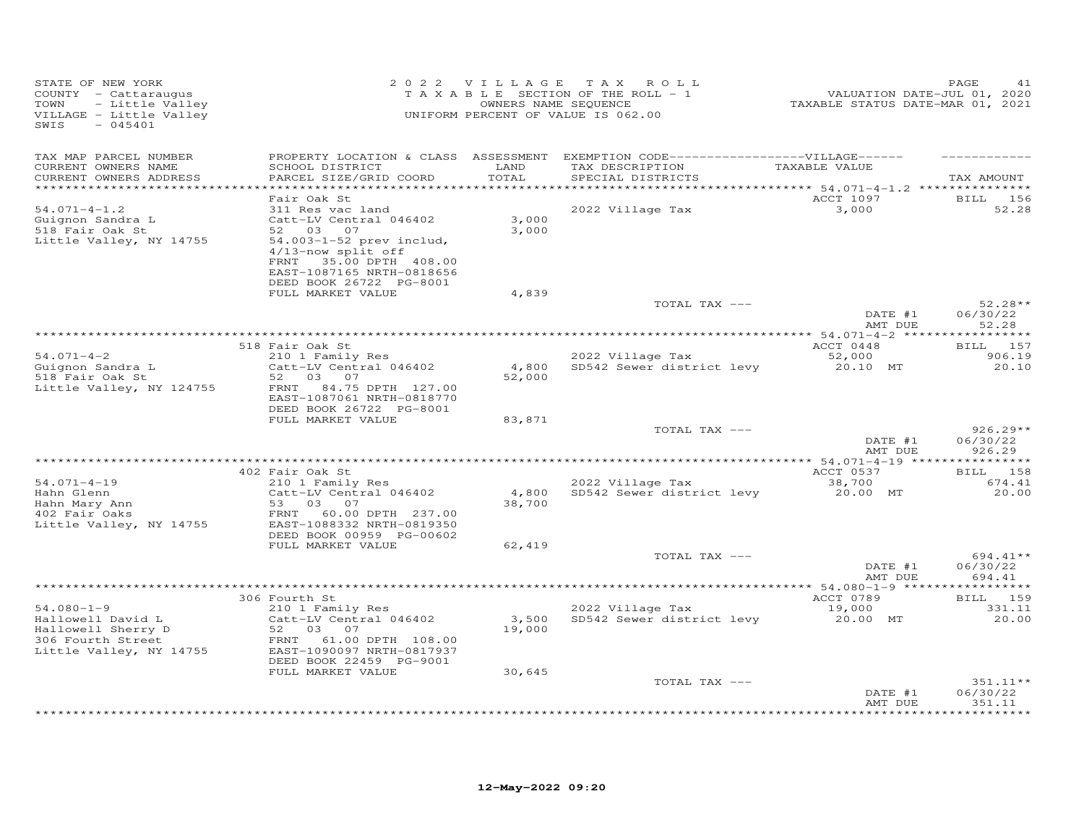| STATE OF NEW YORK<br>COUNTY - Cattaraugus<br>- Little Valley<br>TOWN<br>VILLAGE - Little Valley<br>$-045401$<br>SWIS |                                                                                                         | 2022 VILLAGE    | TAX ROLL<br>T A X A B L E SECTION OF THE ROLL - 1<br>OWNERS NAME SEQUENCE<br>UNIFORM PERCENT OF VALUE IS 062.00           | VALUATION DATE-JUL 01, 2020<br>TAXABLE STATUS DATE-MAR 01, 2021 | PAGE<br>41                                |
|----------------------------------------------------------------------------------------------------------------------|---------------------------------------------------------------------------------------------------------|-----------------|---------------------------------------------------------------------------------------------------------------------------|-----------------------------------------------------------------|-------------------------------------------|
| TAX MAP PARCEL NUMBER<br>CURRENT OWNERS NAME<br>CURRENT OWNERS ADDRESS                                               | SCHOOL DISTRICT<br>PARCEL SIZE/GRID COORD                                                               | LAND<br>TOTAL   | PROPERTY LOCATION & CLASS ASSESSMENT EXEMPTION CODE-----------------VILLAGE------<br>TAX DESCRIPTION<br>SPECIAL DISTRICTS | TAXABLE VALUE                                                   | TAX AMOUNT                                |
| **********************                                                                                               | ************************<br>Fair Oak St                                                                 |                 |                                                                                                                           | ACCT 1097                                                       | BILL 156                                  |
| $54.071 - 4 - 1.2$<br>Guignon Sandra L<br>518 Fair Oak St                                                            | 311 Res vac land<br>Catt-LV Central 046402<br>52 03<br>07<br>54.003-1-52 prev includ,                   | 3,000<br>3,000  | 2022 Village Tax                                                                                                          | 3,000                                                           | 52.28                                     |
| Little Valley, NY 14755                                                                                              | 4/13-now split off<br>35.00 DPTH 408.00<br>FRNT<br>EAST-1087165 NRTH-0818656<br>DEED BOOK 26722 PG-8001 |                 |                                                                                                                           |                                                                 |                                           |
|                                                                                                                      | FULL MARKET VALUE                                                                                       | 4,839           |                                                                                                                           |                                                                 | $52.28**$                                 |
|                                                                                                                      |                                                                                                         |                 | TOTAL TAX ---                                                                                                             | DATE #1<br>AMT DUE                                              | 06/30/22<br>52.28                         |
|                                                                                                                      |                                                                                                         |                 |                                                                                                                           |                                                                 |                                           |
| $54.071 - 4 - 2$                                                                                                     | 518 Fair Oak St<br>210 1 Family Res                                                                     |                 | 2022 Village Tax                                                                                                          | ACCT 0448<br>52,000                                             | BILL 157<br>906.19                        |
| Guignon Sandra L                                                                                                     | Catt-LV Central 046402                                                                                  | 4,800           | SD542 Sewer district levy                                                                                                 | 20.10 MT                                                        | 20.10                                     |
| 518 Fair Oak St<br>Little Valley, NY 124755                                                                          | 52<br>03 07<br>84.75 DPTH 127.00<br>FRNT<br>EAST-1087061 NRTH-0818770<br>DEED BOOK 26722 PG-8001        | 52,000          |                                                                                                                           |                                                                 |                                           |
|                                                                                                                      | FULL MARKET VALUE                                                                                       | 83,871          |                                                                                                                           |                                                                 |                                           |
|                                                                                                                      |                                                                                                         |                 | TOTAL TAX ---                                                                                                             | DATE #1<br>AMT DUE                                              | $926.29**$<br>06/30/22<br>926.29          |
|                                                                                                                      |                                                                                                         |                 |                                                                                                                           | ************ 54.071-4-19 **                                     | *********                                 |
|                                                                                                                      | 402 Fair Oak St                                                                                         |                 |                                                                                                                           | ACCT 0537                                                       | BILL 158                                  |
| $54.071 - 4 - 19$<br>Hahn Glenn<br>Hahn Mary Ann                                                                     | 210 1 Family Res<br>Catt-LV Central 046402<br>53<br>03<br>07                                            | 4,800<br>38,700 | 2022 Village Tax<br>SD542 Sewer district levy                                                                             | 38,700<br>20.00 MT                                              | 674.41<br>20,00                           |
| 402 Fair Oaks<br>Little Valley, NY 14755                                                                             | 60.00 DPTH 237.00<br>FRNT<br>EAST-1088332 NRTH-0819350<br>DEED BOOK 00959 PG-00602                      |                 |                                                                                                                           |                                                                 |                                           |
|                                                                                                                      | FULL MARKET VALUE                                                                                       | 62,419          |                                                                                                                           |                                                                 |                                           |
|                                                                                                                      |                                                                                                         |                 | TOTAL TAX ---                                                                                                             | DATE #1<br>AMT DUE                                              | 694.41**<br>06/30/22<br>694.41            |
|                                                                                                                      |                                                                                                         |                 |                                                                                                                           |                                                                 | **********                                |
| $54.080 - 1 - 9$                                                                                                     | 306 Fourth St<br>210 1 Family Res                                                                       |                 | 2022 Village Tax                                                                                                          | ACCT 0789<br>19,000                                             | BILL 159<br>331.11                        |
| Hallowell David L<br>Hallowell Sherry D<br>306 Fourth Street<br>Little Valley, NY 14755                              | Catt-LV Central 046402<br>52 03<br>07<br>FRNT<br>61.00 DPTH 108.00<br>EAST-1090097 NRTH-0817937         | 3,500<br>19,000 | SD542 Sewer district levy                                                                                                 | 20.00 MT                                                        | 20.00                                     |
|                                                                                                                      | DEED BOOK 22459 PG-9001<br>FULL MARKET VALUE                                                            | 30,645          |                                                                                                                           |                                                                 |                                           |
|                                                                                                                      |                                                                                                         |                 | TOTAL TAX ---                                                                                                             |                                                                 | 351.11**                                  |
|                                                                                                                      |                                                                                                         |                 |                                                                                                                           | DATE #1<br>AMT DUE                                              | 06/30/22<br>351.11<br>* * * * * * * * * * |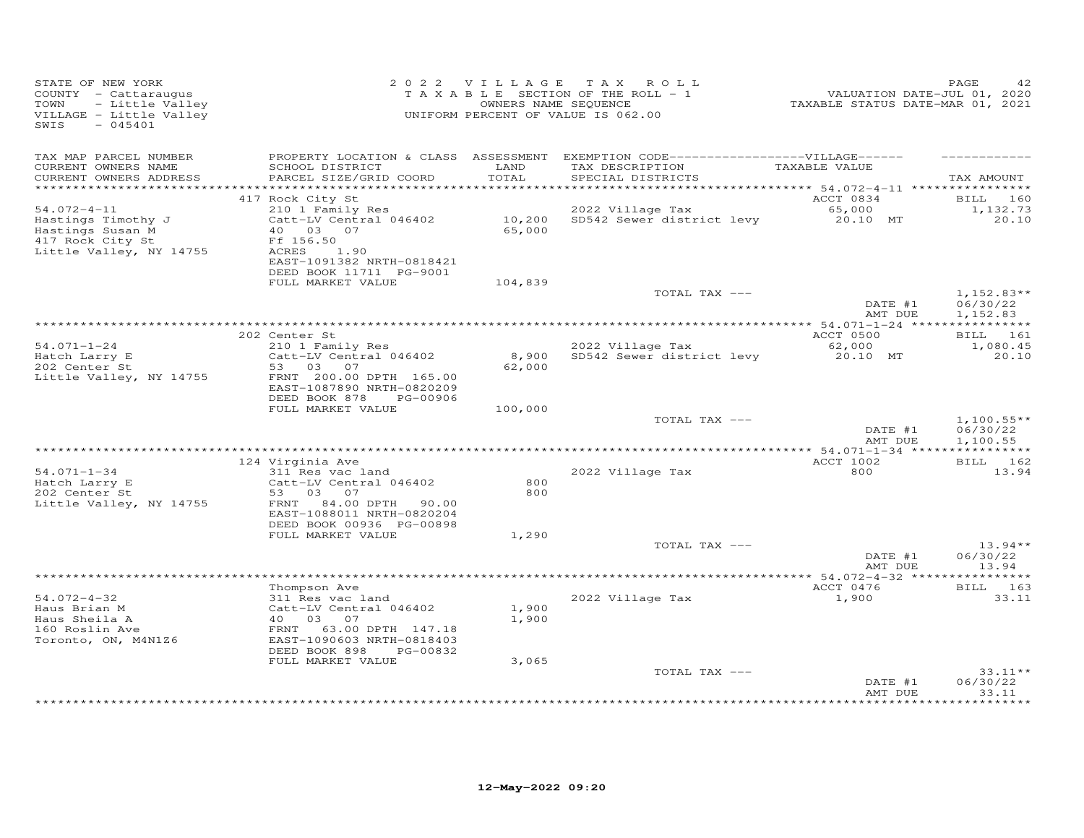| STATE OF NEW YORK<br>COUNTY - Cattaraugus<br>TOWN<br>- Little Valley<br>VILLAGE - Little Valley<br>$-045401$<br>SWIS |                                                                                            | 2022 VILLAGE   | TAX ROLL<br>TAXABLE SECTION OF THE ROLL - 1<br>OWNERS NAME SEQUENCE<br>UNIFORM PERCENT OF VALUE IS 062.00                  | VALUATION DATE-JUL 01, 2020<br>TAXABLE STATUS DATE-MAR 01, 2021 | 42<br>PAGE                           |
|----------------------------------------------------------------------------------------------------------------------|--------------------------------------------------------------------------------------------|----------------|----------------------------------------------------------------------------------------------------------------------------|-----------------------------------------------------------------|--------------------------------------|
| TAX MAP PARCEL NUMBER<br>CURRENT OWNERS NAME<br>CURRENT OWNERS ADDRESS                                               | SCHOOL DISTRICT<br>PARCEL SIZE/GRID COORD                                                  | LAND<br>TOTAL  | PROPERTY LOCATION & CLASS ASSESSMENT EXEMPTION CODE------------------VILLAGE------<br>TAX DESCRIPTION<br>SPECIAL DISTRICTS | TAXABLE VALUE                                                   | TAX AMOUNT                           |
|                                                                                                                      |                                                                                            |                |                                                                                                                            |                                                                 |                                      |
| $54.072 - 4 - 11$<br>Hastings Timothy J<br>Hastings Susan M<br>417 Rock City St                                      | 417 Rock City St<br>210 1 Family Res<br>Catt-LV Central 046402<br>40 03 07<br>Ff 156.50    | 65,000         | 2022 Village Tax 65,000<br>10,200 SD542 Sewer district levy 20.10 MT                                                       | ACCT 0834                                                       | BILL 160<br>1,132.73<br>20.10        |
| Little Valley, NY 14755                                                                                              | ACRES<br>1.90<br>EAST-1091382 NRTH-0818421<br>DEED BOOK 11711 PG-9001<br>FULL MARKET VALUE | 104,839        |                                                                                                                            |                                                                 |                                      |
|                                                                                                                      |                                                                                            |                | TOTAL TAX ---                                                                                                              | DATE #1<br>AMT DUE                                              | $1,152.83**$<br>06/30/22<br>1,152.83 |
|                                                                                                                      |                                                                                            |                |                                                                                                                            |                                                                 |                                      |
| $54.071 - 1 - 24$                                                                                                    | 202 Center St                                                                              |                |                                                                                                                            | ACCT 0500<br>62,000                                             | BILL 161                             |
| Hatch Larry E<br>202 Center St                                                                                       | 210 1 Family Res<br>Catt-LV Central 046402<br>53 03 07                                     | 62,000         | 2022 Village Tax<br>8,900 SD542 Sewer district levy                                                                        | 20.10 MT                                                        | 1,080.45<br>20.10                    |
| Little Valley, NY 14755                                                                                              | FRNT 200.00 DPTH 165.00<br>EAST-1087890 NRTH-0820209<br>DEED BOOK 878<br>PG-00906          |                |                                                                                                                            |                                                                 |                                      |
|                                                                                                                      | FULL MARKET VALUE                                                                          | 100,000        |                                                                                                                            |                                                                 |                                      |
|                                                                                                                      |                                                                                            |                | TOTAL TAX ---                                                                                                              | DATE #1<br>AMT DUE                                              | $1,100.55**$<br>06/30/22<br>1,100.55 |
|                                                                                                                      |                                                                                            |                |                                                                                                                            |                                                                 |                                      |
| $54.071 - 1 - 34$<br>Hatch Larry E<br>202 Center St                                                                  | 124 Virginia Ave<br>311 Res vac land<br>Catt-LV Central 046402<br>53 03 07                 | 800<br>800     | 2022 Village Tax                                                                                                           | <b>ACCT 1002</b><br>800                                         | BILL 162<br>13.94                    |
| Little Valley, NY 14755                                                                                              | FRNT 84.00 DPTH<br>90.00<br>EAST-1088011 NRTH-0820204<br>DEED BOOK 00936 PG-00898          |                |                                                                                                                            |                                                                 |                                      |
|                                                                                                                      | FULL MARKET VALUE                                                                          | 1,290          | TOTAL TAX ---                                                                                                              |                                                                 | $13.94**$                            |
|                                                                                                                      |                                                                                            |                |                                                                                                                            | DATE #1<br>AMT DUE                                              | 06/30/22<br>13.94                    |
|                                                                                                                      | Thompson Ave                                                                               |                |                                                                                                                            | ACCT 0476                                                       | BILL 163                             |
| $54.072 - 4 - 32$<br>Haus Brian M<br>Haus Sheila A<br>160 Roslin Ave                                                 | 311 Res vac land<br>Catt-LV Central 046402<br>40 03 07<br>FRNT 63.00 DPTH 147.18           | 1,900<br>1,900 | 2022 Village Tax                                                                                                           | 1,900                                                           | 33.11                                |
| Toronto, ON, M4N1Z6                                                                                                  | EAST-1090603 NRTH-0818403<br>DEED BOOK 898<br>PG-00832                                     |                |                                                                                                                            |                                                                 |                                      |
|                                                                                                                      | FULL MARKET VALUE                                                                          | 3,065          | TOTAL TAX ---                                                                                                              |                                                                 | $33.11**$                            |
|                                                                                                                      |                                                                                            |                |                                                                                                                            | DATE #1<br>AMT DUE                                              | 06/30/22<br>33.11                    |
|                                                                                                                      |                                                                                            |                |                                                                                                                            |                                                                 | **********                           |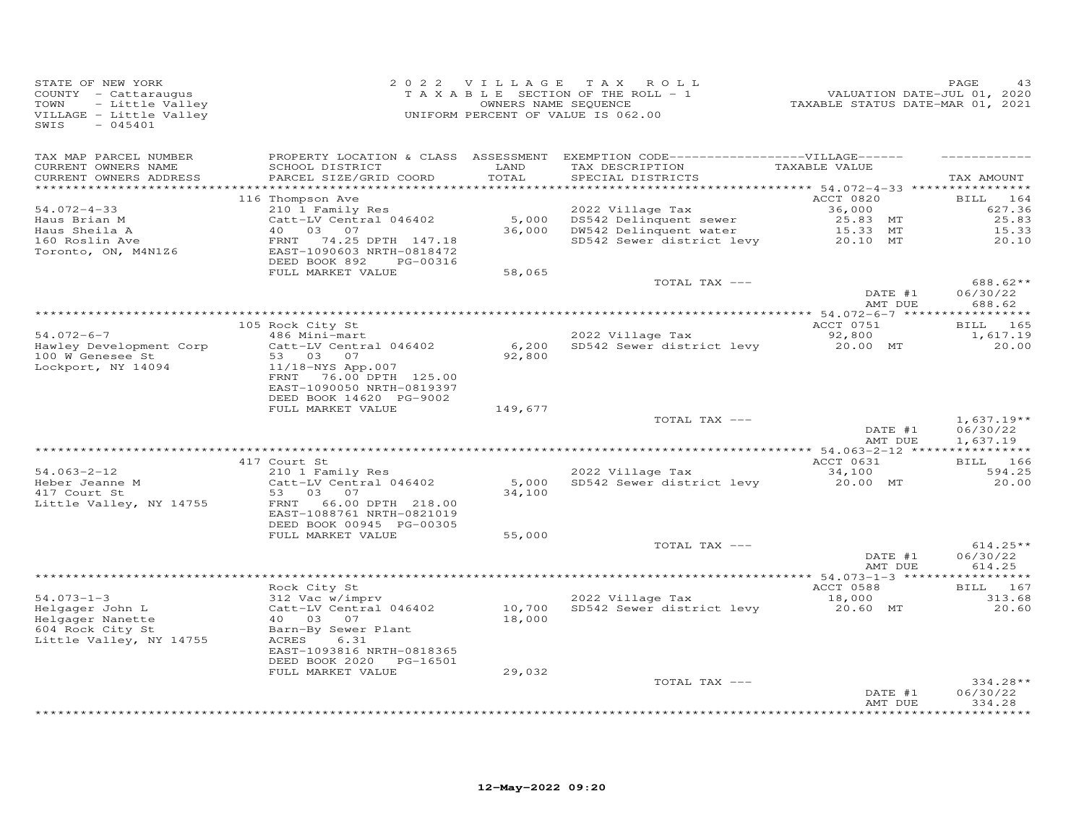| STATE OF NEW YORK<br>COUNTY - Cattaraugus<br>TOWN<br>- Little Valley<br>VILLAGE - Little Valley<br>$-045401$<br>SWIS |                                                                                                                                                                                                 | 2022 VILLAGE               | TAX ROLL<br>TAXABLE SECTION OF THE ROLL - 1<br>OWNERS NAME SEQUENCE<br>UNIFORM PERCENT OF VALUE IS 062.00                  | -------<br>71. VALUATION DATE-JUL 01, 2020<br>72021, TAXABLE STATUS DATE-MAR 01 | PAGE<br>43                                              |
|----------------------------------------------------------------------------------------------------------------------|-------------------------------------------------------------------------------------------------------------------------------------------------------------------------------------------------|----------------------------|----------------------------------------------------------------------------------------------------------------------------|---------------------------------------------------------------------------------|---------------------------------------------------------|
| TAX MAP PARCEL NUMBER<br>CURRENT OWNERS NAME<br>CURRENT OWNERS ADDRESS                                               | SCHOOL DISTRICT<br>PARCEL SIZE/GRID COORD                                                                                                                                                       | LAND<br>TOTAL              | PROPERTY LOCATION & CLASS ASSESSMENT EXEMPTION CODE------------------VILLAGE------<br>TAX DESCRIPTION<br>SPECIAL DISTRICTS | TAXABLE VALUE                                                                   | TAX AMOUNT                                              |
| $54.072 - 4 - 33$<br>Haus Brian M<br>Haus Sheila A<br>160 Roslin Ave<br>Toronto, ON, M4N1Z6                          | 116 Thompson Ave<br>210 1 Family Res<br>Catt-LV Central 046402<br>40 03 07<br>FRNT<br>74.25 DPTH 147.18<br>EAST-1090603 NRTH-0818472<br>DEED BOOK 892<br>PG-00316<br>FULL MARKET VALUE          | 5,000<br>58,065            | 2022 Village Tax<br>DS542 Delinquent sewer<br>36,000 DW542 Delinquent water<br>SD542 Sewer district levy                   | ACCT 0820<br>36,000<br>25.83 MT<br>15.33 MT<br>20.10 MT                         | <b>BILL</b><br>164<br>627.36<br>25.83<br>15.33<br>20.10 |
|                                                                                                                      |                                                                                                                                                                                                 |                            | TOTAL TAX ---                                                                                                              | DATE #1<br>AMT DUE                                                              | 688.62**<br>06/30/22<br>688.62                          |
|                                                                                                                      | 105 Rock City St                                                                                                                                                                                |                            |                                                                                                                            | ACCT 0751                                                                       | BILL 165                                                |
| $54.072 - 6 - 7$<br>Hawley Development Corp<br>100 W Genesee St<br>Lockport, NY 14094                                | 486 Mini-mart<br>Catt-LV Central 046402<br>53 03 07<br>11/18-NYS App.007<br>76.00 DPTH 125.00<br>FRNT<br>EAST-1090050 NRTH-0819397<br>DEED BOOK 14620 PG-9002                                   | 6,200<br>92,800            | 2022 Village Tax<br>SD542 Sewer district levy                                                                              | 92,800<br>20.00 MT                                                              | 1,617.19<br>20.00                                       |
|                                                                                                                      | FULL MARKET VALUE                                                                                                                                                                               | 149,677                    | TOTAL TAX ---                                                                                                              | DATE #1<br>AMT DUE                                                              | $1,637.19**$<br>06/30/22<br>1,637.19                    |
|                                                                                                                      |                                                                                                                                                                                                 |                            |                                                                                                                            |                                                                                 |                                                         |
| $54.063 - 2 - 12$<br>B4.000 L<br>Heber Jeanne M<br>417 Court St<br>Little Valley, NY 14755                           | 417 Court St<br>210 1 Family Res<br>Catt-LV Central 046402<br>53 03<br>07<br>66.00 DPTH 218.00<br>FRNT<br>EAST-1088761 NRTH-0821019                                                             | 5,000<br>34,100            | 2022 Village Tax<br>SD542 Sewer district levy                                                                              | ACCT 0631<br>34,100<br>20.00 MT                                                 | <b>BILL</b> 166<br>594.25<br>20.00                      |
|                                                                                                                      | DEED BOOK 00945 PG-00305<br>FULL MARKET VALUE                                                                                                                                                   | 55,000                     | TOTAL TAX ---                                                                                                              | DATE #1<br>AMT DUE                                                              | $614.25**$<br>06/30/22<br>614.25                        |
|                                                                                                                      |                                                                                                                                                                                                 |                            |                                                                                                                            |                                                                                 |                                                         |
| $54.073 - 1 - 3$<br>Helgager John L<br>Helgager Nanette<br>604 Rock City St<br>Little Valley, NY 14755               | Rock City St<br>312 Vac w/imprv<br>Catt-LV Central 046402<br>40  03  07<br>Barn-By Sewer Plant<br>ACRES<br>6.31<br>EAST-1093816 NRTH-0818365<br>DEED BOOK 2020<br>PG-16501<br>FULL MARKET VALUE | 10,700<br>18,000<br>29,032 | 2022 Village Tax<br>SD542 Sewer district levy                                                                              | ACCT 0588<br>18,000<br>20.60 MT                                                 | BILL 167<br>313.68<br>20.60                             |
|                                                                                                                      |                                                                                                                                                                                                 |                            | TOTAL TAX ---                                                                                                              | DATE #1<br>AMT DUE                                                              | 334.28**<br>06/30/22<br>334.28<br>*********             |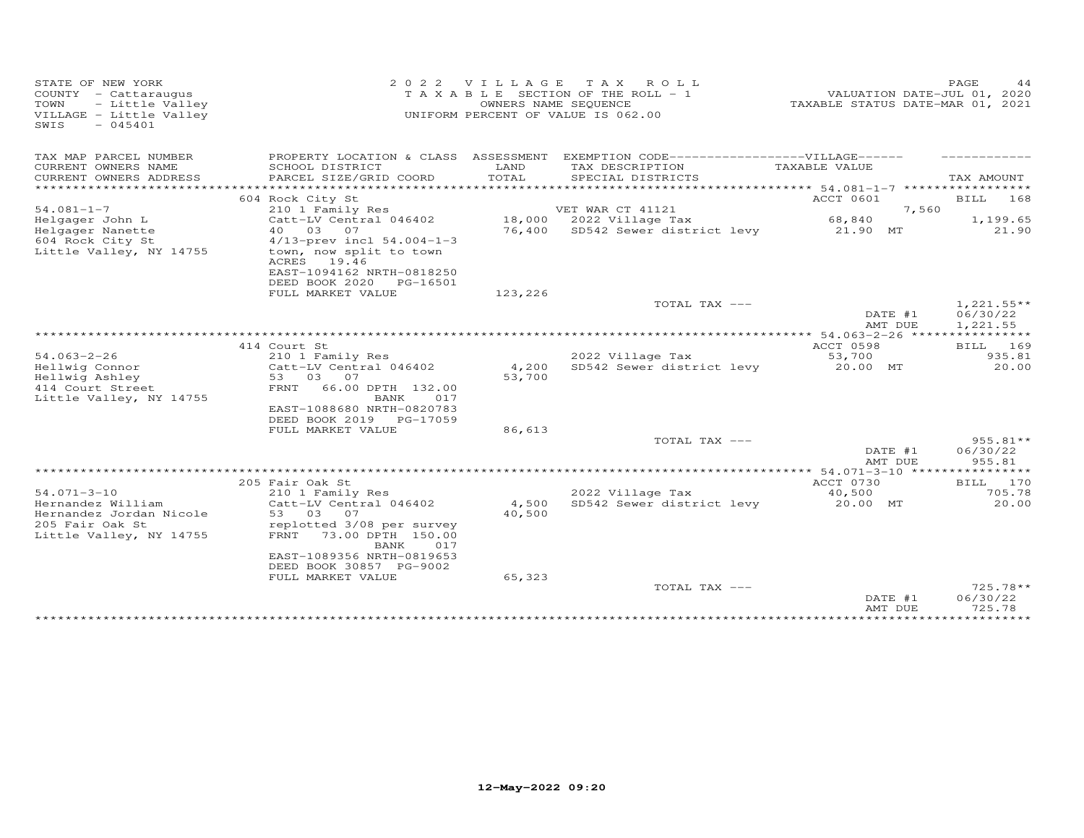| STATE OF NEW YORK<br>COUNTY - Cattaraugus<br>- Little Valley<br>TOWN<br>VILLAGE - Little Valley<br>SWIS<br>$-045401$ | 2 0 2 2                                                                                                                           | VILLAGE<br>OWNERS NAME SEQUENCE | T A X<br>ROLL ROLL<br>T A X A B L E SECTION OF THE ROLL - 1<br>UNIFORM PERCENT OF VALUE IS 062.00 | VALUATION DATE-JUL 01, 2020<br>TAXABLE STATUS DATE-MAR 01, 2021 | PAGE<br>44                           |
|----------------------------------------------------------------------------------------------------------------------|-----------------------------------------------------------------------------------------------------------------------------------|---------------------------------|---------------------------------------------------------------------------------------------------|-----------------------------------------------------------------|--------------------------------------|
| TAX MAP PARCEL NUMBER                                                                                                | PROPERTY LOCATION & CLASS ASSESSMENT                                                                                              |                                 | EXEMPTION CODE------------------VILLAGE------                                                     |                                                                 |                                      |
| CURRENT OWNERS NAME<br>CURRENT OWNERS ADDRESS                                                                        | SCHOOL DISTRICT<br>PARCEL SIZE/GRID COORD                                                                                         | LAND<br>TOTAL                   | TAX DESCRIPTION<br>SPECIAL DISTRICTS                                                              | TAXABLE VALUE                                                   | TAX AMOUNT                           |
| *************************                                                                                            |                                                                                                                                   |                                 |                                                                                                   |                                                                 |                                      |
|                                                                                                                      | 604 Rock City St                                                                                                                  |                                 |                                                                                                   | ACCT 0601                                                       | BILL<br>168                          |
| $54.081 - 1 - 7$                                                                                                     | 210 1 Family Res                                                                                                                  |                                 | VET WAR CT 41121                                                                                  | 7,560                                                           |                                      |
| Helgager John L                                                                                                      | Catt-LV Central 046402                                                                                                            |                                 | 18,000 2022 Village Tax                                                                           | 68,840                                                          | 1,199.65                             |
| Helgager Nanette                                                                                                     | 40 03 07                                                                                                                          | 76,400                          | SD542 Sewer district levy                                                                         | 21.90 MT                                                        | 21.90                                |
| 604 Rock City St<br>Little Valley, NY 14755                                                                          | 4/13-prev incl 54.004-1-3<br>town, now split to town<br>ACRES<br>19.46<br>EAST-1094162 NRTH-0818250<br>DEED BOOK 2020<br>PG-16501 |                                 |                                                                                                   |                                                                 |                                      |
|                                                                                                                      | FULL MARKET VALUE                                                                                                                 | 123,226                         |                                                                                                   |                                                                 |                                      |
|                                                                                                                      |                                                                                                                                   |                                 | TOTAL TAX ---                                                                                     | DATE #1<br>AMT DUE                                              | $1,221.55**$<br>06/30/22<br>1,221.55 |
|                                                                                                                      |                                                                                                                                   |                                 |                                                                                                   | *********** 54.063-2-26 *****                                   | ***********                          |
|                                                                                                                      | 414 Court St                                                                                                                      |                                 |                                                                                                   | ACCT 0598                                                       | BILL 169                             |
| $54.063 - 2 - 26$                                                                                                    | 210 1 Family Res                                                                                                                  |                                 | 2022 Village Tax                                                                                  | 53,700                                                          | 935.81                               |
| Hellwig Connor                                                                                                       | Catt-LV Central 046402                                                                                                            | 4,200                           | SD542 Sewer district levy                                                                         | 20.00 MT                                                        | 20.00                                |
| Hellwig Ashley                                                                                                       | 53<br>03<br>07                                                                                                                    | 53,700                          |                                                                                                   |                                                                 |                                      |
| 414 Court Street<br>Little Valley, NY 14755                                                                          | FRNT<br>66.00 DPTH 132.00<br>017<br>BANK<br>EAST-1088680 NRTH-0820783<br>DEED BOOK 2019<br>PG-17059                               |                                 |                                                                                                   |                                                                 |                                      |
|                                                                                                                      | FULL MARKET VALUE                                                                                                                 | 86,613                          |                                                                                                   |                                                                 |                                      |
|                                                                                                                      |                                                                                                                                   |                                 | TOTAL TAX ---                                                                                     |                                                                 | 955.81**                             |
|                                                                                                                      |                                                                                                                                   |                                 |                                                                                                   | DATE #1                                                         | 06/30/22<br>955.81                   |
|                                                                                                                      |                                                                                                                                   |                                 |                                                                                                   | AMT DUE                                                         |                                      |
|                                                                                                                      | 205 Fair Oak St                                                                                                                   |                                 |                                                                                                   | ACCT 0730                                                       | 170<br>BILL                          |
| $54.071 - 3 - 10$                                                                                                    | 210 1 Family Res                                                                                                                  |                                 | 2022 Village Tax                                                                                  | 40,500                                                          | 705.78                               |
| Hernandez William                                                                                                    | Catt-LV Central 046402                                                                                                            | 4,500                           | SD542 Sewer district levy                                                                         | 20.00 MT                                                        | 20.00                                |
| Hernandez Jordan Nicole                                                                                              | 53 03 07                                                                                                                          | 40,500                          |                                                                                                   |                                                                 |                                      |
| 205 Fair Oak St                                                                                                      | replotted 3/08 per survey                                                                                                         |                                 |                                                                                                   |                                                                 |                                      |
| Little Valley, NY 14755                                                                                              | FRNT<br>73.00 DPTH 150.00<br>BANK<br>017                                                                                          |                                 |                                                                                                   |                                                                 |                                      |
|                                                                                                                      | EAST-1089356 NRTH-0819653<br>DEED BOOK 30857 PG-9002                                                                              |                                 |                                                                                                   |                                                                 |                                      |
|                                                                                                                      | FULL MARKET VALUE                                                                                                                 | 65,323                          |                                                                                                   |                                                                 |                                      |
|                                                                                                                      |                                                                                                                                   |                                 | TOTAL TAX ---                                                                                     |                                                                 | $725.78**$                           |
|                                                                                                                      |                                                                                                                                   |                                 |                                                                                                   | DATE #1<br>AMT DUE                                              | 06/30/22<br>725.78                   |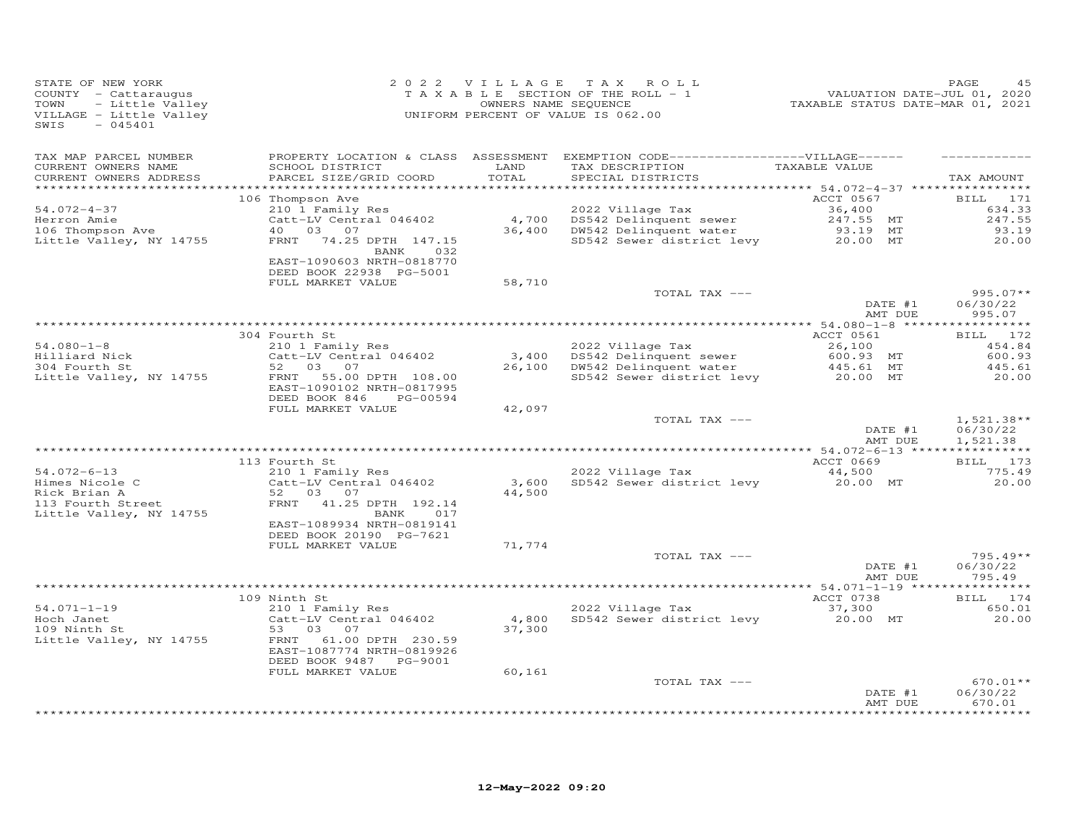| STATE OF NEW YORK<br>COUNTY - Cattaraugus<br>TOWN<br>- Little Valley<br>VILLAGE - Little Valley<br>$-045401$<br>SWIS |                                                                                                 | 2022 VILLAGE    | TAX ROLL<br>TAXABLE SECTION OF THE ROLL - 1<br>OWNERS NAME SEQUENCE<br>UNIFORM PERCENT OF VALUE IS 062.00                  | VALUATION DATE-JUL 01, 2020<br>TAXABLE STATUS DATE-MAR 01, 2021 | PAGE<br>45                           |
|----------------------------------------------------------------------------------------------------------------------|-------------------------------------------------------------------------------------------------|-----------------|----------------------------------------------------------------------------------------------------------------------------|-----------------------------------------------------------------|--------------------------------------|
| TAX MAP PARCEL NUMBER<br>CURRENT OWNERS NAME<br>CURRENT OWNERS ADDRESS                                               | SCHOOL DISTRICT<br>PARCEL SIZE/GRID COORD                                                       | LAND<br>TOTAL   | PROPERTY LOCATION & CLASS ASSESSMENT EXEMPTION CODE------------------VILLAGE------<br>TAX DESCRIPTION<br>SPECIAL DISTRICTS | TAXABLE VALUE                                                   | TAX AMOUNT                           |
|                                                                                                                      | 106 Thompson Ave                                                                                |                 |                                                                                                                            | ACCT 0567                                                       | BILL 171                             |
| $54.072 - 4 - 37$                                                                                                    | 210 1 Family Res                                                                                |                 | 2022 Village Tax                                                                                                           | 36,400                                                          | 634.33                               |
| Herron Amie                                                                                                          | Catt-LV Central 046402                                                                          | 4,700           | DS542 Delinquent sewer                                                                                                     | 247.55 MT                                                       | 247.55                               |
| 106 Thompson Ave                                                                                                     | 40  03  07                                                                                      |                 | 36,400 DW542 Delinquent water                                                                                              | 93.19 MT                                                        | 93.19                                |
| Little Valley, NY 14755                                                                                              | FRNT 74.25 DPTH 147.15<br>BANK 032<br>EAST-1090603 NRTH-0818770<br>DEED BOOK 22938 PG-5001      |                 | SD542 Sewer district levy                                                                                                  | 20.00 MT                                                        | 20.00                                |
|                                                                                                                      | FULL MARKET VALUE                                                                               | 58,710          |                                                                                                                            |                                                                 |                                      |
|                                                                                                                      |                                                                                                 |                 | TOTAL TAX ---                                                                                                              |                                                                 | $995.07**$                           |
|                                                                                                                      |                                                                                                 |                 |                                                                                                                            | DATE #1<br>AMT DUE                                              | 06/30/22<br>995.07                   |
|                                                                                                                      | 304 Fourth St                                                                                   |                 |                                                                                                                            | ACCT 0561                                                       | ***********<br>BILL 172              |
| $54.080 - 1 - 8$                                                                                                     | 210 1 Family Res                                                                                |                 | 2022 Village Tax                                                                                                           | 26,100                                                          | 454.84                               |
| Hilliard Nick                                                                                                        | Catt-LV Central 046402                                                                          |                 | 3,400 DS542 Delinquent sewer                                                                                               | 600.93 MT                                                       | 600.93                               |
| 304 Fourth St                                                                                                        | 52 03 07                                                                                        |                 | 26,100 DW542 Delinquent water                                                                                              | 445.61 MT                                                       | 445.61                               |
| Little Valley, NY 14755                                                                                              | FRNT<br>55.00 DPTH 108.00<br>EAST-1090102 NRTH-0817995<br>DEED BOOK 846<br>PG-00594             |                 | DS542 Delinquent sewer 600.93 MT<br>DW542 Delinquent water 445.61 MT<br>SD542 Sewer district levy 20.00 MT                 |                                                                 | 20.00                                |
|                                                                                                                      | FULL MARKET VALUE                                                                               | 42,097          |                                                                                                                            |                                                                 |                                      |
|                                                                                                                      |                                                                                                 |                 | TOTAL TAX ---                                                                                                              | DATE #1<br>AMT DUE                                              | $1,521.38**$<br>06/30/22<br>1,521.38 |
|                                                                                                                      | 113 Fourth St                                                                                   |                 |                                                                                                                            | ACCT 0669                                                       | BILL 173                             |
| $54.072 - 6 - 13$                                                                                                    | 210 1 Family Res                                                                                |                 | 2022 Village Tax                                                                                                           | 44,500                                                          | 775.49                               |
| Himes Nicole C<br>Rick Brian A<br>113 Fourth Street                                                                  | Catt-LV Central 046402<br>52 03 07                                                              | 3,600<br>44,500 | SD542 Sewer district levy                                                                                                  | 20.00 MT                                                        | 20.00                                |
| Little Valley, NY 14755                                                                                              | FRNT 41.25 DPTH 192.14<br>BANK 017<br>EAST-1089934 NRTH-0819141                                 |                 |                                                                                                                            |                                                                 |                                      |
|                                                                                                                      | DEED BOOK 20190 PG-7621<br>FULL MARKET VALUE                                                    | 71,774          |                                                                                                                            |                                                                 |                                      |
|                                                                                                                      |                                                                                                 |                 | TOTAL TAX ---                                                                                                              | DATE #1                                                         | $795.49**$<br>06/30/22               |
|                                                                                                                      |                                                                                                 |                 |                                                                                                                            | AMT DUE                                                         | 795.49                               |
|                                                                                                                      | 109 Ninth St                                                                                    |                 |                                                                                                                            | ACCT 0738                                                       | BILL 174                             |
| $54.071 - 1 - 19$                                                                                                    | 210 1 Family Res                                                                                |                 | 2022 Village Tax                                                                                                           | 37,300                                                          | 650.01                               |
| Hoch Janet                                                                                                           | Catt-LV Central 046402                                                                          | 4,800           | SD542 Sewer district levy                                                                                                  | 20.00 MT                                                        | 20.00                                |
| 109 Ninth St<br>Little Valley, NY 14755                                                                              | 53 03<br>07<br>FRNT<br>61.00 DPTH 230.59<br>EAST-1087774 NRTH-0819926<br>DEED BOOK 9487 PG-9001 | 37,300          |                                                                                                                            |                                                                 |                                      |
|                                                                                                                      | FULL MARKET VALUE                                                                               | 60,161          |                                                                                                                            |                                                                 |                                      |
|                                                                                                                      |                                                                                                 |                 | TOTAL TAX ---                                                                                                              | DATE #1<br>AMT DUE                                              | $670.01**$<br>06/30/22<br>670.01     |
|                                                                                                                      |                                                                                                 |                 |                                                                                                                            |                                                                 | ************                         |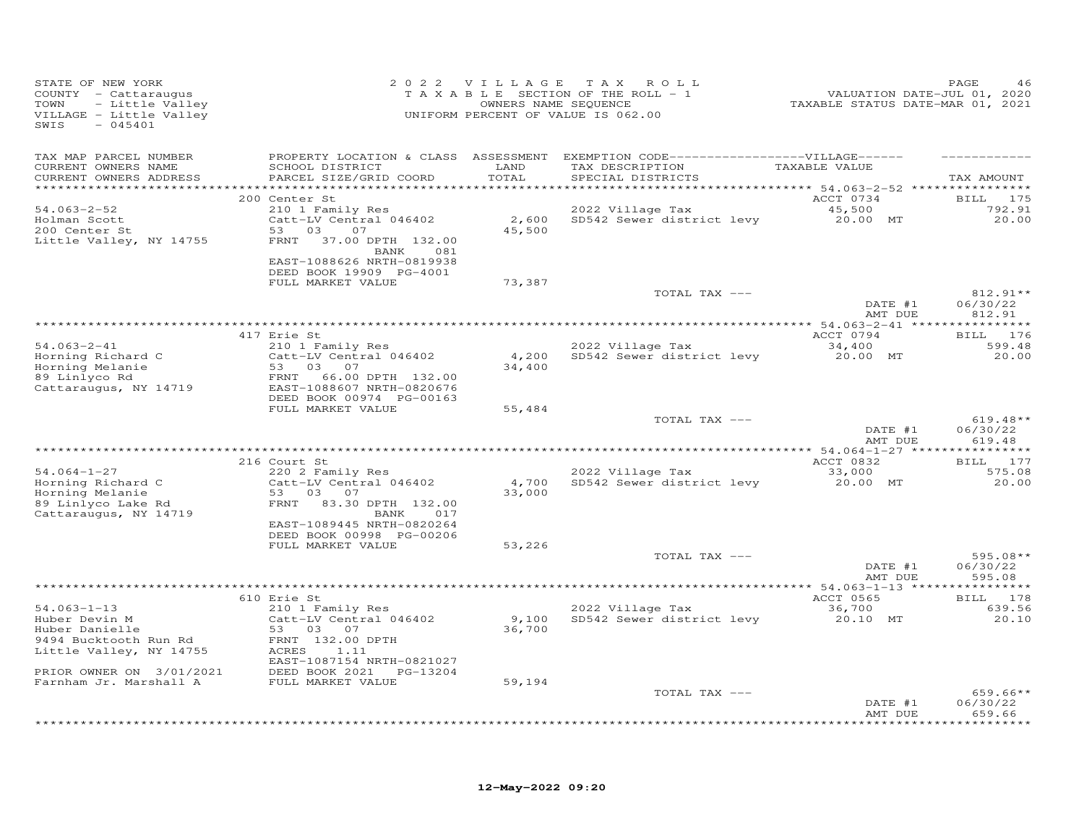| STATE OF NEW YORK<br>COUNTY - Cattaraugus<br>- Little Valley<br>TOWN<br>VILLAGE - Little Valley<br>$-045401$<br>SWIS                 |                                                                                                                                                                                   | 2022 VILLAGE              | TAX ROLL<br>TAXABLE SECTION OF THE ROLL - 1<br>OWNERS NAME SEQUENCE<br>UNIFORM PERCENT OF VALUE IS 062.00                 | VALUATION DATE-JUL 01, 2020<br>TAXABLE STATUS DATE-MAR 01, 2021 | PAGE                                  |
|--------------------------------------------------------------------------------------------------------------------------------------|-----------------------------------------------------------------------------------------------------------------------------------------------------------------------------------|---------------------------|---------------------------------------------------------------------------------------------------------------------------|-----------------------------------------------------------------|---------------------------------------|
| TAX MAP PARCEL NUMBER<br>CURRENT OWNERS NAME<br>CURRENT OWNERS ADDRESS                                                               | SCHOOL DISTRICT<br>PARCEL SIZE/GRID COORD                                                                                                                                         | LAND<br>TOTAL<br>******** | PROPERTY LOCATION & CLASS ASSESSMENT EXEMPTION CODE-----------------VILLAGE------<br>TAX DESCRIPTION<br>SPECIAL DISTRICTS | TAXABLE VALUE                                                   | TAX AMOUNT                            |
| $54.063 - 2 - 52$<br>Holman Scott<br>200 Center St<br>Little Valley, NY 14755                                                        | 200 Center St<br>210 1 Family Res<br>Catt-LV Central 046402<br>03<br>53<br>07<br>FRNT<br>37.00 DPTH 132.00<br>081<br>BANK<br>EAST-1088626 NRTH-0819938<br>DEED BOOK 19909 PG-4001 | 2,600<br>45,500           | 2022 Village Tax<br>SD542 Sewer district levy                                                                             | ********* 54.063-2-52 *<br>ACCT 0734<br>45,500<br>20.00 MT      | <b>BILL</b> 175<br>792.91<br>20,00    |
|                                                                                                                                      | FULL MARKET VALUE                                                                                                                                                                 | 73,387                    | TOTAL TAX ---                                                                                                             |                                                                 | $812.91**$                            |
|                                                                                                                                      |                                                                                                                                                                                   |                           |                                                                                                                           | DATE #1<br>AMT DUE                                              | 06/30/22<br>812.91                    |
|                                                                                                                                      | 417 Erie St                                                                                                                                                                       |                           |                                                                                                                           | ACCT 0794                                                       | BILL 176                              |
| $54.063 - 2 - 41$<br>Horning Richard C<br>Horning Melanie<br>89 Linlyco Rd<br>Cattaraugus, NY 14719                                  | 210 1 Family Res<br>Catt-LV Central 046402<br>53<br>03<br>07<br>66.00 DPTH 132.00<br>FRNT<br>EAST-1088607 NRTH-0820676<br>DEED BOOK 00974 PG-00163                                | 4,200<br>34,400           | 2022 Village Tax<br>SD542 Sewer district levy                                                                             | 34,400<br>20.00 MT                                              | 599.48<br>20,00                       |
|                                                                                                                                      | FULL MARKET VALUE                                                                                                                                                                 | 55,484                    | TOTAL TAX ---                                                                                                             | DATE #1<br>AMT DUE                                              | $619.48**$<br>06/30/22<br>619.48      |
|                                                                                                                                      |                                                                                                                                                                                   |                           |                                                                                                                           |                                                                 |                                       |
| $54.064 - 1 - 27$<br>Horning Richard C<br>Horning Melanie<br>89 Linlyco Lake Rd<br>Cattaraugus, NY 14719                             | 216 Court St<br>220 2 Family Res<br>Catt-LV Central 046402<br>53 03<br>07<br>FRNT<br>83.30 DPTH 132.00<br>017<br>BANK                                                             | 4,700<br>33,000           | 2022 Village Tax<br>SD542 Sewer district levy                                                                             | ACCT 0832<br>33,000<br>20.00 MT                                 | <b>BILL</b><br>177<br>575.08<br>20,00 |
|                                                                                                                                      | EAST-1089445 NRTH-0820264<br>DEED BOOK 00998 PG-00206<br>FULL MARKET VALUE                                                                                                        | 53,226                    |                                                                                                                           |                                                                 |                                       |
|                                                                                                                                      |                                                                                                                                                                                   |                           | TOTAL TAX ---                                                                                                             | DATE #1<br>AMT DUE                                              | $595.08**$<br>06/30/22<br>595.08      |
|                                                                                                                                      |                                                                                                                                                                                   |                           |                                                                                                                           |                                                                 |                                       |
| $54.063 - 1 - 13$<br>Huber Devin M<br>Huber Danielle<br>9494 Bucktooth Run Rd<br>Little Valley, NY 14755<br>PRIOR OWNER ON 3/01/2021 | 610 Erie St<br>210 1 Family Res<br>Catt-LV Central 046402<br>03 07<br>53<br>FRNT 132.00 DPTH<br>1.11<br>ACRES<br>EAST-1087154 NRTH-0821027<br>DEED BOOK 2021 PG-13204             | 9,100<br>36,700           | 2022 Village Tax<br>SD542 Sewer district levy                                                                             | ACCT 0565<br>36,700<br>20.10 MT                                 | BILL 178<br>639.56<br>20.10           |
| Farnham Jr. Marshall A                                                                                                               | FULL MARKET VALUE                                                                                                                                                                 | 59,194                    | TOTAL TAX ---                                                                                                             | DATE #1                                                         | $659.66**$<br>06/30/22<br>659.66      |
|                                                                                                                                      |                                                                                                                                                                                   |                           |                                                                                                                           | AMT DUE                                                         | + + + + + + + +                       |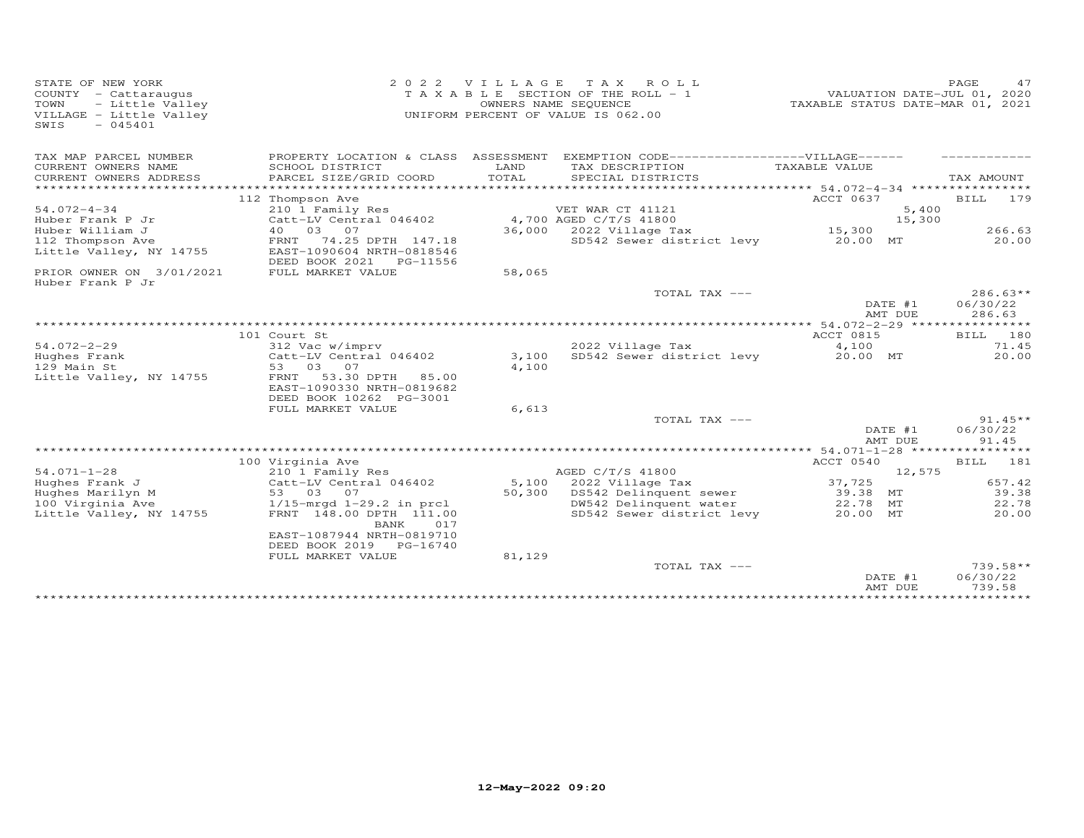| STATE OF NEW YORK<br>COUNTY - Cattaraugus<br>TOWN<br>- Little Valley<br>VILLAGE - Little Valley<br>$-045401$<br>SWIS | 2 0 2 2                                                                           |               | VILLAGE TAX ROLL<br>T A X A B L E SECTION OF THE ROLL - 1<br>OWNERS NAME SEQUENCE<br>UNIFORM PERCENT OF VALUE IS 062.00 | TAXABLE STATUS DATE-MAR 01, 2021 |        | 47<br>PAGE<br>VALUATION DATE-JUL 01, 2020 |
|----------------------------------------------------------------------------------------------------------------------|-----------------------------------------------------------------------------------|---------------|-------------------------------------------------------------------------------------------------------------------------|----------------------------------|--------|-------------------------------------------|
| TAX MAP PARCEL NUMBER                                                                                                |                                                                                   |               | PROPERTY LOCATION & CLASS ASSESSMENT EXEMPTION CODE------------------VILLAGE------                                      |                                  |        |                                           |
| CURRENT OWNERS NAME<br>CURRENT OWNERS ADDRESS<br>*********************                                               | SCHOOL DISTRICT<br>PARCEL SIZE/GRID COORD                                         | LAND<br>TOTAL | TAX DESCRIPTION<br>SPECIAL DISTRICTS                                                                                    | TAXABLE VALUE                    |        | TAX AMOUNT                                |
|                                                                                                                      | 112 Thompson Ave                                                                  |               |                                                                                                                         | ACCT 0637                        |        | BILL 179                                  |
| $54.072 - 4 - 34$                                                                                                    | 210 1 Family Res                                                                  |               | VET WAR CT 41121                                                                                                        |                                  | 5,400  |                                           |
| Huber Frank P Jr                                                                                                     | Catt-LV Central 046402                                                            |               | 4,700 AGED C/T/S 41800                                                                                                  |                                  | 15,300 |                                           |
| Huber William J                                                                                                      | 40  03  07                                                                        |               | 36,000 2022 Village Tax                                                                                                 | 15,300                           |        | 266.63                                    |
| 112 Thompson Ave<br>Little Valley, NY 14755                                                                          | FRNT<br>74.25 DPTH 147.18<br>EAST-1090604 NRTH-0818546<br>DEED BOOK 2021 PG-11556 |               | SD542 Sewer district levy                                                                                               | 20.00 MT                         |        | 20,00                                     |
| PRIOR OWNER ON 3/01/2021<br>Huber Frank P Jr                                                                         | FULL MARKET VALUE                                                                 | 58,065        |                                                                                                                         |                                  |        |                                           |
|                                                                                                                      |                                                                                   |               | TOTAL TAX ---                                                                                                           | DATE #1<br>AMT DUE               |        | $286.63**$<br>06/30/22<br>286.63          |
|                                                                                                                      |                                                                                   |               |                                                                                                                         |                                  |        |                                           |
|                                                                                                                      | 101 Court St                                                                      |               |                                                                                                                         | ACCT 0815                        |        | BILL 180                                  |
| $54.072 - 2 - 29$                                                                                                    | 312 Vac w/imprv                                                                   |               | 2022 Village Tax                                                                                                        | 4,100                            |        | 71.45                                     |
| Hughes Frank                                                                                                         | Catt-LV Central 046402                                                            | 3,100         | SD542 Sewer district levy                                                                                               | 20.00 MT                         |        | 20,00                                     |
| 129 Main St                                                                                                          | 53 03 07<br>53.30 DPTH 85.00<br>FRNT                                              | 4,100         |                                                                                                                         |                                  |        |                                           |
| Little Valley, NY 14755                                                                                              | EAST-1090330 NRTH-0819682<br>DEED BOOK 10262 PG-3001                              |               |                                                                                                                         |                                  |        |                                           |
|                                                                                                                      | FULL MARKET VALUE                                                                 | 6,613         |                                                                                                                         |                                  |        |                                           |
|                                                                                                                      |                                                                                   |               | TOTAL TAX ---                                                                                                           |                                  |        | $91.45**$                                 |
|                                                                                                                      |                                                                                   |               |                                                                                                                         | DATE #1                          |        | 06/30/22                                  |
|                                                                                                                      |                                                                                   |               |                                                                                                                         | AMT DUE                          |        | 91.45                                     |
|                                                                                                                      |                                                                                   |               |                                                                                                                         |                                  |        |                                           |
| $54.071 - 1 - 28$                                                                                                    | 100 Virginia Ave                                                                  |               | AGED C/T/S 41800                                                                                                        | ACCT 0540                        | 12,575 | BILL 181                                  |
| Hughes Frank J                                                                                                       | 210 1 Family Res<br>Catt-LV Central 046402                                        |               | 5,100 2022 Village Tax                                                                                                  | 37,725                           |        | 657.42                                    |
| Hughes Marilyn M                                                                                                     | 53 03 07                                                                          |               | 50,300 DS542 Delinquent sewer                                                                                           | 39.38 MT                         |        | 39.38                                     |
| 100 Virginia Ave                                                                                                     | $1/15$ -mrgd $1-29.2$ in prcl                                                     |               | DW542 Delinquent water                                                                                                  | 22.78 MT                         |        | 22.78                                     |
| Little Valley, NY 14755                                                                                              | FRNT 148.00 DPTH 111.00<br>BANK<br>017<br>EAST-1087944 NRTH-0819710               |               | SD542 Sewer district levy                                                                                               | 20.00 MT                         |        | 20.00                                     |
|                                                                                                                      | DEED BOOK 2019 PG-16740                                                           |               |                                                                                                                         |                                  |        |                                           |
|                                                                                                                      | FULL MARKET VALUE                                                                 | 81,129        | TOTAL TAX ---                                                                                                           |                                  |        | $739.58**$<br>06/30/22                    |
|                                                                                                                      |                                                                                   |               |                                                                                                                         | DATE #1<br>AMT DUE               |        | 739.58<br>***********                     |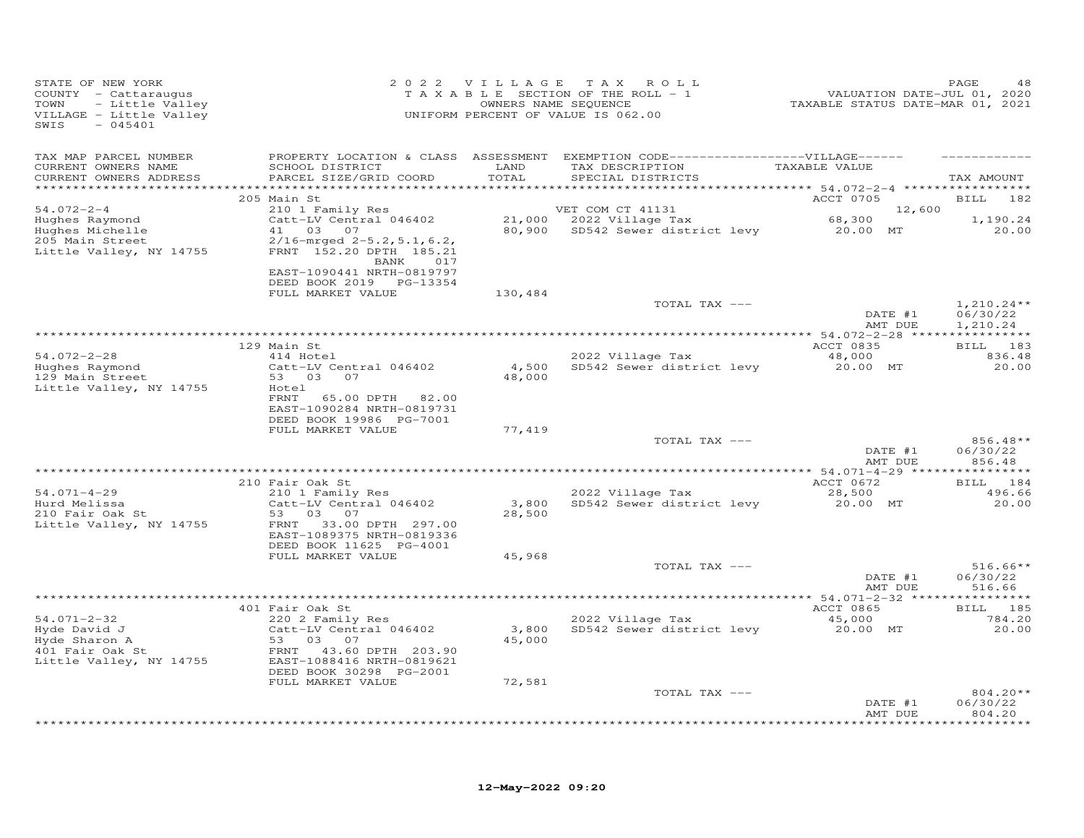| STATE OF NEW YORK<br>COUNTY - Cattaraugus<br>- Little Valley<br>TOWN<br>VILLAGE - Little Valley<br>$-045401$<br>SWIS                |                                                                                                                                                                                  | 2022 VILLAGE                 | TAX ROLL<br>TAXABLE SECTION OF THE ROLL - 1<br>OWNERS NAME SEQUENCE<br>UNIFORM PERCENT OF VALUE IS 062.00                 | VALUATION DATE-JUL 01, 2020<br>TAXABLE STATUS DATE-MAR 01, 2021 | PAGE<br>48                            |
|-------------------------------------------------------------------------------------------------------------------------------------|----------------------------------------------------------------------------------------------------------------------------------------------------------------------------------|------------------------------|---------------------------------------------------------------------------------------------------------------------------|-----------------------------------------------------------------|---------------------------------------|
| TAX MAP PARCEL NUMBER<br>CURRENT OWNERS NAME<br>CURRENT OWNERS ADDRESS                                                              | SCHOOL DISTRICT<br>PARCEL SIZE/GRID COORD                                                                                                                                        | LAND<br>TOTAL<br>*********** | PROPERTY LOCATION & CLASS ASSESSMENT EXEMPTION CODE-----------------VILLAGE------<br>TAX DESCRIPTION<br>SPECIAL DISTRICTS | TAXABLE VALUE<br>*********** 54.072-2-4 *****                   | TAX AMOUNT                            |
|                                                                                                                                     | 205 Main St                                                                                                                                                                      |                              |                                                                                                                           | ACCT 0705                                                       | <b>BILL</b><br>182                    |
| $54.072 - 2 - 4$<br>Hughes Raymond<br>Hughes Michelle<br>205 Main Street<br>Little Valley, NY 14755                                 | 210 1 Family Res<br>Catt-LV Central 046402<br>41 03 07<br>$2/16$ -mrged $2-5.2$ , 5.1, 6.2,<br>FRNT 152.20 DPTH 185.21<br>BANK<br>017                                            | 80,900                       | VET COM CT 41131<br>21,000 2022 Village Tax<br>SD542 Sewer district levy 20.00 MT                                         | 12,600<br>68,300                                                | 1,190.24<br>20.00                     |
|                                                                                                                                     | EAST-1090441 NRTH-0819797<br>DEED BOOK 2019 PG-13354<br>FULL MARKET VALUE                                                                                                        | 130,484                      |                                                                                                                           |                                                                 |                                       |
|                                                                                                                                     |                                                                                                                                                                                  |                              | TOTAL TAX ---                                                                                                             | DATE #1<br>AMT DUE                                              | $1,210.24**$<br>06/30/22<br>1,210.24  |
|                                                                                                                                     |                                                                                                                                                                                  |                              |                                                                                                                           |                                                                 |                                       |
| $54.072 - 2 - 28$                                                                                                                   | 129 Main St<br>414 Hotel                                                                                                                                                         | 4,500                        | 2022 Village Tax                                                                                                          | ACCT 0835<br>48,000                                             | BILL 183<br>836.48                    |
| Hughes Raymond<br>129 Main Street<br>Little Valley, NY 14755                                                                        | Catt-LV Central 046402<br>53 03 07<br>Hotel<br>FRNT<br>65.00 DPTH 82.00<br>EAST-1090284 NRTH-0819731                                                                             | 48,000                       | SD542 Sewer district levy                                                                                                 | 20.00 MT                                                        | 20.00                                 |
|                                                                                                                                     | DEED BOOK 19986 PG-7001<br>FULL MARKET VALUE                                                                                                                                     | 77,419                       |                                                                                                                           |                                                                 |                                       |
|                                                                                                                                     |                                                                                                                                                                                  |                              | TOTAL TAX ---                                                                                                             | DATE #1<br>AMT DUE                                              | 856.48**<br>06/30/22<br>856.48        |
|                                                                                                                                     | 210 Fair Oak St                                                                                                                                                                  |                              |                                                                                                                           | ACCT 0672                                                       | BILL 184                              |
| $54.071 - 4 - 29$<br>Hurd Melissa<br>210 Fair Oak St<br>Little Valley, NY 14755                                                     | 210 1 Family Res<br>Catt-LV Central 046402<br>53<br>03 07<br>FRNT 33.00 DPTH 297.00<br>EAST-1089375 NRTH-0819336                                                                 | 3,800<br>28,500              | 2022 Village Tax<br>SD542 Sewer district levy                                                                             | 28,500<br>20.00 MT                                              | 496.66<br>20.00                       |
|                                                                                                                                     | DEED BOOK 11625 PG-4001<br>FULL MARKET VALUE                                                                                                                                     | 45,968                       |                                                                                                                           |                                                                 |                                       |
|                                                                                                                                     |                                                                                                                                                                                  |                              | TOTAL TAX ---                                                                                                             | DATE #1<br>AMT DUE                                              | $516.66**$<br>06/30/22<br>516.66      |
|                                                                                                                                     |                                                                                                                                                                                  |                              |                                                                                                                           |                                                                 |                                       |
| $54.071 - 2 - 32$<br>Hyde David J<br>$\frac{1}{2}$ $\frac{475}{475}$<br>Hyde Sharon A<br>401 Fair Oak St<br>Little Valley, NY 14755 | 401 Fair Oak St<br>220 2 Family Res<br>Catt-LV Central 046402<br>53 03 07<br>FRNT 43.60 DPTH 203.90<br>EAST-1088416 NRTH-0819621<br>DEED BOOK 30298 PG-2001<br>FULL MARKET VALUE | 3,800<br>45,000<br>72,581    | 2022 Village Tax<br>SD542 Sewer district levy                                                                             | ACCT 0865<br>45,000<br>20.00 MT                                 | BILL 185<br>784.20<br>20.00           |
|                                                                                                                                     |                                                                                                                                                                                  |                              | TOTAL TAX ---                                                                                                             |                                                                 | $804.20**$                            |
|                                                                                                                                     |                                                                                                                                                                                  |                              |                                                                                                                           | DATE #1<br>AMT DUE                                              | 06/30/22<br>804.20<br>* * * * * * * * |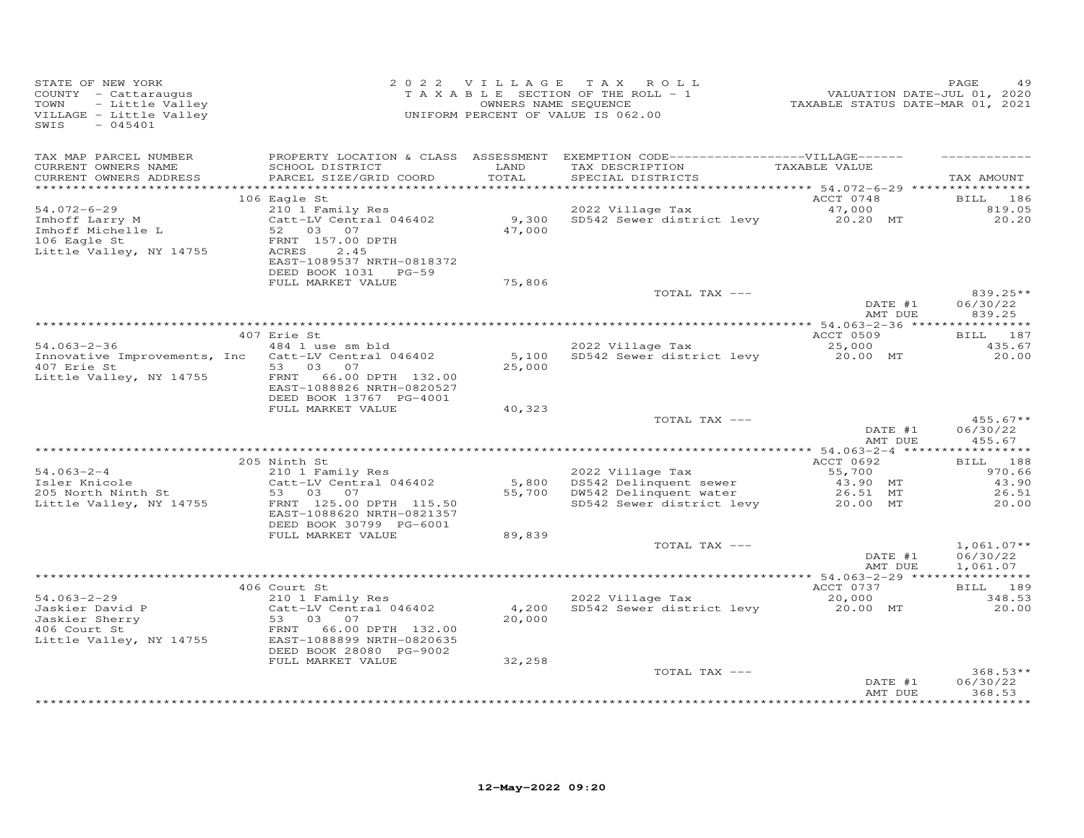| STATE OF NEW YORK<br>COUNTY - Cattaraugus<br>TOWN<br>- Little Valley<br>VILLAGE - Little Valley<br>$-045401$<br>SWIS |                                                                                                                                                               |                  | 2022 VILLAGE TAX ROLL<br>TAXABLE SECTION OF THE ROLL - 1<br>OWNERS NAME SEQUENCE<br>UNIFORM PERCENT OF VALUE IS 062.00                                       | 24 HADD PASE<br>701, 2020<br>TAXABLE STATUS DATE-MAR 01, 2021 | PAGE<br>49                                    |
|----------------------------------------------------------------------------------------------------------------------|---------------------------------------------------------------------------------------------------------------------------------------------------------------|------------------|--------------------------------------------------------------------------------------------------------------------------------------------------------------|---------------------------------------------------------------|-----------------------------------------------|
| TAX MAP PARCEL NUMBER<br>CURRENT OWNERS NAME<br>CURRENT OWNERS ADDRESS                                               | SCHOOL DISTRICT<br>PARCEL SIZE/GRID COORD                                                                                                                     | LAND<br>TOTAL    | PROPERTY LOCATION & CLASS ASSESSMENT EXEMPTION CODE-----------------VILLAGE------<br>TAX DESCRIPTION TAXABLE VALUE<br>SPECIAL DISTRICTS<br>SPECIAL DISTRICTS |                                                               | TAX AMOUNT                                    |
|                                                                                                                      |                                                                                                                                                               |                  |                                                                                                                                                              |                                                               |                                               |
| $54.072 - 6 - 29$<br>Imhoff Larry M<br>Imhoff Michelle L<br>106 Eagle St<br>106 Eagle St<br>Little Valley, NY 14755  | 106 Eagle St<br>FRNT 157.00 DPTH<br>ACRES<br>2.45<br>EAST-1089537 NRTH-0818372                                                                                |                  | 210 1 Family Res<br>Catt-LV Central 046402 9,300 SD542 Sewer district levy 20.20 MT<br>52 03 07 47,000 47,000                                                | ACCT 0748                                                     | BILL 186<br>819.05<br>20.20                   |
|                                                                                                                      | DEED BOOK 1031 PG-59<br>FULL MARKET VALUE                                                                                                                     | 75,806           |                                                                                                                                                              |                                                               |                                               |
|                                                                                                                      |                                                                                                                                                               |                  | TOTAL TAX ---                                                                                                                                                | DATE #1<br>AMT DUE                                            | 839.25**<br>06/30/22<br>839.25                |
|                                                                                                                      |                                                                                                                                                               |                  |                                                                                                                                                              |                                                               |                                               |
|                                                                                                                      | 407 Erie St                                                                                                                                                   |                  |                                                                                                                                                              | ACCT 0509                                                     | BILL 187                                      |
| $54.063 - 2 - 36$<br>Innovative Improvements, Inc Catt-LV Central 046402<br>407 Erie St                              | 484 1 use sm bld<br>53 03 07                                                                                                                                  | 25,000           | 2022 Village Tax<br>5,100 SD542 Sewer district levy                                                                                                          | 25,000<br>20.00 MT                                            | 435.67<br>20.00                               |
| Little Valley, NY 14755                                                                                              | FRNT 66.00 DPTH 132.00<br>EAST-1088826 NRTH-0820527<br>DEED BOOK 13767 PG-4001                                                                                |                  |                                                                                                                                                              |                                                               |                                               |
|                                                                                                                      | FULL MARKET VALUE                                                                                                                                             | 40,323           |                                                                                                                                                              |                                                               |                                               |
|                                                                                                                      |                                                                                                                                                               |                  | TOTAL TAX ---                                                                                                                                                | DATE #1<br>AMT DUE                                            | $455.67**$<br>06/30/22<br>455.67              |
|                                                                                                                      |                                                                                                                                                               |                  |                                                                                                                                                              |                                                               |                                               |
| $54.063 - 2 - 4$<br>Ji.vys-2-4<br>Isler Knicole<br>205 North Ninth St<br>Little Valley, NY 14755                     | 205 Ninth St<br>210 1 Family Res<br>Catt-LV Central 046402<br>53 03 07<br>FRNT 125.00 DPTH 115.50<br>EAST-1088620 NRTH-0821357<br>DEED BOOK 30799 PG-6001     |                  | 2022 Village Tax<br>5,800 DS542 Delinquent sewer<br>55,700 DW542 Delinquent water<br>SD542 Sewer district levy 20.00 MT                                      | ACCT 0692<br>55,700<br>43.90 MT<br>26.51 MT                   | BILL 188<br>970.66<br>43.90<br>26.51<br>20.00 |
|                                                                                                                      | FULL MARKET VALUE                                                                                                                                             | 89,839           |                                                                                                                                                              |                                                               |                                               |
|                                                                                                                      |                                                                                                                                                               |                  | TOTAL TAX ---                                                                                                                                                | DATE #1<br>AMT DUE                                            | $1,061.07**$<br>06/30/22<br>1,061.07          |
|                                                                                                                      | 406 Court St                                                                                                                                                  |                  |                                                                                                                                                              |                                                               | BILL 189                                      |
| $54.063 - 2 - 29$<br>Jaskier David P<br>Jaskier Sherry<br><sup>106</sup> Court St<br>Little Valley, NY 14755         | 210 1 Family Res<br>Catt-LV Central 046402<br>53 03 07<br>FRNT 66.00 DPTH 132.00<br>EAST-1088899 NRTH-0820635<br>DEED BOOK 28080 PG-9002<br>FULL MARKET VALUE | 20,000<br>32,258 | 2022 Village Tax<br>2022 Village Tax 20,000<br>4,200 SD542 Sewer district levy 20.00 MT                                                                      | ACCT 0737                                                     | 348.53<br>20.00                               |
|                                                                                                                      |                                                                                                                                                               |                  | TOTAL TAX ---                                                                                                                                                |                                                               | $368.53**$                                    |
|                                                                                                                      |                                                                                                                                                               |                  |                                                                                                                                                              | DATE #1<br>AMT DUE                                            | 06/30/22<br>368.53<br>***********             |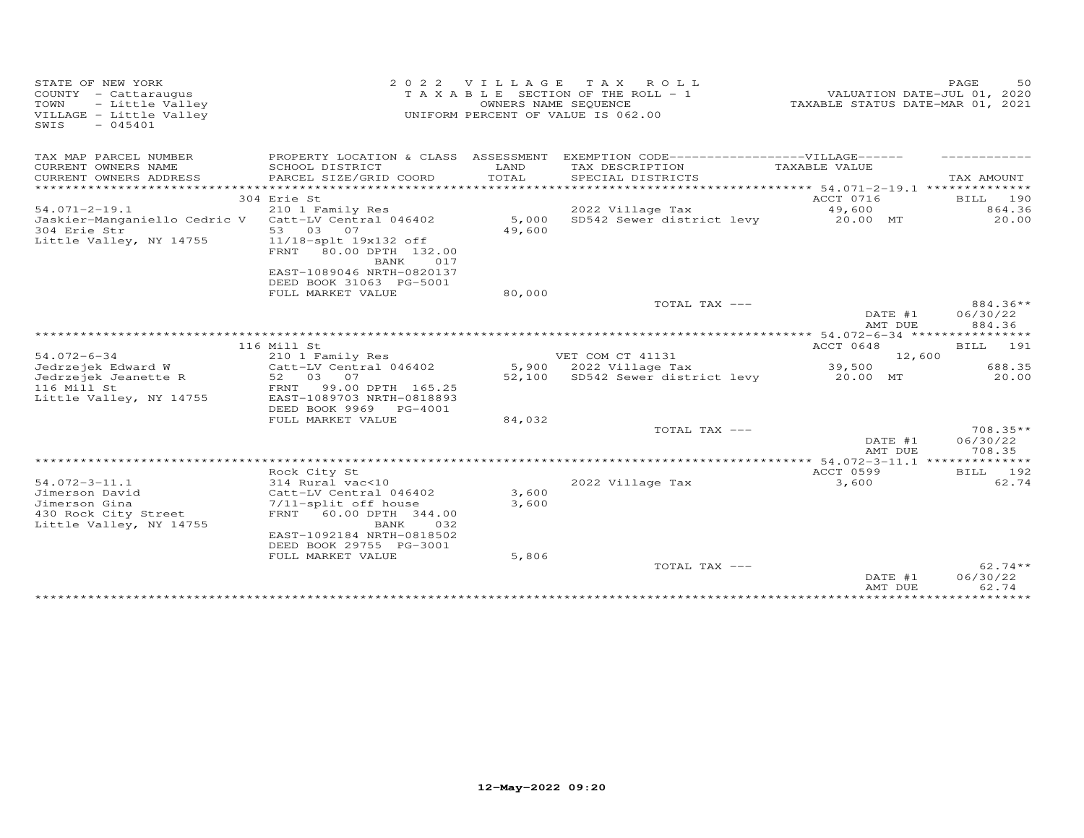| STATE OF NEW YORK<br>COUNTY - Cattaraugus<br>TOWN<br>- Little Valley<br>VILLAGE - Little Valley<br>$-045401$<br>SWIS | 2 0 2 2                                                                                                    |               | VILLAGE TAX ROLL<br>T A X A B L E SECTION OF THE ROLL - 1<br>OWNERS NAME SEQUENCE<br>UNIFORM PERCENT OF VALUE IS 062.00 | VALUATION DATE-JUL 01, 2020<br>TAXABLE STATUS DATE-MAR 01, 2021 | 50<br>PAGE                     |
|----------------------------------------------------------------------------------------------------------------------|------------------------------------------------------------------------------------------------------------|---------------|-------------------------------------------------------------------------------------------------------------------------|-----------------------------------------------------------------|--------------------------------|
| TAX MAP PARCEL NUMBER                                                                                                |                                                                                                            |               | PROPERTY LOCATION & CLASS ASSESSMENT EXEMPTION CODE------------------VILLAGE------                                      |                                                                 |                                |
| CURRENT OWNERS NAME<br>CURRENT OWNERS ADDRESS                                                                        | SCHOOL DISTRICT<br>PARCEL SIZE/GRID COORD                                                                  | LAND<br>TOTAL | TAX DESCRIPTION<br>SPECIAL DISTRICTS                                                                                    | TAXABLE VALUE                                                   | TAX AMOUNT                     |
| **********************                                                                                               |                                                                                                            |               |                                                                                                                         |                                                                 |                                |
|                                                                                                                      | 304 Erie St                                                                                                |               |                                                                                                                         | ACCT 0716                                                       | BILL 190                       |
| $54.071 - 2 - 19.1$                                                                                                  | 210 1 Family Res                                                                                           |               | 2022 Village Tax                                                                                                        | 49,600<br>20.00 MT                                              | 864.36                         |
| Jaskier-Manganiello Cedric V Catt-LV Central 046402<br>304 Erie Str<br>Little Valley, NY 14755                       | 53 03 07<br>11/18-splt 19x132 off<br>80.00 DPTH 132.00<br>FRNT<br>017<br>BANK<br>EAST-1089046 NRTH-0820137 | 49,600        | 5,000 SD542 Sewer district levy                                                                                         |                                                                 | 20.00                          |
|                                                                                                                      | DEED BOOK 31063 PG-5001                                                                                    |               |                                                                                                                         |                                                                 |                                |
|                                                                                                                      | FULL MARKET VALUE                                                                                          | 80,000        |                                                                                                                         |                                                                 |                                |
|                                                                                                                      |                                                                                                            |               | TOTAL TAX ---                                                                                                           | DATE #1<br>AMT DUE                                              | 884.36**<br>06/30/22<br>884.36 |
|                                                                                                                      |                                                                                                            |               |                                                                                                                         |                                                                 |                                |
|                                                                                                                      | 116 Mill St                                                                                                |               |                                                                                                                         | ACCT 0648                                                       | BILL 191                       |
| $54.072 - 6 - 34$                                                                                                    | 210 1 Family Res                                                                                           |               | VET COM CT 41131                                                                                                        | 12,600                                                          |                                |
| Jedrzejek Edward W                                                                                                   | Catt-LV Central 046402                                                                                     |               | 5,900 2022 Village Tax                                                                                                  | 39,500                                                          | 688.35                         |
| Jedrzejek Jeanette R                                                                                                 | 52 03 07                                                                                                   |               | 52,100 SD542 Sewer district levy                                                                                        | 20.00 MT                                                        | 20.00                          |
| 116 Mill St                                                                                                          | 99.00 DPTH 165.25<br>FRNT                                                                                  |               |                                                                                                                         |                                                                 |                                |
| Little Valley, NY 14755                                                                                              | EAST-1089703 NRTH-0818893<br>DEED BOOK 9969 PG-4001                                                        |               |                                                                                                                         |                                                                 |                                |
|                                                                                                                      | FULL MARKET VALUE                                                                                          | 84,032        |                                                                                                                         |                                                                 |                                |
|                                                                                                                      |                                                                                                            |               | TOTAL TAX ---                                                                                                           |                                                                 | 708.35**                       |
|                                                                                                                      |                                                                                                            |               |                                                                                                                         | DATE #1<br>AMT DUE                                              | 06/30/22<br>708.35             |
|                                                                                                                      |                                                                                                            |               |                                                                                                                         |                                                                 |                                |
|                                                                                                                      | Rock City St                                                                                               |               |                                                                                                                         | ACCT 0599                                                       | BILL 192                       |
| $54.072 - 3 - 11.1$                                                                                                  | 314 Rural vac<10                                                                                           |               | 2022 Village Tax                                                                                                        | 3,600                                                           | 62.74                          |
| Jimerson David                                                                                                       | Catt-LV Central 046402                                                                                     | 3,600         |                                                                                                                         |                                                                 |                                |
| Jimerson Gina                                                                                                        | 7/11-split off house                                                                                       | 3,600         |                                                                                                                         |                                                                 |                                |
| 430 Rock City Street<br>Little Valley, NY 14755                                                                      | FRNT 60.00 DPTH 344.00<br>BANK<br>032<br>EAST-1092184 NRTH-0818502<br>DEED BOOK 29755 PG-3001              |               |                                                                                                                         |                                                                 |                                |
|                                                                                                                      | FULL MARKET VALUE                                                                                          | 5,806         |                                                                                                                         |                                                                 |                                |
|                                                                                                                      |                                                                                                            |               | TOTAL TAX ---                                                                                                           | DATE #1<br>AMT DUE                                              | $62.74**$<br>06/30/22<br>62.74 |
|                                                                                                                      |                                                                                                            |               |                                                                                                                         |                                                                 |                                |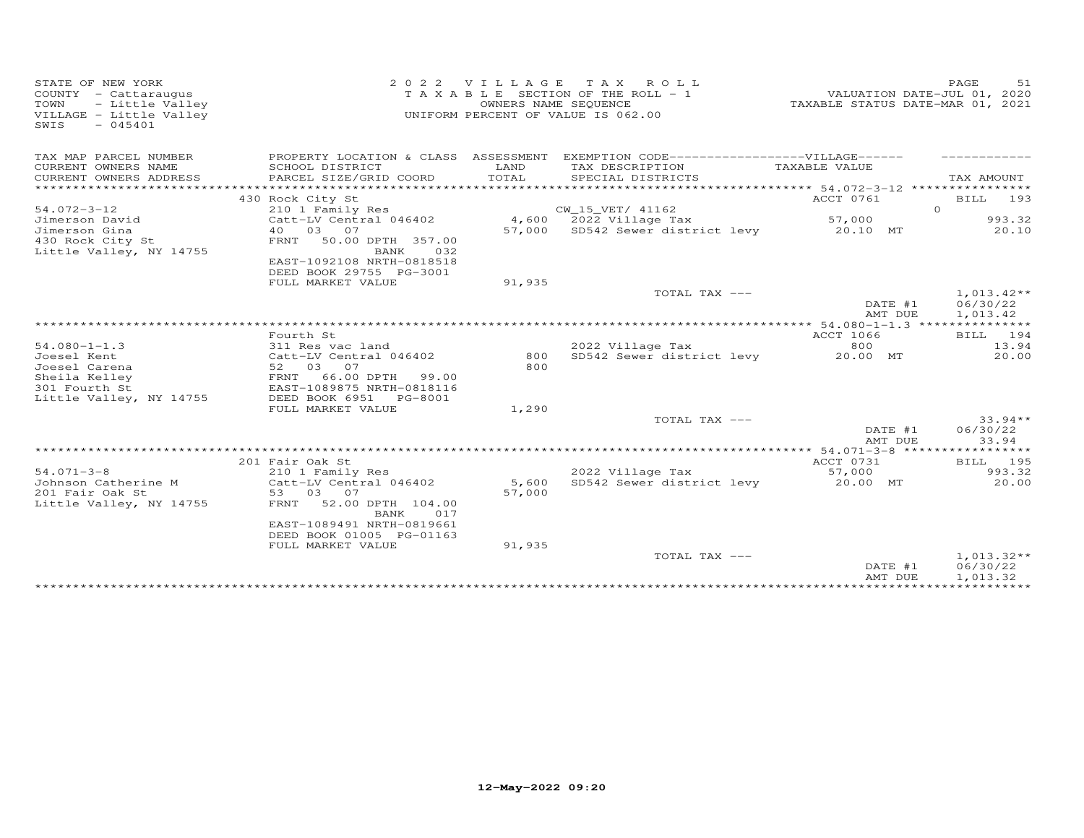| STATE OF NEW YORK<br>COUNTY - Cattaraugus<br>- Little Valley<br>TOWN<br>VILLAGE - Little Valley<br>SWIS<br>$-045401$ | 2 0 2 2                                                                                          | VILLAGE         | TAX ROLL<br>T A X A B L E SECTION OF THE ROLL - 1<br>OWNERS NAME SEQUENCE<br>UNIFORM PERCENT OF VALUE IS 062.00 | VALUATION DATE-JUL 01, 2020<br>TAXABLE STATUS DATE-MAR 01, 2021 | PAGE<br>.51                          |
|----------------------------------------------------------------------------------------------------------------------|--------------------------------------------------------------------------------------------------|-----------------|-----------------------------------------------------------------------------------------------------------------|-----------------------------------------------------------------|--------------------------------------|
| TAX MAP PARCEL NUMBER                                                                                                | PROPERTY LOCATION & CLASS ASSESSMENT                                                             |                 | EXEMPTION CODE-------------------VILLAGE------                                                                  |                                                                 |                                      |
| CURRENT OWNERS NAME<br>CURRENT OWNERS ADDRESS<br>*********************                                               | SCHOOL DISTRICT<br>PARCEL SIZE/GRID COORD                                                        | LAND<br>TOTAL   | TAX DESCRIPTION<br>SPECIAL DISTRICTS                                                                            | TAXABLE VALUE                                                   | TAX AMOUNT                           |
|                                                                                                                      | 430 Rock City St                                                                                 |                 |                                                                                                                 | ACCT 0761                                                       | BILL 193                             |
| $54.072 - 3 - 12$                                                                                                    | 210 1 Family Res                                                                                 |                 | CW_15_VET/ 41162                                                                                                |                                                                 | $\Omega$                             |
| Jimerson David                                                                                                       | Catt-LV Central 046402                                                                           |                 | 4,600 2022 Village Tax                                                                                          | 57,000                                                          | 993.32                               |
| Jimerson Gina                                                                                                        | 40 03 07                                                                                         |                 | 57,000 SD542 Sewer district levy                                                                                | 20.10 MT                                                        | 20.10                                |
| 430 Rock City St<br>Little Valley, NY 14755                                                                          | 50.00 DPTH 357.00<br>FRNT<br>BANK<br>032<br>EAST-1092108 NRTH-0818518<br>DEED BOOK 29755 PG-3001 |                 |                                                                                                                 |                                                                 |                                      |
|                                                                                                                      | FULL MARKET VALUE                                                                                | 91,935          |                                                                                                                 |                                                                 |                                      |
|                                                                                                                      |                                                                                                  |                 | TOTAL TAX ---                                                                                                   | DATE #1<br>AMT DUE                                              | $1,013.42**$<br>06/30/22<br>1,013.42 |
|                                                                                                                      |                                                                                                  |                 |                                                                                                                 |                                                                 |                                      |
|                                                                                                                      | Fourth St                                                                                        |                 |                                                                                                                 | ACCT 1066                                                       | BILL 194                             |
| $54.080 - 1 - 1.3$                                                                                                   | 311 Res vac land                                                                                 | 800             | 2022 Village Tax<br>SD542 Sewer district levy                                                                   | 800<br>20.00 MT                                                 | 13.94                                |
| Joesel Kent<br>Joesel Carena                                                                                         | Catt-LV Central 046402<br>52 03<br>07                                                            | 800             |                                                                                                                 |                                                                 | 20.00                                |
| Sheila Kelley                                                                                                        | FRNT<br>66.00 DPTH<br>99.00                                                                      |                 |                                                                                                                 |                                                                 |                                      |
| 301 Fourth St                                                                                                        | EAST-1089875 NRTH-0818116                                                                        |                 |                                                                                                                 |                                                                 |                                      |
| Little Valley, NY 14755                                                                                              | DEED BOOK 6951<br>PG-8001                                                                        |                 |                                                                                                                 |                                                                 |                                      |
|                                                                                                                      | FULL MARKET VALUE                                                                                | 1,290           |                                                                                                                 |                                                                 |                                      |
|                                                                                                                      |                                                                                                  |                 | TOTAL TAX ---                                                                                                   |                                                                 | $33.94**$                            |
|                                                                                                                      |                                                                                                  |                 |                                                                                                                 | DATE #1<br>AMT DUE                                              | 06/30/22<br>33.94                    |
|                                                                                                                      |                                                                                                  |                 |                                                                                                                 |                                                                 |                                      |
|                                                                                                                      | 201 Fair Oak St                                                                                  |                 |                                                                                                                 | ACCT 0731                                                       | BILL 195                             |
| $54.071 - 3 - 8$                                                                                                     | 210 1 Family Res                                                                                 |                 | 2022 Village Tax                                                                                                | 57,000                                                          | 993.32                               |
| Johnson Catherine M                                                                                                  | Catt-LV Central 046402<br>53 03 07                                                               | 5,600<br>57,000 | SD542 Sewer district levy                                                                                       | 20.00 MT                                                        | 20.00                                |
| 201 Fair Oak St<br>Little Valley, NY 14755                                                                           | 52.00 DPTH 104.00<br>FRNT                                                                        |                 |                                                                                                                 |                                                                 |                                      |
|                                                                                                                      | 017<br>BANK                                                                                      |                 |                                                                                                                 |                                                                 |                                      |
|                                                                                                                      | EAST-1089491 NRTH-0819661                                                                        |                 |                                                                                                                 |                                                                 |                                      |
|                                                                                                                      | DEED BOOK 01005 PG-01163<br>FULL MARKET VALUE                                                    | 91,935          |                                                                                                                 |                                                                 |                                      |
|                                                                                                                      |                                                                                                  |                 | TOTAL TAX ---                                                                                                   |                                                                 | $1,013.32**$                         |
|                                                                                                                      |                                                                                                  |                 |                                                                                                                 | DATE #1<br>AMT DUE                                              | 06/30/22<br>1,013.32                 |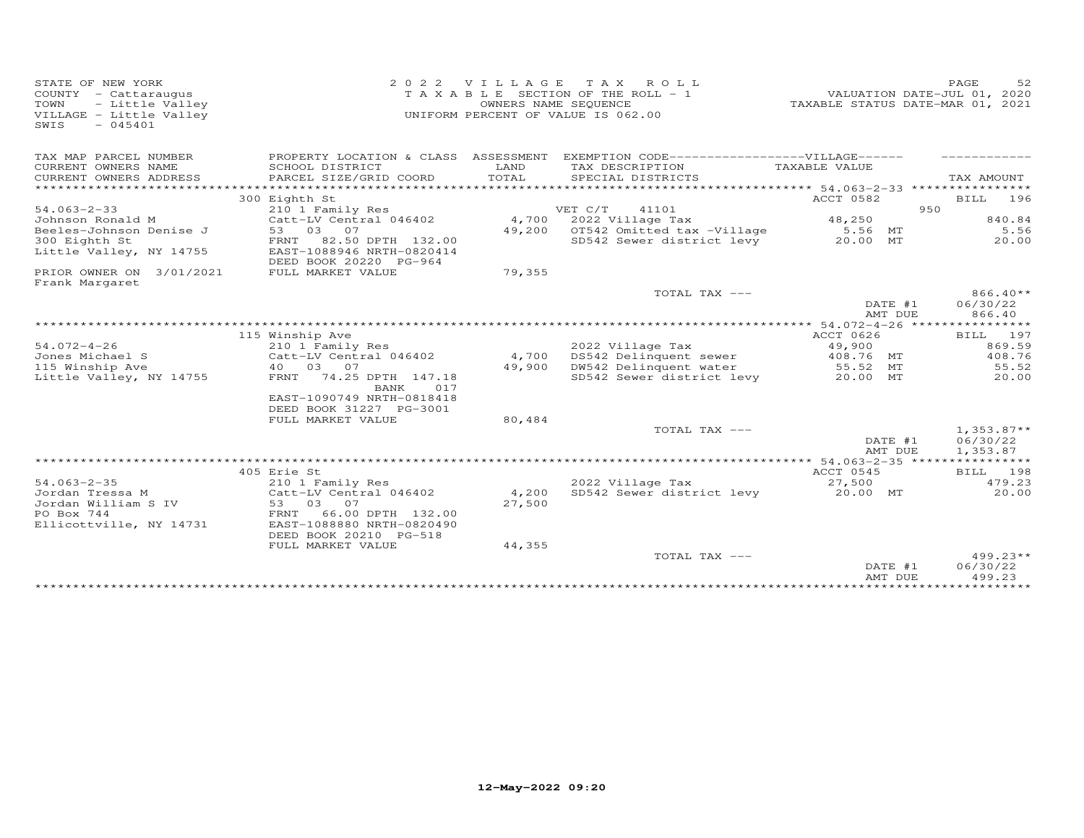| STATE OF NEW YORK<br>COUNTY - Cattaraugus<br>- Little Valley<br>TOWN<br>VILLAGE - Little Valley<br>$-045401$<br>SWIS | 2 0 2 2                                                                                                             | VILLAGE                             | T A X<br>ROLL<br>T A X A B L E SECTION OF THE ROLL - 1<br>OWNERS NAME SEQUENCE<br>UNIFORM PERCENT OF VALUE IS 062.00 | TAXABLE STATUS DATE-MAR 01, 2021   | 52<br>PAGE<br>VALUATION DATE-JUL 01, 2020 |
|----------------------------------------------------------------------------------------------------------------------|---------------------------------------------------------------------------------------------------------------------|-------------------------------------|----------------------------------------------------------------------------------------------------------------------|------------------------------------|-------------------------------------------|
| TAX MAP PARCEL NUMBER<br>CURRENT OWNERS NAME                                                                         | PROPERTY LOCATION & CLASS ASSESSMENT<br>SCHOOL DISTRICT                                                             | LAND                                | EXEMPTION CODE------------------VILLAGE------<br>TAX DESCRIPTION                                                     | TAXABLE VALUE                      |                                           |
| CURRENT OWNERS ADDRESS<br>***************                                                                            | PARCEL SIZE/GRID COORD                                                                                              | TOTAL<br>************************** | SPECIAL DISTRICTS                                                                                                    | ************ 54.063-2-33 ********* | TAX AMOUNT                                |
|                                                                                                                      | 300 Eighth St                                                                                                       |                                     |                                                                                                                      | ACCT 0582                          | BILL<br>196                               |
| $54.063 - 2 - 33$                                                                                                    | 210 1 Family Res                                                                                                    |                                     | VET C/T<br>41101                                                                                                     |                                    | 950                                       |
| Johnson Ronald M                                                                                                     | Catt-LV Central 046402                                                                                              | 4,700                               | 2022 Village Tax                                                                                                     | 48,250                             | 840.84                                    |
| Beeles-Johnson Denise J                                                                                              | 53<br>03<br>07                                                                                                      | 49,200                              | OT542 Omitted tax -Village                                                                                           | 5.56 MT                            | 5.56                                      |
| 300 Eighth St<br>Little Valley, NY 14755                                                                             | 82.50 DPTH 132.00<br>FRNT<br>EAST-1088946 NRTH-0820414<br>DEED BOOK 20220 PG-964                                    |                                     | SD542 Sewer district levy                                                                                            | 20.00 MT                           | 20.00                                     |
| PRIOR OWNER ON 3/01/2021<br>Frank Margaret                                                                           | FULL MARKET VALUE                                                                                                   | 79,355                              |                                                                                                                      |                                    |                                           |
|                                                                                                                      |                                                                                                                     |                                     | TOTAL TAX ---                                                                                                        | DATE #1<br>AMT DUE                 | $866.40**$<br>06/30/22<br>866.40          |
|                                                                                                                      |                                                                                                                     |                                     | ************************************                                                                                 | ************** 54.072-4-26 *****   | ***********                               |
|                                                                                                                      | 115 Winship Ave                                                                                                     |                                     |                                                                                                                      | ACCT 0626                          | BILL<br>197                               |
| $54.072 - 4 - 26$                                                                                                    | 210 1 Family Res                                                                                                    |                                     | 2022 Village Tax                                                                                                     | 49,900                             | 869.59                                    |
| Jones Michael S                                                                                                      | Catt-LV Central 046402                                                                                              | 4,700                               | DS542 Delinquent sewer                                                                                               | 408.76 MT                          | 408.76                                    |
| 115 Winship Ave                                                                                                      | 40  03  07                                                                                                          | 49,900                              | DW542 Delinquent water                                                                                               | 55.52 MT                           | 55.52                                     |
| Little Valley, NY 14755                                                                                              | 74.25 DPTH 147.18<br>FRNT<br>017<br>BANK<br>EAST-1090749 NRTH-0818418                                               |                                     | SD542 Sewer district levy                                                                                            | 20.00 MT                           | 20.00                                     |
|                                                                                                                      | DEED BOOK 31227 PG-3001                                                                                             |                                     |                                                                                                                      |                                    |                                           |
|                                                                                                                      | FULL MARKET VALUE                                                                                                   | 80,484                              |                                                                                                                      |                                    |                                           |
|                                                                                                                      |                                                                                                                     |                                     | TOTAL TAX ---                                                                                                        | DATE #1<br>AMT DUE                 | $1,353.87**$<br>06/30/22<br>1,353.87      |
|                                                                                                                      |                                                                                                                     |                                     |                                                                                                                      |                                    | ***********                               |
|                                                                                                                      | 405 Erie St                                                                                                         |                                     |                                                                                                                      | ACCT 0545                          | BILL 198                                  |
| $54.063 - 2 - 35$<br>Jordan Tressa M<br>Jordan William S IV<br>PO Box 744<br>Ellicottville, NY 14731                 | 210 1 Family Res<br>Catt-LV Central 046402<br>03 07<br>53<br>66.00 DPTH 132.00<br>FRNT<br>EAST-1088880 NRTH-0820490 | 4,200<br>27,500                     | 2022 Village Tax<br>SD542 Sewer district levy                                                                        | 27,500<br>20.00 MT                 | 479.23<br>20.00                           |
|                                                                                                                      | DEED BOOK 20210 PG-518                                                                                              |                                     |                                                                                                                      |                                    |                                           |
|                                                                                                                      | FULL MARKET VALUE                                                                                                   | 44,355                              | TOTAL TAX ---                                                                                                        | DATE #1<br>AMT DUE                 | $499.23**$<br>06/30/22<br>499.23          |
|                                                                                                                      |                                                                                                                     |                                     |                                                                                                                      | ***************                    | **********                                |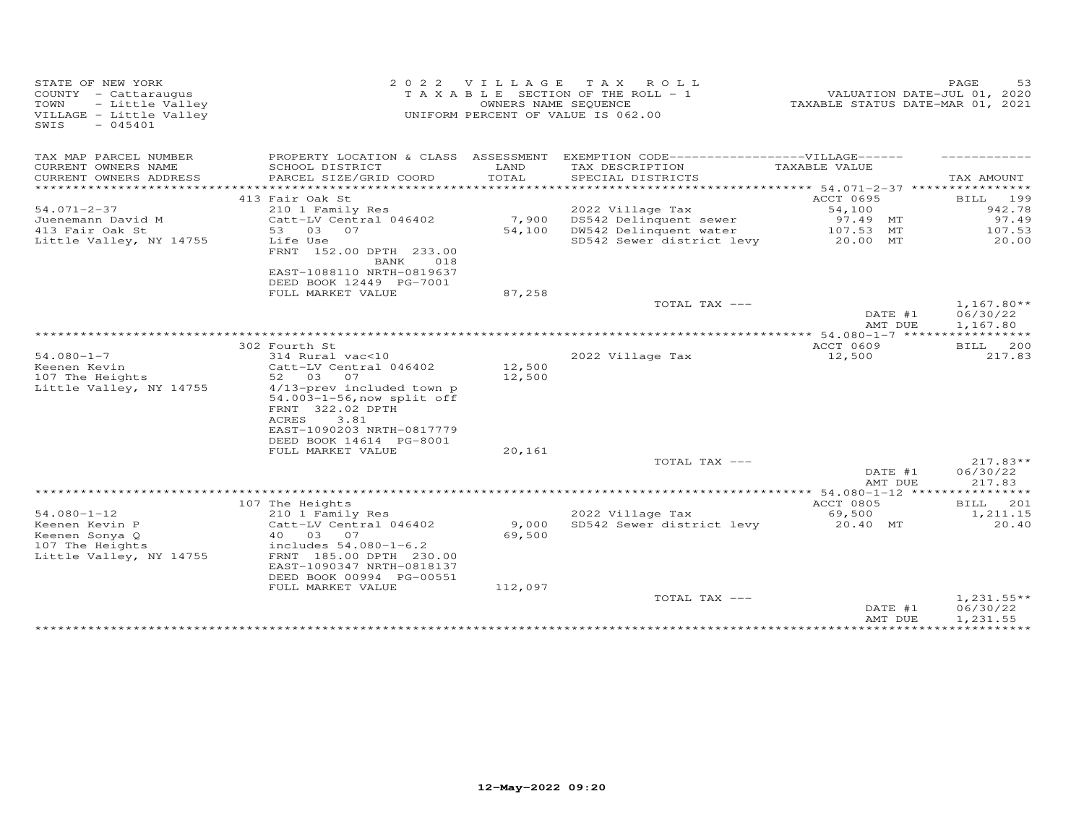| STATE OF NEW YORK<br>COUNTY - Cattaraugus<br>TOWN<br>- Little Valley<br>VILLAGE - Little Valley<br>$-045401$<br>SWIS | 2 0 2 2                                                                                                                                                                                       | VILLAGE                    | T A X<br>ROLL<br>T A X A B L E SECTION OF THE ROLL - 1<br>OWNERS NAME SEQUENCE<br>UNIFORM PERCENT OF VALUE IS 062.00 | TAXABLE STATUS DATE-MAR 01, 2021 | 53<br>PAGE<br>VALUATION DATE-JUL 01, 2020 |
|----------------------------------------------------------------------------------------------------------------------|-----------------------------------------------------------------------------------------------------------------------------------------------------------------------------------------------|----------------------------|----------------------------------------------------------------------------------------------------------------------|----------------------------------|-------------------------------------------|
| TAX MAP PARCEL NUMBER                                                                                                | PROPERTY LOCATION & CLASS ASSESSMENT                                                                                                                                                          |                            | EXEMPTION CODE------------------VILLAGE------                                                                        |                                  |                                           |
| CURRENT OWNERS NAME<br>CURRENT OWNERS ADDRESS<br>**********************                                              | SCHOOL DISTRICT<br>PARCEL SIZE/GRID COORD                                                                                                                                                     | LAND<br>TOTAL              | TAX DESCRIPTION<br>SPECIAL DISTRICTS                                                                                 | TAXABLE VALUE                    | TAX AMOUNT                                |
|                                                                                                                      | 413 Fair Oak St                                                                                                                                                                               |                            |                                                                                                                      | ACCT 0695                        | BILL<br>199                               |
| $54.071 - 2 - 37$                                                                                                    | 210 1 Family Res                                                                                                                                                                              |                            | 2022 Village Tax                                                                                                     | 54,100                           | 942.78                                    |
| Juenemann David M                                                                                                    | Catt-LV Central 046402                                                                                                                                                                        | 7,900                      | DS542 Delinquent sewer                                                                                               | 97.49 MT                         | 97.49                                     |
| 413 Fair Oak St                                                                                                      | 53<br>03 07                                                                                                                                                                                   | 54,100                     | DW542 Delinquent water                                                                                               | 107.53 MT                        | 107.53                                    |
| Little Valley, NY 14755                                                                                              | Life Use<br>FRNT 152.00 DPTH 233.00<br>BANK<br>018<br>EAST-1088110 NRTH-0819637<br>DEED BOOK 12449 PG-7001                                                                                    |                            | SD542 Sewer district levy                                                                                            | 20.00 MT                         | 20.00                                     |
|                                                                                                                      | FULL MARKET VALUE                                                                                                                                                                             | 87,258                     |                                                                                                                      |                                  |                                           |
|                                                                                                                      |                                                                                                                                                                                               |                            | TOTAL TAX ---                                                                                                        | DATE #1<br>AMT DUE               | $1,167.80**$<br>06/30/22<br>1,167.80      |
|                                                                                                                      |                                                                                                                                                                                               |                            |                                                                                                                      | ** 54.080-1-7 *****              |                                           |
|                                                                                                                      | 302 Fourth St                                                                                                                                                                                 |                            |                                                                                                                      | ACCT 0609                        | 200<br><b>BILL</b>                        |
| $54.080 - 1 - 7$<br>Keenen Kevin<br>107 The Heights<br>Little Valley, NY 14755                                       | 314 Rural vac<10<br>Catt-LV Central 046402<br>52 03<br>07<br>4/13-prev included town p<br>54.003-1-56, now split off<br>FRNT 322.02 DPTH<br><b>ACRES</b><br>3.81<br>EAST-1090203 NRTH-0817779 | 12,500<br>12,500           | 2022 Village Tax                                                                                                     | 12,500                           | 217.83                                    |
|                                                                                                                      | DEED BOOK 14614 PG-8001<br>FULL MARKET VALUE                                                                                                                                                  | 20,161                     |                                                                                                                      |                                  |                                           |
|                                                                                                                      |                                                                                                                                                                                               |                            | TOTAL TAX ---                                                                                                        | DATE #1<br>AMT DUE               | $217.83**$<br>06/30/22<br>217.83          |
|                                                                                                                      |                                                                                                                                                                                               |                            |                                                                                                                      |                                  |                                           |
|                                                                                                                      | 107 The Heights                                                                                                                                                                               |                            |                                                                                                                      | ACCT 0805                        | BILL<br>201                               |
| $54.080 - 1 - 12$<br>Keenen Kevin P<br>Keenen Sonya Q<br>107 The Heights<br>Little Valley, NY 14755                  | 210 1 Family Res<br>Catt-LV Central 046402<br>40 03<br>07<br>includes 54.080-1-6.2<br>FRNT 185.00 DPTH 230.00<br>EAST-1090347 NRTH-0818137<br>DEED BOOK 00994 PG-00551<br>FULL MARKET VALUE   | 9,000<br>69,500<br>112,097 | 2022 Village Tax<br>SD542 Sewer district levy                                                                        | 69,500<br>20.40 MT               | 1,211.15<br>20.40                         |
|                                                                                                                      |                                                                                                                                                                                               |                            | TOTAL TAX ---                                                                                                        | DATE #1                          | $1,231.55**$<br>06/30/22                  |
|                                                                                                                      |                                                                                                                                                                                               |                            |                                                                                                                      | AMT DUE                          | 1,231.55<br>***********                   |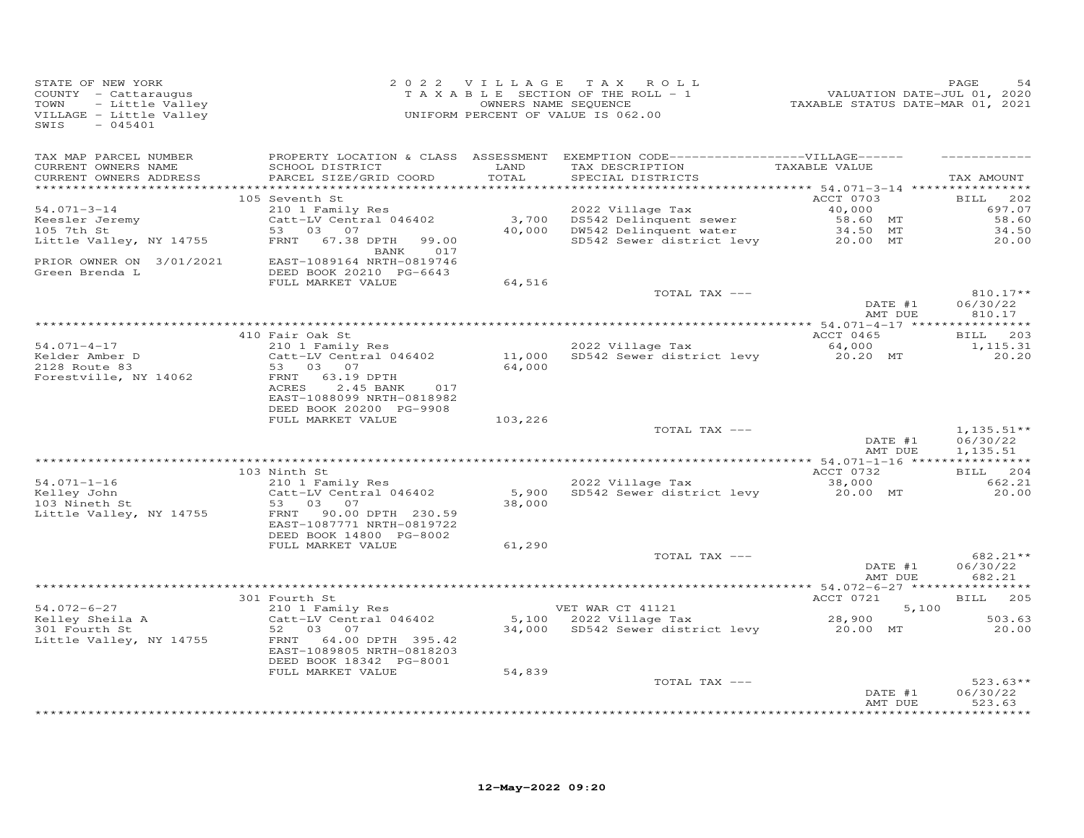| STATE OF NEW YORK<br>COUNTY - Cattaraugus<br>- Little Valley<br>TOWN<br>VILLAGE - Little Valley<br>SWIS<br>$-045401$ | 2 0 2 2                                                                                                                    | VILLAGE          | TAX ROLL<br>TAXABLE SECTION OF THE ROLL - 1<br>OWNERS NAME SEQUENCE<br>UNIFORM PERCENT OF VALUE IS 062.00                  | VALUATION DATE-JUL 01, 2020<br>TAXABLE STATUS DATE-MAR 01, 2021 | PAGE<br>54                        |
|----------------------------------------------------------------------------------------------------------------------|----------------------------------------------------------------------------------------------------------------------------|------------------|----------------------------------------------------------------------------------------------------------------------------|-----------------------------------------------------------------|-----------------------------------|
| TAX MAP PARCEL NUMBER<br>CURRENT OWNERS NAME<br>CURRENT OWNERS ADDRESS                                               | SCHOOL DISTRICT<br>PARCEL SIZE/GRID COORD                                                                                  | LAND<br>TOTAL    | PROPERTY LOCATION & CLASS ASSESSMENT EXEMPTION CODE------------------VILLAGE------<br>TAX DESCRIPTION<br>SPECIAL DISTRICTS | TAXABLE VALUE                                                   | TAX AMOUNT                        |
|                                                                                                                      | 105 Seventh St                                                                                                             |                  |                                                                                                                            | ACCT 0703                                                       | 202<br>BILL                       |
| $54.071 - 3 - 14$<br>Keesler Jeremy<br>105 7th St                                                                    | 210 1 Family Res<br>Catt-LV Central 046402<br>53 03 07<br>67.38 DPTH<br>99.00<br>FRNT                                      | 3,700<br>40,000  | 2022 Village Tax<br>DS542 Delinquent sewer<br>DW542 Delinquent water<br>SD542 Sewer district levy                          | 40,000<br>58.60 MT<br>34.50 MT<br>20.00 MT                      | 697.07<br>58.60<br>34.50<br>20.00 |
| Little Valley, NY 14755<br>PRIOR OWNER ON 3/01/2021                                                                  | BANK<br>017<br>EAST-1089164 NRTH-0819746                                                                                   |                  |                                                                                                                            |                                                                 |                                   |
| Green Brenda L                                                                                                       | DEED BOOK 20210 PG-6643<br>FULL MARKET VALUE                                                                               | 64,516           |                                                                                                                            |                                                                 |                                   |
|                                                                                                                      |                                                                                                                            |                  | TOTAL TAX ---                                                                                                              | DATE #1                                                         | 810.17**<br>06/30/22              |
|                                                                                                                      |                                                                                                                            |                  |                                                                                                                            | AMT DUE                                                         | 810.17                            |
|                                                                                                                      | 410 Fair Oak St                                                                                                            |                  |                                                                                                                            | ACCT 0465                                                       | 203<br><b>BILL</b>                |
| $54.071 - 4 - 17$                                                                                                    | 210 1 Family Res                                                                                                           |                  | 2022 Village Tax                                                                                                           | 64,000                                                          | 1,115.31                          |
| Kelder Amber D<br>2128 Route 83<br>Forestville, NY 14062                                                             | Catt-LV Central 046402<br>53<br>03 07<br>63.19 DPTH<br>FRNT<br>ACRES<br>2.45 BANK<br>017<br>EAST-1088099 NRTH-0818982      | 11,000<br>64,000 | SD542 Sewer district levy                                                                                                  | 20.20 MT                                                        | 20,20                             |
|                                                                                                                      | DEED BOOK 20200 PG-9908<br>FULL MARKET VALUE                                                                               | 103,226          |                                                                                                                            |                                                                 |                                   |
|                                                                                                                      |                                                                                                                            |                  | TOTAL TAX ---                                                                                                              | DATE #1                                                         | $1,135.51**$<br>06/30/22          |
|                                                                                                                      |                                                                                                                            |                  |                                                                                                                            | AMT DUE                                                         | 1,135.51                          |
|                                                                                                                      | 103 Ninth St                                                                                                               |                  |                                                                                                                            | ACCT 0732                                                       | 204<br><b>BILL</b>                |
| $54.071 - 1 - 16$                                                                                                    | 210 1 Family Res                                                                                                           |                  | 2022 Village Tax                                                                                                           | 38,000                                                          | 662.21                            |
| Kelley John<br>103 Nineth St<br>Little Valley, NY 14755                                                              | Catt-LV Central 046402<br>03 07<br>53<br>FRNT<br>90.00 DPTH 230.59<br>EAST-1087771 NRTH-0819722<br>DEED BOOK 14800 PG-8002 | 5,900<br>38,000  | SD542 Sewer district levy                                                                                                  | 20.00 MT                                                        | 20.00                             |
|                                                                                                                      | FULL MARKET VALUE                                                                                                          | 61,290           |                                                                                                                            |                                                                 |                                   |
|                                                                                                                      |                                                                                                                            |                  | TOTAL TAX ---                                                                                                              | DATE #1<br>AMT DUE                                              | 682.21**<br>06/30/22<br>682.21    |
|                                                                                                                      |                                                                                                                            |                  |                                                                                                                            |                                                                 |                                   |
| $54.072 - 6 - 27$                                                                                                    | 301 Fourth St<br>210 1 Family Res                                                                                          |                  | VET WAR CT 41121                                                                                                           | ACCT 0721<br>5,100                                              | 205<br><b>BILL</b>                |
| Kelley Sheila A<br>301 Fourth St                                                                                     | Catt-LV Central 046402<br>52<br>03<br>07                                                                                   | 34,000           | 5,100 2022 Village Tax<br>SD542 Sewer district levy                                                                        | 28,900<br>20.00 MT                                              | 503.63<br>20.00                   |
| Little Valley, NY 14755                                                                                              | 64.00 DPTH 395.42<br>FRNT<br>EAST-1089805 NRTH-0818203<br>DEED BOOK 18342 PG-8001                                          |                  |                                                                                                                            |                                                                 |                                   |
|                                                                                                                      | FULL MARKET VALUE                                                                                                          | 54,839           |                                                                                                                            |                                                                 |                                   |
|                                                                                                                      |                                                                                                                            |                  | TOTAL TAX ---                                                                                                              | DATE #1<br>AMT DUE                                              | $523.63**$<br>06/30/22<br>523.63  |
|                                                                                                                      |                                                                                                                            |                  |                                                                                                                            |                                                                 | .                                 |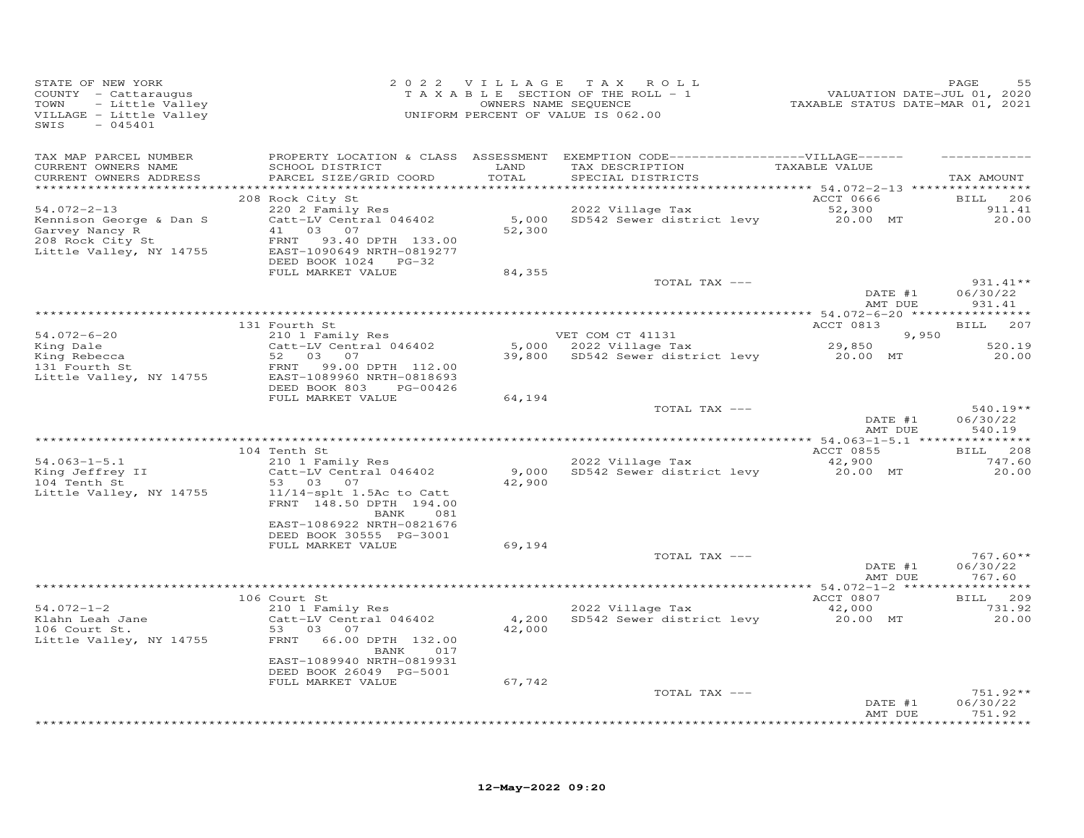| STATE OF NEW YORK<br>COUNTY - Cattaraugus<br>- Little Valley<br>TOWN<br>VILLAGE - Little Valley<br>$-045401$<br>SWIS |                                                                                                                                                                            |                 | 2022 VILLAGE TAX ROLL<br>TAXABLE SECTION OF THE ROLL - 1<br>OWNERS NAME SEQUENCE<br>UNIFORM PERCENT OF VALUE IS 062.00    | VALUATION DATE-JUL 01, 2020<br>TAXABLE STATUS DATE-MAR 01, 2021 | PAGE<br>55                            |
|----------------------------------------------------------------------------------------------------------------------|----------------------------------------------------------------------------------------------------------------------------------------------------------------------------|-----------------|---------------------------------------------------------------------------------------------------------------------------|-----------------------------------------------------------------|---------------------------------------|
| TAX MAP PARCEL NUMBER<br>CURRENT OWNERS NAME<br>CURRENT OWNERS ADDRESS<br>**********************                     | SCHOOL DISTRICT<br>PARCEL SIZE/GRID COORD                                                                                                                                  | LAND<br>TOTAL   | PROPERTY LOCATION & CLASS ASSESSMENT EXEMPTION CODE-----------------VILLAGE------<br>TAX DESCRIPTION<br>SPECIAL DISTRICTS | TAXABLE VALUE                                                   | TAX AMOUNT                            |
| $54.072 - 2 - 13$<br>Kennison George & Dan S<br>Garvey Nancy R<br>208 Rock City St<br>Little Valley, NY 14755        | 208 Rock City St<br>220 2 Family Res<br>Catt-LV Central 046402<br>41 03 07<br>93.40 DPTH 133.00<br>FRNT<br>EAST-1090649 NRTH-0819277<br>DEED BOOK 1024 PG-32               | 52,300          | 2022 Village Tax<br>5,000 SD542 Sewer district levy                                                                       | ACCT 0666<br>52,300<br>20.00 MT                                 | BILL 206<br>911.41<br>20.00           |
|                                                                                                                      | FULL MARKET VALUE                                                                                                                                                          | 84,355          | TOTAL TAX ---                                                                                                             | DATE #1<br>AMT DUE                                              | $931.41**$<br>06/30/22<br>931.41      |
| 54.072-6-20<br>King Dale<br>King Rebecca<br>131 Fourth St<br>Little Valley, NY 14755                                 | 131 Fourth St<br>210 1 Family Res<br>Catt-LV Central 046402<br>52<br>03 07<br>99.00 DPTH 112.00<br>FRNT<br>EAST-1089960 NRTH-0818693                                       | 5,000<br>39,800 | VET COM CT 41131<br>2022 Village Tax 29,850<br>SD542 Sewer district levy 20.00 MT                                         | ACCT 0813<br>9,950                                              | 207<br><b>BILL</b><br>520.19<br>20.00 |
|                                                                                                                      | DEED BOOK 803 PG-00426<br>FULL MARKET VALUE                                                                                                                                | 64,194          | TOTAL TAX ---                                                                                                             | DATE #1<br>AMT DUE                                              | $540.19**$<br>06/30/22<br>540.19      |
|                                                                                                                      |                                                                                                                                                                            |                 |                                                                                                                           |                                                                 |                                       |
| $54.063 - 1 - 5.1$<br>Xing Jeffrey II<br>104 Tenth St<br>Little Valley, NY 14755                                     | 104 Tenth St<br>210 1 Family Res<br>Catt-LV Central 046402<br>53 03 07<br>$11/14$ -splt 1.5Ac to Catt<br>FRNT 148.50 DPTH 194.00<br>081<br>BANK                            | 9,000<br>42,900 | 2022 Village Tax<br>SD542 Sewer district levy                                                                             | ACCT 0855<br>42,900<br>20.00 MT                                 | BILL 208<br>747.60<br>20.00           |
|                                                                                                                      | EAST-1086922 NRTH-0821676<br>DEED BOOK 30555 PG-3001<br>FULL MARKET VALUE                                                                                                  | 69,194          | TOTAL TAX ---                                                                                                             | DATE #1<br>AMT DUE                                              | $767.60**$<br>06/30/22<br>767.60      |
|                                                                                                                      |                                                                                                                                                                            |                 |                                                                                                                           |                                                                 |                                       |
| $54.072 - 1 - 2$<br>$54.072 + 7$<br>Klahn Leah Jane<br>106 Court St.<br>Little Valley, NY 14755                      | 106 Court St<br>210 1 Family Res<br>Catt-LV Central 046402<br>53 03<br>07<br>FRNT 66.00 DPTH 132.00<br>BANK<br>017<br>EAST-1089940 NRTH-0819931<br>DEED BOOK 26049 PG-5001 | 4,200<br>42,000 | 2022 Village Tax<br>SD542 Sewer district levy                                                                             | ACCT 0807<br>42,000<br>20.00 MT                                 | BILL 209<br>731.92<br>20.00           |
|                                                                                                                      | FULL MARKET VALUE                                                                                                                                                          | 67,742          | TOTAL TAX ---                                                                                                             | DATE #1<br>AMT DUE                                              | $751.92**$<br>06/30/22<br>751.92      |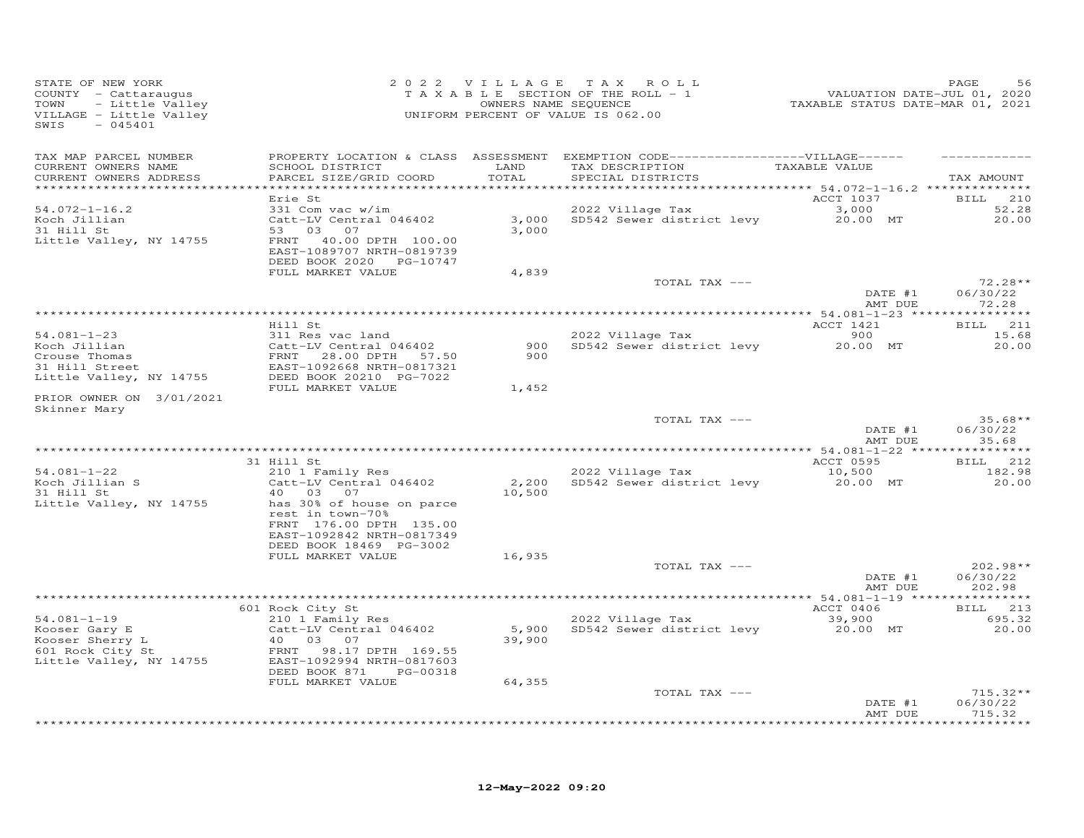| STATE OF NEW YORK<br>COUNTY - Cattaraugus<br>- Little Valley<br>TOWN<br>VILLAGE - Little Valley<br>$-045401$<br>SWIS |                                                                                                                                                                        |                 | 2022 VILLAGE TAX ROLL<br>T A X A B L E SECTION OF THE ROLL - 1<br>OWNERS NAME SEQUENCE<br>UNIFORM PERCENT OF VALUE IS 062.00 | VALUATION DATE-JUL 01, 2020<br>TAXABLE STATUS DATE-MAR 01, 2021 | PAGE<br>56                       |
|----------------------------------------------------------------------------------------------------------------------|------------------------------------------------------------------------------------------------------------------------------------------------------------------------|-----------------|------------------------------------------------------------------------------------------------------------------------------|-----------------------------------------------------------------|----------------------------------|
| TAX MAP PARCEL NUMBER<br>CURRENT OWNERS NAME<br>CURRENT OWNERS ADDRESS                                               | SCHOOL DISTRICT<br>PARCEL SIZE/GRID COORD                                                                                                                              | LAND<br>TOTAL   | PROPERTY LOCATION & CLASS ASSESSMENT EXEMPTION CODE-----------------VILLAGE------<br>TAX DESCRIPTION<br>SPECIAL DISTRICTS    | TAXABLE VALUE                                                   | TAX AMOUNT                       |
|                                                                                                                      | Erie St                                                                                                                                                                |                 |                                                                                                                              | ACCT 1037                                                       | <b>BILL</b> 210                  |
| $54.072 - 1 - 16.2$<br>Koch Jillian<br>31 Hill St<br>Little Valley, NY 14755                                         | 331 Com vac w/im<br>Catt-LV Central 046402<br>53 03 07<br>FRNT 40.00 DPTH 100.00<br>EAST-1089707 NRTH-0819739                                                          | 3,000           | 2022 Village Tax<br>3,000 SD542 Sewer district levy                                                                          | 3,000<br>20.00 MT                                               | 52.28<br>20,00                   |
|                                                                                                                      | DEED BOOK 2020 PG-10747<br>FULL MARKET VALUE                                                                                                                           | 4,839           |                                                                                                                              |                                                                 |                                  |
|                                                                                                                      |                                                                                                                                                                        |                 | TOTAL TAX ---                                                                                                                | DATE #1<br>AMT DUE                                              | $72.28**$<br>06/30/22<br>72.28   |
|                                                                                                                      |                                                                                                                                                                        |                 |                                                                                                                              |                                                                 |                                  |
| $54.081 - 1 - 23$<br>54.001 - -<br>Koch Jillian<br>Crouse Thomas<br>31 Hill Street                                   | Hill St<br>311 Res vac land<br>Catt-LV Central 046402<br>FRNT<br>28.00 DPTH 57.50<br>EAST-1092668 NRTH-0817321                                                         | 900<br>900      | 2022 Village Tax<br>SD542 Sewer district levy 20.00 MT                                                                       | ACCT 1421<br>900                                                | BILL 211<br>15.68<br>20.00       |
| Little Valley, NY 14755                                                                                              | DEED BOOK 20210 PG-7022<br>FULL MARKET VALUE                                                                                                                           | 1,452           |                                                                                                                              |                                                                 |                                  |
| PRIOR OWNER ON 3/01/2021<br>Skinner Mary                                                                             |                                                                                                                                                                        |                 |                                                                                                                              |                                                                 |                                  |
|                                                                                                                      |                                                                                                                                                                        |                 | TOTAL TAX ---                                                                                                                | DATE #1<br>AMT DUE                                              | $35.68**$<br>06/30/22<br>35.68   |
|                                                                                                                      | 31 Hill St                                                                                                                                                             |                 |                                                                                                                              |                                                                 | BILL 212                         |
| $54.081 - 1 - 22$                                                                                                    | 210 1 Family Res                                                                                                                                                       |                 | 2022 Village Tax                                                                                                             | ACCT 0595<br>10,500                                             | 182.98                           |
| $34.001 - 7.001$<br>Koch Jillian S<br>31 Hill St<br>Little Valley, NY 14755                                          | Catt-LV Central 046402<br>40 03 07<br>has 30% of house on parce<br>rest in town-70%<br>FRNT 176.00 DPTH 135.00<br>EAST-1092842 NRTH-0817349<br>DEED BOOK 18469 PG-3002 | 10,500          | 2,200 SD542 Sewer district levy                                                                                              | 20.00 MT                                                        | 20.00                            |
|                                                                                                                      | FULL MARKET VALUE                                                                                                                                                      | 16,935          |                                                                                                                              |                                                                 |                                  |
|                                                                                                                      |                                                                                                                                                                        |                 | TOTAL TAX ---                                                                                                                | DATE #1<br>AMT DUE                                              | $202.98**$<br>06/30/22<br>202.98 |
|                                                                                                                      |                                                                                                                                                                        |                 |                                                                                                                              |                                                                 |                                  |
| $54.081 - 1 - 19$<br>Kooser Gary E<br>Kooser Sherry L<br>601 Rock City St<br>Little Valley, NY 14755                 | 601 Rock City St<br>210 1 Family Res<br>Catt-LV Central 046402<br>40 03 07<br>FRNT 98.17 DPTH 169.55<br>EAST-1092994 NRTH-0817603<br>DEED BOOK 871<br>PG-00318         | 5,900<br>39,900 | 2022 Village Tax<br>SD542 Sewer district levy                                                                                | ACCT 0406<br>39,900<br>20.00 MT                                 | BILL 213<br>695.32<br>20.00      |
|                                                                                                                      | FULL MARKET VALUE                                                                                                                                                      | 64,355          |                                                                                                                              |                                                                 |                                  |
|                                                                                                                      |                                                                                                                                                                        |                 | TOTAL TAX ---                                                                                                                | DATE #1<br>AMT DUE                                              | $715.32**$<br>06/30/22<br>715.32 |
|                                                                                                                      |                                                                                                                                                                        |                 |                                                                                                                              |                                                                 | .                                |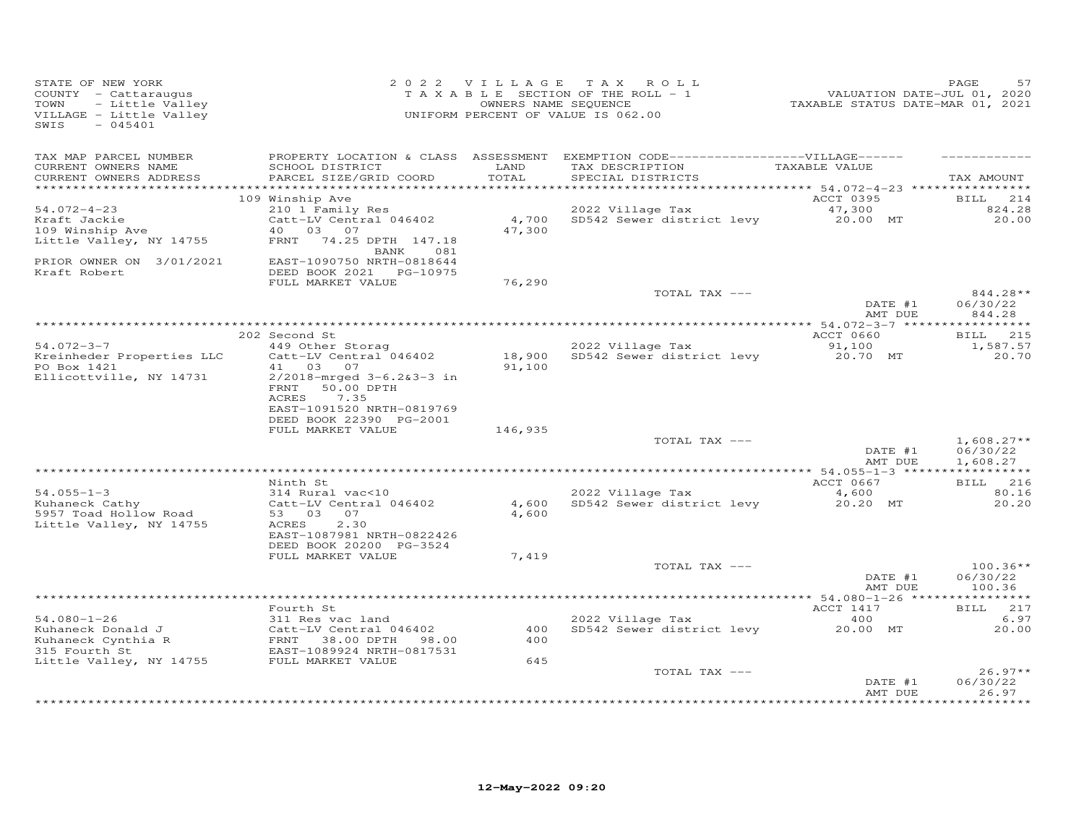| STATE OF NEW YORK<br>COUNTY - Cattaraugus<br>- Little Valley<br>TOWN<br>VILLAGE - Little Valley<br>SWIS<br>$-045401$        |                                                                                                                                                                              | 2022 VILLAGE      | TAX ROLL<br>TAXABLE SECTION OF THE ROLL - 1<br>OWNERS NAME SEQUENCE<br>UNIFORM PERCENT OF VALUE IS 062.00                 | VALUATION DATE-JUL 01, 2020<br>TAXABLE STATUS DATE-MAR 01, 2021 | PAGE<br>57                                             |
|-----------------------------------------------------------------------------------------------------------------------------|------------------------------------------------------------------------------------------------------------------------------------------------------------------------------|-------------------|---------------------------------------------------------------------------------------------------------------------------|-----------------------------------------------------------------|--------------------------------------------------------|
| TAX MAP PARCEL NUMBER<br>CURRENT OWNERS NAME<br>CURRENT OWNERS ADDRESS                                                      | SCHOOL DISTRICT<br>PARCEL SIZE/GRID COORD                                                                                                                                    | LAND<br>TOTAL     | PROPERTY LOCATION & CLASS ASSESSMENT EXEMPTION CODE-----------------VILLAGE------<br>TAX DESCRIPTION<br>SPECIAL DISTRICTS | TAXABLE VALUE                                                   | TAX AMOUNT                                             |
| $54.072 - 4 - 23$<br>Kraft Jackie<br>109 Winship Ave<br>Little Valley, NY 14755<br>PRIOR OWNER ON 3/01/2021<br>Kraft Robert | 109 Winship Ave<br>210 1 Family Res<br>Catt-LV Central 046402<br>40  03  07<br>FRNT 74.25 DPTH 147.18<br>081<br>BANK<br>EAST-1090750 NRTH-0818644<br>DEED BOOK 2021 PG-10975 | 4,700<br>47,300   | 2022 Village Tax<br>SD542 Sewer district levy 20.00 MT                                                                    | ACCT 0395<br>47,300                                             | BILL 214<br>824.28<br>20,00                            |
|                                                                                                                             | FULL MARKET VALUE                                                                                                                                                            | 76,290            | TOTAL TAX ---                                                                                                             | DATE #1                                                         | 844.28**<br>06/30/22                                   |
| $54.072 - 3 - 7$<br>Kreinheder Properties LLC<br>PO Box 1421<br>Ellicottville, NY 14731                                     | 202 Second St<br>449 Other Storag<br>Catt-LV Central 046402<br>41 03<br>07<br>$2/2018$ -mrged $3-6.283-3$ in<br>50.00 DPTH<br>FRNT<br>ACRES<br>7.35                          | 91,100            | 2022 Village Tax<br>18,900 SD542 Sewer district levy                                                                      | AMT DUE<br>ACCT 0660<br>91,100<br>20.70 MT                      | 844.28<br>***********<br>BILL 215<br>1,587.57<br>20.70 |
|                                                                                                                             | EAST-1091520 NRTH-0819769<br>DEED BOOK 22390 PG-2001<br>FULL MARKET VALUE                                                                                                    | 146,935           | TOTAL TAX ---                                                                                                             | DATE #1<br>AMT DUE                                              | $1,608.27**$<br>06/30/22<br>1,608.27                   |
|                                                                                                                             |                                                                                                                                                                              |                   |                                                                                                                           |                                                                 |                                                        |
| $54.055 - 1 - 3$<br>Kuhaneck Cathy<br>5957 Toad Hollow Road<br>Little Valley, NY 14755                                      | Ninth St<br>314 Rural vac<10<br>Catt-LV Central 046402<br>53 03 07<br>2.30<br>ACRES                                                                                          | 4,600             | 2022 Village Tax<br>4,600 SD542 Sewer district levy                                                                       | ACCT 0667<br>4,600<br>20.20 MT                                  | BILL 216<br>80.16<br>20.20                             |
|                                                                                                                             | EAST-1087981 NRTH-0822426<br>DEED BOOK 20200 PG-3524<br>FULL MARKET VALUE                                                                                                    | 7,419             | TOTAL TAX ---                                                                                                             | DATE #1<br>AMT DUE                                              | $100.36**$<br>06/30/22<br>100.36                       |
|                                                                                                                             |                                                                                                                                                                              |                   |                                                                                                                           |                                                                 |                                                        |
| $54.080 - 1 - 26$<br>Kuhaneck Donald J<br>Kuhaneck Cynthia R<br>315 Fourth St                                               | Fourth St<br>311 Res vac land<br>Catt-LV Central 046402<br>FRNT 38.00 DPTH 98.00<br>EAST-1089924 NRTH-0817531<br>EAST-1089924 NRTH-0817531<br>FULL MARKET VALUE              | 400<br>400<br>645 | 2022 Village Tax<br>SD542 Sewer district levy                                                                             | ACCT 1417<br>400<br>20.00 MT                                    | BILL 217<br>6.97<br>20.00                              |
| Little Valley, NY 14755                                                                                                     |                                                                                                                                                                              |                   | TOTAL TAX ---                                                                                                             | DATE #1<br>AMT DUE                                              | $26.97**$<br>06/30/22<br>26.97                         |
|                                                                                                                             |                                                                                                                                                                              |                   |                                                                                                                           |                                                                 | ******                                                 |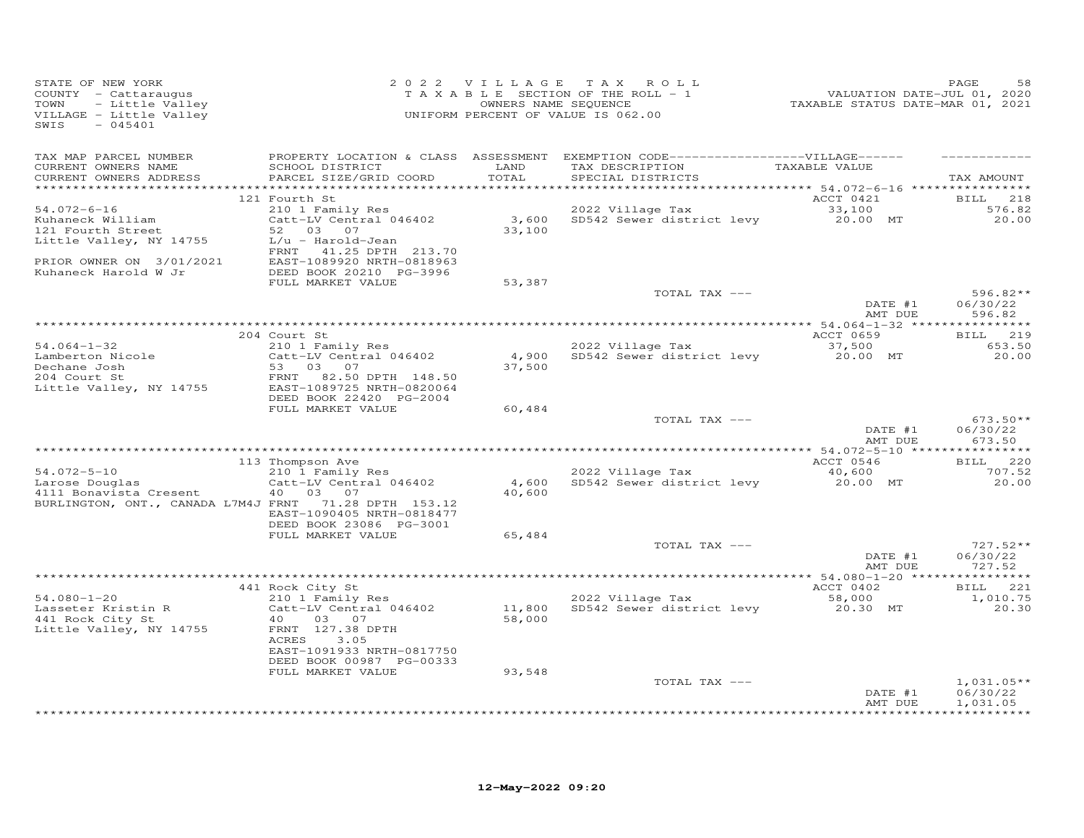| STATE OF NEW YORK<br>COUNTY - Cattaraugus<br>TOWN<br>- Little Valley<br>VILLAGE - Little Valley<br>SWIS<br>$-045401$ |                                                                                                             |               | 2022 VILLAGE TAX ROLL<br>T A X A B L E SECTION OF THE ROLL - 1<br>OWNERS NAME SEQUENCE<br>UNIFORM PERCENT OF VALUE IS 062.00            | rur – 1452<br>2020 ,2021 DATE-JUL<br>2021 TAXABLE STATUS DATE-MAR | PAGE<br>58                       |
|----------------------------------------------------------------------------------------------------------------------|-------------------------------------------------------------------------------------------------------------|---------------|-----------------------------------------------------------------------------------------------------------------------------------------|-------------------------------------------------------------------|----------------------------------|
| TAX MAP PARCEL NUMBER<br>CURRENT OWNERS NAME<br>CURRENT OWNERS ADDRESS                                               | SCHOOL DISTRICT<br>PARCEL SIZE/GRID COORD                                                                   | LAND<br>TOTAL | PROPERTY LOCATION & CLASS ASSESSMENT EXEMPTION CODE-----------------VILLAGE------<br>TAX DESCRIPTION TAXABLE VALUE<br>SPECIAL DISTRICTS |                                                                   | TAX AMOUNT                       |
| $54.072 - 6 - 16$                                                                                                    | 121 Fourth St<br>210 1 Family Res                                                                           |               | 2022 Village Tax                                                                                                                        | ACCT 0421<br>33,100                                               | <b>BILL</b><br>218<br>576.82     |
| Kuhaneck William<br>121 Fourth Street<br>Little Valley, NY 14755                                                     | Catt-LV Central 046402<br>52 03 07<br>L/u - Harold-Jean                                                     | 33,100        | $3,600$ SD542 Sewer district levy $20.00$ MT 33.100                                                                                     |                                                                   | 20.00                            |
| PRIOR OWNER ON $3/01/2021$                                                                                           | FRNT 41.25 DPTH 213.70<br>EAST-1089920 NRTH-0818963<br>DEED BOOK 20210 PG-3996<br>FULL MARKET VALUE         | 53,387        |                                                                                                                                         |                                                                   |                                  |
|                                                                                                                      |                                                                                                             |               | TOTAL TAX ---                                                                                                                           | DATE #1<br>AMT DUE                                                | $596.82**$<br>06/30/22<br>596.82 |
|                                                                                                                      |                                                                                                             |               |                                                                                                                                         |                                                                   |                                  |
| $54.064 - 1 - 32$                                                                                                    | 204 Court St<br>210 1 Family Res                                                                            |               | 2022 Village Tax                                                                                                                        | ACCT 0659<br>37,500                                               | BILL 219<br>653.50               |
| Lamberton Nicole<br>Dechane Josh<br>204 Court St<br>204 Court St<br>Little Valley, NY 14755                          | Catt-LV Central 046402<br>$Cat1 - 24$<br>53 03 07<br>82.50 DPTH 148.50<br>FRNT<br>EAST-1089725 NRTH-0820064 | 37,500        | 4,900 SD542 Sewer district levy 20.00 MT                                                                                                |                                                                   | 20.00                            |
|                                                                                                                      | DEED BOOK 22420 PG-2004<br>FULL MARKET VALUE                                                                | 60,484        |                                                                                                                                         |                                                                   |                                  |
|                                                                                                                      |                                                                                                             |               | TOTAL TAX ---                                                                                                                           | DATE #1<br>AMT DUE                                                | $673.50**$<br>06/30/22<br>673.50 |
|                                                                                                                      |                                                                                                             |               |                                                                                                                                         |                                                                   |                                  |
| 54.072-5-10                                                                                                          | 113 Thompson Ave<br>$210$ 1 Family Res                                                                      |               | 2022 Village Tax                                                                                                                        | ACCT 0546<br>40,600                                               | BILL 220<br>707.52               |
| Larose Douglas<br>4111 Bonavista Cresent<br>BURLINGTON, ONT., CANADA L7M4J FRNT 71.28 DPTH 153.12                    | Catt-LV Central 046402<br>40  03  07                                                                        | 40,600        | 4,600 SD542 Sewer district levy                                                                                                         | 20.00 MT                                                          | 20.00                            |
|                                                                                                                      | EAST-1090405 NRTH-0818477<br>DEED BOOK 23086 PG-3001                                                        |               |                                                                                                                                         |                                                                   |                                  |
|                                                                                                                      | FULL MARKET VALUE                                                                                           | 65,484        | TOTAL TAX ---                                                                                                                           |                                                                   | $727.52**$                       |
|                                                                                                                      |                                                                                                             |               |                                                                                                                                         | DATE #1<br>AMT DUE                                                | 06/30/22<br>727.52               |
|                                                                                                                      | 441 Rock City St                                                                                            |               |                                                                                                                                         | ACCT 0402                                                         | BILL 221                         |
| $54.080 - 1 - 20$                                                                                                    | 210 1 Family Res                                                                                            |               | 2022 Village Tax                                                                                                                        | 58,000                                                            | 1,010.75                         |
| Lasseter Kristin R<br>441 Rock City St<br>Little Valley, NY 14755                                                    | 40<br>03 07<br>FRNT 127.38 DPTH<br>ACRES<br>3.05<br>EAST-1091933 NRTH-0817750                               | 58,000        | Catt-LV Central 046402 11,800 SD542 Sewer district levy 20.30 MT                                                                        |                                                                   | 20.30                            |
|                                                                                                                      | DEED BOOK 00987 PG-00333                                                                                    |               |                                                                                                                                         |                                                                   |                                  |
|                                                                                                                      | FULL MARKET VALUE                                                                                           | 93,548        | TOTAL TAX ---                                                                                                                           | DATE #1                                                           | $1,031.05**$<br>06/30/22         |
|                                                                                                                      |                                                                                                             |               |                                                                                                                                         | AMT DUE                                                           | 1,031.05                         |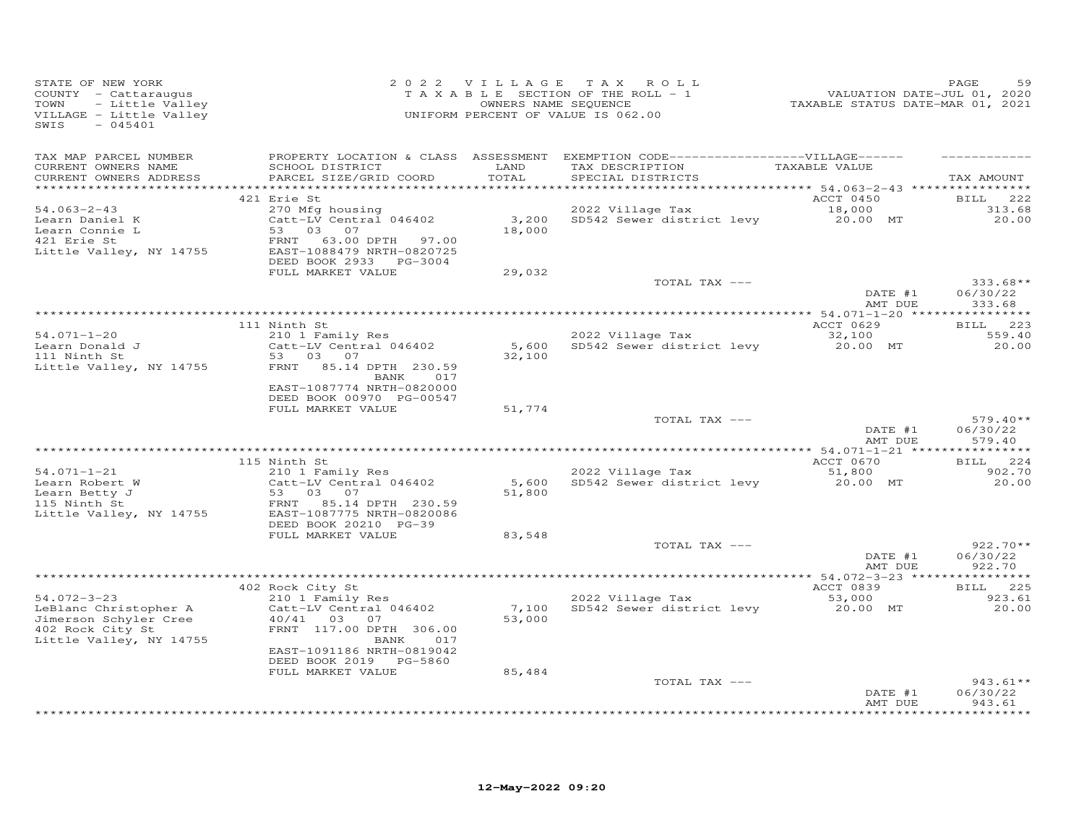| STATE OF NEW YORK<br>COUNTY - Cattaraugus<br>- Little Valley<br>TOWN<br>VILLAGE - Little Valley<br>$-045401$<br>SWIS |                                                                                                         |                 | 2022 VILLAGE TAX ROLL<br>TAXABLE SECTION OF THE ROLL - 1<br>OWNERS NAME SEQUENCE<br>UNIFORM PERCENT OF VALUE IS 062.00                  | 952<br>VALUATION DATE-JUL 01, 2020<br>TAXABLE STATUS DATE-MAR 01, 2021 | PAGE<br>59                       |
|----------------------------------------------------------------------------------------------------------------------|---------------------------------------------------------------------------------------------------------|-----------------|-----------------------------------------------------------------------------------------------------------------------------------------|------------------------------------------------------------------------|----------------------------------|
| TAX MAP PARCEL NUMBER<br>CURRENT OWNERS NAME<br>CURRENT OWNERS ADDRESS                                               | SCHOOL DISTRICT<br>PARCEL SIZE/GRID COORD                                                               | LAND<br>TOTAL   | PROPERTY LOCATION & CLASS ASSESSMENT EXEMPTION CODE-----------------VILLAGE------<br>TAX DESCRIPTION TAXABLE VALUE<br>SPECIAL DISTRICTS |                                                                        | TAX AMOUNT                       |
|                                                                                                                      | 421 Erie St                                                                                             |                 |                                                                                                                                         | ACCT 0450                                                              | BILL 222                         |
| 54.063-2-43<br>Learn Daniel K<br>Learn Connie L                                                                      | 270 Mfg housing<br>Catt-LV Central 046402<br>53 03 07                                                   | 18,000          | 2022 Village Tax<br>3,200 SD542 Sewer district levy 20.00 MT                                                                            | 18,000                                                                 | 313.68<br>20.00                  |
| 421 Erie St<br>Little Valley, NY 14755                                                                               | 63.00 DPTH<br>FRNT<br>97.00<br>EAST-1088479 NRTH-0820725<br>DEED BOOK 2933 PG-3004<br>FULL MARKET VALUE |                 |                                                                                                                                         |                                                                        |                                  |
|                                                                                                                      |                                                                                                         | 29,032          | TOTAL TAX ---                                                                                                                           | DATE #1                                                                | $333.68**$<br>06/30/22           |
|                                                                                                                      |                                                                                                         |                 |                                                                                                                                         | AMT DUE                                                                | 333.68                           |
|                                                                                                                      | 111 Ninth St                                                                                            |                 |                                                                                                                                         | ACCT 0629                                                              | BILL 223                         |
| $54.071 - 1 - 20$                                                                                                    | 210 1 Family Res                                                                                        |                 | 2022 Village Tax                                                                                                                        | 32,100                                                                 | 559.40                           |
| $\frac{54.011 \pm 1}{10000000}$                                                                                      | Catt-LV Central 046402<br>53 03 07                                                                      | 32,100          | 5,600 SD542 Sewer district levy                                                                                                         | 20.00 MT                                                               | 20.00                            |
| Little Valley, NY 14755                                                                                              | 85.14 DPTH 230.59<br>FRNT<br>BANK 017<br>EAST-1087774 NRTH-0820000                                      |                 |                                                                                                                                         |                                                                        |                                  |
|                                                                                                                      | DEED BOOK 00970 PG-00547                                                                                |                 |                                                                                                                                         |                                                                        |                                  |
|                                                                                                                      | FULL MARKET VALUE                                                                                       | 51,774          | TOTAL TAX ---                                                                                                                           |                                                                        | $579.40**$                       |
|                                                                                                                      |                                                                                                         |                 |                                                                                                                                         | DATE #1<br>AMT DUE                                                     | 06/30/22<br>579.40               |
|                                                                                                                      | 115 Ninth St                                                                                            |                 |                                                                                                                                         | ACCT 0670                                                              | BILL 224                         |
| $54.071 - 1 - 21$                                                                                                    | Ninth St<br>210 1 Family Res<br>Catt-LV Central 046402                                                  |                 | 2022 Village Tax                                                                                                                        | 51,800                                                                 | 902.70                           |
| Learn Robert W<br>Learn Betty J<br>115 Ninth St                                                                      | 53 03 07                                                                                                | 51,800          | 5,600 SD542 Sewer district levy                                                                                                         | 20.00 MT                                                               | 20.00                            |
| Little Valley, NY 14755                                                                                              | FRNT 85.14 DPTH 230.59<br>EAST-1087775 NRTH-0820086<br>DEED BOOK 20210 PG-39                            |                 |                                                                                                                                         |                                                                        |                                  |
|                                                                                                                      | FULL MARKET VALUE                                                                                       | 83,548          |                                                                                                                                         |                                                                        |                                  |
|                                                                                                                      |                                                                                                         |                 | TOTAL TAX ---                                                                                                                           | DATE #1<br>AMT DUE                                                     | $922.70**$<br>06/30/22<br>922.70 |
|                                                                                                                      |                                                                                                         |                 |                                                                                                                                         |                                                                        |                                  |
|                                                                                                                      | 402 Rock City St                                                                                        |                 | 2022 Village Tax                                                                                                                        | <b>ACCT 0839</b>                                                       | BILL 225                         |
| $54.072 - 3 - 23$<br>LeBlanc Christopher A<br>Jimerson Schyler Cree<br>402 Rock City St<br>Little Valley, NY 14755   | 210 1 Family Res<br>Catt-LV Central 046402<br>40/41 03 07<br>FRNT 117.00 DPTH 306.00<br>BANK<br>017     | 7,100<br>53,000 | SD542 Sewer district levy                                                                                                               | 53,000<br>20.00 MT                                                     | 923.61<br>20.00                  |
|                                                                                                                      | EAST-1091186 NRTH-0819042<br>DEED BOOK 2019 PG-5860                                                     |                 |                                                                                                                                         |                                                                        |                                  |
|                                                                                                                      | FULL MARKET VALUE                                                                                       | 85,484          | TOTAL TAX ---                                                                                                                           |                                                                        | $943.61**$                       |
|                                                                                                                      |                                                                                                         |                 |                                                                                                                                         | DATE #1<br>AMT DUE                                                     | 06/30/22<br>943.61               |
|                                                                                                                      |                                                                                                         |                 |                                                                                                                                         |                                                                        | **********                       |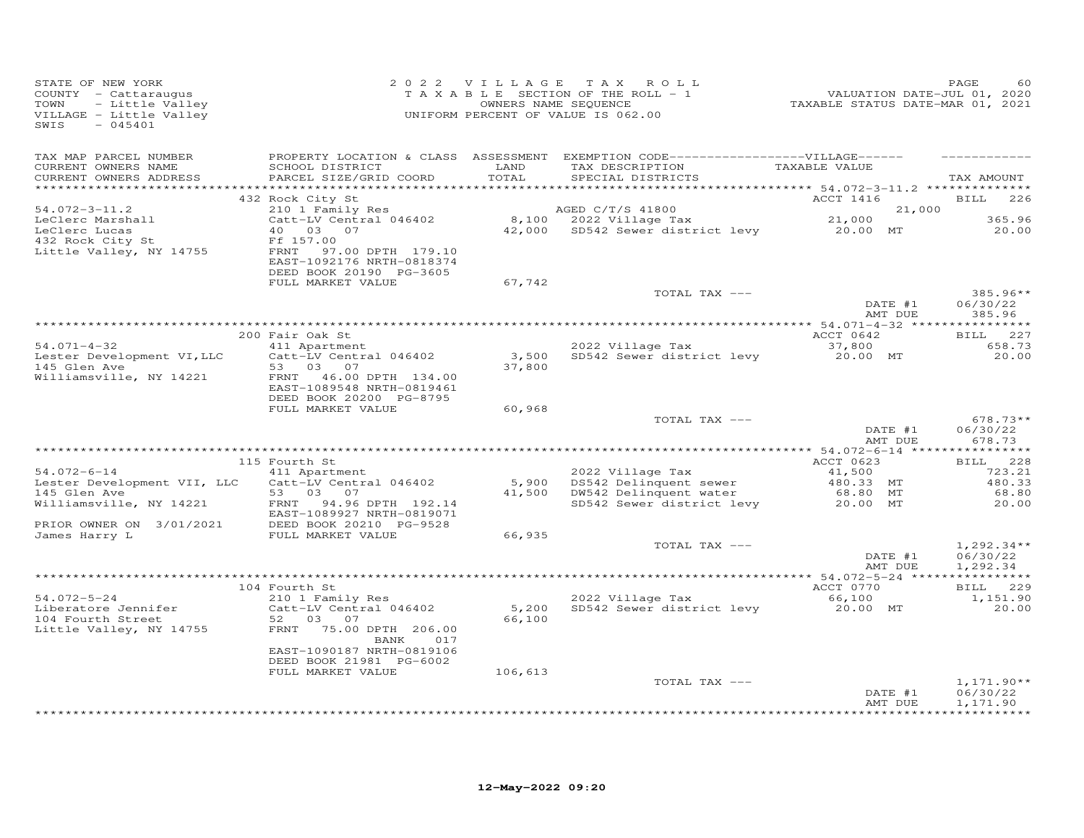| STATE OF NEW YORK<br>COUNTY - Cattaraugus<br>- Little Valley<br>TOWN<br>VILLAGE - Little Valley<br>SWIS<br>$-045401$ |                                                                                                                                   |                 | 2022 VILLAGE TAX ROLL<br>TAXABLE SECTION OF THE ROLL - 1<br>OWNERS NAME SEQUENCE<br>UNIFORM PERCENT OF VALUE IS 062.00     |                     | PAGE<br>60                           |
|----------------------------------------------------------------------------------------------------------------------|-----------------------------------------------------------------------------------------------------------------------------------|-----------------|----------------------------------------------------------------------------------------------------------------------------|---------------------|--------------------------------------|
| TAX MAP PARCEL NUMBER<br>CURRENT OWNERS NAME<br>CURRENT OWNERS ADDRESS                                               | SCHOOL DISTRICT<br>PARCEL SIZE/GRID COORD                                                                                         | LAND<br>TOTAL   | PROPERTY LOCATION & CLASS ASSESSMENT EXEMPTION CODE------------------VILLAGE------<br>TAX DESCRIPTION<br>SPECIAL DISTRICTS | TAXABLE VALUE       | TAX AMOUNT                           |
|                                                                                                                      | 432 Rock City St                                                                                                                  |                 |                                                                                                                            | ACCT 1416           | <b>BILL</b><br>226                   |
| $54.072 - 3 - 11.2$                                                                                                  | 210 1 Family Res                                                                                                                  |                 | AGED C/T/S 41800                                                                                                           | 21,000              |                                      |
| LeClerc Marshall<br>LeClerc Lucas<br>432 Rock City St<br>Little Valley, NY 14755                                     | Catt-LV Central 046402<br>40 03 07<br>Ff 157.00<br>FRNT 97.00 DPTH 179.10<br>EAST-1092176 NRTH-0818374<br>DEED BOOK 20190 PG-3605 |                 | 8,100 2022 Village Tax 21,000<br>42,000 SD542 Sewer district levy 20.00 MT                                                 |                     | 365.96<br>20.00                      |
|                                                                                                                      | FULL MARKET VALUE                                                                                                                 | 67,742          |                                                                                                                            |                     |                                      |
|                                                                                                                      |                                                                                                                                   |                 | TOTAL TAX ---                                                                                                              | DATE #1<br>AMT DUE  | 385.96**<br>06/30/22<br>385.96       |
|                                                                                                                      |                                                                                                                                   |                 |                                                                                                                            |                     |                                      |
| $54.071 - 4 - 32$                                                                                                    | 200 Fair Oak St<br>411 Apartment                                                                                                  |                 | 2022 Village Tax                                                                                                           | ACCT 0642<br>37,800 | 227<br><b>BILL</b><br>658.73         |
| Lester Development VI, LLC<br>145 Glen Ave                                                                           | Catt-LV Central 046402<br>53 03 07                                                                                                | 3,500<br>37,800 | SD542 Sewer district levy                                                                                                  | 20.00 MT            | 20.00                                |
| Williamsville, NY 14221                                                                                              | FRNT<br>46.00 DPTH 134.00<br>EAST-1089548 NRTH-0819461<br>DEED BOOK 20200 PG-8795                                                 |                 |                                                                                                                            |                     |                                      |
|                                                                                                                      | FULL MARKET VALUE                                                                                                                 | 60,968          |                                                                                                                            |                     |                                      |
|                                                                                                                      |                                                                                                                                   |                 | TOTAL TAX ---                                                                                                              | DATE #1<br>AMT DUE  | $678.73**$<br>06/30/22<br>678.73     |
|                                                                                                                      | 115 Fourth St                                                                                                                     |                 |                                                                                                                            | ACCT 0623           | BILL 228                             |
| $54.072 - 6 - 14$                                                                                                    | 411 Apartment                                                                                                                     |                 | 2022 Village Tax                                                                                                           | 41,500              | 723.21                               |
| Lester Development VII, LLC                                                                                          | Catt-LV Central 046402                                                                                                            | 5,900           | DS542 Delinquent sewer                                                                                                     | 480.33 MT           | 480.33                               |
| 145 Glen Ave                                                                                                         | 53 03 07                                                                                                                          | 41,500          | DW542 Delinquent water                                                                                                     | 68.80 MT            | 68.80                                |
| Williamsville, NY 14221<br>PRIOR OWNER ON 3/01/2021                                                                  | FRNT<br>94.96 DPTH 192.14<br>EAST-1089927 NRTH-0819071<br>DEED BOOK 20210 PG-9528                                                 |                 | SD542 Sewer district levy                                                                                                  | 20.00 MT            | 20.00                                |
| James Harry L                                                                                                        | FULL MARKET VALUE                                                                                                                 | 66,935          |                                                                                                                            |                     |                                      |
|                                                                                                                      |                                                                                                                                   |                 | TOTAL TAX ---                                                                                                              | DATE #1<br>AMT DUE  | $1,292.34**$<br>06/30/22<br>1,292.34 |
|                                                                                                                      |                                                                                                                                   |                 |                                                                                                                            |                     |                                      |
| $54.072 - 5 - 24$                                                                                                    | 104 Fourth St<br>210 1 Family Res                                                                                                 |                 | 2022 Village Tax                                                                                                           | ACCT 0770<br>66,100 | BILL 229<br>1,151.90                 |
| Liberatore Jennifer<br>104 Fourth Street<br>Little Valley, NY 14755                                                  | Catt-LV Central 046402<br>52 03<br>07<br>FRNT 75.00 DPTH 206.00                                                                   | 66,100          | 5,200 SD542 Sewer district levy                                                                                            | 20.00 MT            | 20.00                                |
|                                                                                                                      | BANK<br>017<br>EAST-1090187 NRTH-0819106<br>DEED BOOK 21981 PG-6002                                                               |                 |                                                                                                                            |                     |                                      |
|                                                                                                                      | FULL MARKET VALUE                                                                                                                 | 106,613         |                                                                                                                            |                     |                                      |
|                                                                                                                      |                                                                                                                                   |                 | TOTAL TAX ---                                                                                                              | DATE #1<br>AMT DUE  | $1,171.90**$<br>06/30/22<br>1,171.90 |
|                                                                                                                      |                                                                                                                                   |                 |                                                                                                                            |                     | <b>+++++++++++++</b>                 |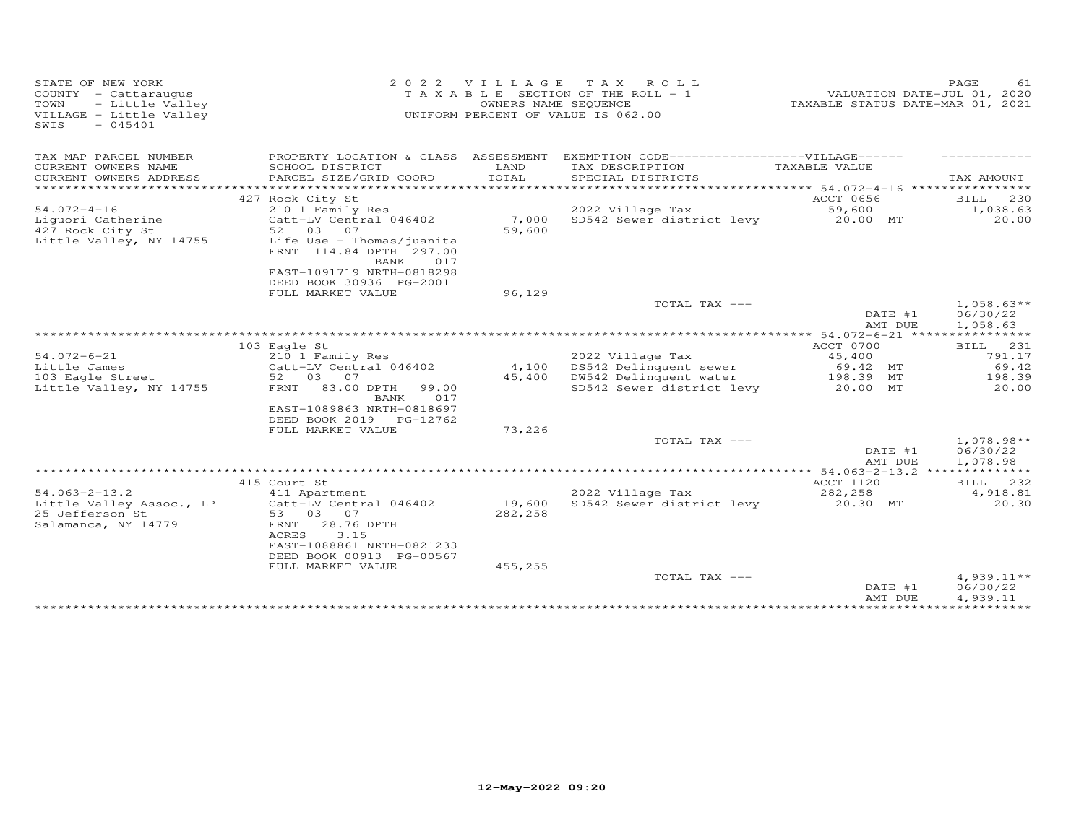| COUNTY - Cattaraugus<br>- Little Valley<br>TOWN<br>VILLAGE - Little Valley<br>SWIS<br>$-045401$ |                                                                                                                | OWNERS NAME SEQUENCE | T A X A B L E SECTION OF THE ROLL - 1<br>UNIFORM PERCENT OF VALUE IS 062.00       |                                        | PAGE<br>VALUATION DATE-JUL 01, 2020<br>TAXABLE STATUS DATE-MAR 01, 2021 | 61  |
|-------------------------------------------------------------------------------------------------|----------------------------------------------------------------------------------------------------------------|----------------------|-----------------------------------------------------------------------------------|----------------------------------------|-------------------------------------------------------------------------|-----|
| TAX MAP PARCEL NUMBER                                                                           |                                                                                                                |                      | PROPERTY LOCATION & CLASS ASSESSMENT EXEMPTION CODE-----------------VILLAGE------ |                                        |                                                                         |     |
| CURRENT OWNERS NAME<br>CURRENT OWNERS ADDRESS<br>**********************                         | SCHOOL DISTRICT<br>PARCEL SIZE/GRID COORD                                                                      | LAND<br>TOTAL        | TAX DESCRIPTION<br>SPECIAL DISTRICTS                                              | TAXABLE VALUE                          | TAX AMOUNT                                                              |     |
|                                                                                                 | 427 Rock City St                                                                                               |                      |                                                                                   | ACCT 0656                              | BILL                                                                    | 230 |
| $54.072 - 4 - 16$                                                                               | 210 1 Family Res                                                                                               |                      | 2022 Village Tax                                                                  | 59,600                                 | 1,038.63                                                                |     |
| Liquori Catherine<br>427 Rock City St                                                           | Catt-LV Central 046402<br>52 03 07                                                                             | 7,000<br>59,600      | SD542 Sewer district levy                                                         | 20.00 MT                               | 20.00                                                                   |     |
| Little Valley, NY 14755                                                                         | Life Use - Thomas/juanita<br>FRNT 114.84 DPTH 297.00<br>BANK<br>017                                            |                      |                                                                                   |                                        |                                                                         |     |
|                                                                                                 | EAST-1091719 NRTH-0818298<br>DEED BOOK 30936 PG-2001                                                           |                      |                                                                                   |                                        |                                                                         |     |
|                                                                                                 | FULL MARKET VALUE                                                                                              | 96,129               | TOTAL TAX ---                                                                     |                                        | $1,058.63**$                                                            |     |
|                                                                                                 |                                                                                                                |                      |                                                                                   | DATE #1<br>AMT DUE                     | 06/30/22<br>1,058.63                                                    |     |
|                                                                                                 |                                                                                                                |                      |                                                                                   | ******** 54.072-6-21 ***************** |                                                                         |     |
|                                                                                                 | 103 Eagle St                                                                                                   |                      |                                                                                   | ACCT 0700                              | <b>BILL</b>                                                             | 231 |
| $54.072 - 6 - 21$                                                                               | 210 1 Family Res                                                                                               |                      | 2022 Village Tax                                                                  | 45,400                                 | 791.17                                                                  |     |
| Little James<br>103 Eagle Street                                                                | Catt-LV Central 046402<br>03 07<br>52                                                                          | 4,100<br>45,400      | DS542 Delinquent sewer<br>DW542 Delinquent water                                  | 69.42 MT<br>198.39 MT                  | 69.42<br>198.39                                                         |     |
| Little Valley, NY 14755                                                                         | 83.00 DPTH<br>FRNT<br>99.00<br>017<br>BANK<br>EAST-1089863 NRTH-0818697                                        |                      | SD542 Sewer district levy                                                         | 20.00 MT                               | 20.00                                                                   |     |
|                                                                                                 | DEED BOOK 2019 PG-12762<br>FULL MARKET VALUE                                                                   | 73,226               |                                                                                   |                                        |                                                                         |     |
|                                                                                                 |                                                                                                                |                      | TOTAL TAX ---                                                                     | DATE #1<br>AMT DUE                     | $1,078.98**$<br>06/30/22<br>1,078.98                                    |     |
|                                                                                                 |                                                                                                                |                      | *****************                                                                 | *** 54.063-2-13.2 **                   | ***********                                                             |     |
|                                                                                                 | 415 Court St                                                                                                   |                      |                                                                                   | ACCT 1120                              | BILL 232                                                                |     |
| $54.063 - 2 - 13.2$<br>Little Valley Assoc., LP                                                 | 411 Apartment<br>Catt-LV Central 046402                                                                        | 19,600               | 2022 Village Tax<br>SD542 Sewer district levy                                     | 282,258<br>20.30 MT                    | 4,918.81<br>20.30                                                       |     |
| 25 Jefferson St<br>Salamanca, NY 14779                                                          | 53<br>03<br>07<br>28.76 DPTH<br>FRNT<br>ACRES<br>3.15<br>EAST-1088861 NRTH-0821233<br>DEED BOOK 00913 PG-00567 | 282,258              |                                                                                   |                                        |                                                                         |     |
|                                                                                                 | FULL MARKET VALUE                                                                                              | 455,255              |                                                                                   |                                        |                                                                         |     |
|                                                                                                 |                                                                                                                |                      | TOTAL TAX ---                                                                     | DATE #1<br>AMT DUE                     | $4,939.11**$<br>06/30/22<br>4,939.11                                    |     |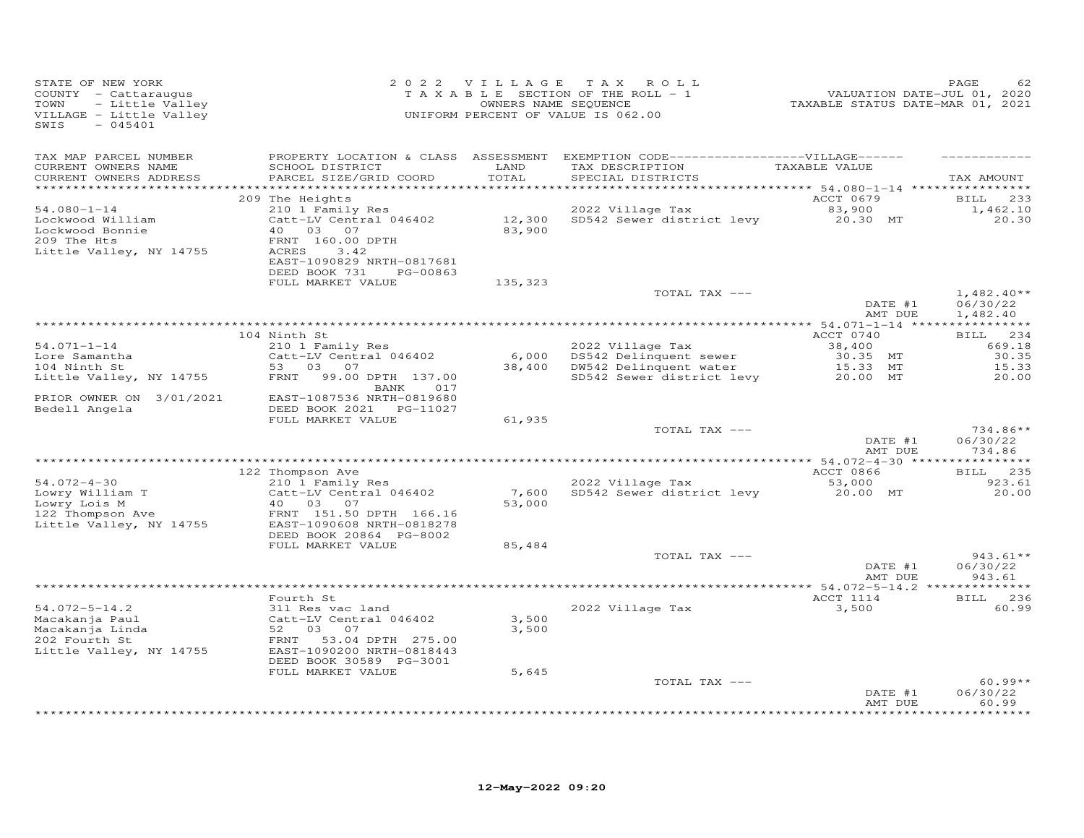| STATE OF NEW YORK<br>COUNTY - Cattaraugus<br>TOWN<br>- Little Valley<br>VILLAGE - Little Valley<br>$-045401$<br>SWIS |                                                                                   |                  | 2022 VILLAGE TAX ROLL<br>TAXABLE SECTION OF THE ROLL - 1<br>OWNERS NAME SEQUENCE<br>UNIFORM PERCENT OF VALUE IS 062.00     | -------<br>2020 VALUATION DATE-JUL 01, 2020<br>2021 TAXABLE STATUS DATE-MART | PAGE<br>62                                  |
|----------------------------------------------------------------------------------------------------------------------|-----------------------------------------------------------------------------------|------------------|----------------------------------------------------------------------------------------------------------------------------|------------------------------------------------------------------------------|---------------------------------------------|
| TAX MAP PARCEL NUMBER<br>CURRENT OWNERS NAME<br>CURRENT OWNERS ADDRESS                                               | SCHOOL DISTRICT<br>PARCEL SIZE/GRID COORD                                         | LAND<br>TOTAL    | PROPERTY LOCATION & CLASS ASSESSMENT EXEMPTION CODE------------------VILLAGE------<br>TAX DESCRIPTION<br>SPECIAL DISTRICTS | TAXABLE VALUE                                                                | TAX AMOUNT                                  |
|                                                                                                                      | 209 The Heights                                                                   |                  |                                                                                                                            | ACCT 0679                                                                    | 233<br><b>BILL</b>                          |
| $54.080 - 1 - 14$<br>Lockwood William<br>Lockwood Bonnie<br>209 The Hts                                              | 210 1 Family Res<br>Catt-LV Central 046402<br>40  03  07<br>FRNT 160.00 DPTH      | 12,300<br>83,900 | 2022 Village Tax<br>SD542 Sewer district levy 20.30 MT                                                                     | 83,900                                                                       | 1,462.10<br>20.30                           |
| Little Valley, NY 14755                                                                                              | ACRES<br>3.42<br>EAST-1090829 NRTH-0817681<br>DEED BOOK 731<br>PG-00863           |                  |                                                                                                                            |                                                                              |                                             |
|                                                                                                                      | FULL MARKET VALUE                                                                 | 135,323          | TOTAL TAX ---                                                                                                              |                                                                              | $1,482.40**$                                |
|                                                                                                                      |                                                                                   |                  |                                                                                                                            | DATE #1<br>AMT DUE                                                           | 06/30/22<br>1,482.40                        |
|                                                                                                                      | 104 Ninth St                                                                      |                  |                                                                                                                            | ACCT 0740                                                                    | BILL 234                                    |
| $54.071 - 1 - 14$                                                                                                    | 210 1 Family Res                                                                  |                  | 2022 Village Tax                                                                                                           | 38,400                                                                       | 669.18                                      |
| Lore Samantha                                                                                                        | Catt-LV Central 046402                                                            |                  | 6,000 DS542 Delinquent sewer                                                                                               | 30.35 MT                                                                     | 30.35                                       |
| 104 Ninth St                                                                                                         | 53 03<br>07                                                                       |                  | 38,400 DW542 Delinquent water                                                                                              | 15.33 MT                                                                     | 15.33                                       |
| Little Valley, NY 14755                                                                                              | FRNT<br>99.00 DPTH 137.00<br>BANK 017<br>EAST-1087536 NRTH-0819680                |                  | SD542 Sewer district levy                                                                                                  | 20.00 MT                                                                     | 20.00                                       |
| PRIOR OWNER ON 3/01/2021<br>Bedell Angela                                                                            | DEED BOOK 2021    PG-11027<br>FULL MARKET VALUE                                   | 61,935           |                                                                                                                            |                                                                              |                                             |
|                                                                                                                      |                                                                                   |                  | TOTAL TAX ---                                                                                                              | DATE #1                                                                      | 734.86**<br>06/30/22                        |
|                                                                                                                      |                                                                                   |                  |                                                                                                                            | AMT DUE                                                                      | 734.86                                      |
|                                                                                                                      | 122 Thompson Ave                                                                  |                  |                                                                                                                            | ACCT 0866                                                                    | * * * * * * * * * * *<br>235<br><b>BILL</b> |
| $54.072 - 4 - 30$                                                                                                    | 210 1 Family Res                                                                  |                  | 2022 Village Tax                                                                                                           | 53,000                                                                       | 923.61                                      |
| Lowry William T<br>Lowry Lois M<br>122 Thompson Ave                                                                  | Catt-LV Central 046402<br>40 03<br>07<br>FRNT 151.50 DPTH 166.16                  | 7,600<br>53,000  | SD542 Sewer district levy                                                                                                  | 20.00 MT                                                                     | 20.00                                       |
| Little Valley, NY 14755                                                                                              | EAST-1090608 NRTH-0818278<br>DEED BOOK 20864 PG-8002                              |                  |                                                                                                                            |                                                                              |                                             |
|                                                                                                                      | FULL MARKET VALUE                                                                 | 85,484           | TOTAL TAX ---                                                                                                              |                                                                              | $943.61**$                                  |
|                                                                                                                      |                                                                                   |                  |                                                                                                                            | DATE #1<br>AMT DUE                                                           | 06/30/22<br>943.61                          |
|                                                                                                                      |                                                                                   |                  |                                                                                                                            |                                                                              |                                             |
| $54.072 - 5 - 14.2$                                                                                                  | Fourth St<br>311 Res vac land                                                     |                  | 2022 Village Tax                                                                                                           | ACCT 1114<br>3,500                                                           | BILL 236<br>60.99                           |
| Macakanja Paul<br>Macakanja Linda                                                                                    | Catt-LV Central 046402<br>52 03 07                                                | 3,500<br>3,500   |                                                                                                                            |                                                                              |                                             |
| 202 Fourth St<br>Little Valley, NY 14755                                                                             | FRNT<br>53.04 DPTH 275.00<br>EAST-1090200 NRTH-0818443<br>DEED BOOK 30589 PG-3001 |                  |                                                                                                                            |                                                                              |                                             |
|                                                                                                                      | FULL MARKET VALUE                                                                 | 5,645            |                                                                                                                            |                                                                              |                                             |
|                                                                                                                      |                                                                                   |                  | TOTAL TAX ---                                                                                                              | DATE #1<br>AMT DUE                                                           | $60.99**$<br>06/30/22<br>60.99              |
|                                                                                                                      |                                                                                   |                  |                                                                                                                            |                                                                              | **********                                  |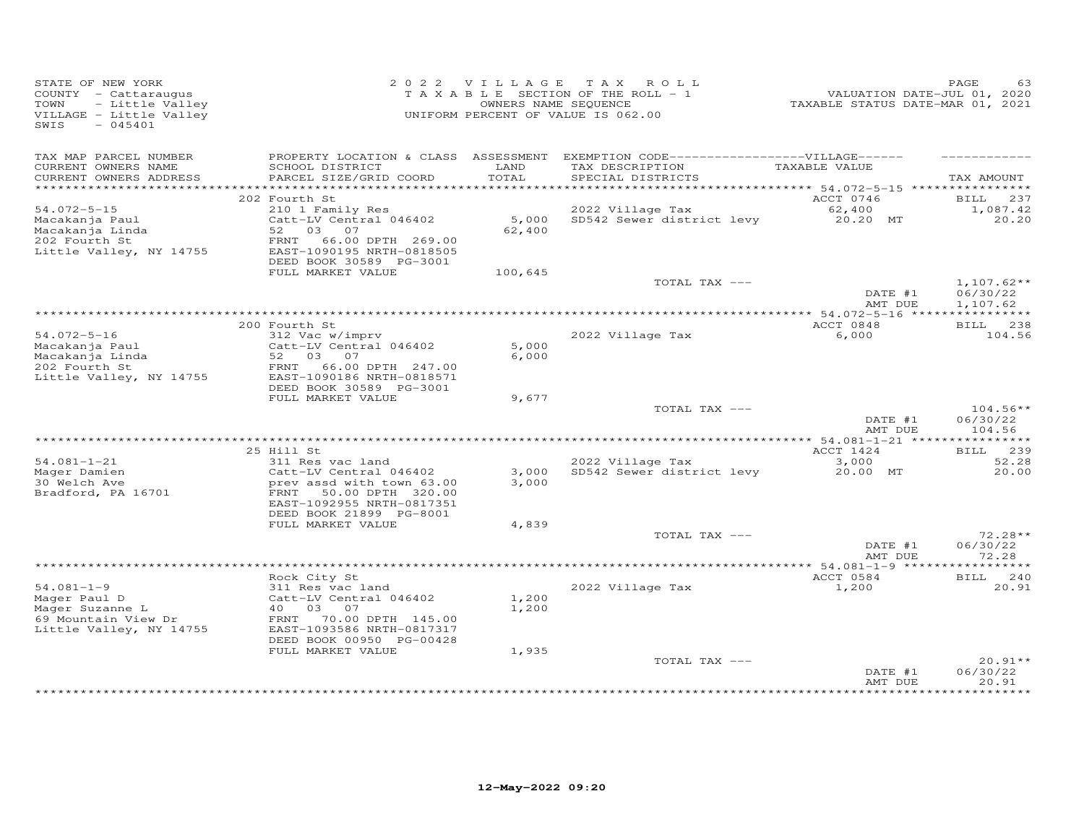| STATE OF NEW YORK<br>COUNTY - Cattaraugus<br>TOWN<br>- Little Valley<br>VILLAGE - Little Valley<br>$-045401$<br>SWIS |                                                                                                                                                               | 2022 VILLAGE            | TAX ROLL<br>T A X A B L E SECTION OF THE ROLL - 1<br>OWNERS NAME SEQUENCE<br>UNIFORM PERCENT OF VALUE IS 062.00           | VALUATION DATE-JUL 01, 2020<br>TAXABLE STATUS DATE-MAR 01, 2021 | PAGE                                 |
|----------------------------------------------------------------------------------------------------------------------|---------------------------------------------------------------------------------------------------------------------------------------------------------------|-------------------------|---------------------------------------------------------------------------------------------------------------------------|-----------------------------------------------------------------|--------------------------------------|
| TAX MAP PARCEL NUMBER<br>CURRENT OWNERS NAME<br>CURRENT OWNERS ADDRESS                                               | SCHOOL DISTRICT<br>PARCEL SIZE/GRID COORD                                                                                                                     | LAND<br>TOTAL           | PROPERTY LOCATION & CLASS ASSESSMENT EXEMPTION CODE-----------------VILLAGE------<br>TAX DESCRIPTION<br>SPECIAL DISTRICTS | TAXABLE VALUE                                                   | TAX AMOUNT                           |
|                                                                                                                      |                                                                                                                                                               |                         |                                                                                                                           |                                                                 |                                      |
| $54.072 - 5 - 15$                                                                                                    | 202 Fourth St<br>210 1 Family Res                                                                                                                             |                         | 2022 Village Tax                                                                                                          | ACCT 0746<br>62,400                                             | BILL 237<br>1,087.42                 |
| Macakanja Paul<br>Macakanja Linda<br>202 Fourth St<br>Little Valley, NY 14755                                        | Catt-LV Central 046402<br>52 03<br>07<br>FRNT<br>66.00 DPTH 269.00<br>EAST-1090195 NRTH-0818505<br>DEED BOOK 30589 PG-3001                                    | 5,000<br>62,400         | SD542 Sewer district levy                                                                                                 | 20.20 MT                                                        | 20.20                                |
|                                                                                                                      | FULL MARKET VALUE                                                                                                                                             | 100,645                 |                                                                                                                           |                                                                 |                                      |
|                                                                                                                      |                                                                                                                                                               |                         | TOTAL TAX ---                                                                                                             | DATE #1<br>AMT DUE                                              | $1,107.62**$<br>06/30/22<br>1,107.62 |
|                                                                                                                      |                                                                                                                                                               |                         |                                                                                                                           |                                                                 |                                      |
|                                                                                                                      | 200 Fourth St                                                                                                                                                 |                         |                                                                                                                           | ACCT 0848                                                       | BILL 238                             |
| $54.072 - 5 - 16$<br>Macakanja Paul<br>Macakanja Linda<br>202 Fourth St<br>Little Valley, NY 14755                   | 312 Vac w/imprv<br>Catt-LV Central 046402<br>52<br>03<br>07<br>66.00 DPTH 247.00<br>FRNT<br>EAST-1090186 NRTH-0818571                                         | 5,000<br>6,000          | 2022 Village Tax                                                                                                          | 6,000                                                           | 104.56                               |
|                                                                                                                      | DEED BOOK 30589 PG-3001<br>FULL MARKET VALUE                                                                                                                  | 9,677                   |                                                                                                                           |                                                                 |                                      |
|                                                                                                                      |                                                                                                                                                               |                         | TOTAL TAX ---                                                                                                             | DATE #1<br>AMT DUE                                              | $104.56**$<br>06/30/22<br>104.56     |
|                                                                                                                      |                                                                                                                                                               |                         |                                                                                                                           | ******* 54.081-1-21 *****************                           |                                      |
| $54.081 - 1 - 21$                                                                                                    | 25 Hill St<br>311 Res vac land                                                                                                                                |                         | 2022 Village Tax                                                                                                          | ACCT 1424<br>3,000                                              | BILL 239<br>52.28                    |
| Mager Damien<br>30 Welch Ave<br>Bradford, PA 16701                                                                   | Catt-LV Central 046402<br>prev assd with town 63.00<br>50.00 DPTH 320.00<br>FRNT<br>EAST-1092955 NRTH-0817351<br>DEED BOOK 21899 PG-8001<br>FULL MARKET VALUE | 3,000<br>3,000<br>4,839 | SD542 Sewer district levy                                                                                                 | 20.00 MT                                                        | 20.00                                |
|                                                                                                                      |                                                                                                                                                               |                         | TOTAL TAX ---                                                                                                             |                                                                 | $72.28**$                            |
|                                                                                                                      |                                                                                                                                                               |                         |                                                                                                                           | DATE #1<br>AMT DUE                                              | 06/30/22<br>72.28                    |
|                                                                                                                      |                                                                                                                                                               |                         |                                                                                                                           |                                                                 | ********                             |
| $54.081 - 1 - 9$                                                                                                     | Rock City St<br>311 Res vac land                                                                                                                              |                         | 2022 Village Tax                                                                                                          | ACCT 0584<br>1,200                                              | 240<br>BILL<br>20.91                 |
| Mager Paul D<br>Mager Suzanne L<br>69 Mountain View Dr<br>Little Valley, NY 14755                                    | Catt-LV Central 046402<br>40<br>03 07<br>FRNT 70.00 DPTH 145.00<br>EAST-1093586 NRTH-0817317<br>DEED BOOK 00950 PG-00428<br>FULL MARKET VALUE                 | 1,200<br>1,200<br>1,935 |                                                                                                                           |                                                                 |                                      |
|                                                                                                                      |                                                                                                                                                               |                         | TOTAL TAX ---                                                                                                             |                                                                 | $20.91**$                            |
|                                                                                                                      |                                                                                                                                                               |                         |                                                                                                                           | DATE #1<br>AMT DUE                                              | 06/30/22<br>20.91<br>********        |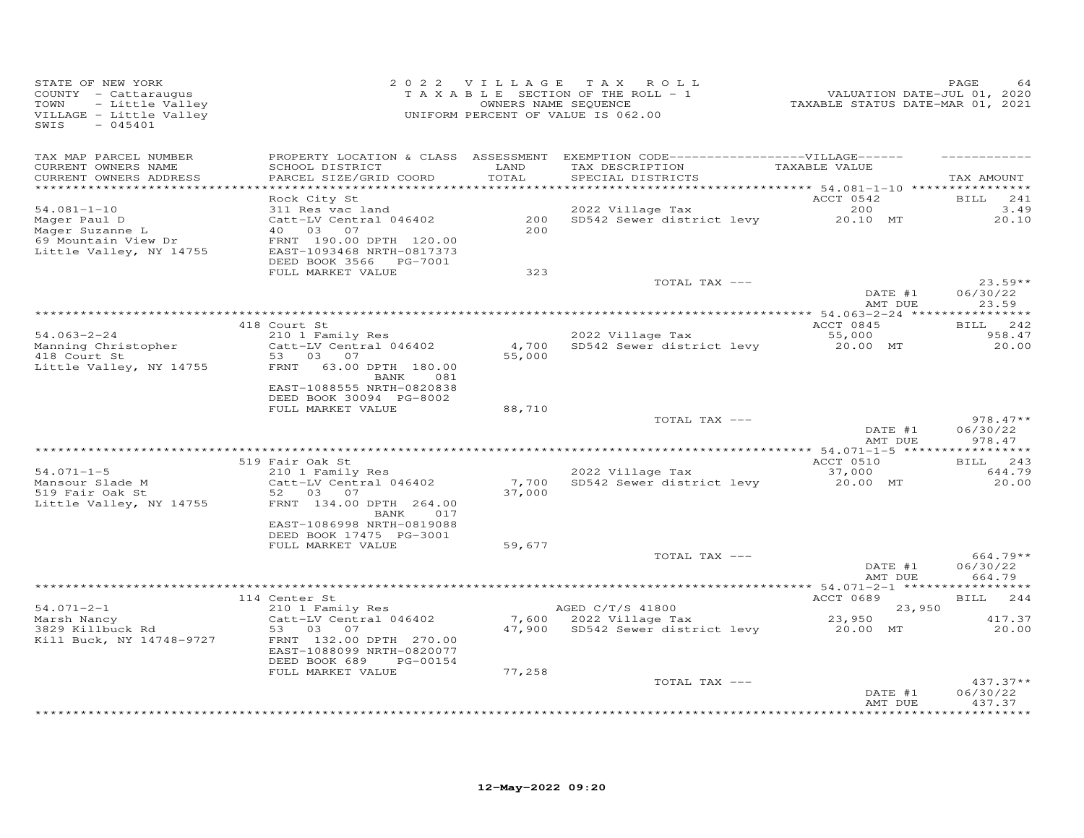| STATE OF NEW YORK<br>COUNTY - Cattaraugus<br>- Little Valley<br>TOWN<br>VILLAGE - Little Valley<br>SWIS<br>$-045401$ |                                                                                                                                                                                  | 2022 VILLAGE                | TAX ROLL<br>T A X A B L E SECTION OF THE ROLL - 1<br>OWNERS NAME SEQUENCE<br>UNIFORM PERCENT OF VALUE IS 062.00            | VALUATION DATE-JUL 01, 2020<br>TAXABLE STATUS DATE-MAR 01, 2021 | PAGE<br>64                       |
|----------------------------------------------------------------------------------------------------------------------|----------------------------------------------------------------------------------------------------------------------------------------------------------------------------------|-----------------------------|----------------------------------------------------------------------------------------------------------------------------|-----------------------------------------------------------------|----------------------------------|
| TAX MAP PARCEL NUMBER<br>CURRENT OWNERS NAME<br>CURRENT OWNERS ADDRESS                                               | SCHOOL DISTRICT<br>PARCEL SIZE/GRID COORD                                                                                                                                        | LAND<br>TOTAL<br>********** | PROPERTY LOCATION & CLASS ASSESSMENT EXEMPTION CODE------------------VILLAGE------<br>TAX DESCRIPTION<br>SPECIAL DISTRICTS | TAXABLE VALUE                                                   | TAX AMOUNT                       |
| $54.081 - 1 - 10$<br>Mager Paul D<br>Mager Suzanne L<br>69 Mountain View Dr<br>Little Valley, NY 14755               | Rock City St<br>311 Res vac land<br>Catt-LV Central 046402<br>40 03<br>07<br>FRNT 190.00 DPTH 120.00<br>EAST-1093468 NRTH-0817373<br>DEED BOOK 3566 PG-7001<br>FULL MARKET VALUE | 200<br>2.00<br>323          | 2022 Village Tax<br>SD542 Sewer district levy                                                                              | *********** 54.081-1-10 ****<br>ACCT 0542<br>200<br>20.10 MT    | BILL<br>241<br>3.49<br>20.10     |
|                                                                                                                      |                                                                                                                                                                                  |                             | TOTAL TAX ---                                                                                                              | DATE #1<br>AMT DUE                                              | $23.59**$<br>06/30/22<br>23.59   |
|                                                                                                                      |                                                                                                                                                                                  |                             |                                                                                                                            |                                                                 |                                  |
|                                                                                                                      | 418 Court St                                                                                                                                                                     |                             |                                                                                                                            | ACCT 0845                                                       | 242<br><b>BILL</b>               |
| $54.063 - 2 - 24$<br>Manning Christopher<br>418 Court St<br>Little Valley, NY 14755                                  | 210 1 Family Res<br>Catt-LV Central 046402<br>53 03<br>07<br>63.00 DPTH 180.00<br>FRNT<br>BANK<br>081                                                                            | 4,700<br>55,000             | 2022 Village Tax<br>SD542 Sewer district levy                                                                              | 55,000<br>20.00 MT                                              | 958.47<br>20.00                  |
|                                                                                                                      | EAST-1088555 NRTH-0820838<br>DEED BOOK 30094 PG-8002                                                                                                                             |                             |                                                                                                                            |                                                                 |                                  |
|                                                                                                                      | FULL MARKET VALUE                                                                                                                                                                | 88,710                      |                                                                                                                            |                                                                 |                                  |
|                                                                                                                      |                                                                                                                                                                                  |                             | TOTAL TAX ---                                                                                                              | DATE #1<br>AMT DUE                                              | $978.47**$<br>06/30/22<br>978.47 |
|                                                                                                                      |                                                                                                                                                                                  |                             |                                                                                                                            |                                                                 |                                  |
|                                                                                                                      | 519 Fair Oak St                                                                                                                                                                  |                             |                                                                                                                            | ACCT 0510                                                       | 243<br><b>BILL</b>               |
| $54.071 - 1 - 5$<br>Mansour Slade M<br>519 Fair Oak St<br>Little Valley, NY 14755                                    | 210 1 Family Res<br>Catt-LV Central 046402<br>52 03 07<br>FRNT 134.00 DPTH 264.00<br>BANK<br>017                                                                                 | 7,700<br>37,000             | 2022 Village Tax<br>SD542 Sewer district levy                                                                              | 37,000<br>20.00 MT                                              | 644.79<br>20.00                  |
|                                                                                                                      | EAST-1086998 NRTH-0819088<br>DEED BOOK 17475 PG-3001                                                                                                                             |                             |                                                                                                                            |                                                                 |                                  |
|                                                                                                                      | FULL MARKET VALUE                                                                                                                                                                | 59,677                      | TOTAL TAX ---                                                                                                              | DATE #1                                                         | 664.79**<br>06/30/22             |
|                                                                                                                      |                                                                                                                                                                                  |                             |                                                                                                                            | AMT DUE                                                         | 664.79                           |
|                                                                                                                      | 114 Center St                                                                                                                                                                    |                             |                                                                                                                            | ACCT 0689                                                       | 244<br><b>BILL</b>               |
| $54.071 - 2 - 1$                                                                                                     | 210 1 Family Res                                                                                                                                                                 |                             | AGED C/T/S 41800                                                                                                           | 23,950                                                          |                                  |
| Marsh Nancy                                                                                                          | Catt-LV Central 046402                                                                                                                                                           |                             | 7,600 2022 Village Tax                                                                                                     | 23,950                                                          | 417.37                           |
| 3829 Killbuck Rd<br>Kill Buck, NY 14748-9727                                                                         | 53 03<br>07<br>FRNT 132.00 DPTH 270.00<br>EAST-1088099 NRTH-0820077<br>DEED BOOK 689<br>PG-00154                                                                                 | 47,900                      | SD542 Sewer district levy                                                                                                  | 20.00 MT                                                        | 20.00                            |
|                                                                                                                      | FULL MARKET VALUE                                                                                                                                                                | 77,258                      |                                                                                                                            |                                                                 |                                  |
|                                                                                                                      |                                                                                                                                                                                  |                             | TOTAL TAX ---                                                                                                              | DATE #1<br>AMT DUE                                              | $437.37**$<br>06/30/22<br>437.37 |
|                                                                                                                      |                                                                                                                                                                                  |                             |                                                                                                                            |                                                                 | ***********                      |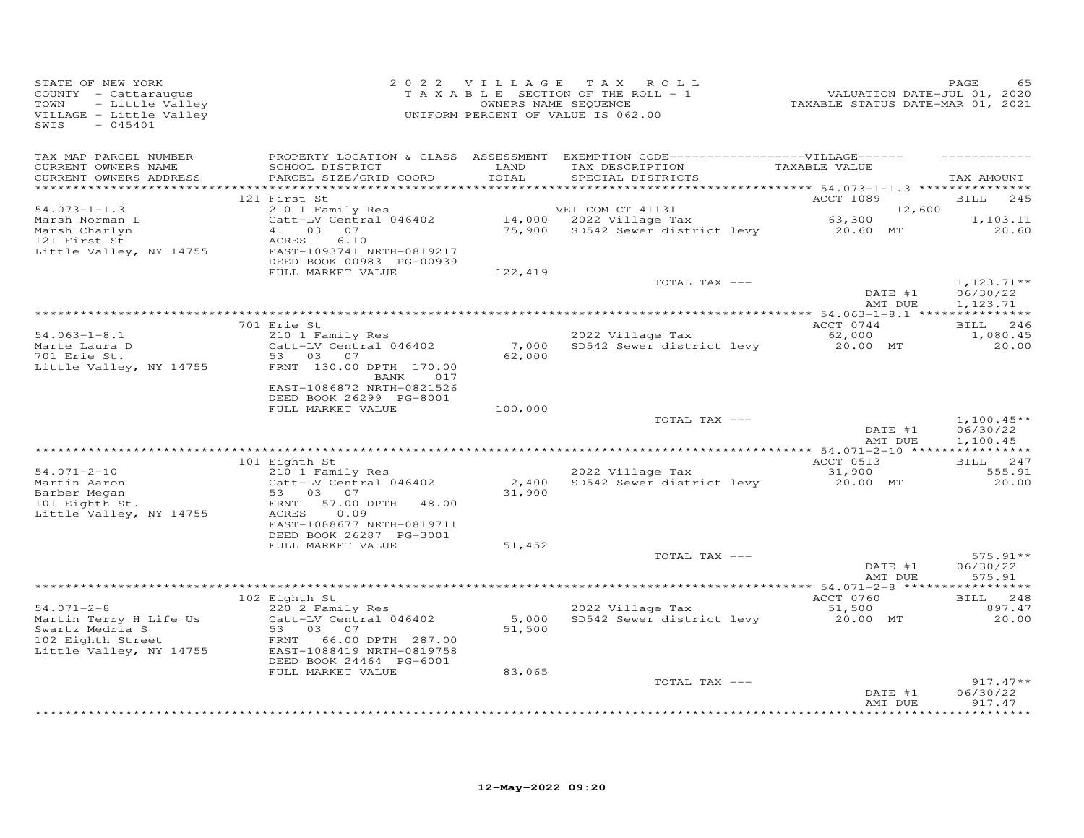| STATE OF NEW YORK<br>COUNTY - Cattaraugus<br>TOWN<br>- Little Valley<br>VILLAGE - Little Valley<br>SWIS<br>$-045401$ |                                                                                                                                      | 2022 VILLAGE    | TAX ROLL<br>TAXABLE SECTION OF THE ROLL - 1<br>OWNERS NAME SEQUENCE<br>UNIFORM PERCENT OF VALUE IS 062.00                               | 1<br>2020 VALUATION DATE-JUL 01, 2020<br>2021 TAXABLE STATUS DATE-MAR | PAGE<br>65                           |
|----------------------------------------------------------------------------------------------------------------------|--------------------------------------------------------------------------------------------------------------------------------------|-----------------|-----------------------------------------------------------------------------------------------------------------------------------------|-----------------------------------------------------------------------|--------------------------------------|
| TAX MAP PARCEL NUMBER<br>CURRENT OWNERS NAME<br>CURRENT OWNERS ADDRESS                                               | SCHOOL DISTRICT<br>PARCEL SIZE/GRID COORD                                                                                            | LAND<br>TOTAL   | PROPERTY LOCATION & CLASS ASSESSMENT EXEMPTION CODE-----------------VILLAGE------<br>TAX DESCRIPTION TAXABLE VALUE<br>SPECIAL DISTRICTS |                                                                       | TAX AMOUNT                           |
|                                                                                                                      | 121 First St                                                                                                                         |                 |                                                                                                                                         | ACCT 1089                                                             | 245<br><b>BILL</b>                   |
| $54.073 - 1 - 1.3$                                                                                                   | 210 1 Family Res                                                                                                                     |                 | VET COM CT 41131                                                                                                                        | 12,600                                                                |                                      |
| Marsh Norman L<br>Marsh Charlyn<br>121 First St<br>Little Valley, NY 14755                                           | Catt-LV Central 046402<br>41 03<br>07<br>ACRES<br>6.10<br>EAST-1093741 NRTH-0819217<br>DEED BOOK 00983 PG-00939<br>FULL MARKET VALUE | 122,419         |                                                                                                                                         |                                                                       | 1,103.11<br>20.60                    |
|                                                                                                                      |                                                                                                                                      |                 | TOTAL TAX ---                                                                                                                           |                                                                       | $1,123.71**$                         |
|                                                                                                                      |                                                                                                                                      |                 |                                                                                                                                         | DATE #1<br>AMT DUE                                                    | 06/30/22<br>1,123.71                 |
|                                                                                                                      |                                                                                                                                      |                 |                                                                                                                                         |                                                                       |                                      |
|                                                                                                                      | 701 Erie St                                                                                                                          |                 |                                                                                                                                         | ACCT 0744                                                             | BILL 246                             |
| $54.063 - 1 - 8.1$<br>Marte Laura D                                                                                  | 210 1 Family Res<br>Catt-LV Central 046402                                                                                           | 7,000           | 2022 Village Tax<br>SD542 Sewer district levy                                                                                           | 62,000<br>20.00 MT                                                    | 1,080.45<br>20.00                    |
| 701 Erie St.                                                                                                         | 53 03 07                                                                                                                             | 62,000          |                                                                                                                                         |                                                                       |                                      |
| Little Valley, NY 14755                                                                                              | FRNT 130.00 DPTH 170.00<br>BANK<br>017<br>EAST-1086872 NRTH-0821526                                                                  |                 |                                                                                                                                         |                                                                       |                                      |
|                                                                                                                      | DEED BOOK 26299 PG-8001<br>FULL MARKET VALUE                                                                                         | 100,000         |                                                                                                                                         |                                                                       |                                      |
|                                                                                                                      |                                                                                                                                      |                 | TOTAL TAX ---                                                                                                                           | DATE #1<br>AMT DUE                                                    | $1,100.45**$<br>06/30/22<br>1,100.45 |
|                                                                                                                      |                                                                                                                                      |                 |                                                                                                                                         |                                                                       |                                      |
| $54.071 - 2 - 10$                                                                                                    | 101 Eighth St<br>210 1 Family Res                                                                                                    |                 | 2022 Village Tax                                                                                                                        | ACCT 0513<br>31,900                                                   | BILL 247<br>555.91                   |
| Martin Aaron<br>Barber Megan<br>101 Eighth St.                                                                       | Catt-LV Central 046402<br>53 03 07<br>57.00 DPTH<br>FRNT<br>48.00<br>0.09<br>ACRES                                                   | 2,400<br>31,900 | SD542 Sewer district levy                                                                                                               | 20.00 MT                                                              | 20.00                                |
| Little Valley, NY 14755                                                                                              | EAST-1088677 NRTH-0819711<br>DEED BOOK 26287 PG-3001                                                                                 |                 |                                                                                                                                         |                                                                       |                                      |
|                                                                                                                      | FULL MARKET VALUE                                                                                                                    | 51,452          |                                                                                                                                         |                                                                       |                                      |
|                                                                                                                      |                                                                                                                                      |                 | TOTAL TAX ---                                                                                                                           | DATE #1<br>AMT DUE                                                    | $575.91**$<br>06/30/22<br>575.91     |
|                                                                                                                      |                                                                                                                                      |                 |                                                                                                                                         |                                                                       |                                      |
| $54.071 - 2 - 8$                                                                                                     | 102 Eighth St<br>220 2 Family Res                                                                                                    |                 | 2022 Village Tax                                                                                                                        | ACCT 0760<br>51,500                                                   | BILL 248<br>897.47                   |
| Martin Terry H Life Us                                                                                               | Catt-LV Central 046402                                                                                                               | 5,000           | SD542 Sewer district levy                                                                                                               | 20.00 MT                                                              | 20.00                                |
| Swartz Medria S<br>swartz Medria S<br>102 Eighth Street<br>Little Valley, NY 14755                                   | 53 03 07<br>FRNT 66.00 DPTH 287.00<br>EAST-1088419 NRTH-0819758<br>DEED BOOK 24464 PG-6001                                           | 51,500          |                                                                                                                                         |                                                                       |                                      |
|                                                                                                                      | FULL MARKET VALUE                                                                                                                    | 83,065          |                                                                                                                                         |                                                                       | $917.47**$                           |
|                                                                                                                      |                                                                                                                                      |                 | TOTAL TAX ---                                                                                                                           | DATE #1<br>AMT DUE                                                    | 06/30/22<br>917.47                   |
|                                                                                                                      |                                                                                                                                      |                 |                                                                                                                                         |                                                                       |                                      |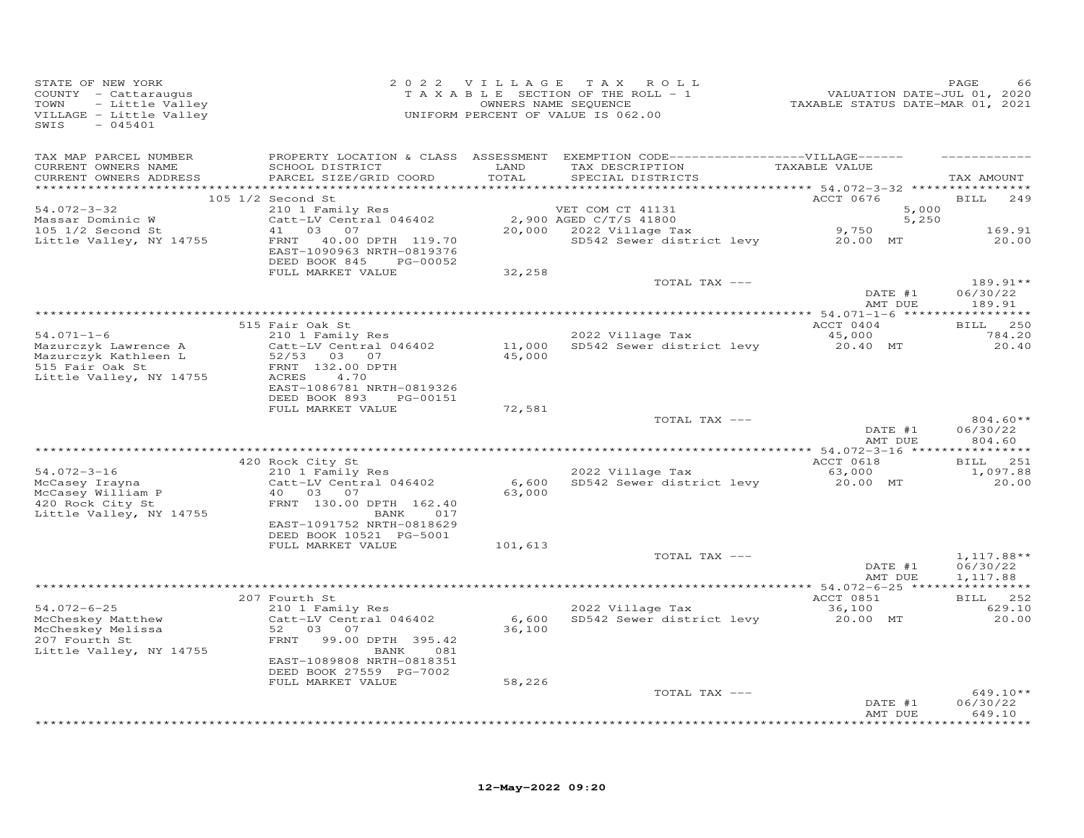| STATE OF NEW YORK<br>COUNTY - Cattaraugus<br>TOWN<br>- Little Valley<br>VILLAGE - Little Valley<br>SWIS<br>$-045401$ |                                                                                                | 2022 VILLAGE              | TAX ROLL<br>T A X A B L E SECTION OF THE ROLL - 1<br>OWNERS NAME SEQUENCE<br>UNIFORM PERCENT OF VALUE IS 062.00           | VALUATION DATE-JUL 01, 2020<br>TAXABLE STATUS DATE-MAR 01, 2021 | PAGE<br>66                           |
|----------------------------------------------------------------------------------------------------------------------|------------------------------------------------------------------------------------------------|---------------------------|---------------------------------------------------------------------------------------------------------------------------|-----------------------------------------------------------------|--------------------------------------|
| TAX MAP PARCEL NUMBER<br>CURRENT OWNERS NAME<br>CURRENT OWNERS ADDRESS                                               | SCHOOL DISTRICT<br>PARCEL SIZE/GRID COORD                                                      | LAND<br>TOTAL<br>******** | PROPERTY LOCATION & CLASS ASSESSMENT EXEMPTION CODE-----------------VILLAGE------<br>TAX DESCRIPTION<br>SPECIAL DISTRICTS | TAXABLE VALUE<br>********* 54.072-3-32 **                       | TAX AMOUNT                           |
|                                                                                                                      | 105 1/2 Second St                                                                              |                           |                                                                                                                           | ACCT 0676                                                       | <b>BILL</b><br>249                   |
| $54.072 - 3 - 32$                                                                                                    | 210 1 Family Res                                                                               |                           | VET COM CT 41131                                                                                                          | 5,000                                                           |                                      |
| Massar Dominic W<br>$105$ $1/2$ Second St                                                                            | Catt-LV Central 046402<br>41<br>03<br>07                                                       |                           | 2,900 AGED C/T/S 41800<br>20,000 2022 Village Tax                                                                         | 5,250<br>9,750                                                  | 169.91                               |
| Little Valley, NY 14755                                                                                              | FRNT<br>40.00 DPTH 119.70<br>EAST-1090963 NRTH-0819376<br>DEED BOOK 845<br>PG-00052            |                           | SD542 Sewer district levy                                                                                                 | 20.00 MT                                                        | 20,00                                |
|                                                                                                                      | FULL MARKET VALUE                                                                              | 32,258                    |                                                                                                                           |                                                                 |                                      |
|                                                                                                                      |                                                                                                |                           | TOTAL TAX ---                                                                                                             | DATE #1<br>AMT DUE                                              | 189.91**<br>06/30/22<br>189.91       |
|                                                                                                                      |                                                                                                |                           |                                                                                                                           |                                                                 |                                      |
|                                                                                                                      | 515 Fair Oak St                                                                                |                           |                                                                                                                           | ACCT 0404                                                       | <b>BILL</b><br>250                   |
| $54.071 - 1 - 6$<br>Mazurczyk Lawrence A<br>Mazurczyk Kathleen L<br>515 Fair Oak St<br>Little Valley, NY 14755       | 210 1 Family Res<br>Catt-LV Central 046402<br>52/53 03 07<br>FRNT 132.00 DPTH<br>ACRES<br>4.70 | 11,000<br>45,000          | 2022 Village Tax<br>SD542 Sewer district levy                                                                             | 45,000<br>20.40 MT                                              | 784.20<br>20,40                      |
|                                                                                                                      | EAST-1086781 NRTH-0819326                                                                      |                           |                                                                                                                           |                                                                 |                                      |
|                                                                                                                      | DEED BOOK 893<br>PG-00151<br>FULL MARKET VALUE                                                 | 72,581                    |                                                                                                                           |                                                                 |                                      |
|                                                                                                                      |                                                                                                |                           | TOTAL TAX ---                                                                                                             | DATE #1<br>AMT DUE                                              | $804.60**$<br>06/30/22<br>804.60     |
| ********************                                                                                                 |                                                                                                |                           |                                                                                                                           |                                                                 |                                      |
| $54.072 - 3 - 16$                                                                                                    | 420 Rock City St<br>210 1 Family Res                                                           |                           | 2022 Village Tax                                                                                                          | ACCT 0618<br>63,000                                             | 251<br><b>BILL</b><br>1,097.88       |
| McCasey Irayna<br>McCasey William P<br>420 Rock City St                                                              | Catt-LV Central 046402<br>40 03<br>07<br>FRNT 130.00 DPTH 162.40                               | 6,600<br>63,000           | SD542 Sewer district levy                                                                                                 | 20.00 MT                                                        | 20,00                                |
| Little Valley, NY 14755                                                                                              | BANK<br>017<br>EAST-1091752 NRTH-0818629<br>DEED BOOK 10521 PG-5001                            |                           |                                                                                                                           |                                                                 |                                      |
|                                                                                                                      | FULL MARKET VALUE                                                                              | 101,613                   |                                                                                                                           |                                                                 |                                      |
|                                                                                                                      |                                                                                                |                           | TOTAL TAX ---                                                                                                             | DATE #1<br>AMT DUE                                              | $1,117.88**$<br>06/30/22<br>1,117.88 |
|                                                                                                                      | 207 Fourth St                                                                                  |                           |                                                                                                                           | ACCT 0851                                                       | BILL 252                             |
| $54.072 - 6 - 25$                                                                                                    | 210 1 Family Res                                                                               |                           | 2022 Village Tax                                                                                                          | 36,100                                                          | 629.10                               |
| McCheskey Matthew<br>McCheskey Melissa<br>207 Fourth St<br>Little Valley, NY 14755                                   | Catt-LV Central 046402<br>03<br>52<br>07<br>99.00 DPTH 395.42<br>FRNT<br>BANK<br>081           | 6,600<br>36,100           | SD542 Sewer district levy                                                                                                 | 20.00 MT                                                        | 20.00                                |
|                                                                                                                      | EAST-1089808 NRTH-0818351                                                                      |                           |                                                                                                                           |                                                                 |                                      |
|                                                                                                                      | DEED BOOK 27559 PG-7002<br>FULL MARKET VALUE                                                   | 58,226                    |                                                                                                                           |                                                                 |                                      |
|                                                                                                                      |                                                                                                |                           | TOTAL TAX ---                                                                                                             | DATE #1                                                         | $649.10**$<br>06/30/22               |
|                                                                                                                      |                                                                                                |                           |                                                                                                                           | AMT DUE                                                         | 649.10<br>********                   |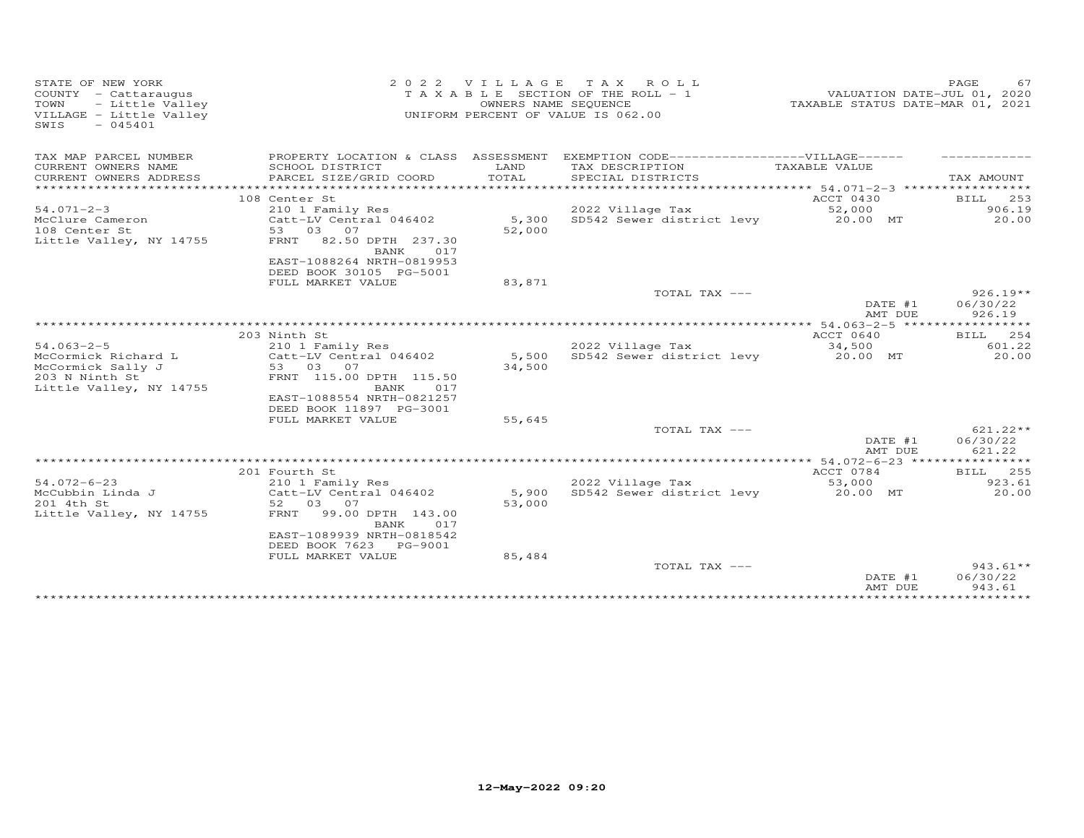| STATE OF NEW YORK<br>COUNTY - Cattaraugus<br>- Little Valley<br>TOWN<br>VILLAGE - Little Valley<br>SWIS<br>$-045401$ | 2 0 2 2                                                                           | VILLAGE<br>OWNERS NAME SEQUENCE | TAX ROLL<br>T A X A B L E SECTION OF THE ROLL - 1<br>UNIFORM PERCENT OF VALUE IS 062.00 | VALUATION DATE-JUL 01, 2020<br>TAXABLE STATUS DATE-MAR 01, 2021 | PAGE<br>67                       |
|----------------------------------------------------------------------------------------------------------------------|-----------------------------------------------------------------------------------|---------------------------------|-----------------------------------------------------------------------------------------|-----------------------------------------------------------------|----------------------------------|
| TAX MAP PARCEL NUMBER                                                                                                |                                                                                   |                                 | PROPERTY LOCATION & CLASS ASSESSMENT EXEMPTION CODE------------------VILLAGE------      |                                                                 |                                  |
| CURRENT OWNERS NAME<br>CURRENT OWNERS ADDRESS<br>************************                                            | SCHOOL DISTRICT<br>PARCEL SIZE/GRID COORD                                         | LAND<br>TOTAL                   | TAX DESCRIPTION<br>SPECIAL DISTRICTS                                                    | TAXABLE VALUE                                                   | TAX AMOUNT                       |
|                                                                                                                      | 108 Center St                                                                     |                                 |                                                                                         | ACCT 0430                                                       | <b>BILL</b><br>253               |
| $54.071 - 2 - 3$                                                                                                     | 210 1 Family Res                                                                  |                                 | 2022 Village Tax                                                                        | 52,000                                                          | 906.19                           |
| McClure Cameron<br>108 Center St<br>Little Valley, NY 14755                                                          | Catt-LV Central 046402<br>53 03 07<br>FRNT<br>82.50 DPTH 237.30<br>BANK<br>017    | 5,300<br>52,000                 | SD542 Sewer district levy                                                               | 20.00 MT                                                        | 20.00                            |
|                                                                                                                      | EAST-1088264 NRTH-0819953<br>DEED BOOK 30105 PG-5001<br>FULL MARKET VALUE         | 83,871                          |                                                                                         |                                                                 |                                  |
|                                                                                                                      |                                                                                   |                                 | TOTAL TAX ---                                                                           | DATE #1<br>AMT DUE                                              | $926.19**$<br>06/30/22<br>926.19 |
|                                                                                                                      |                                                                                   |                                 |                                                                                         |                                                                 |                                  |
|                                                                                                                      | 203 Ninth St                                                                      |                                 |                                                                                         | ACCT 0640                                                       | BILL 254                         |
| $54.063 - 2 - 5$                                                                                                     | 210 1 Family Res                                                                  |                                 | 2022 Village Tax                                                                        | 34,500                                                          | 601.22                           |
| McCormick Richard L                                                                                                  | Catt-LV Central 046402                                                            | 5,500                           | SD542 Sewer district levy                                                               | 20.00 MT                                                        | 20.00                            |
| McCormick Sally J<br>203 N Ninth St                                                                                  | 53 03 07<br>FRNT 115.00 DPTH 115.50                                               | 34,500                          |                                                                                         |                                                                 |                                  |
| Little Valley, NY 14755                                                                                              | BANK<br>017<br>EAST-1088554 NRTH-0821257<br>DEED BOOK 11897 PG-3001               |                                 |                                                                                         |                                                                 |                                  |
|                                                                                                                      | FULL MARKET VALUE                                                                 | 55,645                          |                                                                                         |                                                                 |                                  |
|                                                                                                                      |                                                                                   |                                 | TOTAL TAX ---                                                                           | DATE #1<br>AMT DUE                                              | $621.22**$<br>06/30/22<br>621.22 |
|                                                                                                                      |                                                                                   |                                 |                                                                                         |                                                                 |                                  |
|                                                                                                                      | 201 Fourth St                                                                     |                                 |                                                                                         | ACCT 0784                                                       | BILL 255                         |
| $54.072 - 6 - 23$                                                                                                    | 210 1 Family Res                                                                  |                                 | 2022 Village Tax                                                                        | 53,000                                                          | 923.61                           |
| McCubbin Linda J                                                                                                     | Catt-LV Central 046402                                                            | 5,900                           | SD542 Sewer district levy                                                               | 20.00 MT                                                        | 20.00                            |
| 201 4th St<br>Little Valley, NY 14755                                                                                | 52 03 07<br>99.00 DPTH 143.00<br>FRNT<br>BANK<br>017<br>EAST-1089939 NRTH-0818542 | 53,000                          |                                                                                         |                                                                 |                                  |
|                                                                                                                      | DEED BOOK 7623 PG-9001                                                            |                                 |                                                                                         |                                                                 |                                  |
|                                                                                                                      | FULL MARKET VALUE                                                                 | 85,484                          |                                                                                         |                                                                 |                                  |
|                                                                                                                      |                                                                                   |                                 | TOTAL TAX ---                                                                           | DATE #1<br>AMT DUE                                              | $943.61**$<br>06/30/22<br>943.61 |
|                                                                                                                      |                                                                                   |                                 |                                                                                         |                                                                 |                                  |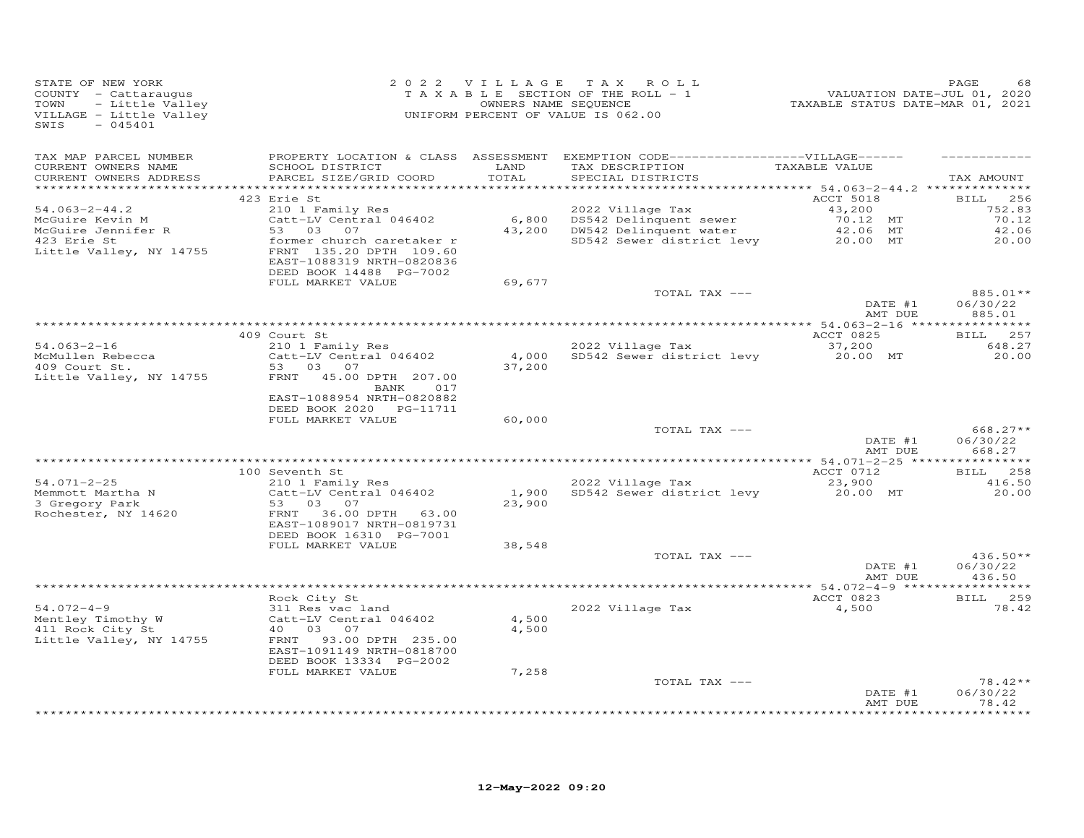| STATE OF NEW YORK<br>COUNTY - Cattaraugus<br>- Little Valley<br>TOWN<br>VILLAGE - Little Valley<br>SWIS<br>$-045401$ |                                                                                                              |                 | 2022 VILLAGE TAX ROLL<br>TAXABLE SECTION OF THE ROLL - 1<br>OWNERS NAME SEQUENCE<br>UNIFORM PERCENT OF VALUE IS 062.00    | VALUATION DATE-JUL 01, 2020<br>TAXABLE STATUS DATE-MAR 01, 2021 | PAGE<br>68                                     |
|----------------------------------------------------------------------------------------------------------------------|--------------------------------------------------------------------------------------------------------------|-----------------|---------------------------------------------------------------------------------------------------------------------------|-----------------------------------------------------------------|------------------------------------------------|
| TAX MAP PARCEL NUMBER<br>CURRENT OWNERS NAME<br>CURRENT OWNERS ADDRESS                                               | SCHOOL DISTRICT<br>PARCEL SIZE/GRID COORD                                                                    | LAND<br>TOTAL   | PROPERTY LOCATION & CLASS ASSESSMENT EXEMPTION CODE-----------------VILLAGE------<br>TAX DESCRIPTION<br>SPECIAL DISTRICTS | TAXABLE VALUE                                                   | TAX AMOUNT                                     |
|                                                                                                                      |                                                                                                              |                 |                                                                                                                           |                                                                 |                                                |
| $54.063 - 2 - 44.2$<br>McGuire Kevin M<br>McGuire Jennifer R                                                         | 423 Erie St<br>210 1 Family Res<br>Catt-LV Central 046402<br>53 03<br>07                                     | 6,800           | 2022 Village Tax<br>DS542 Delinquent sewer<br>43,200 DW542 Delinquent water                                               | ACCT 5018<br>43,200<br>70.12 MT<br>42.06 MT                     | 256<br><b>BILL</b><br>752.83<br>70.12<br>42.06 |
| 423 Erie St<br>Little Valley, NY 14755                                                                               | former church caretaker r<br>FRNT 135.20 DPTH 109.60<br>EAST-1088319 NRTH-0820836<br>DEED BOOK 14488 PG-7002 |                 | SD542 Sewer district levy                                                                                                 | 20.00 MT                                                        | 20.00                                          |
|                                                                                                                      | FULL MARKET VALUE                                                                                            | 69,677          |                                                                                                                           |                                                                 |                                                |
|                                                                                                                      |                                                                                                              |                 | TOTAL TAX ---                                                                                                             | DATE #1<br>AMT DUE                                              | 885.01**<br>06/30/22<br>885.01                 |
|                                                                                                                      |                                                                                                              |                 |                                                                                                                           |                                                                 |                                                |
| $54.063 - 2 - 16$                                                                                                    | 409 Court St<br>210 1 Family Res                                                                             |                 | 2022 Village Tax                                                                                                          | ACCT 0825<br>37,200                                             | BILL 257<br>648.27                             |
| McMullen Rebecca<br>409 Court St.                                                                                    | Catt-LV Central 046402<br>53 03 07                                                                           | 4,000<br>37,200 | SD542 Sewer district levy                                                                                                 | 20.00 MT                                                        | 20.00                                          |
| Little Valley, NY 14755                                                                                              | FRNT 45.00 DPTH 207.00<br>BANK<br>017<br>EAST-1088954 NRTH-0820882                                           |                 |                                                                                                                           |                                                                 |                                                |
|                                                                                                                      | DEED BOOK 2020 PG-11711                                                                                      |                 |                                                                                                                           |                                                                 |                                                |
|                                                                                                                      | FULL MARKET VALUE                                                                                            | 60,000          | TOTAL TAX ---                                                                                                             |                                                                 | 668.27**                                       |
|                                                                                                                      |                                                                                                              |                 |                                                                                                                           | DATE #1<br>AMT DUE                                              | 06/30/22<br>668.27                             |
|                                                                                                                      |                                                                                                              |                 |                                                                                                                           |                                                                 |                                                |
| $54.071 - 2 - 25$                                                                                                    | 100 Seventh St<br>210 1 Family Res                                                                           |                 | 2022 Village Tax                                                                                                          | ACCT 0712<br>23,900                                             | BILL 258<br>416.50                             |
| Memmott Martha N<br>3 Gregory Park<br>Rochester, NY 14620                                                            | Catt-LV Central 046402<br>03<br>0.7<br>53<br>36.00 DPTH 63.00<br>FRNT<br>EAST-1089017 NRTH-0819731           | 1,900<br>23,900 | SD542 Sewer district levy                                                                                                 | 20.00 MT                                                        | 20.00                                          |
|                                                                                                                      | DEED BOOK 16310 PG-7001<br>FULL MARKET VALUE                                                                 | 38,548          |                                                                                                                           |                                                                 |                                                |
|                                                                                                                      |                                                                                                              |                 | TOTAL TAX ---                                                                                                             | DATE #1<br>AMT DUE                                              | $436.50**$<br>06/30/22<br>436.50               |
|                                                                                                                      |                                                                                                              |                 |                                                                                                                           |                                                                 |                                                |
|                                                                                                                      | Rock City St                                                                                                 |                 |                                                                                                                           | ACCT 0823                                                       | BILL 259                                       |
| $54.072 - 4 - 9$<br>Mentley Timothy W<br>411 Rock City St                                                            | 311 Res vac land<br>Catt-LV Central 046402<br>40 03<br>07                                                    | 4,500<br>4,500  | 2022 Village Tax                                                                                                          | 4,500                                                           | 78.42                                          |
| Little Valley, NY 14755                                                                                              | 93.00 DPTH 235.00<br>FRNT<br>EAST-1091149 NRTH-0818700<br>DEED BOOK 13334 PG-2002                            |                 |                                                                                                                           |                                                                 |                                                |
|                                                                                                                      | FULL MARKET VALUE                                                                                            | 7,258           |                                                                                                                           |                                                                 |                                                |
|                                                                                                                      |                                                                                                              |                 | TOTAL TAX ---                                                                                                             | DATE #1<br>AMT DUE                                              | $78.42**$<br>06/30/22<br>78.42                 |
|                                                                                                                      |                                                                                                              |                 |                                                                                                                           |                                                                 | *********                                      |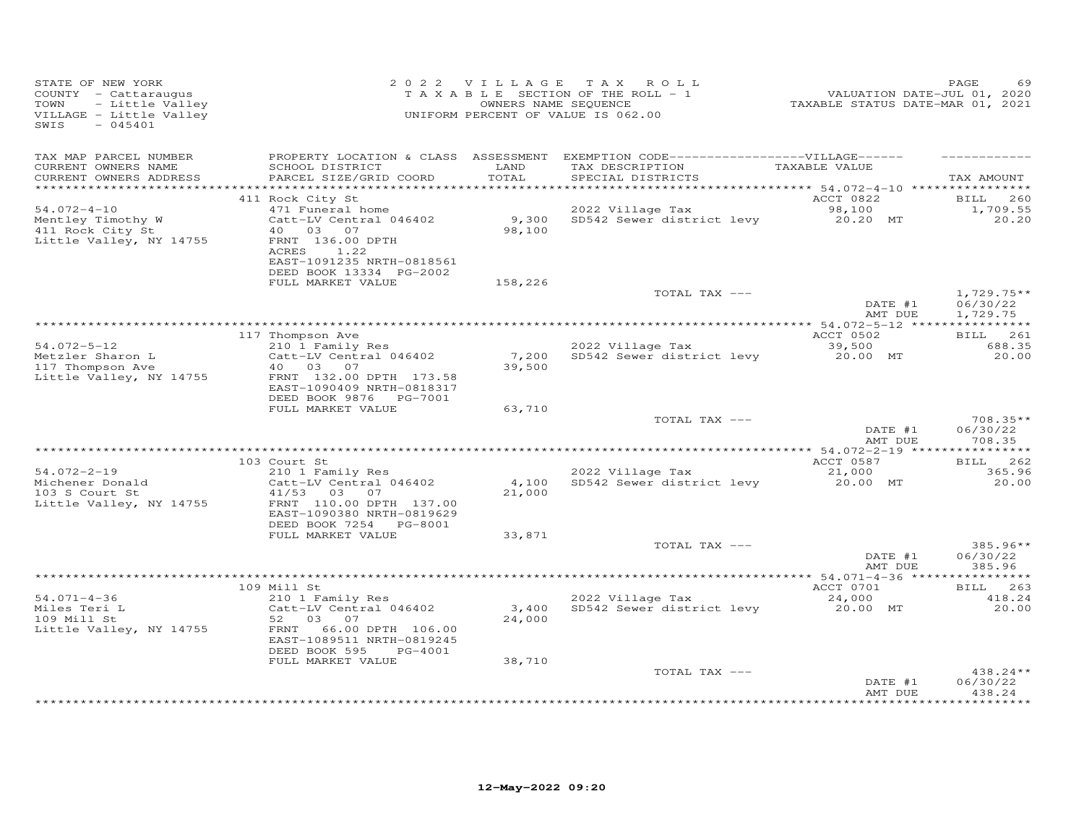| STATE OF NEW YORK<br>COUNTY - Cattaraugus<br>TOWN<br>- Little Valley<br>VILLAGE - Little Valley<br>SWIS<br>$-045401$ |                                                                                                                                                                            | 2022 VILLAGE    | TAX ROLL<br>TAXABLE SECTION OF THE ROLL - 1<br>OWNERS NAME SEQUENCE<br>UNIFORM PERCENT OF VALUE IS 062.00                  | VALUATION DATE-JUL 01, 2020<br>TAXABLE STATUS DATE-MAR 01, 2021 | PAGE                                    |
|----------------------------------------------------------------------------------------------------------------------|----------------------------------------------------------------------------------------------------------------------------------------------------------------------------|-----------------|----------------------------------------------------------------------------------------------------------------------------|-----------------------------------------------------------------|-----------------------------------------|
| TAX MAP PARCEL NUMBER<br>CURRENT OWNERS NAME<br>CURRENT OWNERS ADDRESS                                               | SCHOOL DISTRICT<br>PARCEL SIZE/GRID COORD                                                                                                                                  | LAND<br>TOTAL   | PROPERTY LOCATION & CLASS ASSESSMENT EXEMPTION CODE------------------VILLAGE------<br>TAX DESCRIPTION<br>SPECIAL DISTRICTS | TAXABLE VALUE                                                   | TAX AMOUNT                              |
| $54.072 - 4 - 10$<br>Mentley Timothy W<br>411 Rock City St<br>Little Valley, NY 14755                                | 411 Rock City St<br>471 Funeral home<br>Catt-LV Central 046402<br>40<br>03 07<br>FRNT 136.00 DPTH<br>ACRES<br>1.22<br>EAST-1091235 NRTH-0818561<br>DEED BOOK 13334 PG-2002 | 9,300<br>98,100 | 2022 Village Tax<br>SD542 Sewer district levy                                                                              | ACCT 0822<br>98,100<br>20.20 MT                                 | 260<br><b>BILL</b><br>1,709.55<br>20.20 |
|                                                                                                                      | FULL MARKET VALUE                                                                                                                                                          | 158,226         | TOTAL TAX ---                                                                                                              | DATE #1                                                         | $1,729.75**$<br>06/30/22                |
| $54.072 - 5 - 12$<br>Metzler Sharon L<br>117 Thompson Ave<br>Little Valley, NY 14755                                 | 117 Thompson Ave<br>210 1 Family Res<br>Catt-LV Central 046402<br>40 03<br>07<br>FRNT 132.00 DPTH 173.58<br>EAST-1090409 NRTH-0818317<br>DEED BOOK 9876 PG-7001            | 7,200<br>39,500 | 2022 Village Tax<br>SD542 Sewer district levy                                                                              | AMT DUE<br>ACCT 0502<br>39,500<br>20.00 MT                      | 1,729.75<br>BILL 261<br>688.35<br>20,00 |
|                                                                                                                      | FULL MARKET VALUE                                                                                                                                                          | 63,710          | TOTAL TAX ---                                                                                                              | DATE #1<br>AMT DUE                                              | $708.35**$<br>06/30/22<br>708.35        |
|                                                                                                                      |                                                                                                                                                                            |                 |                                                                                                                            |                                                                 |                                         |
| $54.072 - 2 - 19$<br>Michener Donald<br>103 S Court St<br>Little Valley, NY 14755                                    | 103 Court St<br>210 1 Family Res<br>Catt-LV Central 046402<br>41/53 03 07<br>FRNT 110.00 DPTH 137.00<br>EAST-1090380 NRTH-0819629<br>DEED BOOK 7254 PG-8001                | 4,100<br>21,000 | 2022 Village Tax<br>SD542 Sewer district levy                                                                              | ACCT 0587<br>21,000<br>20.00 MT                                 | BILL 262<br>365.96<br>20.00             |
|                                                                                                                      | FULL MARKET VALUE                                                                                                                                                          | 33,871          | TOTAL TAX ---                                                                                                              | DATE #1<br>AMT DUE                                              | 385.96**<br>06/30/22<br>385.96          |
|                                                                                                                      |                                                                                                                                                                            |                 |                                                                                                                            |                                                                 |                                         |
| $54.071 - 4 - 36$<br>Miles Teri L<br>109 Mill St<br>Little Valley, NY 14755                                          | 109 Mill St<br>210 1 Family Res<br>Catt-LV Central 046402<br>52<br>03<br>07<br>FRNT<br>66.00 DPTH 106.00<br>EAST-1089511 NRTH-0819245<br>DEED BOOK 595<br>PG-4001          | 3,400<br>24,000 | 2022 Village Tax<br>SD542 Sewer district levy                                                                              | ACCT 0701<br>24,000<br>20.00 MT                                 | 263<br><b>BILL</b><br>418.24<br>20,00   |
|                                                                                                                      | FULL MARKET VALUE                                                                                                                                                          | 38,710          | TOTAL TAX ---                                                                                                              | DATE #1<br>AMT DUE                                              | 438.24 **<br>06/30/22<br>438.24         |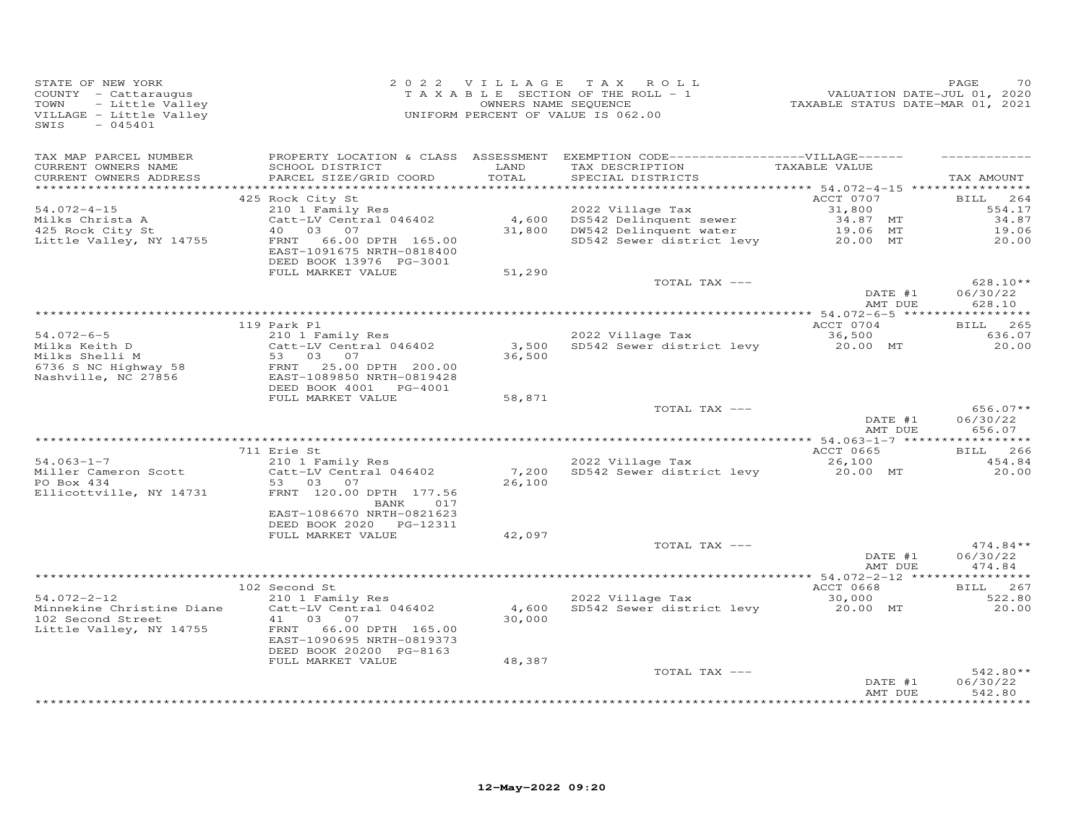| PROPERTY LOCATION & CLASS ASSESSMENT EXEMPTION CODE------------------VILLAGE------<br>TAX MAP PARCEL NUMBER<br>LAND<br>TAXABLE VALUE<br>CURRENT OWNERS NAME<br>SCHOOL DISTRICT<br>TAX DESCRIPTION<br>TOTAL<br>PARCEL SIZE/GRID COORD<br>SPECIAL DISTRICTS<br>CURRENT OWNERS ADDRESS                                                                                                                                                           | TAX AMOUNT                                       |
|-----------------------------------------------------------------------------------------------------------------------------------------------------------------------------------------------------------------------------------------------------------------------------------------------------------------------------------------------------------------------------------------------------------------------------------------------|--------------------------------------------------|
| ACCT 0707<br>425 Rock City St<br>$54.072 - 4 - 15$<br>2022 Village Tax<br>210 1 Family Res<br>31,800<br>4,600<br>DS542 Delinquent sewer<br>Milks Christa A<br>Catt-LV Central 046402<br>34.87 MT<br>4 O<br>03 07<br>31,800<br>DW542 Delinquent water<br>425 Rock City St<br>19.06 MT<br>Little Valley, NY 14755<br>SD542 Sewer district levy<br>FRNT<br>66.00 DPTH 165.00<br>20.00 MT<br>EAST-1091675 NRTH-0818400<br>DEED BOOK 13976 PG-3001 | 264<br>BILL<br>554.17<br>34.87<br>19.06<br>20.00 |
| FULL MARKET VALUE<br>51,290<br>TOTAL TAX ---<br>DATE #1                                                                                                                                                                                                                                                                                                                                                                                       | $628.10**$<br>06/30/22                           |
| AMT DUE                                                                                                                                                                                                                                                                                                                                                                                                                                       | 628.10                                           |
| 119 Park Pl<br>ACCT 0704<br>$54.072 - 6 - 5$<br>210 1 Family Res<br>2022 Village Tax<br>36,500<br>Milks Keith D<br>Catt-LV Central 046402<br>3,500<br>SD542 Sewer district levy<br>20.00 MT<br>Milks Shelli M<br>03 07<br>36,500<br>53<br>6736 S NC Highway 58<br>25.00 DPTH 200.00<br>FRNT<br>Nashville, NC 27856<br>EAST-1089850 NRTH-0819428                                                                                               | BILL 265<br>636.07<br>20,00                      |
| DEED BOOK 4001 PG-4001<br>FULL MARKET VALUE<br>58,871<br>TOTAL TAX ---<br>DATE #1<br>AMT DUE                                                                                                                                                                                                                                                                                                                                                  | $656.07**$<br>06/30/22<br>656.07                 |
|                                                                                                                                                                                                                                                                                                                                                                                                                                               | ***********                                      |
| 711 Erie St<br>ACCT 0665<br>$54.063 - 1 - 7$<br>2022 Village Tax<br>210 1 Family Res<br>26,100<br>Miller Cameron Scott<br>Catt-LV Central 046402<br>7,200<br>SD542 Sewer district levy<br>20.00 MT<br>PO Box 434<br>03<br>26,100<br>53<br>07<br>Ellicottville, NY 14731<br>FRNT 120.00 DPTH 177.56<br>017<br>BANK<br>EAST-1086670 NRTH-0821623<br>DEED BOOK 2020<br>PG-12311                                                                  | 266<br>BILL<br>454.84<br>20.00                   |
| FULL MARKET VALUE<br>42,097                                                                                                                                                                                                                                                                                                                                                                                                                   |                                                  |
| TOTAL TAX ---<br>DATE #1<br>AMT DUE                                                                                                                                                                                                                                                                                                                                                                                                           | $474.84**$<br>06/30/22<br>474.84                 |
|                                                                                                                                                                                                                                                                                                                                                                                                                                               | ***********                                      |
| ACCT 0668<br>102 Second St<br>$54.072 - 2 - 12$<br>2022 Village Tax<br>210 1 Family Res<br>30,000<br>Minnekine Christine Diane<br>Catt-LV Central 046402<br>4,600<br>SD542 Sewer district levy<br>20.00 MT<br>102 Second Street<br>30,000<br>41<br>03<br>07<br>Little Valley, NY 14755<br>66.00 DPTH 165.00<br>FRNT<br>EAST-1090695 NRTH-0819373<br>DEED BOOK 20200 PG-8163                                                                   | 267<br>BILL<br>522.80<br>20,00                   |
| 48,387<br>FULL MARKET VALUE<br>TOTAL TAX ---<br>DATE #1<br>AMT DUE                                                                                                                                                                                                                                                                                                                                                                            | $542.80**$<br>06/30/22<br>542.80                 |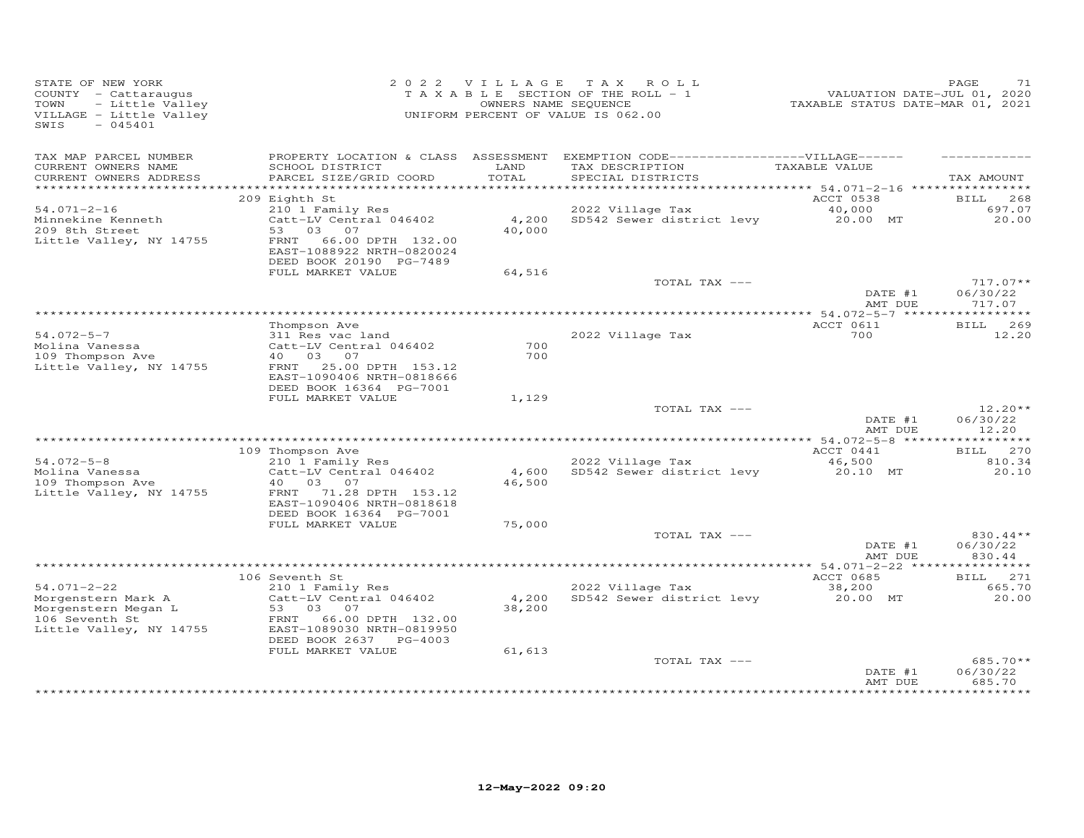| STATE OF NEW YORK<br>COUNTY - Cattaraugus<br>- Little Valley<br>TOWN<br>VILLAGE - Little Valley<br>$-045401$<br>SWIS |                                                                                                     |                 | 2022 VILLAGE TAX ROLL<br>T A X A B L E SECTION OF THE ROLL - 1<br>OWNERS NAME SEQUENCE<br>UNIFORM PERCENT OF VALUE IS 062.00 | VALUATION DATE-JUL 01, 2020<br>TAXABLE STATUS DATE-MAR 01, 2021 | PAGE<br>71                     |
|----------------------------------------------------------------------------------------------------------------------|-----------------------------------------------------------------------------------------------------|-----------------|------------------------------------------------------------------------------------------------------------------------------|-----------------------------------------------------------------|--------------------------------|
| TAX MAP PARCEL NUMBER<br>CURRENT OWNERS NAME<br>CURRENT OWNERS ADDRESS                                               | SCHOOL DISTRICT<br>PARCEL SIZE/GRID COORD                                                           | LAND<br>TOTAL   | PROPERTY LOCATION & CLASS ASSESSMENT EXEMPTION CODE------------------VILLAGE------<br>TAX DESCRIPTION<br>SPECIAL DISTRICTS   | TAXABLE VALUE                                                   | TAX AMOUNT                     |
|                                                                                                                      |                                                                                                     |                 |                                                                                                                              |                                                                 |                                |
| $54.071 - 2 - 16$                                                                                                    | 209 Eighth St<br>210 1 Family Res                                                                   |                 | 2022 Village Tax                                                                                                             | ACCT 0538<br>40,000                                             | BILL 268<br>697.07             |
| Minnekine Kenneth<br>209 8th Street<br>Little Valley, NY 14755                                                       | Catt-LV Central 046402<br>53 03<br>07<br>66.00 DPTH 132.00<br>FRNT<br>EAST-1088922 NRTH-0820024     | 40,000          | 4,200 SD542 Sewer district levy                                                                                              | 20.00 MT                                                        | 20.00                          |
|                                                                                                                      | DEED BOOK 20190 PG-7489                                                                             |                 |                                                                                                                              |                                                                 |                                |
|                                                                                                                      | FULL MARKET VALUE                                                                                   | 64,516          | TOTAL TAX ---                                                                                                                |                                                                 | $717.07**$                     |
|                                                                                                                      |                                                                                                     |                 |                                                                                                                              | DATE #1<br>AMT DUE                                              | 06/30/22<br>717.07             |
|                                                                                                                      |                                                                                                     |                 |                                                                                                                              |                                                                 |                                |
| $54.072 - 5 - 7$<br>Molina Vanessa                                                                                   | Thompson Ave<br>311 Res vac land<br>Catt-LV Central 046402                                          | 700             | 2022 Village Tax                                                                                                             | ACCT 0611<br>700                                                | BILL 269<br>12.20              |
| 109 Thompson Ave<br>Little Valley, NY 14755                                                                          | 40 03 07<br>FRNT<br>25.00 DPTH 153.12<br>EAST-1090406 NRTH-0818666<br>DEED BOOK 16364 PG-7001       | 700             |                                                                                                                              |                                                                 |                                |
|                                                                                                                      | FULL MARKET VALUE                                                                                   | 1,129           |                                                                                                                              |                                                                 |                                |
|                                                                                                                      |                                                                                                     |                 | TOTAL TAX ---                                                                                                                | DATE #1<br>AMT DUE                                              | $12.20**$<br>06/30/22<br>12.20 |
|                                                                                                                      | 109 Thompson Ave                                                                                    |                 |                                                                                                                              | ACCT 0441                                                       | BILL 270                       |
| $54.072 - 5 - 8$<br>Molina Vanessa<br>109 Thompson Ave                                                               | 210 1 Family Res<br>Catt-LV Central 046402<br>40  03  07                                            | 4,600<br>46,500 | 2022 Village Tax<br>SD542 Sewer district levy                                                                                | 46,500<br>20.10 MT                                              | 810.34<br>20.10                |
| Little Valley, NY 14755                                                                                              | FRNT 71.28 DPTH 153.12<br>EAST-1090406 NRTH-0818618<br>DEED BOOK 16364 PG-7001<br>FULL MARKET VALUE | 75,000          |                                                                                                                              |                                                                 |                                |
|                                                                                                                      |                                                                                                     |                 | TOTAL TAX ---                                                                                                                |                                                                 | 830.44**                       |
|                                                                                                                      |                                                                                                     |                 |                                                                                                                              | DATE #1<br>AMT DUE                                              | 06/30/22<br>830.44             |
|                                                                                                                      |                                                                                                     |                 |                                                                                                                              |                                                                 |                                |
| $54.071 - 2 - 22$                                                                                                    | 106 Seventh St<br>210 1 Family Res                                                                  |                 | 2022 Village Tax                                                                                                             | ACCT 0685<br>38,200                                             | BILL 271<br>665.70             |
| Morgenstern Mark A<br>Morgenstern Megan L<br>106 Seventh St<br>Little Valley, NY 14755                               | Catt-LV Central 046402<br>53 03 07<br>FRNT 66.00 DPTH 132.00<br>EAST-1089030 NRTH-0819950           | 4,200<br>38,200 | SD542 Sewer district levy                                                                                                    | 20.00 MT                                                        | 20.00                          |
|                                                                                                                      | DEED BOOK 2637 PG-4003<br>FULL MARKET VALUE                                                         | 61,613          |                                                                                                                              |                                                                 |                                |
|                                                                                                                      |                                                                                                     |                 | TOTAL TAX ---                                                                                                                | DATE #1<br>AMT DUE                                              | 685.70**<br>06/30/22<br>685.70 |
|                                                                                                                      |                                                                                                     |                 |                                                                                                                              |                                                                 |                                |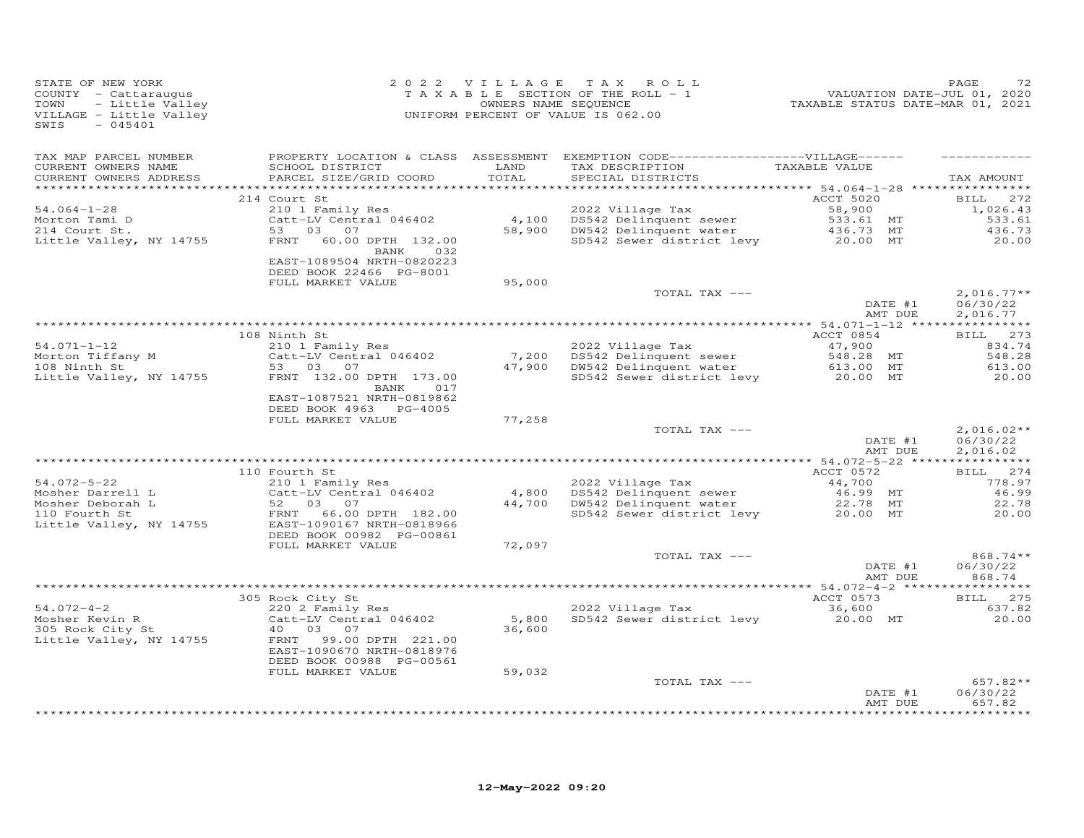| STATE OF NEW YORK<br>COUNTY - Cattaraugus<br>- Little Valley<br>TOWN<br>VILLAGE - Little Valley<br>$-045401$<br>SWIS |                                                                                    |               | 2022 VILLAGE TAX ROLL<br>T A X A B L E SECTION OF THE ROLL - 1<br>OWNERS NAME SEQUENCE<br>UNIFORM PERCENT OF VALUE IS 062.00 | 2010<br>2020 ,2021 VALUATION DATE-JUL<br>2021 TAXABLE STATUS DATE-MAR | PAGE<br>72                           |
|----------------------------------------------------------------------------------------------------------------------|------------------------------------------------------------------------------------|---------------|------------------------------------------------------------------------------------------------------------------------------|-----------------------------------------------------------------------|--------------------------------------|
| TAX MAP PARCEL NUMBER<br>CURRENT OWNERS NAME<br>CURRENT OWNERS ADDRESS                                               | SCHOOL DISTRICT<br>PARCEL SIZE/GRID COORD                                          | LAND<br>TOTAL | PROPERTY LOCATION & CLASS ASSESSMENT EXEMPTION CODE------------------VILLAGE------<br>TAX DESCRIPTION<br>SPECIAL DISTRICTS   | TAXABLE VALUE                                                         | TAX AMOUNT                           |
|                                                                                                                      | 214 Court St                                                                       |               |                                                                                                                              | ACCT 5020                                                             | <b>BILL</b><br>272                   |
| $54.064 - 1 - 28$                                                                                                    | 210 1 Family Res                                                                   |               | 2022 Village Tax                                                                                                             | 58,900                                                                | 1,026.43                             |
| Morton Tami D                                                                                                        | Catt-LV Central 046402                                                             | 4,100         |                                                                                                                              |                                                                       | 533.61                               |
| 214 Court St.<br>Little Valley, NY 14755                                                                             | 53 03 07<br>FRNT 60.00 DPTH 132.00                                                 |               | 4,100 DS542 Delinquent sewer 533.61 MT<br>58,900 DW542 Delinquent water 436.73 MT<br>SD542 Sewer district levy 20.00 MT      |                                                                       | 436.73<br>20.00                      |
|                                                                                                                      | BANK 032<br>EAST-1089504 NRTH-0820223<br>DEED BOOK 22466 PG-8001                   |               |                                                                                                                              |                                                                       |                                      |
|                                                                                                                      | FULL MARKET VALUE                                                                  | 95,000        |                                                                                                                              |                                                                       |                                      |
|                                                                                                                      |                                                                                    |               | TOTAL TAX ---                                                                                                                | DATE #1<br>AMT DUE                                                    | $2,016.77**$<br>06/30/22<br>2,016.77 |
|                                                                                                                      |                                                                                    |               |                                                                                                                              |                                                                       |                                      |
|                                                                                                                      | 108 Ninth St                                                                       |               |                                                                                                                              | ACCT 0854                                                             | BILL 273                             |
| $54.071 - 1 - 12$                                                                                                    | 210 1 Family Res                                                                   |               | 2022 Village Tax                                                                                                             | 47,900                                                                | 834.74                               |
| Morton Tiffany M<br>108 Ninth St                                                                                     | Catt-LV Central 046402                                                             |               | 7,200 DS542 Delinquent sewer<br>47,900 DW542 Delinquent water                                                                |                                                                       | 548.28                               |
| 108 Ninth St<br>Little Valley, NY 14755                                                                              | 53 03<br>07<br>FRNT 132.00 DPTH 173.00<br>BANK 017<br>EAST-1087521 NRTH-0819862    |               | DS542 Delinquent sewer 548.28 MT<br>DW542 Delinquent water 613.00 MT<br>SD542 Sewer district levy 20.00 MT                   |                                                                       | 613.00<br>20.00                      |
|                                                                                                                      | DEED BOOK 4963 PG-4005<br>FULL MARKET VALUE                                        | 77,258        |                                                                                                                              |                                                                       |                                      |
|                                                                                                                      |                                                                                    |               | TOTAL TAX ---                                                                                                                | DATE #1<br>AMT DUE                                                    | $2,016.02**$<br>06/30/22<br>2,016.02 |
|                                                                                                                      |                                                                                    |               |                                                                                                                              |                                                                       |                                      |
|                                                                                                                      | 110 Fourth St                                                                      |               |                                                                                                                              | ACCT 0572                                                             | BILL 274                             |
| $54.072 - 5 - 22$<br>Mosher Darrell L                                                                                | 210 1 Family Res<br>Catt-LV Central 046402                                         |               | 2022 Village Tax<br>4,800 DS542 Delinquent sewer                                                                             | 44,700<br>46.99 MT                                                    | 778.97<br>46.99                      |
| Mosher Deborah L                                                                                                     | 52<br>03 07                                                                        |               | 44,700 DW542 Delinquent water                                                                                                |                                                                       | 22.78                                |
| 110 Fourth St<br>Little Valley, NY 14755                                                                             | FRNT 66.00 DPTH 182.00<br>EAST-1090167 NRTH-0818966<br>DEED BOOK 00982 PG-00861    |               | DW542 Delinquent water 122.78 MT<br>SD542 Sewer district levy 20.00 MT                                                       |                                                                       | 20.00                                |
|                                                                                                                      | FULL MARKET VALUE                                                                  | 72,097        |                                                                                                                              |                                                                       |                                      |
|                                                                                                                      |                                                                                    |               | TOTAL TAX ---                                                                                                                | DATE #1<br>AMT DUE                                                    | $868.74**$<br>06/30/22<br>868.74     |
|                                                                                                                      |                                                                                    |               |                                                                                                                              |                                                                       |                                      |
|                                                                                                                      | 305 Rock City St                                                                   |               |                                                                                                                              | ACCT 0573                                                             | BILL 275                             |
| $54.072 - 4 - 2$<br>Mosher Kevin R<br>305 Rock City St                                                               | 220 2 Family Res<br>Catt-LV Central 046402<br>40 03<br>07                          | 36,600        | 2022 Village Tax<br>5,800 SD542 Sewer district levy                                                                          | 36,600<br>20.00 MT                                                    | 637.82<br>20.00                      |
| Little Valley, NY 14755                                                                                              | FRNT<br>99.00 DPTH 221.00<br>EAST-1090670 NRTH-0818976<br>DEED BOOK 00988 PG-00561 |               |                                                                                                                              |                                                                       |                                      |
|                                                                                                                      | FULL MARKET VALUE                                                                  | 59,032        |                                                                                                                              |                                                                       |                                      |
|                                                                                                                      |                                                                                    |               | TOTAL TAX ---                                                                                                                | DATE #1<br>AMT DUE                                                    | $657.82**$<br>06/30/22<br>657.82     |
|                                                                                                                      |                                                                                    |               |                                                                                                                              |                                                                       | **********                           |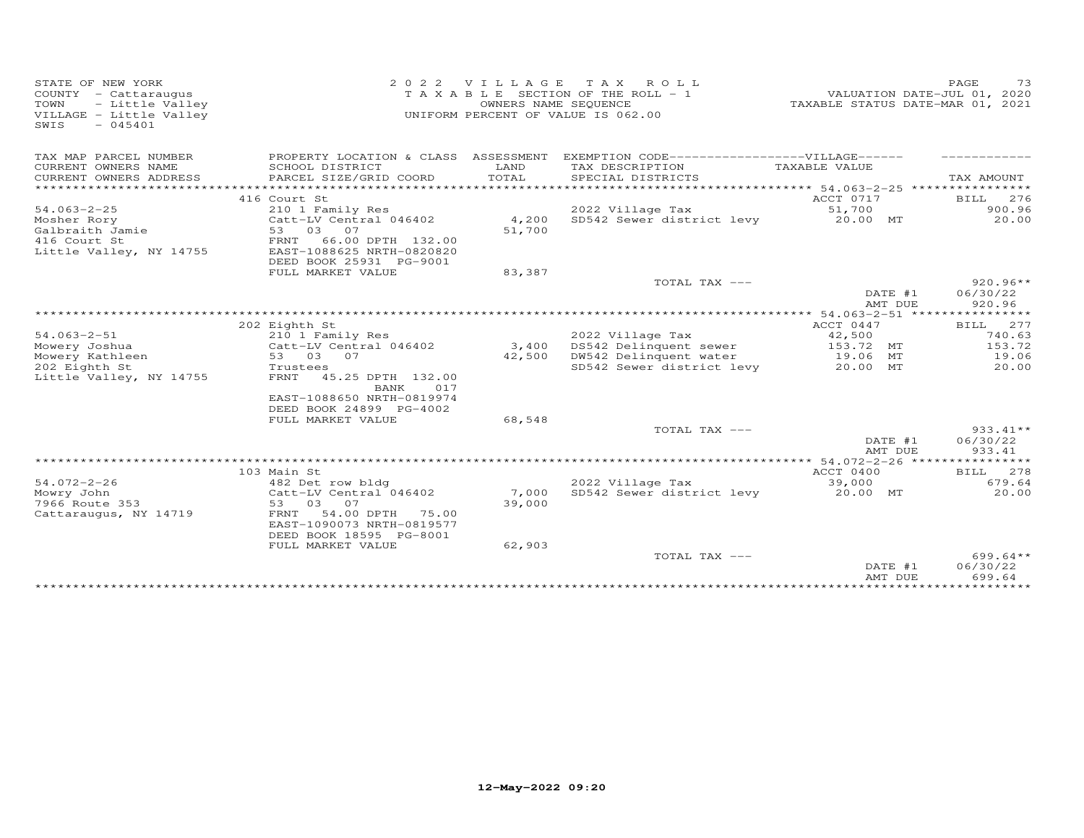| STATE OF NEW YORK<br>VILLAGE<br>2 0 2 2<br>T A X<br>TAXABLE SECTION OF THE ROLL - 1<br>COUNTY - Cattaraugus<br>OWNERS NAME SEQUENCE<br>TOWN<br>- Little Valley<br>VILLAGE - Little Valley<br>UNIFORM PERCENT OF VALUE IS 062.00<br>$-045401$<br>SWIS |                                                                                                                                                                       |                           | ROLL                                          | TAXABLE STATUS DATE-MAR 01, 2021                              | PAGE<br>73<br>VALUATION DATE-JUL 01, 2020 |
|------------------------------------------------------------------------------------------------------------------------------------------------------------------------------------------------------------------------------------------------------|-----------------------------------------------------------------------------------------------------------------------------------------------------------------------|---------------------------|-----------------------------------------------|---------------------------------------------------------------|-------------------------------------------|
| TAX MAP PARCEL NUMBER                                                                                                                                                                                                                                | PROPERTY LOCATION & CLASS ASSESSMENT                                                                                                                                  |                           | EXEMPTION CODE------------------VILLAGE------ |                                                               |                                           |
| CURRENT OWNERS NAME<br>CURRENT OWNERS ADDRESS<br>***************                                                                                                                                                                                     | SCHOOL DISTRICT<br>PARCEL SIZE/GRID COORD                                                                                                                             | LAND<br>TOTAL             | TAX DESCRIPTION<br>SPECIAL DISTRICTS          | TAXABLE VALUE<br>********************* 54.063-2-25 ********** | TAX AMOUNT                                |
|                                                                                                                                                                                                                                                      | 416 Court St                                                                                                                                                          |                           |                                               | ACCT 0717                                                     | 276<br><b>BILL</b>                        |
| $54.063 - 2 - 25$                                                                                                                                                                                                                                    | 210 1 Family Res                                                                                                                                                      |                           | 2022 Village Tax                              | 51,700                                                        | 900.96                                    |
| Mosher Rory<br>Galbraith Jamie<br>416 Court St<br>Little Valley, NY 14755                                                                                                                                                                            | Catt-LV Central 046402<br>53 03<br>07<br>FRNT<br>66.00 DPTH 132.00<br>EAST-1088625 NRTH-0820820<br>DEED BOOK 25931 PG-9001                                            | 4,200<br>51,700           | SD542 Sewer district levy                     | 20.00 MT                                                      | 20.00                                     |
|                                                                                                                                                                                                                                                      | FULL MARKET VALUE                                                                                                                                                     | 83,387                    |                                               |                                                               |                                           |
|                                                                                                                                                                                                                                                      |                                                                                                                                                                       |                           | TOTAL TAX ---                                 | DATE #1<br>AMT DUE                                            | $920.96**$<br>06/30/22<br>920.96          |
|                                                                                                                                                                                                                                                      |                                                                                                                                                                       |                           |                                               |                                                               |                                           |
|                                                                                                                                                                                                                                                      | 202 Eighth St                                                                                                                                                         |                           |                                               | ACCT 0447                                                     | BILL 277                                  |
| $54.063 - 2 - 51$<br>Mowery Joshua                                                                                                                                                                                                                   | 210 1 Family Res<br>Catt-LV Central 046402                                                                                                                            | 3,400                     | 2022 Village Tax<br>DS542 Delinquent sewer    | 42,500<br>153.72 MT                                           | 740.63<br>153.72                          |
| Mowery Kathleen                                                                                                                                                                                                                                      | 53 03 07                                                                                                                                                              | 42,500                    | DW542 Delinquent water                        | 19.06 MT                                                      | 19.06                                     |
| 202 Eighth St<br>Little Valley, NY 14755                                                                                                                                                                                                             | Trustees<br>45.25 DPTH 132.00<br>FRNT<br>BANK<br>017<br>EAST-1088650 NRTH-0819974<br>DEED BOOK 24899 PG-4002                                                          |                           | SD542 Sewer district levy                     | 20.00 MT                                                      | 20.00                                     |
|                                                                                                                                                                                                                                                      | FULL MARKET VALUE                                                                                                                                                     | 68,548                    |                                               |                                                               |                                           |
|                                                                                                                                                                                                                                                      |                                                                                                                                                                       |                           | TOTAL TAX ---                                 | DATE #1<br>AMT DUE                                            | $933.41**$<br>06/30/22<br>933.41          |
|                                                                                                                                                                                                                                                      |                                                                                                                                                                       |                           |                                               |                                                               | ***********                               |
|                                                                                                                                                                                                                                                      | 103 Main St                                                                                                                                                           |                           |                                               | ACCT 0400                                                     | BILL 278                                  |
| $54.072 - 2 - 26$<br>Mowry John<br>7966 Route 353<br>Cattaraugus, NY 14719                                                                                                                                                                           | 482 Det row bldg<br>Catt-LV Central 046402<br>53 03<br>07<br>FRNT<br>54.00 DPTH<br>75.00<br>EAST-1090073 NRTH-0819577<br>DEED BOOK 18595 PG-8001<br>FULL MARKET VALUE | 7,000<br>39,000<br>62,903 | 2022 Village Tax<br>SD542 Sewer district levy | 39,000<br>20.00 MT                                            | 679.64<br>20.00                           |
|                                                                                                                                                                                                                                                      |                                                                                                                                                                       |                           | TOTAL TAX ---                                 | DATE #1<br>AMT DUE                                            | $699.64**$<br>06/30/22<br>699.64          |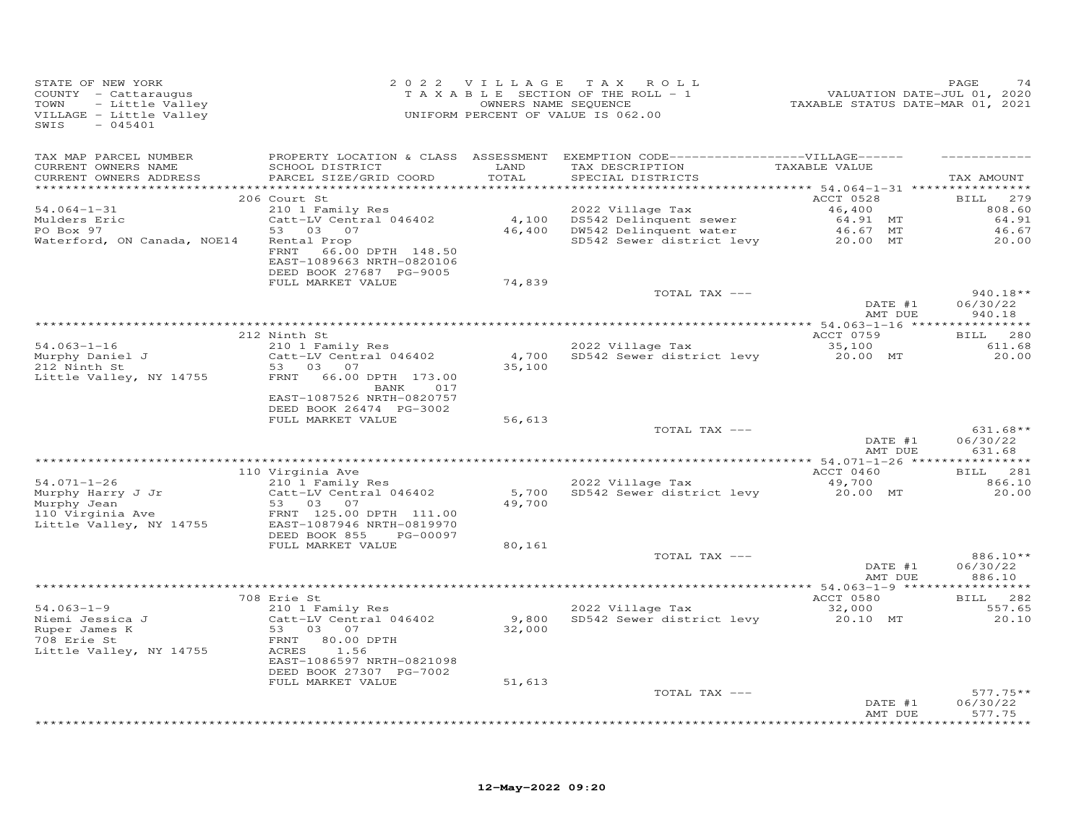| STATE OF NEW YORK<br>COUNTY - Cattaraugus<br>- Little Valley<br>TOWN<br>VILLAGE - Little Valley<br>SWIS<br>$-045401$ |                                                                                   | 2022 VILLAGE  | TAX ROLL<br>T A X A B L E SECTION OF THE ROLL - 1<br>OWNERS NAME SEQUENCE<br>UNIFORM PERCENT OF VALUE IS 062.00 | VALUATION DATE-JUL 01, 2020<br>TAXABLE STATUS DATE-MAR 01, 2021 | PAGE<br>74         |
|----------------------------------------------------------------------------------------------------------------------|-----------------------------------------------------------------------------------|---------------|-----------------------------------------------------------------------------------------------------------------|-----------------------------------------------------------------|--------------------|
| TAX MAP PARCEL NUMBER                                                                                                |                                                                                   |               | PROPERTY LOCATION & CLASS ASSESSMENT EXEMPTION CODE-----------------VILLAGE------                               |                                                                 |                    |
| CURRENT OWNERS NAME<br>CURRENT OWNERS ADDRESS                                                                        | SCHOOL DISTRICT<br>PARCEL SIZE/GRID COORD                                         | LAND<br>TOTAL | TAX DESCRIPTION<br>SPECIAL DISTRICTS                                                                            | TAXABLE VALUE                                                   | TAX AMOUNT         |
| **********************                                                                                               |                                                                                   | ************  | *********************************** 54.064—1—31 ****************                                                |                                                                 |                    |
|                                                                                                                      | 206 Court St                                                                      |               |                                                                                                                 | ACCT 0528                                                       | <b>BILL</b><br>279 |
| $54.064 - 1 - 31$                                                                                                    | 210 1 Family Res                                                                  |               | 2022 Village Tax                                                                                                | 46,400<br>64.91 MT                                              | 808.60<br>64.91    |
| Mulders Eric<br>PO Box 97                                                                                            | Catt-LV Central 046402<br>53 03 07                                                |               | 4,100 DS542 Delinquent sewer<br>46,400 DW542 Delinquent water                                                   | 46.67 MT                                                        | 46.67              |
| Waterford, ON Canada, NOE14                                                                                          | Rental Prop                                                                       |               | SD542 Sewer district levy                                                                                       | 20.00 MT                                                        | 20.00              |
|                                                                                                                      | 66.00 DPTH 148.50<br>FRNT<br>EAST-1089663 NRTH-0820106<br>DEED BOOK 27687 PG-9005 |               |                                                                                                                 |                                                                 |                    |
|                                                                                                                      | FULL MARKET VALUE                                                                 | 74,839        |                                                                                                                 |                                                                 |                    |
|                                                                                                                      |                                                                                   |               | TOTAL TAX ---                                                                                                   |                                                                 | 940.18**           |
|                                                                                                                      |                                                                                   |               |                                                                                                                 | DATE #1<br>AMT DUE                                              | 06/30/22<br>940.18 |
|                                                                                                                      |                                                                                   |               |                                                                                                                 |                                                                 |                    |
|                                                                                                                      | 212 Ninth St                                                                      |               |                                                                                                                 | ACCT 0759                                                       | BILL 280           |
| $54.063 - 1 - 16$                                                                                                    | 210 1 Family Res                                                                  |               | 2022 Village Tax                                                                                                | 35,100                                                          | 611.68             |
| Murphy Daniel J                                                                                                      | Catt-LV Central 046402                                                            |               | 4,700 SD542 Sewer district levy                                                                                 | 20.00 MT                                                        | 20.00              |
| 212 Ninth St                                                                                                         | 53 03<br>07                                                                       | 35,100        |                                                                                                                 |                                                                 |                    |
| Little Valley, NY 14755                                                                                              | FRNT 66.00 DPTH 173.00<br>BANK<br>017                                             |               |                                                                                                                 |                                                                 |                    |
|                                                                                                                      | EAST-1087526 NRTH-0820757                                                         |               |                                                                                                                 |                                                                 |                    |
|                                                                                                                      | DEED BOOK 26474 PG-3002                                                           |               |                                                                                                                 |                                                                 |                    |
|                                                                                                                      | FULL MARKET VALUE                                                                 | 56,613        |                                                                                                                 |                                                                 |                    |
|                                                                                                                      |                                                                                   |               | TOTAL TAX ---                                                                                                   |                                                                 | $631.68**$         |
|                                                                                                                      |                                                                                   |               |                                                                                                                 | DATE #1                                                         | 06/30/22           |
|                                                                                                                      |                                                                                   |               |                                                                                                                 | AMT DUE                                                         | 631.68             |
|                                                                                                                      | 110 Virginia Ave                                                                  |               |                                                                                                                 | ACCT 0460                                                       | BILL 281           |
| $54.071 - 1 - 26$                                                                                                    | 210 1 Family Res                                                                  |               | 2022 Village Tax                                                                                                | 49,700                                                          | 866.10             |
| Murphy Harry J Jr                                                                                                    | Catt-LV Central 046402                                                            | 5,700         | SD542 Sewer district levy                                                                                       | 20.00 MT                                                        | 20.00              |
|                                                                                                                      | 53 03 07                                                                          | 49,700        |                                                                                                                 |                                                                 |                    |
| Murphy Jean<br>110 Virginia Ave                                                                                      | FRNT 125.00 DPTH 111.00                                                           |               |                                                                                                                 |                                                                 |                    |
| Little Valley, NY 14755                                                                                              | EAST-1087946 NRTH-0819970                                                         |               |                                                                                                                 |                                                                 |                    |
|                                                                                                                      | DEED BOOK 855<br>PG-00097<br>FULL MARKET VALUE                                    | 80,161        |                                                                                                                 |                                                                 |                    |
|                                                                                                                      |                                                                                   |               | TOTAL TAX ---                                                                                                   |                                                                 | 886.10**           |
|                                                                                                                      |                                                                                   |               |                                                                                                                 | DATE #1                                                         | 06/30/22           |
|                                                                                                                      |                                                                                   |               |                                                                                                                 | AMT DUE                                                         | 886.10             |
|                                                                                                                      |                                                                                   |               |                                                                                                                 |                                                                 |                    |
|                                                                                                                      | 708 Erie St                                                                       |               |                                                                                                                 | ACCT 0580                                                       | BILL 282           |
| $54.063 - 1 - 9$<br>Niemi Jessica J                                                                                  | 210 1 Family Res                                                                  |               | 2022 Village Tax<br>9,800 SD542 Sewer district levy                                                             | 32,000                                                          | 557.65<br>20.10    |
| Ruper James K                                                                                                        | Catt-LV Central 046402<br>53 03 07                                                | 32,000        |                                                                                                                 | 20.10 MT                                                        |                    |
| 708 Erie St                                                                                                          | FRNT<br>80.00 DPTH                                                                |               |                                                                                                                 |                                                                 |                    |
| Little Valley, NY 14755                                                                                              | 1.56<br>ACRES                                                                     |               |                                                                                                                 |                                                                 |                    |
|                                                                                                                      | EAST-1086597 NRTH-0821098                                                         |               |                                                                                                                 |                                                                 |                    |
|                                                                                                                      | DEED BOOK 27307 PG-7002                                                           |               |                                                                                                                 |                                                                 |                    |
|                                                                                                                      | FULL MARKET VALUE                                                                 | 51,613        |                                                                                                                 |                                                                 |                    |
|                                                                                                                      |                                                                                   |               | TOTAL TAX ---                                                                                                   |                                                                 | $577.75**$         |
|                                                                                                                      |                                                                                   |               |                                                                                                                 | DATE #1<br>AMT DUE                                              | 06/30/22<br>577.75 |
|                                                                                                                      |                                                                                   |               |                                                                                                                 |                                                                 | <b>++++++++</b>    |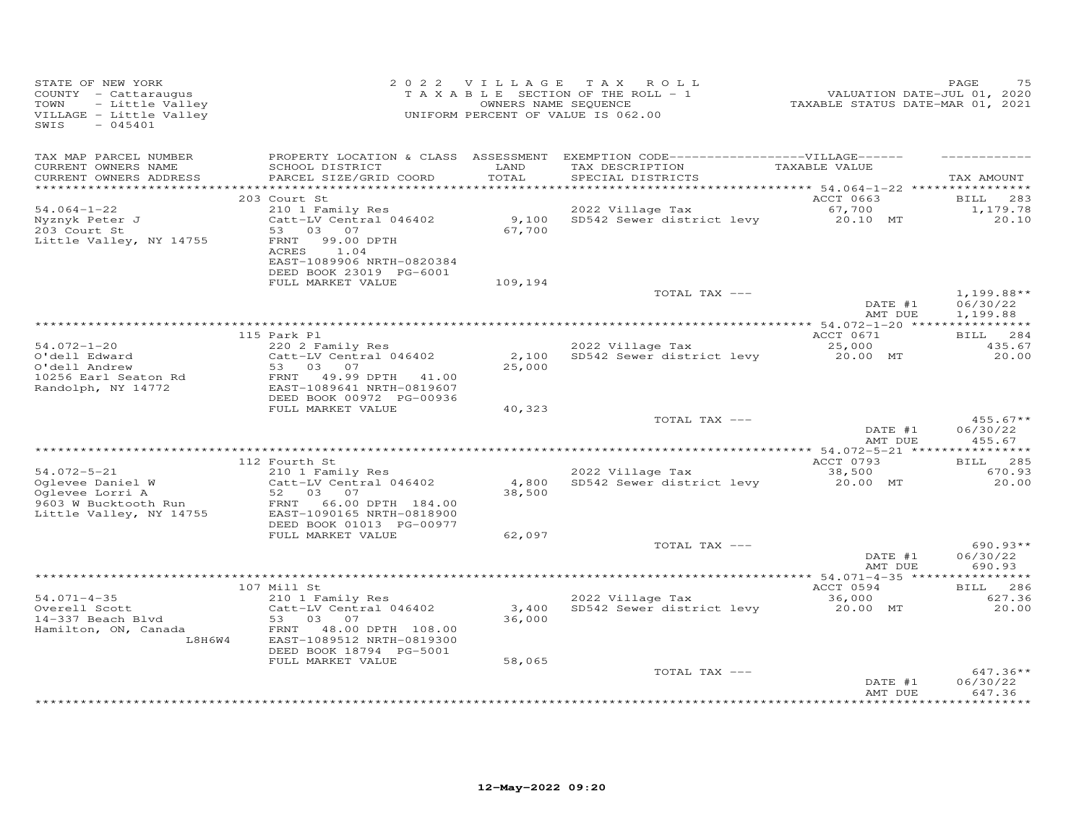| STATE OF NEW YORK<br>COUNTY - Cattaraugus<br>TOWN<br>- Little Valley<br>VILLAGE - Little Valley<br>SWIS<br>$-045401$ |                                                                                                                               | 2022 VILLAGE    | TAX ROLL<br>TAXABLE SECTION OF THE ROLL - 1<br>OWNERS NAME SEQUENCE<br>UNIFORM PERCENT OF VALUE IS 062.00 | VALUATION DATE-JUL 01, 2020<br>TAXABLE STATUS DATE-MAR 01, 2021 | PAGE<br>75                           |
|----------------------------------------------------------------------------------------------------------------------|-------------------------------------------------------------------------------------------------------------------------------|-----------------|-----------------------------------------------------------------------------------------------------------|-----------------------------------------------------------------|--------------------------------------|
| TAX MAP PARCEL NUMBER<br>CURRENT OWNERS NAME<br>CURRENT OWNERS ADDRESS                                               | PROPERTY LOCATION & CLASS ASSESSMENT<br>SCHOOL DISTRICT<br>PARCEL SIZE/GRID COORD                                             | LAND<br>TOTAL   | EXEMPTION CODE------------------VILLAGE------<br>TAX DESCRIPTION<br>SPECIAL DISTRICTS                     | TAXABLE VALUE                                                   | TAX AMOUNT                           |
|                                                                                                                      | 203 Court St                                                                                                                  |                 |                                                                                                           | ACCT 0663                                                       | 283<br><b>BILL</b>                   |
| $54.064 - 1 - 22$<br>Nyznyk Peter J<br>203 Court St<br>Little Valley, NY 14755                                       | 210 1 Family Res<br>Catt-LV Central 046402<br>53<br>03 07<br>FRNT<br>99.00 DPTH<br>ACRES<br>1.04<br>EAST-1089906 NRTH-0820384 | 9,100<br>67,700 | 2022 Village Tax<br>SD542 Sewer district levy                                                             | 67,700<br>20.10 MT                                              | 1,179.78<br>20.10                    |
|                                                                                                                      | DEED BOOK 23019 PG-6001<br>FULL MARKET VALUE                                                                                  | 109,194         |                                                                                                           |                                                                 |                                      |
|                                                                                                                      |                                                                                                                               |                 | TOTAL TAX ---                                                                                             | DATE #1<br>AMT DUE                                              | $1,199.88**$<br>06/30/22<br>1,199.88 |
|                                                                                                                      |                                                                                                                               |                 |                                                                                                           |                                                                 |                                      |
| $54.072 - 1 - 20$                                                                                                    | 115 Park Pl<br>220 2 Family Res                                                                                               |                 | 2022 Village Tax                                                                                          | ACCT 0671<br>25,000                                             | BILL 284<br>435.67                   |
| O'dell Edward<br>O'dell Andrew<br>10256 Earl Seaton Rd<br>Randolph, NY 14772                                         | Catt-LV Central 046402<br>53<br>03<br>07<br>FRNT 49.99 DPTH 41.00<br>EAST-1089641 NRTH-0819607                                | 2,100<br>25,000 | SD542 Sewer district levy                                                                                 | 20.00 MT                                                        | 20,00                                |
|                                                                                                                      | DEED BOOK 00972 PG-00936<br>FULL MARKET VALUE                                                                                 | 40,323          |                                                                                                           |                                                                 |                                      |
|                                                                                                                      |                                                                                                                               |                 | TOTAL TAX ---                                                                                             | DATE #1<br>AMT DUE                                              | $455.67**$<br>06/30/22<br>455.67     |
|                                                                                                                      | 112 Fourth St                                                                                                                 |                 |                                                                                                           | ACCT 0793                                                       | BILL 285                             |
| $54.072 - 5 - 21$<br>Oglevee Daniel W<br>Oglevee Lorri A                                                             | 210 1 Family Res<br>Catt-LV Central 046402<br>52<br>03 07                                                                     | 4,800<br>38,500 | 2022 Village Tax<br>SD542 Sewer district levy                                                             | 38,500<br>20.00 MT                                              | 670.93<br>20.00                      |
| 9603 W Bucktooth Run<br>Little Valley, NY 14755                                                                      | FRNT<br>66.00 DPTH 184.00<br>EAST-1090165 NRTH-0818900<br>DEED BOOK 01013 PG-00977<br>FULL MARKET VALUE                       | 62,097          |                                                                                                           |                                                                 |                                      |
|                                                                                                                      |                                                                                                                               |                 | TOTAL TAX ---                                                                                             |                                                                 | $690.93**$                           |
|                                                                                                                      |                                                                                                                               |                 |                                                                                                           | DATE #1<br>AMT DUE                                              | 06/30/22<br>690.93                   |
|                                                                                                                      | 107 Mill St                                                                                                                   |                 |                                                                                                           | ACCT 0594                                                       | 286<br>BILL                          |
| $54.071 - 4 - 35$<br>Overell Scott<br>14-337 Beach Blvd                                                              | 210 1 Family Res<br>Catt-LV Central 046402<br>53<br>03 07                                                                     | 3,400<br>36,000 | 2022 Village Tax<br>SD542 Sewer district levy                                                             | 36,000<br>20.00 MT                                              | 627.36<br>20.00                      |
| Hamilton, ON, Canada<br>L8H6W4                                                                                       | FRNT<br>48.00 DPTH 108.00<br>EAST-1089512 NRTH-0819300<br>DEED BOOK 18794 PG-5001<br>FULL MARKET VALUE                        | 58,065          |                                                                                                           |                                                                 |                                      |
|                                                                                                                      |                                                                                                                               |                 | TOTAL TAX ---                                                                                             | DATE #1<br>AMT DUE                                              | $647.36**$<br>06/30/22<br>647.36     |
|                                                                                                                      |                                                                                                                               |                 |                                                                                                           |                                                                 | ***********                          |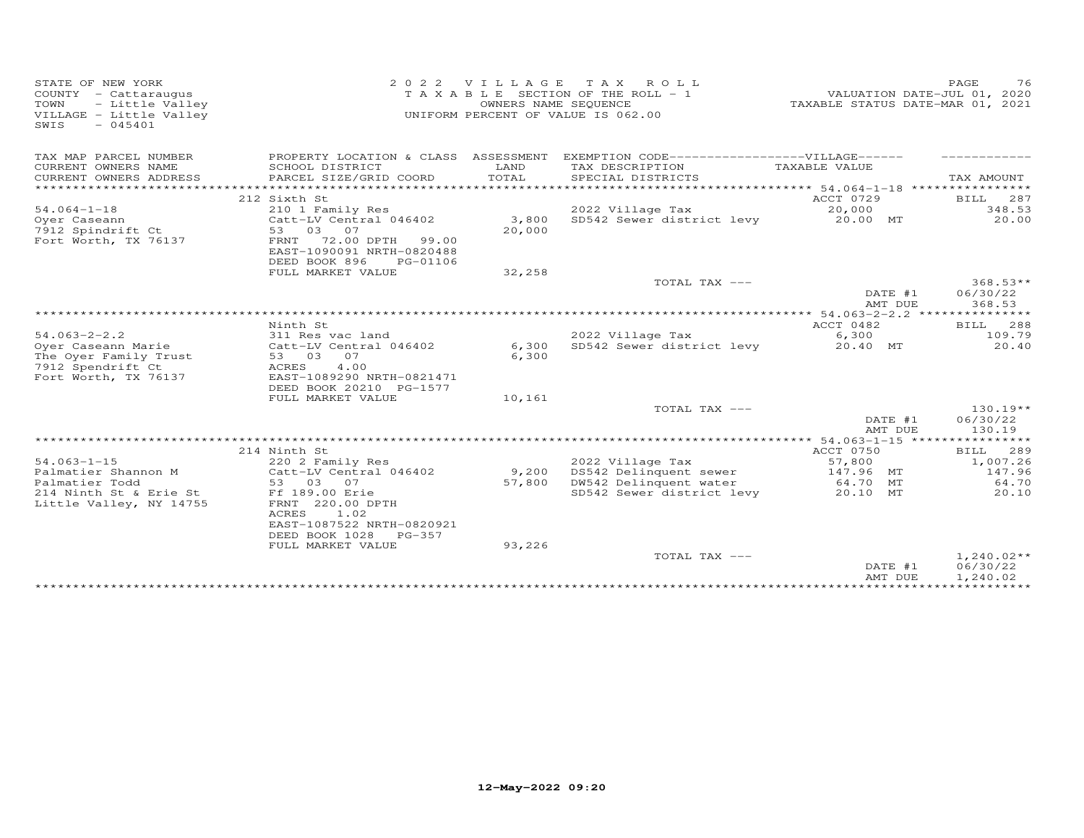| STATE OF NEW YORK<br>COUNTY - Cattaraugus<br>- Little Valley<br>TOWN<br>VILLAGE - Little Valley<br>$-045401$<br>SWIS | 2 0 2 2<br>VILLAGE<br>TAX ROLL<br>T A X A B L E SECTION OF THE ROLL - 1<br>OWNERS NAME SEQUENCE<br>UNIFORM PERCENT OF VALUE IS 062.00                      |                 |                                                                                                   | TAXABLE STATUS DATE-MAR 01, 2021                         | 76<br>PAGE<br>VALUATION DATE-JUL 01, 2020           |
|----------------------------------------------------------------------------------------------------------------------|------------------------------------------------------------------------------------------------------------------------------------------------------------|-----------------|---------------------------------------------------------------------------------------------------|----------------------------------------------------------|-----------------------------------------------------|
| TAX MAP PARCEL NUMBER<br>CURRENT OWNERS NAME<br>CURRENT OWNERS ADDRESS                                               | PROPERTY LOCATION & CLASS ASSESSMENT<br>SCHOOL DISTRICT<br>PARCEL SIZE/GRID COORD                                                                          | LAND<br>TOTAL   | EXEMPTION CODE------------------VILLAGE------<br>TAX DESCRIPTION<br>SPECIAL DISTRICTS             | TAXABLE VALUE                                            | TAX AMOUNT                                          |
|                                                                                                                      |                                                                                                                                                            |                 |                                                                                                   |                                                          |                                                     |
|                                                                                                                      | 212 Sixth St                                                                                                                                               |                 |                                                                                                   | ACCT 0729                                                | 287<br>BILL                                         |
| $54.064 - 1 - 18$                                                                                                    | 210 1 Family Res                                                                                                                                           |                 | 2022 Village Tax                                                                                  | 20,000                                                   | 348.53                                              |
| Oyer Caseann<br>7912 Spindrift Ct<br>Fort Worth, TX 76137                                                            | Catt-LV Central 046402<br>53 03<br>07<br>FRNT<br>72.00 DPTH<br>99.00<br>EAST-1090091 NRTH-0820488<br>DEED BOOK 896<br>PG-01106                             | 3,800<br>20,000 | SD542 Sewer district levy                                                                         | 20.00 MT                                                 | 20.00                                               |
|                                                                                                                      | FULL MARKET VALUE                                                                                                                                          | 32,258          |                                                                                                   |                                                          |                                                     |
|                                                                                                                      |                                                                                                                                                            |                 | TOTAL TAX ---                                                                                     | DATE #1<br>AMT DUE                                       | $368.53**$<br>06/30/22<br>368.53                    |
|                                                                                                                      |                                                                                                                                                            |                 |                                                                                                   |                                                          |                                                     |
|                                                                                                                      | Ninth St                                                                                                                                                   |                 |                                                                                                   | ACCT 0482                                                | <b>BILL</b><br>288                                  |
| $54.063 - 2 - 2.2$<br>Oyer Caseann Marie<br>The Oyer Family Trust<br>7912 Spendrift Ct<br>Fort Worth, TX 76137       | 311 Res vac land<br>Catt-LV Central 046402<br>07<br>53 03<br>4.00<br>ACRES<br>EAST-1089290 NRTH-0821471<br>DEED BOOK 20210 PG-1577                         | 6,300<br>6,300  | 2022 Village Tax<br>SD542 Sewer district levy                                                     | 6,300<br>20.40 MT                                        | 109.79<br>20.40                                     |
|                                                                                                                      | FULL MARKET VALUE                                                                                                                                          | 10,161          |                                                                                                   |                                                          |                                                     |
|                                                                                                                      |                                                                                                                                                            |                 | TOTAL TAX ---                                                                                     | DATE #1<br>AMT DUE                                       | $130.19**$<br>06/30/22<br>130.19                    |
|                                                                                                                      |                                                                                                                                                            |                 |                                                                                                   |                                                          |                                                     |
| $54.063 - 1 - 15$<br>Palmatier Shannon M<br>Palmatier Todd<br>214 Ninth St & Erie St<br>Little Valley, NY 14755      | 214 Ninth St<br>220 2 Family Res<br>Catt-LV Central 046402<br>53 03 07<br>Ff 189.00 Erie<br>FRNT 220.00 DPTH<br>1.02<br>ACRES<br>EAST-1087522 NRTH-0820921 | 9,200<br>57,800 | 2022 Village Tax<br>DS542 Delinquent sewer<br>DW542 Delinquent water<br>SD542 Sewer district levy | ACCT 0750<br>57,800<br>147.96 MT<br>64.70 MT<br>20.10 MT | BILL<br>289<br>1,007.26<br>147.96<br>64.70<br>20.10 |
|                                                                                                                      | DEED BOOK 1028<br>$PG-357$<br>FULL MARKET VALUE                                                                                                            | 93,226          |                                                                                                   |                                                          |                                                     |
|                                                                                                                      |                                                                                                                                                            |                 | TOTAL TAX ---                                                                                     | DATE #1<br>AMT DUE                                       | $1,240.02**$<br>06/30/22<br>1,240.02                |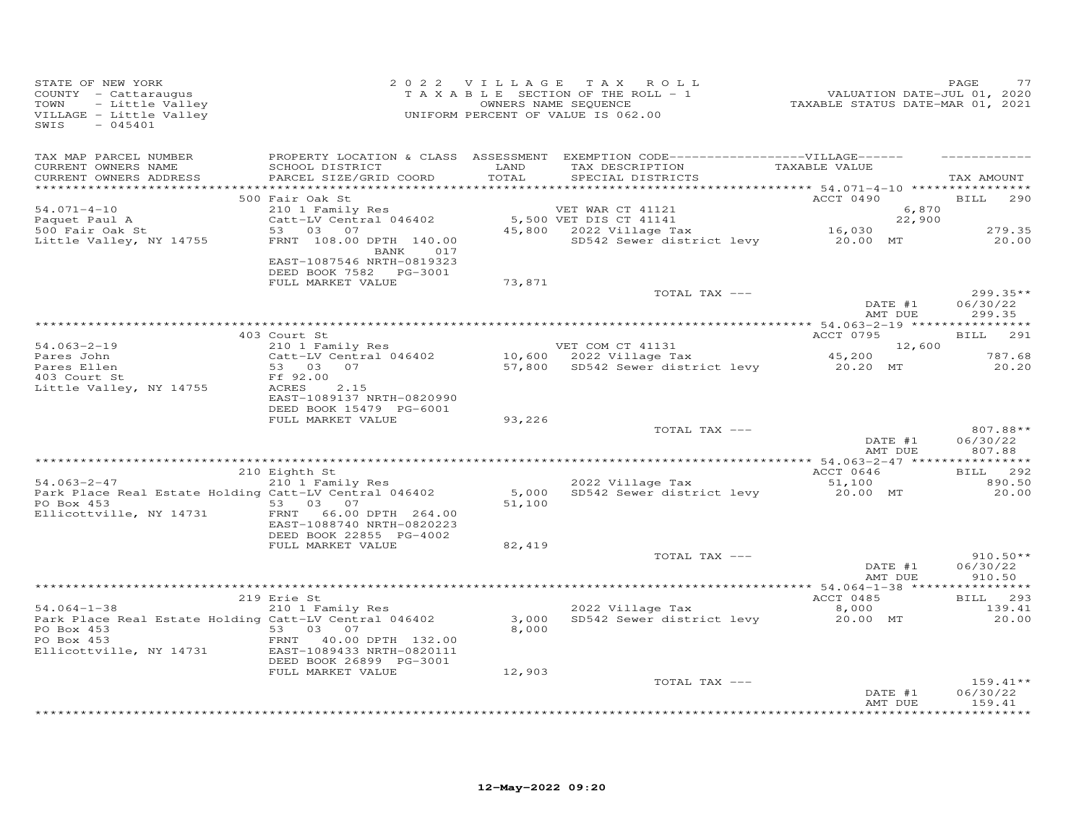| FAGE 77<br>COUNTY - Cattaraugus and the VALUATION DATE-JUL 01, 2020<br>TAXABLE SECTION OF THE ROLL - 1 WALUATION DATE-JUL 01, 2020<br>TOWN - Little Valley and the VALUA COUNTER OF THE ROLL - 1<br>VILLAGE - Little Valley (UNIFORM P        |                                                      |        |                                                                                                                                                                                          |                  |                    |                                  |
|-----------------------------------------------------------------------------------------------------------------------------------------------------------------------------------------------------------------------------------------------|------------------------------------------------------|--------|------------------------------------------------------------------------------------------------------------------------------------------------------------------------------------------|------------------|--------------------|----------------------------------|
| TAX MAP PARCEL NUMBER<br>CURRENT OWNERS NAME<br>CURRENT OWNERS ADDRESS                                                                                                                                                                        | SCHOOL DISTRICT LAND<br>PARCEL SIZE/GRID COORD       | TOTAL  | PROPERTY LOCATION & CLASS ASSESSMENT EXEMPTION CODE------------------VILLAGE------<br>TAX DESCRIPTION TAXABLE VALUE<br>SPECIAL DISTRICTS                                                 |                  |                    | TAX AMOUNT                       |
|                                                                                                                                                                                                                                               | 500 Fair Oak St                                      |        |                                                                                                                                                                                          | ACCT 0490        |                    | BILL 290                         |
| $54.071 - 4 - 10$                                                                                                                                                                                                                             |                                                      |        |                                                                                                                                                                                          |                  | 6,870              |                                  |
| Paquet Paul A<br>500 Fair Oak St                                                                                                                                                                                                              |                                                      |        |                                                                                                                                                                                          |                  |                    | 279.35                           |
| Little Valley, NY 14755                                                                                                                                                                                                                       | BANK 017<br>EAST-1087546 NRTH-0819323                |        | 210 1 Family Res<br>Catt-LV Central 046402 5,500 VET DIS CT 41141 22,900<br>53 03 07 45,800 2022 Village Tax 16,030<br>FRNT 108.00 DPTH 140.00 45,800 SD542 Sewer district levy 20.00 MT |                  |                    | 20.00                            |
|                                                                                                                                                                                                                                               | DEED BOOK 7582    PG-3001<br>FULL MARKET VALUE       | 73,871 |                                                                                                                                                                                          |                  |                    |                                  |
|                                                                                                                                                                                                                                               |                                                      |        | TOTAL TAX ---                                                                                                                                                                            |                  |                    | $299.35**$                       |
|                                                                                                                                                                                                                                               |                                                      |        |                                                                                                                                                                                          | DATE #1          | AMT DUE            | 06/30/22<br>299.35               |
|                                                                                                                                                                                                                                               |                                                      |        |                                                                                                                                                                                          |                  |                    | BILL 291                         |
|                                                                                                                                                                                                                                               |                                                      |        |                                                                                                                                                                                          |                  |                    |                                  |
|                                                                                                                                                                                                                                               |                                                      |        |                                                                                                                                                                                          |                  |                    | 787.68<br>20.20                  |
| 34.063-2-19<br>34.063-2-19<br>210 1 Family Res<br>Pares John Catt-LV Central 046402<br>Pares Ellen 53 03 07 57,800 SD542 Sewer district levy 20.20 MT<br>403 Court St Ff 92.00<br>12,600 SD542 Sewer district levy 20.20 MT<br>20.20 MT<br>   | EAST-1089137 NRTH-0820990                            |        |                                                                                                                                                                                          |                  |                    |                                  |
|                                                                                                                                                                                                                                               | DEED BOOK 15479 PG-6001<br>FULL MARKET VALUE         | 93,226 |                                                                                                                                                                                          |                  |                    |                                  |
|                                                                                                                                                                                                                                               |                                                      |        | TOTAL TAX ---                                                                                                                                                                            |                  | DATE #1            | 807.88**<br>06/30/22             |
|                                                                                                                                                                                                                                               |                                                      |        |                                                                                                                                                                                          |                  | AMT DUE            | 807.88                           |
|                                                                                                                                                                                                                                               | 210 Eighth St                                        |        |                                                                                                                                                                                          | <b>ACCT 0646</b> |                    | BILL 292                         |
| $54.063 - 2 - 47$                                                                                                                                                                                                                             | --;<br>210 1 Family Res                              |        | 2022 Village Tax 61,100<br>5,000 SD542 Sewer district levy 20.00 MT                                                                                                                      |                  |                    | 890.50                           |
| Park Place Real Estate Holding Catt-LV Central 046402<br>PO Box 453<br>Ellicottville, NY 14731 FRNT 66.00 DPTH 264.00                                                                                                                         | EAST-1088740 NRTH-0820223<br>DEED BOOK 22855 PG-4002 | 51,100 |                                                                                                                                                                                          |                  |                    | 20.00                            |
|                                                                                                                                                                                                                                               | FULL MARKET VALUE                                    | 82,419 |                                                                                                                                                                                          |                  |                    |                                  |
|                                                                                                                                                                                                                                               |                                                      |        | TOTAL TAX ---                                                                                                                                                                            | DATE #1          |                    | $910.50**$<br>06/30/22           |
|                                                                                                                                                                                                                                               |                                                      |        |                                                                                                                                                                                          |                  | AMT DUE            | 910.50                           |
|                                                                                                                                                                                                                                               |                                                      |        |                                                                                                                                                                                          |                  |                    | BILL 293                         |
| <sup>219</sup> Erie St (1985) 219 Erie St (1985) 2022 Village Tax (1985) 2000<br>2000 2022 Village Tax (1985) 2022 Real Estate Holding Catt-LV Central 046402<br>20.00 Por Boy 2018 20:00 Por Marting Catter of Catter of Catter of Catter of |                                                      |        |                                                                                                                                                                                          |                  |                    | 139.41                           |
| PO Box 453<br>PO Box 453<br>Elicottville, NY 14731<br>Elicottville, NY 14731<br>CERENT 1089433 NRTH-082011<br>PERR 1089433 NRTH-082011                                                                                                        |                                                      | 8,000  |                                                                                                                                                                                          |                  |                    | 20.00                            |
|                                                                                                                                                                                                                                               | DEED BOOK 26899 PG-3001<br>FULL MARKET VALUE         | 12,903 |                                                                                                                                                                                          |                  |                    |                                  |
|                                                                                                                                                                                                                                               |                                                      |        | TOTAL TAX ---                                                                                                                                                                            |                  | DATE #1<br>AMT DUE | $159.41**$<br>06/30/22<br>159.41 |
|                                                                                                                                                                                                                                               |                                                      |        |                                                                                                                                                                                          |                  |                    |                                  |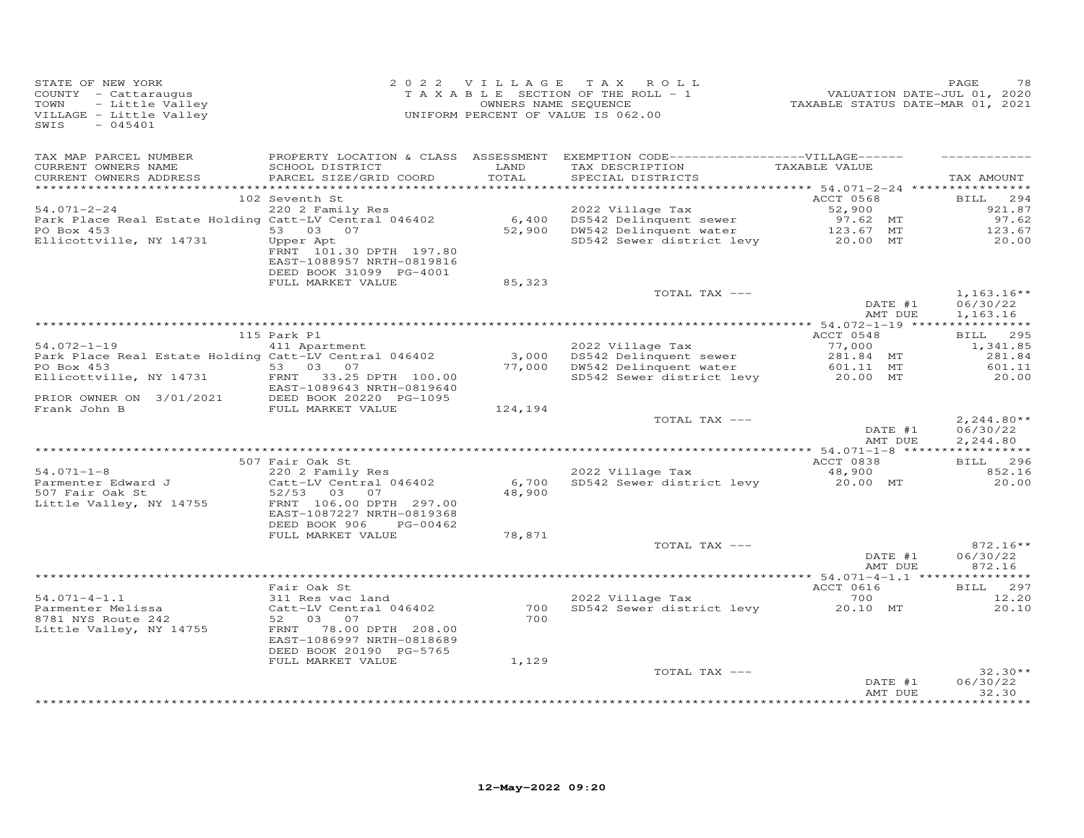| STATE OF NEW YORK<br>COUNTY - Cattaraugus<br>TOWN<br>- Little Valley<br>VILLAGE - Little Valley<br>$-045401$<br>SWIS |                                                                                              |               | 2022 VILLAGE TAX ROLL<br>$T$ A X A B L E SECTION OF THE ROLL - 1<br>OWNERS NAME SEQUENCE<br>UNIFORM PERCENT OF VALUE IS 062.00 | ں,<br>2020 ,VALUATION DATE-JUL<br>2021, TAXABLE STATUS DATE-MAR | PAGE<br>78                       |
|----------------------------------------------------------------------------------------------------------------------|----------------------------------------------------------------------------------------------|---------------|--------------------------------------------------------------------------------------------------------------------------------|-----------------------------------------------------------------|----------------------------------|
| TAX MAP PARCEL NUMBER<br>CURRENT OWNERS NAME<br>CURRENT OWNERS ADDRESS                                               | SCHOOL DISTRICT<br>PARCEL SIZE/GRID COORD                                                    | LAND<br>TOTAL | PROPERTY LOCATION & CLASS ASSESSMENT EXEMPTION CODE-----------------VILLAGE------<br>TAX DESCRIPTION<br>SPECIAL DISTRICTS      | TAXABLE VALUE                                                   | TAX AMOUNT                       |
|                                                                                                                      |                                                                                              |               |                                                                                                                                |                                                                 |                                  |
|                                                                                                                      | 102 Seventh St                                                                               |               |                                                                                                                                | ACCT 0568                                                       | <b>BILL</b><br>294               |
| $54.071 - 2 - 24$                                                                                                    | 220 2 Family Res                                                                             |               |                                                                                                                                |                                                                 | 921.87                           |
| Park Place Real Estate Holding Catt-LV Central 046402                                                                |                                                                                              |               |                                                                                                                                | 52,900<br>97.62 MT<br>123.67 MT                                 | 97.62                            |
| PO Box 453                                                                                                           | 53 03 07                                                                                     |               | SD542 Sewer district levy 20.00 MT                                                                                             |                                                                 | 123.67                           |
| Ellicottville, NY 14731                                                                                              | Upper Apt<br>FRNT 101.30 DPTH 197.80<br>EAST-1088957 NRTH-0819816<br>DEED BOOK 31099 PG-4001 |               |                                                                                                                                |                                                                 | 20.00                            |
|                                                                                                                      | FULL MARKET VALUE                                                                            | 85,323        |                                                                                                                                |                                                                 |                                  |
|                                                                                                                      |                                                                                              |               | TOTAL TAX ---                                                                                                                  | DATE #1                                                         | $1,163.16**$<br>06/30/22         |
|                                                                                                                      |                                                                                              |               |                                                                                                                                | AMT DUE                                                         | 1,163.16                         |
|                                                                                                                      | 115 Park Pl                                                                                  |               |                                                                                                                                | ACCT 0548                                                       | BILL 295                         |
| $54.072 - 1 - 19$                                                                                                    | 411 Apartment                                                                                |               | 2022 Village Tax                                                                                                               | 77,000<br>281.84 MT                                             | 1,341.85                         |
| Park Place Real Estate Holding Catt-LV Central 046402                                                                |                                                                                              |               | 3,000 DS542 Delinquent sewer                                                                                                   |                                                                 | 281.84                           |
| PO Box 453                                                                                                           | 53 03 07                                                                                     |               | 77,000 DW542 Delinquent water                                                                                                  | 601.11 MT                                                       | 601.11                           |
| Ellicottville, NY 14731                                                                                              | FRNT 33.25 DPTH 100.00<br>EAST-1089643 NRTH-0819640                                          |               | SD542 Sewer district levy                                                                                                      | 20.00 MT                                                        | 20.00                            |
| PRIOR OWNER ON 3/01/2021 DEED BOOK 20220 PG-1095<br>Frank John B                                                     | FULL MARKET VALUE                                                                            | 124,194       |                                                                                                                                |                                                                 |                                  |
|                                                                                                                      |                                                                                              |               | TOTAL TAX ---                                                                                                                  | DATE #1                                                         | $2, 244.80**$<br>06/30/22        |
|                                                                                                                      |                                                                                              |               |                                                                                                                                | AMT DUE                                                         | 2,244.80                         |
|                                                                                                                      |                                                                                              |               |                                                                                                                                |                                                                 |                                  |
| $54.071 - 1 - 8$                                                                                                     | 507 Fair Oak St                                                                              |               | 2022 Village Tax                                                                                                               | ACCT 0838                                                       | BILL 296<br>852.16               |
| Parmenter Edward J                                                                                                   | 220 2 Family Res<br>Catt-LV Central 046402                                                   |               | 6,700 SD542 Sewer district levy                                                                                                | 48,900<br>20.00 MT                                              | 20.00                            |
| 507 Fair Oak St                                                                                                      | 52/53 03 07                                                                                  | 48,900        |                                                                                                                                |                                                                 |                                  |
| Little Valley, NY 14755                                                                                              | FRNT 106.00 DPTH 297.00<br>EAST-1087227 NRTH-0819368                                         |               |                                                                                                                                |                                                                 |                                  |
|                                                                                                                      | DEED BOOK 906<br>PG-00462                                                                    |               |                                                                                                                                |                                                                 |                                  |
|                                                                                                                      | FULL MARKET VALUE                                                                            | 78,871        |                                                                                                                                |                                                                 |                                  |
|                                                                                                                      |                                                                                              |               | TOTAL TAX ---                                                                                                                  | DATE #1<br>AMT DUE                                              | $872.16**$<br>06/30/22<br>872.16 |
|                                                                                                                      |                                                                                              |               |                                                                                                                                |                                                                 |                                  |
|                                                                                                                      | Fair Oak St                                                                                  |               |                                                                                                                                | ACCT 0616                                                       | BILL 297                         |
| $54.071 - 4 - 1.1$                                                                                                   | 311 Res vac land                                                                             |               | 2022 Village Tax                                                                                                               | 700                                                             | 12.20                            |
| Parmenter Melissa                                                                                                    | Catt-LV Central 046402                                                                       |               | 700 SD542 Sewer district levy 20.10 MT                                                                                         |                                                                 | 20.10                            |
| 8781 NYS Route 242                                                                                                   | 52 03 07                                                                                     | 700           |                                                                                                                                |                                                                 |                                  |
| Little Valley, NY 14755                                                                                              | FRNT 78.00 DPTH 208.00<br>EAST-1086997 NRTH-0818689<br>DEED BOOK 20190 PG-5765               |               |                                                                                                                                |                                                                 |                                  |
|                                                                                                                      | FULL MARKET VALUE                                                                            | 1,129         |                                                                                                                                |                                                                 |                                  |
|                                                                                                                      |                                                                                              |               | TOTAL TAX ---                                                                                                                  |                                                                 | $32.30**$                        |
|                                                                                                                      |                                                                                              |               |                                                                                                                                | DATE #1<br>AMT DUE                                              | 06/30/22<br>32.30                |
|                                                                                                                      |                                                                                              |               |                                                                                                                                |                                                                 | * * * * * * * * * * * *          |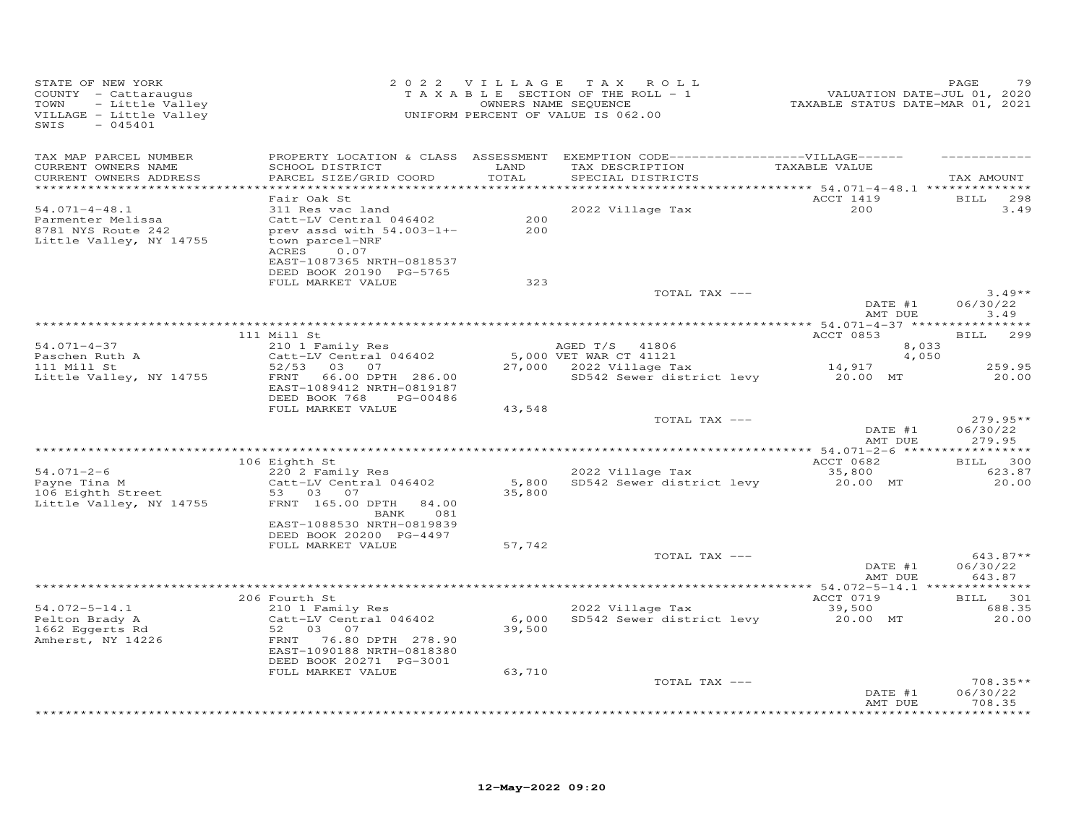| STATE OF NEW YORK<br>COUNTY - Cattaraugus<br>- Little Valley<br>TOWN<br>VILLAGE - Little Valley<br>SWIS<br>$-045401$ |                                                                                                                                                                                      | 2022 VILLAGE    | TAX ROLL<br>TAXABLE SECTION OF THE ROLL - 1<br>OWNERS NAME SEQUENCE<br>UNIFORM PERCENT OF VALUE IS 062.00                 | VALUATION DATE-JUL 01, 2020<br>TAXABLE STATUS DATE-MAR 01, 2021 | PAGE<br>79                       |
|----------------------------------------------------------------------------------------------------------------------|--------------------------------------------------------------------------------------------------------------------------------------------------------------------------------------|-----------------|---------------------------------------------------------------------------------------------------------------------------|-----------------------------------------------------------------|----------------------------------|
| TAX MAP PARCEL NUMBER<br>CURRENT OWNERS NAME<br>CURRENT OWNERS ADDRESS<br>***********************                    | SCHOOL DISTRICT<br>PARCEL SIZE/GRID COORD                                                                                                                                            | LAND<br>TOTAL   | PROPERTY LOCATION & CLASS ASSESSMENT EXEMPTION CODE-----------------VILLAGE------<br>TAX DESCRIPTION<br>SPECIAL DISTRICTS | TAXABLE VALUE                                                   | TAX AMOUNT                       |
| $54.071 - 4 - 48.1$<br>Parmenter Melissa<br>8781 NYS Route 242<br>Little Valley, NY 14755                            | Fair Oak St<br>311 Res vac land<br>Catt-LV Central 046402<br>prev assd with $54.003-1+-$<br>town parcel-NRF<br>ACRES<br>0.07<br>EAST-1087365 NRTH-0818537<br>DEED BOOK 20190 PG-5765 | 200<br>200      | 2022 Village Tax                                                                                                          | ACCT 1419<br>200                                                | <b>BILL</b><br>298<br>3.49       |
|                                                                                                                      | FULL MARKET VALUE                                                                                                                                                                    | 323             | TOTAL TAX ---                                                                                                             | DATE #1<br>AMT DUE                                              | $3.49**$<br>06/30/22<br>3.49     |
|                                                                                                                      |                                                                                                                                                                                      |                 |                                                                                                                           |                                                                 | *********                        |
| $54.071 - 4 - 37$<br>Paschen Ruth A                                                                                  | 111 Mill St<br>210 1 Family Res<br>Catt-LV Central 046402                                                                                                                            |                 | AGED T/S 41806<br>5,000 VET WAR CT 41121                                                                                  | ACCT 0853<br>8,033<br>4,050                                     | 299<br>BILL                      |
| 111 Mill St                                                                                                          | 52/53 03 07                                                                                                                                                                          |                 | 27,000 2022 Village Tax                                                                                                   | 14,917                                                          | 259.95                           |
| Little Valley, NY 14755                                                                                              | 66.00 DPTH 286.00<br>FRNT<br>EAST-1089412 NRTH-0819187<br>DEED BOOK 768<br>PG-00486<br>FULL MARKET VALUE                                                                             | 43,548          | SD542 Sewer district levy 20.00 MT                                                                                        |                                                                 | 20.00                            |
|                                                                                                                      |                                                                                                                                                                                      |                 | TOTAL TAX ---                                                                                                             | DATE #1<br>AMT DUE                                              | $279.95**$<br>06/30/22<br>279.95 |
|                                                                                                                      |                                                                                                                                                                                      |                 |                                                                                                                           |                                                                 |                                  |
| $54.071 - 2 - 6$<br>Payne Tina M<br>106 Eighth Street<br>Little Valley, NY 14755                                     | 106 Eighth St<br>220 2 Family Res<br>Catt-LV Central 046402<br>53 03 07<br>FRNT 165.00 DPTH<br>84.00<br>081<br>BANK                                                                  | 5,800<br>35,800 | 2022 Village Tax<br>SD542 Sewer district levy                                                                             | ACCT 0682<br>35,800<br>20.00 MT                                 | BILL 300<br>623.87<br>20.00      |
|                                                                                                                      | EAST-1088530 NRTH-0819839<br>DEED BOOK 20200 PG-4497<br>FULL MARKET VALUE                                                                                                            | 57,742          |                                                                                                                           |                                                                 |                                  |
|                                                                                                                      |                                                                                                                                                                                      |                 | TOTAL TAX ---                                                                                                             | DATE #1<br>AMT DUE                                              | $643.87**$<br>06/30/22<br>643.87 |
|                                                                                                                      |                                                                                                                                                                                      |                 |                                                                                                                           |                                                                 |                                  |
|                                                                                                                      | 206 Fourth St                                                                                                                                                                        |                 |                                                                                                                           | ACCT 0719                                                       | BILL 301                         |
| $54.072 - 5 - 14.1$<br>Pelton Brady A<br>1662 Eqgerts Rd<br>Amherst, NY 14226                                        | 210 1 Family Res<br>Catt-LV Central 046402<br>52 03<br>07<br>FRNT 76.80 DPTH 278.90<br>EAST-1090188 NRTH-0818380<br>DEED BOOK 20271 PG-3001                                          | 6,000<br>39,500 | 2022 Village Tax<br>SD542 Sewer district levy                                                                             | 39,500<br>20.00 MT                                              | 688.35<br>20.00                  |
|                                                                                                                      | FULL MARKET VALUE                                                                                                                                                                    | 63,710          | TOTAL TAX ---                                                                                                             |                                                                 | 708.35**                         |
|                                                                                                                      |                                                                                                                                                                                      |                 |                                                                                                                           | DATE #1<br>AMT DUE                                              | 06/30/22<br>708.35               |
|                                                                                                                      |                                                                                                                                                                                      |                 |                                                                                                                           |                                                                 | **********                       |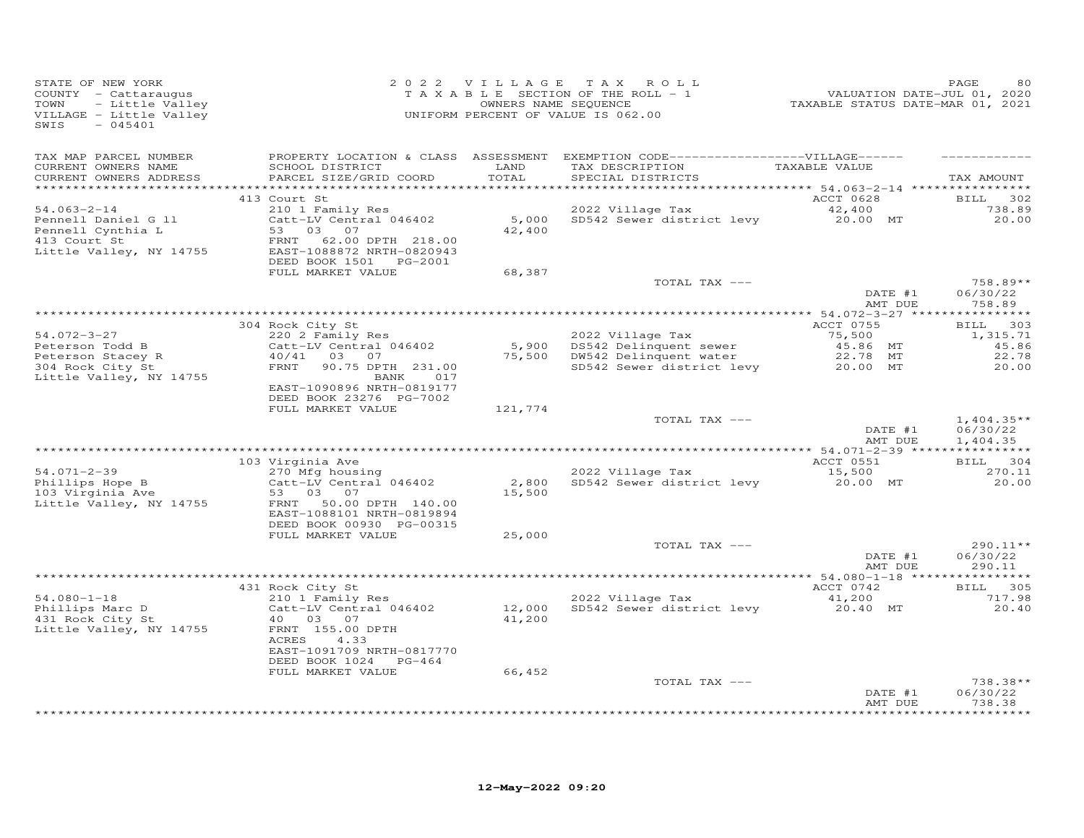| STATE OF NEW YORK<br>COUNTY - Cattaraugus<br>- Little Valley<br>TOWN<br>VILLAGE - Little Valley<br>$-045401$<br>SWIS |                                                                                                                                                                                   | 2022 VILLAGE     | TAX ROLL<br>T A X A B L E SECTION OF THE ROLL - 1<br>OWNERS NAME SEQUENCE<br>UNIFORM PERCENT OF VALUE IS 062.00            | -------<br>TAXABLE STATUS DATE-JUL 01, 2020<br>TAXABLE STATUS DATE-MAR 01, 2021 | PAGE                                                      |
|----------------------------------------------------------------------------------------------------------------------|-----------------------------------------------------------------------------------------------------------------------------------------------------------------------------------|------------------|----------------------------------------------------------------------------------------------------------------------------|---------------------------------------------------------------------------------|-----------------------------------------------------------|
| TAX MAP PARCEL NUMBER<br>CURRENT OWNERS NAME<br>CURRENT OWNERS ADDRESS<br>*************************                  | SCHOOL DISTRICT<br>PARCEL SIZE/GRID COORD                                                                                                                                         | LAND<br>TOTAL    | PROPERTY LOCATION & CLASS ASSESSMENT EXEMPTION CODE------------------VILLAGE------<br>TAX DESCRIPTION<br>SPECIAL DISTRICTS | TAXABLE VALUE                                                                   | TAX AMOUNT                                                |
| $54.063 - 2 - 14$<br>Pennell Daniel G 11<br>Pennell Cynthia L<br>413 Court St<br>Little Valley, NY 14755             | 413 Court St<br>210 1 Family Res<br>Catt-LV Central 046402<br>53<br>03 07<br>62.00 DPTH 218.00<br>FRNT<br>EAST-1088872 NRTH-0820943<br>DEED BOOK 1501 PG-2001                     | 5,000<br>42,400  | 2022 Village Tax<br>SD542 Sewer district levy 20.00 MT                                                                     | ACCT 0628<br>42,400                                                             | <b>BILL</b><br>302<br>738.89<br>20.00                     |
|                                                                                                                      | FULL MARKET VALUE                                                                                                                                                                 | 68,387           | TOTAL TAX ---                                                                                                              | DATE #1                                                                         | $758.89**$<br>06/30/22                                    |
| 54.072-3-27<br>Peterson Todd B<br>Peterson Stacey R<br>304 Rock City St<br>Little Valley, NY 14755                   | 304 Rock City St<br>220 2 Family Res<br>Catt-LV Central 046402<br>40/41 03 07<br>90.75 DPTH 231.00<br>FRNT<br>BANK<br>017<br>EAST-1090896 NRTH-0819177<br>DEED BOOK 23276 PG-7002 | 5,900<br>75,500  | 2022 Village Tax<br>DS542 Delinquent sewer<br>DW542 Delinquent water<br>SD542 Sewer district levy                          | AMT DUE<br>ACCT 0755<br>75,500<br>45.86 MT<br>22.78 MT<br>20.00 MT              | 758.89<br>BILL 303<br>1,315.71<br>45.86<br>22.78<br>20.00 |
|                                                                                                                      | FULL MARKET VALUE                                                                                                                                                                 | 121,774          | TOTAL TAX ---                                                                                                              | DATE #1<br>AMT DUE                                                              | $1,404.35**$<br>06/30/22<br>1,404.35                      |
|                                                                                                                      |                                                                                                                                                                                   |                  |                                                                                                                            |                                                                                 |                                                           |
|                                                                                                                      | 103 Virginia Ave                                                                                                                                                                  |                  |                                                                                                                            | ACCT 0551                                                                       | BILL 304                                                  |
| 54.071-2-39<br>Phillips Hope B<br>103 Virginia Ave<br>Little Valley, NY 14755                                        | 270 Mfg housing<br>Catt-LV Central 046402<br>53 03<br>07<br>50.00 DPTH 140.00<br>FRNT<br>EAST-1088101 NRTH-0819894                                                                | 2,800<br>15,500  | 2022 Village Tax<br>SD542 Sewer district levy                                                                              | 15,500<br>20.00 MT                                                              | 270.11<br>20.00                                           |
|                                                                                                                      | DEED BOOK 00930 PG-00315<br>FULL MARKET VALUE                                                                                                                                     | 25,000           | TOTAL TAX ---                                                                                                              | DATE #1                                                                         | 290.11**<br>06/30/22                                      |
|                                                                                                                      |                                                                                                                                                                                   |                  |                                                                                                                            | AMT DUE                                                                         | 290.11                                                    |
|                                                                                                                      |                                                                                                                                                                                   |                  |                                                                                                                            |                                                                                 | * * * * * * * * * * * *                                   |
| $54.080 - 1 - 18$<br>Phillips Marc D<br>431 Rock City St<br>Little Valley, NY 14755                                  | 431 Rock City St<br>210 1 Family Res<br>Catt-LV Central 046402<br>40  03  07<br>FRNT 155.00 DPTH<br>ACRES<br>4.33<br>EAST-1091709 NRTH-0817770<br>DEED BOOK 1024 PG-464           | 12,000<br>41,200 | 2022 Village Tax<br>SD542 Sewer district levy                                                                              | ACCT 0742<br>41,200<br>20.40 MT                                                 | BILL 305<br>717.98<br>20.40                               |
|                                                                                                                      | FULL MARKET VALUE                                                                                                                                                                 | 66,452           | TOTAL TAX ---                                                                                                              | DATE #1<br>AMT DUE                                                              | 738.38**<br>06/30/22<br>738.38                            |
|                                                                                                                      |                                                                                                                                                                                   |                  |                                                                                                                            |                                                                                 | ***********                                               |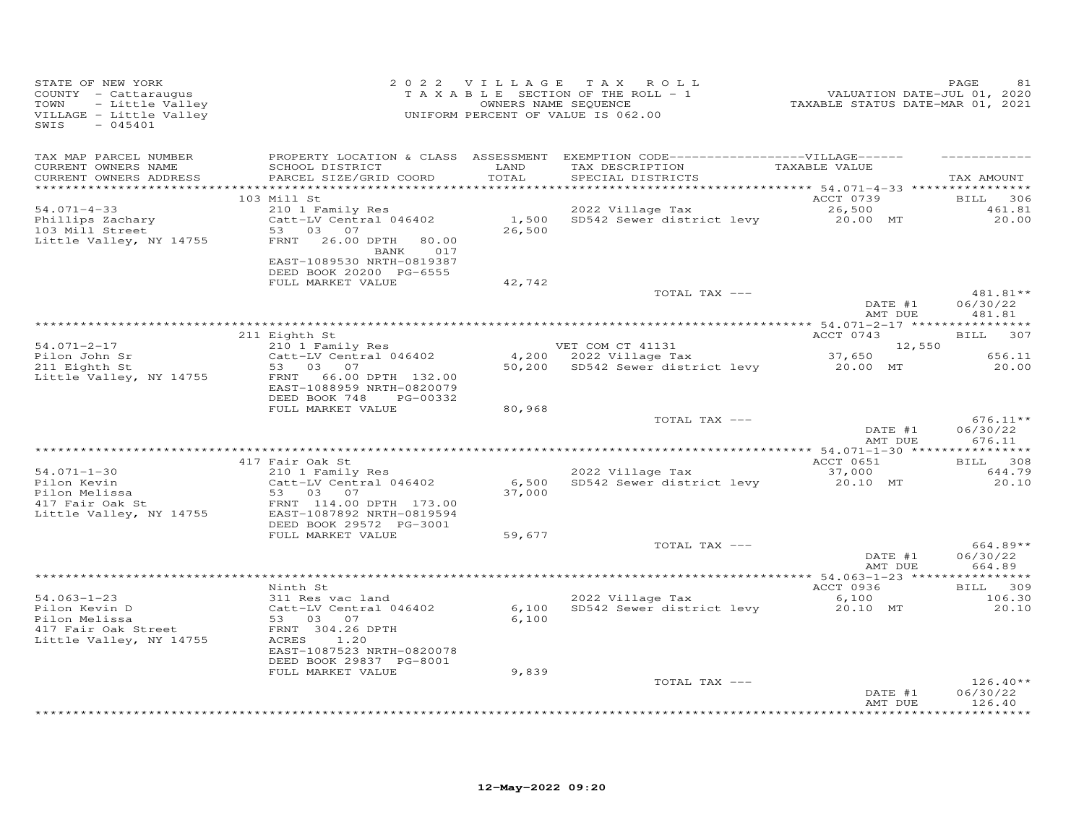| STATE OF NEW YORK<br>COUNTY - Cattaraugus<br>- Little Valley<br>TOWN<br>VILLAGE - Little Valley<br>$-045401$<br>SWIS |                                                                                              |                 | 2022 VILLAGE TAX ROLL<br>TAXABLE SECTION OF THE ROLL - 1<br>OWNERS NAME SEQUENCE<br>UNIFORM PERCENT OF VALUE IS 062.00                   | 2016<br>VALUATION DATE-JUL 01, 2020<br>TAXABLE STATUS DATE-MAR 01, 2021 | PAGE                             |
|----------------------------------------------------------------------------------------------------------------------|----------------------------------------------------------------------------------------------|-----------------|------------------------------------------------------------------------------------------------------------------------------------------|-------------------------------------------------------------------------|----------------------------------|
| TAX MAP PARCEL NUMBER<br>CURRENT OWNERS NAME<br>CURRENT OWNERS ADDRESS                                               | SCHOOL DISTRICT<br>PARCEL SIZE/GRID COORD                                                    | LAND<br>TOTAL   | PROPERTY LOCATION & CLASS ASSESSMENT EXEMPTION CODE------------------VILLAGE------<br>TAX DESCRIPTION TAXABLE VALUE<br>SPECIAL DISTRICTS |                                                                         | TAX AMOUNT                       |
|                                                                                                                      | 103 Mill St                                                                                  |                 |                                                                                                                                          | ACCT 0739                                                               | <b>BILL</b><br>306               |
| $54.071 - 4 - 33$<br>Phillips Zachary<br>103 Mill Street<br>Little Valley, NY 14755                                  | 210 1 Family Res<br>Catt-LV Central 046402<br>53 03 07<br>FRNT 26.00 DPTH<br>80.00           | 26,500          | 2022 Village Tax<br>1,500 SD542 Sewer district levy 20.00 MT                                                                             | 26,500                                                                  | 461.81<br>20.00                  |
|                                                                                                                      | BANK 017<br>EAST-1089530 NRTH-0819387<br>DEED BOOK 20200 PG-6555                             |                 |                                                                                                                                          |                                                                         |                                  |
|                                                                                                                      | FULL MARKET VALUE                                                                            | 42,742          | TOTAL TAX ---                                                                                                                            | DATE #1                                                                 | 481.81**<br>06/30/22             |
|                                                                                                                      |                                                                                              |                 |                                                                                                                                          | AMT DUE                                                                 | 481.81                           |
|                                                                                                                      | 211 Eighth St                                                                                |                 |                                                                                                                                          | ACCT 0743                                                               | <b>BILL</b><br>307               |
| 54.071-2-17                                                                                                          | 210 1 Family Res                                                                             |                 | VET COM CT 41131                                                                                                                         | 12,550                                                                  |                                  |
| Pilon John Sr<br>211 Eighth St<br>Little Valley, NY 14755                                                            | Catt-LV Central 046402<br>53 03 07<br>FRNT<br>66.00 DPTH 132.00<br>EAST-1088959 NRTH-0820079 |                 | VET COM CT 41131 12,550<br>4,200 2022 Village Tax 37,650<br>50,200 SD542 Sewer district levy 20.00 MT 20.00                              |                                                                         | 656.11<br>20.00                  |
|                                                                                                                      | DEED BOOK 748<br>PG-00332<br>FULL MARKET VALUE                                               | 80,968          |                                                                                                                                          |                                                                         |                                  |
|                                                                                                                      |                                                                                              |                 | TOTAL TAX ---                                                                                                                            | DATE $#1$<br>AMT DUE                                                    | $676.11**$<br>06/30/22<br>676.11 |
|                                                                                                                      | 417 Fair Oak St                                                                              |                 |                                                                                                                                          | ACCT 0651                                                               | BILL 308                         |
| $54.071 - 1 - 30$                                                                                                    | 210 1 Family Res                                                                             |                 | 2022 Village Tax                                                                                                                         | 37,000                                                                  | 644.79                           |
| Pilon Kevin<br>riion Nevin<br>Pilon Melissa<br>417 Fair Oak St                                                       | Catt-LV Central 046402<br>53 03 07<br>FRNT 114.00 DPTH 173.00                                | 6,500<br>37,000 | SD542 Sewer district levy                                                                                                                | 20.10 MT                                                                | 20.10                            |
| Little Valley, NY 14755                                                                                              | EAST-1087892 NRTH-0819594<br>DEED BOOK 29572 PG-3001<br>FULL MARKET VALUE                    | 59,677          |                                                                                                                                          |                                                                         |                                  |
|                                                                                                                      |                                                                                              |                 | TOTAL TAX ---                                                                                                                            | DATE #1<br>AMT DUE                                                      | $664.89**$<br>06/30/22<br>664.89 |
|                                                                                                                      |                                                                                              |                 |                                                                                                                                          |                                                                         |                                  |
|                                                                                                                      | Ninth St                                                                                     |                 |                                                                                                                                          | ACCT 0936                                                               | BILL 309                         |
| 54.063-1-23<br>Pilon Kevin D<br>Pilon Melissa<br>417 Fair Oak Street<br>Little Valley, NY 14755                      | 311 Res vac land<br>Catt-LV Central 046402<br>53 03 07<br>FRNT 304.26 DPTH<br>ACRES 1.20     | 6,100           | 2022 Village Tax<br>6,100 SD542 Sewer district levy                                                                                      | 6,100<br>20.10 MT                                                       | 106.30<br>20.10                  |
|                                                                                                                      | EAST-1087523 NRTH-0820078<br>DEED BOOK 29837 PG-8001<br>FULL MARKET VALUE                    | 9,839           |                                                                                                                                          |                                                                         |                                  |
|                                                                                                                      |                                                                                              |                 | TOTAL TAX ---                                                                                                                            | DATE #1                                                                 | $126.40**$<br>06/30/22           |
|                                                                                                                      |                                                                                              |                 |                                                                                                                                          | AMT DUE                                                                 | 126.40<br>.                      |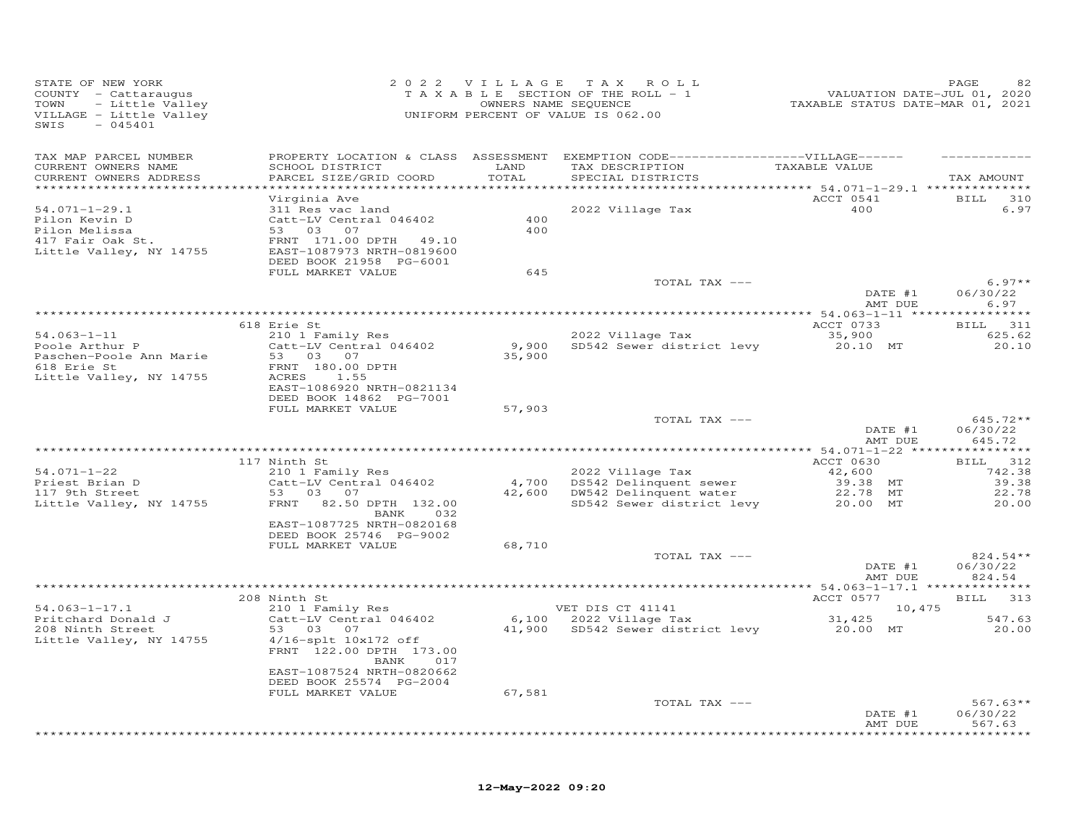| STATE OF NEW YORK<br>COUNTY - Cattaraugus<br>- Little Valley<br>TOWN<br>VILLAGE - Little Valley<br>$-045401$<br>SWIS |                                           |               | 2022 VILLAGE TAX ROLL<br>T A X A B L E SECTION OF THE ROLL - 1<br>OWNERS NAME SEQUENCE<br>UNIFORM PERCENT OF VALUE IS 062.00 | VALUATION DATE-JUL 01, 2020<br>TAXABLE STATUS DATE-MAR 01, 2021 | PAGE<br>82             |
|----------------------------------------------------------------------------------------------------------------------|-------------------------------------------|---------------|------------------------------------------------------------------------------------------------------------------------------|-----------------------------------------------------------------|------------------------|
| TAX MAP PARCEL NUMBER                                                                                                |                                           |               | PROPERTY LOCATION & CLASS ASSESSMENT EXEMPTION CODE-----------------VILLAGE------                                            |                                                                 |                        |
| CURRENT OWNERS NAME<br>CURRENT OWNERS ADDRESS                                                                        | SCHOOL DISTRICT<br>PARCEL SIZE/GRID COORD | LAND<br>TOTAL | TAX DESCRIPTION<br>SPECIAL DISTRICTS                                                                                         | TAXABLE VALUE                                                   | TAX AMOUNT             |
| ***********************                                                                                              |                                           |               |                                                                                                                              |                                                                 |                        |
| $54.071 - 1 - 29.1$                                                                                                  | Virginia Ave<br>311 Res vac land          |               | 2022 Village Tax                                                                                                             | ACCT 0541<br>400                                                | BILL 310<br>6.97       |
| Pilon Kevin D                                                                                                        | Catt-LV Central 046402                    | 400           |                                                                                                                              |                                                                 |                        |
| Pilon Melissa                                                                                                        | 53 03 07                                  | 400           |                                                                                                                              |                                                                 |                        |
| 417 Fair Oak St.                                                                                                     | FRNT 171.00 DPTH 49.10                    |               |                                                                                                                              |                                                                 |                        |
| Little Valley, NY 14755                                                                                              | EAST-1087973 NRTH-0819600                 |               |                                                                                                                              |                                                                 |                        |
|                                                                                                                      | DEED BOOK 21958 PG-6001                   | 645           |                                                                                                                              |                                                                 |                        |
|                                                                                                                      | FULL MARKET VALUE                         |               | TOTAL TAX ---                                                                                                                |                                                                 | $6.97**$               |
|                                                                                                                      |                                           |               |                                                                                                                              | DATE #1                                                         | 06/30/22               |
|                                                                                                                      |                                           |               |                                                                                                                              | AMT DUE                                                         | 6.97                   |
|                                                                                                                      |                                           |               |                                                                                                                              |                                                                 |                        |
|                                                                                                                      | 618 Erie St                               |               |                                                                                                                              | ACCT 0733                                                       | BILL 311               |
| $54.063 - 1 - 11$                                                                                                    | 210 1 Family Res                          |               | 2022 Village Tax                                                                                                             | 35,900                                                          | 625.62                 |
| Poole Arthur P                                                                                                       | Catt-LV Central 046402                    |               | 9,900 SD542 Sewer district levy                                                                                              | 20.10 MT                                                        | 20.10                  |
| Paschen-Poole Ann Marie<br>618 Erie St                                                                               | 53 03 07<br>FRNT 180.00 DPTH              | 35,900        |                                                                                                                              |                                                                 |                        |
| Little Valley, NY 14755                                                                                              | ACRES<br>1.55                             |               |                                                                                                                              |                                                                 |                        |
|                                                                                                                      | EAST-1086920 NRTH-0821134                 |               |                                                                                                                              |                                                                 |                        |
|                                                                                                                      | DEED BOOK 14862 PG-7001                   |               |                                                                                                                              |                                                                 |                        |
|                                                                                                                      | FULL MARKET VALUE                         | 57,903        |                                                                                                                              |                                                                 |                        |
|                                                                                                                      |                                           |               | TOTAL TAX ---                                                                                                                | DATE #1                                                         | $645.72**$<br>06/30/22 |
|                                                                                                                      |                                           |               |                                                                                                                              | AMT DUE                                                         | 645.72                 |
|                                                                                                                      |                                           |               |                                                                                                                              |                                                                 |                        |
|                                                                                                                      | 117 Ninth St                              |               |                                                                                                                              | ACCT 0630                                                       | BILL 312               |
| $54.071 - 1 - 22$                                                                                                    | 210 1 Family Res                          |               | 2022 Village Tax                                                                                                             | 42,600                                                          | 742.38                 |
| Priest Brian D                                                                                                       | Catt-LV Central 046402                    | 4,700         | DS542 Delinquent sewer                                                                                                       | 39.38 MT                                                        | 39.38                  |
| 117 9th Street                                                                                                       | 53 03 07                                  |               | 42,600 DW542 Delinquent water                                                                                                | 22.78 MT                                                        | 22.78                  |
| Little Valley, NY 14755                                                                                              | FRNT 82.50 DPTH 132.00<br>BANK<br>032     |               | SD542 Sewer district levy                                                                                                    | 20.00 MT                                                        | 20.00                  |
|                                                                                                                      | EAST-1087725 NRTH-0820168                 |               |                                                                                                                              |                                                                 |                        |
|                                                                                                                      | DEED BOOK 25746 PG-9002                   |               |                                                                                                                              |                                                                 |                        |
|                                                                                                                      | FULL MARKET VALUE                         | 68,710        |                                                                                                                              |                                                                 |                        |
|                                                                                                                      |                                           |               | TOTAL TAX ---                                                                                                                |                                                                 | $824.54**$             |
|                                                                                                                      |                                           |               |                                                                                                                              | DATE #1                                                         | 06/30/22               |
|                                                                                                                      |                                           |               |                                                                                                                              | AMT DUE                                                         | 824.54                 |
|                                                                                                                      | 208 Ninth St                              |               |                                                                                                                              | ACCT 0577                                                       | BILL 313               |
| $54.063 - 1 - 17.1$                                                                                                  | 210 1 Family Res                          |               | VET DIS CT 41141                                                                                                             | 10,475                                                          |                        |
| Pritchard Donald J                                                                                                   | Catt-LV Central 046402                    |               | 6,100 2022 Village Tax                                                                                                       | 31,425                                                          | 547.63                 |
| 208 Ninth Street                                                                                                     | 53 03<br>07                               |               | 41,900 SD542 Sewer district levy                                                                                             | 20.00 MT                                                        | 20.00                  |
| Little Valley, NY 14755                                                                                              | $4/16$ -splt $10x172$ off                 |               |                                                                                                                              |                                                                 |                        |
|                                                                                                                      | FRNT 122.00 DPTH 173.00                   |               |                                                                                                                              |                                                                 |                        |
|                                                                                                                      | BANK<br>017<br>EAST-1087524 NRTH-0820662  |               |                                                                                                                              |                                                                 |                        |
|                                                                                                                      | DEED BOOK 25574 PG-2004                   |               |                                                                                                                              |                                                                 |                        |
|                                                                                                                      | FULL MARKET VALUE                         | 67,581        |                                                                                                                              |                                                                 |                        |
|                                                                                                                      |                                           |               | TOTAL TAX ---                                                                                                                |                                                                 | $567.63**$             |
|                                                                                                                      |                                           |               |                                                                                                                              | DATE #1                                                         | 06/30/22               |
|                                                                                                                      |                                           |               |                                                                                                                              | AMT DUE                                                         | 567.63                 |
|                                                                                                                      |                                           |               |                                                                                                                              |                                                                 |                        |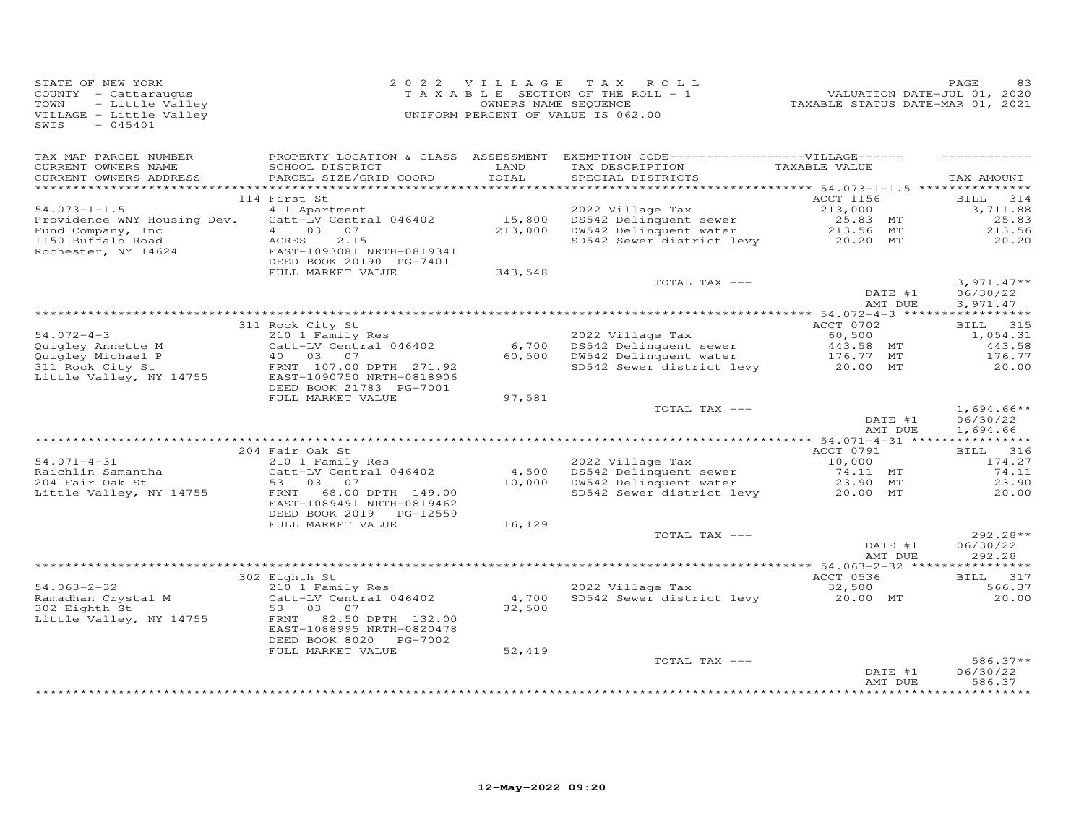| STATE OF NEW YORK<br>COUNTY - Cattaraugus<br>TOWN<br>- Little Valley<br>VILLAGE - Little Valley<br>$-045401$<br>SWIS |                                                        |         | 2022 VILLAGE TAX ROLL<br>TAXABLE SECTION OF THE ROLL - 1<br>OWNERS NAME SEQUENCE<br>UNIFORM PERCENT OF VALUE IS 062.00 | VALUATION DATE-JUL 01, 2020<br>TAXABLE STATUS DATE-MAR 01, 2021 | PAGE<br>83                     |
|----------------------------------------------------------------------------------------------------------------------|--------------------------------------------------------|---------|------------------------------------------------------------------------------------------------------------------------|-----------------------------------------------------------------|--------------------------------|
| TAX MAP PARCEL NUMBER<br>CURRENT OWNERS NAME                                                                         | SCHOOL DISTRICT                                        | LAND    | PROPERTY LOCATION & CLASS ASSESSMENT EXEMPTION CODE-----------------VILLAGE------<br>TAX DESCRIPTION                   | TAXABLE VALUE                                                   |                                |
| CURRENT OWNERS ADDRESS                                                                                               | PARCEL SIZE/GRID COORD                                 | TOTAL   | SPECIAL DISTRICTS                                                                                                      |                                                                 | TAX AMOUNT                     |
|                                                                                                                      | 114 First St                                           |         |                                                                                                                        | ACCT 1156                                                       | BILL 314                       |
| $54.073 - 1 - 1.5$                                                                                                   | 411 Apartment                                          |         | 2022 Village Tax                                                                                                       | 213,000                                                         | 3,711.88                       |
| Providence WNY Housing Dev.                                                                                          | Catt-LV Central 046402                                 |         | 15,800 DS542 Delinquent sewer                                                                                          | 25.83 MT                                                        | 25.83                          |
| Fund Company, Inc                                                                                                    | 41 03 07                                               | 213,000 | DW542 Delinquent water                                                                                                 | 213.56 MT                                                       | 213.56                         |
| 1150 Buffalo Road<br>Rochester, NY 14624                                                                             | ACRES<br>2.15<br>EAST-1093081 NRTH-0819341             |         | SD542 Sewer district levy 20.20 MT                                                                                     |                                                                 | 20.20                          |
|                                                                                                                      | DEED BOOK 20190 PG-7401                                |         |                                                                                                                        |                                                                 |                                |
|                                                                                                                      | FULL MARKET VALUE                                      | 343,548 | TOTAL TAX ---                                                                                                          |                                                                 | $3,971.47**$                   |
|                                                                                                                      |                                                        |         |                                                                                                                        | DATE #1<br>AMT DUE                                              | 06/30/22<br>3,971.47           |
|                                                                                                                      |                                                        |         |                                                                                                                        |                                                                 |                                |
|                                                                                                                      | 311 Rock City St                                       |         |                                                                                                                        | ACCT 0702                                                       | BILL 315                       |
| $54.072 - 4 - 3$                                                                                                     | 210 1 Family Res                                       |         | 2022 Village Tax                                                                                                       | 60,500<br>443.58 MT                                             | 1,054.31                       |
| Quigley Annette M                                                                                                    | Catt-LV Central 046402                                 | 6,700   | DS542 Delinquent sewer                                                                                                 |                                                                 | 443.58                         |
| Quigley Michael P<br>311 Rock City St                                                                                | 40 03 07<br>FRNT 107.00 DPTH 271.92                    |         | 60,500 DW542 Delinquent water 176.77 MT<br>SD542 Sever district levy 20.00 MT                                          |                                                                 | 176.77<br>20.00                |
| Little Valley, NY 14755                                                                                              | EAST-1090750 NRTH-0818906<br>DEED BOOK 21783 PG-7001   |         |                                                                                                                        |                                                                 |                                |
|                                                                                                                      | FULL MARKET VALUE                                      | 97,581  |                                                                                                                        |                                                                 |                                |
|                                                                                                                      |                                                        |         | TOTAL TAX ---                                                                                                          | DATE #1                                                         | $1,694.66**$<br>06/30/22       |
|                                                                                                                      |                                                        |         |                                                                                                                        | AMT DUE                                                         | 1,694.66                       |
|                                                                                                                      | 204 Fair Oak St                                        |         |                                                                                                                        | ACCT 0791                                                       | BILL 316                       |
| $54.071 - 4 - 31$                                                                                                    | 210 1 Family Res                                       |         | 2022 Village Tax                                                                                                       | 10,000                                                          | 174.27                         |
| Raichlin Samantha                                                                                                    | Catt-LV Central 046402                                 | 4,500   | DS542 Delinquent sewer                                                                                                 | 74.11 MT                                                        | 74.11                          |
| 204 Fair Oak St                                                                                                      | 53 03 07                                               |         | 10,000 DW542 Delinquent water                                                                                          | 23.90 MT                                                        | 23.90                          |
| Little Valley, NY 14755                                                                                              | FRNT<br>68.00 DPTH 149.00<br>EAST-1089491 NRTH-0819462 |         | SD542 Sewer district levy                                                                                              | 20.00 MT                                                        | 20.00                          |
|                                                                                                                      | DEED BOOK 2019 PG-12559<br>FULL MARKET VALUE           | 16,129  |                                                                                                                        |                                                                 |                                |
|                                                                                                                      |                                                        |         | TOTAL TAX ---                                                                                                          |                                                                 | 292.28**                       |
|                                                                                                                      |                                                        |         |                                                                                                                        | DATE #1<br>AMT DUE                                              | 06/30/22<br>292.28             |
|                                                                                                                      |                                                        |         |                                                                                                                        |                                                                 |                                |
|                                                                                                                      | 302 Eighth St                                          |         |                                                                                                                        | ACCT 0536                                                       | BILL 317                       |
| $54.063 - 2 - 32$                                                                                                    | 210 1 Family Res<br>Catt-LV Central 046402             | 4,700   | 2022 Village Tax<br>SD542 Sewer district levy                                                                          | 32,500<br>20.00 MT                                              | 566.37<br>20.00                |
| Ramadhan Crystal M<br>302 Eighth St<br>Little Valley, NY 14755                                                       | 53 03 07<br>82.50 DPTH 132.00<br>FRNT                  | 32,500  |                                                                                                                        |                                                                 |                                |
|                                                                                                                      | EAST-1088995 NRTH-0820478<br>DEED BOOK 8020 PG-7002    |         |                                                                                                                        |                                                                 |                                |
|                                                                                                                      | FULL MARKET VALUE                                      | 52,419  |                                                                                                                        |                                                                 |                                |
|                                                                                                                      |                                                        |         | TOTAL TAX ---                                                                                                          | DATE #1<br>AMT DUE                                              | 586.37**<br>06/30/22<br>586.37 |
|                                                                                                                      |                                                        |         |                                                                                                                        |                                                                 |                                |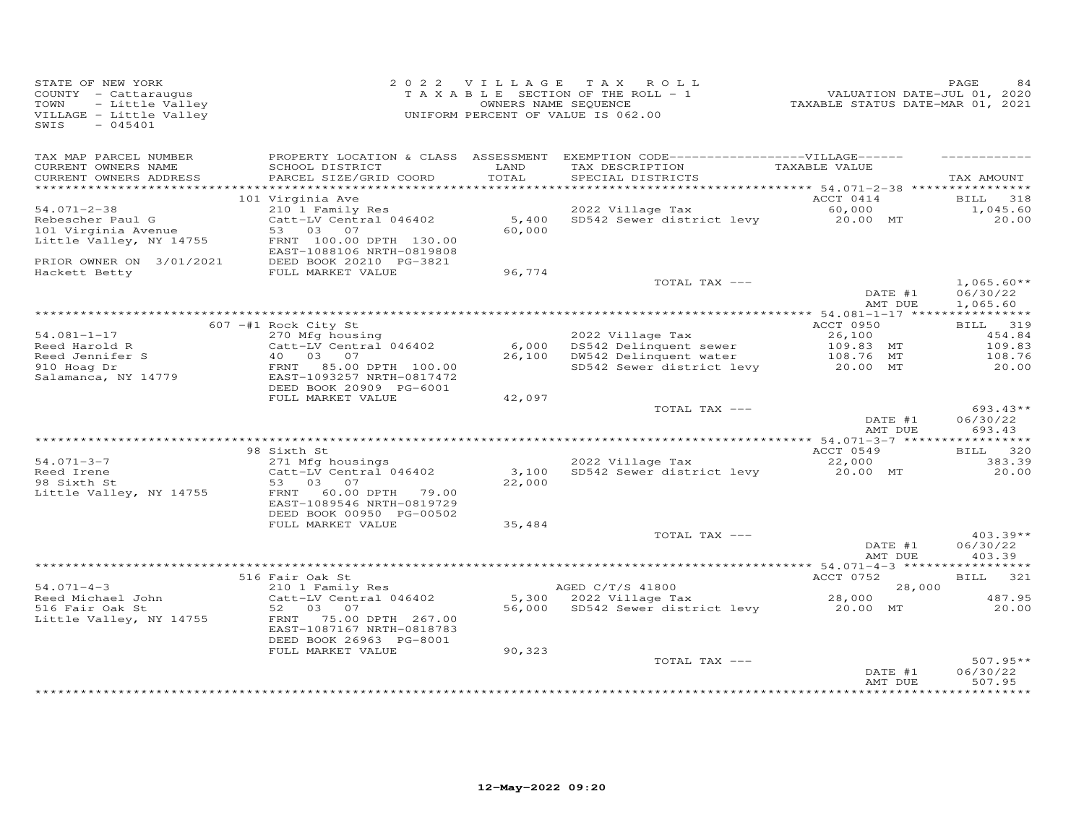| STATE OF NEW YORK<br>COUNTY - Cattaraugus<br>TOWN<br>- Little Valley<br>VILLAGE - Little Valley<br>$-045401$<br>SWIS |                                                                                   |               | 2022 VILLAGE TAX ROLL<br>TAXABLE SECTION OF THE ROLL - 1<br>OWNERS NAME SEQUENCE<br>UNIFORM PERCENT OF VALUE IS 062.00    | -------<br>2020, VALUATION DATE-JUL 01, 2020<br>2021, TAXABLE STATUS DATE-MAR 01, 2021 | PAGE<br>84                           |
|----------------------------------------------------------------------------------------------------------------------|-----------------------------------------------------------------------------------|---------------|---------------------------------------------------------------------------------------------------------------------------|----------------------------------------------------------------------------------------|--------------------------------------|
| TAX MAP PARCEL NUMBER                                                                                                |                                                                                   |               | PROPERTY LOCATION & CLASS ASSESSMENT EXEMPTION CODE------------------VILLAGE------                                        |                                                                                        |                                      |
| CURRENT OWNERS NAME<br>CURRENT OWNERS ADDRESS                                                                        | SCHOOL DISTRICT<br>PARCEL SIZE/GRID COORD                                         | LAND<br>TOTAL | TAX DESCRIPTION<br>SPECIAL DISTRICTS                                                                                      | TAXABLE VALUE                                                                          | TAX AMOUNT                           |
|                                                                                                                      |                                                                                   |               |                                                                                                                           |                                                                                        |                                      |
| $54.071 - 2 - 38$                                                                                                    | 101 Virginia Ave                                                                  |               | 2022 Village Tax                                                                                                          | ACCT 0414                                                                              | BILL 318<br>1,045.60                 |
| Rebescher Paul G                                                                                                     | 210 1 Family Res<br>Catt-LV Central 046402                                        |               | 5,400 SD542 Sewer district levy                                                                                           | 60,000<br>20.00 MT                                                                     | 20.00                                |
| 101 Virginia Avenue                                                                                                  | 53 03 07                                                                          | 60,000        |                                                                                                                           |                                                                                        |                                      |
| Little Valley, NY 14755                                                                                              | FRNT 100.00 DPTH 130.00<br>EAST-1088106 NRTH-0819808                              |               |                                                                                                                           |                                                                                        |                                      |
| PRIOR OWNER ON 3/01/2021                                                                                             | DEED BOOK 20210 PG-3821                                                           |               |                                                                                                                           |                                                                                        |                                      |
| Hackett Betty                                                                                                        | FULL MARKET VALUE                                                                 | 96,774        |                                                                                                                           |                                                                                        |                                      |
|                                                                                                                      |                                                                                   |               | TOTAL TAX ---                                                                                                             | DATE #1<br>AMT DUE                                                                     | $1,065.60**$<br>06/30/22<br>1,065.60 |
|                                                                                                                      |                                                                                   |               |                                                                                                                           |                                                                                        |                                      |
|                                                                                                                      | 607 -#1 Rock City St                                                              |               |                                                                                                                           | ACCT 0950                                                                              | BILL 319                             |
| $54.081 - 1 - 17$                                                                                                    | 270 Mfg housing                                                                   |               |                                                                                                                           |                                                                                        | 454.84                               |
| Reed Harold R                                                                                                        | $Catt-LV$ Central 046402                                                          |               | 6,000 DS542 Delinquent sewer<br>26,100 DW542 Delinquent water                                                             |                                                                                        | 109.83                               |
| Reed Jennifer S<br>910 Hoag Dr                                                                                       | 40  03  07<br>FRNT 85.00 DPTH 100.00                                              |               | 2022 Village Tax<br>DS542 Delinquent sewer<br>DW542 Delinquent water<br>SD542 Sewer district levy<br>20.00 MT<br>20.00 MT |                                                                                        | 108.76<br>20.00                      |
| Salamanca, NY 14779                                                                                                  | EAST-1093257 NRTH-0817472<br>DEED BOOK 20909 PG-6001                              |               |                                                                                                                           |                                                                                        |                                      |
|                                                                                                                      | FULL MARKET VALUE                                                                 | 42,097        |                                                                                                                           |                                                                                        |                                      |
|                                                                                                                      |                                                                                   |               | TOTAL TAX ---                                                                                                             | DATE #1                                                                                | $693.43**$<br>06/30/22               |
|                                                                                                                      |                                                                                   |               |                                                                                                                           | AMT DUE                                                                                | 693.43                               |
|                                                                                                                      | 98 Sixth St                                                                       |               |                                                                                                                           | ACCT 0549                                                                              | BILL 320                             |
| $54.071 - 3 - 7$                                                                                                     | 271 Mfg housings                                                                  |               | 2022 Village Tax                                                                                                          | 22,000                                                                                 | 383.39                               |
| Reed Irene                                                                                                           | Catt-LV Central 046402                                                            | 3,100         | SD542 Sewer district levy                                                                                                 | 20.00 MT                                                                               | 20.00                                |
| 98 Sixth St                                                                                                          | 53 03 07                                                                          | 22,000        |                                                                                                                           |                                                                                        |                                      |
| Little Valley, NY 14755                                                                                              | 60.00 DPTH 79.00<br>FRNT                                                          |               |                                                                                                                           |                                                                                        |                                      |
|                                                                                                                      | EAST-1089546 NRTH-0819729<br>DEED BOOK 00950 PG-00502                             |               |                                                                                                                           |                                                                                        |                                      |
|                                                                                                                      | FULL MARKET VALUE                                                                 | 35,484        |                                                                                                                           |                                                                                        |                                      |
|                                                                                                                      |                                                                                   |               | TOTAL TAX ---                                                                                                             |                                                                                        | $403.39**$                           |
|                                                                                                                      |                                                                                   |               |                                                                                                                           | DATE #1<br>AMT DUE                                                                     | 06/30/22<br>403.39                   |
|                                                                                                                      |                                                                                   |               |                                                                                                                           |                                                                                        |                                      |
| $54.071 - 4 - 3$                                                                                                     | 516 Fair Oak St<br>210 1 Family Res                                               |               | AGED C/T/S 41800                                                                                                          | ACCT 0752<br>28,000                                                                    | BILL 321                             |
| Reed Michael John                                                                                                    | Catt-LV Central 046402                                                            |               | 5,300 2022 Village Tax                                                                                                    | 28,000                                                                                 | 487.95                               |
| 516 Fair Oak St                                                                                                      | 52 03 07                                                                          |               | 56,000 SD542 Sewer district levy 20.00 MT                                                                                 |                                                                                        | 20.00                                |
| Little Valley, NY 14755                                                                                              | 75.00 DPTH 267.00<br>FRNT<br>EAST-1087167 NRTH-0818783<br>DEED BOOK 26963 PG-8001 |               |                                                                                                                           |                                                                                        |                                      |
|                                                                                                                      | FULL MARKET VALUE                                                                 | 90,323        |                                                                                                                           |                                                                                        |                                      |
|                                                                                                                      |                                                                                   |               | TOTAL TAX ---                                                                                                             |                                                                                        | $507.95**$                           |
|                                                                                                                      |                                                                                   |               |                                                                                                                           | DATE #1<br>AMT DUE                                                                     | 06/30/22<br>507.95                   |
|                                                                                                                      |                                                                                   |               |                                                                                                                           |                                                                                        | **********                           |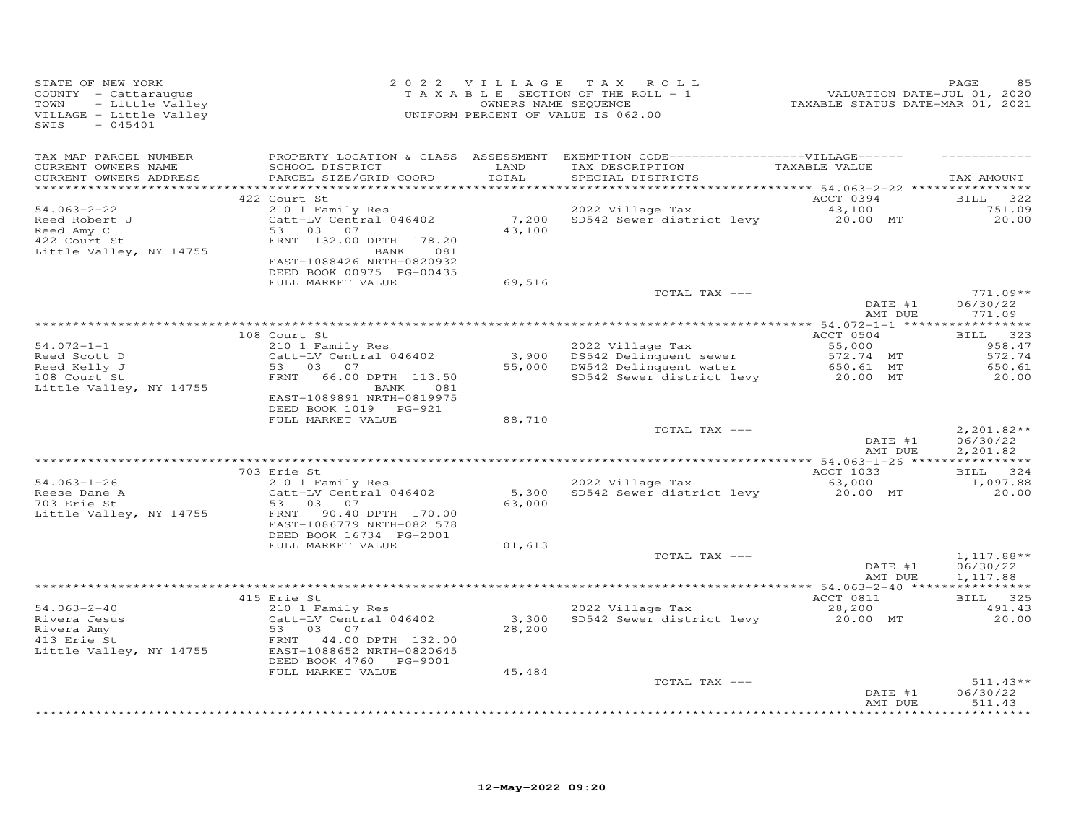| STATE OF NEW YORK<br>COUNTY - Cattaraugus<br>TOWN<br>- Little Valley<br>VILLAGE - Little Valley<br>SWIS<br>$-045401$ |                                                                                                                                                                                       |                  | 2022 VILLAGE TAX ROLL<br>$T$ A X A B L E SECTION OF THE ROLL - 1<br>OWNERS NAME SEQUENCE<br>UNIFORM PERCENT OF VALUE IS 062.00              | 2020<br>VALUATION DATE-JUL 01, 2020<br>TAXABLE STATUS DATE-MAR 01, 2021 | PAGE                                            |
|----------------------------------------------------------------------------------------------------------------------|---------------------------------------------------------------------------------------------------------------------------------------------------------------------------------------|------------------|---------------------------------------------------------------------------------------------------------------------------------------------|-------------------------------------------------------------------------|-------------------------------------------------|
| TAX MAP PARCEL NUMBER<br>CURRENT OWNERS NAME<br>CURRENT OWNERS ADDRESS                                               | SCHOOL DISTRICT<br>PARCEL SIZE/GRID COORD                                                                                                                                             | LAND<br>TOTAL    | PROPERTY LOCATION & CLASS ASSESSMENT EXEMPTION CODE------------------VILLAGE------<br>TAX DESCRIPTION TAXABLE VALUE<br>SPECIAL DISTRICTS    |                                                                         | TAX AMOUNT                                      |
| 54.063-2-22<br>Reed Robert J<br>Reed Amy C<br>422 Court St                                                           | 422 Court St<br>210 1 Family Res<br>Catt-LV Central 046402<br>53 03 07<br>FRNT 132.00 DPTH 178.20                                                                                     | 43,100           | ACCI US94<br>2022 Village Tax 43,100<br>7,200 SD542 Sewer district levy 20.00 MT                                                            | ACCT 0394                                                               | BILL 322<br>751.09<br>20.00                     |
| Little Valley, NY 14755                                                                                              | BANK 081<br>EAST-1088426 NRTH-0820932<br>DEED BOOK 00975 PG-00435<br>FULL MARKET VALUE                                                                                                | 69,516           | TOTAL TAX ---                                                                                                                               |                                                                         | $771.09**$                                      |
|                                                                                                                      |                                                                                                                                                                                       |                  |                                                                                                                                             | $\overline{DATE}$ #1<br>AMT DUE                                         | 06/30/22<br>771.09                              |
| Little Valley, NY 14755                                                                                              | 108 Court St<br>210 1 Family Res<br>Catt-LV Central 046402<br>53 03 07<br>FRNT 66.00 DPTH 113.50<br>BANK 081<br>EAST-1089891 NRTH-0819975<br>DEED BOOK 1019 PG-921                    |                  | 2022 Village Tax<br>3,900 DS542 Delinquent sewer 572.74 MT<br>55,000 DW542 Delinquent water 650.61 MT<br>SD542 Sewer district levy 20.00 MT | ACCT 0504                                                               | BILL 323<br>958.47<br>572.74<br>650.61<br>20.00 |
|                                                                                                                      | FULL MARKET VALUE                                                                                                                                                                     | 88,710           | TOTAL TAX ---                                                                                                                               | DATE #1<br>AMT DUE                                                      | $2,201.82**$<br>06/30/22<br>2,201.82            |
|                                                                                                                      | 703 Erie St                                                                                                                                                                           |                  |                                                                                                                                             |                                                                         | BILL 324                                        |
| $54.063 - 1 - 26$<br>Reese Dane A<br>703 Erie St<br>Little Valley, NY 14755                                          | 210 1 Family Res<br>Catt-LV Central 046402<br>53 03 07<br>FRNT 90.40 DPTH 170.00<br>EAST-1086779 NRTH-0821578<br>DEED BOOK 16734 PG-2001                                              | 63,000           | 2022 Village Tax<br>2022 Village Tax 63,000<br>5,300 SD542 Sewer district levy 20.00 MT                                                     | ACCT 1033                                                               | 1,097.88<br>20.00                               |
|                                                                                                                      | FULL MARKET VALUE                                                                                                                                                                     | 101,613          | TOTAL TAX ---                                                                                                                               | DATE #1                                                                 | $1,117.88**$<br>06/30/22                        |
|                                                                                                                      |                                                                                                                                                                                       |                  |                                                                                                                                             | AMT DUE                                                                 | 1,117.88                                        |
| $54.063 - 2 - 40$<br>Fivera Jesus<br>Rivera Amy<br>413 Erie St<br>Little Valley, NY 14755                            | 415 Erie St<br>Effe Sc<br>210 1 Family Res<br>Catt-LV Central 046402<br>53 03 07<br>FRNT 44.00 D7H 132.00<br>EAST-1088652 NRTH-0820645<br>DEED BOOK 4760 PG-9001<br>FULL MARKET VALUE | 28,200<br>45,484 | 2022 Village Tax<br>3,300 SD542 Sewer district levy                                                                                         | ACCT 0811<br>28,200<br>20.00 MT                                         | BILL 325<br>491.43<br>20.00                     |
|                                                                                                                      |                                                                                                                                                                                       |                  | TOTAL TAX ---                                                                                                                               | DATE #1<br>AMT DUE                                                      | $511.43**$<br>06/30/22<br>511.43                |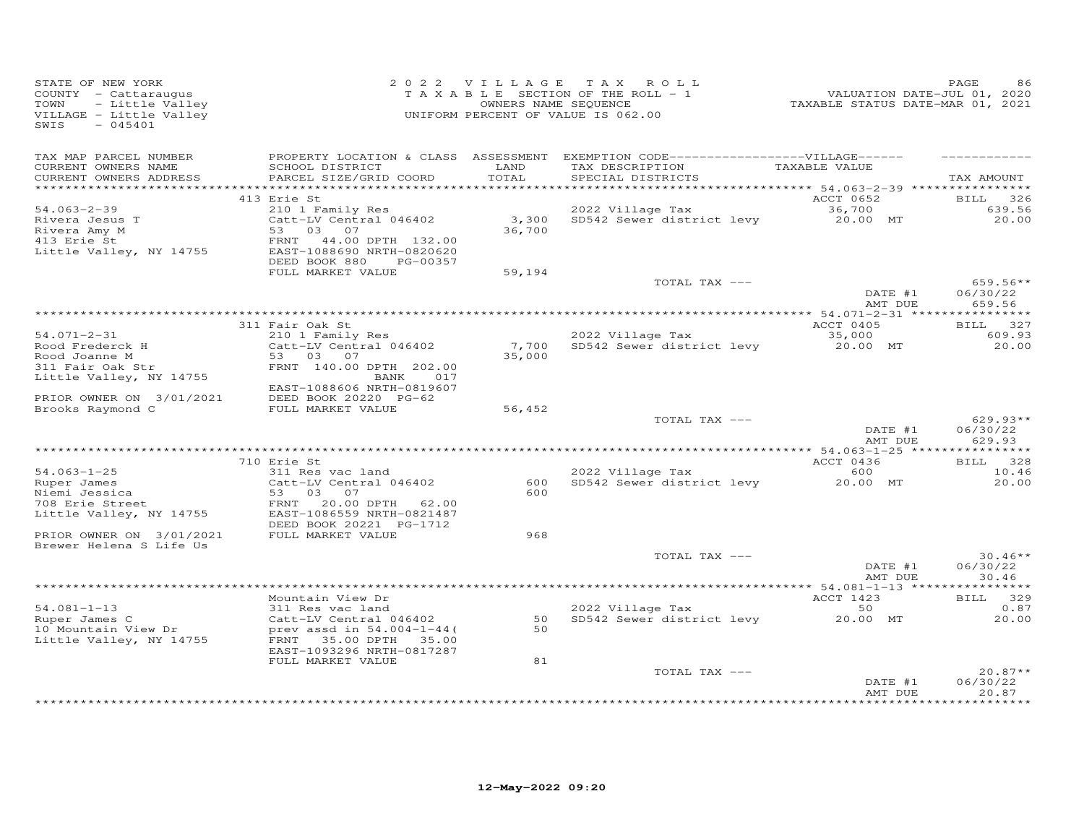| STATE OF NEW YORK<br>COUNTY - Cattaraugus<br>- Little Valley<br>TOWN<br>VILLAGE - Little Valley<br>$-045401$<br>SWIS                                              |                                                                                                                                                                                   |                           | 2022 VILLAGE TAX ROLL<br>TAXABLE SECTION OF THE ROLL - 1<br>OWNERS NAME SEQUENCE<br>UNIFORM PERCENT OF VALUE IS 062.00     | -------<br>TAXABLE STATUS DATE-JUL 01, 2020<br>TAXABLE STATUS DATE-MAR 01, 2021 | PAGE<br>86                                    |
|-------------------------------------------------------------------------------------------------------------------------------------------------------------------|-----------------------------------------------------------------------------------------------------------------------------------------------------------------------------------|---------------------------|----------------------------------------------------------------------------------------------------------------------------|---------------------------------------------------------------------------------|-----------------------------------------------|
| TAX MAP PARCEL NUMBER<br>CURRENT OWNERS NAME<br>CURRENT OWNERS ADDRESS                                                                                            | SCHOOL DISTRICT<br>PARCEL SIZE/GRID COORD                                                                                                                                         | LAND<br>TOTAL             | PROPERTY LOCATION & CLASS ASSESSMENT EXEMPTION CODE------------------VILLAGE------<br>TAX DESCRIPTION<br>SPECIAL DISTRICTS | TAXABLE VALUE                                                                   | TAX AMOUNT                                    |
| $54.063 - 2 - 39$<br>Rivera Jesus T<br>Rivera Amy M<br>413 Erie St<br>Little Valley, NY 14755                                                                     | 413 Erie St<br>210 1 Family Res<br>Catt-LV Central 046402<br>53 03 07<br>FRNT<br>44.00 DPTH 132.00<br>EAST-1088690 NRTH-0820620<br>DEED BOOK 880<br>PG-00357<br>FULL MARKET VALUE | 3,300<br>36,700<br>59,194 | 2022 Village Tax<br>SD542 Sewer district levy                                                                              | ACCT 0652<br>36,700<br>20.00 MT                                                 | 326<br><b>BILL</b><br>639.56<br>20.00         |
|                                                                                                                                                                   |                                                                                                                                                                                   |                           | TOTAL TAX ---                                                                                                              | DATE #1<br>AMT DUE                                                              | $659.56**$<br>06/30/22<br>659.56              |
| $54.071 - 2 - 31$<br>Rood Frederck H<br>Rood Joanne M<br>311 Fair Oak Str<br>Little Valley, NY 14755<br>PRIOR OWNER ON 3/01/2021                                  | 311 Fair Oak St<br>210 1 Family Res<br>Catt-LV Central 046402<br>53 03 07<br>FRNT 140.00 DPTH 202.00<br>BANK 017<br>EAST-1088606 NRTH-0819607<br>DEED BOOK 20220 PG-62            | 7,700<br>35,000           | 2022 Village Tax<br>SD542 Sewer district levy                                                                              | ACCT 0405<br>35,000<br>20.00 MT                                                 | BILL 327<br>609.93<br>20.00                   |
| Brooks Raymond C                                                                                                                                                  | FULL MARKET VALUE                                                                                                                                                                 | 56,452                    | TOTAL TAX ---                                                                                                              | DATE #1<br>AMT DUE                                                              | $629.93**$<br>06/30/22<br>629.93              |
| $54.063 - 1 - 25$<br>Ruper James<br>- Jessica<br>708 Erie Street<br>Little View<br>Little Valley, NY 14755<br>PRIOR OWNER ON 3/01/2021<br>Brewer Helena S Life Us | 710 Erie St<br>311 Res vac land<br>Catt-LV Central 046402<br>53 03 07<br>FRNT<br>20.00 DPTH 62.00<br>EAST-1086559 NRTH-0821487<br>DEED BOOK 20221 PG-1712<br>FULL MARKET VALUE    | 600<br>600<br>968         | 2022 Village Tax<br>SD542 Sewer district levy                                                                              | ACCT 0436<br>600<br>20.00 MT                                                    | BILL 328<br>10.46<br>20.00                    |
|                                                                                                                                                                   |                                                                                                                                                                                   |                           | TOTAL TAX ---                                                                                                              | DATE #1<br>AMT DUE                                                              | $30.46**$<br>06/30/22<br>30.46                |
| $54.081 - 1 - 13$<br>Ruper James C<br>10 Mountain View Dr<br>Little Valley, NY 14755                                                                              | Mountain View Dr<br>311 Res vac land<br>Catt-LV Central 046402<br>prev assd in 54.004-1-44(<br>FRNT 35.00 DPTH 35.00<br>EAST-1093296 NRTH-0817287                                 | 50<br>50                  | 2022 Village Tax<br>SD542 Sewer district levy 20.00 MT                                                                     | ACCT 1423<br>50                                                                 | BILL 329<br>0.87<br>20.00                     |
|                                                                                                                                                                   | FULL MARKET VALUE                                                                                                                                                                 | 81                        | TOTAL TAX ---                                                                                                              | DATE #1<br>AMT DUE                                                              | $20.87**$<br>06/30/22<br>20.87<br>* * * * * * |
|                                                                                                                                                                   |                                                                                                                                                                                   |                           |                                                                                                                            |                                                                                 |                                               |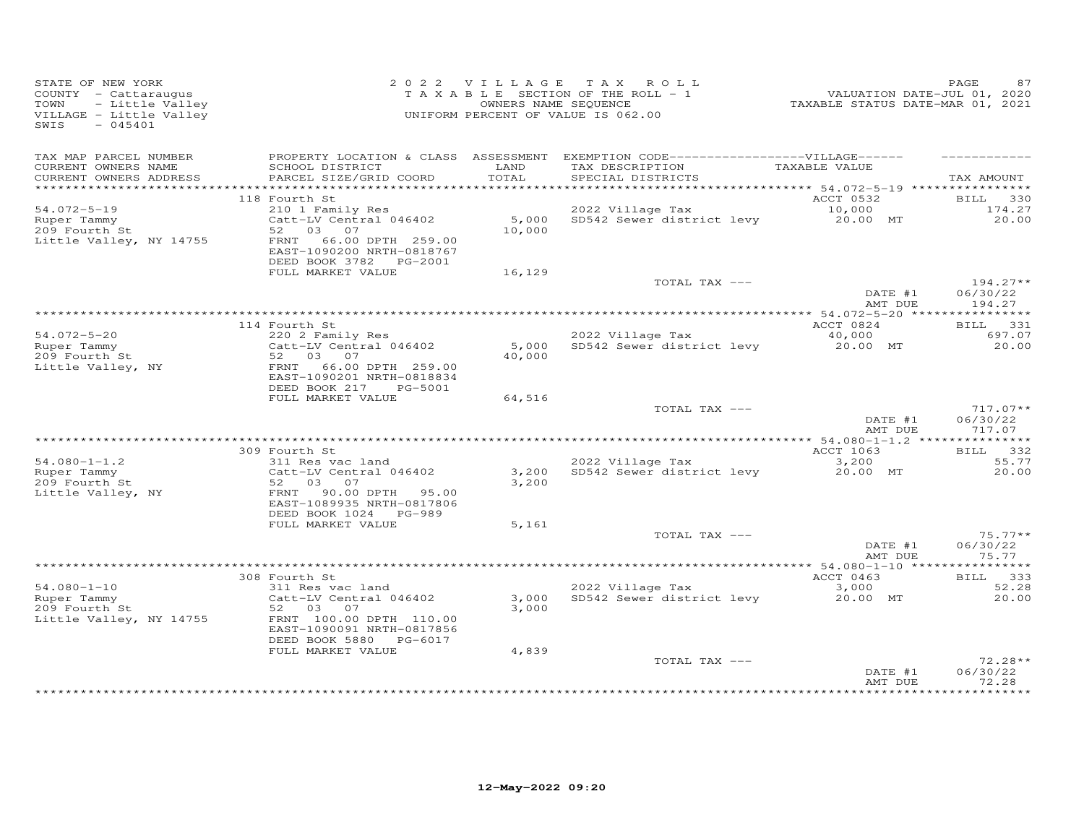| STATE OF NEW YORK<br>COUNTY - Cattaraugus<br>- Little Valley<br>TOWN<br>VILLAGE - Little Valley<br>$-045401$<br>SWIS |                                                                                                                                           | 2022 VILLAGE   | TAX ROLL<br>TAXABLE SECTION OF THE ROLL - 1<br>OWNERS NAME SEQUENCE<br>UNIFORM PERCENT OF VALUE IS 062.00                 | VALUATION DATE-JUL 01, 2020<br>TAXABLE STATUS DATE-MAR 01, 2021 | PAGE                                  |
|----------------------------------------------------------------------------------------------------------------------|-------------------------------------------------------------------------------------------------------------------------------------------|----------------|---------------------------------------------------------------------------------------------------------------------------|-----------------------------------------------------------------|---------------------------------------|
| TAX MAP PARCEL NUMBER<br>CURRENT OWNERS NAME<br>CURRENT OWNERS ADDRESS                                               | SCHOOL DISTRICT<br>PARCEL SIZE/GRID COORD                                                                                                 | LAND<br>TOTAL  | PROPERTY LOCATION & CLASS ASSESSMENT EXEMPTION CODE-----------------VILLAGE------<br>TAX DESCRIPTION<br>SPECIAL DISTRICTS | TAXABLE VALUE                                                   | TAX AMOUNT                            |
|                                                                                                                      |                                                                                                                                           |                |                                                                                                                           |                                                                 |                                       |
| $54.072 - 5 - 19$<br>Ruper Tammy<br>209 Fourth St<br>Little Valley, NY 14755                                         | 118 Fourth St<br>210 1 Family Res<br>Catt-LV Central 046402<br>52 03<br>07<br>FRNT 66.00 DPTH 259.00<br>EAST-1090200 NRTH-0818767         | 10,000         | 2022 Village Tax<br>5,000 SD542 Sewer district levy                                                                       | ACCT 0532<br>10,000<br>20.00 MT                                 | <b>BILL</b><br>330<br>174.27<br>20.00 |
|                                                                                                                      | DEED BOOK 3782 PG-2001<br>FULL MARKET VALUE                                                                                               | 16,129         |                                                                                                                           |                                                                 |                                       |
|                                                                                                                      |                                                                                                                                           |                | TOTAL TAX ---                                                                                                             | DATE #1<br>AMT DUE                                              | $194.27**$<br>06/30/22<br>194.27      |
|                                                                                                                      |                                                                                                                                           |                |                                                                                                                           |                                                                 |                                       |
|                                                                                                                      | 114 Fourth St                                                                                                                             |                |                                                                                                                           | ACCT 0824                                                       | BILL 331                              |
| $54.072 - 5 - 20$<br>Ruper Tammy<br>209 Fourth St<br>Little Valley, NY                                               | 220 2 Family Res<br>Catt-LV Central 046402<br>52 03 07<br>FRNT 66.00 DPTH 259.00<br>EAST-1090201 NRTH-0818834<br>DEED BOOK 217<br>PG-5001 | 40,000         | 2022 Village Tax<br>5,000 SD542 Sewer district levy                                                                       | 40,000<br>20.00 MT                                              | 697.07<br>20.00                       |
|                                                                                                                      | FULL MARKET VALUE                                                                                                                         | 64,516         |                                                                                                                           |                                                                 |                                       |
|                                                                                                                      |                                                                                                                                           |                | TOTAL TAX ---                                                                                                             | DATE #1<br>AMT DUE                                              | $717.07**$<br>06/30/22<br>717.07      |
|                                                                                                                      | 309 Fourth St                                                                                                                             |                |                                                                                                                           | ACCT 1063                                                       | BILL 332                              |
| $54.080 - 1 - 1.2$<br>Ruper Tammy<br>209 Fourth St<br>Little Valley, NY                                              | 311 Res vac land<br>Catt-LV Central 046402<br>52 03<br>07<br>FRNT<br>90.00 DPTH 95.00<br>EAST-1089935 NRTH-0817806                        | 3,200<br>3,200 | 2022 Village Tax<br>SD542 Sewer district levy                                                                             | 3,200<br>20.00 MT                                               | 55.77<br>20,00                        |
|                                                                                                                      | DEED BOOK 1024 PG-989<br>FULL MARKET VALUE                                                                                                | 5,161          |                                                                                                                           |                                                                 |                                       |
|                                                                                                                      |                                                                                                                                           |                | TOTAL TAX ---                                                                                                             | DATE #1<br>AMT DUE                                              | $75.77**$<br>06/30/22<br>75.77        |
|                                                                                                                      |                                                                                                                                           |                |                                                                                                                           |                                                                 |                                       |
| $54.080 - 1 - 10$                                                                                                    | 308 Fourth St<br>311 Res vac land                                                                                                         |                | 2022 Village Tax                                                                                                          | ACCT 0463<br>3,000                                              | BILL 333<br>52.28                     |
| Ruper Tammy<br>209 Fourth St<br>Little Valley, NY 14755                                                              | Catt-LV Central 046402<br>52 03<br>07<br>FRNT 100.00 DPTH 110.00<br>EAST-1090091 NRTH-0817856<br>DEED BOOK 5880<br>PG-6017                | 3,000<br>3,000 | SD542 Sewer district levy                                                                                                 | 20.00 MT                                                        | 20,00                                 |
|                                                                                                                      | FULL MARKET VALUE                                                                                                                         | 4,839          | TOTAL TAX ---                                                                                                             | DATE #1<br>AMT DUE                                              | $72.28**$<br>06/30/22<br>72.28        |
|                                                                                                                      |                                                                                                                                           |                |                                                                                                                           |                                                                 | *********                             |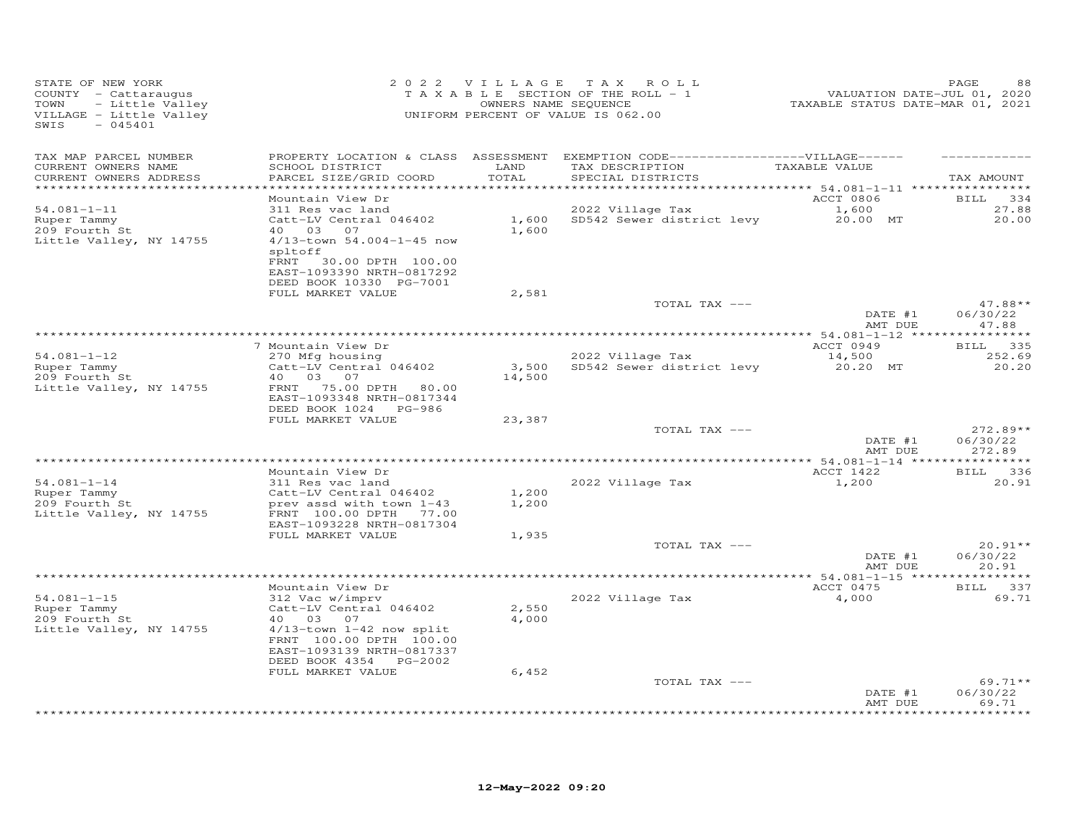| STATE OF NEW YORK<br>COUNTY - Cattaraugus<br>- Little Valley<br>TOWN<br>VILLAGE - Little Valley<br>$-045401$<br>SWIS |                                                                                                                                                                                              |                 | 2022 VILLAGE TAX ROLL<br>TAXABLE SECTION OF THE ROLL - 1<br>OWNERS NAME SEQUENCE<br>UNIFORM PERCENT OF VALUE IS 062.00    | VALUATION DATE-JUL 01, 2020<br>TAXABLE STATUS DATE-MAR 01, 2021 | PAGE                                 |
|----------------------------------------------------------------------------------------------------------------------|----------------------------------------------------------------------------------------------------------------------------------------------------------------------------------------------|-----------------|---------------------------------------------------------------------------------------------------------------------------|-----------------------------------------------------------------|--------------------------------------|
| TAX MAP PARCEL NUMBER<br>CURRENT OWNERS NAME<br>CURRENT OWNERS ADDRESS<br>***********************                    | SCHOOL DISTRICT<br>PARCEL SIZE/GRID COORD<br>*************************                                                                                                                       | LAND<br>TOTAL   | PROPERTY LOCATION & CLASS ASSESSMENT EXEMPTION CODE-----------------VILLAGE------<br>TAX DESCRIPTION<br>SPECIAL DISTRICTS | TAXABLE VALUE                                                   | TAX AMOUNT                           |
| $54.081 - 1 - 11$<br>Ruper Tammy<br>209 Fourth St<br>Little Valley, NY 14755                                         | Mountain View Dr<br>311 Res vac land<br>Catt-LV Central 046402<br>40 03 07<br>4/13-town 54.004-1-45 now<br>spltoff<br>30.00 DPTH 100.00<br>FRNT<br>EAST-1093390 NRTH-0817292                 | 1,600           | 2022 Village Tax<br>1,600 SD542 Sewer district levy 20.00 MT                                                              | ACCT 0806<br>1,600                                              | 334<br><b>BILL</b><br>27.88<br>20.00 |
|                                                                                                                      | DEED BOOK 10330 PG-7001<br>FULL MARKET VALUE                                                                                                                                                 | 2,581           | TOTAL TAX ---                                                                                                             | DATE #1<br>AMT DUE                                              | $47.88**$<br>06/30/22<br>47.88       |
|                                                                                                                      |                                                                                                                                                                                              |                 |                                                                                                                           |                                                                 |                                      |
| $54.081 - 1 - 12$<br>Ruper Tammy<br>209 Fourth St<br>Little Valley, NY 14755                                         | 7 Mountain View Dr<br>270 Mfg housing<br>Catt-LV Central 046402<br>40  03  07<br>FRNT 75.00 DPTH 80.00<br>EAST-1093348 NRTH-0817344                                                          | 3,500<br>14,500 | 2022 Village Tax<br>SD542 Sewer district levy 20.20 MT                                                                    | ACCT 0949<br>14,500                                             | BILL 335<br>252.69<br>20.20          |
|                                                                                                                      | DEED BOOK 1024 PG-986<br>FULL MARKET VALUE                                                                                                                                                   | 23,387          |                                                                                                                           |                                                                 |                                      |
|                                                                                                                      |                                                                                                                                                                                              |                 | TOTAL TAX ---                                                                                                             | DATE #1<br>AMT DUE                                              | $272.89**$<br>06/30/22<br>272.89     |
|                                                                                                                      |                                                                                                                                                                                              |                 |                                                                                                                           |                                                                 |                                      |
| $54.081 - 1 - 14$<br>Ruper Tammy<br>209 Fourth St<br>Little Valley, NY 14755                                         | Mountain View Dr<br>311 Res vac land<br>Catt-LV Central 046402<br>prev assd with town 1-43<br>FRNT 100.00 DPTH 77.00                                                                         | 1,200<br>1,200  | 2022 Village Tax                                                                                                          | ACCT 1422<br>1,200                                              | BILL 336<br>20.91                    |
|                                                                                                                      | EAST-1093228 NRTH-0817304<br>FULL MARKET VALUE                                                                                                                                               | 1,935           | TOTAL TAX ---                                                                                                             | DATE #1                                                         | $20.91**$<br>06/30/22                |
|                                                                                                                      |                                                                                                                                                                                              |                 |                                                                                                                           | AMT DUE                                                         | 20.91                                |
| $54.081 - 1 - 15$<br>Ruper Tammy<br>209 Fourth St<br>Little Valley, NY 14755                                         | Mountain View Dr<br>312 Vac w/imprv<br>Catt-LV Central 046402<br>40 03 07<br>$4/13$ -town $1-42$ now split<br>FRNT 100.00 DPTH 100.00<br>EAST-1093139 NRTH-0817337<br>DEED BOOK 4354 PG-2002 | 2,550<br>4,000  | 2022 Village Tax                                                                                                          | ACCT 0475<br>4,000                                              | BILL 337<br>69.71                    |
|                                                                                                                      | FULL MARKET VALUE                                                                                                                                                                            | 6,452           | TOTAL TAX ---                                                                                                             | DATE #1<br>AMT DUE                                              | $69.71**$<br>06/30/22<br>69.71       |
|                                                                                                                      |                                                                                                                                                                                              |                 |                                                                                                                           |                                                                 | *******                              |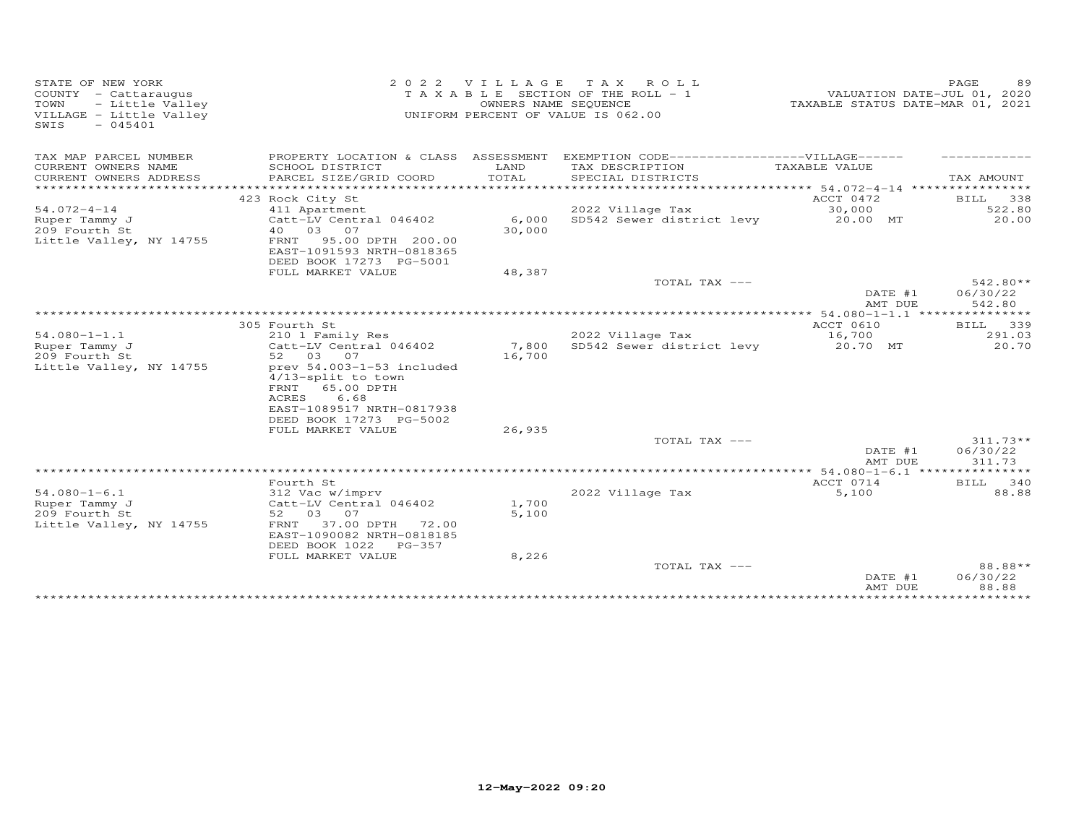| STATE OF NEW YORK<br>COUNTY - Cattaraugus<br>- Little Valley<br>TOWN<br>VILLAGE - Little Valley<br>SWIS<br>$-045401$ | 2 0 2 2                                                                                                                                                    | VILLAGE         | T A X<br>R O T. T.<br>T A X A B L E SECTION OF THE ROLL - 1<br>OWNERS NAME SEQUENCE<br>UNIFORM PERCENT OF VALUE IS 062.00 | VALUATION DATE-JUL 01, 2020<br>TAXABLE STATUS DATE-MAR 01, 2021 | 89<br>PAGE                       |
|----------------------------------------------------------------------------------------------------------------------|------------------------------------------------------------------------------------------------------------------------------------------------------------|-----------------|---------------------------------------------------------------------------------------------------------------------------|-----------------------------------------------------------------|----------------------------------|
| TAX MAP PARCEL NUMBER                                                                                                |                                                                                                                                                            |                 | PROPERTY LOCATION & CLASS ASSESSMENT EXEMPTION CODE------------------VILLAGE------                                        |                                                                 |                                  |
| CURRENT OWNERS NAME<br>CURRENT OWNERS ADDRESS<br>*******************                                                 | SCHOOL DISTRICT<br>PARCEL SIZE/GRID COORD<br>************************                                                                                      | LAND<br>TOTAL   | TAX DESCRIPTION<br>SPECIAL DISTRICTS                                                                                      | TAXABLE VALUE                                                   | TAX AMOUNT                       |
|                                                                                                                      | 423 Rock City St                                                                                                                                           |                 |                                                                                                                           | ACCT 0472                                                       | BILL 338                         |
| $54.072 - 4 - 14$                                                                                                    | 411 Apartment                                                                                                                                              |                 | 2022 Village Tax                                                                                                          | 30,000                                                          | 522.80                           |
| Ruper Tammy J<br>209 Fourth St<br>Little Valley, NY 14755                                                            | Catt-LV Central 046402<br>40 03 07<br>95.00 DPTH 200.00<br>FRNT                                                                                            | 6,000<br>30,000 | SD542 Sewer district levy                                                                                                 | 20.00 MT                                                        | 20,00                            |
|                                                                                                                      | EAST-1091593 NRTH-0818365<br>DEED BOOK 17273 PG-5001                                                                                                       |                 |                                                                                                                           |                                                                 |                                  |
|                                                                                                                      | FULL MARKET VALUE                                                                                                                                          | 48,387          |                                                                                                                           |                                                                 |                                  |
|                                                                                                                      |                                                                                                                                                            |                 | TOTAL TAX ---                                                                                                             | DATE #1<br>AMT DUE                                              | 542.80**<br>06/30/22<br>542.80   |
|                                                                                                                      |                                                                                                                                                            |                 |                                                                                                                           |                                                                 |                                  |
|                                                                                                                      | 305 Fourth St                                                                                                                                              |                 |                                                                                                                           | ACCT 0610                                                       | BILL 339                         |
| $54.080 - 1 - 1.1$<br>Ruper Tammy J                                                                                  | 210 1 Family Res<br>Catt-LV Central 046402                                                                                                                 | 7,800           | 2022 Village Tax<br>SD542 Sewer district levy                                                                             | 16,700<br>20.70 MT                                              | 291.03<br>20.70                  |
| 209 Fourth St<br>Little Valley, NY 14755                                                                             | 52 03 07<br>prev 54.003-1-53 included<br>4/13-split to town<br>65.00 DPTH<br>FRNT<br>ACRES<br>6.68<br>EAST-1089517 NRTH-0817938<br>DEED BOOK 17273 PG-5002 | 16,700          |                                                                                                                           |                                                                 |                                  |
|                                                                                                                      | FULL MARKET VALUE                                                                                                                                          | 26,935          |                                                                                                                           |                                                                 |                                  |
|                                                                                                                      |                                                                                                                                                            |                 | TOTAL TAX ---                                                                                                             | DATE #1<br>AMT DUE                                              | $311.73**$<br>06/30/22<br>311.73 |
|                                                                                                                      |                                                                                                                                                            |                 | ************************                                                                                                  | ** 54.080-1-6.1 ****                                            | * * * * * * * * *                |
| $54.080 - 1 - 6.1$<br>Ruper Tammy J<br>209 Fourth St<br>Little Valley, NY 14755                                      | Fourth St<br>312 Vac w/imprv<br>Catt-LV Central 046402<br>52 03 07<br>37.00 DPTH<br>FRNT<br>72.00                                                          | 1,700<br>5,100  | 2022 Village Tax                                                                                                          | ACCT 0714<br>5,100                                              | BILL 340<br>88.88                |
|                                                                                                                      | EAST-1090082 NRTH-0818185<br>DEED BOOK 1022<br>PG-357                                                                                                      | 8,226           |                                                                                                                           |                                                                 |                                  |
|                                                                                                                      | FULL MARKET VALUE                                                                                                                                          |                 | TOTAL TAX ---                                                                                                             |                                                                 | 88.88**                          |
|                                                                                                                      |                                                                                                                                                            |                 |                                                                                                                           | DATE #1<br>AMT DUE                                              | 06/30/22<br>88.88                |
|                                                                                                                      |                                                                                                                                                            |                 |                                                                                                                           |                                                                 |                                  |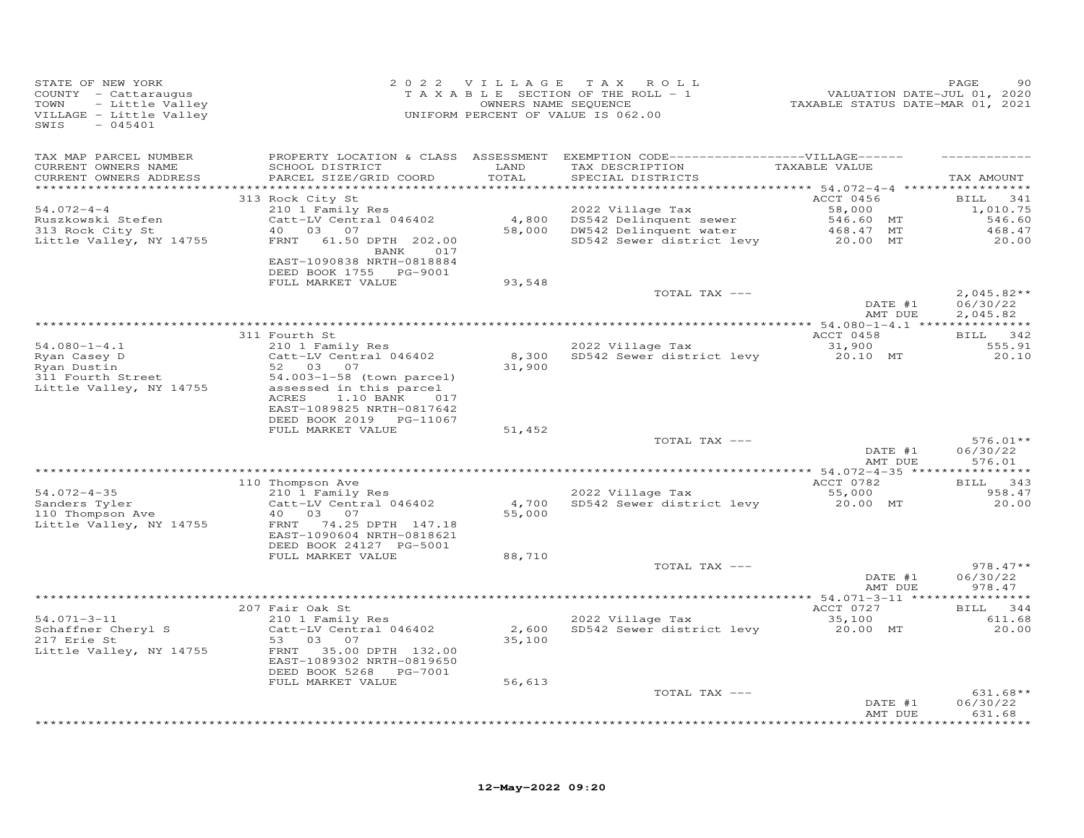| STATE OF NEW YORK<br>COUNTY - Cattaraugus<br>- Little Valley<br>TOWN<br>VILLAGE - Little Valley<br>SWIS<br>$-045401$ |                                                                                   |                 | 2022 VILLAGE TAX ROLL<br>TAXABLE SECTION OF THE ROLL - 1<br>OWNERS NAME SEQUENCE<br>UNIFORM PERCENT OF VALUE IS 062.00 | 2020<br>VALUATION DATE-JUL 01, 2020<br>TAXABLE STATUS DATE-MAR 01, 2021 | PAGE<br>90               |
|----------------------------------------------------------------------------------------------------------------------|-----------------------------------------------------------------------------------|-----------------|------------------------------------------------------------------------------------------------------------------------|-------------------------------------------------------------------------|--------------------------|
| TAX MAP PARCEL NUMBER<br>CURRENT OWNERS NAME                                                                         | SCHOOL DISTRICT                                                                   | LAND            | PROPERTY LOCATION & CLASS ASSESSMENT EXEMPTION CODE------------------VILLAGE------<br>TAX DESCRIPTION                  | TAXABLE VALUE                                                           |                          |
| CURRENT OWNERS ADDRESS<br>************************                                                                   | PARCEL SIZE/GRID COORD                                                            | TOTAL           | SPECIAL DISTRICTS                                                                                                      |                                                                         | TAX AMOUNT               |
|                                                                                                                      | 313 Rock City St                                                                  |                 |                                                                                                                        | ACCT 0456                                                               | <b>BILL</b><br>341       |
| $54.072 - 4 - 4$                                                                                                     | 210 1 Family Res                                                                  |                 | 2022 Village Tax                                                                                                       | 58,000                                                                  | 1,010.75                 |
| Ruszkowski Stefen                                                                                                    | Catt-LV Central 046402<br>40 03 07                                                |                 | 4,800 DS542 Delinquent sewer<br>58,000 DW542 Delinquent water                                                          | 546.60 MT                                                               | 546.60<br>468.47         |
| 313 Rock City St<br>Little Valley, NY 14755                                                                          | 61.50 DPTH 202.00<br>FRNT                                                         |                 | SD542 Sewer district levy 20.00 MT                                                                                     | 468.47 MT                                                               | 20.00                    |
|                                                                                                                      | BANK 017<br>EAST-1090838 NRTH-0818884<br>DEED BOOK 1755 PG-9001                   |                 |                                                                                                                        |                                                                         |                          |
|                                                                                                                      | FULL MARKET VALUE                                                                 | 93,548          |                                                                                                                        |                                                                         |                          |
|                                                                                                                      |                                                                                   |                 | TOTAL TAX ---                                                                                                          | DATE #1                                                                 | $2,045.82**$<br>06/30/22 |
|                                                                                                                      |                                                                                   |                 |                                                                                                                        | AMT DUE                                                                 | 2,045.82                 |
|                                                                                                                      |                                                                                   |                 |                                                                                                                        |                                                                         |                          |
| $54.080 - 1 - 4.1$                                                                                                   | 311 Fourth St<br>210 1 Family Res                                                 |                 | 2022 Village Tax                                                                                                       | ACCT 0458<br>31,900                                                     | BILL 342<br>555.91       |
| en.coo i i.i<br>Ryan Casey D<br>Ryan Dustin                                                                          | Catt-LV Central 046402                                                            |                 | 8,300 SD542 Sewer district levy                                                                                        | 20.10 MT                                                                | 20.10                    |
| Ryan Dustin                                                                                                          | 52 03 07                                                                          | 31,900          |                                                                                                                        |                                                                         |                          |
| 311 Fourth Street<br>Little Valley, NY 14755                                                                         | 54.003-1-58 (town parcel)<br>assessed in this parcel<br>ACRES<br>1.10 BANK<br>017 |                 |                                                                                                                        |                                                                         |                          |
|                                                                                                                      | EAST-1089825 NRTH-0817642<br>DEED BOOK 2019 PG-11067                              |                 |                                                                                                                        |                                                                         |                          |
|                                                                                                                      | FULL MARKET VALUE                                                                 | 51,452          |                                                                                                                        |                                                                         |                          |
|                                                                                                                      |                                                                                   |                 | TOTAL TAX ---                                                                                                          | DATE #1                                                                 | $576.01**$<br>06/30/22   |
|                                                                                                                      |                                                                                   |                 |                                                                                                                        | AMT DUE                                                                 | 576.01                   |
|                                                                                                                      | 110 Thompson Ave                                                                  |                 |                                                                                                                        | ACCT 0782                                                               | BILL 343                 |
| $54.072 - 4 - 35$                                                                                                    | 210 l Family Res                                                                  |                 | 2022 Village Tax                                                                                                       | 55,000<br>20.00 MT                                                      | 958.47                   |
| Sanders Tyler<br>110 Thompson Ave                                                                                    | Catt-LV Central 046402<br>40<br>03 07                                             | 4,700<br>55,000 | SD542 Sewer district levy                                                                                              |                                                                         | 20.00                    |
| Little Valley, NY 14755                                                                                              | FRNT 74.25 DPTH 147.18                                                            |                 |                                                                                                                        |                                                                         |                          |
|                                                                                                                      | EAST-1090604 NRTH-0818621                                                         |                 |                                                                                                                        |                                                                         |                          |
|                                                                                                                      | DEED BOOK 24127 PG-5001<br>FULL MARKET VALUE                                      | 88,710          |                                                                                                                        |                                                                         |                          |
|                                                                                                                      |                                                                                   |                 | TOTAL TAX ---                                                                                                          |                                                                         | $978.47**$               |
|                                                                                                                      |                                                                                   |                 |                                                                                                                        | DATE #1                                                                 | 06/30/22                 |
|                                                                                                                      |                                                                                   |                 |                                                                                                                        | AMT DUE                                                                 | 978.47                   |
|                                                                                                                      | 207 Fair Oak St                                                                   |                 |                                                                                                                        | ACCT 0727                                                               | BILL 344                 |
| $54.071 - 3 - 11$<br>Schaffner Cheryl S                                                                              | $210$ 1 Family Res<br>Catt-LV Central 046402                                      | 2,600           | 2022 Village Tax<br>SD542 Sewer district levy                                                                          | 35,100<br>20.00 MT                                                      | 611.68<br>20.00          |
| 217 Erie St                                                                                                          | 53 03 07                                                                          | 35,100          |                                                                                                                        |                                                                         |                          |
| Little Valley, NY 14755                                                                                              | FRNT 35.00 DPTH 132.00                                                            |                 |                                                                                                                        |                                                                         |                          |
|                                                                                                                      | EAST-1089302 NRTH-0819650<br>DEED BOOK 5268<br>PG-7001                            |                 |                                                                                                                        |                                                                         |                          |
|                                                                                                                      | FULL MARKET VALUE                                                                 | 56,613          |                                                                                                                        |                                                                         |                          |
|                                                                                                                      |                                                                                   |                 | TOTAL TAX ---                                                                                                          |                                                                         | $631.68**$               |
|                                                                                                                      |                                                                                   |                 |                                                                                                                        | DATE #1<br>AMT DUE                                                      | 06/30/22<br>631.68       |
|                                                                                                                      |                                                                                   |                 |                                                                                                                        |                                                                         | * * * * * * * * *        |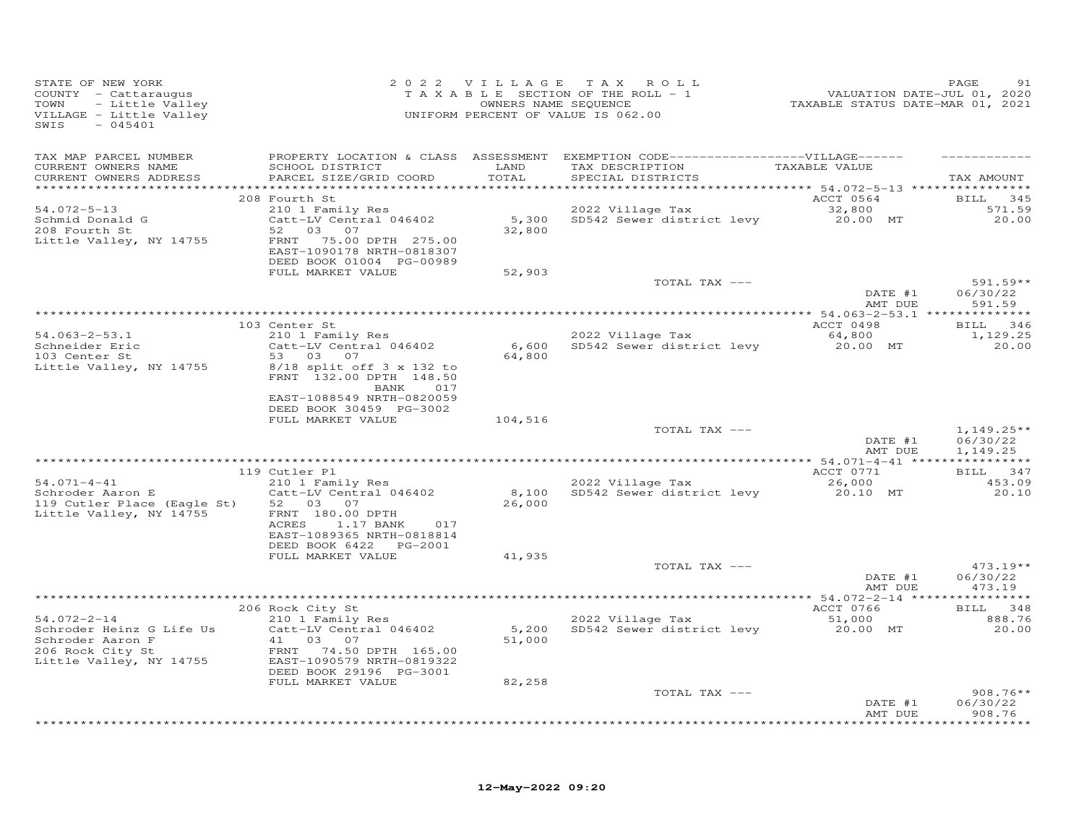| STATE OF NEW YORK<br>COUNTY - Cattaraugus<br>- Little Valley<br>TOWN<br>VILLAGE - Little Valley<br>SWIS<br>$-045401$ |                                                                                                                            | 2022 VILLAGE    | TAX ROLL<br>TAXABLE SECTION OF THE ROLL - 1<br>OWNERS NAME SEQUENCE<br>UNIFORM PERCENT OF VALUE IS 062.00 | VALUATION DATE-JUL 01, 2020<br>TAXABLE STATUS DATE-MAR 01, 2021 | PAGE<br>91                   |
|----------------------------------------------------------------------------------------------------------------------|----------------------------------------------------------------------------------------------------------------------------|-----------------|-----------------------------------------------------------------------------------------------------------|-----------------------------------------------------------------|------------------------------|
| TAX MAP PARCEL NUMBER                                                                                                | PROPERTY LOCATION & CLASS ASSESSMENT                                                                                       |                 | EXEMPTION CODE------------------VILLAGE------                                                             |                                                                 |                              |
| CURRENT OWNERS NAME<br>CURRENT OWNERS ADDRESS<br>***********************                                             | SCHOOL DISTRICT<br>PARCEL SIZE/GRID COORD                                                                                  | LAND<br>TOTAL   | TAX DESCRIPTION<br>SPECIAL DISTRICTS                                                                      | TAXABLE VALUE                                                   | TAX AMOUNT                   |
|                                                                                                                      | 208 Fourth St                                                                                                              |                 |                                                                                                           | ACCT 0564                                                       | 345<br><b>BILL</b>           |
| $54.072 - 5 - 13$                                                                                                    | 210 1 Family Res                                                                                                           |                 | 2022 Village Tax                                                                                          | 32,800                                                          | 571.59                       |
| Schmid Donald G                                                                                                      | Catt-LV Central 046402                                                                                                     | 5,300           | SD542 Sewer district levy                                                                                 | 20.00 MT                                                        | 20.00                        |
| 208 Fourth St<br>Little Valley, NY 14755                                                                             | 03<br>52<br>07<br>75.00 DPTH 275.00<br>FRNT<br>EAST-1090178 NRTH-0818307<br>DEED BOOK 01004 PG-00989                       | 32,800          |                                                                                                           |                                                                 |                              |
|                                                                                                                      | FULL MARKET VALUE                                                                                                          | 52,903          |                                                                                                           |                                                                 |                              |
|                                                                                                                      |                                                                                                                            |                 | TOTAL TAX ---                                                                                             |                                                                 | $591.59**$                   |
|                                                                                                                      |                                                                                                                            |                 |                                                                                                           | DATE #1<br>AMT DUE                                              | 06/30/22<br>591.59           |
|                                                                                                                      |                                                                                                                            |                 |                                                                                                           |                                                                 |                              |
|                                                                                                                      | 103 Center St                                                                                                              |                 |                                                                                                           | ACCT 0498                                                       | BILL 346                     |
| $54.063 - 2 - 53.1$                                                                                                  | 210 1 Family Res                                                                                                           |                 | 2022 Village Tax                                                                                          | 64,800                                                          | 1,129.25                     |
| Schneider Eric<br>103 Center St                                                                                      | Catt-LV Central 046402<br>53<br>03 07                                                                                      | 6,600<br>64,800 | SD542 Sewer district levy                                                                                 | 20.00 MT                                                        | 20.00                        |
| Little Valley, NY 14755                                                                                              | 8/18 split off 3 x 132 to<br>FRNT 132.00 DPTH 148.50<br>BANK<br>017<br>EAST-1088549 NRTH-0820059                           |                 |                                                                                                           |                                                                 |                              |
|                                                                                                                      | DEED BOOK 30459 PG-3002                                                                                                    |                 |                                                                                                           |                                                                 |                              |
|                                                                                                                      | FULL MARKET VALUE                                                                                                          | 104,516         | TOTAL TAX ---                                                                                             |                                                                 | $1,149.25**$                 |
|                                                                                                                      |                                                                                                                            |                 |                                                                                                           | DATE #1<br>AMT DUE                                              | 06/30/22<br>1,149.25         |
|                                                                                                                      |                                                                                                                            |                 |                                                                                                           |                                                                 |                              |
| $54.071 - 4 - 41$                                                                                                    | 119 Cutler Pl<br>210 1 Family Res                                                                                          |                 | 2022 Village Tax                                                                                          | ACCT 0771<br>26,000                                             | BILL 347<br>453.09           |
| Schroder Aaron E<br>119 Cutler Place (Eagle St)<br>Little Valley, NY 14755                                           | Catt-LV Central 046402<br>52 03 07<br>FRNT 180.00 DPTH<br>ACRES<br>1.17 BANK<br>017<br>EAST-1089365 NRTH-0818814           | 8,100<br>26,000 | SD542 Sewer district levy                                                                                 | 20.10 MT                                                        | 20.10                        |
|                                                                                                                      | DEED BOOK 6422    PG-2001<br>FULL MARKET VALUE                                                                             | 41,935          |                                                                                                           |                                                                 |                              |
|                                                                                                                      |                                                                                                                            |                 | TOTAL TAX ---                                                                                             |                                                                 | $473.19**$                   |
|                                                                                                                      |                                                                                                                            |                 |                                                                                                           | DATE #1<br>AMT DUE                                              | 06/30/22<br>473.19           |
|                                                                                                                      |                                                                                                                            |                 |                                                                                                           |                                                                 |                              |
| $54.072 - 2 - 14$                                                                                                    | 206 Rock City St<br>210 1 Family Res                                                                                       |                 | 2022 Village Tax                                                                                          | ACCT 0766<br>51,000                                             | <b>BILL</b><br>348<br>888.76 |
| Schroder Heinz G Life Us<br>Schroder Aaron F<br>206 Rock City St<br>Little Valley, NY 14755                          | Catt-LV Central 046402<br>03 07<br>41<br>74.50 DPTH 165.00<br>FRNT<br>EAST-1090579 NRTH-0819322<br>DEED BOOK 29196 PG-3001 | 5,200<br>51,000 | SD542 Sewer district levy                                                                                 | 20.00 MT                                                        | 20.00                        |
|                                                                                                                      | FULL MARKET VALUE                                                                                                          | 82,258          |                                                                                                           |                                                                 |                              |
|                                                                                                                      |                                                                                                                            |                 | TOTAL TAX ---                                                                                             | DATE #1                                                         | $908.76**$<br>06/30/22       |
|                                                                                                                      |                                                                                                                            |                 |                                                                                                           | AMT DUE                                                         | 908.76<br>* * * * * * * * *  |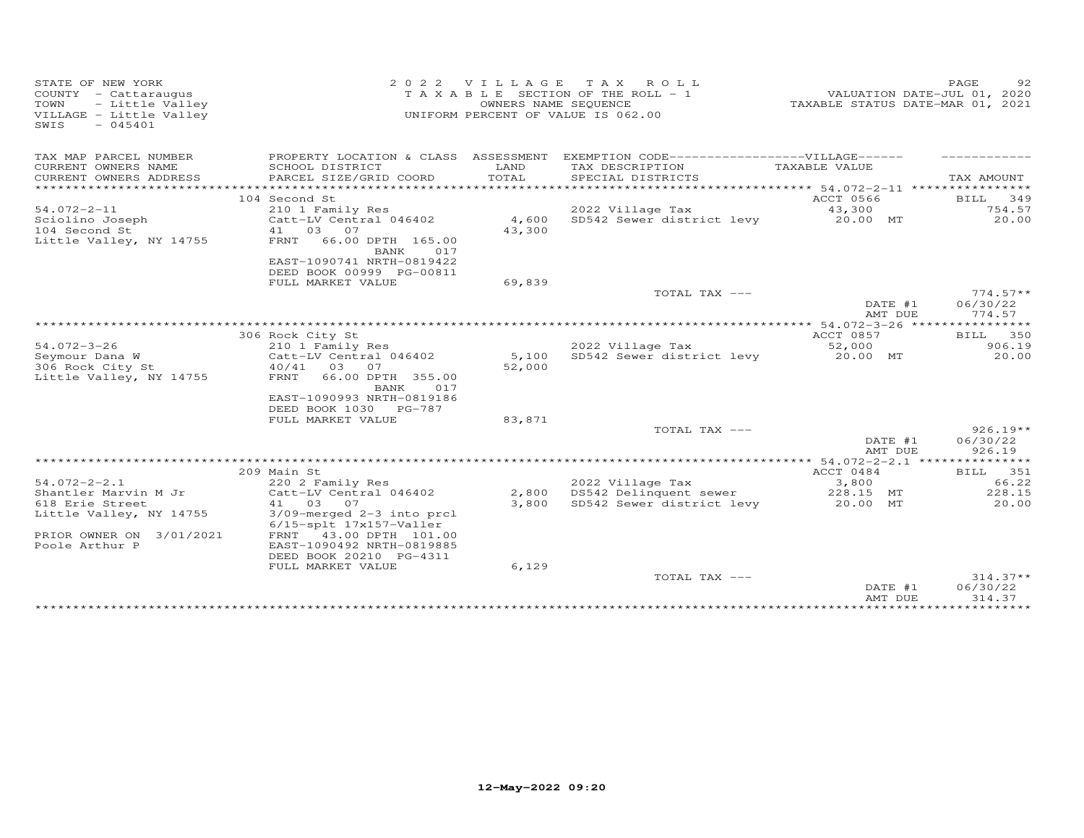| STATE OF NEW YORK<br>COUNTY - Cattaraugus<br>- Little Valley<br>TOWN<br>VILLAGE - Little Valley<br>SWIS<br>$-045401$ | 2 0 2 2                                               | VILLAGE<br>OWNERS NAME SEQUENCE | T A X<br>R O L L<br>T A X A B L E SECTION OF THE ROLL - 1<br>UNIFORM PERCENT OF VALUE IS 062.00 | TAXABLE STATUS DATE-MAR 01, 2021 | PAGE<br>92<br>VALUATION DATE-JUL 01, 2020 |
|----------------------------------------------------------------------------------------------------------------------|-------------------------------------------------------|---------------------------------|-------------------------------------------------------------------------------------------------|----------------------------------|-------------------------------------------|
| TAX MAP PARCEL NUMBER                                                                                                | PROPERTY LOCATION & CLASS ASSESSMENT                  |                                 | EXEMPTION CODE-------------------VILLAGE------                                                  |                                  |                                           |
| CURRENT OWNERS NAME                                                                                                  | SCHOOL DISTRICT                                       | LAND                            | TAX DESCRIPTION                                                                                 | TAXABLE VALUE                    |                                           |
| CURRENT OWNERS ADDRESS                                                                                               | PARCEL SIZE/GRID COORD                                | TOTAL                           | SPECIAL DISTRICTS                                                                               |                                  | TAX AMOUNT                                |
|                                                                                                                      | 104 Second St                                         |                                 |                                                                                                 | ACCT 0566                        | BILL 349                                  |
| $54.072 - 2 - 11$                                                                                                    | 210 1 Family Res                                      |                                 | 2022 Village Tax                                                                                | 43,300                           | 754.57                                    |
| Sciolino Joseph                                                                                                      | Catt-LV Central 046402                                | 4,600                           | SD542 Sewer district levy                                                                       | 20.00 MT                         | 20.00                                     |
| 104 Second St                                                                                                        | 41 03 07                                              | 43,300                          |                                                                                                 |                                  |                                           |
| Little Valley, NY 14755                                                                                              | FRNT<br>66.00 DPTH 165.00                             |                                 |                                                                                                 |                                  |                                           |
|                                                                                                                      | BANK<br>017                                           |                                 |                                                                                                 |                                  |                                           |
|                                                                                                                      | EAST-1090741 NRTH-0819422<br>DEED BOOK 00999 PG-00811 |                                 |                                                                                                 |                                  |                                           |
|                                                                                                                      | FULL MARKET VALUE                                     | 69,839                          |                                                                                                 |                                  |                                           |
|                                                                                                                      |                                                       |                                 | TOTAL TAX ---                                                                                   |                                  | $774.57**$                                |
|                                                                                                                      |                                                       |                                 |                                                                                                 | DATE #1                          | 06/30/22                                  |
|                                                                                                                      |                                                       |                                 |                                                                                                 | AMT DUE                          | 774.57                                    |
|                                                                                                                      |                                                       |                                 |                                                                                                 |                                  |                                           |
| $54.072 - 3 - 26$                                                                                                    | 306 Rock City St<br>210 1 Family Res                  |                                 | 2022 Village Tax                                                                                | ACCT 0857<br>52,000              | 350<br><b>BILL</b><br>906.19              |
| Seymour Dana W                                                                                                       | Catt-LV Central 046402                                | 5,100                           | SD542 Sewer district levy                                                                       | 20.00 MT                         | 20.00                                     |
| 306 Rock City St                                                                                                     | 40/41<br>03<br>07                                     | 52,000                          |                                                                                                 |                                  |                                           |
| Little Valley, NY 14755                                                                                              | FRNT<br>66.00 DPTH 355.00                             |                                 |                                                                                                 |                                  |                                           |
|                                                                                                                      | BANK<br>017                                           |                                 |                                                                                                 |                                  |                                           |
|                                                                                                                      | EAST-1090993 NRTH-0819186                             |                                 |                                                                                                 |                                  |                                           |
|                                                                                                                      | DEED BOOK 1030 PG-787<br>FULL MARKET VALUE            | 83,871                          |                                                                                                 |                                  |                                           |
|                                                                                                                      |                                                       |                                 | TOTAL TAX ---                                                                                   |                                  | $926.19**$                                |
|                                                                                                                      |                                                       |                                 |                                                                                                 | DATE #1                          | 06/30/22                                  |
|                                                                                                                      |                                                       |                                 |                                                                                                 | AMT DUE                          | 926.19                                    |
|                                                                                                                      |                                                       |                                 | ****************************                                                                    | ***** 54.072-2-2.1               | ***********                               |
| $54.072 - 2 - 2.1$                                                                                                   | 209 Main St<br>220 2 Family Res                       |                                 | 2022 Village Tax                                                                                | ACCT 0484<br>3,800               | BILL 351<br>66.22                         |
| Shantler Marvin M Jr                                                                                                 | Catt-LV Central 046402                                | 2,800                           | DS542 Delinquent sewer                                                                          | 228.15 MT                        | 228.15                                    |
| 618 Erie Street                                                                                                      | 41 03 07                                              | 3,800                           | SD542 Sewer district levy                                                                       | 20.00 MT                         | 20.00                                     |
| Little Valley, NY 14755                                                                                              | 3/09-merged 2-3 into prcl                             |                                 |                                                                                                 |                                  |                                           |
|                                                                                                                      | 6/15-splt 17x157-Valler                               |                                 |                                                                                                 |                                  |                                           |
| PRIOR OWNER ON 3/01/2021                                                                                             | FRNT<br>43.00 DPTH 101.00                             |                                 |                                                                                                 |                                  |                                           |
| Poole Arthur P                                                                                                       | EAST-1090492 NRTH-0819885<br>DEED BOOK 20210 PG-4311  |                                 |                                                                                                 |                                  |                                           |
|                                                                                                                      | FULL MARKET VALUE                                     | 6,129                           |                                                                                                 |                                  |                                           |
|                                                                                                                      |                                                       |                                 | TOTAL TAX ---                                                                                   |                                  | $314.37**$                                |
|                                                                                                                      |                                                       |                                 |                                                                                                 | DATE #1                          | 06/30/22                                  |
|                                                                                                                      |                                                       |                                 |                                                                                                 | AMT DUE                          | 314.37                                    |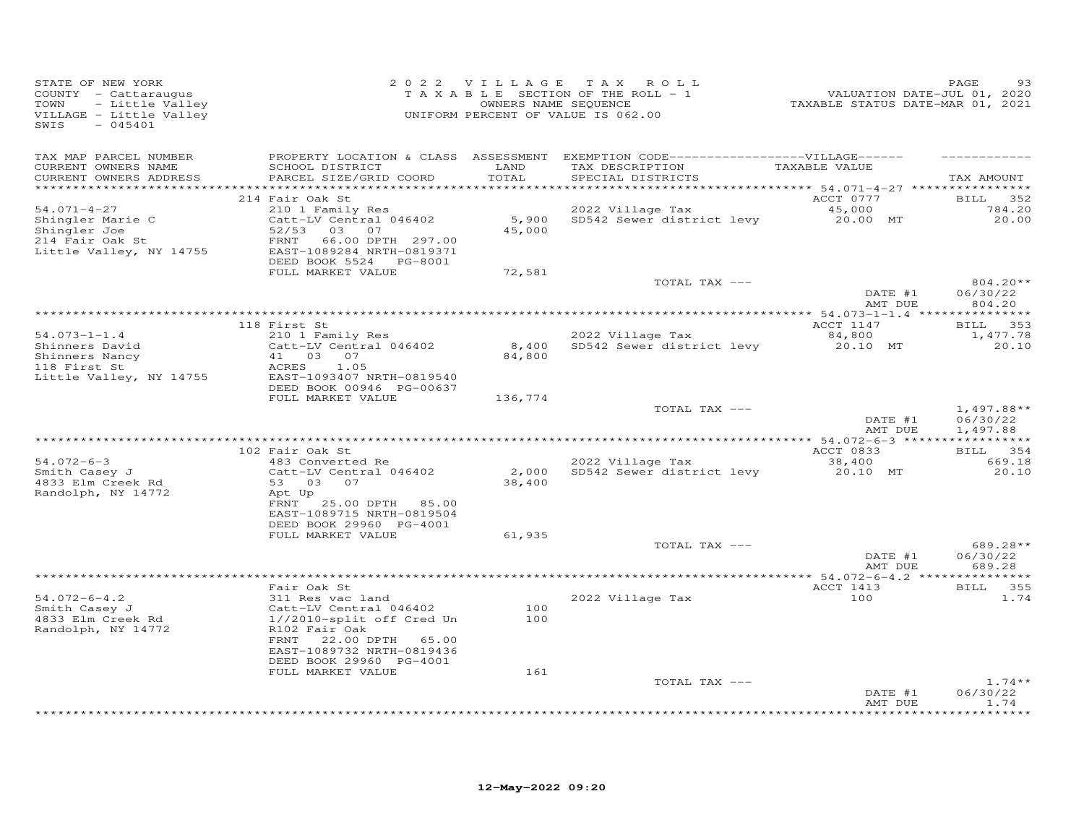| STATE OF NEW YORK<br>COUNTY - Cattaraugus<br>TOWN<br>- Little Valley<br>VILLAGE - Little Valley<br>$-045401$<br>SWIS |                                                                                                                                                                                             |                  | 2022 VILLAGE TAX ROLL<br>TAXABLE SECTION OF THE ROLL - 1<br>OWNERS NAME SEQUENCE<br>UNIFORM PERCENT OF VALUE IS 062.00                  | 29.<br>VALUATION DATE-JUL 01, 2020<br>TAXABLE STATUS DATE-MAR 01, 2021 | PAGE<br>93                           |
|----------------------------------------------------------------------------------------------------------------------|---------------------------------------------------------------------------------------------------------------------------------------------------------------------------------------------|------------------|-----------------------------------------------------------------------------------------------------------------------------------------|------------------------------------------------------------------------|--------------------------------------|
| TAX MAP PARCEL NUMBER<br>CURRENT OWNERS NAME<br>CURRENT OWNERS ADDRESS                                               | SCHOOL DISTRICT<br>PARCEL SIZE/GRID COORD                                                                                                                                                   | LAND<br>TOTAL    | PROPERTY LOCATION & CLASS ASSESSMENT EXEMPTION CODE-----------------VILLAGE------<br>TAX DESCRIPTION TAXABLE VALUE<br>SPECIAL DISTRICTS |                                                                        | TAX AMOUNT                           |
| 54.071-4-27<br>Shingler Marie C<br>Shingler Joe<br>214 Fair Oak St<br>Little Valley, NY 14755                        | 214 Fair Oak St<br>210 1 Family Res<br>Catt-LV Central 046402<br>52/53 03 07<br>66.00 DPTH 297.00<br>FRNT<br>EAST-1089284 NRTH-0819371<br>DEED BOOK 5524 PG-8001<br>FULL MARKET VALUE       | 45,000<br>72,581 | 2022 Village Tax<br>$2022$ Village Tax $45,000$<br>5,900 SD542 Sewer district levy $20.00$ MT                                           | ACCT 0777                                                              | <b>BILL</b> 352<br>784.20<br>20.00   |
|                                                                                                                      |                                                                                                                                                                                             |                  | TOTAL TAX ---                                                                                                                           | DATE #1<br>AMT DUE                                                     | $804.20**$<br>06/30/22<br>804.20     |
| $54.073 - 1 - 1.4$<br>Shinners David<br>Shinners Nancy<br>118 First St<br>Little Valley, NY 14755                    | 118 First St<br>210 1 Family Res<br>Catt-LV Central 046402<br>41 03 07<br>ACRES 1.05<br>EAST-1093407 NRTH-0819540                                                                           | 84,800           | 2022 Village Tax<br>8,400 SD542 Sewer district levy                                                                                     | ACCT 1147<br>84,800<br>20.10 MT                                        | BILL 353<br>1,477.78<br>20.10        |
|                                                                                                                      | DEED BOOK 00946 PG-00637<br>FULL MARKET VALUE                                                                                                                                               | 136,774          | TOTAL TAX ---                                                                                                                           | DATE #1<br>AMT DUE                                                     | $1,497.88**$<br>06/30/22<br>1,497.88 |
|                                                                                                                      |                                                                                                                                                                                             |                  |                                                                                                                                         |                                                                        |                                      |
| $54.072 - 6 - 3$<br>Smith Casey J<br>4833 Elm Creek Rd<br>Randolph, NY 14772                                         | 102 Fair Oak St<br>483 Converted Re<br>Catt-LV Central 046402<br>53 03 07<br>Apt Up<br>FRNT<br>25.00 DPTH 85.00<br>EAST-1089715 NRTH-0819504                                                | 38,400           | 2022 Village Tax<br>2,000 SD542 Sewer district levy                                                                                     | ACCT 0833<br>38,400<br>20.10 MT                                        | BILL 354<br>669.18<br>20.10          |
|                                                                                                                      | DEED BOOK 29960 PG-4001<br>FULL MARKET VALUE                                                                                                                                                | 61,935           | TOTAL TAX ---                                                                                                                           | DATE #1<br>AMT DUE                                                     | 689.28**<br>06/30/22<br>689.28       |
|                                                                                                                      |                                                                                                                                                                                             |                  |                                                                                                                                         |                                                                        |                                      |
| $54.072 - 6 - 4.2$<br>$Smith$ Casey J<br>$A833 = 7$<br>4833 Elm Creek Rd<br>Randolph, NY 14772                       | Fair Oak St<br>311 Res vac land<br>Catt-LV Central 046402<br>1//2010-split off Cred Un<br>R102 Fair Oak<br>FRNT<br>22.00 DPTH 65.00<br>EAST-1089732 NRTH-0819436<br>DEED BOOK 29960 PG-4001 | 100<br>100       | 2022 Village Tax                                                                                                                        | ACCT 1413<br>100                                                       | BILL 355<br>1.74                     |
|                                                                                                                      | FULL MARKET VALUE                                                                                                                                                                           | 161              | TOTAL TAX ---                                                                                                                           | DATE #1<br>AMT DUE                                                     | $1.74**$<br>06/30/22<br>1.74         |
|                                                                                                                      |                                                                                                                                                                                             |                  |                                                                                                                                         |                                                                        | * * * * * * * *                      |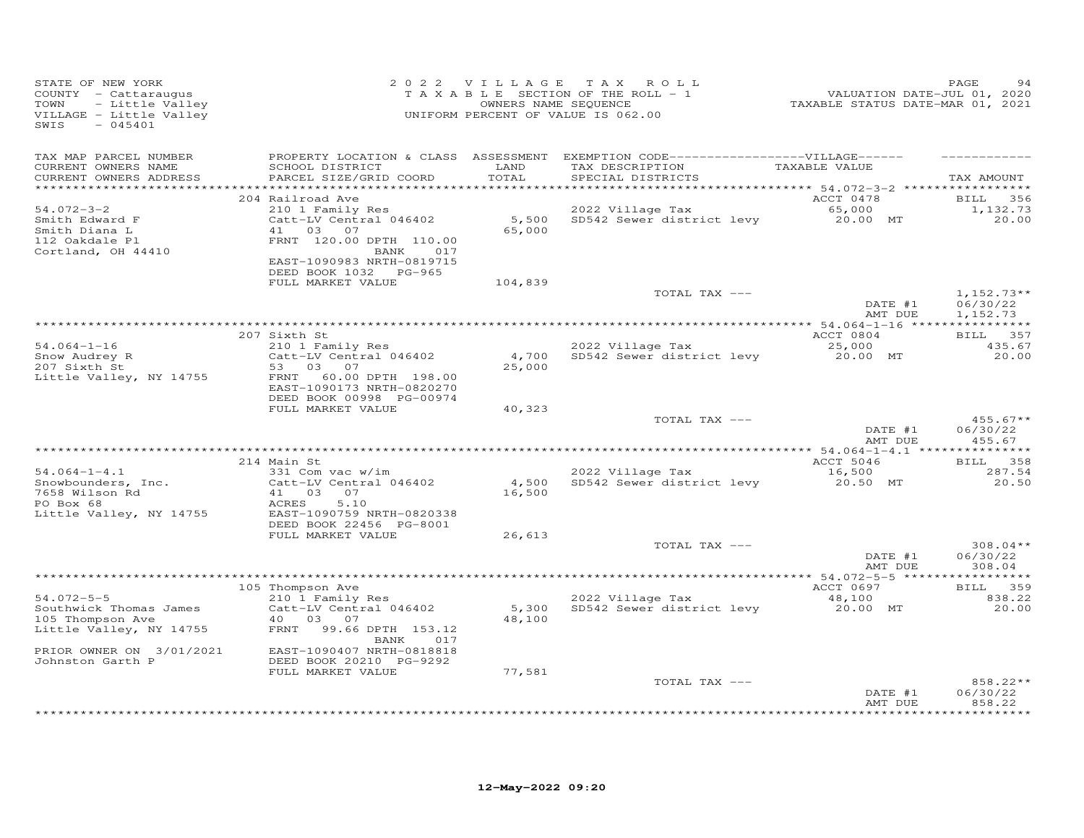| STATE OF NEW YORK<br>COUNTY - Cattaraugus<br>- Little Valley<br>TOWN<br>VILLAGE - Little Valley<br>SWIS<br>$-045401$ |                                                                                    |                 | 2022 VILLAGE TAX ROLL<br>TAXABLE SECTION OF THE ROLL - 1<br>OWNERS NAME SEQUENCE<br>UNIFORM PERCENT OF VALUE IS 062.00     | 1<br>2020 VALUATION DATE-JUL<br>2021 TAXABLE STATUS DATE-MAR | PAGE                             |
|----------------------------------------------------------------------------------------------------------------------|------------------------------------------------------------------------------------|-----------------|----------------------------------------------------------------------------------------------------------------------------|--------------------------------------------------------------|----------------------------------|
| TAX MAP PARCEL NUMBER<br>CURRENT OWNERS NAME<br>CURRENT OWNERS ADDRESS<br>*************************                  | SCHOOL DISTRICT<br>PARCEL SIZE/GRID COORD                                          | LAND<br>TOTAL   | PROPERTY LOCATION & CLASS ASSESSMENT EXEMPTION CODE------------------VILLAGE------<br>TAX DESCRIPTION<br>SPECIAL DISTRICTS | TAXABLE VALUE                                                | TAX AMOUNT                       |
|                                                                                                                      | 204 Railroad Ave                                                                   |                 |                                                                                                                            | ACCT 0478                                                    | <b>BILL</b><br>356               |
| $54.072 - 3 - 2$<br>Smith Edward F<br>Smith Diana L<br>112 Oakdale Pl                                                | 210 1 Family Res<br>Catt-LV Central 046402<br>41 03 07<br>FRNT 120.00 DPTH 110.00  | 65,000          | 2022 Village Tax<br>5,500 SD542 Sewer district levy 20.00 MT                                                               | 65,000                                                       | 1,132.73<br>20.00                |
| Cortland, OH 44410                                                                                                   | BANK 017<br>EAST-1090983 NRTH-0819715<br>DEED BOOK 1032 PG-965                     |                 |                                                                                                                            |                                                              |                                  |
|                                                                                                                      | FULL MARKET VALUE                                                                  | 104,839         | TOTAL TAX ---                                                                                                              |                                                              | $1,152.73**$                     |
|                                                                                                                      |                                                                                    |                 |                                                                                                                            | DATE #1<br>AMT DUE                                           | 06/30/22<br>1,152.73             |
|                                                                                                                      | 207 Sixth St                                                                       |                 |                                                                                                                            | ACCT 0804                                                    | BILL 357                         |
| $54.064 - 1 - 16$                                                                                                    | 210 1 Family Res                                                                   |                 | 2022 Village Tax                                                                                                           | 25,000                                                       | 435.67                           |
| Snow Audrey R<br>207 Sixth St                                                                                        | Catt-LV Central 046402<br>53<br>03 07                                              | 25,000          | 4,700 SD542 Sewer district levy 20.00 MT                                                                                   |                                                              | 20.00                            |
| Little Valley, NY 14755                                                                                              | 60.00 DPTH 198.00<br>FRNT<br>EAST-1090173 NRTH-0820270<br>DEED BOOK 00998 PG-00974 |                 |                                                                                                                            |                                                              |                                  |
|                                                                                                                      | FULL MARKET VALUE                                                                  | 40,323          |                                                                                                                            |                                                              |                                  |
|                                                                                                                      |                                                                                    |                 | TOTAL TAX ---                                                                                                              | DATE #1<br>AMT DUE                                           | $455.67**$<br>06/30/22<br>455.67 |
|                                                                                                                      |                                                                                    |                 |                                                                                                                            |                                                              |                                  |
| $54.064 - 1 - 4.1$                                                                                                   | 214 Main St<br>331 Com vac w/im                                                    |                 | 2022 Village Tax                                                                                                           | ACCT 5046<br>16,500                                          | BILL 358<br>287.54               |
| Snowbounders, Inc.<br>7658 Wilson Rd<br>PO Box 68                                                                    | Catt-LV Central 046402<br>41 03 07                                                 | 4,500<br>16,500 | SD542 Sewer district levy                                                                                                  | 20.50 MT                                                     | 20.50                            |
| Little Valley, NY 14755                                                                                              | 5.10<br>ACRES<br>EAST-1090759 NRTH-0820338<br>DEED BOOK 22456 PG-8001              |                 |                                                                                                                            |                                                              |                                  |
|                                                                                                                      | FULL MARKET VALUE                                                                  | 26,613          |                                                                                                                            |                                                              |                                  |
|                                                                                                                      |                                                                                    |                 | TOTAL TAX ---                                                                                                              | DATE #1<br>AMT DUE                                           | $308.04**$<br>06/30/22<br>308.04 |
|                                                                                                                      |                                                                                    |                 |                                                                                                                            |                                                              |                                  |
| $54.072 - 5 - 5$                                                                                                     | 105 Thompson Ave<br>210 1 Family Res                                               |                 | 2022 Village Tax                                                                                                           | ACCT 0697                                                    | BILL 359                         |
| Southwick Thomas James<br>105 Thompson Ave                                                                           | Catt-LV Central 046402<br>40  03  07                                               | 5,300<br>48,100 | SD542 Sewer district levy                                                                                                  | 48,100<br>20.00 MT                                           | 838.22<br>20.00                  |
| Little Valley, NY 14755                                                                                              | FRNT 99.66 DPTH 153.12<br>BANK<br>017                                              |                 |                                                                                                                            |                                                              |                                  |
| PRIOR OWNER ON 3/01/2021<br>Johnston Garth P                                                                         | EAST-1090407 NRTH-0818818<br>DEED BOOK 20210 PG-9292                               |                 |                                                                                                                            |                                                              |                                  |
|                                                                                                                      | FULL MARKET VALUE                                                                  | 77,581          | TOTAL TAX ---                                                                                                              |                                                              | 858.22**                         |
|                                                                                                                      |                                                                                    |                 |                                                                                                                            | DATE #1<br>AMT DUE                                           | 06/30/22<br>858.22               |
|                                                                                                                      |                                                                                    |                 |                                                                                                                            |                                                              | *********                        |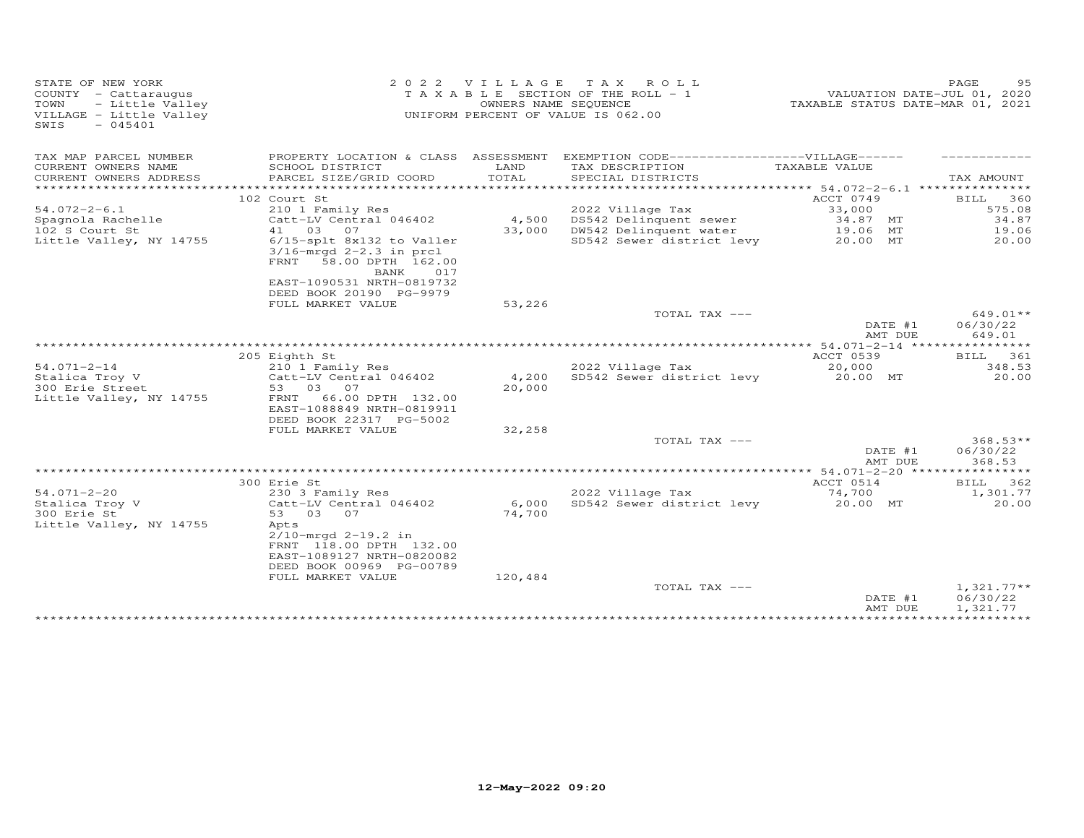| STATE OF NEW YORK<br>COUNTY - Cattaraugus<br>TOWN<br>- Little Valley<br>VILLAGE - Little Valley<br>SWIS<br>$-045401$ | 2 0 2 2                                                               | VILLAGE       | TAX ROLL<br>T A X A B L E SECTION OF THE ROLL - 1<br>OWNERS NAME SEQUENCE<br>UNIFORM PERCENT OF VALUE IS 062.00 | VALUATION DATE-JUL 01, 2020<br>TAXABLE STATUS DATE-MAR 01, 2021 | PAGE<br>95           |
|----------------------------------------------------------------------------------------------------------------------|-----------------------------------------------------------------------|---------------|-----------------------------------------------------------------------------------------------------------------|-----------------------------------------------------------------|----------------------|
| TAX MAP PARCEL NUMBER                                                                                                |                                                                       |               | PROPERTY LOCATION & CLASS ASSESSMENT EXEMPTION CODE------------------VILLAGE------                              |                                                                 |                      |
| CURRENT OWNERS NAME<br>CURRENT OWNERS ADDRESS                                                                        | SCHOOL DISTRICT<br>PARCEL SIZE/GRID COORD                             | LAND<br>TOTAL | TAX DESCRIPTION<br>SPECIAL DISTRICTS                                                                            | TAXABLE VALUE                                                   | TAX AMOUNT           |
|                                                                                                                      |                                                                       |               |                                                                                                                 |                                                                 |                      |
| $54.072 - 2 - 6.1$                                                                                                   | 102 Court St                                                          |               |                                                                                                                 | ACCT 0749<br>33,000                                             | 360<br>BILL          |
|                                                                                                                      | 210 1 Family Res                                                      | 4,500         | 2022 Village Tax                                                                                                | 34.87 MT                                                        | 575.08<br>34.87      |
| Spagnola Rachelle<br>102 S Court St                                                                                  | Catt-LV Central 046402<br>41 03<br>07                                 | 33,000        | DS542 Delinquent sewer<br>DW542 Delinquent water                                                                | 19.06 MT                                                        | 19.06                |
| Little Valley, NY 14755                                                                                              | 6/15-splt 8x132 to Valler<br>$3/16$ -mrqd $2-2.3$ in prcl             |               | SD542 Sewer district levy                                                                                       | 20.00 MT                                                        | 20.00                |
|                                                                                                                      | 58.00 DPTH 162.00<br>FRNT<br>BANK<br>017<br>EAST-1090531 NRTH-0819732 |               |                                                                                                                 |                                                                 |                      |
|                                                                                                                      | DEED BOOK 20190 PG-9979<br>FULL MARKET VALUE                          | 53,226        |                                                                                                                 |                                                                 |                      |
|                                                                                                                      |                                                                       |               | TOTAL TAX ---                                                                                                   |                                                                 | $649.01**$           |
|                                                                                                                      |                                                                       |               |                                                                                                                 | DATE #1<br>AMT DUE                                              | 06/30/22<br>649.01   |
|                                                                                                                      |                                                                       |               |                                                                                                                 |                                                                 |                      |
|                                                                                                                      | 205 Eighth St                                                         |               |                                                                                                                 | ACCT 0539                                                       | BILL<br>361          |
| $54.071 - 2 - 14$                                                                                                    | 210 1 Family Res                                                      |               | 2022 Village Tax                                                                                                | 20,000                                                          | 348.53               |
| Stalica Troy V                                                                                                       | Catt-LV Central 046402                                                | 4,200         | SD542 Sewer district levy                                                                                       | 20.00 MT                                                        | 20.00                |
| 300 Erie Street                                                                                                      | 53 03 07                                                              | 20,000        |                                                                                                                 |                                                                 |                      |
| Little Valley, NY 14755                                                                                              | 66.00 DPTH 132.00<br>FRNT<br>EAST-1088849 NRTH-0819911                |               |                                                                                                                 |                                                                 |                      |
|                                                                                                                      | DEED BOOK 22317 PG-5002                                               |               |                                                                                                                 |                                                                 |                      |
|                                                                                                                      | FULL MARKET VALUE                                                     | 32,258        |                                                                                                                 |                                                                 |                      |
|                                                                                                                      |                                                                       |               | TOTAL TAX ---                                                                                                   |                                                                 | $368.53**$           |
|                                                                                                                      |                                                                       |               |                                                                                                                 | DATE #1<br>AMT DUE                                              | 06/30/22<br>368.53   |
|                                                                                                                      | 300 Erie St                                                           |               |                                                                                                                 | ACCT 0514                                                       | BILL 362             |
| $54.071 - 2 - 20$                                                                                                    |                                                                       |               | 2022 Village Tax                                                                                                | 74,700                                                          | 1,301.77             |
| Stalica Troy V                                                                                                       | 230 3 Family Res<br>Catt-LV Central 046402                            | 6,000         | SD542 Sewer district levy                                                                                       | 20.00 MT                                                        | 20.00                |
| 300 Erie St                                                                                                          | 53 03<br>07                                                           | 74,700        |                                                                                                                 |                                                                 |                      |
| Little Valley, NY 14755                                                                                              | Apts                                                                  |               |                                                                                                                 |                                                                 |                      |
|                                                                                                                      | $2/10$ -mrgd $2-19.2$ in                                              |               |                                                                                                                 |                                                                 |                      |
|                                                                                                                      | FRNT 118.00 DPTH 132.00                                               |               |                                                                                                                 |                                                                 |                      |
|                                                                                                                      | EAST-1089127 NRTH-0820082                                             |               |                                                                                                                 |                                                                 |                      |
|                                                                                                                      | DEED BOOK 00969 PG-00789                                              |               |                                                                                                                 |                                                                 |                      |
|                                                                                                                      | FULL MARKET VALUE                                                     | 120,484       |                                                                                                                 |                                                                 |                      |
|                                                                                                                      |                                                                       |               | TOTAL TAX ---                                                                                                   |                                                                 | $1,321.77**$         |
|                                                                                                                      |                                                                       |               |                                                                                                                 | DATE #1<br>AMT DUE                                              | 06/30/22<br>1,321.77 |
|                                                                                                                      |                                                                       |               |                                                                                                                 | ***************************                                     |                      |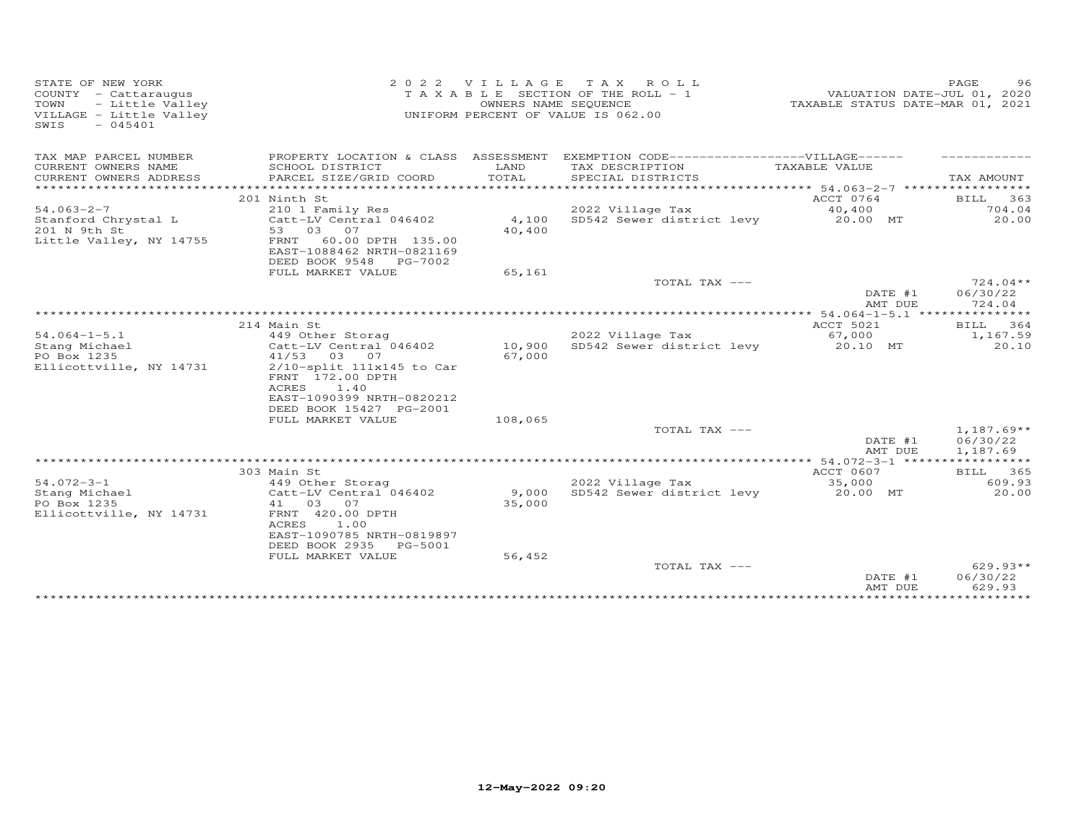| STATE OF NEW YORK<br>COUNTY - Cattaraugus<br>- Little Valley<br>TOWN<br>VILLAGE - Little Valley<br>SWIS<br>$-045401$ | 2 0 2 2<br>TAXABLE                                                                                                                                                                       | VILLAGE                 | TAX ROLL<br>SECTION OF THE ROLL - 1<br>OWNERS NAME SEQUENCE<br>UNIFORM PERCENT OF VALUE IS 062.00 | VALUATION DATE-JUL 01, 2020<br>TAXABLE STATUS DATE-MAR 01, 2021 | 96<br>PAGE                           |
|----------------------------------------------------------------------------------------------------------------------|------------------------------------------------------------------------------------------------------------------------------------------------------------------------------------------|-------------------------|---------------------------------------------------------------------------------------------------|-----------------------------------------------------------------|--------------------------------------|
| TAX MAP PARCEL NUMBER                                                                                                | PROPERTY LOCATION & CLASS ASSESSMENT                                                                                                                                                     |                         | EXEMPTION CODE-------------------VILLAGE------                                                    |                                                                 |                                      |
| CURRENT OWNERS NAME                                                                                                  | SCHOOL DISTRICT                                                                                                                                                                          | LAND                    | TAX DESCRIPTION                                                                                   | TAXABLE VALUE                                                   |                                      |
| CURRENT OWNERS ADDRESS<br>*******************                                                                        | PARCEL SIZE/GRID COORD                                                                                                                                                                   | TOTAL<br>************** | SPECIAL DISTRICTS<br>*********************************** 54.063–2–7 *****************             |                                                                 | TAX AMOUNT                           |
|                                                                                                                      | 201 Ninth St                                                                                                                                                                             |                         |                                                                                                   | ACCT 0764                                                       | BILL 363                             |
| $54.063 - 2 - 7$                                                                                                     | 210 1 Family Res                                                                                                                                                                         |                         | 2022 Village Tax                                                                                  | 40,400                                                          | 704.04                               |
| Stanford Chrystal L<br>201 N 9th St<br>Little Valley, NY 14755                                                       | Catt-LV Central 046402<br>53 03 07<br>FRNT 60.00 DPTH 135.00<br>EAST-1088462 NRTH-0821169<br>DEED BOOK 9548 PG-7002                                                                      | 4,100<br>40,400         | SD542 Sewer district levy                                                                         | 20.00 MT                                                        | 20.00                                |
|                                                                                                                      | FULL MARKET VALUE                                                                                                                                                                        | 65,161                  |                                                                                                   |                                                                 |                                      |
|                                                                                                                      |                                                                                                                                                                                          |                         | TOTAL TAX ---                                                                                     | DATE #1<br>AMT DUE                                              | $724.04**$<br>06/30/22<br>724.04     |
|                                                                                                                      |                                                                                                                                                                                          |                         |                                                                                                   |                                                                 |                                      |
|                                                                                                                      | 214 Main St                                                                                                                                                                              |                         |                                                                                                   | ACCT 5021                                                       | BILL<br>364                          |
| $54.064 - 1 - 5.1$<br>Stang Michael<br>PO Box 1235<br>Ellicottville, NY 14731                                        | 449 Other Storag<br>Catt-LV Central 046402<br>41/53 03 07<br>$2/10$ -split $111x145$ to Car<br>FRNT 172.00 DPTH<br>ACRES<br>1.40<br>EAST-1090399 NRTH-0820212<br>DEED BOOK 15427 PG-2001 | 10,900<br>67,000        | 2022 Village Tax<br>SD542 Sewer district levy                                                     | 67,000<br>20.10 MT                                              | 1,167.59<br>20.10                    |
|                                                                                                                      | FULL MARKET VALUE                                                                                                                                                                        | 108,065                 |                                                                                                   |                                                                 |                                      |
|                                                                                                                      |                                                                                                                                                                                          |                         | TOTAL TAX ---                                                                                     | DATE #1<br>AMT DUE                                              | $1,187.69**$<br>06/30/22<br>1,187.69 |
|                                                                                                                      |                                                                                                                                                                                          |                         |                                                                                                   |                                                                 |                                      |
|                                                                                                                      | 303 Main St                                                                                                                                                                              |                         |                                                                                                   | ACCT 0607                                                       | BILL 365                             |
| $54.072 - 3 - 1$<br>Stang Michael<br>PO Box 1235<br>Ellicottville, NY 14731                                          | 449 Other Storag<br>Catt-LV Central 046402<br>41<br>03<br>07<br>FRNT 420.00 DPTH<br>ACRES<br>1.00<br>EAST-1090785 NRTH-0819897<br>DEED BOOK 2935 PG-5001                                 | 9,000<br>35,000         | 2022 Village Tax<br>SD542 Sewer district levy                                                     | 35,000<br>20.00 MT                                              | 609.93<br>20.00                      |
|                                                                                                                      | FULL MARKET VALUE                                                                                                                                                                        | 56,452                  | TOTAL TAX ---                                                                                     |                                                                 | $629.93**$                           |
|                                                                                                                      |                                                                                                                                                                                          |                         |                                                                                                   | DATE #1<br>AMT DUE                                              | 06/30/22<br>629.93                   |
|                                                                                                                      |                                                                                                                                                                                          |                         |                                                                                                   |                                                                 |                                      |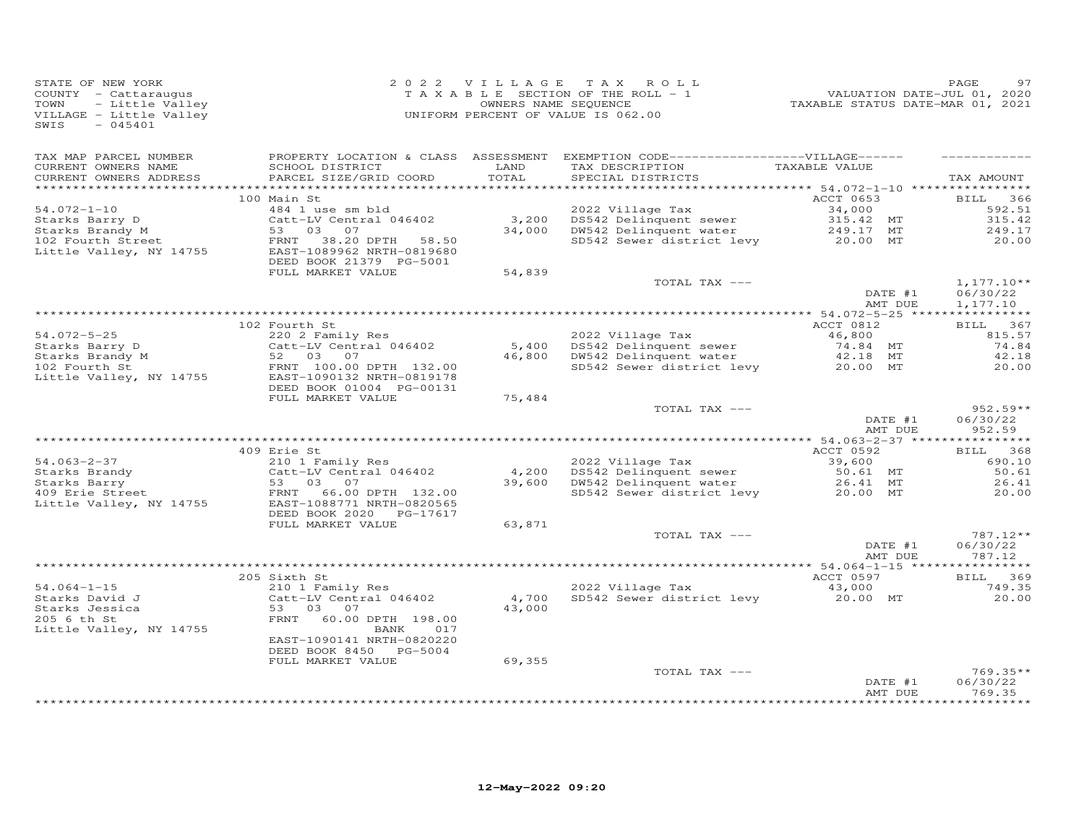| STATE OF NEW YORK<br>COUNTY - Cattaraugus<br>- Little Valley<br>TOWN<br>VILLAGE - Little Valley<br>$-045401$<br>SWIS |                                                                                  |               | 2022 VILLAGE TAX ROLL<br>TAXABLE SECTION OF THE ROLL - 1<br>OWNERS NAME SEQUENCE<br>UNIFORM PERCENT OF VALUE IS 062.00     |                        |                    | PAGE                             |
|----------------------------------------------------------------------------------------------------------------------|----------------------------------------------------------------------------------|---------------|----------------------------------------------------------------------------------------------------------------------------|------------------------|--------------------|----------------------------------|
| TAX MAP PARCEL NUMBER<br>CURRENT OWNERS NAME<br>CURRENT OWNERS ADDRESS                                               | SCHOOL DISTRICT<br>PARCEL SIZE/GRID COORD                                        | LAND<br>TOTAL | PROPERTY LOCATION & CLASS ASSESSMENT EXEMPTION CODE------------------VILLAGE------<br>TAX DESCRIPTION<br>SPECIAL DISTRICTS | TAXABLE VALUE          |                    | TAX AMOUNT                       |
|                                                                                                                      | 100 Main St                                                                      |               |                                                                                                                            | ACCT 0653              |                    | BILL 366                         |
| $54.072 - 1 - 10$                                                                                                    | 484 1 use sm bld                                                                 |               | 2022 Village Tax                                                                                                           | 34,000                 |                    | 592.51                           |
| Starks Barry D                                                                                                       | Catt-LV Central 046402                                                           |               | 3,200 DS542 Delinquent sewer<br>34,000 DW542 Delinquent water                                                              | 315.42 MT<br>249.17 MT |                    | 315.42                           |
| Starks Brandy $M$                                                                                                    | 53 03 07                                                                         |               |                                                                                                                            |                        |                    | 249.17                           |
| 102 Fourth Street<br>Little Valley, NY 14755                                                                         | FRNT 38.20 DPTH 58.50<br>EAST-1089962 NRTH-0819680<br>DEED BOOK 21379 PG-5001    |               | SD542 Sewer district levy                                                                                                  | 20.00 MT               |                    | 20.00                            |
|                                                                                                                      | FULL MARKET VALUE                                                                | 54,839        | TOTAL TAX ---                                                                                                              |                        |                    | $1,177.10**$                     |
|                                                                                                                      |                                                                                  |               |                                                                                                                            |                        | DATE #1<br>AMT DUE | 06/30/22<br>1,177.10             |
|                                                                                                                      |                                                                                  |               |                                                                                                                            |                        |                    |                                  |
| 54.072-5-25                                                                                                          | 102 Fourth St<br>220 2 Family Res                                                |               |                                                                                                                            | ACCT 0812<br>46,800    |                    | BILL 367<br>815.57               |
|                                                                                                                      | Catt-LV Central 046402                                                           |               | 2022 Village Tax                                                                                                           | 74.84 MT               |                    | 74.84                            |
| Starks Barry D<br>Starks Brandy M<br>102 Fourth St                                                                   | 52 03 07                                                                         |               | 5,400 DS542 Delinquent sewer<br>46,800 DW542 Delinquent water                                                              | 42.18 MT               |                    | 42.18                            |
| 102 Fourth St<br>Little Valley, NY 14755                                                                             | FRNT 100.00 DPTH 132.00<br>EAST-1090132 NRTH-0819178<br>DEED BOOK 01004 PG-00131 |               | SD542 Sewer district levy 20.00 MT                                                                                         |                        |                    | 20.00                            |
|                                                                                                                      | FULL MARKET VALUE                                                                | 75,484        |                                                                                                                            |                        |                    |                                  |
|                                                                                                                      |                                                                                  |               | TOTAL TAX ---                                                                                                              |                        | DATE #1<br>AMT DUE | $952.59**$<br>06/30/22<br>952.59 |
|                                                                                                                      |                                                                                  |               |                                                                                                                            |                        |                    |                                  |
|                                                                                                                      | 409 Erie St                                                                      |               |                                                                                                                            | ACCT 0592              |                    | <b>BILL</b><br>368               |
| $54.063 - 2 - 37$                                                                                                    | 210 1 Family Res                                                                 |               | 2022 Village Tax                                                                                                           | 39,600                 |                    | 690.10                           |
| Starks Brandy                                                                                                        | Catt-LV Central 046402<br>53 03 07                                               |               | 4,200 DS542 Delinquent sewer<br>39,600 DW542 Delinquent water                                                              | 50.61 MT               |                    | 50.61<br>26.41                   |
| Starks Barry<br>Starks Barry<br>409 Erie Street                                                                      | FRNT<br>66.00 DPTH 132.00                                                        |               | SD542 Sewer district levy<br>SD542 Sewer district levy<br>20.00 MT                                                         |                        |                    | 20.00                            |
| Little Valley, NY 14755                                                                                              | EAST-1088771 NRTH-0820565<br>DEED BOOK 2020 PG-17617                             |               |                                                                                                                            |                        |                    |                                  |
|                                                                                                                      | FULL MARKET VALUE                                                                | 63,871        |                                                                                                                            |                        |                    |                                  |
|                                                                                                                      |                                                                                  |               | TOTAL TAX ---                                                                                                              |                        | DATE #1<br>AMT DUE | 787.12**<br>06/30/22<br>787.12   |
|                                                                                                                      |                                                                                  |               |                                                                                                                            |                        |                    |                                  |
| $54.064 - 1 - 15$                                                                                                    | 205 Sixth St<br>210 1 Family Res                                                 |               | 2022 Village Tax                                                                                                           | ACCT 0597<br>43,000    |                    | BILL 369<br>749.35               |
|                                                                                                                      | Catt-LV Central 046402                                                           | 4,700         | SD542 Sewer district levy                                                                                                  | 20.00 MT               |                    | 20.00                            |
| Starks David J<br>Starks Jessica<br>205 6 th St<br>205 6 th St                                                       | 53 03 07<br>FRNT 60.00 DPTH 198.00                                               | 43,000        |                                                                                                                            |                        |                    |                                  |
| Little Valley, NY 14755                                                                                              | BANK 017<br>EAST-1090141 NRTH-0820220<br>DEED BOOK 8450 PG-5004                  |               |                                                                                                                            |                        |                    |                                  |
|                                                                                                                      | FULL MARKET VALUE                                                                | 69,355        |                                                                                                                            |                        |                    |                                  |
|                                                                                                                      |                                                                                  |               | TOTAL TAX ---                                                                                                              |                        | DATE #1<br>AMT DUE | $769.35**$<br>06/30/22<br>769.35 |
|                                                                                                                      |                                                                                  |               |                                                                                                                            |                        |                    | * * * * * * * * * *              |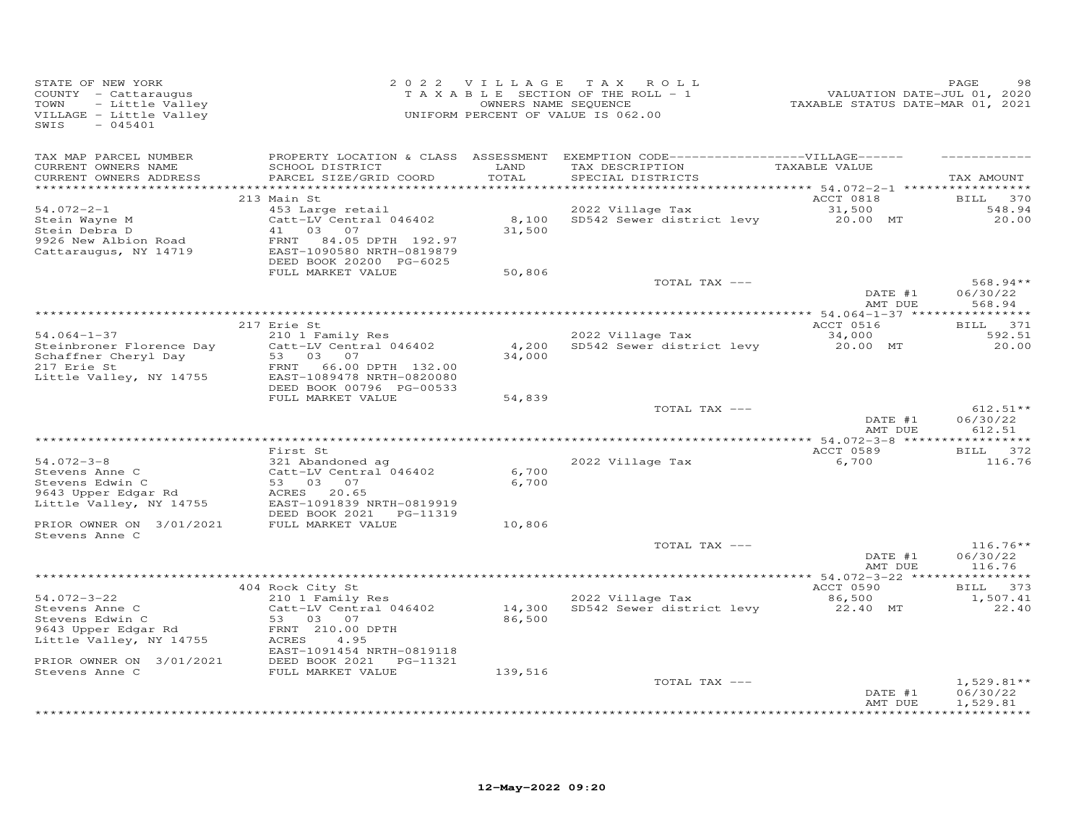| STATE OF NEW YORK<br>COUNTY - Cattaraugus<br>TOWN<br>- Little Valley<br>VILLAGE - Little Valley<br>$-045401$<br>SWIS |                                                                                                                                              |                  | 2022 VILLAGE TAX ROLL<br>TAXABLE SECTION OF THE ROLL - 1<br>OWNERS NAME SEQUENCE<br>UNIFORM PERCENT OF VALUE IS 062.00                   | VALUATION DATE-JUL 01, 2020<br>TAXABLE STATUS DATE-MAR 01, 2021 | PAGE<br>98             |
|----------------------------------------------------------------------------------------------------------------------|----------------------------------------------------------------------------------------------------------------------------------------------|------------------|------------------------------------------------------------------------------------------------------------------------------------------|-----------------------------------------------------------------|------------------------|
| TAX MAP PARCEL NUMBER<br>CURRENT OWNERS NAME<br>CURRENT OWNERS ADDRESS                                               | SCHOOL DISTRICT<br>PARCEL SIZE/GRID COORD                                                                                                    | LAND<br>TOTAL    | PROPERTY LOCATION & CLASS ASSESSMENT EXEMPTION CODE------------------VILLAGE------<br>TAX DESCRIPTION TAXABLE VALUE<br>SPECIAL DISTRICTS |                                                                 | TAX AMOUNT             |
| $54.072 - 2 - 1$                                                                                                     | 213 Main St<br>453 Large retail                                                                                                              |                  | 2022 Village Tax                                                                                                                         | ACCT 0818<br>31,500                                             | BILL 370<br>548.94     |
| Stein Wayne M<br>Stein Debra D<br>9926 New Albion Road<br>Cattaraugus, NY 14719                                      | Catt-LV Central 046402<br>41 03 07<br>FRNT<br>84.05 DPTH 192.97<br>EAST-1090580 NRTH-0819879<br>DEED BOOK 20200 PG-6025<br>FULL MARKET VALUE | 31,500<br>50,806 | 8,100 SD542 Sewer district levy 20.00 MT                                                                                                 |                                                                 | 20.00                  |
|                                                                                                                      |                                                                                                                                              |                  | TOTAL TAX ---                                                                                                                            |                                                                 | $568.94**$             |
|                                                                                                                      |                                                                                                                                              |                  |                                                                                                                                          | DATE #1<br>AMT DUE                                              | 06/30/22<br>568.94     |
|                                                                                                                      |                                                                                                                                              |                  |                                                                                                                                          | ACCT 0516                                                       | BILL 371               |
| $54.064 - 1 - 37$                                                                                                    | 217 Erie St<br>210 1 Family Res                                                                                                              |                  | 2022 Village Tax                                                                                                                         |                                                                 | 592.51                 |
| Steinbroner Florence Day<br>Schaffner Cheryl Day                                                                     | Catt-LV Central 046402<br>53 03 07                                                                                                           | 34,000           | 4,200 SD542 Sewer district levy                                                                                                          | 34,000<br>20.00 MT                                              | 20.00                  |
| 217 Erie St<br>Little Valley, NY 14755                                                                               | FRNT 66.00 DPTH 132.00<br>EAST-1089478 NRTH-0820080<br>DEED BOOK 00796 PG-00533                                                              |                  |                                                                                                                                          |                                                                 |                        |
|                                                                                                                      | FULL MARKET VALUE                                                                                                                            | 54,839           | TOTAL TAX ---                                                                                                                            | DATE #1                                                         | $612.51**$<br>06/30/22 |
|                                                                                                                      |                                                                                                                                              |                  |                                                                                                                                          | AMT DUE                                                         | 612.51                 |
|                                                                                                                      | First St                                                                                                                                     |                  |                                                                                                                                          | ACCT 0589                                                       | BILL 372               |
| $54.072 - 3 - 8$<br>Stevens Anne C                                                                                   | 321 Abandoned ag<br>Catt-LV Central 046402                                                                                                   | 6,700            | 2022 Village Tax                                                                                                                         | 6,700                                                           | 116.76                 |
| Stevens Edwin C<br>9643 Upper Edgar Rd<br>Little Valley, NY 14755                                                    | 53 03 07<br>ACRES 20.65<br>EAST-1091839 NRTH-0819919                                                                                         | 6,700            |                                                                                                                                          |                                                                 |                        |
| PRIOR OWNER ON 3/01/2021<br>Stevens Anne C                                                                           | DEED BOOK 2021    PG-11319<br>FULL MARKET VALUE                                                                                              | 10,806           |                                                                                                                                          |                                                                 |                        |
|                                                                                                                      |                                                                                                                                              |                  | TOTAL TAX ---                                                                                                                            |                                                                 | $116.76**$             |
|                                                                                                                      |                                                                                                                                              |                  |                                                                                                                                          | DATE #1<br>AMT DUE                                              | 06/30/22<br>116.76     |
|                                                                                                                      | 404 Rock City St                                                                                                                             |                  |                                                                                                                                          | ACCT 0590                                                       | BILL 373               |
| $54.072 - 3 - 22$                                                                                                    | 210 1 Family Res                                                                                                                             |                  | 2022 Village Tax                                                                                                                         | 86,500                                                          | 1,507.41               |
| Stevens Anne C<br>Stevens Anne C<br>Stevens Edwin C                                                                  |                                                                                                                                              |                  | zio i ramily Res<br>Catt-LV Central 046402 14,300 SD542 Sewer district levy                                                              | 22.40 MT                                                        | 22.40                  |
| Stevens Edwin C<br>9643 Upper Edgar Rd<br>Little Valley, NY 14755                                                    | 53 03 07<br>FRNT 210.00 DPTH<br>ACRES<br>4.95                                                                                                | 86,500           |                                                                                                                                          |                                                                 |                        |
| PRIOR OWNER ON 3/01/2021<br>Stevens Anne C                                                                           | EAST-1091454 NRTH-0819118<br>DEED BOOK 2021    PG-11321<br>FULL MARKET VALUE                                                                 | 139,516          |                                                                                                                                          |                                                                 |                        |
|                                                                                                                      |                                                                                                                                              |                  | TOTAL TAX ---                                                                                                                            |                                                                 | $1,529.81**$           |
|                                                                                                                      |                                                                                                                                              |                  |                                                                                                                                          | DATE #1<br>AMT DUE                                              | 06/30/22<br>1,529.81   |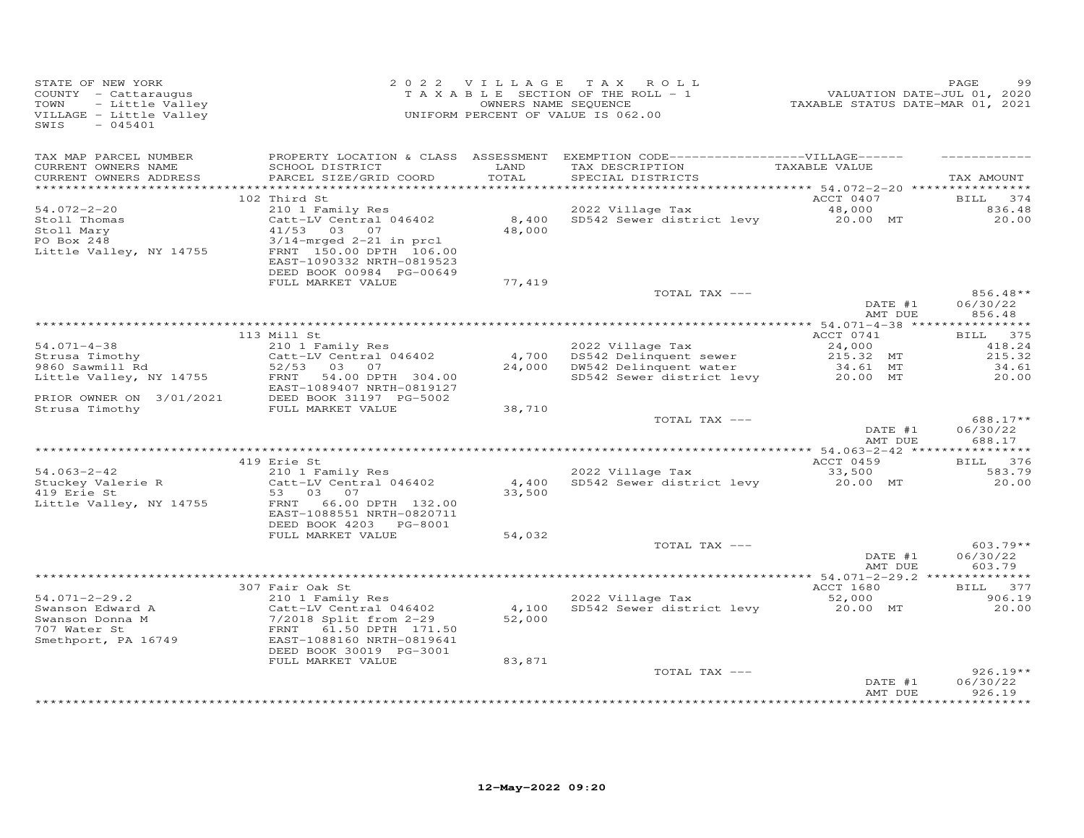| STATE OF NEW YORK<br>COUNTY - Cattaraugus<br>TOWN<br>- Little Valley<br>VILLAGE - Little Valley<br>SWIS<br>$-045401$ |                                                                                                                | 2022 VILLAGE<br>OWNERS NAME SEQUENCE | TAX ROLL<br>TAXABLE SECTION OF THE ROLL - 1<br>UNIFORM PERCENT OF VALUE IS 062.00                                          | VALUATION DATE-JUL 01, 2020<br>TAXABLE STATUS DATE-MAR 01, 2021 | PAGE<br>99                       |
|----------------------------------------------------------------------------------------------------------------------|----------------------------------------------------------------------------------------------------------------|--------------------------------------|----------------------------------------------------------------------------------------------------------------------------|-----------------------------------------------------------------|----------------------------------|
| TAX MAP PARCEL NUMBER<br>CURRENT OWNERS NAME<br>CURRENT OWNERS ADDRESS                                               | SCHOOL DISTRICT<br>PARCEL SIZE/GRID COORD                                                                      | LAND<br>TOTAL                        | PROPERTY LOCATION & CLASS ASSESSMENT EXEMPTION CODE------------------VILLAGE------<br>TAX DESCRIPTION<br>SPECIAL DISTRICTS | TAXABLE VALUE                                                   | TAX AMOUNT                       |
| $54.072 - 2 - 20$<br>Stoll Thomas<br>Stoll Mary                                                                      | 102 Third St<br>210 1 Family Res<br>Catt-LV Central 046402<br>41/53 03 07                                      | 8,400<br>48,000                      | 2022 Village Tax<br>SD542 Sewer district levy                                                                              | ACCT 0407<br>48,000<br>20.00 MT                                 | BILL<br>374<br>836.48<br>20.00   |
| PO Box 248<br>Little Valley, NY 14755                                                                                | $3/14$ -mrged 2-21 in prcl<br>FRNT 150.00 DPTH 106.00<br>EAST-1090332 NRTH-0819523<br>DEED BOOK 00984 PG-00649 |                                      |                                                                                                                            |                                                                 |                                  |
|                                                                                                                      | FULL MARKET VALUE                                                                                              | 77,419                               | TOTAL TAX ---                                                                                                              | DATE #1<br>AMT DUE                                              | 856.48**<br>06/30/22<br>856.48   |
|                                                                                                                      |                                                                                                                |                                      |                                                                                                                            |                                                                 |                                  |
|                                                                                                                      | 113 Mill St                                                                                                    |                                      |                                                                                                                            | ACCT 0741                                                       | BILL 375                         |
| $54.071 - 4 - 38$<br>Strusa Timothy                                                                                  | 210 1 Family Res<br>Catt-LV Central 046402                                                                     | 4,700                                | 2022 Village Tax<br>DS542 Delinquent sewer                                                                                 | 24,000<br>215.32 MT                                             | 418.24<br>215.32                 |
| 9860 Sawmill Rd                                                                                                      | 52/53 03 07                                                                                                    | 24,000                               | DW542 Delinquent water                                                                                                     | 34.61 MT                                                        | 34.61                            |
| Little Valley, NY 14755                                                                                              | FRNT<br>54.00 DPTH 304.00<br>EAST-1089407 NRTH-0819127                                                         |                                      | SD542 Sewer district levy                                                                                                  | 20.00 MT                                                        | 20.00                            |
| PRIOR OWNER ON 3/01/2021<br>Strusa Timothy                                                                           | DEED BOOK 31197 PG-5002<br>FULL MARKET VALUE                                                                   | 38,710                               |                                                                                                                            |                                                                 |                                  |
|                                                                                                                      |                                                                                                                |                                      | TOTAL TAX ---                                                                                                              | DATE #1                                                         | 688.17**<br>06/30/22             |
|                                                                                                                      |                                                                                                                |                                      |                                                                                                                            | AMT DUE                                                         | 688.17                           |
|                                                                                                                      |                                                                                                                |                                      |                                                                                                                            |                                                                 |                                  |
| $54.063 - 2 - 42$                                                                                                    | 419 Erie St                                                                                                    |                                      | 2022 Village Tax                                                                                                           | ACCT 0459<br>33,500                                             | BILL 376<br>583.79               |
| Stuckey Valerie R<br>419 Erie St                                                                                     | 210 1 Family Res<br>Catt-LV Central 046402<br>53 03<br>07                                                      | 4,400<br>33,500                      | SD542 Sewer district levy                                                                                                  | 20.00 MT                                                        | 20,00                            |
| Little Valley, NY 14755                                                                                              | 66.00 DPTH 132.00<br>FRNT<br>EAST-1088551 NRTH-0820711<br>DEED BOOK 4203 PG-8001                               |                                      |                                                                                                                            |                                                                 |                                  |
|                                                                                                                      | FULL MARKET VALUE                                                                                              | 54,032                               |                                                                                                                            |                                                                 |                                  |
|                                                                                                                      |                                                                                                                |                                      | TOTAL TAX ---                                                                                                              | DATE #1<br>AMT DUE                                              | $603.79**$<br>06/30/22<br>603.79 |
|                                                                                                                      |                                                                                                                |                                      |                                                                                                                            |                                                                 |                                  |
|                                                                                                                      | 307 Fair Oak St                                                                                                |                                      |                                                                                                                            | ACCT 1680                                                       | BILL 377                         |
| $54.071 - 2 - 29.2$                                                                                                  | 210 1 Family Res                                                                                               |                                      | 2022 Village Tax                                                                                                           | 52,000                                                          | 906.19                           |
| Swanson Edward A<br>Swanson Donna M<br>707 Water St<br>Smethport, PA 16749                                           | Catt-LV Central 046402<br>7/2018 Split from 2-29<br>61.50 DPTH 171.50<br>FRNT<br>EAST-1088160 NRTH-0819641     | 4,100<br>52,000                      | SD542 Sewer district levy                                                                                                  | 20.00 MT                                                        | 20,00                            |
|                                                                                                                      | DEED BOOK 30019 PG-3001                                                                                        |                                      |                                                                                                                            |                                                                 |                                  |
|                                                                                                                      | FULL MARKET VALUE                                                                                              | 83,871                               | TOTAL TAX ---                                                                                                              |                                                                 | $926.19**$                       |
|                                                                                                                      |                                                                                                                |                                      |                                                                                                                            | DATE #1<br>AMT DUE                                              | 06/30/22<br>926.19               |
|                                                                                                                      |                                                                                                                |                                      |                                                                                                                            |                                                                 |                                  |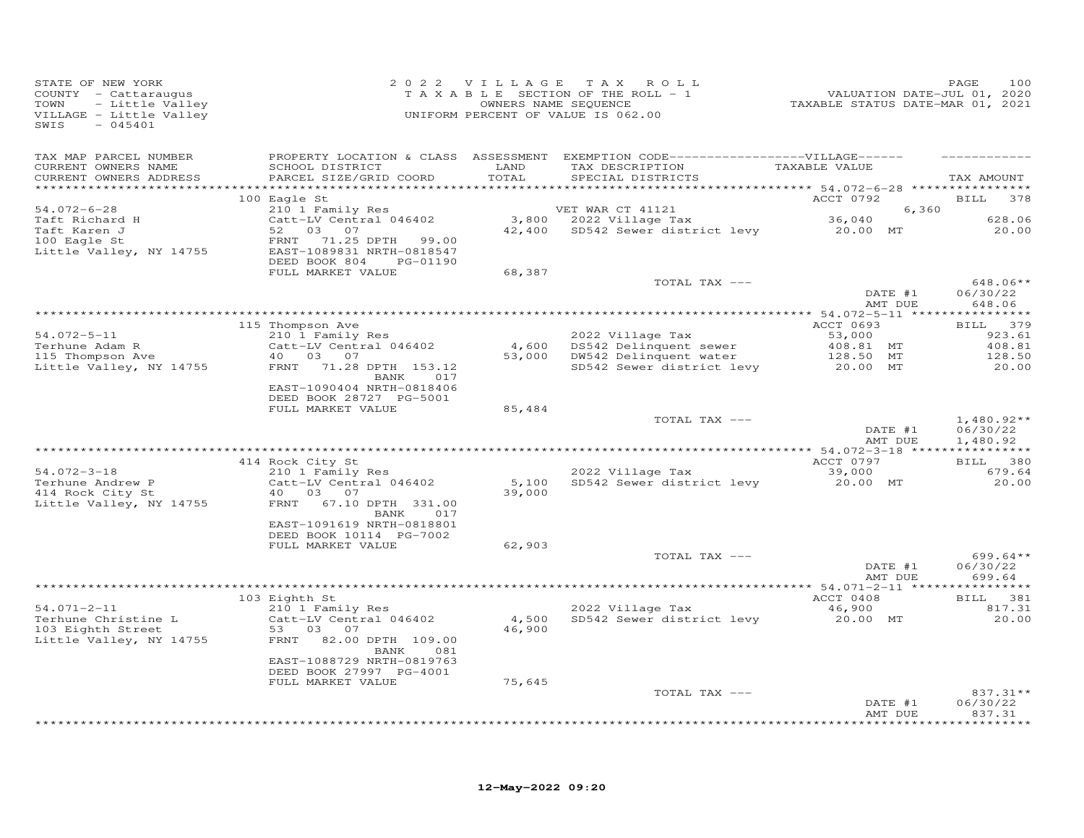| STATE OF NEW YORK<br>COUNTY - Cattaraugus<br>TOWN<br>- Little Valley<br>VILLAGE - Little Valley<br>$-045401$<br>SWIS |                                                                                                   |               | 2022 VILLAGE TAX ROLL<br>TAXABLE SECTION OF THE ROLL - 1<br>OWNERS NAME SEQUENCE<br>UNIFORM PERCENT OF VALUE IS 062.00        | 2020<br>7202 , VALUATION DATE-JUL<br>72021 TAXABLE STATUS DATE-MAR | PAGE<br>100          |
|----------------------------------------------------------------------------------------------------------------------|---------------------------------------------------------------------------------------------------|---------------|-------------------------------------------------------------------------------------------------------------------------------|--------------------------------------------------------------------|----------------------|
| TAX MAP PARCEL NUMBER<br>CURRENT OWNERS NAME<br>CURRENT OWNERS ADDRESS                                               | SCHOOL DISTRICT<br>PARCEL SIZE/GRID COORD                                                         | LAND<br>TOTAL | PROPERTY LOCATION & CLASS ASSESSMENT EXEMPTION CODE-----------------VILLAGE------<br>TAX DESCRIPTION<br>SPECIAL DISTRICTS     | TAXABLE VALUE                                                      | TAX AMOUNT           |
|                                                                                                                      |                                                                                                   |               |                                                                                                                               |                                                                    |                      |
|                                                                                                                      | 100 Eagle St                                                                                      |               |                                                                                                                               | ACCT 0792                                                          | <b>BILL</b><br>378   |
| 54.072-6-28                                                                                                          | 210 1 Family Res                                                                                  |               | VET WAR CT 41121                                                                                                              | 6,360                                                              |                      |
|                                                                                                                      | Catt-LV Central 046402                                                                            |               | 6, VET WAR CT 41121<br>3,800 2022 Village Tax 36,040<br>42,400 SD542 Sewer district levy 20.00 MT<br>$3,800$ 2022 Village Tax |                                                                    | 628.06               |
| Taft Richard H<br>Taft Karen J<br>100 Eagle St<br>100 Eagle St<br>Little Valley, NY 14755                            | 52 03 07<br>71.25 DPTH<br>FRNT<br>99.00<br>EAST-1089831 NRTH-0818547<br>DEED BOOK 804<br>PG-01190 |               |                                                                                                                               |                                                                    | 20.00                |
|                                                                                                                      | FULL MARKET VALUE                                                                                 | 68,387        |                                                                                                                               |                                                                    |                      |
|                                                                                                                      |                                                                                                   |               | TOTAL TAX ---                                                                                                                 |                                                                    | 648.06**             |
|                                                                                                                      |                                                                                                   |               |                                                                                                                               | DATE #1<br>AMT DUE                                                 | 06/30/22<br>648.06   |
|                                                                                                                      |                                                                                                   |               |                                                                                                                               |                                                                    |                      |
|                                                                                                                      | 115 Thompson Ave                                                                                  |               |                                                                                                                               | ACCT 0693                                                          | BILL 379             |
| $54.072 - 5 - 11$                                                                                                    | 210 1 Family Res                                                                                  |               | 2022 Village Tax                                                                                                              | 53,000                                                             | 923.61               |
| Terhune Adam R                                                                                                       | Catt-LV Central 046402                                                                            |               | 4,600 DS542 Delinquent sewer                                                                                                  | 408.81 MT<br>128.50 MT                                             | 408.81               |
| 115 Thompson Ave                                                                                                     | 40 03 07                                                                                          |               | $53,000$ DW542 Delinquent water                                                                                               | 128.50 MT                                                          | 128.50               |
| Little Valley, NY 14755                                                                                              | FRNT 71.28 DPTH 153.12<br>017<br>BANK<br>EAST-1090404 NRTH-0818406                                |               | SD542 Sewer district levy                                                                                                     | 20.00 MT                                                           | 20.00                |
|                                                                                                                      | DEED BOOK 28727 PG-5001<br>FULL MARKET VALUE                                                      | 85,484        |                                                                                                                               |                                                                    |                      |
|                                                                                                                      |                                                                                                   |               | TOTAL TAX ---                                                                                                                 |                                                                    | $1,480.92**$         |
|                                                                                                                      |                                                                                                   |               |                                                                                                                               | DATE #1<br>AMT DUE                                                 | 06/30/22<br>1,480.92 |
|                                                                                                                      |                                                                                                   |               |                                                                                                                               |                                                                    | BILL 380             |
| $54.072 - 3 - 18$                                                                                                    | 414 Rock City St<br>210 1 Family Res                                                              |               | 2022 Village Tax                                                                                                              | ACCT 0797<br>39,000                                                | 679.64               |
|                                                                                                                      | Catt-LV Central 046402                                                                            |               | 5,100 SD542 Sewer district levy 20.00 MT                                                                                      |                                                                    | 20.00                |
| Terhune Andrew P<br>414 Rock City St<br>414 Rock City St                                                             | 40 03 07                                                                                          | 39,000        |                                                                                                                               |                                                                    |                      |
| Little Valley, NY 14755                                                                                              | FRNT 67.10 DPTH 331.00<br>BANK<br>017                                                             |               |                                                                                                                               |                                                                    |                      |
|                                                                                                                      | EAST-1091619 NRTH-0818801<br>DEED BOOK 10114 PG-7002                                              |               |                                                                                                                               |                                                                    |                      |
|                                                                                                                      | FULL MARKET VALUE                                                                                 | 62,903        |                                                                                                                               |                                                                    |                      |
|                                                                                                                      |                                                                                                   |               | TOTAL TAX ---                                                                                                                 |                                                                    | $699.64**$           |
|                                                                                                                      |                                                                                                   |               |                                                                                                                               | DATE #1<br>AMT DUE                                                 | 06/30/22<br>699.64   |
|                                                                                                                      | 103 Eighth St                                                                                     |               |                                                                                                                               | ACCT 0408                                                          | BILL 381             |
| $54.071 - 2 - 11$                                                                                                    | 210 1 Family Res                                                                                  |               | 2022 Village Tax                                                                                                              | 46,900                                                             | 817.31               |
|                                                                                                                      | Catt-LV Central 046402                                                                            |               | 4,500 SD542 Sewer district levy                                                                                               | 20.00 MT                                                           | 20.00                |
| Terhune Christine L<br>103 Eighth Street                                                                             | 53 03 07                                                                                          | 46,900        |                                                                                                                               |                                                                    |                      |
| Little Valley, NY 14755                                                                                              | FRNT 82.00 DPTH 109.00<br>BANK<br>081                                                             |               |                                                                                                                               |                                                                    |                      |
|                                                                                                                      | EAST-1088729 NRTH-0819763<br>DEED BOOK 27997 PG-4001                                              |               |                                                                                                                               |                                                                    |                      |
|                                                                                                                      | FULL MARKET VALUE                                                                                 | 75,645        |                                                                                                                               |                                                                    |                      |
|                                                                                                                      |                                                                                                   |               | TOTAL TAX ---                                                                                                                 |                                                                    | $837.31**$           |
|                                                                                                                      |                                                                                                   |               |                                                                                                                               | DATE #1<br>AMT DUE                                                 | 06/30/22<br>837.31   |
|                                                                                                                      |                                                                                                   |               |                                                                                                                               |                                                                    |                      |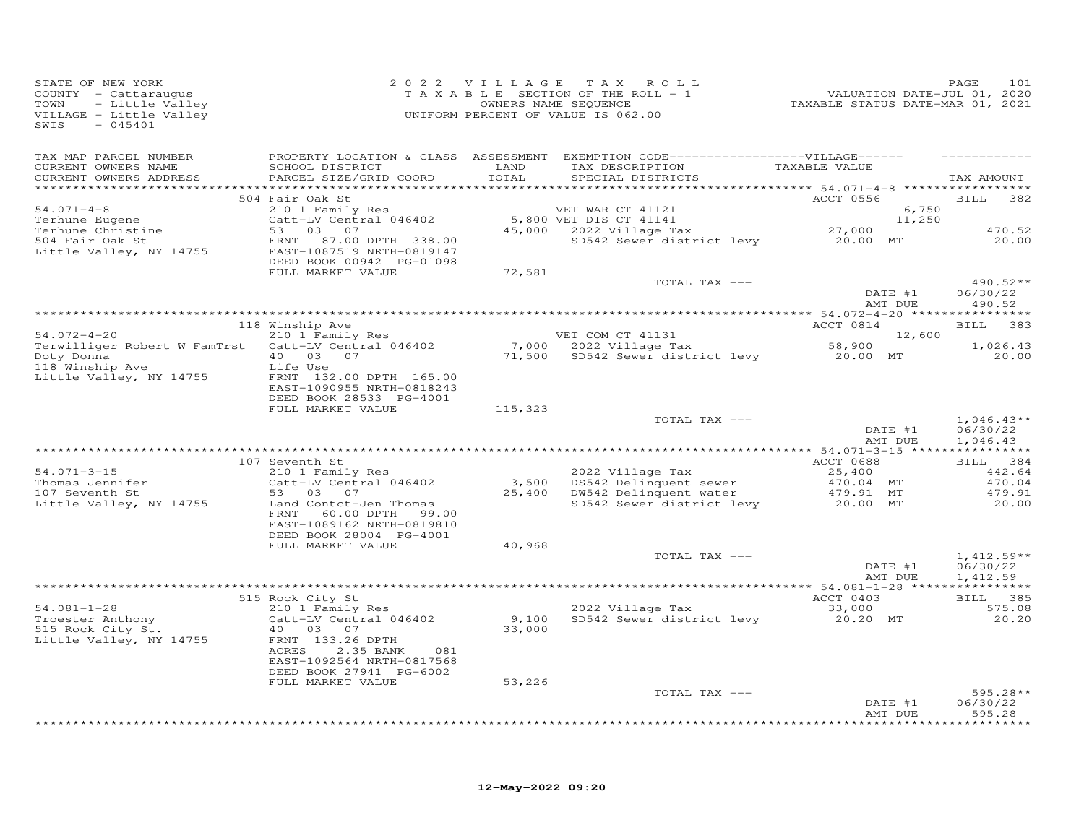| STATE OF NEW YORK<br>COUNTY - Cattaraugus<br>TOWN<br>- Little Valley<br>VILLAGE - Little Valley<br>$-045401$<br>SWIS |                                                                                                        |               | 2022 VILLAGE TAX ROLL<br>TAXABLE SECTION OF THE ROLL - 1<br>OWNERS NAME SEQUENCE<br>UNIFORM PERCENT OF VALUE IS 062.00        | PAGE<br>101, VALUATION DATE-JUL 01, 2020<br>TAXABLE STATUS DATE-MAR 01, 2021 |                    | 101<br>PAGE                          |
|----------------------------------------------------------------------------------------------------------------------|--------------------------------------------------------------------------------------------------------|---------------|-------------------------------------------------------------------------------------------------------------------------------|------------------------------------------------------------------------------|--------------------|--------------------------------------|
| TAX MAP PARCEL NUMBER<br>CURRENT OWNERS NAME<br>CURRENT OWNERS ADDRESS                                               | SCHOOL DISTRICT<br>PARCEL SIZE/GRID COORD                                                              | LAND<br>TOTAL | PROPERTY LOCATION & CLASS ASSESSMENT EXEMPTION CODE-----------------VILLAGE------<br>TAX DESCRIPTION<br>SPECIAL DISTRICTS     | TAXABLE VALUE                                                                |                    | TAX AMOUNT                           |
|                                                                                                                      | 504 Fair Oak St                                                                                        |               |                                                                                                                               | ACCT 0556                                                                    |                    | <b>BILL</b><br>382                   |
| $54.071 - 4 - 8$                                                                                                     | 210 1 Family Res                                                                                       |               | VET WAR CT 41121                                                                                                              |                                                                              | 6,750              |                                      |
| Terhune Eugene<br>Terhune Christine                                                                                  | $210$ $1$ $240$ $240$ $240$ $240$ $240$ $240$ $240$ $240$<br>53 03 07                                  |               | 5,800 VET DIS CT 41141<br>$45,000$ 2022 Village Tax                                                                           |                                                                              | 11,250             | 470.52                               |
| $504$ Fair Oak St<br>Little Valley, NY 14755                                                                         | FRNT<br>87.00 DPTH 338.00<br>EAST-1087519 NRTH-0819147                                                 |               | SD542 Sewer district levy 20.00 MT                                                                                            | 27,000                                                                       |                    | 20.00                                |
|                                                                                                                      | DEED BOOK 00942 PG-01098<br>FULL MARKET VALUE                                                          | 72,581        |                                                                                                                               |                                                                              |                    |                                      |
|                                                                                                                      |                                                                                                        |               | TOTAL TAX ---                                                                                                                 |                                                                              | DATE #1            | $490.52**$<br>06/30/22               |
|                                                                                                                      |                                                                                                        |               |                                                                                                                               |                                                                              | AMT DUE            | 490.52                               |
|                                                                                                                      | 118 Winship Ave                                                                                        |               |                                                                                                                               | ACCT 0814                                                                    |                    | BILL 383                             |
| $54.072 - 4 - 20$                                                                                                    | 210 1 Family Res                                                                                       |               | VET COM CT 41131                                                                                                              |                                                                              | 12,600             |                                      |
| Terwilliger Robert W FamTrst Catt-LV Central 046402                                                                  |                                                                                                        |               | 7,000 2022 Village Tax 58,900 12<br>71,500 SD542 Sewer district levy 20.00 MT                                                 |                                                                              |                    | 1,026.43                             |
| Doty Donna<br>Doty Donna<br>118 Winship Ave<br>Little Valley, NY 14755                                               | 40  03  07<br>Life Use<br>FRNT 132.00 DPTH 165.00<br>EAST-1090955 NRTH-0818243                         |               |                                                                                                                               |                                                                              |                    | 20,00                                |
|                                                                                                                      | DEED BOOK 28533 PG-4001                                                                                |               |                                                                                                                               |                                                                              |                    |                                      |
|                                                                                                                      | FULL MARKET VALUE                                                                                      | 115,323       |                                                                                                                               |                                                                              |                    |                                      |
|                                                                                                                      |                                                                                                        |               | TOTAL TAX ---                                                                                                                 |                                                                              | DATE #1<br>AMT DUE | $1,046.43**$<br>06/30/22<br>1,046.43 |
|                                                                                                                      |                                                                                                        |               |                                                                                                                               |                                                                              |                    |                                      |
| $54.071 - 3 - 15$                                                                                                    | 107 Seventh St<br>210 1 Family Res                                                                     |               |                                                                                                                               | ACCT 0688<br>25,400                                                          |                    | BILL 384<br>442.64                   |
| Thomas Jennifer                                                                                                      | Catt-LV Central 046402                                                                                 |               | 2022 village Tax<br>3,500 DS542 Delinquent sewer<br>25,400 DW542 Deligne                                                      |                                                                              |                    | 470.04                               |
| 107 Seventh St                                                                                                       | 53 03 07                                                                                               |               | 3,500 DS542 Delinquent sewer $470.04$ MT<br>25,400 DW542 Delinquent water $479.91$ MT<br>SD542 Sewer district levy $20.00$ MT |                                                                              |                    | 479.91                               |
| Little Valley, NY 14755                                                                                              | Land Contct-Jen Thomas<br>60.00 DPTH 99.00<br>FRNT<br>EAST-1089162 NRTH-0819810                        |               |                                                                                                                               |                                                                              |                    | 20.00                                |
|                                                                                                                      | DEED BOOK 28004 PG-4001                                                                                |               |                                                                                                                               |                                                                              |                    |                                      |
|                                                                                                                      | FULL MARKET VALUE                                                                                      | 40,968        | TOTAL TAX ---                                                                                                                 |                                                                              |                    | $1,412.59**$                         |
|                                                                                                                      |                                                                                                        |               |                                                                                                                               |                                                                              | DATE #1<br>AMT DUE | 06/30/22<br>1,412.59                 |
|                                                                                                                      |                                                                                                        |               |                                                                                                                               |                                                                              |                    |                                      |
| $54.081 - 1 - 28$                                                                                                    | 515 Rock City St<br>210 1 Family Res                                                                   |               | 2022 Village Tax                                                                                                              | ACCT 0403<br>33,000                                                          |                    | BILL 385<br>575.08                   |
| Troester Anthony<br>515 Rock City St.<br>Little Valley, NY 14755                                                     | Catt-LV Central 046402<br>40 03 07<br>FRNT 133.26 DPTH                                                 | 33,000        | 9,100 SD542 Sewer district levy                                                                                               | 20.20 MT                                                                     |                    | 20.20                                |
|                                                                                                                      | ACRES<br>2.35 BANK<br>081<br>EAST-1092564 NRTH-0817568<br>DEED BOOK 27941 PG-6002<br>FULL MARKET VALUE | 53,226        |                                                                                                                               |                                                                              |                    |                                      |
|                                                                                                                      |                                                                                                        |               | TOTAL TAX ---                                                                                                                 |                                                                              |                    | $595.28**$                           |
|                                                                                                                      |                                                                                                        |               |                                                                                                                               |                                                                              | DATE #1<br>AMT DUE | 06/30/22<br>595.28                   |
|                                                                                                                      |                                                                                                        |               |                                                                                                                               |                                                                              |                    | * * * * * * * *                      |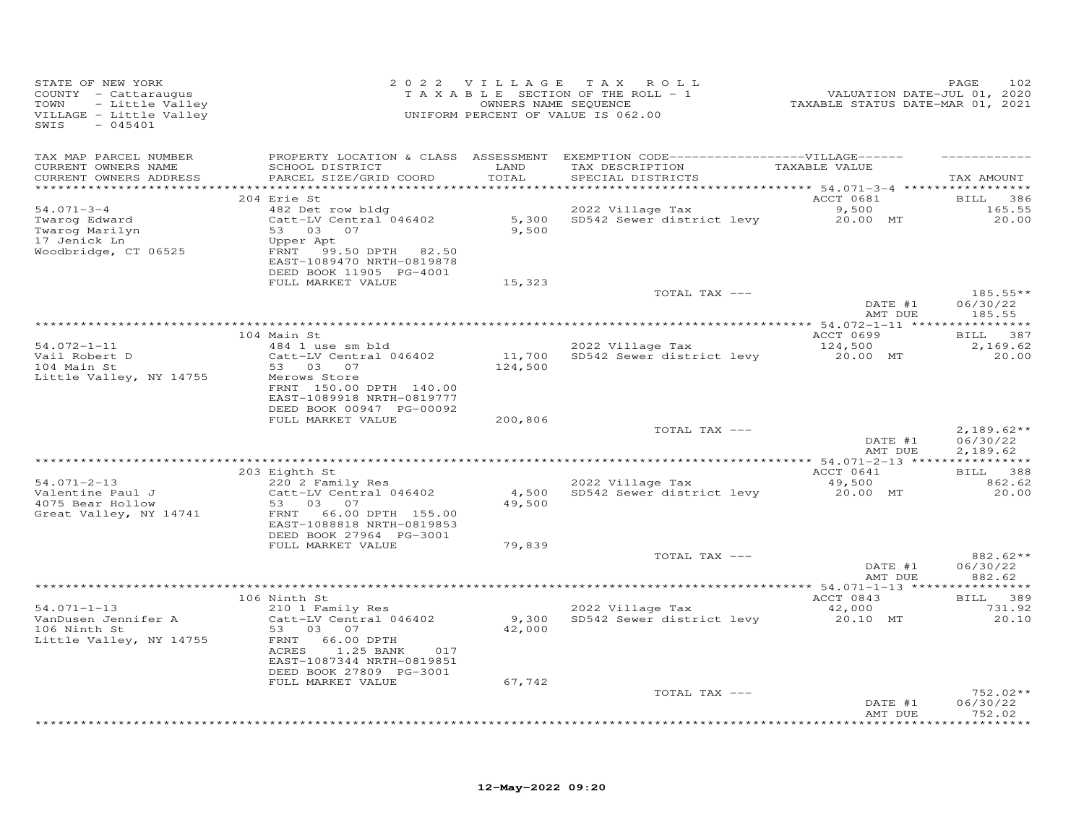| STATE OF NEW YORK<br>COUNTY - Cattaraugus<br>TOWN<br>- Little Valley<br>VILLAGE - Little Valley<br>$-045401$<br>SWIS |                                                                                                                                                                                   |                 | 2022 VILLAGE TAX ROLL<br>$T$ A X A B L E SECTION OF THE ROLL - 1<br>OWNERS NAME SEQUENCE<br>UNIFORM PERCENT OF VALUE IS 062.00 | ۳ALUATION DATE-JUL 01, 2020<br>TAXABLE STATUS DATE-MAR 01, 2021 | PAGE<br>102                          |
|----------------------------------------------------------------------------------------------------------------------|-----------------------------------------------------------------------------------------------------------------------------------------------------------------------------------|-----------------|--------------------------------------------------------------------------------------------------------------------------------|-----------------------------------------------------------------|--------------------------------------|
| TAX MAP PARCEL NUMBER<br>CURRENT OWNERS NAME<br>CURRENT OWNERS ADDRESS                                               | SCHOOL DISTRICT<br>PARCEL SIZE/GRID COORD                                                                                                                                         | LAND<br>TOTAL   | PROPERTY LOCATION & CLASS ASSESSMENT EXEMPTION CODE-----------------VILLAGE------<br>TAX DESCRIPTION<br>SPECIAL DISTRICTS      | TAXABLE VALUE                                                   | TAX AMOUNT                           |
| $54.071 - 3 - 4$<br>Twarog Edward<br>Twarog Marilyn<br>17 Jenick Ln<br>Woodbridge, CT 06525                          | 204 Erie St<br>482 Det row bldg<br>Catt-LV Central 046402<br>53 03 07<br>Upper Apt<br>FRNT 99.50 DPTH 82.50<br>EAST-1089470 NRTH-0819878<br>DEED BOOK 11905 PG-4001               | 9,500           | 2022 Village Tax 9,500<br>5,300 SD542 Sewer district levy 20.00 MT                                                             | ACCT 0681                                                       | BILL 386<br>165.55<br>20.00          |
|                                                                                                                      | FULL MARKET VALUE                                                                                                                                                                 | 15,323          | TOTAL TAX ---                                                                                                                  | DATE #1<br>AMT DUE                                              | $185.55**$<br>06/30/22<br>185.55     |
|                                                                                                                      |                                                                                                                                                                                   |                 |                                                                                                                                |                                                                 |                                      |
| $54.072 - 1 - 11$<br>Vail Robert D<br>104 Main St<br>Little Valley, NY 14755                                         | 104 Main St<br>484 1 use sm bld<br>Catt-LV Central 046402<br>53 03 07<br>Merows Store<br>FRNT 150.00 DPTH 140.00<br>EAST-1089918 NRTH-0819777<br>DEED BOOK 00947 PG-00092         | 124,500         | 2022 Village Tax<br>11,700 SD542 Sewer district levy                                                                           | ACCT 0699<br>124,500<br>20.00 MT                                | BILL 387<br>2,169.62<br>20.00        |
|                                                                                                                      | FULL MARKET VALUE                                                                                                                                                                 | 200,806         | TOTAL TAX ---                                                                                                                  | DATE #1<br>AMT DUE                                              | $2,189.62**$<br>06/30/22<br>2,189.62 |
|                                                                                                                      |                                                                                                                                                                                   |                 |                                                                                                                                |                                                                 |                                      |
| $54.071 - 2 - 13$<br>Valentine Paul J<br>4075 Bear Hollow<br>Great Valley, NY 14741                                  | 203 Eighth St<br>220 2 Family Res<br>Catt-LV Central 046402<br>53 03 07<br>FRNT 66.00 DPTH 155.00<br>EAST-1088818 NRTH-0819853                                                    | 4,500<br>49,500 | 2022 Village Tax<br>SD542 Sewer district levy and 20.00 MT                                                                     | ACCT 0641<br>49,500                                             | BILL 388<br>862.62<br>20.00          |
|                                                                                                                      | DEED BOOK 27964 PG-3001<br>FULL MARKET VALUE                                                                                                                                      | 79,839          | TOTAL TAX ---                                                                                                                  | DATE #1                                                         | 882.62**<br>06/30/22                 |
|                                                                                                                      |                                                                                                                                                                                   |                 |                                                                                                                                | AMT DUE                                                         | 882.62                               |
|                                                                                                                      |                                                                                                                                                                                   |                 |                                                                                                                                |                                                                 |                                      |
| $54.071 - 1 - 13$<br>VanDusen Jennifer A<br>106 Ninth St<br>Little Valley, NY 14755                                  | 106 Ninth St<br>210 1 Family Res<br>Catt-LV Central 046402<br>53 03 07<br>FRNT<br>66.00 DPTH<br>ACRES<br>1.25 BANK<br>017<br>EAST-1087344 NRTH-0819851<br>DEED BOOK 27809 PG-3001 | 42,000          | 2022 Village Tax<br>9,300 SD542 Sewer district levy                                                                            | ACCT 0843<br>42,000<br>20.10 MT                                 | BILL 389<br>731.92<br>20.10          |
|                                                                                                                      | FULL MARKET VALUE                                                                                                                                                                 | 67,742          | TOTAL TAX ---                                                                                                                  | DATE #1<br>AMT DUE                                              | 752.02**<br>06/30/22<br>752.02       |
|                                                                                                                      |                                                                                                                                                                                   |                 |                                                                                                                                |                                                                 | * * * * * * * * * *                  |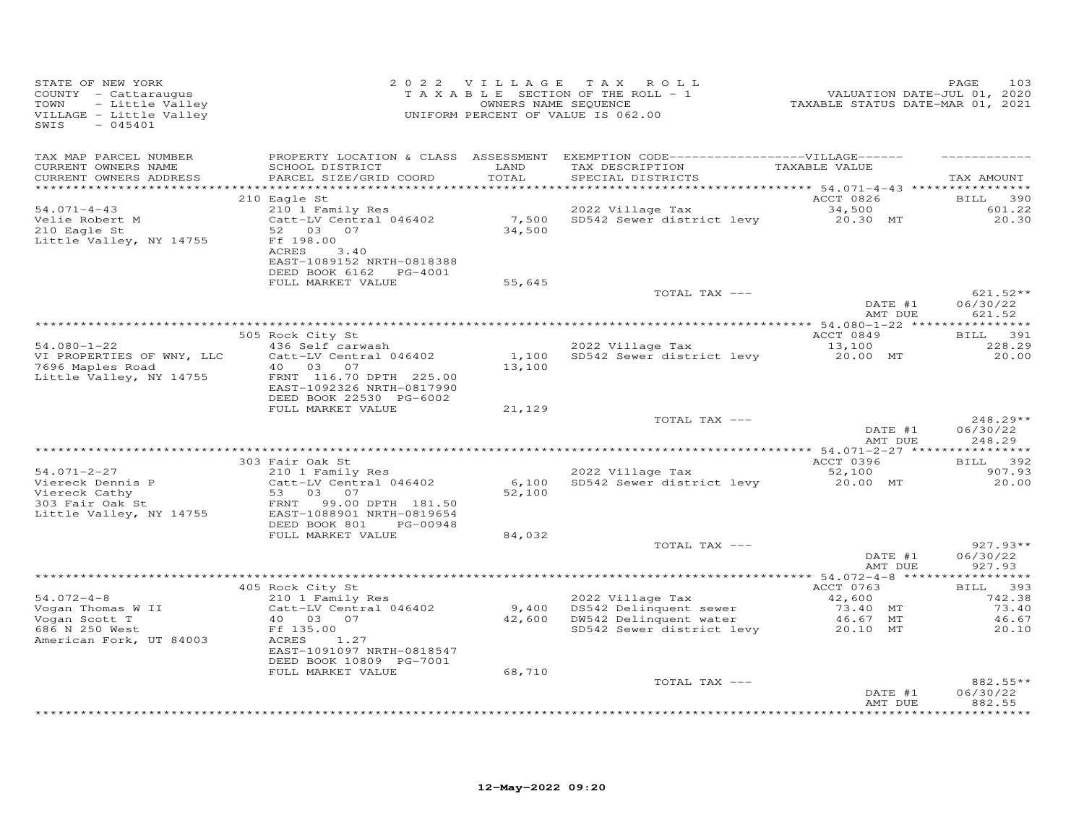| STATE OF NEW YORK<br>COUNTY - Cattaraugus<br>- Little Valley<br>TOWN<br>VILLAGE - Little Valley<br>SWIS<br>$-045401$ |                                                                                               |                 | 2022 VILLAGE TAX ROLL<br>TAXABLE SECTION OF THE ROLL - 1<br>OWNERS NAME SEQUENCE<br>UNIFORM PERCENT OF VALUE IS 062.00     | 1.01, 2020<br>2020, VALUATION DATE-JUL<br>2021, TAXABLE STATUS DATE-MAR 01, 2021 | 103<br>PAGE                      |
|----------------------------------------------------------------------------------------------------------------------|-----------------------------------------------------------------------------------------------|-----------------|----------------------------------------------------------------------------------------------------------------------------|----------------------------------------------------------------------------------|----------------------------------|
| TAX MAP PARCEL NUMBER<br>CURRENT OWNERS NAME<br>CURRENT OWNERS ADDRESS                                               | SCHOOL DISTRICT<br>PARCEL SIZE/GRID COORD                                                     | LAND<br>TOTAL   | PROPERTY LOCATION & CLASS ASSESSMENT EXEMPTION CODE------------------VILLAGE------<br>TAX DESCRIPTION<br>SPECIAL DISTRICTS | TAXABLE VALUE                                                                    | TAX AMOUNT                       |
|                                                                                                                      | 210 Eagle St                                                                                  |                 |                                                                                                                            | ACCT 0826                                                                        | <b>BILL</b><br>390               |
| $54.071 - 4 - 43$<br>Velie Robert M<br>210 Eagle St                                                                  | 210 1 Family Res<br>Catt-LV Central 046402<br>52 03 07                                        | 7,500<br>34,500 | 2022 Village Tax<br>SD542 Sewer district levy 20.30 MT                                                                     | 34,500                                                                           | 601.22<br>20.30                  |
| Little Valley, NY 14755                                                                                              | Ff 198.00<br>ACRES<br>3.40<br>EAST-1089152 NRTH-0818388<br>DEED BOOK 6162 PG-4001             |                 |                                                                                                                            |                                                                                  |                                  |
|                                                                                                                      | FULL MARKET VALUE                                                                             | 55,645          |                                                                                                                            |                                                                                  |                                  |
|                                                                                                                      |                                                                                               |                 | TOTAL TAX ---                                                                                                              | DATE #1<br>AMT DUE                                                               | $621.52**$<br>06/30/22<br>621.52 |
|                                                                                                                      |                                                                                               |                 |                                                                                                                            |                                                                                  |                                  |
|                                                                                                                      | 505 Rock City St                                                                              |                 |                                                                                                                            | ACCT 0849                                                                        | BILL 391                         |
| $54.080 - 1 - 22$<br>VI PROPERTIES OF WNY, LLC                                                                       | 436 Self carwash<br>Catt-LV Central 046402                                                    |                 | 2022 Village Tax<br>1,100 SD542 Sewer district levy 20.00 MT                                                               | 13,100                                                                           | 228.29<br>20.00                  |
| 7696 Maples Road<br>Little Valley, NY 14755                                                                          | 40  03  07<br>FRNT 116.70 DPTH 225.00<br>EAST-1092326 NRTH-0817990<br>DEED BOOK 22530 PG-6002 | 13,100          |                                                                                                                            |                                                                                  |                                  |
|                                                                                                                      | FULL MARKET VALUE                                                                             | 21,129          |                                                                                                                            |                                                                                  |                                  |
|                                                                                                                      |                                                                                               |                 | TOTAL TAX ---                                                                                                              | DATE #1<br>AMT DUE                                                               | $248.29**$<br>06/30/22<br>248.29 |
|                                                                                                                      |                                                                                               |                 |                                                                                                                            |                                                                                  |                                  |
| $54.071 - 2 - 27$                                                                                                    | 303 Fair Oak St<br>210 1 Family Res                                                           |                 | 2022 Village Tax                                                                                                           | ACCT 0396<br>52,100                                                              | BILL 392<br>907.93               |
| Viereck Dennis P<br>Viereck Cathy                                                                                    | Catt-LV Central 046402<br>53 03<br>07                                                         | 6,100<br>52,100 | SD542 Sewer district levy                                                                                                  | 20.00 MT                                                                         | 20.00                            |
| viereck Cathy<br>303 Fair Oak St<br>Till<br>Little Valley, NY 14755                                                  | FRNT<br>99.00 DPTH 181.50<br>EAST-1088901 NRTH-0819654<br>DEED BOOK 801<br>PG-00948           |                 |                                                                                                                            |                                                                                  |                                  |
|                                                                                                                      | FULL MARKET VALUE                                                                             | 84,032          |                                                                                                                            |                                                                                  |                                  |
|                                                                                                                      |                                                                                               |                 | TOTAL TAX ---                                                                                                              | DATE #1<br>AMT DUE                                                               | $927.93**$<br>06/30/22<br>927.93 |
|                                                                                                                      |                                                                                               |                 |                                                                                                                            |                                                                                  |                                  |
| $54.072 - 4 - 8$                                                                                                     | 405 Rock City St<br>210 1 Family Res                                                          |                 |                                                                                                                            | ACCT 0763                                                                        | BILL 393                         |
| Vogan Thomas W II                                                                                                    | Catt-LV Central 046402                                                                        |                 | 2022 Village Tax<br>9,400 DS542 Delinquent sewer                                                                           | 42,600<br>73.40 MT                                                               | 742.38<br>73.40                  |
| Vogan Scott T                                                                                                        | 40 03 07                                                                                      |                 | 42,600 DW542 Delinquent water                                                                                              | 46.67 MT                                                                         | 46.67                            |
| 686 N 250 West<br>American Fork, UT 84003                                                                            | Ff 135.00<br>ACRES<br>1.27<br>EAST-1091097 NRTH-0818547                                       |                 | SD542 Sewer district levy                                                                                                  | 20.10 MT                                                                         | 20.10                            |
|                                                                                                                      | DEED BOOK 10809 PG-7001<br>FULL MARKET VALUE                                                  | 68,710          |                                                                                                                            |                                                                                  |                                  |
|                                                                                                                      |                                                                                               |                 | TOTAL TAX ---                                                                                                              |                                                                                  | 882.55**                         |
|                                                                                                                      |                                                                                               |                 |                                                                                                                            | DATE #1<br>AMT DUE                                                               | 06/30/22<br>882.55               |
|                                                                                                                      |                                                                                               |                 |                                                                                                                            |                                                                                  | * * * * * * * * *                |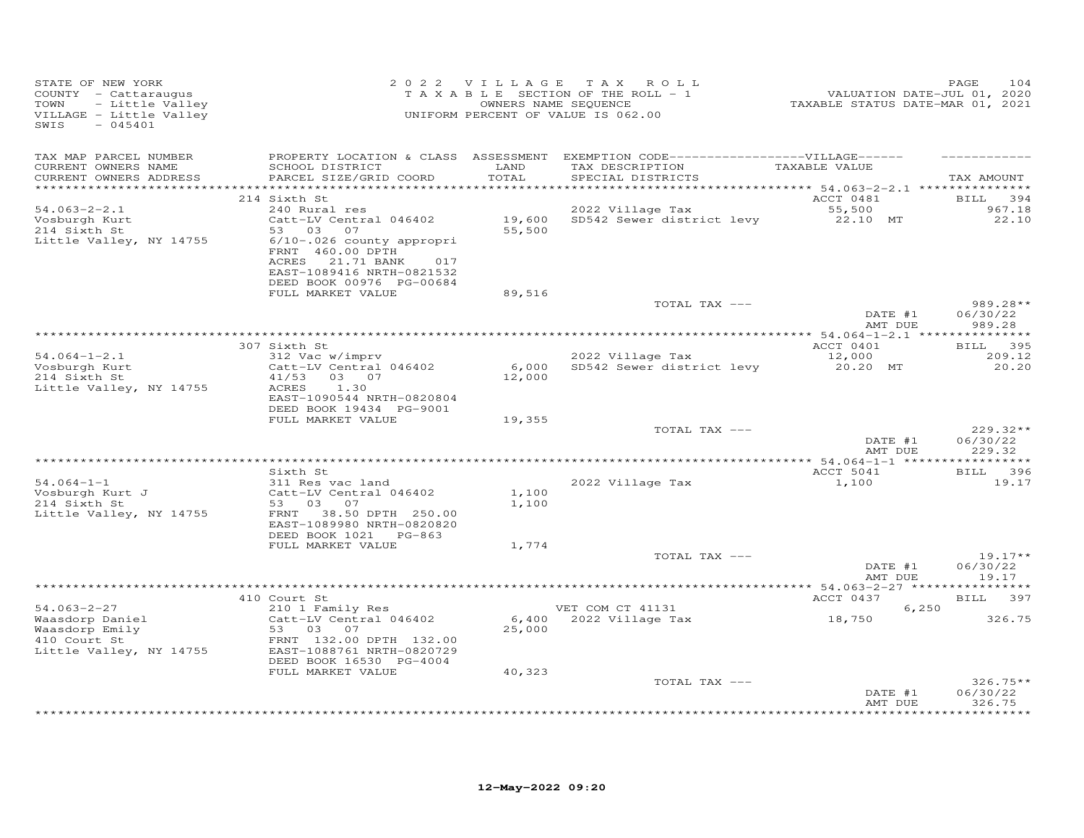| STATE OF NEW YORK<br>COUNTY - Cattaraugus<br>- Little Valley<br>TOWN<br>VILLAGE - Little Valley<br>$-045401$<br>SWIS |                                                                                                                                   |                  | 2022 VILLAGE TAX ROLL<br>TAXABLE SECTION OF THE ROLL - 1<br>OWNERS NAME SEQUENCE<br>UNIFORM PERCENT OF VALUE IS 062.00                  | 2020<br>701, VALUATION DATE-JUL 01, 2020<br>7021, TAXABLE STATUS DATE-MAR 01, 2021 | 104<br>PAGE                      |
|----------------------------------------------------------------------------------------------------------------------|-----------------------------------------------------------------------------------------------------------------------------------|------------------|-----------------------------------------------------------------------------------------------------------------------------------------|------------------------------------------------------------------------------------|----------------------------------|
| TAX MAP PARCEL NUMBER<br>CURRENT OWNERS NAME<br>CURRENT OWNERS ADDRESS                                               | SCHOOL DISTRICT<br>PARCEL SIZE/GRID COORD                                                                                         | LAND<br>TOTAL    | PROPERTY LOCATION & CLASS ASSESSMENT EXEMPTION CODE-----------------VILLAGE------<br>TAX DESCRIPTION TAXABLE VALUE<br>SPECIAL DISTRICTS |                                                                                    | TAX AMOUNT                       |
|                                                                                                                      | 214 Sixth St                                                                                                                      |                  |                                                                                                                                         | ACCT 0481                                                                          | <b>BILL</b><br>394               |
| $54.063 - 2 - 2.1$<br>Vosburgh Kurt<br>214 Sixth St                                                                  | 240 Rural res<br>Catt-LV Central 046402<br>53 03 07                                                                               | 19,600<br>55,500 | 2022 Village Tax<br>SD542 Sewer district levy 22.10 MT                                                                                  | 55,500                                                                             | 967.18<br>22.10                  |
| Little Valley, NY 14755                                                                                              | 6/10-.026 county appropri<br>FRNT 460.00 DPTH<br>ACRES 21.71 BANK<br>017<br>EAST-1089416 NRTH-0821532<br>DEED BOOK 00976 PG-00684 |                  |                                                                                                                                         |                                                                                    |                                  |
|                                                                                                                      | FULL MARKET VALUE                                                                                                                 | 89,516           | TOTAL TAX ---                                                                                                                           |                                                                                    | $989.28**$                       |
|                                                                                                                      |                                                                                                                                   |                  |                                                                                                                                         | DATE #1<br>AMT DUE                                                                 | 06/30/22<br>989.28               |
|                                                                                                                      |                                                                                                                                   |                  |                                                                                                                                         |                                                                                    |                                  |
| $54.064 - 1 - 2.1$                                                                                                   | 307 Sixth St<br>312 Vac w/imprv                                                                                                   |                  | 2022 Village Tax                                                                                                                        | ACCT 0401<br>12,000                                                                | BILL 395<br>209.12               |
| Vosburgh Kurt<br>214 Sixth St<br>Little Valley, NY 14755                                                             | Catt-LV Central 046402<br>41/53 03 07<br>ACRES<br>1.30<br>EAST-1090544 NRTH-0820804                                               | 6,000<br>12,000  | SD542 Sewer district levy 20.20 MT                                                                                                      |                                                                                    | 20.20                            |
|                                                                                                                      | DEED BOOK 19434 PG-9001                                                                                                           |                  |                                                                                                                                         |                                                                                    |                                  |
|                                                                                                                      | FULL MARKET VALUE                                                                                                                 | 19,355           | TOTAL TAX ---                                                                                                                           |                                                                                    | $229.32**$                       |
|                                                                                                                      |                                                                                                                                   |                  |                                                                                                                                         | DATE #1<br>AMT DUE                                                                 | 06/30/22<br>229.32               |
|                                                                                                                      |                                                                                                                                   |                  |                                                                                                                                         |                                                                                    |                                  |
| $54.064 - 1 - 1$                                                                                                     | Sixth St<br>311 Res vac land                                                                                                      |                  | 2022 Village Tax                                                                                                                        | ACCT 5041<br>1,100                                                                 | BILL 396<br>19.17                |
| Vosburgh Kurt J                                                                                                      | Catt-LV Central 046402                                                                                                            | 1,100            |                                                                                                                                         |                                                                                    |                                  |
| 214 Sixth St<br>Little Valley, NY 14755                                                                              | 53 03 07<br>38.50 DPTH 250.00<br>FRNT<br>EAST-1089980 NRTH-0820820<br>DEED BOOK 1021 PG-863                                       | 1,100            |                                                                                                                                         |                                                                                    |                                  |
|                                                                                                                      | FULL MARKET VALUE                                                                                                                 | 1,774            |                                                                                                                                         |                                                                                    |                                  |
|                                                                                                                      |                                                                                                                                   |                  | TOTAL TAX ---                                                                                                                           | DATE #1<br>AMT DUE                                                                 | $19.17**$<br>06/30/22<br>19.17   |
|                                                                                                                      |                                                                                                                                   |                  |                                                                                                                                         |                                                                                    |                                  |
| $54.063 - 2 - 27$                                                                                                    | 410 Court St<br>210 1 Family Res                                                                                                  |                  | VET COM CT 41131                                                                                                                        | ACCT 0437<br>6,250                                                                 | BILL 397                         |
| Jacasdorp Daniel<br>Waasdorp Emily<br>410 Court St<br>Little Valley, NY 14755                                        | Catt-LV Central 046402<br>53 03 07<br>FRNT 132.00 DPTH 132.00<br>EAST-1088761 NRTH-0820729<br>DEED BOOK 16530 PG-4004             | 25,000           | 6,400 2022 Village Tax                                                                                                                  | 18,750                                                                             | 326.75                           |
|                                                                                                                      | FULL MARKET VALUE                                                                                                                 | 40,323           |                                                                                                                                         |                                                                                    |                                  |
|                                                                                                                      |                                                                                                                                   |                  | TOTAL TAX ---                                                                                                                           | DATE #1<br>AMT DUE                                                                 | $326.75**$<br>06/30/22<br>326.75 |
|                                                                                                                      |                                                                                                                                   |                  |                                                                                                                                         |                                                                                    | * * * * * * * * *                |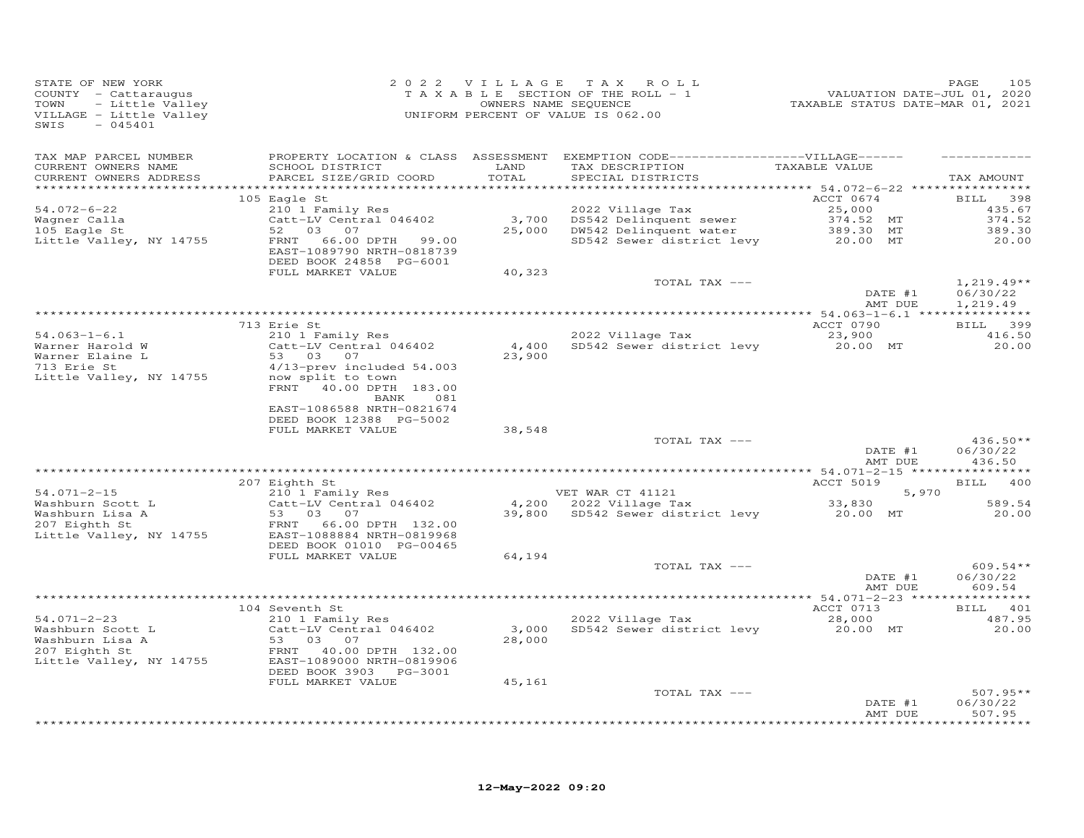| STATE OF NEW YORK<br>COUNTY - Cattaraugus<br>- Little Valley<br>TOWN<br>VILLAGE - Little Valley<br>$-045401$<br>SWIS |                                                                                                                                                                                               | 2022 VILLAGE TAX                    | ROLL<br>TAXABLE SECTION OF THE ROLL - 1<br>OWNERS NAME SEQUENCE<br>UNIFORM PERCENT OF VALUE IS 062.00                                                                     | VALUATION DATE-JUL 01, 2020<br>TAXABLE STATUS DATE-MAR 01, 2021 | 105<br>PAGE                                               |
|----------------------------------------------------------------------------------------------------------------------|-----------------------------------------------------------------------------------------------------------------------------------------------------------------------------------------------|-------------------------------------|---------------------------------------------------------------------------------------------------------------------------------------------------------------------------|-----------------------------------------------------------------|-----------------------------------------------------------|
| TAX MAP PARCEL NUMBER<br>CURRENT OWNERS NAME<br>CURRENT OWNERS ADDRESS<br>**********************                     | SCHOOL DISTRICT<br>PARCEL SIZE/GRID COORD                                                                                                                                                     | LAND<br>TOTAL<br>****************** | PROPERTY LOCATION & CLASS ASSESSMENT EXEMPTION CODE-----------------VILLAGE------<br>TAX DESCRIPTION<br>SPECIAL DISTRICTS<br>*************************** 54.072-6-22 **** | TAXABLE VALUE                                                   | TAX AMOUNT                                                |
| $54.072 - 6 - 22$<br>Wagner Calla<br>105 Eagle St<br>Little Valley, NY 14755                                         | 105 Eagle St<br>210 1 Family Res<br>Catt-LV Central 046402<br>52 03<br>07<br>FRNT<br>66.00 DPTH<br>99.00<br>EAST-1089790 NRTH-0818739<br>DEED BOOK 24858 PG-6001<br>FULL MARKET VALUE         | 3,700<br>25,000<br>40,323           | 2022 Village Tax<br>DS542 Delinquent sewer<br>DW542 Delinquent water<br>SD542 Sewer district levy                                                                         | ACCT 0674<br>25,000<br>374.52 MT<br>389.30 MT<br>20.00 MT       | <b>BILL</b><br>398<br>435.67<br>374.52<br>389.30<br>20.00 |
|                                                                                                                      |                                                                                                                                                                                               |                                     | TOTAL TAX ---                                                                                                                                                             | DATE #1<br>AMT DUE                                              | $1,219.49**$<br>06/30/22<br>1,219.49                      |
| $54.063 - 1 - 6.1$<br>Warner Harold W<br>Warner Elaine L<br>713 Erie St<br>Little Valley, NY 14755                   | 713 Erie St<br>210 1 Family Res<br>Catt-LV Central 046402<br>53 03 07<br>4/13-prev included 54.003<br>now split to town<br>FRNT 40.00 DPTH 183.00<br>BANK<br>081<br>EAST-1086588 NRTH-0821674 | 4,400<br>23,900                     | 2022 Village Tax<br>SD542 Sewer district levy                                                                                                                             | ACCT 0790<br>23,900<br>20.00 MT                                 | BILL 399<br>416.50<br>20.00                               |
|                                                                                                                      | DEED BOOK 12388 PG-5002<br>FULL MARKET VALUE                                                                                                                                                  | 38,548                              | TOTAL TAX ---                                                                                                                                                             | DATE #1<br>AMT DUE                                              | $436.50**$<br>06/30/22<br>436.50                          |
|                                                                                                                      |                                                                                                                                                                                               |                                     |                                                                                                                                                                           |                                                                 |                                                           |
| $54.071 - 2 - 15$<br>Washburn Scott L<br>Washburn Lisa A<br>207 Eighth St<br>Little Valley, NY 14755                 | 207 Eighth St<br>210 1 Family Res<br>Catt-LV Central 046402<br>53 03 07<br>FRNT 66.00 DPTH 132.00<br>EAST-1088884 NRTH-0819968                                                                | 39,800                              | VET WAR CT 41121<br>4,200 2022 Village Tax<br>SD542 Sewer district levy                                                                                                   | <b>ACCT 5019</b><br>5,970<br>33,830<br>20.00 MT                 | BILL 400<br>589.54<br>20.00                               |
|                                                                                                                      | DEED BOOK 01010 PG-00465<br>FULL MARKET VALUE                                                                                                                                                 | 64,194                              | TOTAL TAX ---                                                                                                                                                             | DATE #1<br>AMT DUE                                              | $609.54**$<br>06/30/22<br>609.54                          |
| $54.071 - 2 - 23$<br>Washburn Scott L<br>Washburn Lisa A<br>207 Eighth St<br>Little Valley, NY 14755                 | 104 Seventh St<br>210 1 Family Res<br>Catt-LV Central 046402<br>53 03 07<br>FRNT<br>40.00 DPTH 132.00<br>EAST-1089000 NRTH-0819906<br>DEED BOOK 3903<br>PG-3001<br>FULL MARKET VALUE          | 3,000<br>28,000<br>45,161           | 2022 Village Tax<br>SD542 Sewer district levy                                                                                                                             | ACCT 0713<br>28,000<br>20.00 MT                                 | BILL 401<br>487.95<br>20.00                               |
|                                                                                                                      |                                                                                                                                                                                               |                                     | TOTAL TAX ---                                                                                                                                                             | DATE #1<br>AMT DUE                                              | $507.95**$<br>06/30/22<br>507.95<br>********              |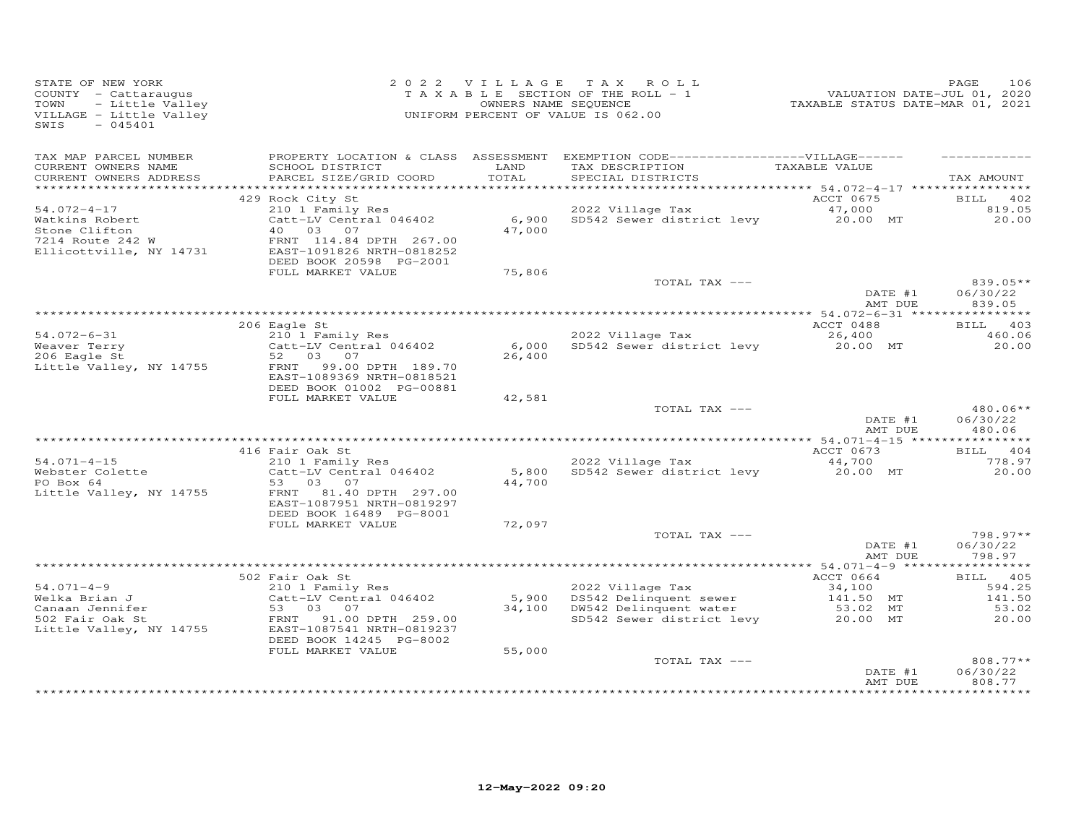| STATE OF NEW YORK<br>COUNTY - Cattaraugus<br>- Little Valley<br>TOWN<br>VILLAGE - Little Valley<br>$-045401$<br>SWIS |                                                                                                                                     |               | 2022 VILLAGE TAX ROLL<br>T A X A B L E SECTION OF THE ROLL - $1$<br>OWNERS NAME SEQUENCE<br>UNIFORM PERCENT OF VALUE IS 062.00          |                                        | 106<br>PAGE                    |
|----------------------------------------------------------------------------------------------------------------------|-------------------------------------------------------------------------------------------------------------------------------------|---------------|-----------------------------------------------------------------------------------------------------------------------------------------|----------------------------------------|--------------------------------|
| TAX MAP PARCEL NUMBER<br>CURRENT OWNERS NAME<br>CURRENT OWNERS ADDRESS                                               | SCHOOL DISTRICT<br>PARCEL SIZE/GRID COORD                                                                                           | LAND<br>TOTAL | PROPERTY LOCATION & CLASS ASSESSMENT EXEMPTION CODE-----------------VILLAGE------<br>TAX DESCRIPTION TAXABLE VALUE<br>SPECIAL DISTRICTS |                                        | TAX AMOUNT                     |
|                                                                                                                      |                                                                                                                                     |               |                                                                                                                                         |                                        |                                |
|                                                                                                                      | 429 Rock City St                                                                                                                    |               |                                                                                                                                         | ACCT 0675                              | BILL 402                       |
| $54.072 - 4 - 17$                                                                                                    | 210 1 Family Res                                                                                                                    |               |                                                                                                                                         |                                        | 819.05                         |
| Watkins Robert<br>Stone Clifton<br>7214 Route 242 W<br>Ellicottville, NY 14731                                       | Catt-LV Central $046402$<br>40 03 07<br>40 03 07<br>FRNT 114.84 DPTH 267.00<br>EAST-1091826 NRTH-0818252<br>DEED BOOK 20598 PG-2001 | 47,000        |                                                                                                                                         |                                        | 20.00                          |
|                                                                                                                      | FULL MARKET VALUE                                                                                                                   | 75,806        |                                                                                                                                         |                                        |                                |
|                                                                                                                      |                                                                                                                                     |               | TOTAL TAX ---                                                                                                                           | DATE #1                                | 839.05**<br>06/30/22           |
|                                                                                                                      |                                                                                                                                     |               |                                                                                                                                         | AMT DUE                                | 839.05                         |
|                                                                                                                      | 206 Eagle St                                                                                                                        |               |                                                                                                                                         | ACCT 0488                              | BILL 403                       |
| $54.072 - 6 - 31$                                                                                                    | 210 1 Family Res                                                                                                                    |               | 2022 Village Tax                                                                                                                        | 26,400                                 | 460.06                         |
| Weaver Terry<br>206 Eagle St<br>Little Valley, NY 14755                                                              | Catt-LV Central 046402<br>52 03 07<br>FRNT<br>99.00 DPTH 189.70<br>EAST-1089369 NRTH-0818521                                        | 26,400        | 6,000 SD542 Sewer district levy                                                                                                         | 20.00 MT                               | 20.00                          |
|                                                                                                                      | DEED BOOK 01002 PG-00881                                                                                                            |               |                                                                                                                                         |                                        |                                |
|                                                                                                                      | FULL MARKET VALUE                                                                                                                   | 42,581        | TOTAL TAX ---                                                                                                                           | DATE #1                                | $480.06**$<br>06/30/22         |
|                                                                                                                      |                                                                                                                                     |               |                                                                                                                                         | AMT DUE                                | 480.06                         |
|                                                                                                                      |                                                                                                                                     |               |                                                                                                                                         |                                        |                                |
| $54.071 - 4 - 15$                                                                                                    | 416 Fair Oak St<br>210 1 Family Res                                                                                                 |               | 2022 Village Tax                                                                                                                        | ACCT 0673<br>44,700                    | BILL 404<br>778.97             |
| Webster Colette<br>PO Box 64<br>Little Valley, NY 14755                                                              | Catt-LV Central 046402<br>53 03 07<br>FRNT 81.40 DPTH 297.00<br>EAST-1087951 NRTH-0819297                                           | 44,700        | 5,800 SD542 Sewer district levy                                                                                                         | 20.00 MT                               | 20.00                          |
|                                                                                                                      | DEED BOOK 16489 PG-8001                                                                                                             |               |                                                                                                                                         |                                        |                                |
|                                                                                                                      | FULL MARKET VALUE                                                                                                                   | 72,097        | TOTAL TAX ---                                                                                                                           |                                        | 798.97**                       |
|                                                                                                                      |                                                                                                                                     |               |                                                                                                                                         | $\overline{\text{DATE}}$ #1<br>AMT DUE | 06/30/22<br>798.97             |
|                                                                                                                      |                                                                                                                                     |               |                                                                                                                                         |                                        |                                |
|                                                                                                                      | 502 Fair Oak St                                                                                                                     |               |                                                                                                                                         | ACCT 0664                              | BILL 405                       |
| $54.071 - 4 - 9$                                                                                                     | 210 1 Family Res                                                                                                                    |               | 2022 Village Tax                                                                                                                        | 34,100                                 | 594.25                         |
| Welka Brian J<br>Canaan Jennifer                                                                                     | Catt-LV Central 046402<br>53 03 07                                                                                                  |               | 5,900 DS542 Delinquent sewer<br>34,100 DW542 Delinquent water                                                                           | $141.50$ MT<br>53.02 MT                | 141.50<br>53.02                |
| 502 Fair Oak St<br>Little Valley, NY 14755                                                                           | FRNT 91.00 DPTH 259.00<br>EAST-1087541 NRTH-0819237<br>DEED BOOK 14245 PG-8002                                                      |               | SD542 Sewer district levy                                                                                                               | 20.00 MT                               | 20.00                          |
|                                                                                                                      | FULL MARKET VALUE                                                                                                                   | 55,000        |                                                                                                                                         |                                        |                                |
|                                                                                                                      |                                                                                                                                     |               | TOTAL TAX ---                                                                                                                           | DATE #1<br>AMT DUE                     | 808.77**<br>06/30/22<br>808.77 |
|                                                                                                                      |                                                                                                                                     |               |                                                                                                                                         |                                        | ***********                    |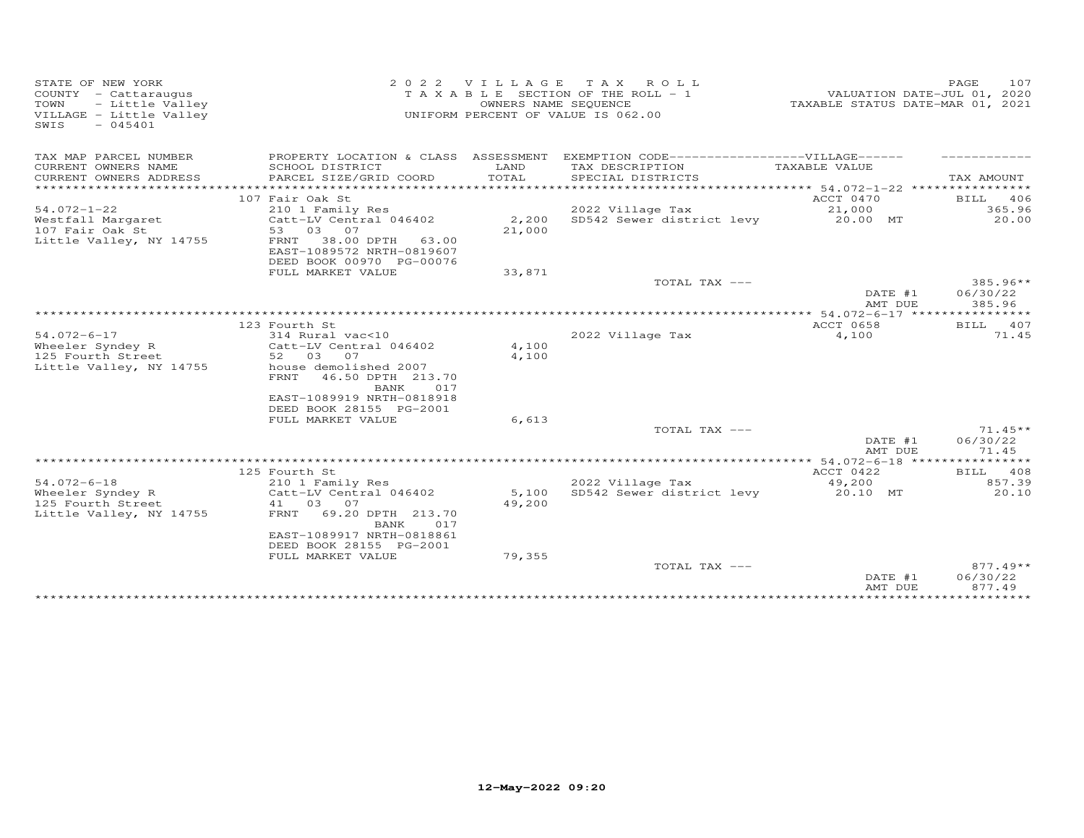| STATE OF NEW YORK<br>COUNTY - Cattaraugus<br>- Little Valley<br>TOWN<br>VILLAGE - Little Valley<br>SWIS<br>$-045401$ | 2 0 2 2                                                                                                                                                                             | VILLAGE                   | ROLL<br>T A X<br>T A X A B L E SECTION OF THE ROLL - 1<br>OWNERS NAME SEQUENCE<br>UNIFORM PERCENT OF VALUE IS 062.00 | VALUATION DATE-JUL 01, 2020<br>TAXABLE STATUS DATE-MAR 01, 2021 | 107<br>PAGE                    |
|----------------------------------------------------------------------------------------------------------------------|-------------------------------------------------------------------------------------------------------------------------------------------------------------------------------------|---------------------------|----------------------------------------------------------------------------------------------------------------------|-----------------------------------------------------------------|--------------------------------|
| TAX MAP PARCEL NUMBER                                                                                                |                                                                                                                                                                                     |                           | PROPERTY LOCATION & CLASS ASSESSMENT EXEMPTION CODE------------------VILLAGE------                                   |                                                                 |                                |
| CURRENT OWNERS NAME<br>CURRENT OWNERS ADDRESS                                                                        | SCHOOL DISTRICT<br>PARCEL SIZE/GRID COORD                                                                                                                                           | LAND<br>TOTAL             | TAX DESCRIPTION<br>SPECIAL DISTRICTS                                                                                 | TAXABLE VALUE                                                   | TAX AMOUNT                     |
| *********************                                                                                                |                                                                                                                                                                                     |                           |                                                                                                                      |                                                                 |                                |
|                                                                                                                      | 107 Fair Oak St                                                                                                                                                                     |                           |                                                                                                                      | ACCT 0470                                                       | BILL 406                       |
| $54.072 - 1 - 22$                                                                                                    | 210 1 Family Res                                                                                                                                                                    |                           | 2022 Village Tax                                                                                                     | 21,000                                                          | 365.96                         |
| Westfall Margaret<br>107 Fair Oak St<br>Little Valley, NY 14755                                                      | Catt-LV Central 046402<br>53 03 07<br>FRNT 38.00 DPTH<br>63.00<br>EAST-1089572 NRTH-0819607<br>DEED BOOK 00970 PG-00076                                                             | 2,200<br>21,000           | SD542 Sewer district levy                                                                                            | 20.00 MT                                                        | 20.00                          |
|                                                                                                                      | FULL MARKET VALUE                                                                                                                                                                   | 33,871                    |                                                                                                                      |                                                                 |                                |
|                                                                                                                      |                                                                                                                                                                                     |                           | TOTAL TAX ---                                                                                                        | DATE #1<br>AMT DUE                                              | 385.96**<br>06/30/22<br>385.96 |
|                                                                                                                      |                                                                                                                                                                                     |                           |                                                                                                                      |                                                                 |                                |
|                                                                                                                      | 123 Fourth St                                                                                                                                                                       |                           |                                                                                                                      | ACCT 0658                                                       | BILL 407                       |
| $54.072 - 6 - 17$<br>Wheeler Syndey R<br>125 Fourth Street<br>Little Valley, NY 14755                                | 314 Rural vac<10<br>Catt-LV Central 046402<br>52 03 07<br>house demolished 2007<br>46.50 DPTH 213.70<br>FRNT<br>BANK<br>017<br>EAST-1089919 NRTH-0818918<br>DEED BOOK 28155 PG-2001 | 4,100<br>4,100            | 2022 Village Tax                                                                                                     | 4,100                                                           | 71.45                          |
|                                                                                                                      | FULL MARKET VALUE                                                                                                                                                                   | 6,613                     |                                                                                                                      |                                                                 |                                |
|                                                                                                                      |                                                                                                                                                                                     |                           | TOTAL TAX ---                                                                                                        | DATE #1<br>AMT DUE                                              | $71.45**$<br>06/30/22<br>71.45 |
|                                                                                                                      |                                                                                                                                                                                     |                           |                                                                                                                      |                                                                 |                                |
|                                                                                                                      | 125 Fourth St                                                                                                                                                                       |                           |                                                                                                                      | ACCT 0422                                                       | BILL 408                       |
| $54.072 - 6 - 18$<br>Wheeler Syndey R<br>125 Fourth Street<br>Little Valley, NY 14755                                | 210 1 Family Res<br>Catt-LV Central 046402<br>41 03 07<br>FRNT<br>69.20 DPTH 213.70<br>BANK<br>017<br>EAST-1089917 NRTH-0818861<br>DEED BOOK 28155 PG-2001<br>FULL MARKET VALUE     | 5,100<br>49,200<br>79,355 | 2022 Village Tax<br>SD542 Sewer district levy                                                                        | 49,200<br>20.10 MT                                              | 857.39<br>20.10                |
|                                                                                                                      |                                                                                                                                                                                     |                           | TOTAL TAX ---                                                                                                        |                                                                 | $877.49**$                     |
|                                                                                                                      |                                                                                                                                                                                     |                           |                                                                                                                      | DATE #1<br>AMT DUE                                              | 06/30/22<br>877.49             |
|                                                                                                                      |                                                                                                                                                                                     |                           |                                                                                                                      |                                                                 |                                |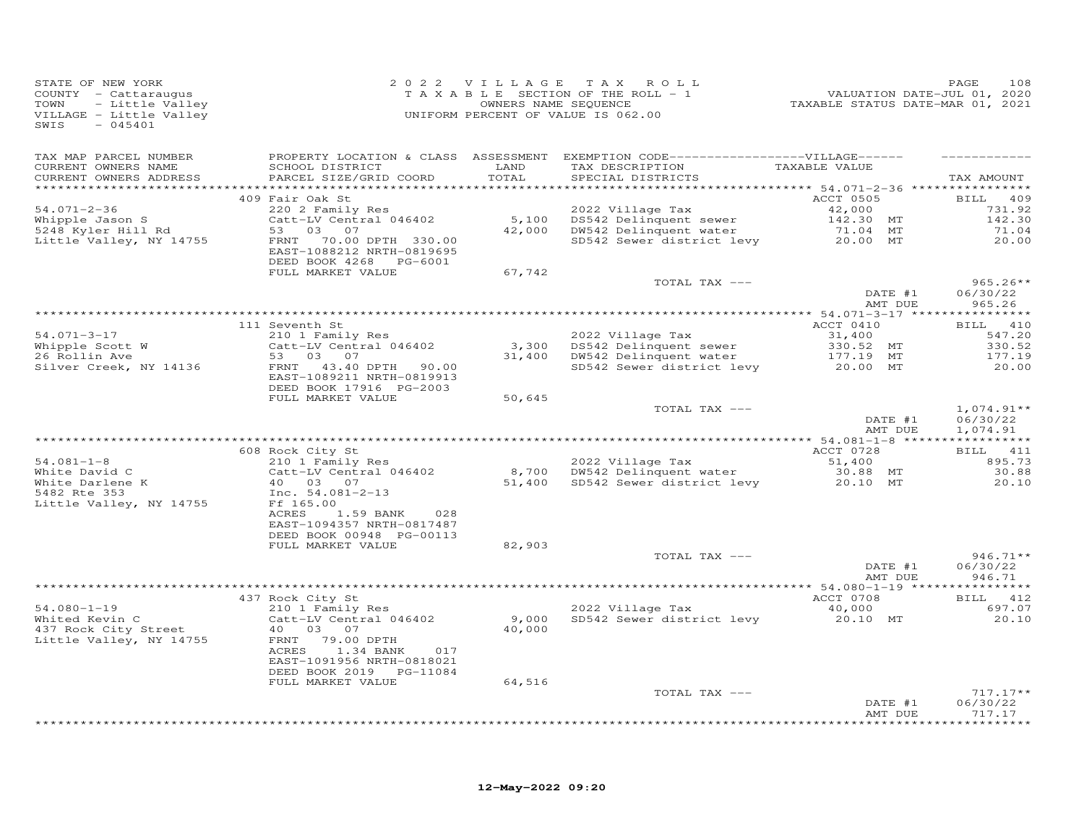| STATE OF NEW YORK<br>COUNTY - Cattaraugus<br>TOWN<br>- Little Valley<br>VILLAGE - Little Valley<br>SWIS<br>$-045401$ |                                                                                       | 2022 VILLAGE TAX | ROLL<br>TAXABLE SECTION OF THE ROLL - 1<br>OWNERS NAME SEQUENCE<br>UNIFORM PERCENT OF VALUE IS 062.00 | 01.01 PAGE<br>702 / VALUATION DATE-JUL<br>7020 TAXABLE STATUS DATE-MAR 01, 2021 | 108<br>PAGE                          |
|----------------------------------------------------------------------------------------------------------------------|---------------------------------------------------------------------------------------|------------------|-------------------------------------------------------------------------------------------------------|---------------------------------------------------------------------------------|--------------------------------------|
| TAX MAP PARCEL NUMBER                                                                                                |                                                                                       |                  | PROPERTY LOCATION & CLASS ASSESSMENT EXEMPTION CODE-----------------VILLAGE------                     |                                                                                 |                                      |
| CURRENT OWNERS NAME<br>CURRENT OWNERS ADDRESS                                                                        | SCHOOL DISTRICT<br>PARCEL SIZE/GRID COORD                                             | LAND<br>TOTAL    | TAX DESCRIPTION<br>SPECIAL DISTRICTS                                                                  | TAXABLE VALUE                                                                   | TAX AMOUNT                           |
|                                                                                                                      |                                                                                       |                  |                                                                                                       |                                                                                 |                                      |
| $54.071 - 2 - 36$                                                                                                    | 409 Fair Oak St<br>220 2 Family Res                                                   |                  | 2022 Village Tax                                                                                      | <b>ACCT 0505</b><br>42,000                                                      | BILL 409<br>731.92                   |
| Whipple Jason S                                                                                                      | Catt-LV Central 046402                                                                |                  |                                                                                                       | 142.30 MT                                                                       | 142.30                               |
| 5248 Kyler Hill Rd                                                                                                   | 53 03 07                                                                              |                  | 5,100 DS542 Delinquent sewer<br>42,000 DW542 Delinquent water                                         | 71.04 MT                                                                        | 71.04                                |
| Little Valley, NY 14755                                                                                              | 70.00 DPTH 330.00<br>FRNT<br>EAST-1088212 NRTH-0819695<br>DEED BOOK 4268 PG-6001      |                  | SD542 Sewer district levy 20.00 MT                                                                    |                                                                                 | 20.00                                |
|                                                                                                                      | FULL MARKET VALUE                                                                     | 67,742           |                                                                                                       |                                                                                 |                                      |
|                                                                                                                      |                                                                                       |                  | TOTAL TAX ---                                                                                         |                                                                                 | $965.26**$                           |
|                                                                                                                      |                                                                                       |                  |                                                                                                       | DATE #1                                                                         | 06/30/22                             |
|                                                                                                                      |                                                                                       |                  |                                                                                                       | AMT DUE                                                                         | 965.26                               |
|                                                                                                                      | 111 Seventh St                                                                        |                  |                                                                                                       | ACCT 0410                                                                       | BILL 410                             |
| $54.071 - 3 - 17$                                                                                                    | 210 1 Family Res                                                                      |                  | 2022 Village Tax                                                                                      | 31,400                                                                          | 547.20                               |
| Whipple Scott W                                                                                                      | Catt-LV Central 046402                                                                |                  | 3,300 DS542 Delinquent sewer                                                                          | $330.52$ MT                                                                     | 330.52                               |
| 26 Rollin Ave                                                                                                        | 53<br>0.3 0.7                                                                         | 31,400           | DW542 Delinquent water                                                                                | 177.19 MT                                                                       | 177.19                               |
| Silver Creek, NY 14136                                                                                               | FRNT 43.40 DPTH 90.00<br>EAST-1089211 NRTH-0819913<br>DEED BOOK 17916 PG-2003         |                  | SD542 Sewer district levy                                                                             | 20.00 MT                                                                        | 20.00                                |
|                                                                                                                      | FULL MARKET VALUE                                                                     | 50,645           |                                                                                                       |                                                                                 |                                      |
|                                                                                                                      |                                                                                       |                  | TOTAL TAX ---                                                                                         | DATE #1<br>AMT DUE                                                              | $1,074.91**$<br>06/30/22<br>1,074.91 |
|                                                                                                                      |                                                                                       |                  |                                                                                                       |                                                                                 |                                      |
|                                                                                                                      | 608 Rock City St                                                                      |                  |                                                                                                       | ACCT 0728                                                                       | BILL 411                             |
| $54.081 - 1 - 8$<br>White David C                                                                                    | 210 1 Family Res<br>Catt-LV Central 046402                                            |                  | 2022 Village Tax<br>8,700 DW542 Delinquent water                                                      | 51,400<br>30.88 MT                                                              | 895.73<br>30.88                      |
|                                                                                                                      | 40 03 07                                                                              | 51,400           | SD542 Sewer district levy 20.10 MT                                                                    |                                                                                 | 20.10                                |
| white Darlene K<br>White Darlene K<br>5482 Rte 353<br>Little Valley, NY 14755                                        | Inc. 54.081-2-13<br>Ff 165.00                                                         |                  |                                                                                                       |                                                                                 |                                      |
|                                                                                                                      | 1.59 BANK<br>ACRES<br>028<br>EAST-1094357 NRTH-0817487<br>DEED BOOK 00948 PG-00113    |                  |                                                                                                       |                                                                                 |                                      |
|                                                                                                                      | FULL MARKET VALUE                                                                     | 82,903           |                                                                                                       |                                                                                 |                                      |
|                                                                                                                      |                                                                                       |                  | TOTAL TAX ---                                                                                         |                                                                                 | $946.71**$                           |
|                                                                                                                      |                                                                                       |                  |                                                                                                       | DATE #1<br>AMT DUE                                                              | 06/30/22<br>946.71                   |
|                                                                                                                      | 437 Rock City St                                                                      |                  |                                                                                                       | ACCT 0708                                                                       | BILL 412                             |
| $54.080 - 1 - 19$                                                                                                    | 210 1 Family Res                                                                      |                  | 2022 Village Tax                                                                                      | 40,000                                                                          | 697.07                               |
| Whited Kevin C<br>437 Rock City Street<br>Little Valley, NY 14755                                                    | Catt-LV Central 046402<br>40 03 07<br>FRNT<br>79.00 DPTH<br>ACRES<br>1.34 BANK<br>017 | 40,000           | 9,000 SD542 Sewer district levy                                                                       | 20.10 MT                                                                        | 20.10                                |
|                                                                                                                      | EAST-1091956 NRTH-0818021<br>DEED BOOK 2019 PG-11084                                  |                  |                                                                                                       |                                                                                 |                                      |
|                                                                                                                      | FULL MARKET VALUE                                                                     | 64,516           | TOTAL TAX ---                                                                                         |                                                                                 | $717.17**$                           |
|                                                                                                                      |                                                                                       |                  |                                                                                                       | DATE #1<br>AMT DUE                                                              | 06/30/22<br>717.17                   |
|                                                                                                                      |                                                                                       |                  |                                                                                                       |                                                                                 | * * * * * * * *                      |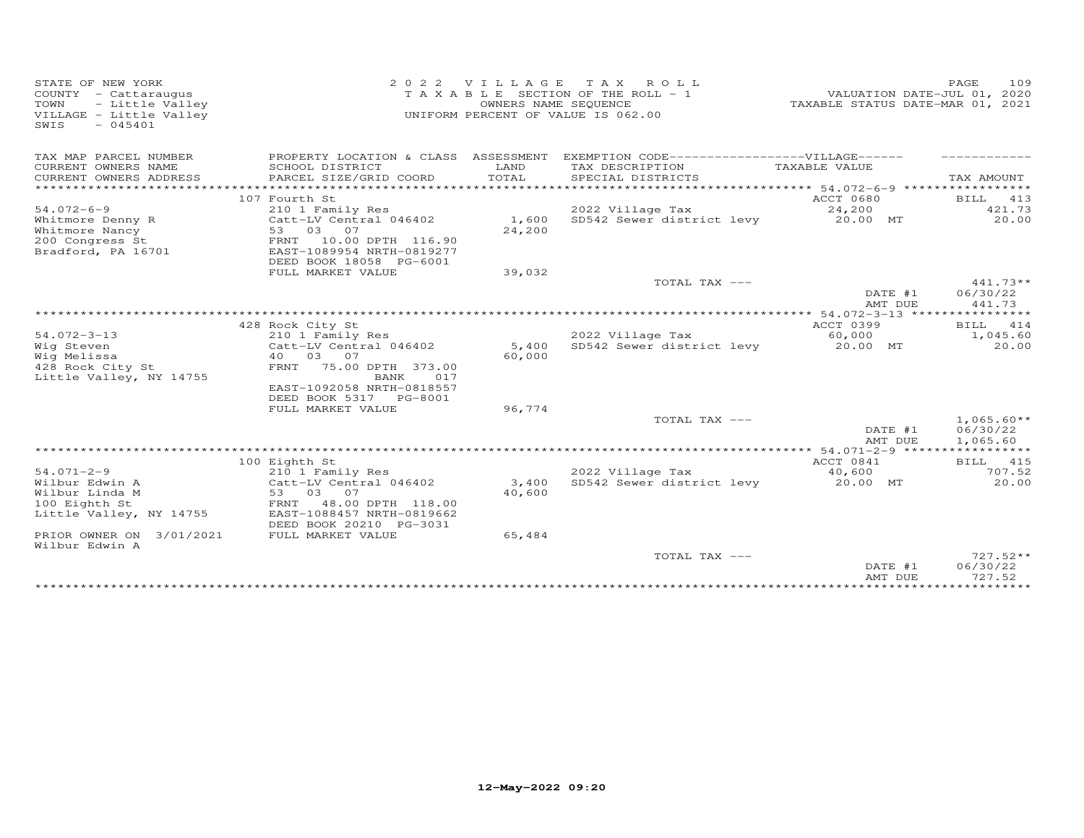| STATE OF NEW YORK<br>COUNTY - Cattaraugus<br>- Little Valley<br>TOWN<br>VILLAGE - Little Valley<br>$-045401$<br>SWIS | 2 0 2 2                                                                                                                    | VILLAGE<br>OWNERS NAME SEQUENCE | T A X<br>R O L L<br>T A X A B L E SECTION OF THE ROLL - 1<br>UNIFORM PERCENT OF VALUE IS 062.00 | VALUATION DATE-JUL 01, 2020<br>TAXABLE STATUS DATE-MAR 01, 2021 | 109<br>PAGE                          |
|----------------------------------------------------------------------------------------------------------------------|----------------------------------------------------------------------------------------------------------------------------|---------------------------------|-------------------------------------------------------------------------------------------------|-----------------------------------------------------------------|--------------------------------------|
| TAX MAP PARCEL NUMBER                                                                                                | PROPERTY LOCATION & CLASS ASSESSMENT                                                                                       |                                 | EXEMPTION CODE------------------VILLAGE------                                                   |                                                                 |                                      |
| CURRENT OWNERS NAME<br>CURRENT OWNERS ADDRESS<br>*************                                                       | SCHOOL DISTRICT<br>PARCEL SIZE/GRID COORD<br>****************************                                                  | LAND<br>TOTAL                   | TAX DESCRIPTION<br>SPECIAL DISTRICTS                                                            | TAXABLE VALUE                                                   | TAX AMOUNT                           |
|                                                                                                                      | 107 Fourth St                                                                                                              |                                 |                                                                                                 | ACCT 0680                                                       | BILL<br>413                          |
| $54.072 - 6 - 9$                                                                                                     | 210 1 Family Res                                                                                                           |                                 | 2022 Village Tax                                                                                | 24,200                                                          | 421.73                               |
| Whitmore Denny R<br>Whitmore Nancy<br>200 Congress St<br>Bradford, PA 16701                                          | Catt-LV Central 046402<br>53 03<br>07<br>FRNT<br>10.00 DPTH 116.90<br>EAST-1089954 NRTH-0819277<br>DEED BOOK 18058 PG-6001 | 1,600<br>24,200                 | SD542 Sewer district levy                                                                       | 20.00 MT                                                        | 20.00                                |
|                                                                                                                      | FULL MARKET VALUE                                                                                                          | 39,032                          |                                                                                                 |                                                                 |                                      |
|                                                                                                                      |                                                                                                                            |                                 | TOTAL TAX ---                                                                                   |                                                                 | 441.73**                             |
|                                                                                                                      |                                                                                                                            |                                 |                                                                                                 | DATE #1<br>AMT DUE                                              | 06/30/22<br>441.73                   |
|                                                                                                                      |                                                                                                                            |                                 |                                                                                                 |                                                                 |                                      |
|                                                                                                                      | 428 Rock City St                                                                                                           |                                 |                                                                                                 | ACCT 0399                                                       | BILL 414                             |
| $54.072 - 3 - 13$<br>Wig Steven                                                                                      | 210 1 Family Res<br>Catt-LV Central 046402                                                                                 | 5,400                           | 2022 Village Tax<br>SD542 Sewer district levy                                                   | 60,000<br>20.00 MT                                              | 1,045.60<br>20.00                    |
| Wig Melissa                                                                                                          | 40 03 07                                                                                                                   | 60,000                          |                                                                                                 |                                                                 |                                      |
| 428 Rock City St<br>Little Valley, NY 14755                                                                          | FRNT<br>75.00 DPTH 373.00<br>017<br>BANK<br>EAST-1092058 NRTH-0818557                                                      |                                 |                                                                                                 |                                                                 |                                      |
|                                                                                                                      | DEED BOOK 5317<br>PG-8001                                                                                                  |                                 |                                                                                                 |                                                                 |                                      |
|                                                                                                                      | FULL MARKET VALUE                                                                                                          | 96,774                          |                                                                                                 |                                                                 |                                      |
|                                                                                                                      |                                                                                                                            |                                 | TOTAL TAX ---                                                                                   | DATE #1<br>AMT DUE                                              | $1,065.60**$<br>06/30/22<br>1,065.60 |
|                                                                                                                      |                                                                                                                            |                                 |                                                                                                 |                                                                 |                                      |
|                                                                                                                      | 100 Eighth St                                                                                                              |                                 |                                                                                                 | ACCT 0841                                                       | BILL 415                             |
| $54.071 - 2 - 9$                                                                                                     | 210 1 Family Res                                                                                                           |                                 | 2022 Village Tax                                                                                | 40,600                                                          | 707.52                               |
| Wilbur Edwin A<br>Wilbur Linda M                                                                                     | Catt-LV Central 046402<br>53<br>03<br>07                                                                                   | 3,400<br>40,600                 | SD542 Sewer district levy                                                                       | 20.00 MT                                                        | 20.00                                |
| 100 Eighth St<br>Little Valley, NY 14755                                                                             | FRNT<br>48.00 DPTH 118.00<br>EAST-1088457 NRTH-0819662<br>DEED BOOK 20210 PG-3031                                          |                                 |                                                                                                 |                                                                 |                                      |
| PRIOR OWNER ON 3/01/2021<br>Wilbur Edwin A                                                                           | FULL MARKET VALUE                                                                                                          | 65,484                          |                                                                                                 |                                                                 |                                      |
|                                                                                                                      |                                                                                                                            |                                 | TOTAL TAX ---                                                                                   | DATE #1<br>AMT DUE                                              | $727.52**$<br>06/30/22<br>727.52     |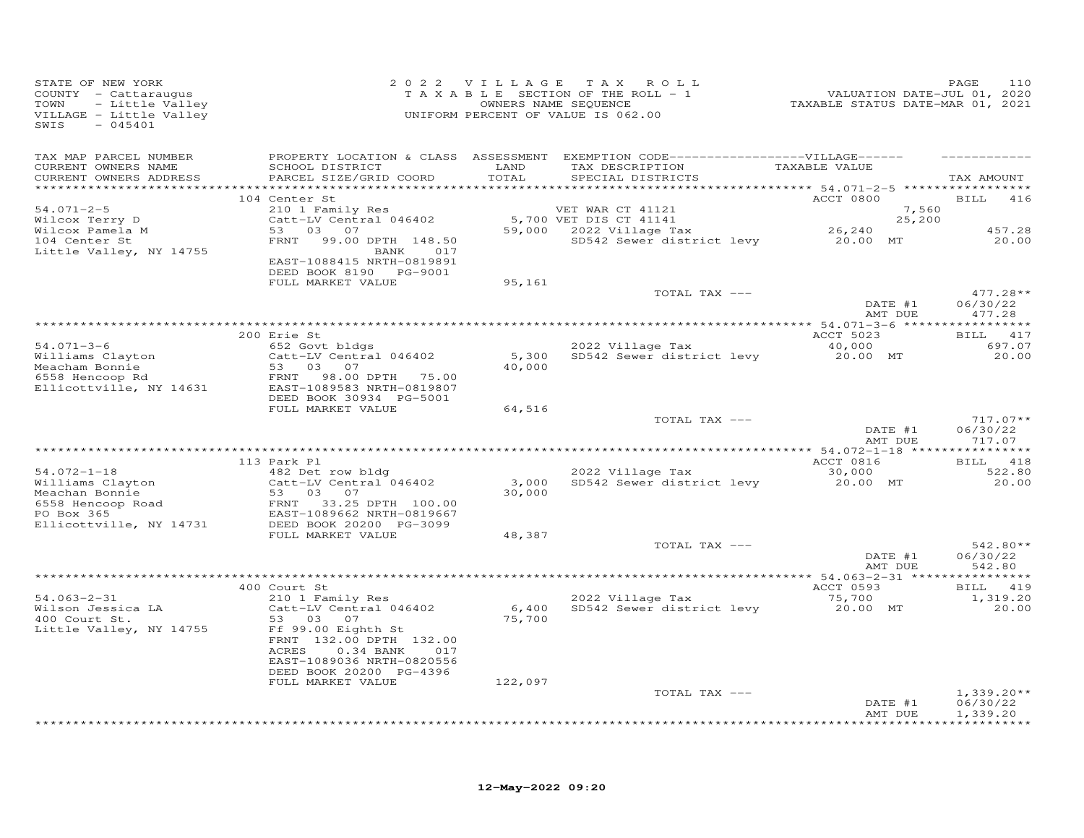| STATE OF NEW YORK<br>COUNTY - Cattaraugus<br>TOWN<br>- Little Valley<br>VILLAGE - Little Valley<br>$-045401$<br>SWIS |                                                                                                                                         |                 | 2022 VILLAGE TAX ROLL<br>T A X A B L E SECTION OF THE ROLL - 1<br>OWNERS NAME SEQUENCE<br>UNIFORM PERCENT OF VALUE IS 062.00 | 21UATION DATE-JUL 01, 2020<br>2020 TAXABLE STATUS DATE-MAR 01, 2021 | PAGE<br>110                      |
|----------------------------------------------------------------------------------------------------------------------|-----------------------------------------------------------------------------------------------------------------------------------------|-----------------|------------------------------------------------------------------------------------------------------------------------------|---------------------------------------------------------------------|----------------------------------|
| TAX MAP PARCEL NUMBER<br>CURRENT OWNERS NAME<br>CURRENT OWNERS ADDRESS                                               | SCHOOL DISTRICT<br>PARCEL SIZE/GRID COORD                                                                                               | LAND<br>TOTAL   | PROPERTY LOCATION & CLASS ASSESSMENT EXEMPTION CODE-----------------VILLAGE------<br>TAX DESCRIPTION<br>SPECIAL DISTRICTS    | TAXABLE VALUE<br>************ 54.071-2-5 ******************         | TAX AMOUNT                       |
|                                                                                                                      | 104 Center St                                                                                                                           |                 |                                                                                                                              | ACCT 0800                                                           | 416<br><b>BILL</b>               |
| $54.071 - 2 - 5$<br>Wilcox Terry D                                                                                   | 210 1 Family Res<br>Catt-LV Central 046402                                                                                              |                 | VET WAR CT 41121                                                                                                             | 7,560<br>25,200                                                     |                                  |
| Wilcox Pamela M<br>104 Center St                                                                                     | 53 03 07                                                                                                                                |                 | 5,700 VET DIS CT 41141<br>59,000    2022 Village Tax                                                                         | 26,240                                                              | 457.28                           |
| 104 Center St<br>Little Valley, NY 14755                                                                             | FRNT<br>99.00 DPTH 148.50<br>BANK 017<br>EAST-1088415 NRTH-0819891<br>DEED BOOK 8190 PG-9001                                            |                 | SD542 Sewer district levy 20.00 MT                                                                                           |                                                                     | 20.00                            |
|                                                                                                                      | FULL MARKET VALUE                                                                                                                       | 95,161          |                                                                                                                              |                                                                     |                                  |
|                                                                                                                      |                                                                                                                                         |                 | TOTAL TAX ---                                                                                                                |                                                                     | $477.28**$                       |
|                                                                                                                      |                                                                                                                                         |                 |                                                                                                                              | DATE #1<br>AMT DUE                                                  | 06/30/22<br>477.28               |
|                                                                                                                      |                                                                                                                                         |                 |                                                                                                                              |                                                                     |                                  |
| $54.071 - 3 - 6$                                                                                                     | 200 Erie St<br>652 Govt bldgs                                                                                                           |                 | 2022 Village Tax                                                                                                             | ACCT 5023<br>40,000                                                 | BILL 417<br>697.07               |
|                                                                                                                      | Catt-LV Central 046402                                                                                                                  |                 | 5,300 SD542 Sewer district levy                                                                                              | 20.00 MT                                                            | 20.00                            |
| Williams Clayton<br>Meacham Bonnie<br>6558 Hencoop Rd                                                                | Meacham Bonnie<br>6558 Hencoop Rd FRNT 98.00 DPTH 75.00<br>Ellicottville, NY 14631 EAST-1089583 NRTH-0819807<br>DEED BOOK 30934 PG-5001 | 40,000          |                                                                                                                              |                                                                     |                                  |
|                                                                                                                      | FULL MARKET VALUE                                                                                                                       | 64,516          |                                                                                                                              |                                                                     |                                  |
|                                                                                                                      |                                                                                                                                         |                 | TOTAL TAX ---                                                                                                                | DATE #1<br>AMT DUE                                                  | $717.07**$<br>06/30/22<br>717.07 |
|                                                                                                                      |                                                                                                                                         |                 |                                                                                                                              |                                                                     |                                  |
| $54.072 - 1 - 18$                                                                                                    | 113 Park Pl<br>482 Det row bldg                                                                                                         |                 | 2022 Village Tax                                                                                                             | ACCT 0816<br>30,000                                                 | BILL 418<br>522.80               |
| Williams Clayton<br>Meachan Bonnie                                                                                   | Catt-LV Central 046402<br>$\frac{Ca_{\text{UL}-\text{L}}}{53}$ .<br>07<br>FRNT                                                          | 3,000<br>30,000 | SD542 Sewer district levy                                                                                                    | 20.00 MT                                                            | 20.00                            |
| 6558 Hencoop Road<br>PO Box 365<br>Ellicottville, NY 14731                                                           | 23.25 DPTH 100.00<br>EAST-1089662 NRTH-0819667<br>DEED BOOK 20200 --                                                                    |                 |                                                                                                                              |                                                                     |                                  |
|                                                                                                                      | FULL MARKET VALUE                                                                                                                       | 48,387          | TOTAL TAX ---                                                                                                                |                                                                     | 542.80**                         |
|                                                                                                                      |                                                                                                                                         |                 |                                                                                                                              | DATE #1<br>AMT DUE                                                  | 06/30/22<br>542.80               |
|                                                                                                                      | 400 Court St                                                                                                                            |                 |                                                                                                                              | ACCT 0593                                                           | BILL 419                         |
| $54.063 - 2 - 31$                                                                                                    | 210 1 Family Res                                                                                                                        |                 | 2022 Village Tax                                                                                                             |                                                                     | 1,319.20                         |
| Wilson Jessica LA<br>400 Court St.<br>Little Valley, NY 14755                                                        | Catt-LV Central 046402<br>53 03<br>07<br>Ff 99.00 Eighth St<br>FRNT 132.00 DPTH 132.00<br>ACRES<br>0.34 BANK 017                        | 75,700          | 6,400 SD542 Sewer district levy                                                                                              | 75,700<br>20.00 MT                                                  | 20.00                            |
|                                                                                                                      | EAST-1089036 NRTH-0820556<br>DEED BOOK 20200 PG-4396                                                                                    |                 |                                                                                                                              |                                                                     |                                  |
|                                                                                                                      | FULL MARKET VALUE                                                                                                                       | 122,097         | TOTAL TAX ---                                                                                                                |                                                                     | $1,339.20**$                     |
|                                                                                                                      |                                                                                                                                         |                 |                                                                                                                              | DATE #1<br>AMT DUE                                                  | 06/30/22<br>1,339.20             |
|                                                                                                                      |                                                                                                                                         |                 |                                                                                                                              |                                                                     | * * * * * * * * * *              |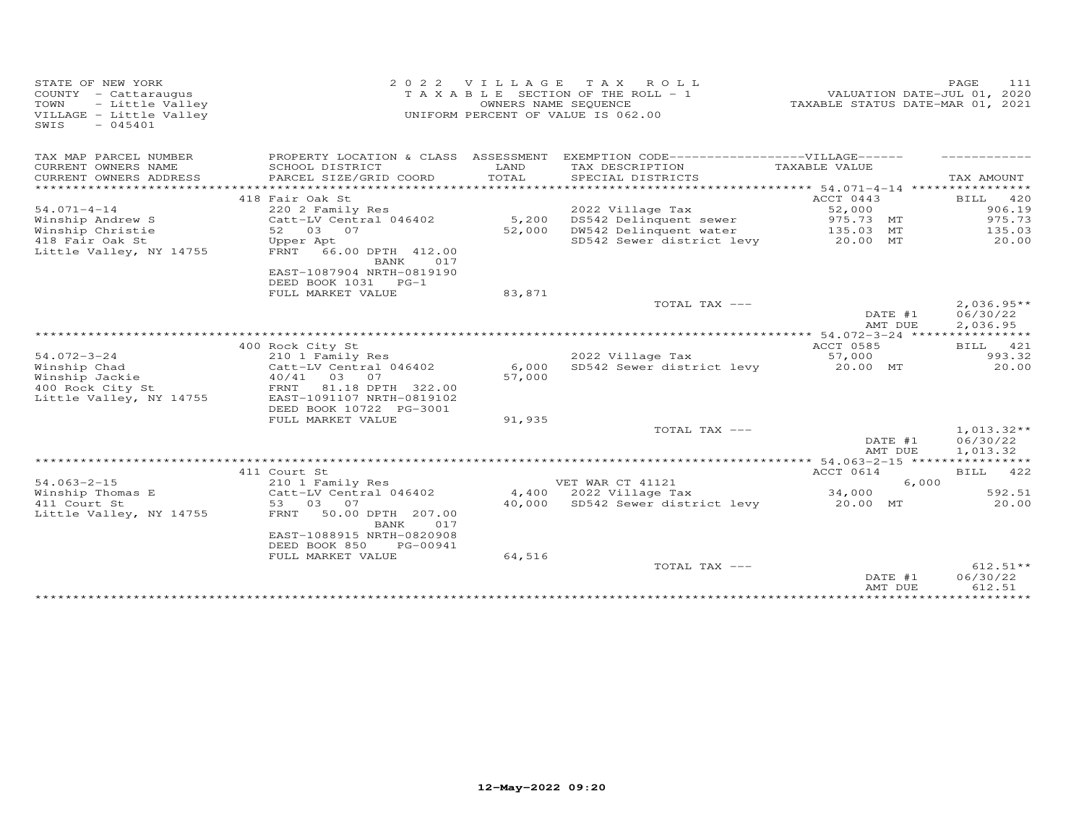| STATE OF NEW YORK<br>COUNTY - Cattaraugus<br>TOWN<br>- Little Valley<br>VILLAGE - Little Valley<br>$-045401$<br>SWIS | 2 0 2 2                                                                         | VILLAGE | TAX ROLL<br>T A X A B L E SECTION OF THE ROLL - 1<br>OWNERS NAME SEQUENCE<br>UNIFORM PERCENT OF VALUE IS 062.00 | TAXABLE STATUS DATE-MAR 01, 2021 | PAGE<br>VALUATION DATE-JUL 01, 2020  | 111    |
|----------------------------------------------------------------------------------------------------------------------|---------------------------------------------------------------------------------|---------|-----------------------------------------------------------------------------------------------------------------|----------------------------------|--------------------------------------|--------|
| TAX MAP PARCEL NUMBER                                                                                                |                                                                                 |         | PROPERTY LOCATION & CLASS ASSESSMENT EXEMPTION CODE-----------------VILLAGE------                               |                                  |                                      |        |
| CURRENT OWNERS NAME                                                                                                  | SCHOOL DISTRICT                                                                 | LAND    | TAX DESCRIPTION                                                                                                 | TAXABLE VALUE                    |                                      |        |
| CURRENT OWNERS ADDRESS                                                                                               | PARCEL SIZE/GRID COORD                                                          | TOTAL   | SPECIAL DISTRICTS                                                                                               |                                  | TAX AMOUNT                           |        |
|                                                                                                                      |                                                                                 |         |                                                                                                                 |                                  |                                      |        |
|                                                                                                                      | 418 Fair Oak St                                                                 |         |                                                                                                                 | ACCT 0443                        | <b>BILL</b>                          | 420    |
| $54.071 - 4 - 14$                                                                                                    | 220 2 Family Res                                                                |         | 2022 Village Tax                                                                                                | 52,000                           |                                      | 906.19 |
| Winship Andrew S                                                                                                     | Catt-LV Central 046402                                                          | 5,200   | DS542 Delinquent sewer                                                                                          | 975.73 MT                        |                                      | 975.73 |
| Winship Christie                                                                                                     | 52 03 07                                                                        | 52,000  | DW542 Delinquent water                                                                                          | 135.03 MT                        |                                      | 135.03 |
| 418 Fair Oak St<br>Little Valley, NY 14755                                                                           | Upper Apt<br>FRNT 66.00 DPTH 412.00<br>BANK<br>017<br>EAST-1087904 NRTH-0819190 |         | SD542 Sewer district levy                                                                                       | 20.00 MT                         |                                      | 20.00  |
|                                                                                                                      | DEED BOOK 1031 PG-1<br>FULL MARKET VALUE                                        | 83,871  |                                                                                                                 |                                  |                                      |        |
|                                                                                                                      |                                                                                 |         | TOTAL TAX ---                                                                                                   | DATE #1<br>AMT DUE               | $2,036.95**$<br>06/30/22<br>2,036.95 |        |
|                                                                                                                      |                                                                                 |         |                                                                                                                 |                                  |                                      |        |
|                                                                                                                      | 400 Rock City St                                                                |         |                                                                                                                 | ACCT 0585                        | BILL 421                             |        |
| $54.072 - 3 - 24$                                                                                                    | 210 1 Family Res                                                                |         | 2022 Village Tax                                                                                                | 57,000                           |                                      | 993.32 |
| Winship Chad                                                                                                         | Catt-LV Central 046402                                                          | 6,000   | SD542 Sewer district levy                                                                                       | 20.00 MT                         |                                      | 20.00  |
| Winship Jackie                                                                                                       | 40/41 03<br>07                                                                  | 57,000  |                                                                                                                 |                                  |                                      |        |
| 400 Rock City St                                                                                                     | 81.18 DPTH 322.00<br>FRNT                                                       |         |                                                                                                                 |                                  |                                      |        |
| Little Valley, NY 14755                                                                                              | EAST-1091107 NRTH-0819102<br>DEED BOOK 10722 PG-3001                            |         |                                                                                                                 |                                  |                                      |        |
|                                                                                                                      | FULL MARKET VALUE                                                               | 91,935  |                                                                                                                 |                                  |                                      |        |
|                                                                                                                      |                                                                                 |         | TOTAL TAX ---                                                                                                   |                                  | $1,013.32**$                         |        |
|                                                                                                                      |                                                                                 |         |                                                                                                                 | DATE #1                          | 06/30/22                             |        |
|                                                                                                                      |                                                                                 |         |                                                                                                                 | AMT DUE                          | 1,013.32                             |        |
|                                                                                                                      |                                                                                 |         |                                                                                                                 |                                  |                                      |        |
|                                                                                                                      | 411 Court St                                                                    |         |                                                                                                                 | ACCT 0614                        | BILL 422                             |        |
| $54.063 - 2 - 15$                                                                                                    | 210 1 Family Res                                                                |         | VET WAR CT 41121                                                                                                |                                  | 6,000                                |        |
| Winship Thomas E                                                                                                     | Catt-LV Central 046402                                                          |         | 4,400 2022 Village Tax                                                                                          | 34,000                           |                                      | 592.51 |
| 411 Court St<br>Little Valley, NY 14755                                                                              | 53 03<br>07<br>50.00 DPTH 207.00<br>FRNT<br>017<br>BANK                         |         | 40,000 SD542 Sewer district levy                                                                                | 20.00 MT                         |                                      | 20.00  |
|                                                                                                                      | EAST-1088915 NRTH-0820908<br>DEED BOOK 850<br>PG-00941                          |         |                                                                                                                 |                                  |                                      |        |
|                                                                                                                      | FULL MARKET VALUE                                                               | 64,516  |                                                                                                                 |                                  |                                      |        |
|                                                                                                                      |                                                                                 |         | TOTAL TAX ---                                                                                                   | DATE #1<br>AMT DUE               | $612.51**$<br>06/30/22<br>612.51     |        |
|                                                                                                                      |                                                                                 |         |                                                                                                                 |                                  |                                      |        |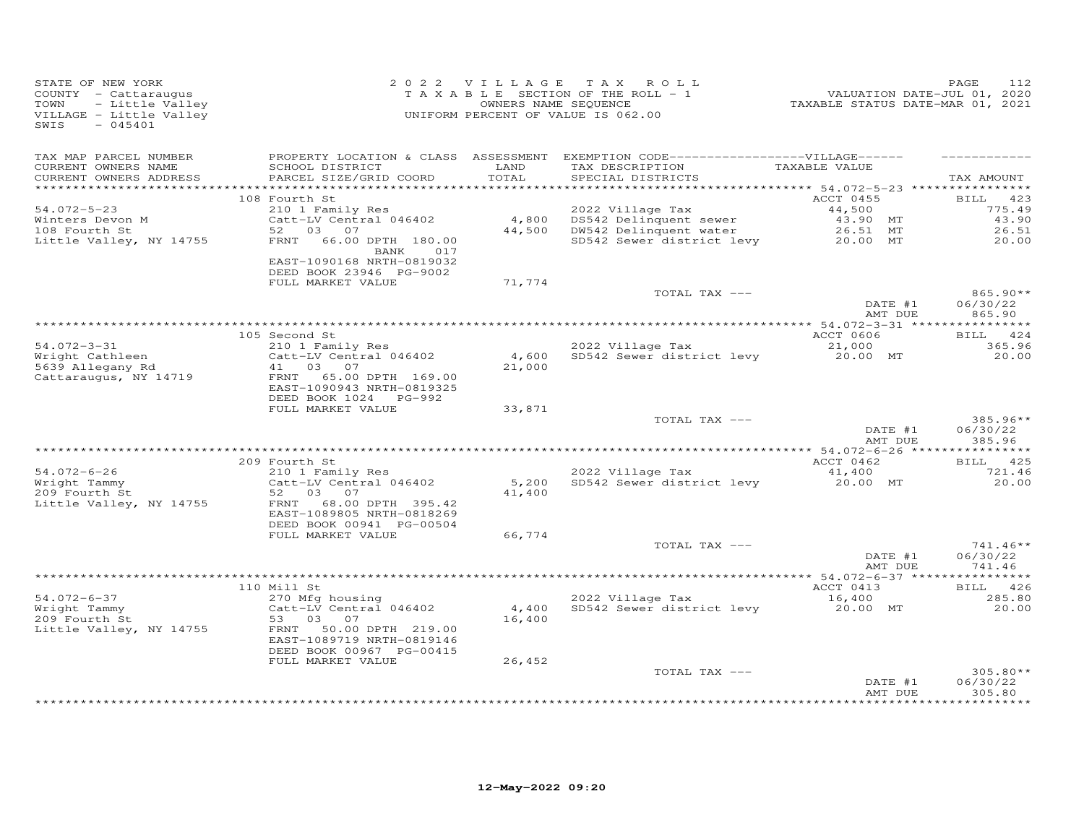| STATE OF NEW YORK<br>COUNTY - Cattaraugus<br>TOWN<br>- Little Valley<br>VILLAGE - Little Valley<br>$-045401$<br>SWIS |                                                                                                  | 2022 VILLAGE    | TAX ROLL<br>TAXABLE SECTION OF THE ROLL - 1<br>OWNERS NAME SEQUENCE<br>UNIFORM PERCENT OF VALUE IS 062.00                  | VALUATION DATE-JUL 01, 2020<br>TAXABLE STATUS DATE-MAR 01, 2021 | 112<br>PAGE                      |
|----------------------------------------------------------------------------------------------------------------------|--------------------------------------------------------------------------------------------------|-----------------|----------------------------------------------------------------------------------------------------------------------------|-----------------------------------------------------------------|----------------------------------|
| TAX MAP PARCEL NUMBER<br>CURRENT OWNERS NAME<br>CURRENT OWNERS ADDRESS                                               | SCHOOL DISTRICT<br>PARCEL SIZE/GRID COORD                                                        | LAND<br>TOTAL   | PROPERTY LOCATION & CLASS ASSESSMENT EXEMPTION CODE------------------VILLAGE------<br>TAX DESCRIPTION<br>SPECIAL DISTRICTS | TAXABLE VALUE                                                   | TAX AMOUNT                       |
|                                                                                                                      |                                                                                                  |                 |                                                                                                                            |                                                                 |                                  |
| $54.072 - 5 - 23$                                                                                                    | 108 Fourth St<br>210 1 Family Res                                                                |                 | 2022 Village Tax                                                                                                           | ACCT 0455<br>44,500                                             | <b>BILL</b><br>423<br>775.49     |
| Winters Devon M                                                                                                      | Catt-LV Central 046402                                                                           | 4,800           | DS542 Delinquent sewer                                                                                                     | 43.90 MT                                                        | 43.90                            |
| 108 Fourth St                                                                                                        | 52 03<br>07                                                                                      | 44,500          | DW542 Delinquent water                                                                                                     | 26.51 MT                                                        | 26.51                            |
| Little Valley, NY 14755                                                                                              | FRNT<br>66.00 DPTH 180.00<br>BANK<br>017<br>EAST-1090168 NRTH-0819032<br>DEED BOOK 23946 PG-9002 |                 | SD542 Sewer district levy                                                                                                  | 20.00 MT                                                        | 20.00                            |
|                                                                                                                      | FULL MARKET VALUE                                                                                | 71,774          |                                                                                                                            |                                                                 |                                  |
|                                                                                                                      |                                                                                                  |                 | TOTAL TAX ---                                                                                                              | DATE #1<br>AMT DUE                                              | $865.90**$<br>06/30/22<br>865.90 |
|                                                                                                                      |                                                                                                  |                 |                                                                                                                            |                                                                 | **********                       |
|                                                                                                                      | 105 Second St                                                                                    |                 |                                                                                                                            | ACCT 0606                                                       | BILL 424                         |
| $54.072 - 3 - 31$                                                                                                    | 210 1 Family Res                                                                                 |                 | 2022 Village Tax                                                                                                           | 21,000                                                          | 365.96                           |
| Wright Cathleen<br>5639 Allegany Rd                                                                                  | Catt-LV Central 046402<br>07<br>41 03                                                            | 4,600<br>21,000 | SD542 Sewer district levy                                                                                                  | 20.00 MT                                                        | 20.00                            |
| Cattaraugus, NY 14719                                                                                                | 65.00 DPTH 169.00<br>FRNT<br>EAST-1090943 NRTH-0819325<br>DEED BOOK 1024 PG-992                  |                 |                                                                                                                            |                                                                 |                                  |
|                                                                                                                      | FULL MARKET VALUE                                                                                | 33,871          |                                                                                                                            |                                                                 |                                  |
|                                                                                                                      |                                                                                                  |                 | TOTAL TAX ---                                                                                                              | DATE #1<br>AMT DUE                                              | $385.96**$<br>06/30/22<br>385.96 |
|                                                                                                                      |                                                                                                  |                 |                                                                                                                            |                                                                 |                                  |
|                                                                                                                      | 209 Fourth St                                                                                    |                 |                                                                                                                            | ACCT 0462                                                       | BILL 425                         |
| $54.072 - 6 - 26$<br>Wright Tammy<br>209 Fourth St                                                                   | 210 1 Family Res<br>Catt-LV Central 046402<br>52 03<br>07                                        | 5,200<br>41,400 | 2022 Village Tax<br>SD542 Sewer district levy                                                                              | 41,400<br>20.00 MT                                              | 721.46<br>20.00                  |
| Little Valley, NY 14755                                                                                              | FRNT<br>68.00 DPTH 395.42<br>EAST-1089805 NRTH-0818269<br>DEED BOOK 00941 PG-00504               |                 |                                                                                                                            |                                                                 |                                  |
|                                                                                                                      | FULL MARKET VALUE                                                                                | 66,774          |                                                                                                                            |                                                                 |                                  |
|                                                                                                                      |                                                                                                  |                 | TOTAL TAX ---                                                                                                              | DATE #1<br>AMT DUE                                              | $741.46**$<br>06/30/22<br>741.46 |
|                                                                                                                      |                                                                                                  |                 |                                                                                                                            |                                                                 |                                  |
|                                                                                                                      | 110 Mill St                                                                                      |                 |                                                                                                                            | ACCT 0413                                                       | BILL 426                         |
| $54.072 - 6 - 37$<br>Wright Tammy<br>209 Fourth St<br>Little Valley, NY 14755                                        | 270 Mfg housing<br>Catt-LV Central 046402<br>53<br>03<br>07<br>FRNT 50.00 DPTH 219.00            | 4,400<br>16,400 | 2022 Village Tax<br>SD542 Sewer district levy                                                                              | 16,400<br>20.00 MT                                              | 285.80<br>20.00                  |
|                                                                                                                      | EAST-1089719 NRTH-0819146<br>DEED BOOK 00967 PG-00415                                            |                 |                                                                                                                            |                                                                 |                                  |
|                                                                                                                      | FULL MARKET VALUE                                                                                | 26,452          |                                                                                                                            |                                                                 |                                  |
|                                                                                                                      |                                                                                                  |                 | TOTAL TAX ---                                                                                                              | DATE #1<br>AMT DUE                                              | $305.80**$<br>06/30/22<br>305.80 |
|                                                                                                                      |                                                                                                  |                 |                                                                                                                            |                                                                 |                                  |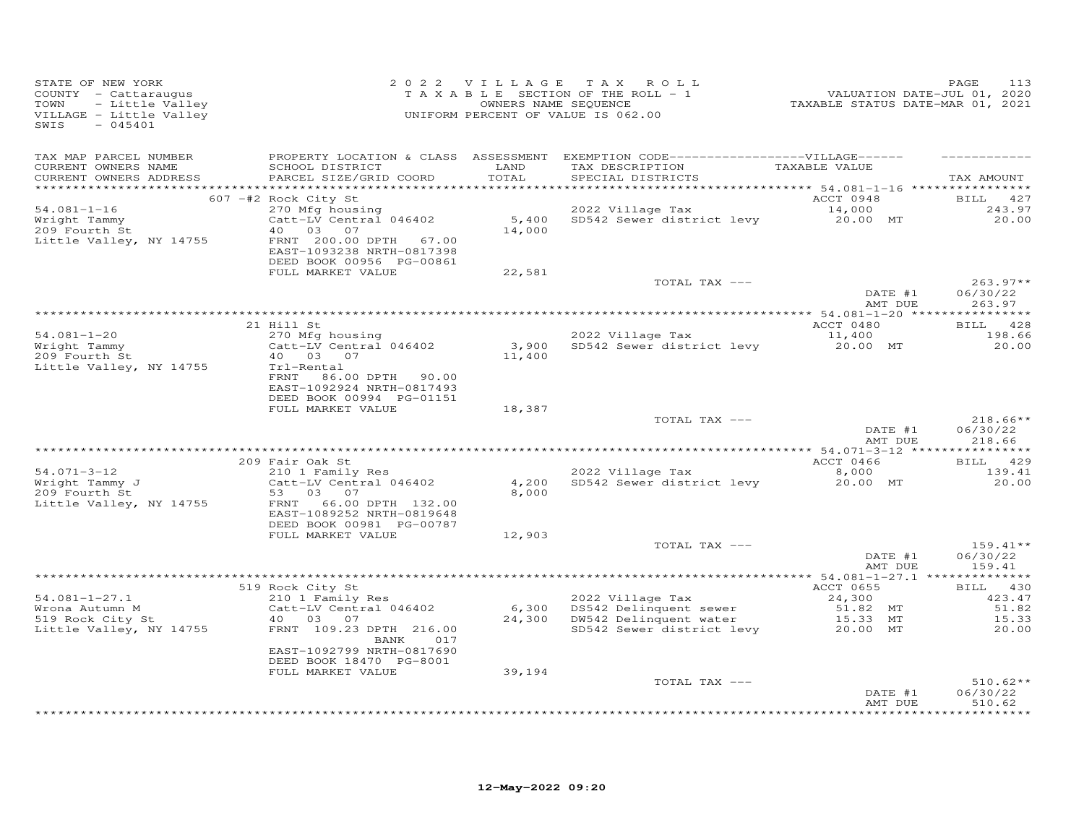| STATE OF NEW YORK<br>COUNTY - Cattaraugus<br>- Little Valley<br>TOWN<br>VILLAGE - Little Valley<br>$-045401$<br>SWIS |                                                                                                   | 2022 VILLAGE   | TAX ROLL<br>T A X A B L E SECTION OF THE ROLL - 1<br>OWNERS NAME SEQUENCE<br>UNIFORM PERCENT OF VALUE IS 062.00                         | rang Panet<br>11.01, 2020<br>TAXABLE STATUS DATE-MAR 01, 2021 | PAGE<br>113                      |
|----------------------------------------------------------------------------------------------------------------------|---------------------------------------------------------------------------------------------------|----------------|-----------------------------------------------------------------------------------------------------------------------------------------|---------------------------------------------------------------|----------------------------------|
| TAX MAP PARCEL NUMBER<br>CURRENT OWNERS NAME<br>CURRENT OWNERS ADDRESS                                               | SCHOOL DISTRICT<br>PARCEL SIZE/GRID COORD                                                         | LAND<br>TOTAL  | PROPERTY LOCATION & CLASS ASSESSMENT EXEMPTION CODE-----------------VILLAGE------<br>TAX DESCRIPTION TAXABLE VALUE<br>SPECIAL DISTRICTS |                                                               | TAX AMOUNT                       |
|                                                                                                                      | 607 -#2 Rock City St                                                                              |                |                                                                                                                                         | ACCT 0948                                                     | BILL 427                         |
| $54.081 - 1 - 16$<br>Wright Tammy                                                                                    | 270 Mfg housing<br>Catt-LV Central 046402                                                         |                | 2022 Village Tax<br>5,400 SD542 Sewer district levy 20.00 MT                                                                            | 14,000                                                        | 243.97<br>20.00                  |
| 209 Fourth St<br>Little Valley, NY 14755                                                                             | 40 03<br>07<br>FRNT 200.00 DPTH<br>67.00<br>EAST-1093238 NRTH-0817398<br>DEED BOOK 00956 PG-00861 | 14,000         |                                                                                                                                         |                                                               |                                  |
|                                                                                                                      | FULL MARKET VALUE                                                                                 | 22,581         | TOTAL TAX ---                                                                                                                           |                                                               | $263.97**$                       |
|                                                                                                                      |                                                                                                   |                |                                                                                                                                         | DATE #1<br>AMT DUE                                            | 06/30/22<br>263.97               |
|                                                                                                                      |                                                                                                   |                |                                                                                                                                         |                                                               |                                  |
|                                                                                                                      | 21 Hill St                                                                                        |                |                                                                                                                                         | ACCT 0480                                                     | BILL 428                         |
| $54.081 - 1 - 20$<br>Wright Tammy                                                                                    | 270 Mfg housing<br>Catt-LV Central 046402                                                         |                | 2022 Village Tax<br>3,900 SD542 Sewer district levy                                                                                     | 11,400<br>20.00 MT                                            | 198.66<br>20.00                  |
| 209 Fourth St                                                                                                        | 40  03  07                                                                                        | 11,400         |                                                                                                                                         |                                                               |                                  |
| Little Valley, NY 14755                                                                                              | Trl-Rental                                                                                        |                |                                                                                                                                         |                                                               |                                  |
|                                                                                                                      | FRNT<br>86.00 DPTH 90.00<br>EAST-1092924 NRTH-0817493                                             |                |                                                                                                                                         |                                                               |                                  |
|                                                                                                                      | DEED BOOK 00994 PG-01151<br>FULL MARKET VALUE                                                     | 18,387         |                                                                                                                                         |                                                               |                                  |
|                                                                                                                      |                                                                                                   |                | TOTAL TAX ---                                                                                                                           | DATE #1                                                       | $218.66**$<br>06/30/22           |
|                                                                                                                      |                                                                                                   |                |                                                                                                                                         | AMT DUE                                                       | 218.66                           |
|                                                                                                                      | 209 Fair Oak St                                                                                   |                |                                                                                                                                         | ACCT 0466                                                     | BILL 429                         |
| $54.071 - 3 - 12$                                                                                                    | 210 1 Family Res                                                                                  |                | 2022 Village Tax                                                                                                                        | 8,000                                                         | 139.41                           |
| $Wright$ $T=$<br>$Wright$ $T=$ $T=$<br>209 Fourth St                                                                 | Catt-LV Central 046402<br>53 03<br>07                                                             | 4,200<br>8,000 | SD542 Sewer district levy                                                                                                               | 20.00 MT                                                      | 20.00                            |
| Little Valley, NY 14755                                                                                              | FRNT<br>66.00 DPTH 132.00<br>EAST-1089252 NRTH-0819648<br>DEED BOOK 00981 PG-00787                |                |                                                                                                                                         |                                                               |                                  |
|                                                                                                                      | FULL MARKET VALUE                                                                                 | 12,903         |                                                                                                                                         |                                                               |                                  |
|                                                                                                                      |                                                                                                   |                | TOTAL TAX ---                                                                                                                           | DATE #1                                                       | $159.41**$<br>06/30/22           |
|                                                                                                                      |                                                                                                   |                |                                                                                                                                         | AMT DUE                                                       | 159.41                           |
|                                                                                                                      | 519 Rock City St                                                                                  |                |                                                                                                                                         | ACCT 0655                                                     | BILL 430                         |
| $54.081 - 1 - 27.1$                                                                                                  | 210 1 Family Res                                                                                  |                |                                                                                                                                         | 24,300                                                        | 423.47                           |
| Wrona Autumn M                                                                                                       | Catt-LV Central 046402                                                                            |                | 2022 Village Tax<br>6,300 DS542 Delinquent sewer<br>24,300 DN542 Delinquent water                                                       | 51.82 MT                                                      | 51.82                            |
| S19 Rock City St<br>Little Verland<br>Little Valley, NY 14755                                                        | 40 03<br>07<br>FRNT 109.23 DPTH 216.00<br>BANK<br>017                                             |                | SD542 Sewer district levy                                                                                                               | 15.33 MT<br>20.00 MT                                          | 15.33<br>20,00                   |
|                                                                                                                      | EAST-1092799 NRTH-0817690<br>DEED BOOK 18470 PG-8001                                              |                |                                                                                                                                         |                                                               |                                  |
|                                                                                                                      | FULL MARKET VALUE                                                                                 | 39,194         |                                                                                                                                         |                                                               |                                  |
|                                                                                                                      |                                                                                                   |                | TOTAL TAX ---                                                                                                                           | DATE #1<br>AMT DUE                                            | $510.62**$<br>06/30/22<br>510.62 |
|                                                                                                                      |                                                                                                   |                |                                                                                                                                         |                                                               | **********                       |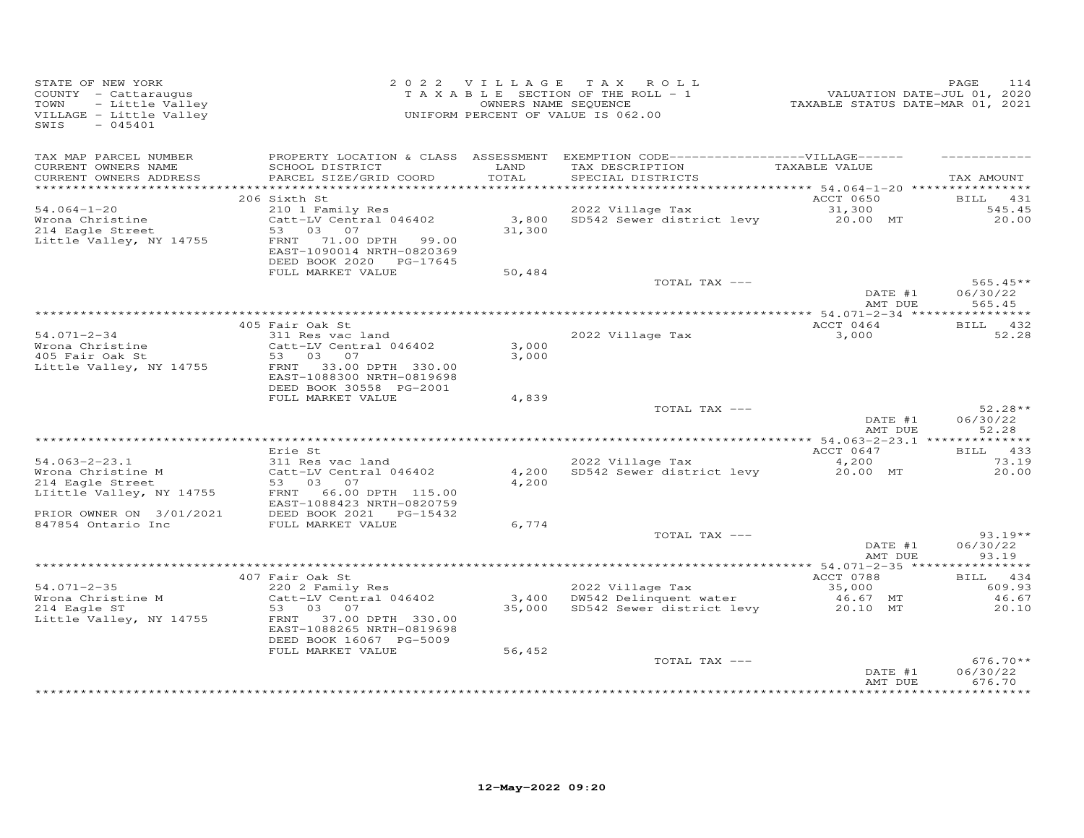| STATE OF NEW YORK<br>COUNTY - Cattaraugus<br>TOWN<br>- Little Valley<br>VILLAGE - Little Valley<br>SWIS<br>$-045401$ |                                                                                                                                          | OWNERS NAME SEQUENCE | 2022 VILLAGE TAX ROLL<br>T A X A B L E SECTION OF THE ROLL - 1<br>UNIFORM PERCENT OF VALUE IS 062.00                                                  | 1<br>VALUATION DATE-JUL 01, 2020<br>TAXABLE STATUS DATE-MAR 01, 2021 | PAGE<br>114                      |
|----------------------------------------------------------------------------------------------------------------------|------------------------------------------------------------------------------------------------------------------------------------------|----------------------|-------------------------------------------------------------------------------------------------------------------------------------------------------|----------------------------------------------------------------------|----------------------------------|
| TAX MAP PARCEL NUMBER<br>CURRENT OWNERS NAME<br>CURRENT OWNERS ADDRESS                                               | SCHOOL DISTRICT<br>PARCEL SIZE/GRID COORD                                                                                                | LAND<br>TOTAL        | PROPERTY LOCATION & CLASS ASSESSMENT EXEMPTION CODE------------------VILLAGE------<br>TAX DESCRIPTION<br>SPECIAL DISTRICTS                            | TAXABLE VALUE                                                        | TAX AMOUNT                       |
|                                                                                                                      |                                                                                                                                          |                      |                                                                                                                                                       |                                                                      |                                  |
| $54.064 - 1 - 20$                                                                                                    | 206 Sixth St                                                                                                                             |                      | 2022 Village Tax                                                                                                                                      | ACCT 0650                                                            | BILL 431<br>545.45               |
| Wrona Christine<br>214 Eagle Street<br>Little Valley, NY 14755                                                       | 210 1 Family Res<br>Catt-LV Central 046402<br>53 03 07<br>FRNT 71.00 DPTH 99.00<br>EAST-1090014 NRTH-0820369<br>DEED BOOK 2020 PG-17645  | 31,300               | 3,800 SD542 Sewer district levy                                                                                                                       | 31,300<br>20.00 MT                                                   | 20.00                            |
|                                                                                                                      | FULL MARKET VALUE                                                                                                                        | 50,484               |                                                                                                                                                       |                                                                      |                                  |
|                                                                                                                      |                                                                                                                                          |                      | TOTAL TAX ---                                                                                                                                         | DATE #1<br>AMT DUE                                                   | $565.45**$<br>06/30/22<br>565.45 |
|                                                                                                                      |                                                                                                                                          |                      |                                                                                                                                                       |                                                                      |                                  |
|                                                                                                                      | 405 Fair Oak St                                                                                                                          |                      |                                                                                                                                                       | ACCT 0464                                                            | BILL 432                         |
| $54.071 - 2 - 34$<br>Wrona Christine<br>405 Fair Oak St<br>Little Valley, NY 14755                                   | 311 Res vac land<br>Catt-LV Central 046402<br>53 03 07<br>FRNT 33.00 DPTH 330.00<br>EAST-1088300 NRTH-0819698<br>DEED BOOK 30558 PG-2001 | 3,000<br>3,000       | 2022 Village Tax                                                                                                                                      | 3,000                                                                | 52.28                            |
|                                                                                                                      | FULL MARKET VALUE                                                                                                                        | 4,839                |                                                                                                                                                       |                                                                      |                                  |
|                                                                                                                      |                                                                                                                                          |                      | TOTAL TAX ---                                                                                                                                         | DATE #1<br>AMT DUE                                                   | $52.28**$<br>06/30/22<br>52.28   |
|                                                                                                                      | Erie St                                                                                                                                  |                      |                                                                                                                                                       | ACCT 0647                                                            | BILL 433                         |
| $54.063 - 2 - 23.1$                                                                                                  | 311 Res vac land                                                                                                                         |                      | 2022 Village Tax                                                                                                                                      | 4,200                                                                | 73.19                            |
| Wrona Christine M<br>214 Eagle Street<br>LIittle Valley, NY 14755                                                    | Catt-LV Central 046402<br>53 03 07<br>FRNT 66.00 DPTH 115.00                                                                             | 4,200<br>4,200       | SD542 Sewer district levy                                                                                                                             | 20.00 MT                                                             | 20.00                            |
|                                                                                                                      | EAST-1088423 NRTH-0820759                                                                                                                |                      |                                                                                                                                                       |                                                                      |                                  |
| PRIOR OWNER ON 3/01/2021<br>847854 Ontario Inc                                                                       | DEED BOOK 2021    PG-15432<br>FULL MARKET VALUE                                                                                          | 6,774                |                                                                                                                                                       |                                                                      |                                  |
|                                                                                                                      |                                                                                                                                          |                      | TOTAL TAX ---                                                                                                                                         |                                                                      | $93.19**$                        |
|                                                                                                                      |                                                                                                                                          |                      |                                                                                                                                                       | DATE #1<br>AMT DUE                                                   | 06/30/22<br>93.19                |
|                                                                                                                      | 407 Fair Oak St                                                                                                                          |                      |                                                                                                                                                       | ACCT 0788                                                            | BILL 434                         |
| $54.071 - 2 - 35$                                                                                                    | 220 2 Family Res                                                                                                                         |                      | 2022 Village Tax                                                                                                                                      | 35,000                                                               | 609.93                           |
| Wrona Christine M                                                                                                    | Catt-LV Central 046402                                                                                                                   |                      | 3,400 DW542 Delinquent water<br>DW542 Delinquent water                           46.67   MT<br>SD542 Sewer district levy                   20.10   MT |                                                                      | 46.67                            |
| 214 Eagle ST<br>Little Valley, NY 14755                                                                              | 53 03 07<br>FRNT 37.00 DPTH 330.00<br>EAST-1088265 NRTH-0819698<br>DEED BOOK 16067 PG-5009                                               | 35,000               |                                                                                                                                                       |                                                                      | 20.10                            |
|                                                                                                                      | FULL MARKET VALUE                                                                                                                        | 56,452               |                                                                                                                                                       |                                                                      |                                  |
|                                                                                                                      |                                                                                                                                          |                      | TOTAL TAX ---                                                                                                                                         | DATE #1<br>AMT DUE                                                   | $676.70**$<br>06/30/22<br>676.70 |
|                                                                                                                      |                                                                                                                                          |                      |                                                                                                                                                       |                                                                      |                                  |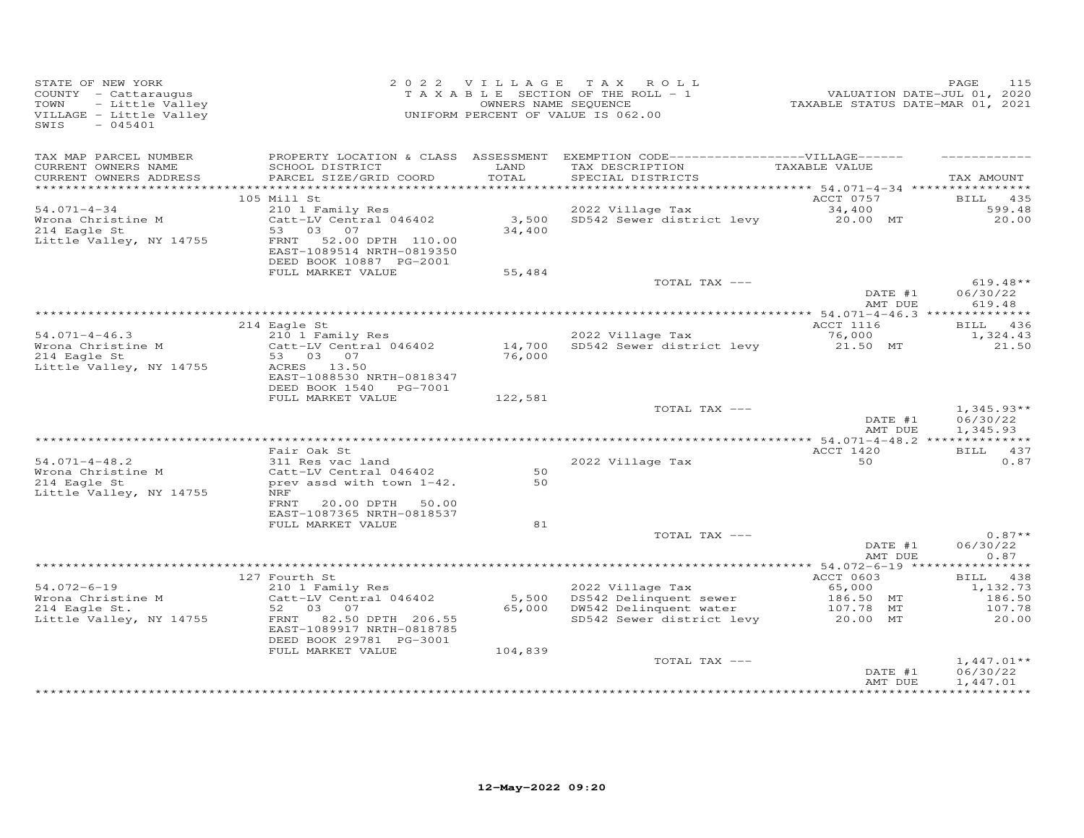| STATE OF NEW YORK<br>COUNTY - Cattaraugus<br>- Little Valley<br>TOWN<br>VILLAGE - Little Valley<br>SWIS<br>$-045401$ |                                                                                                                              | OWNERS NAME SEQUENCE | 2022 VILLAGE TAX ROLL<br>T A X A B L E SECTION OF THE ROLL - 1<br>UNIFORM PERCENT OF VALUE IS 062.00  | VALUATION DATE-JUL 01, 2020<br>TAXABLE STATUS DATE-MAR 01, 2021 | 115<br>PAGE                          |
|----------------------------------------------------------------------------------------------------------------------|------------------------------------------------------------------------------------------------------------------------------|----------------------|-------------------------------------------------------------------------------------------------------|-----------------------------------------------------------------|--------------------------------------|
| TAX MAP PARCEL NUMBER<br>CURRENT OWNERS NAME                                                                         | SCHOOL DISTRICT                                                                                                              | LAND                 | PROPERTY LOCATION & CLASS ASSESSMENT EXEMPTION CODE------------------VILLAGE------<br>TAX DESCRIPTION | TAXABLE VALUE                                                   |                                      |
| CURRENT OWNERS ADDRESS                                                                                               | PARCEL SIZE/GRID COORD                                                                                                       | TOTAL                | SPECIAL DISTRICTS                                                                                     |                                                                 | TAX AMOUNT                           |
|                                                                                                                      |                                                                                                                              |                      |                                                                                                       |                                                                 |                                      |
| $54.071 - 4 - 34$                                                                                                    | 105 Mill St<br>210 1 Family Res                                                                                              |                      | 2022 Village Tax                                                                                      | ACCT 0757<br>34,400                                             | <b>BILL</b> 435<br>599.48            |
| Wrona Christine M<br>214 Eagle St<br>Little Valley, NY 14755                                                         | Catt-LV Central 046402<br>53 03 07<br>FRNT 52.00 DPTH 110.00<br>EAST-1089514 NRTH-0819350                                    | 34,400               | 3,500 SD542 Sewer district levy                                                                       | 20.00 MT                                                        | 20.00                                |
|                                                                                                                      | DEED BOOK 10887 PG-2001                                                                                                      |                      |                                                                                                       |                                                                 |                                      |
|                                                                                                                      | FULL MARKET VALUE                                                                                                            | 55,484               | TOTAL TAX ---                                                                                         |                                                                 | $619.48**$                           |
|                                                                                                                      |                                                                                                                              |                      |                                                                                                       | DATE #1<br>AMT DUE                                              | 06/30/22<br>619.48                   |
|                                                                                                                      |                                                                                                                              |                      |                                                                                                       |                                                                 |                                      |
|                                                                                                                      | 214 Eagle St                                                                                                                 |                      |                                                                                                       | ACCT 1116                                                       | BILL 436                             |
| $54.071 - 4 - 46.3$<br>Wrona Christine M<br>214 Eagle St<br>Little Valley, NY 14755                                  | 210 1 Family Res<br>Catt-LV Central 046402<br>53 03 07<br>ACRES 13.50<br>EAST-1088530 NRTH-0818347<br>DEED BOOK 1540 PG-7001 | 76,000               | 2022 Village Tax<br>14,700 SD542 Sewer district levy                                                  | 76,000<br>21.50 MT                                              | 1,324.43<br>21.50                    |
|                                                                                                                      | FULL MARKET VALUE                                                                                                            | 122,581              |                                                                                                       |                                                                 |                                      |
|                                                                                                                      |                                                                                                                              |                      | TOTAL TAX ---                                                                                         | DATE #1<br>AMT DUE                                              | $1,345.93**$<br>06/30/22<br>1,345.93 |
|                                                                                                                      |                                                                                                                              |                      |                                                                                                       |                                                                 |                                      |
| $54.071 - 4 - 48.2$                                                                                                  | Fair Oak St<br>311 Res vac land                                                                                              |                      | 2022 Village Tax                                                                                      | ACCT 1420<br>50                                                 | BILL 437<br>0.87                     |
| Wrona Christine M                                                                                                    | Catt-LV Central 046402                                                                                                       | 50                   |                                                                                                       |                                                                 |                                      |
| 214 Eagle St<br>Little Valley, NY 14755                                                                              | prev assd with town 1-42.<br>NRF                                                                                             | 50                   |                                                                                                       |                                                                 |                                      |
|                                                                                                                      | FRNT<br>20.00 DPTH<br>50.00<br>EAST-1087365 NRTH-0818537                                                                     |                      |                                                                                                       |                                                                 |                                      |
|                                                                                                                      | FULL MARKET VALUE                                                                                                            | 81                   |                                                                                                       |                                                                 |                                      |
|                                                                                                                      |                                                                                                                              |                      | TOTAL TAX ---                                                                                         | DATE #1<br>AMT DUE                                              | $0.87**$<br>06/30/22<br>0.87         |
|                                                                                                                      |                                                                                                                              |                      |                                                                                                       |                                                                 |                                      |
|                                                                                                                      | 127 Fourth St                                                                                                                |                      |                                                                                                       | ACCT 0603                                                       | BILL 438                             |
| $54.072 - 6 - 19$<br>Wrona Christine M                                                                               | 210 1 Family Res<br>Catt-LV Central 046402                                                                                   |                      | 2022 Village Tax<br>5,500 DS542 Delinquent sewer                                                      | 65,000                                                          | 1,132.73<br>186.50                   |
| 214 Eagle St.                                                                                                        | 52 03 07                                                                                                                     |                      | 65,000 DW542 Delinquent water                                                                         | 186.50<br>186.50 MT<br>107.70<br>107.78 MT                      | 107.78                               |
| Little Valley, NY 14755                                                                                              | FRNT 82.50 DPTH 206.55<br>EAST-1089917 NRTH-0818785<br>DEED BOOK 29781 PG-3001                                               |                      | SD542 Sewer district levy                                                                             | 20.00 MT                                                        | 20.00                                |
|                                                                                                                      | FULL MARKET VALUE                                                                                                            | 104,839              |                                                                                                       |                                                                 |                                      |
|                                                                                                                      |                                                                                                                              |                      | TOTAL TAX ---                                                                                         | DATE #1<br>AMT DUE                                              | $1,447.01**$<br>06/30/22<br>1,447.01 |
|                                                                                                                      |                                                                                                                              |                      |                                                                                                       |                                                                 |                                      |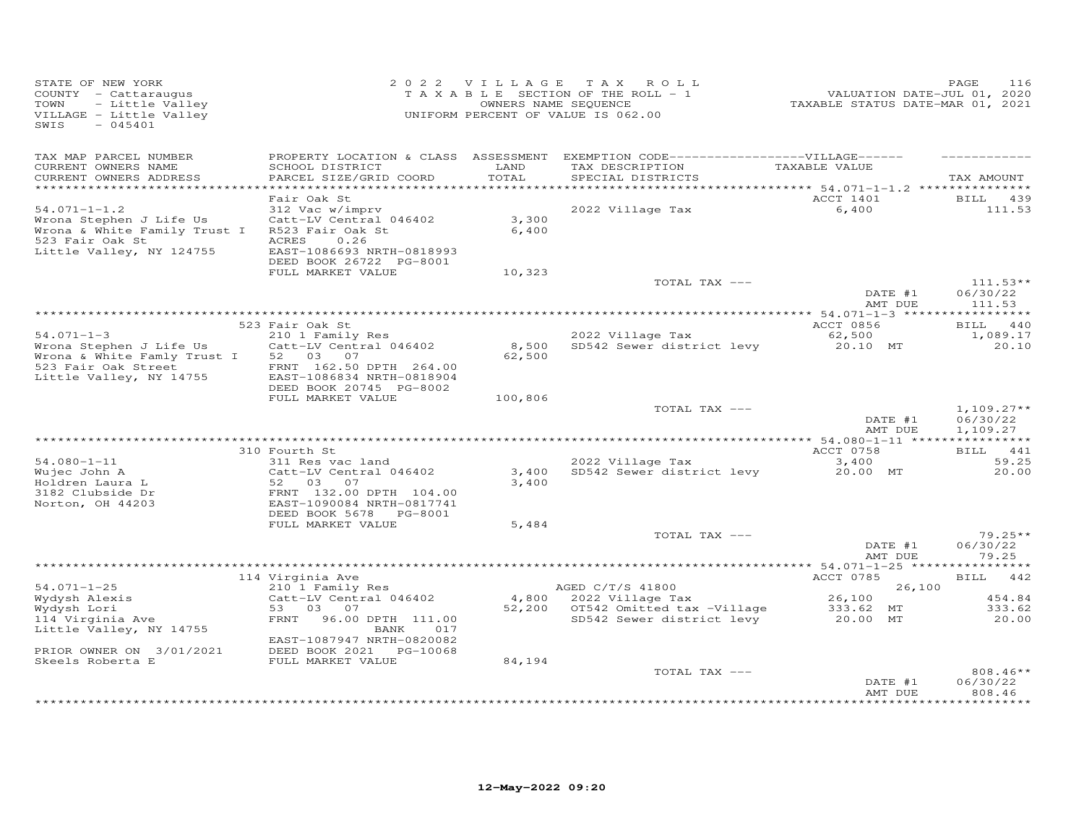| STATE OF NEW YORK<br>COUNTY - Cattaraugus<br>- Little Valley<br>TOWN<br>VILLAGE - Little Valley<br>$-045401$<br>SWIS         |                                                                                                                                        |                 | 2022 VILLAGE TAX ROLL<br>TAXABLE SECTION OF THE ROLL - 1<br>OWNERS NAME SEQUENCE<br>UNIFORM PERCENT OF VALUE IS 062.00     | VALUATION DATE-JUL 01, 2020<br>TAXABLE STATUS DATE-MAR 01, 2021 | PAGE<br>116                      |
|------------------------------------------------------------------------------------------------------------------------------|----------------------------------------------------------------------------------------------------------------------------------------|-----------------|----------------------------------------------------------------------------------------------------------------------------|-----------------------------------------------------------------|----------------------------------|
| TAX MAP PARCEL NUMBER<br>CURRENT OWNERS NAME<br>CURRENT OWNERS ADDRESS                                                       | SCHOOL DISTRICT<br>PARCEL SIZE/GRID COORD                                                                                              | LAND<br>TOTAL   | PROPERTY LOCATION & CLASS ASSESSMENT EXEMPTION CODE------------------VILLAGE------<br>TAX DESCRIPTION<br>SPECIAL DISTRICTS | TAXABLE VALUE                                                   | TAX AMOUNT                       |
|                                                                                                                              | Fair Oak St                                                                                                                            |                 |                                                                                                                            | ACCT 1401                                                       |                                  |
| $54.071 - 1 - 1.2$<br>Wrona Stephen J Life Us<br>Wrona & White Family Trust I<br>523 Fair Oak St<br>Little Valley, NY 124755 | 312 Vac w/imprv<br>Catt-LV Central 046402<br>R523 Fair Oak St<br>ACRES<br>0.26<br>EAST-1086693 NRTH-0818993<br>DEED BOOK 26722 PG-8001 | 3,300<br>6,400  | 2022 Village Tax                                                                                                           | 6,400                                                           | BILL 439<br>111.53               |
|                                                                                                                              | FULL MARKET VALUE                                                                                                                      | 10,323          | TOTAL TAX ---                                                                                                              |                                                                 | $111.53**$                       |
|                                                                                                                              |                                                                                                                                        |                 |                                                                                                                            | DATE #1<br>AMT DUE                                              | 06/30/22<br>111.53               |
|                                                                                                                              | 523 Fair Oak St                                                                                                                        |                 |                                                                                                                            | ACCT 0856                                                       | BILL 440                         |
| $54.071 - 1 - 3$<br>Wrona Stephen J Life Us<br>Wrona & White Famly Trust I<br>523 Fair Oak Street                            | 210 1 Family Res<br>Catt-LV Central 046402<br>52 03 07<br>FRNT 162.50 DPTH 264.00                                                      | 8,500<br>62,500 | 2022 Village Tax<br>SD542 Sewer district levy                                                                              | 62,500<br>20.10 MT                                              | 1,089.17<br>20.10                |
| Little Valley, NY 14755                                                                                                      | EAST-1086834 NRTH-0818904<br>DEED BOOK 20745 PG-8002<br>FULL MARKET VALUE                                                              | 100,806         | TOTAL TAX ---                                                                                                              |                                                                 | $1,109.27**$                     |
|                                                                                                                              |                                                                                                                                        |                 |                                                                                                                            | DATE #1<br>AMT DUE                                              | 06/30/22<br>1,109.27             |
|                                                                                                                              | 310 Fourth St                                                                                                                          |                 |                                                                                                                            | ACCT 0758                                                       | BILL 441                         |
| $54.080 - 1 - 11$<br>Wujec John A<br>Holdren Laura L<br>3182 Clubside Dr<br>Norton, OH 44203                                 | 311 Res vac land<br>Catt-LV Central 046402<br>52 03 07<br>FRNT 132.00 DPTH 104.00<br>EAST-1090084 NRTH-0817741                         | 3,400<br>3,400  | 2022 Village Tax<br>SD542 Sewer district levy                                                                              | 3,400<br>20.00 MT                                               | 59.25<br>20,00                   |
|                                                                                                                              | DEED BOOK 5678 PG-8001                                                                                                                 |                 |                                                                                                                            |                                                                 |                                  |
|                                                                                                                              | FULL MARKET VALUE                                                                                                                      | 5,484           | TOTAL TAX ---                                                                                                              | DATE #1                                                         | $79.25**$<br>06/30/22            |
|                                                                                                                              |                                                                                                                                        |                 |                                                                                                                            | AMT DUE                                                         | 79.25                            |
|                                                                                                                              | 114 Virginia Ave                                                                                                                       |                 |                                                                                                                            | ACCT 0785                                                       | <b>BILL</b><br>442               |
| $54.071 - 1 - 25$                                                                                                            | 210 1 Family Res                                                                                                                       |                 | AGED C/T/S 41800                                                                                                           | 26,100                                                          |                                  |
| Wydysh Alexis                                                                                                                | Catt-LV Central 046402                                                                                                                 |                 | 4,800 2022 Village Tax                                                                                                     | 26,100                                                          | 454.84                           |
| Wydysh Lori<br>114 Virginia Ave<br>Little Valley, NY 14755                                                                   | 53 03 07<br>FRNT 96.00 DPTH 111.00<br>BANK<br>017<br>EAST-1087947 NRTH-0820082                                                         |                 | 52,200 OT542 Omitted tax -Village<br>SD542 Sewer district levy                                                             | 333.62 MT<br>20.00 MT                                           | 333.62<br>20.00                  |
| PRIOR OWNER ON 3/01/2021                                                                                                     | DEED BOOK 2021 PG-10068                                                                                                                |                 |                                                                                                                            |                                                                 |                                  |
| Skeels Roberta E                                                                                                             | FULL MARKET VALUE                                                                                                                      | 84,194          | TOTAL TAX ---                                                                                                              | DATE #1<br>AMT DUE                                              | $808.46**$<br>06/30/22<br>808.46 |
|                                                                                                                              |                                                                                                                                        |                 |                                                                                                                            |                                                                 |                                  |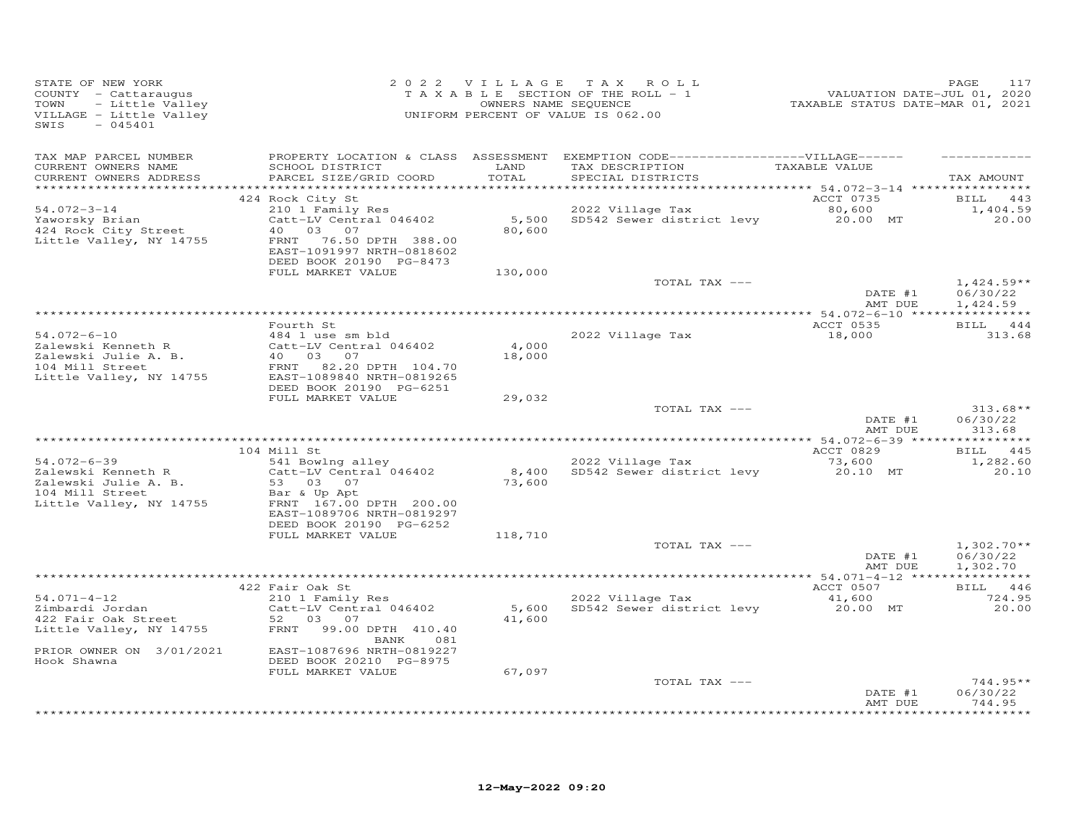| STATE OF NEW YORK<br>Y - Cattaraugus<br>- Little Valley<br>3E - Little Valley<br>- 045401<br>COUNTY - Cattaraugus<br>TOWN<br>VILLAGE - Little Valley<br>SWIS |                                                                                                                                                                                                      |                 | 2022 VILLAGE TAX ROLL<br>OWNERS NAME SEQUENCE<br>UNIFORM PERCENT OF VALUE IS 062.00                                                      | PAGE<br>11/01, 2020<br>TAXABLE STATUS DATE-JUL 01, 2021 | PAGE<br>117                                            |
|--------------------------------------------------------------------------------------------------------------------------------------------------------------|------------------------------------------------------------------------------------------------------------------------------------------------------------------------------------------------------|-----------------|------------------------------------------------------------------------------------------------------------------------------------------|---------------------------------------------------------|--------------------------------------------------------|
| TAX MAP PARCEL NUMBER<br>CURRENT OWNERS NAME<br>CURRENT OWNERS ADDRESS                                                                                       | SCHOOL DISTRICT LAND<br>PARCEL SIZE/GRID COORD                                                                                                                                                       | TOTAL           | PROPERTY LOCATION & CLASS ASSESSMENT EXEMPTION CODE------------------VILLAGE------<br>TAX DESCRIPTION TAXABLE VALUE<br>SPECIAL DISTRICTS |                                                         | TAX AMOUNT                                             |
|                                                                                                                                                              | 424 Rock City St                                                                                                                                                                                     |                 |                                                                                                                                          | ACCT 0735                                               | BILL 443                                               |
| $54.072 - 3 - 14$<br>Yaworsky Brian<br>424 Rock City Street<br>Little Valley, NY 14755                                                                       | 210 1 Family Res<br>Catt-LV Central 046402<br>40 03 07<br>FRNT 76.50 DPTH 388.00<br>EAST-1091997 NRTH-0818602                                                                                        | 80,600          | 2022 Village Tax<br>2022 Village Tax<br>5,500 SD542 Sewer district levy 20.00 MT<br>80,600 MT                                            |                                                         | 1,404.59<br>20.00                                      |
|                                                                                                                                                              | DEED BOOK 20190 PG-8473                                                                                                                                                                              |                 |                                                                                                                                          |                                                         |                                                        |
|                                                                                                                                                              | FULL MARKET VALUE                                                                                                                                                                                    | 130,000         | TOTAL TAX ---                                                                                                                            |                                                         |                                                        |
|                                                                                                                                                              |                                                                                                                                                                                                      |                 |                                                                                                                                          |                                                         | $1,424.59**$<br>DATE #1 $06/30/22$<br>AMT DUE 1,424.59 |
|                                                                                                                                                              |                                                                                                                                                                                                      |                 |                                                                                                                                          |                                                         |                                                        |
|                                                                                                                                                              | Fourth St                                                                                                                                                                                            |                 |                                                                                                                                          | <b>ACCT 0535</b>                                        | BILL 444                                               |
| $54.072 - 6 - 10$                                                                                                                                            | 484 1 use sm bld                                                                                                                                                                                     | 4,000<br>18,000 | 2022 Village Tax                                                                                                                         | 18,000                                                  | 313.68                                                 |
|                                                                                                                                                              | Extracts I cattle Cattle Central 046402<br>2 Salewski Julie A. B. 40 03 07<br>104 Mill Street FRNT 82.20 DPTH 104.70<br>Little Valley, NY 14755 EAST-1089840 NRTH-0819265<br>DEED BOOK 20190 PG-6251 |                 |                                                                                                                                          |                                                         |                                                        |
|                                                                                                                                                              | FULL MARKET VALUE                                                                                                                                                                                    | 29,032          | TOTAL TAX ---                                                                                                                            | DATE #1<br>AMT DUE                                      | $313.68**$<br>06/30/22<br>313.68                       |
|                                                                                                                                                              |                                                                                                                                                                                                      |                 |                                                                                                                                          |                                                         |                                                        |
|                                                                                                                                                              | 104 Mill St                                                                                                                                                                                          |                 |                                                                                                                                          | ACCT 0829 BILL 445                                      |                                                        |
|                                                                                                                                                              | Little Valley, NY 14755 FRNT 167.00 DPTH 200.00<br>EAST-1089706 NRTH-0819297                                                                                                                         | 73,600          | 2022 Village Tax<br>2022 Village Tax 573,600<br>8,400 SD542 Sewer district levy 20.10 MT                                                 |                                                         | 1,282.60<br>20.10                                      |
|                                                                                                                                                              | DEED BOOK 20190 PG-6252                                                                                                                                                                              |                 |                                                                                                                                          |                                                         |                                                        |
|                                                                                                                                                              | FULL MARKET VALUE                                                                                                                                                                                    | 118,710         |                                                                                                                                          |                                                         |                                                        |
|                                                                                                                                                              |                                                                                                                                                                                                      |                 | TOTAL TAX ---                                                                                                                            | DATE #1<br>AMT DUE                                      | $1,302.70**$<br>06/30/22<br>1,302.70                   |
|                                                                                                                                                              |                                                                                                                                                                                                      |                 |                                                                                                                                          |                                                         |                                                        |
| $54.071 - 4 - 12$                                                                                                                                            | 422 Fair Oak St<br>210 1 Family Res                                                                                                                                                                  |                 | 2022 Village Tax                                                                                                                         | ACCT 0507                                               | BILL 446<br>724.95                                     |
| 54.071-4-12<br>Zimbardi Jordan<br>422 Fair Oak Street                                                                                                        | BANK<br>081                                                                                                                                                                                          | 41,600          |                                                                                                                                          |                                                         | 20.00                                                  |
| PRIOR OWNER ON 3/01/2021<br>Hook Shawna                                                                                                                      | EAST-1087696 NRTH-0819227<br>DEED BOOK 20210 PG-8975                                                                                                                                                 |                 |                                                                                                                                          |                                                         |                                                        |
|                                                                                                                                                              | FULL MARKET VALUE                                                                                                                                                                                    | 67,097          | TOTAL TAX ---                                                                                                                            |                                                         | $744.95**$                                             |
|                                                                                                                                                              |                                                                                                                                                                                                      |                 |                                                                                                                                          | DATE #1<br>AMT DUE                                      | 06/30/22<br>744.95                                     |
|                                                                                                                                                              |                                                                                                                                                                                                      |                 |                                                                                                                                          |                                                         | ***********                                            |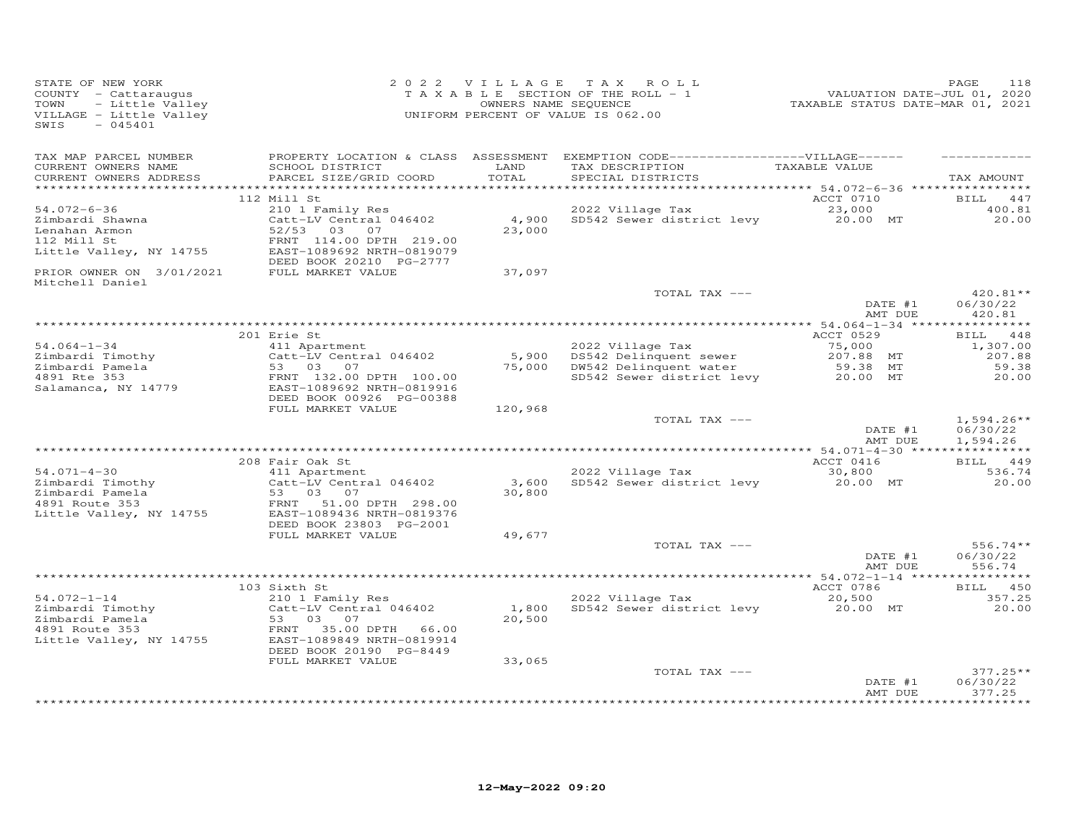| STATE OF NEW YORK<br>COUNTY - Cattaraugus<br>- Little Valley<br>TOWN<br>VILLAGE - Little Valley<br>$-045401$<br>SWIS |                                                                                                                                         | 2022 VILLAGE<br>OWNERS NAME SEQUENCE | TAX ROLL<br>TAXABLE SECTION OF THE ROLL - 1<br>UNIFORM PERCENT OF VALUE IS 062.00                                          | VALUATION DATE-JUL 01, 2020<br>TAXABLE STATUS DATE-MAR 01, 2021 | 118<br>PAGE                          |
|----------------------------------------------------------------------------------------------------------------------|-----------------------------------------------------------------------------------------------------------------------------------------|--------------------------------------|----------------------------------------------------------------------------------------------------------------------------|-----------------------------------------------------------------|--------------------------------------|
| TAX MAP PARCEL NUMBER<br>CURRENT OWNERS NAME<br>CURRENT OWNERS ADDRESS                                               | SCHOOL DISTRICT<br>PARCEL SIZE/GRID COORD                                                                                               | LAND<br>TOTAL                        | PROPERTY LOCATION & CLASS ASSESSMENT EXEMPTION CODE------------------VILLAGE------<br>TAX DESCRIPTION<br>SPECIAL DISTRICTS | TAXABLE VALUE                                                   | TAX AMOUNT                           |
|                                                                                                                      |                                                                                                                                         |                                      |                                                                                                                            |                                                                 |                                      |
| $54.072 - 6 - 36$<br>Zimbardi Shawna<br>Lenahan Armon<br>112 Mill St                                                 | 112 Mill St<br>210 1 Family Res<br>Catt-LV Central 046402<br>52/53 03 07<br>FRNT 114.00 DPTH 219.00                                     | 4,900<br>23,000                      | 2022 Village Tax<br>SD542 Sewer district levy 20.00 MT                                                                     | ACCT 0710<br>23,000                                             | BILL<br>447<br>400.81<br>20,00       |
| Little Valley, NY 14755                                                                                              | EAST-1089692 NRTH-0819079<br>DEED BOOK 20210 PG-2777                                                                                    |                                      |                                                                                                                            |                                                                 |                                      |
| PRIOR OWNER ON 3/01/2021<br>Mitchell Daniel                                                                          | FULL MARKET VALUE                                                                                                                       | 37,097                               |                                                                                                                            |                                                                 |                                      |
|                                                                                                                      |                                                                                                                                         |                                      | TOTAL TAX ---                                                                                                              | DATE #1<br>AMT DUE                                              | $420.81**$<br>06/30/22<br>420.81     |
|                                                                                                                      |                                                                                                                                         |                                      |                                                                                                                            |                                                                 | **********                           |
|                                                                                                                      | 201 Erie St                                                                                                                             |                                      |                                                                                                                            | ACCT 0529                                                       | BILL 448                             |
| $54.064 - 1 - 34$<br>Zimbardi Timothy                                                                                | 411 Apartment<br>Catt-LV Central 046402                                                                                                 |                                      | 2022 Village Tax<br>5,900 DS542 Delinquent sewer                                                                           | 75,000<br>207.88 MT                                             | 1,307.00<br>207.88                   |
| Zimbardi Pamela                                                                                                      | 53 03<br>07                                                                                                                             | 75,000                               | DW542 Delinquent water                                                                                                     | 59.38 MT                                                        | 59.38                                |
| 4891 Rte 353<br>Salamanca, NY 14779                                                                                  | FRNT 132.00 DPTH 100.00<br>EAST-1089692 NRTH-0819916<br>DEED BOOK 00926 PG-00388                                                        |                                      | SD542 Sewer district levy                                                                                                  | 20.00 MT                                                        | 20,00                                |
|                                                                                                                      | FULL MARKET VALUE                                                                                                                       | 120,968                              |                                                                                                                            |                                                                 |                                      |
|                                                                                                                      |                                                                                                                                         |                                      | TOTAL TAX ---                                                                                                              | DATE #1<br>AMT DUE                                              | $1,594.26**$<br>06/30/22<br>1,594.26 |
|                                                                                                                      |                                                                                                                                         |                                      |                                                                                                                            |                                                                 |                                      |
| $54.071 - 4 - 30$                                                                                                    | 208 Fair Oak St<br>411 Apartment                                                                                                        |                                      | 2022 Village Tax                                                                                                           | ACCT 0416<br>30,800                                             | BILL 449<br>536.74                   |
| Zimbardi Timothy<br>Zimbardi Pamela                                                                                  | Catt-LV Central 046402<br>53 03<br>07                                                                                                   | 3,600<br>30,800                      | SD542 Sewer district levy                                                                                                  | 20.00 MT                                                        | 20.00                                |
| 4891 Route 353<br>Little Valley, NY 14755                                                                            | FRNT 51.00 DPTH 298.00<br>EAST-1089436 NRTH-0819376<br>DEED BOOK 23803 PG-2001                                                          |                                      |                                                                                                                            |                                                                 |                                      |
|                                                                                                                      | FULL MARKET VALUE                                                                                                                       | 49,677                               |                                                                                                                            |                                                                 |                                      |
|                                                                                                                      |                                                                                                                                         |                                      | TOTAL TAX ---                                                                                                              | DATE #1<br>AMT DUE                                              | $556.74**$<br>06/30/22<br>556.74     |
|                                                                                                                      |                                                                                                                                         |                                      |                                                                                                                            |                                                                 |                                      |
|                                                                                                                      | 103 Sixth St                                                                                                                            |                                      |                                                                                                                            | ACCT 0786                                                       | BILL 450                             |
| $54.072 - 1 - 14$<br>Zimbardi Timothy<br>Zimbardi Pamela<br>4891 Route 353<br>Little Valley, NY 14755                | 210 1 Family Res<br>Catt-LV Central 046402<br>53 03 07<br>FRNT 35.00 DPTH 66.00<br>EAST-1089849 NRTH-0819914<br>DEED BOOK 20190 PG-8449 | 1,800<br>20,500                      | 2022 Village Tax<br>SD542 Sewer district levy                                                                              | 20,500<br>20.00 MT                                              | 357.25<br>20.00                      |
|                                                                                                                      | FULL MARKET VALUE                                                                                                                       | 33,065                               |                                                                                                                            |                                                                 |                                      |
|                                                                                                                      |                                                                                                                                         |                                      | TOTAL TAX ---                                                                                                              | DATE #1<br>AMT DUE                                              | $377.25**$<br>06/30/22<br>377.25     |
|                                                                                                                      |                                                                                                                                         |                                      |                                                                                                                            |                                                                 |                                      |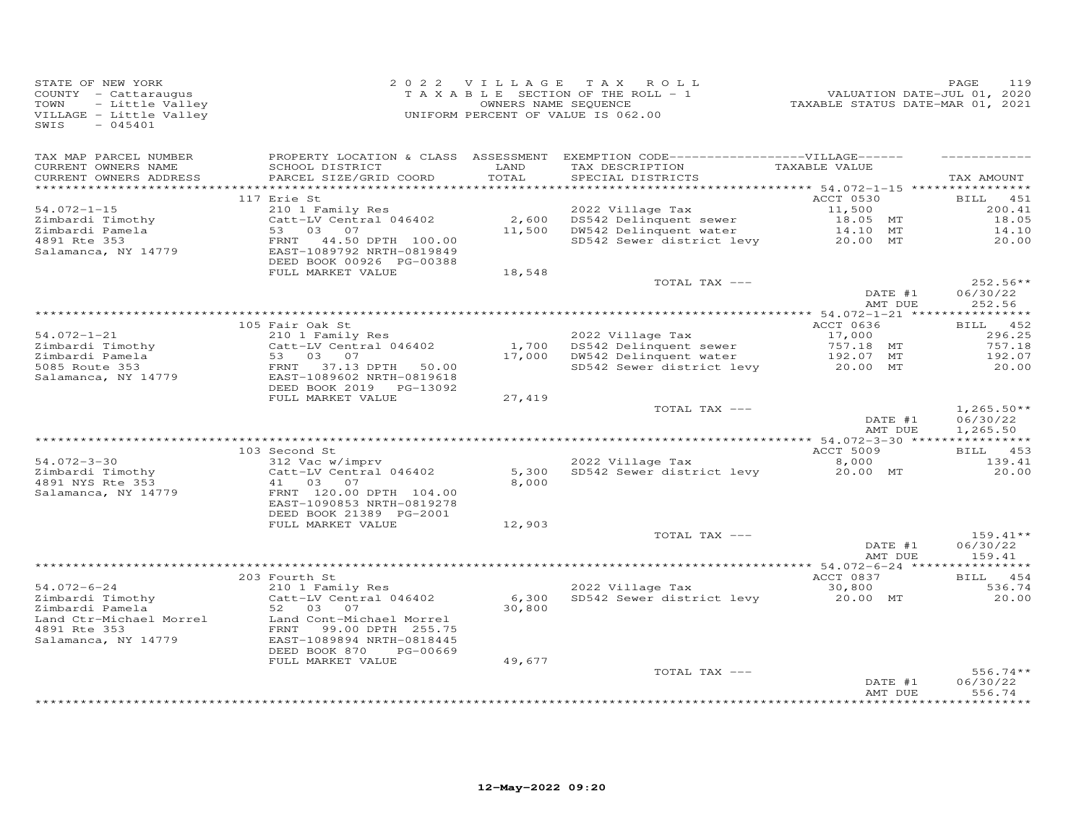| STATE OF NEW YORK<br>COUNTY - Cattaraugus<br>- Little Valley<br>TOWN<br>VILLAGE - Little Valley<br>SWIS<br>$-045401$ |                                                                                                                                                                                                                                                                                    | OWNERS NAME SEQUENCE | 2022 VILLAGE TAX ROLL<br>TAXABLE SECTION OF THE ROLL - 1<br>UNIFORM PERCENT OF VALUE IS 062.00                                                 | 213 PALUATION DATE-JUL 01, 2020<br>TAXABLE STATUS DATE-MAR 01, 2021 | PAGE<br>119                          |
|----------------------------------------------------------------------------------------------------------------------|------------------------------------------------------------------------------------------------------------------------------------------------------------------------------------------------------------------------------------------------------------------------------------|----------------------|------------------------------------------------------------------------------------------------------------------------------------------------|---------------------------------------------------------------------|--------------------------------------|
| TAX MAP PARCEL NUMBER<br>CURRENT OWNERS NAME<br>CURRENT OWNERS ADDRESS                                               | SCHOOL DISTRICT<br>PARCEL SIZE/GRID COORD                                                                                                                                                                                                                                          | LAND<br>TOTAL        | PROPERTY LOCATION & CLASS ASSESSMENT EXEMPTION CODE-----------------VILLAGE------<br>TAX DESCRIPTION<br>SPECILL RIGHALGES<br>SPECIAL DISTRICTS | TAXABLE VALUE                                                       | TAX AMOUNT                           |
|                                                                                                                      |                                                                                                                                                                                                                                                                                    |                      |                                                                                                                                                |                                                                     |                                      |
| $54.072 - 1 - 15$<br>Zimbardi Timothy                                                                                | 117 Erie St                                                                                                                                                                                                                                                                        |                      | 2010 1 Family Res<br>Catt-LV Central 046402 2,600 DS542 Delinquent sewer 18.05 MT<br>53 03 07 11,500 DW542 Delinquent water 14.10 MT           | ACCT 0530                                                           | <b>BILL</b> 451<br>200.41<br>18.05   |
| zimbardi Pamela<br>4891 Rte 353<br>Salamanca, NY 14779                                                               | FRNT 44.50 DPTH 100.00<br>EAST-1089792 NRTH-0819849<br>DEED BOOK 00926 PG-00388                                                                                                                                                                                                    |                      | SD542 Sewer district levy                                                                                                                      | 20.00 MT                                                            | 14.10<br>20,00                       |
|                                                                                                                      | FULL MARKET VALUE                                                                                                                                                                                                                                                                  | 18,548               |                                                                                                                                                |                                                                     |                                      |
|                                                                                                                      |                                                                                                                                                                                                                                                                                    |                      | TOTAL TAX ---                                                                                                                                  | DATE #1                                                             | $252.56**$<br>06/30/22               |
|                                                                                                                      |                                                                                                                                                                                                                                                                                    |                      |                                                                                                                                                | AMT DUE                                                             | 252.56                               |
|                                                                                                                      | 105 Fair Oak St                                                                                                                                                                                                                                                                    |                      |                                                                                                                                                | ACCT 0636                                                           | BILL 452                             |
| $54.072 - 1 - 21$                                                                                                    | 210 1 Family Res                                                                                                                                                                                                                                                                   |                      | 2022 Village Tax<br>1,700 DS542 Delinquent sewer 17,000<br>17,000 DW542 Delinquent water 192.07 MT<br>SD542 Sewer district levy 20.00 MT       |                                                                     | 296.25                               |
|                                                                                                                      |                                                                                                                                                                                                                                                                                    |                      |                                                                                                                                                |                                                                     | 757.18                               |
|                                                                                                                      |                                                                                                                                                                                                                                                                                    |                      |                                                                                                                                                |                                                                     | 192.07<br>20.00                      |
|                                                                                                                      | 34.024.1 Can Catt-LV Central 046402<br>21.mbardi Pamela<br>53 03 07<br>5085 Route 353<br>Salamanca, NY 14779<br>81.13 DPTH 50.00<br>81.13 DPTH 50.00<br>81.13 DPTH 50.00<br>81.13 DPTH 50.00<br>81.13 DPTH 50.00<br>81.13 DPTH 50.00<br>81.13 DPTH 5<br>DEED BOOK 2019    PG-13092 |                      |                                                                                                                                                |                                                                     |                                      |
|                                                                                                                      | FULL MARKET VALUE                                                                                                                                                                                                                                                                  | 27,419               |                                                                                                                                                |                                                                     |                                      |
|                                                                                                                      |                                                                                                                                                                                                                                                                                    |                      | TOTAL TAX ---                                                                                                                                  | DATE #1<br>AMT DUE                                                  | $1,265.50**$<br>06/30/22<br>1,265.50 |
|                                                                                                                      |                                                                                                                                                                                                                                                                                    |                      |                                                                                                                                                |                                                                     |                                      |
|                                                                                                                      | 103 Second St                                                                                                                                                                                                                                                                      |                      |                                                                                                                                                | ACCT 5009                                                           | BILL 453                             |
| 54.072-3-30                                                                                                          | 312 Vac w/imprv                                                                                                                                                                                                                                                                    |                      | 2022 Village Tax                                                                                                                               | 8,000                                                               | 139.41                               |
| Zimbardi Timothy<br>4891 NYS Rte 353<br>Salamanca, NY 14779                                                          | Catt-LV Central 046402<br>41 03 07<br>FRNT 120.00 DPTH 104.00<br>EAST-1090853 NRTH-0819278                                                                                                                                                                                         | 5,300<br>8,000       | SD542 Sewer district levy 20.00 MT                                                                                                             |                                                                     | 20.00                                |
|                                                                                                                      | DEED BOOK 21389 PG-2001<br>FULL MARKET VALUE                                                                                                                                                                                                                                       | 12,903               |                                                                                                                                                |                                                                     |                                      |
|                                                                                                                      |                                                                                                                                                                                                                                                                                    |                      | TOTAL TAX ---                                                                                                                                  |                                                                     | $159.41**$                           |
|                                                                                                                      |                                                                                                                                                                                                                                                                                    |                      |                                                                                                                                                | DATE #1<br>AMT DUE                                                  | 06/30/22<br>159.41                   |
|                                                                                                                      | 203 Fourth St                                                                                                                                                                                                                                                                      |                      |                                                                                                                                                | ACCT 0837                                                           | BILL 454                             |
| 54.072-6-24                                                                                                          | $210$ 1 Family Res                                                                                                                                                                                                                                                                 |                      | 2022 Village Tax                                                                                                                               | 30,800                                                              | 536.74                               |
| Zimbardi Timothy<br>Zimbardi Pamela                                                                                  | Catt-LV Central 046402<br>52 03 07                                                                                                                                                                                                                                                 | 6,300<br>30,800      | SD542 Sewer district levy                                                                                                                      | 20.00 MT                                                            | 20.00                                |
| Land Ctr-Michael Morrel<br>4891 Rte 353<br>Salamanca, NY 14779                                                       | Land Cont-Michael Morrel<br>FRNT 99.00 DPTH 255.75<br>EAST-1089894 NRTH-0818445<br>DEED BOOK 870 PG-00669                                                                                                                                                                          |                      |                                                                                                                                                |                                                                     |                                      |
|                                                                                                                      | FULL MARKET VALUE                                                                                                                                                                                                                                                                  | 49,677               |                                                                                                                                                |                                                                     |                                      |
|                                                                                                                      |                                                                                                                                                                                                                                                                                    |                      | TOTAL TAX ---                                                                                                                                  | DATE #1<br>AMT DUE                                                  | $556.74**$<br>06/30/22<br>556.74     |
|                                                                                                                      |                                                                                                                                                                                                                                                                                    |                      |                                                                                                                                                |                                                                     | * * * * * * * * * * *                |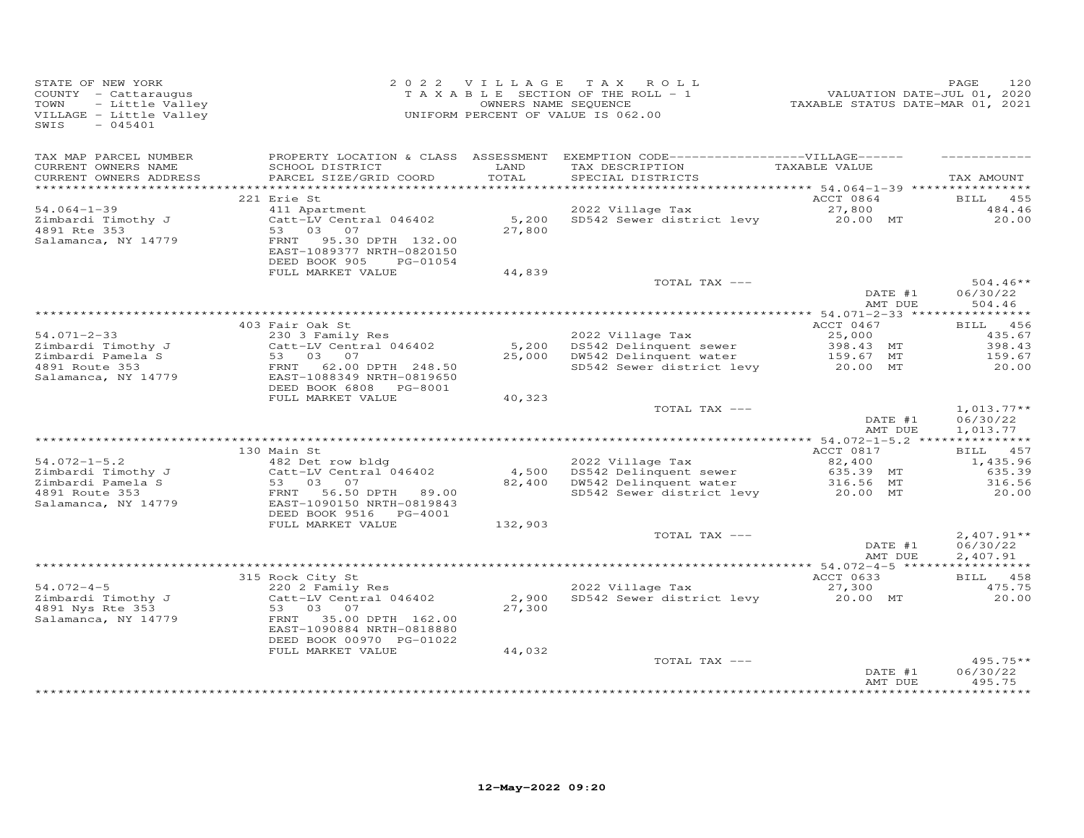| STATE OF NEW YORK<br>COUNTY - Cattaraugus<br>TOWN<br>VILLAGE - Little Valley<br>SWIS<br>$-045401$                                                                                               | OF NEW YORK<br>C - Cattaraugus<br>- Little Valley<br>- Little Valley<br>- Little Valley<br>- Little Valley<br>- CASA01<br>- CASA01<br>- CASA01<br>- CASA01 |               | 2022 VILLAGE TAX ROLL<br>TAXABLE SECTION OF THE ROLL - 1                                                                                    | PAGE 120<br>2020, VALUATION DATE-JUL<br>2021, TAXABLE STATUS DATE-MAR | PAGE<br>120                                               |
|-------------------------------------------------------------------------------------------------------------------------------------------------------------------------------------------------|------------------------------------------------------------------------------------------------------------------------------------------------------------|---------------|---------------------------------------------------------------------------------------------------------------------------------------------|-----------------------------------------------------------------------|-----------------------------------------------------------|
| TAX MAP PARCEL NUMBER<br>CURRENT OWNERS NAME<br>CURRENT OWNERS ADDRESS                                                                                                                          | SCHOOL DISTRICT<br>PARCEL SIZE/GRID COORD                                                                                                                  | LAND<br>TOTAL | PROPERTY LOCATION & CLASS ASSESSMENT EXEMPTION CODE------------------VILLAGE------<br>TAX DESCRIPTION TAXABLE VALUE<br>SPECIAL DISTRICTS    |                                                                       | TAX AMOUNT                                                |
|                                                                                                                                                                                                 |                                                                                                                                                            |               |                                                                                                                                             | ACCT 0864                                                             |                                                           |
| $54.064 - 1 - 39$                                                                                                                                                                               | 221 Erie St                                                                                                                                                |               |                                                                                                                                             |                                                                       | <b>BILL</b> 455<br>484.46                                 |
| Zimbardi Timothy J<br>4891 Rte 353<br>Salamanca, NY 14779                                                                                                                                       | FRNT 95.30 DPTH 132.00<br>EAST-1089377 NRTH-0820150                                                                                                        |               | - 11 Apartment 2022 Village Tax ACCT 0864<br>Catt-LV Central 046402 5,200 SD542 Sewer district levy 20.00 MT<br>53 03 07 27,800 27,800      |                                                                       | 20.00                                                     |
|                                                                                                                                                                                                 | DEED BOOK 905<br>PG-01054<br>FULL MARKET VALUE                                                                                                             | 44,839        |                                                                                                                                             |                                                                       |                                                           |
|                                                                                                                                                                                                 |                                                                                                                                                            |               | TOTAL TAX ---                                                                                                                               |                                                                       | $504.46**$                                                |
|                                                                                                                                                                                                 |                                                                                                                                                            |               |                                                                                                                                             | DATE #1<br>AMT DUE                                                    | 06/30/22<br>504.46                                        |
|                                                                                                                                                                                                 | 403 Fair Oak St                                                                                                                                            |               |                                                                                                                                             | ACCT 0467                                                             | BILL 456                                                  |
| $54.071 - 2 - 33$                                                                                                                                                                               | 230 3 Family Res                                                                                                                                           |               |                                                                                                                                             |                                                                       | 435.67<br>398.43                                          |
| Zimbardi Timothy J<br>Zimbardi Timothy J<br>4891 Route 353<br>Salamanca, NY 14779                                                                                                               | Catt-LV Central 046402<br>53 03 07<br>FRNT 62.00 DPTH 248.50<br>EAST-1088349 NRTH-0819650<br>DEED BOOK 6808 PG-8001                                        |               | 2022 Village Tax<br>5,200 DS542 Delinquent sewer 398.43 MT<br>25,000 DW542 Delinquent water 159.67 MT<br>SD542 Sewer district levy 20.00 MT |                                                                       | 159.67<br>20.00                                           |
|                                                                                                                                                                                                 | FULL MARKET VALUE                                                                                                                                          | 40,323        |                                                                                                                                             |                                                                       |                                                           |
|                                                                                                                                                                                                 |                                                                                                                                                            |               | TOTAL TAX ---                                                                                                                               | DATE #1<br>AMT DUE                                                    | $1,013.77**$<br>06/30/22<br>1,013.77                      |
|                                                                                                                                                                                                 | 130 Main St                                                                                                                                                |               |                                                                                                                                             | ACCT 0817                                                             | BILL 457                                                  |
| $54.072 - 1 - 5.2$                                                                                                                                                                              | o main st<br>482 Det row bldg                                                                                                                              |               |                                                                                                                                             |                                                                       | 1,435.96                                                  |
|                                                                                                                                                                                                 | Catt-LV Central 046402                                                                                                                                     |               |                                                                                                                                             |                                                                       | 635.39                                                    |
| 31 notati 1 imothy J<br>21 notati 1 imothy J<br>21 notati 2 notati 2 53 03 07<br>4891 Route 353 FRNT 56.50 DPTH 89.00<br>53 03 07<br>EAST -1090150 NETH POOTS NEWS<br>RESERT POOTS NEWS PG-4001 |                                                                                                                                                            |               | 2022 Village Tax<br>4,500 DS542 Delinquent sewer 635.39 MT<br>82,400 DW542 Delinquent water 316.56 MT<br>5D542 Sewer district levy 20.00 MT |                                                                       | 316.56<br>20.00                                           |
|                                                                                                                                                                                                 | DEED BOOK 9516 PG-4001                                                                                                                                     |               |                                                                                                                                             |                                                                       |                                                           |
|                                                                                                                                                                                                 | FULL MARKET VALUE                                                                                                                                          | 132,903       |                                                                                                                                             |                                                                       |                                                           |
|                                                                                                                                                                                                 |                                                                                                                                                            |               | TOTAL TAX ---                                                                                                                               | DATE #1<br>AMT DUE                                                    | $2,407.91**$<br>06/30/22<br>2,407.91                      |
|                                                                                                                                                                                                 |                                                                                                                                                            |               |                                                                                                                                             |                                                                       |                                                           |
| $54.072 - 4 - 5$                                                                                                                                                                                | 315 Rock City St<br>315 Rock City St<br>220 2 Family Res<br>Catt-LV Central 046402                                                                         |               | 2022 Village Tax<br>2022 Village Tax 27,300<br>2,900 SD542 Sewer district levy 20.00 MT<br>27.300                                           | ACCT 0633                                                             | BILL 458<br>475.75                                        |
|                                                                                                                                                                                                 | EAST-1090884 NRTH-0818880<br>DEED BOOK 00970 PG-01022                                                                                                      | 27,300        |                                                                                                                                             |                                                                       | 20.00                                                     |
|                                                                                                                                                                                                 | FULL MARKET VALUE                                                                                                                                          | 44,032        |                                                                                                                                             |                                                                       |                                                           |
|                                                                                                                                                                                                 |                                                                                                                                                            |               | TOTAL TAX ---                                                                                                                               | DATE #1<br>AMT DUE                                                    | $495.75**$<br>06/30/22<br>495.75<br>* * * * * * * * * * * |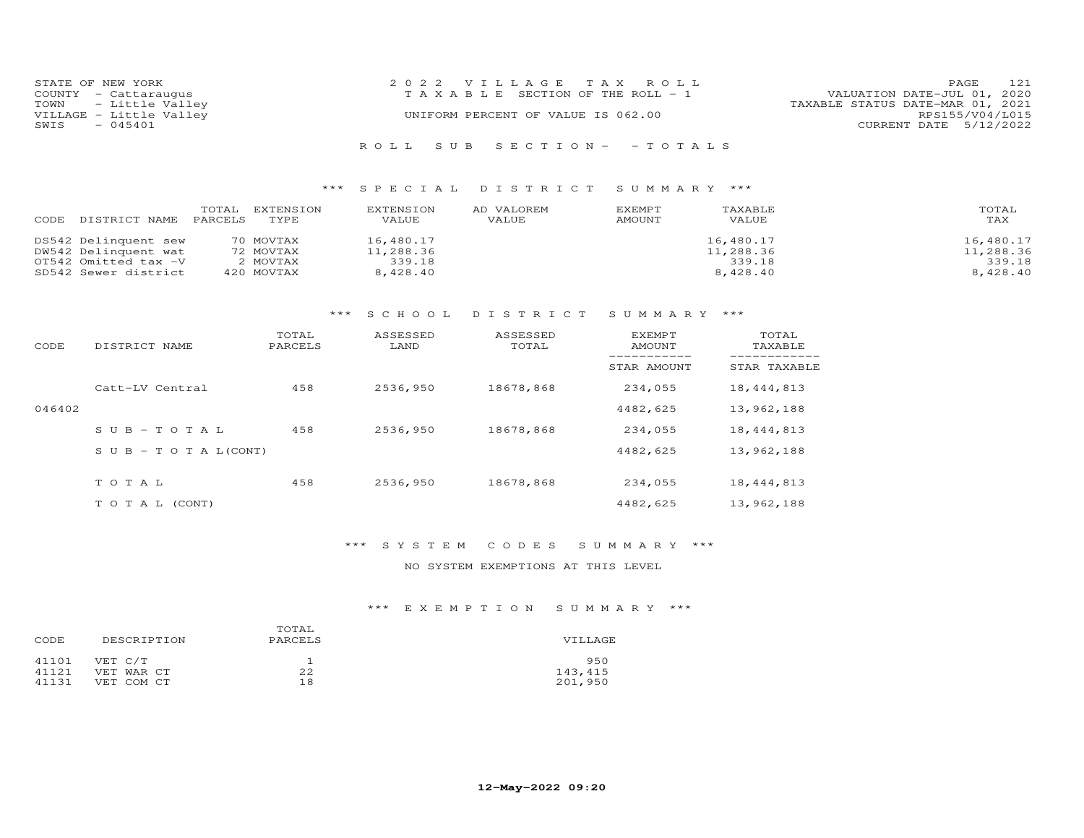| STATE OF NEW YORK       | 2022 VILLAGE TAX ROLL                 | 121<br><b>PAGE</b>               |
|-------------------------|---------------------------------------|----------------------------------|
| COUNTY - Cattaraugus    | T A X A B L E SECTION OF THE ROLL - 1 | VALUATION DATE-JUL 01, 2020      |
| TOWN - Little Valley    |                                       | TAXABLE STATUS DATE-MAR 01, 2021 |
| VILLAGE - Little Valley | UNIFORM PERCENT OF VALUE IS 062.00    | RPS155/V04/L015                  |
| $-045401$<br>SWIS       |                                       | CURRENT DATE 5/12/2022           |
|                         |                                       |                                  |
|                         | ROLL SUB SECTION- - TOTALS            |                                  |

| CODE DISTRICT NAME PARCELS | TOTAI. | EXTENSION<br>TYPE. | EXTENSION<br>VALUE | AD VALOREM<br>VALUE | EXEMPT<br>AMOUNT | TAXABLE<br>VALUE | TOTAL<br>TAX |
|----------------------------|--------|--------------------|--------------------|---------------------|------------------|------------------|--------------|
| DS542 Delinquent sew       |        | 70 MOVTAX          | 16,480.17          |                     |                  | 16,480.17        | 16,480.17    |
| DW542 Delinquent wat       |        | 72 MOVTAX          | 11,288.36          |                     |                  | 11,288.36        | 11,288.36    |
| OT542 Omitted tax -V       |        | 2 MOVTAX           | 339.18             |                     |                  | 339.18           | 339.18       |
| SD542 Sewer district       |        | 420 MOVTAX         | 8,428.40           |                     |                  | 8,428,40         | 8,428,40     |

## \*\*\* S C H O O L D I S T R I C T S U M M A R Y \*\*\*

| CODE   | DISTRICT NAME                    | TOTAL<br>PARCELS | ASSESSED<br>LAND | ASSESSED<br>TOTAL | EXEMPT<br>AMOUNT | TOTAL<br>TAXABLE |
|--------|----------------------------------|------------------|------------------|-------------------|------------------|------------------|
|        |                                  |                  |                  |                   | STAR AMOUNT      | STAR TAXABLE     |
|        | Catt-LV Central                  | 458              | 2536,950         | 18678,868         | 234,055          | 18, 444, 813     |
| 046402 |                                  |                  |                  |                   | 4482,625         | 13,962,188       |
|        | $SUB - TO TAL$                   | 458              | 2536,950         | 18678,868         | 234,055          | 18, 444, 813     |
|        | $S \cup B - T \cup T A L (CONT)$ |                  |                  |                   | 4482,625         | 13,962,188       |
|        | TOTAL                            | 458              | 2536,950         | 18678,868         | 234,055          | 18, 444, 813     |
|        | T O T A L (CONT)                 |                  |                  |                   | 4482,625         | 13,962,188       |

### \*\*\* S Y S T E M C O D E S S U M M A R Y \*\*\*

NO SYSTEM EXEMPTIONS AT THIS LEVEL

| CODE  | DESCRIPTION | TOTAL<br>PARCELS | VILLAGE |
|-------|-------------|------------------|---------|
| 41101 | VET C/T     |                  | 950     |
| 41121 | VET WAR CT  | 22               | 143,415 |
| 41131 | VET COM CT  | 18               | 201,950 |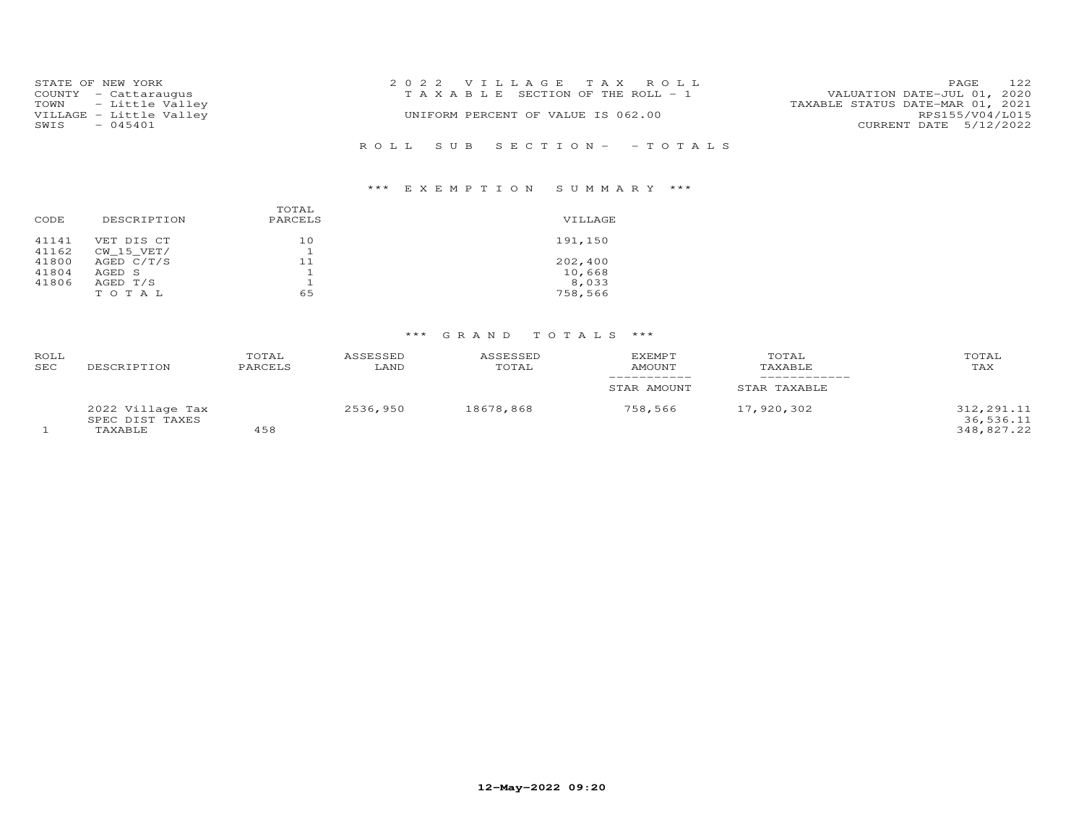| STATE OF NEW YORK       | 2022 VILLAGE TAX ROLL                 | 122<br>PAGE                      |
|-------------------------|---------------------------------------|----------------------------------|
| COUNTY - Cattaraugus    | T A X A B L E SECTION OF THE ROLL - 1 | VALUATION DATE-JUL 01, 2020      |
| TOWN - Little Valley    |                                       | TAXABLE STATUS DATE-MAR 01, 2021 |
| VILLAGE - Little Valley | UNIFORM PERCENT OF VALUE IS 062.00    | RPS155/V04/L015                  |
| $-045401$<br>SWIS       |                                       | CURRENT DATE 5/12/2022           |
|                         |                                       |                                  |
|                         | ROLL SUB SECTION- - TOTALS            |                                  |

## \*\*\* E X E M P T I O N S U M M A R Y \*\*\*

| CODE           | DESCRIPTION              | TOTAL<br>PARCELS | VILLAGE |
|----------------|--------------------------|------------------|---------|
| 41141<br>41162 | VET DIS CT<br>CW 15 VET/ | 10               | 191,150 |
| 41800          | AGED $C/T/S$             | 11               | 202,400 |
| 41804          | AGED S                   |                  | 10,668  |
| 41806          | AGED T/S                 |                  | 8,033   |
|                | TOTAL                    | 65               | 758,566 |

| <b>ROLL</b><br>SEC | DESCRIPTION                                    | TOTAL<br>PARCELS | ASSESSED<br>LAND | ASSESSED<br>TOTAL | <b>EXEMPT</b><br>AMOUNT | TOTAL<br>TAXABLE | TOTAL<br>TAX                          |
|--------------------|------------------------------------------------|------------------|------------------|-------------------|-------------------------|------------------|---------------------------------------|
|                    |                                                |                  |                  |                   | STAR AMOUNT             | STAR TAXABLE     |                                       |
|                    | 2022 Village Tax<br>SPEC DIST TAXES<br>TAXABLE | 458              | 2536,950         | 18678,868         | 758,566                 | 17,920,302       | 312,291.11<br>36,536.11<br>348,827.22 |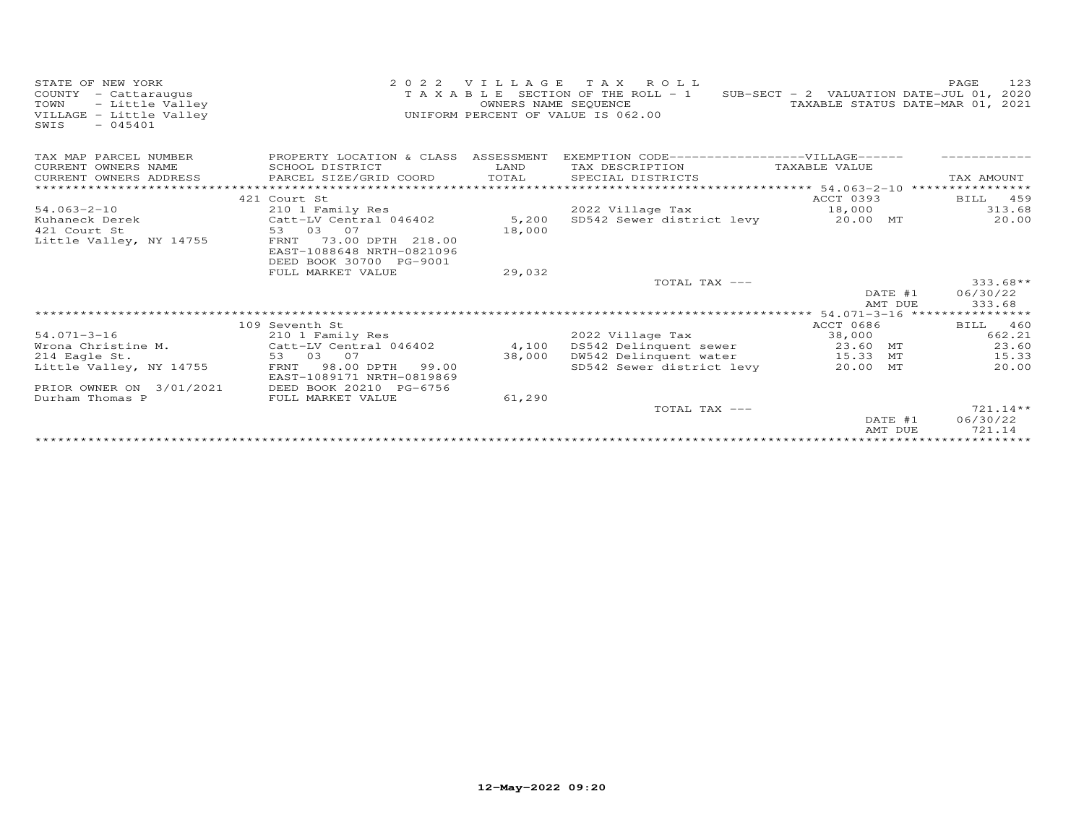| STATE OF NEW YORK<br>COUNTY - Cattaraugus<br>- Little Valley<br>TOWN<br>VILLAGE - Little Valley<br>$-045401$<br>SWIS | 2 0 2 2                                                 | VILLAGE<br>OWNERS NAME SEQUENCE | TAX ROLL<br>T A X A B L E SECTION OF THE ROLL - 1<br>UNIFORM PERCENT OF VALUE IS 062.00 | SUB-SECT - 2 VALUATION DATE-JUL 01, 2020<br>TAXABLE STATUS DATE-MAR 01, 2021 | 123<br>PAGE            |
|----------------------------------------------------------------------------------------------------------------------|---------------------------------------------------------|---------------------------------|-----------------------------------------------------------------------------------------|------------------------------------------------------------------------------|------------------------|
| TAX MAP PARCEL NUMBER<br>CURRENT OWNERS NAME                                                                         | PROPERTY LOCATION & CLASS ASSESSMENT<br>SCHOOL DISTRICT |                                 | EXEMPTION CODE------------------VILLAGE------                                           |                                                                              |                        |
| CURRENT OWNERS ADDRESS                                                                                               | PARCEL SIZE/GRID COORD                                  | LAND<br>TOTAL                   | TAX DESCRIPTION<br>SPECIAL DISTRICTS                                                    | TAXABLE VALUE                                                                | TAX AMOUNT             |
|                                                                                                                      |                                                         |                                 |                                                                                         | ********** 54.063-2-10 *****************                                     |                        |
|                                                                                                                      | 421 Court St                                            |                                 |                                                                                         | ACCT 0393                                                                    | 459<br>BILL            |
| $54.063 - 2 - 10$                                                                                                    | 210 1 Family Res                                        |                                 | 2022 Village Tax                                                                        | 18,000                                                                       | 313.68                 |
| Kuhaneck Derek                                                                                                       | Catt-LV Central 046402                                  | 5,200                           | SD542 Sewer district levy                                                               | 20.00 MT                                                                     | 20.00                  |
| 421 Court St                                                                                                         | 53 03 07                                                | 18,000                          |                                                                                         |                                                                              |                        |
| Little Valley, NY 14755                                                                                              | 73.00 DPTH 218.00<br>FRNT                               |                                 |                                                                                         |                                                                              |                        |
|                                                                                                                      | EAST-1088648 NRTH-0821096                               |                                 |                                                                                         |                                                                              |                        |
|                                                                                                                      | DEED BOOK 30700 PG-9001                                 |                                 |                                                                                         |                                                                              |                        |
|                                                                                                                      | FULL MARKET VALUE                                       | 29,032                          | TOTAL TAX ---                                                                           |                                                                              | $333.68**$             |
|                                                                                                                      |                                                         |                                 |                                                                                         | DATE #1                                                                      | 06/30/22               |
|                                                                                                                      |                                                         |                                 |                                                                                         | AMT DUE                                                                      | 333.68                 |
|                                                                                                                      |                                                         |                                 |                                                                                         |                                                                              |                        |
|                                                                                                                      | 109 Seventh St                                          |                                 |                                                                                         | ACCT 0686                                                                    | BILL 460               |
| $54.071 - 3 - 16$                                                                                                    | 210 1 Family Res                                        |                                 | 2022 Village Tax                                                                        | 38,000                                                                       | 662.21                 |
| Wrona Christine M.                                                                                                   | Catt-LV Central 046402                                  | 4,100                           | DS542 Delinquent sewer                                                                  | 23.60 MT                                                                     | 23.60                  |
| 214 Eagle St.                                                                                                        | 53 03 07                                                | 38,000                          | DW542 Delinquent water                                                                  | 15.33 MT                                                                     | 15.33                  |
| Little Valley, NY 14755                                                                                              | 98.00 DPTH 99.00<br>FRNT                                |                                 | SD542 Sewer district levy                                                               | 20.00 MT                                                                     | 20.00                  |
|                                                                                                                      | EAST-1089171 NRTH-0819869                               |                                 |                                                                                         |                                                                              |                        |
| PRIOR OWNER ON 3/01/2021                                                                                             | DEED BOOK 20210 PG-6756                                 |                                 |                                                                                         |                                                                              |                        |
| Durham Thomas P                                                                                                      | FULL MARKET VALUE                                       | 61,290                          |                                                                                         |                                                                              |                        |
|                                                                                                                      |                                                         |                                 | TOTAL TAX ---                                                                           | DATE #1                                                                      | $721.14**$<br>06/30/22 |
|                                                                                                                      |                                                         |                                 |                                                                                         | AMT DUE                                                                      | 721.14                 |
|                                                                                                                      |                                                         |                                 |                                                                                         |                                                                              | ************           |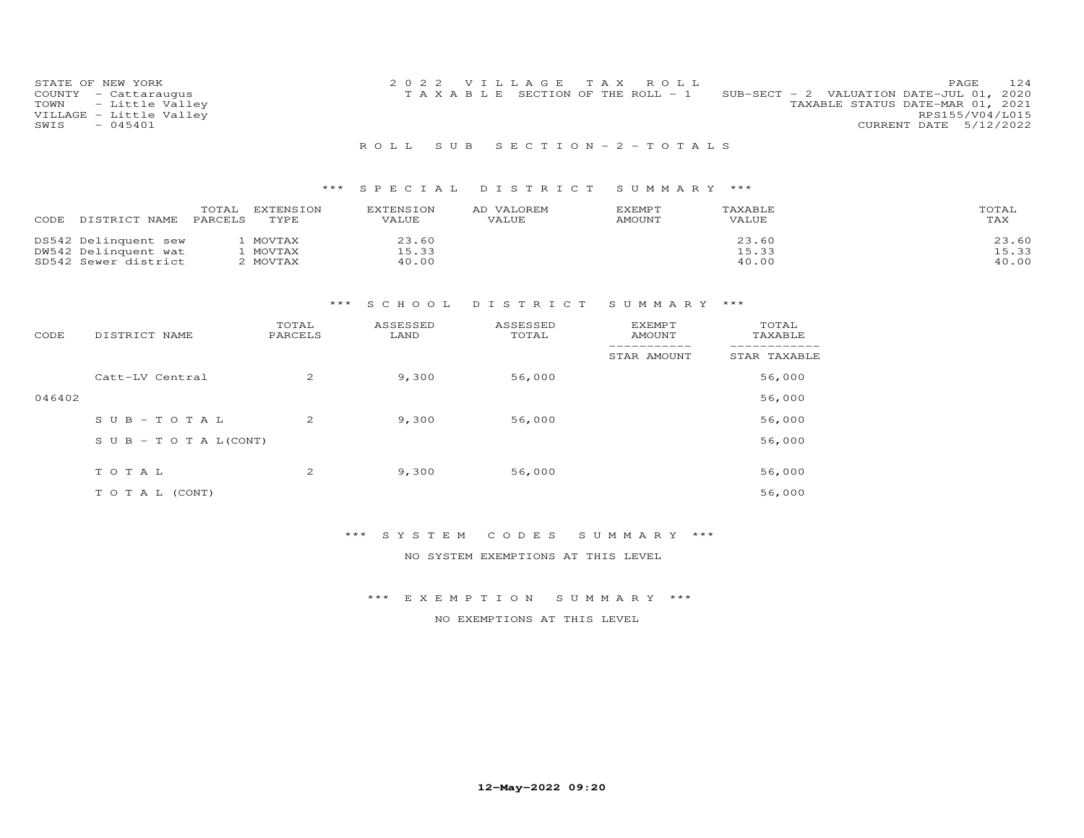| STATE OF NEW YORK       | 2022 VILLAGE TAX ROLL                                                             | 124<br>PAGE.    |
|-------------------------|-----------------------------------------------------------------------------------|-----------------|
| COUNTY - Cattaraugus    | SUB-SECT - 2 VALUATION DATE-JUL 01, 2020<br>T A X A B L E SECTION OF THE ROLL - 1 |                 |
| TOWN - Little Valley    | TAXABLE STATUS DATE-MAR 01, 2021                                                  |                 |
| VILLAGE - Little Valley |                                                                                   | RPS155/V04/L015 |
| $-045401$<br>SWIS       | CURRENT DATE 5/12/2022                                                            |                 |
|                         |                                                                                   |                 |

#### R O L L S U B S E C T I O N - 2 - T O T A L S

### \*\*\* S P E C I A L D I S T R I C T S U M M A R Y \*\*\*

| CODE<br>DISTRICT NAME | TOTAL<br><b>EXTENSION</b><br>PARCELS<br>TYPE | <b>EXTENSION</b><br>VALUE | VALOREM<br>AD<br>VALUE | EXEMPT<br>AMOUNT | TAXABLE<br>VALUE | TOTAL<br>TAX |
|-----------------------|----------------------------------------------|---------------------------|------------------------|------------------|------------------|--------------|
| DS542 Delinquent sew  | MOVTAX                                       | 23.60                     |                        |                  | 23.60            | 23.60        |
| DW542 Delinquent wat  | MOVTAX                                       | 15.33                     |                        |                  | 15.33            | 15.33        |
| SD542 Sewer district  | MOVTAX                                       | 40.00                     |                        |                  | 40.00            | 40.00        |

### \*\*\* S C H O O L D I S T R I C T S U M M A R Y \*\*\*

| CODE   | DISTRICT NAME                    | TOTAL<br>PARCELS | ASSESSED<br>LAND | ASSESSED<br>TOTAL | <b>EXEMPT</b><br><b>AMOUNT</b> | TOTAL<br>TAXABLE |
|--------|----------------------------------|------------------|------------------|-------------------|--------------------------------|------------------|
|        |                                  |                  |                  |                   | STAR AMOUNT                    | STAR TAXABLE     |
|        | Catt-LV Central                  | 2                | 9,300            | 56,000            |                                | 56,000           |
| 046402 |                                  |                  |                  |                   |                                | 56,000           |
|        | $SUB - TO TAL$                   | 2                | 9,300            | 56,000            |                                | 56,000           |
|        | $S \cup B - T \cup T A L (CONT)$ |                  |                  |                   |                                | 56,000           |
|        | TOTAL                            | 2                | 9,300            | 56,000            |                                | 56,000           |
|        |                                  |                  |                  |                   |                                |                  |
|        | T O T A L (CONT)                 |                  |                  |                   |                                | 56,000           |

#### \*\*\* S Y S T E M C O D E S S U M M A R Y \*\*\*

#### NO SYSTEM EXEMPTIONS AT THIS LEVEL

#### \*\*\* E X E M P T I O N S U M M A R Y \*\*\*

#### NO EXEMPTIONS AT THIS LEVEL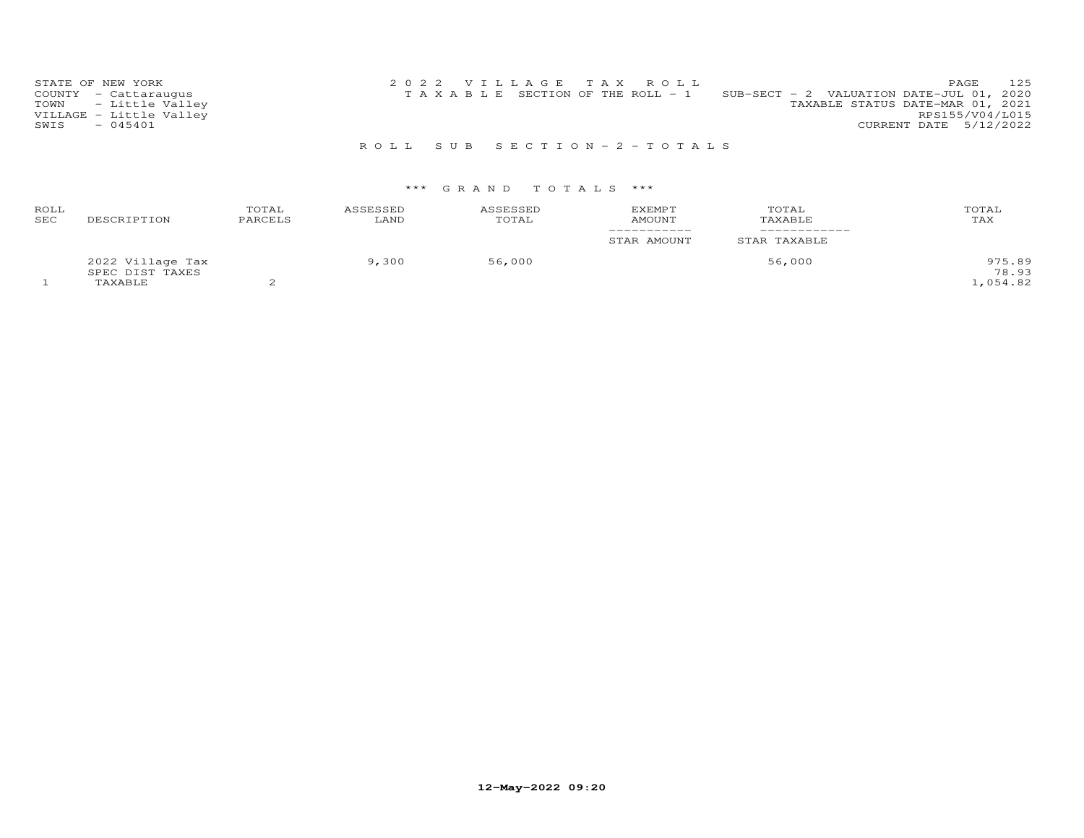| STATE OF NEW YORK       | 2022 VILLAGE TAX ROLL                                                             | 125<br><b>PAGE</b>     |
|-------------------------|-----------------------------------------------------------------------------------|------------------------|
| COUNTY - Cattaraugus    | SUB-SECT - 2 VALUATION DATE-JUL 01, 2020<br>T A X A B L E SECTION OF THE ROLL - 1 |                        |
| TOWN - Little Valley    | TAXABLE STATUS DATE-MAR 01, 2021                                                  |                        |
| VILLAGE - Little Valley |                                                                                   | RPS155/V04/L015        |
| $-045401$<br>SWIS       |                                                                                   | CURRENT DATE 5/12/2022 |
|                         |                                                                                   |                        |

R O L L S U B S E C T I O N - 2 - T O T A L S

| ROLL<br>SEC | DESCRIPTION                                    | TOTAL<br>PARCELS | ASSESSED<br>LAND | ASSESSED<br>TOTAL | <b>EXEMPT</b><br>AMOUNT<br>___________ | TOTAL<br>TAXABLE | TOTAL<br>TAX               |
|-------------|------------------------------------------------|------------------|------------------|-------------------|----------------------------------------|------------------|----------------------------|
|             |                                                |                  |                  |                   | STAR AMOUNT                            | STAR TAXABLE     |                            |
|             | 2022 Village Tax<br>SPEC DIST TAXES<br>TAXABLE |                  | 9,300            | 56,000            |                                        | 56,000           | 975.89<br>78.93<br>,054.82 |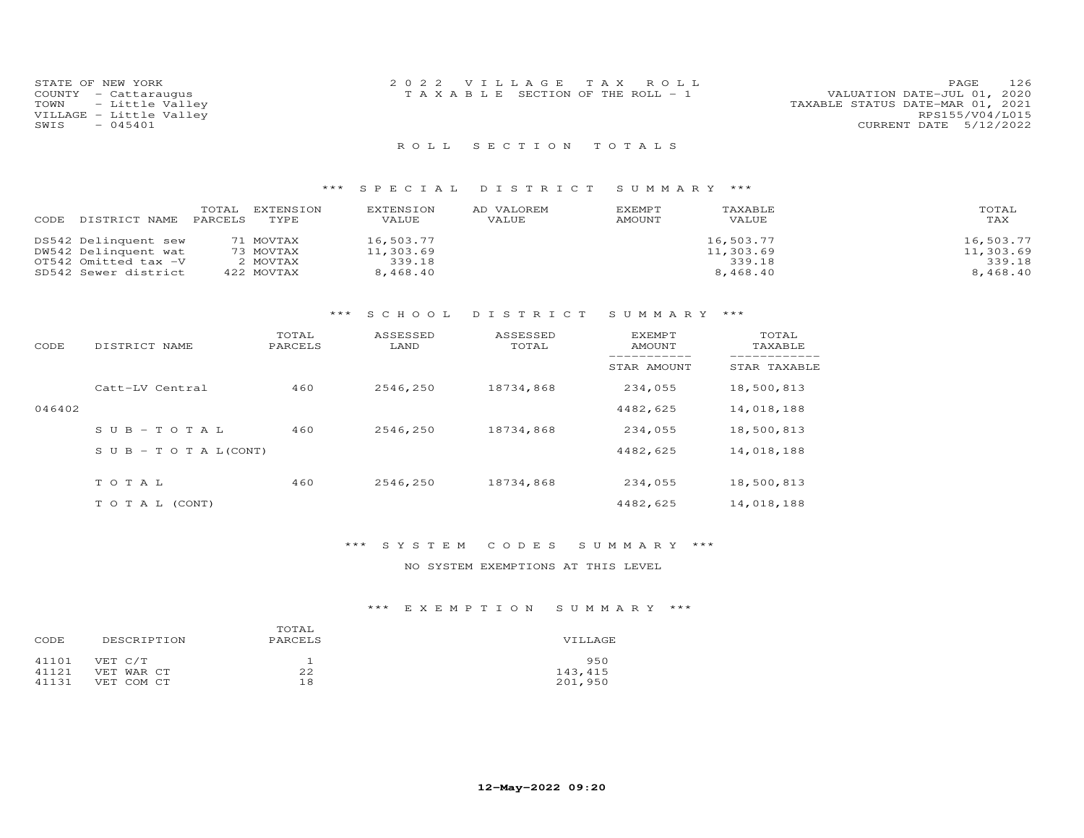| STATE OF NEW YORK<br>COUNTY - Cattarauqus<br>TOWN - Little Valley<br>VILLAGE - Little Valley<br>SWIS - 045401 | 2022 VILLAGE TAX ROLL<br>TAXABLE SECTION OF THE ROLL - 1 | PAGE 126<br>VALUATION DATE-JUL 01, 2020<br>TAXABLE STATUS DATE-MAR 01, 2021<br>RPS155/V04/L015<br>CURRENT DATE 5/12/2022 |
|---------------------------------------------------------------------------------------------------------------|----------------------------------------------------------|--------------------------------------------------------------------------------------------------------------------------|
|                                                                                                               | ROLL SECTION TOTALS                                      |                                                                                                                          |

| DISTRICT NAME<br>CODE | TOTAL<br>EXTENSION<br>TYPE.<br>PARCELS | EXTENSION<br>VALUE | AD VALOREM<br>VALUE | EXEMPT<br>AMOUNT | TAXABLE<br>VALUE | TOTAL<br>TAX |
|-----------------------|----------------------------------------|--------------------|---------------------|------------------|------------------|--------------|
| DS542 Delinquent sew  | 71 MOVTAX                              | 16,503.77          |                     |                  | 16,503.77        | 16,503.77    |
| DW542 Delinquent wat  | 73 MOVTAX                              | 11,303.69          |                     |                  | 11,303.69        | 11,303.69    |
| OT542 Omitted tax -V  | 2 MOVTAX                               | 339.18             |                     |                  | 339.18           | 339.18       |
| SD542 Sewer district  | 422 MOVTAX                             | 8,468.40           |                     |                  | 8,468.40         | 8,468,40     |

### \*\*\* S C H O O L D I S T R I C T S U M M A R Y \*\*\*

| CODE   | DISTRICT NAME                    | TOTAL<br>PARCELS | ASSESSED<br>LAND | ASSESSED<br>TOTAL | EXEMPT<br>AMOUNT | TOTAL<br>TAXABLE |
|--------|----------------------------------|------------------|------------------|-------------------|------------------|------------------|
|        |                                  |                  |                  |                   | STAR AMOUNT      | STAR TAXABLE     |
|        | Catt-LV Central                  | 460              | 2546,250         | 18734,868         | 234,055          | 18,500,813       |
| 046402 |                                  |                  |                  |                   | 4482,625         | 14,018,188       |
|        | $SUB - TO T AL$                  | 460              | 2546,250         | 18734,868         | 234,055          | 18,500,813       |
|        | $S \cup B - T \cup T A L (CONT)$ |                  |                  |                   | 4482,625         | 14,018,188       |
|        | TOTAL                            | 460              | 2546.250         | 18734,868         | 234,055          | 18,500,813       |
|        | T O T A L (CONT)                 |                  |                  |                   | 4482,625         | 14,018,188       |

### \*\*\* S Y S T E M C O D E S S U M M A R Y \*\*\*

NO SYSTEM EXEMPTIONS AT THIS LEVEL

| CODE  | DESCRIPTION | TOTAL<br>PARCELS | VILLAGE |
|-------|-------------|------------------|---------|
| 41101 | VET C/T     |                  | 950     |
| 41121 | VET WAR CT  | 22               | 143,415 |
| 41131 | VET COM CT  | 18               | 201,950 |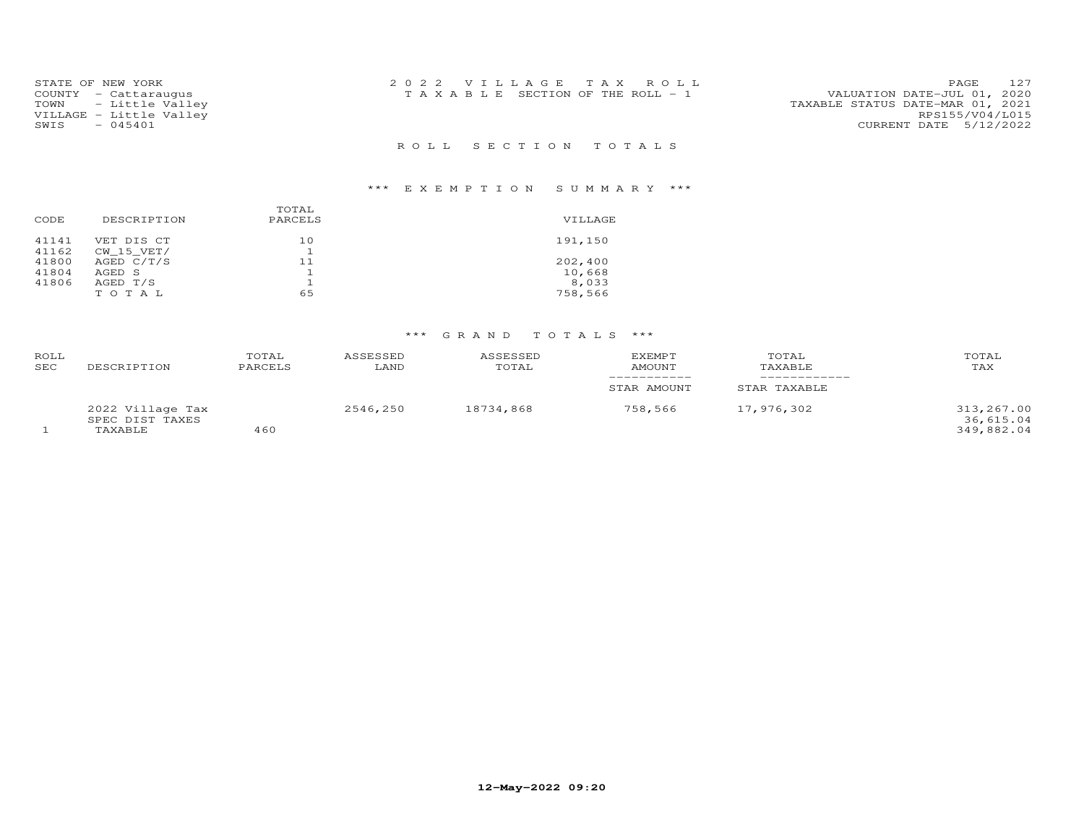| STATE OF NEW YORK<br>COUNTY - Cattaraugus<br>TOWN - Little Valley<br>VILLAGE - Little Valley<br>$-045401$<br>SWIS | 2022 VILLAGE TAX ROLL<br>T A X A B L E SECTION OF THE ROLL - 1 | 127<br>PAGE<br>VALUATION DATE-JUL 01, 2020<br>TAXABLE STATUS DATE-MAR 01, 2021<br>RPS155/V04/L015<br>CURRENT DATE 5/12/2022 |
|-------------------------------------------------------------------------------------------------------------------|----------------------------------------------------------------|-----------------------------------------------------------------------------------------------------------------------------|
|                                                                                                                   | ROLL SECTION TOTALS                                            |                                                                                                                             |

### \*\*\* E X E M P T I O N S U M M A R Y \*\*\*

| CODE  | DESCRIPTION    | TOTAL<br>PARCELS | VILLAGE |
|-------|----------------|------------------|---------|
| 41141 | VET DIS CT     | 10               | 191,150 |
| 41162 | $CW$ 15 $VET/$ |                  |         |
| 41800 | AGED C/T/S     | 11               | 202,400 |
| 41804 | AGED S         |                  | 10,668  |
| 41806 | AGED T/S       |                  | 8,033   |
|       | TOTAL          | 65               | 758,566 |
|       |                |                  |         |

| ROLL<br>SEC | DESCRIPTION                                    | TOTAL<br>PARCELS | ASSESSED<br>LAND | ASSESSED<br>TOTAL | <b>EXEMPT</b><br>AMOUNT | TOTAL<br>TAXABLE | TOTAL<br>TAX                          |
|-------------|------------------------------------------------|------------------|------------------|-------------------|-------------------------|------------------|---------------------------------------|
|             |                                                |                  |                  |                   | STAR AMOUNT             | STAR TAXABLE     |                                       |
|             | 2022 Village Tax<br>SPEC DIST TAXES<br>TAXABLE | 460              | 2546,250         | 18734,868         | 758,566                 | 17,976,302       | 313,267.00<br>36,615.04<br>349,882.04 |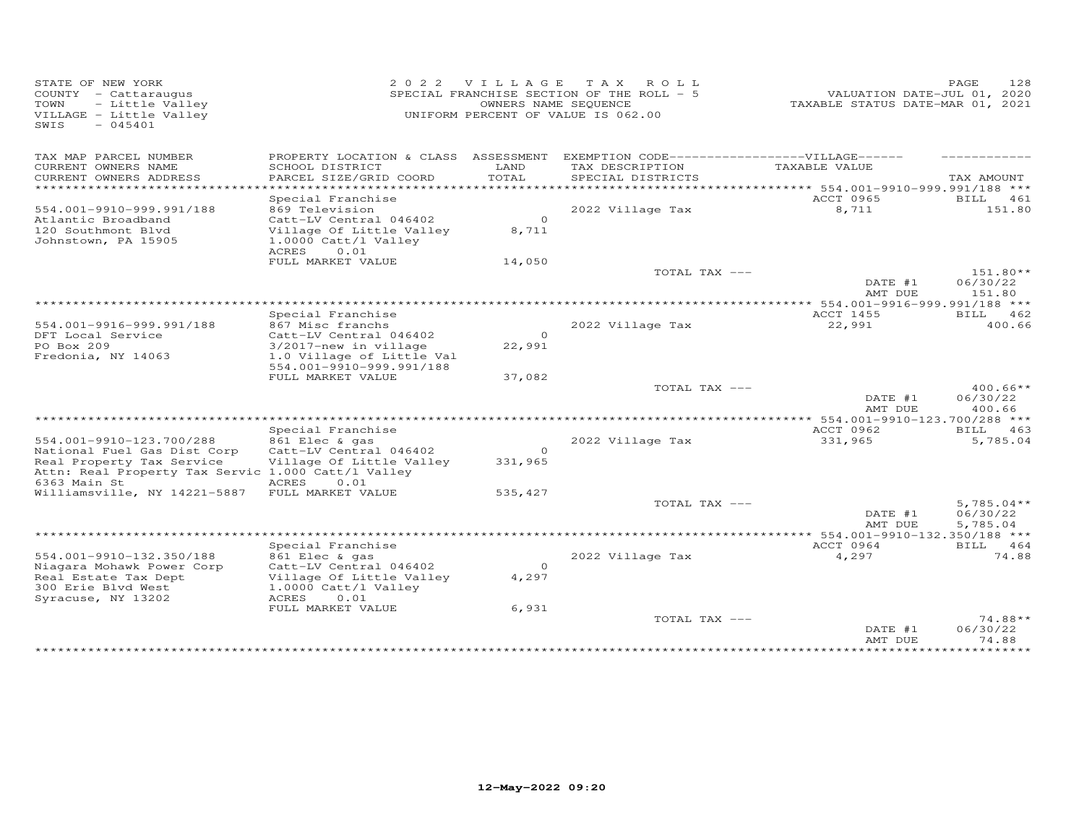| STATE OF NEW YORK<br>COUNTY - Cattaraugus<br>TOWN<br>- Little Valley<br>VILLAGE - Little Valley<br>$-045401$<br>SWIS | 2 0 2 2                                                                                                                        | <b>VILLAGE</b>     | T A X<br>ROLL<br>SPECIAL FRANCHISE SECTION OF THE ROLL - 5<br>OWNERS NAME SEQUENCE<br>UNIFORM PERCENT OF VALUE IS 062.00 | VALUATION DATE-JUL 01, 2020<br>TAXABLE STATUS DATE-MAR 01, 2021 | PAGE<br>128                          |
|----------------------------------------------------------------------------------------------------------------------|--------------------------------------------------------------------------------------------------------------------------------|--------------------|--------------------------------------------------------------------------------------------------------------------------|-----------------------------------------------------------------|--------------------------------------|
| TAX MAP PARCEL NUMBER<br>CURRENT OWNERS NAME<br>CURRENT OWNERS ADDRESS<br>******************                         | PROPERTY LOCATION & CLASS ASSESSMENT EXEMPTION CODE-----------------VILLAGE------<br>SCHOOL DISTRICT<br>PARCEL SIZE/GRID COORD | LAND<br>TOTAL      | TAX DESCRIPTION<br>SPECIAL DISTRICTS                                                                                     | TAXABLE VALUE                                                   | TAX AMOUNT                           |
|                                                                                                                      | Special Franchise                                                                                                              |                    |                                                                                                                          | *********** 554.001-9910-999.991/188 ***<br>ACCT 0965           | BILL<br>461                          |
| 554.001-9910-999.991/188<br>Atlantic Broadband<br>120 Southmont Blvd<br>Johnstown, PA 15905                          | 869 Television<br>Catt-LV Central 046402<br>Village Of Little Valley<br>1.0000 Catt/l Valley<br>0.01<br>ACRES                  | $\Omega$<br>8,711  | 2022 Village Tax                                                                                                         | 8,711                                                           | 151.80                               |
|                                                                                                                      | FULL MARKET VALUE                                                                                                              | 14,050             |                                                                                                                          |                                                                 |                                      |
|                                                                                                                      |                                                                                                                                |                    | TOTAL TAX ---                                                                                                            | DATE #1<br>AMT DUE                                              | $151.80**$<br>06/30/22<br>151.80     |
|                                                                                                                      |                                                                                                                                |                    | *************                                                                                                            | ** 554.001-9916-999.991/188 ***                                 |                                      |
| 554.001-9916-999.991/188<br>DFT Local Service<br>PO Box 209                                                          | Special Franchise<br>867 Misc franchs<br>Catt-LV Central 046402<br>3/2017-new in village                                       | $\circ$<br>22,991  | 2022 Village Tax                                                                                                         | ACCT 1455<br>22,991                                             | <b>BILL</b><br>462<br>400.66         |
| Fredonia, NY 14063                                                                                                   | 1.0 Village of Little Val<br>554.001-9910-999.991/188<br>FULL MARKET VALUE                                                     | 37,082             |                                                                                                                          |                                                                 |                                      |
|                                                                                                                      |                                                                                                                                |                    | TOTAL TAX ---                                                                                                            | DATE #1<br>AMT DUE                                              | $400.66**$<br>06/30/22<br>400.66     |
|                                                                                                                      |                                                                                                                                |                    | ****************************                                                                                             | *************** 554.001-9910-123.700/288 ***                    |                                      |
| 554.001-9910-123.700/288<br>National Fuel Gas Dist Corp<br>Real Property Tax Service                                 | Special Franchise<br>861 Elec & gas<br>Catt-LV Central 046402<br>Village Of Little Valley                                      | $\circ$<br>331,965 | 2022 Village Tax                                                                                                         | ACCT 0962<br>331,965                                            | BILL 463<br>5,785.04                 |
| Attn: Real Property Tax Servic 1.000 Catt/1 Valley                                                                   |                                                                                                                                |                    |                                                                                                                          |                                                                 |                                      |
| 6363 Main St<br>Williamsville, NY 14221-5887                                                                         | ACRES<br>0.01<br>FULL MARKET VALUE                                                                                             | 535,427            |                                                                                                                          |                                                                 |                                      |
|                                                                                                                      |                                                                                                                                |                    | TOTAL TAX ---                                                                                                            | DATE #1<br>AMT DUE                                              | $5,785.04**$<br>06/30/22<br>5,785.04 |
| *****************************                                                                                        |                                                                                                                                |                    |                                                                                                                          |                                                                 |                                      |
| 554.001-9910-132.350/188<br>Niagara Mohawk Power Corp<br>Real Estate Tax Dept                                        | Special Franchise<br>861 Elec & gas<br>Catt-LV Central 046402<br>Village Of Little Valley                                      | $\Omega$<br>4,297  | 2022 Village Tax                                                                                                         | ACCT 0964<br>4,297                                              | BILL 464<br>74.88                    |
| 300 Erie Blvd West<br>Syracuse, NY 13202                                                                             | 1.0000 Catt/l Valley<br>0.01<br>ACRES                                                                                          |                    |                                                                                                                          |                                                                 |                                      |
|                                                                                                                      | FULL MARKET VALUE                                                                                                              | 6,931              | TOTAL TAX ---                                                                                                            | DATE #1<br>AMT DUE                                              | $74.88**$<br>06/30/22<br>74.88       |
|                                                                                                                      |                                                                                                                                |                    |                                                                                                                          |                                                                 |                                      |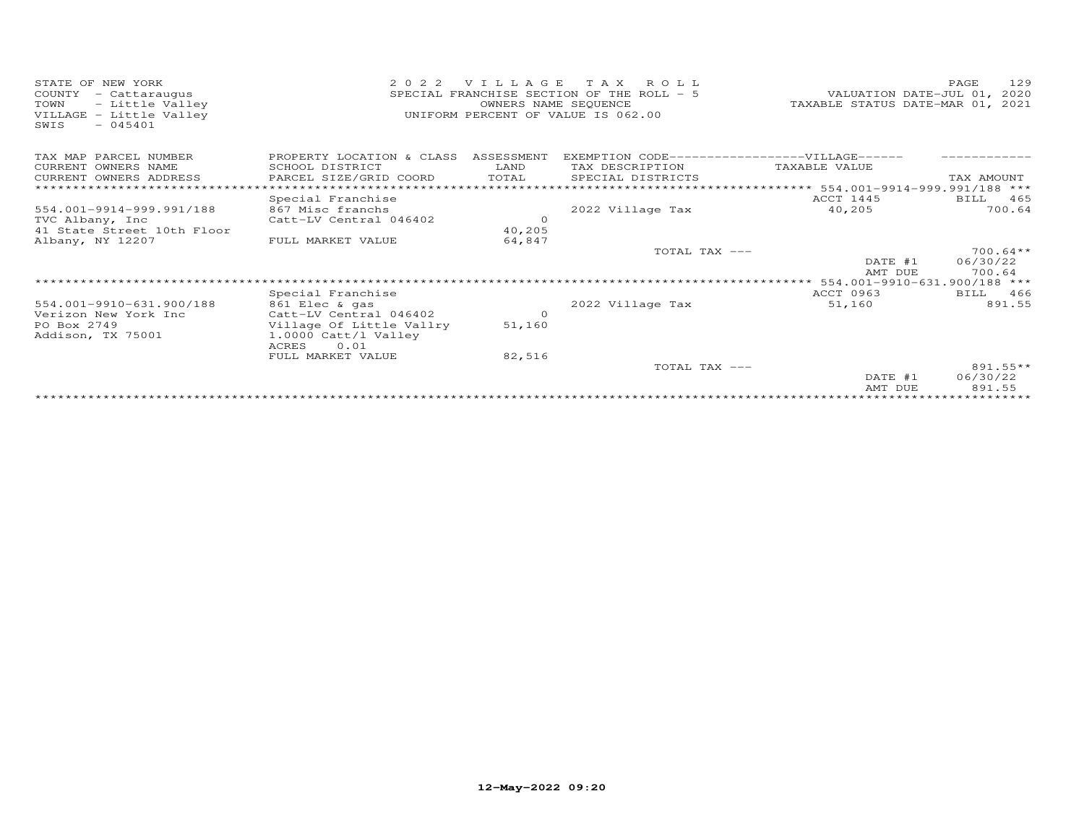| STATE OF NEW YORK<br>- Cattaraugus<br>COUNTY<br>TOWN<br>- Little Valley<br>VILLAGE - Little Valley<br>$-045401$<br>SWIS | 2 0 2 2<br>VILLAGE<br>T A X<br>ROLL<br>SPECIAL FRANCHISE SECTION OF THE ROLL - 5<br>OWNERS NAME SEQUENCE<br>UNIFORM PERCENT OF VALUE IS 062.00 |                    |                                                                  | VALUATION DATE-JUL 01,<br>TAXABLE STATUS DATE-MAR 01, 2021 | 129<br>PAGE<br>2020 |
|-------------------------------------------------------------------------------------------------------------------------|------------------------------------------------------------------------------------------------------------------------------------------------|--------------------|------------------------------------------------------------------|------------------------------------------------------------|---------------------|
| TAX MAP PARCEL NUMBER<br>CURRENT OWNERS NAME                                                                            | PROPERTY LOCATION & CLASS<br>SCHOOL DISTRICT                                                                                                   | ASSESSMENT<br>LAND | EXEMPTION CODE------------------VILLAGE------<br>TAX DESCRIPTION | TAXABLE VALUE                                              |                     |
| CURRENT OWNERS ADDRESS                                                                                                  | PARCEL SIZE/GRID COORD                                                                                                                         | TOTAL              | SPECIAL DISTRICTS                                                |                                                            | TAX AMOUNT          |
| *************************                                                                                               |                                                                                                                                                |                    |                                                                  |                                                            |                     |
|                                                                                                                         | Special Franchise                                                                                                                              |                    |                                                                  | ACCT 1445                                                  | 465<br>BILL         |
| 554.001-9914-999.991/188                                                                                                | 867 Misc franchs                                                                                                                               |                    | 2022 Village Tax                                                 | 40,205                                                     | 700.64              |
| TVC Albany, Inc                                                                                                         | Catt-LV Central 046402                                                                                                                         | $\Omega$           |                                                                  |                                                            |                     |
| 41 State Street 10th Floor                                                                                              |                                                                                                                                                | 40,205             |                                                                  |                                                            |                     |
| Albany, NY 12207                                                                                                        | FULL MARKET VALUE                                                                                                                              | 64,847             |                                                                  |                                                            |                     |
|                                                                                                                         |                                                                                                                                                |                    | TOTAL TAX $---$                                                  |                                                            | $700.64**$          |
|                                                                                                                         |                                                                                                                                                |                    |                                                                  | DATE #1                                                    | 06/30/22            |
|                                                                                                                         |                                                                                                                                                |                    |                                                                  | AMT DUE                                                    | 700.64              |
|                                                                                                                         |                                                                                                                                                |                    |                                                                  | 554.001-9910-631.900/188 ***                               |                     |
|                                                                                                                         | Special Franchise                                                                                                                              |                    |                                                                  | ACCT 0963                                                  | BILL 466            |
| 554.001-9910-631.900/188                                                                                                | 861 Elec & gas                                                                                                                                 |                    | 2022 Village Tax                                                 | 51,160                                                     | 891.55              |
| Verizon New York Inc                                                                                                    | Catt-LV Central 046402                                                                                                                         | $\circ$            |                                                                  |                                                            |                     |
| PO Box 2749                                                                                                             | Village Of Little Vallry                                                                                                                       | 51,160             |                                                                  |                                                            |                     |
| Addison, TX 75001                                                                                                       | 1.0000 Catt/l Valley<br><b>ACRES</b><br>0.01                                                                                                   |                    |                                                                  |                                                            |                     |
|                                                                                                                         | FULL MARKET VALUE                                                                                                                              | 82,516             |                                                                  |                                                            |                     |
|                                                                                                                         |                                                                                                                                                |                    | TOTAL TAX ---                                                    |                                                            | $891.55**$          |
|                                                                                                                         |                                                                                                                                                |                    |                                                                  | DATE #1                                                    | 06/30/22            |
|                                                                                                                         |                                                                                                                                                |                    |                                                                  | AMT DUE                                                    | 891.55              |
|                                                                                                                         |                                                                                                                                                |                    |                                                                  |                                                            |                     |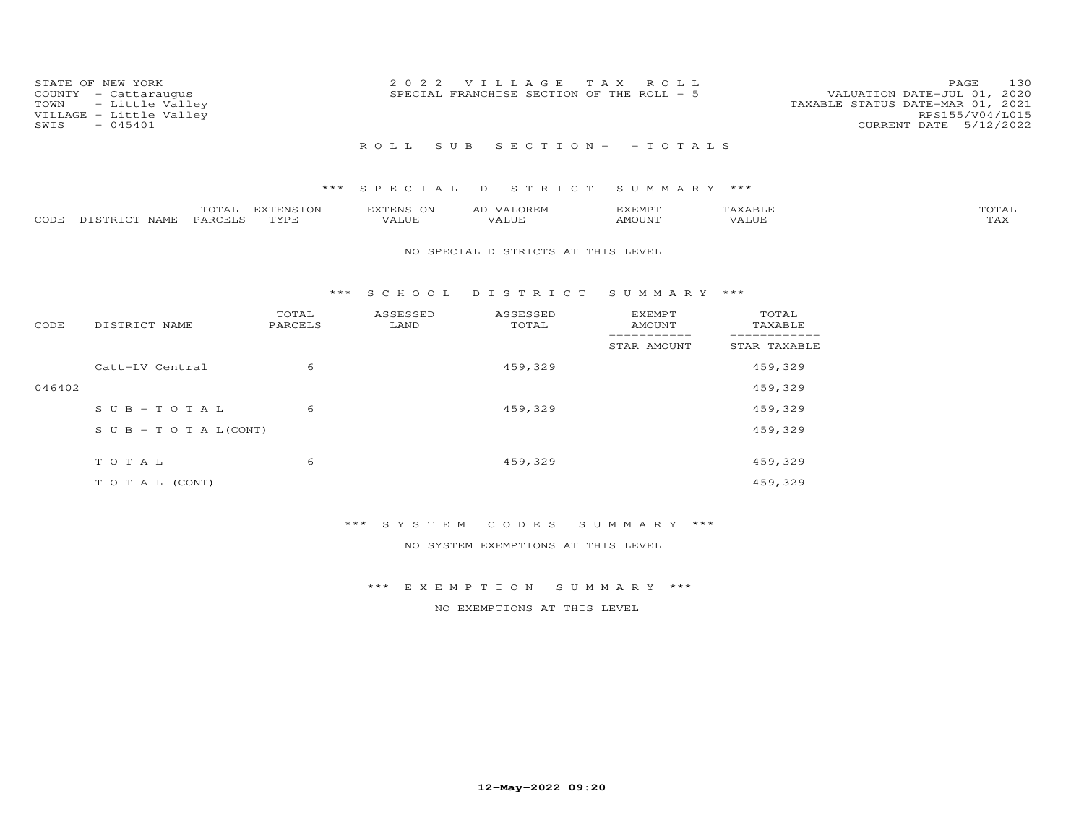| STATE OF NEW YORK<br>COUNTY - Cattaraugus<br>TOWN - Little Valley<br>VILLAGE - Little Valley<br>$-045401$<br>SWIS | 2022 VILLAGE TAX ROLL<br>SPECIAL FRANCHISE SECTION OF THE ROLL - 5 | 130<br>PAGE<br>VALUATION DATE-JUL 01, 2020<br>TAXABLE STATUS DATE-MAR 01, 2021<br>RPS155/V04/L015<br>CURRENT DATE 5/12/2022 |
|-------------------------------------------------------------------------------------------------------------------|--------------------------------------------------------------------|-----------------------------------------------------------------------------------------------------------------------------|
|                                                                                                                   | ROLL SUB SECTION- - TOTALS                                         |                                                                                                                             |

|      |               | $- - -$ | EXTENSION | ENSI  | <b>OREM</b><br>∼     | EXEMPT             |                                   | "OTAL                 |
|------|---------------|---------|-----------|-------|----------------------|--------------------|-----------------------------------|-----------------------|
| CODE | DISTRICT NAME | PARCELS | TVDF      | 7ALUE | $+ + + +$<br>. ALUFT | AMOUN <sup>"</sup> | , , , , , , <del>,</del><br>VALUE | $m \times r$<br>1 A.X |

### NO SPECIAL DISTRICTS AT THIS LEVEL

#### \*\*\* S C H O O L D I S T R I C T S U M M A R Y \*\*\*

| CODE   | DISTRICT NAME                    | TOTAL<br>PARCELS | ASSESSED<br>LAND | ASSESSED<br>TOTAL | <b>EXEMPT</b><br><b>AMOUNT</b> | TOTAL<br>TAXABLE |
|--------|----------------------------------|------------------|------------------|-------------------|--------------------------------|------------------|
|        |                                  |                  |                  |                   | STAR AMOUNT                    | STAR TAXABLE     |
|        | Catt-LV Central                  | 6                |                  | 459,329           |                                | 459,329          |
| 046402 |                                  |                  |                  |                   |                                | 459,329          |
|        | $SUB - TO TAL$                   | 6                |                  | 459,329           |                                | 459,329          |
|        | $S \cup B - T \cup T A L (CONT)$ |                  |                  |                   |                                | 459,329          |
|        |                                  |                  |                  |                   |                                |                  |
|        | TOTAL                            | 6                |                  | 459,329           |                                | 459,329          |
|        | T O T A L (CONT)                 |                  |                  |                   |                                | 459,329          |

## \*\*\* S Y S T E M C O D E S S U M M A R Y \*\*\*

NO SYSTEM EXEMPTIONS AT THIS LEVEL

### \*\*\* E X E M P T I O N S U M M A R Y \*\*\*

NO EXEMPTIONS AT THIS LEVEL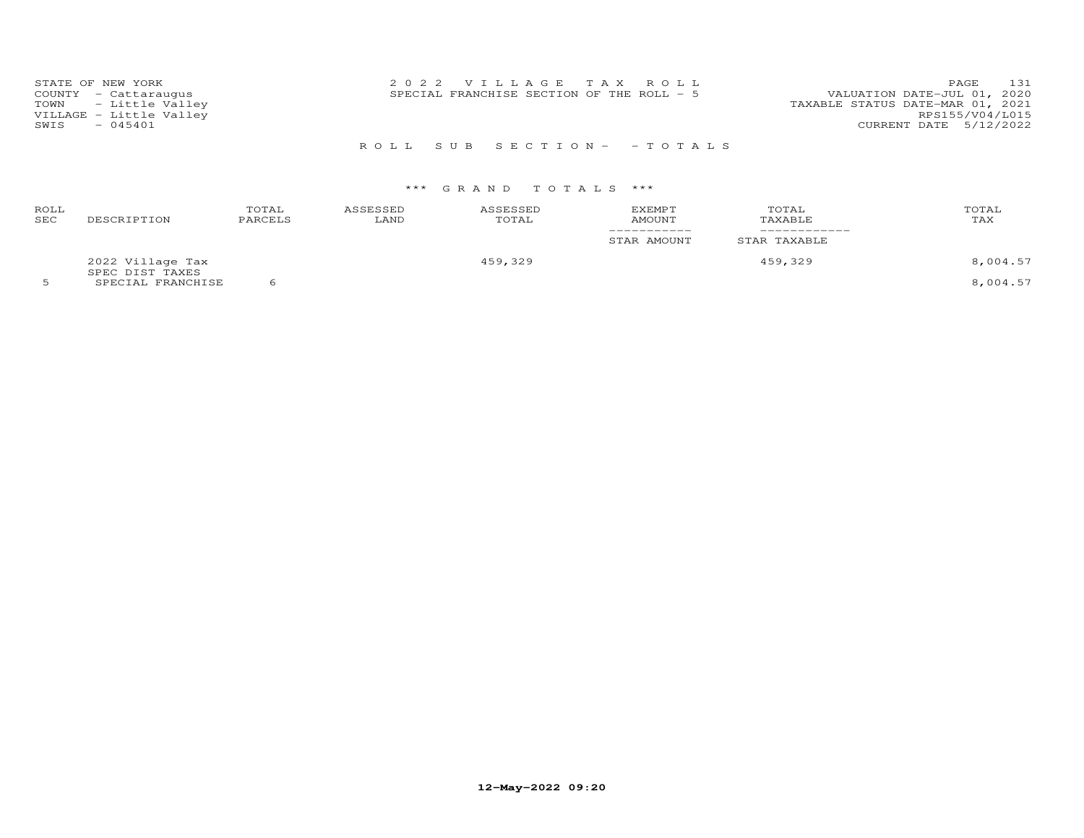| STATE OF NEW YORK<br>COUNTY - Cattaraugus<br>TOWN - Little Valley<br>VILLAGE - Little Valley | 2022 VILLAGE TAX ROLL<br>SPECIAL FRANCHISE SECTION OF THE ROLL - 5 | 131<br>PAGE<br>VALUATION DATE-JUL 01, 2020<br>TAXABLE STATUS DATE-MAR 01, 2021<br>RPS155/V04/L015 |
|----------------------------------------------------------------------------------------------|--------------------------------------------------------------------|---------------------------------------------------------------------------------------------------|
| $-045401$<br>SWIS                                                                            |                                                                    | CURRENT DATE 5/12/2022                                                                            |

## R O L L S U B S E C T I O N - - T O T A L S

| ROLL<br>SEC | DESCRIPTION                          | TOTAL<br>PARCELS | ASSESSED<br>LAND | ASSESSED<br>TOTAL | <b>EXEMPT</b><br>AMOUNT<br>STAR AMOUNT | TOTAL<br>TAXABLE<br>STAR TAXABLE | TOTAL<br>TAX |
|-------------|--------------------------------------|------------------|------------------|-------------------|----------------------------------------|----------------------------------|--------------|
|             | 2022 Village Tax                     |                  |                  | 459,329           |                                        | 459,329                          | 8,004.57     |
|             | SPEC DIST TAXES<br>SPECIAL FRANCHISE |                  |                  |                   |                                        |                                  | 8,004.57     |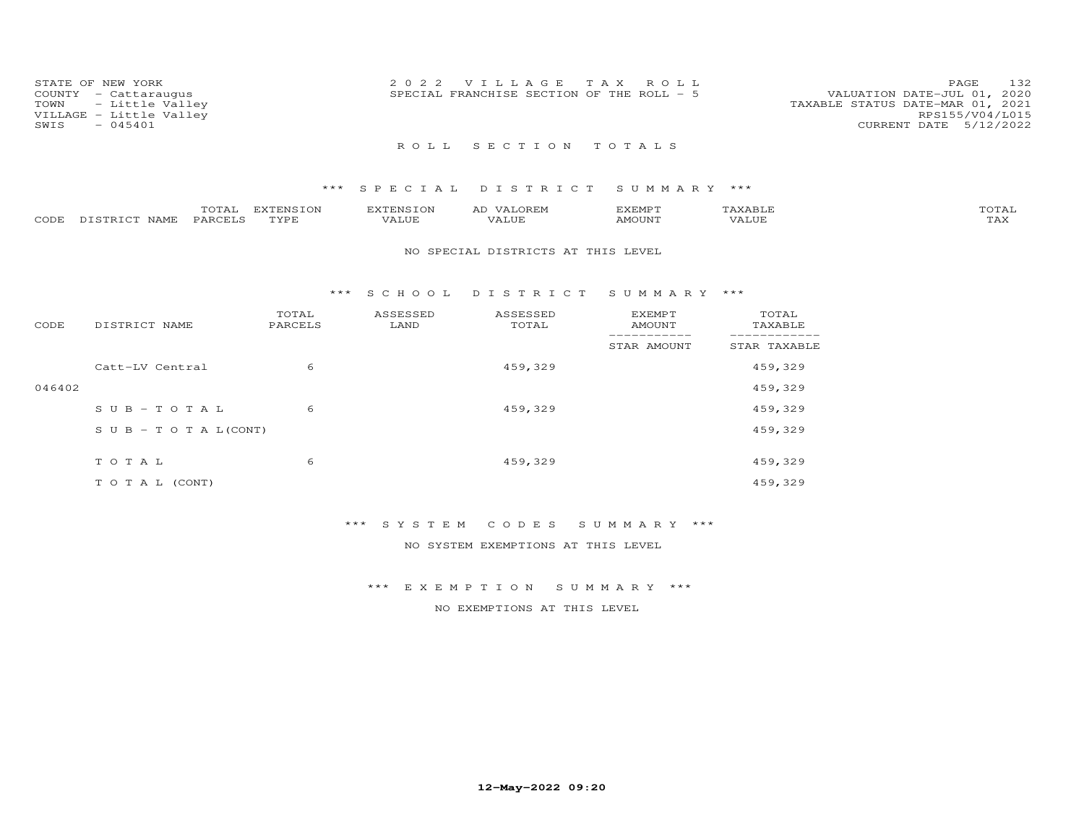| STATE OF NEW YORK<br>COUNTY - Cattaraugus<br>TOWN - Little Valley<br>VILLAGE - Little Valley<br>$-045401$<br>SWIS | 2022 VILLAGE TAX ROLL<br>SPECIAL FRANCHISE SECTION OF THE ROLL - 5 | 132<br>PAGE<br>VALUATION DATE-JUL 01, 2020<br>TAXABLE STATUS DATE-MAR 01, 2021<br>RPS155/V04/L015<br>CURRENT DATE 5/12/2022 |
|-------------------------------------------------------------------------------------------------------------------|--------------------------------------------------------------------|-----------------------------------------------------------------------------------------------------------------------------|
|                                                                                                                   | ROLL SECTION TOTALS                                                |                                                                                                                             |

|                    | TOTAL   | EXTENSION | EXTENSION | <b>VALOREM</b><br>ΑL | KEMP 1             | AXABLF <sup>*</sup> | 'OTAL |
|--------------------|---------|-----------|-----------|----------------------|--------------------|---------------------|-------|
| CODE DISTRICT NAME | PARCELS | TYPE      | VALUE     | VALUF                | AMOUN <sup>®</sup> | '/ALUL              | TAX   |

### NO SPECIAL DISTRICTS AT THIS LEVEL

#### \*\*\* S C H O O L D I S T R I C T S U M M A R Y \*\*\*

| CODE   | DISTRICT NAME                    | TOTAL<br>PARCELS | ASSESSED<br>LAND | ASSESSED<br>TOTAL | <b>EXEMPT</b><br>AMOUNT | TOTAL<br>TAXABLE |
|--------|----------------------------------|------------------|------------------|-------------------|-------------------------|------------------|
|        |                                  |                  |                  |                   | STAR AMOUNT             | STAR TAXABLE     |
|        | Catt-LV Central                  | 6                |                  | 459,329           |                         | 459,329          |
| 046402 |                                  |                  |                  |                   |                         | 459,329          |
|        | $S \cup B - TO T A L$            | 6                |                  | 459,329           |                         | 459,329          |
|        | $S \cup B - T \cup T A L (CONT)$ |                  |                  |                   |                         | 459,329          |
|        |                                  |                  |                  |                   |                         |                  |
|        | TOTAL                            | 6                |                  | 459,329           |                         | 459,329          |
|        | T O T A L (CONT)                 |                  |                  |                   |                         | 459,329          |

## \*\*\* S Y S T E M C O D E S S U M M A R Y \*\*\*

NO SYSTEM EXEMPTIONS AT THIS LEVEL

### \*\*\* E X E M P T I O N S U M M A R Y \*\*\*

NO EXEMPTIONS AT THIS LEVEL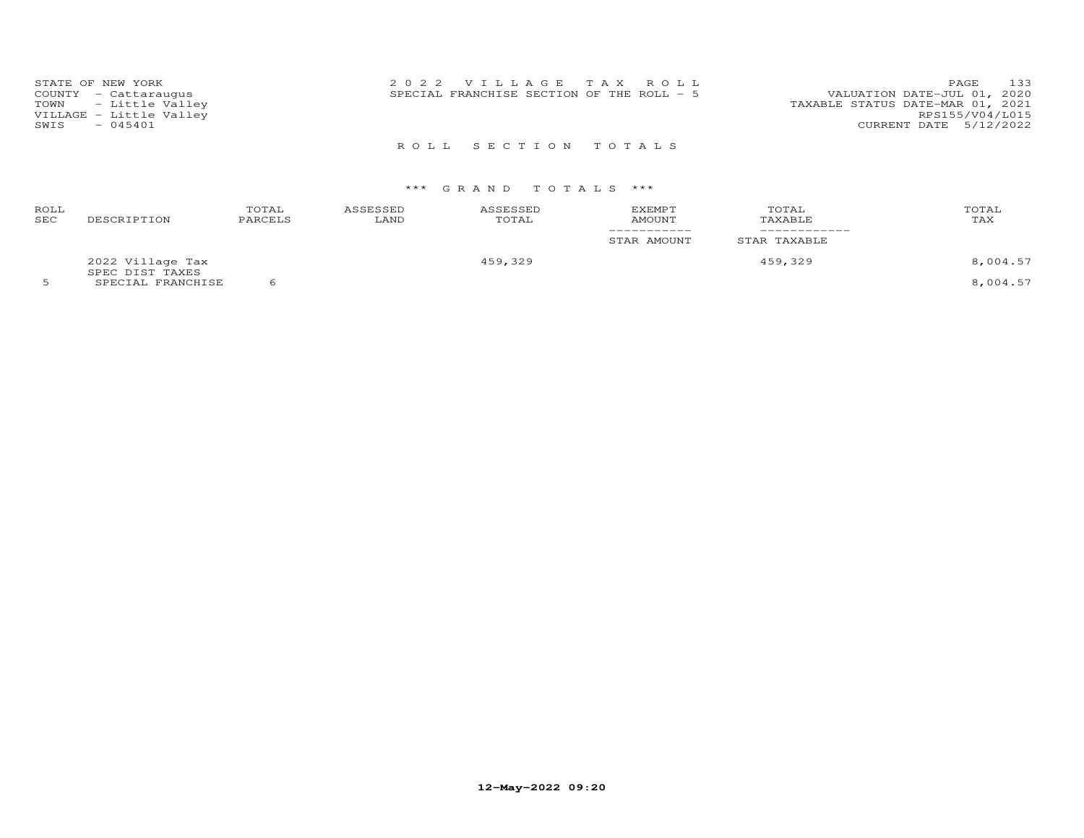| STATE OF NEW YORK<br>COUNTY - Cattaraugus<br>TOWN - Little Valley<br>VILLAGE - Little Valley<br>$-045401$<br>SWIS | 2022 VILLAGE TAX ROLL<br>SPECIAL FRANCHISE SECTION OF THE ROLL - 5 | 133<br><b>PAGE</b><br>VALUATION DATE-JUL 01, 2020<br>TAXABLE STATUS DATE-MAR 01, 2021<br>RPS155/V04/L015<br>CURRENT DATE 5/12/2022 |
|-------------------------------------------------------------------------------------------------------------------|--------------------------------------------------------------------|------------------------------------------------------------------------------------------------------------------------------------|
|                                                                                                                   | ROLL SECTION TOTALS                                                |                                                                                                                                    |

| ROLL<br>SEC | DESCRIPTION                          | TOTAL<br>PARCELS | ASSESSED<br>LAND | ASSESSED<br>TOTAL | EXEMPT<br>AMOUNT<br>STAR AMOUNT | TOTAL<br>TAXABLE<br>STAR TAXABLE | TOTAL<br>TAX |
|-------------|--------------------------------------|------------------|------------------|-------------------|---------------------------------|----------------------------------|--------------|
|             | 2022 Village Tax                     |                  |                  | 459,329           |                                 | 459,329                          | 8,004.57     |
|             | SPEC DIST TAXES<br>SPECIAL FRANCHISE |                  |                  |                   |                                 |                                  | 8,004.57     |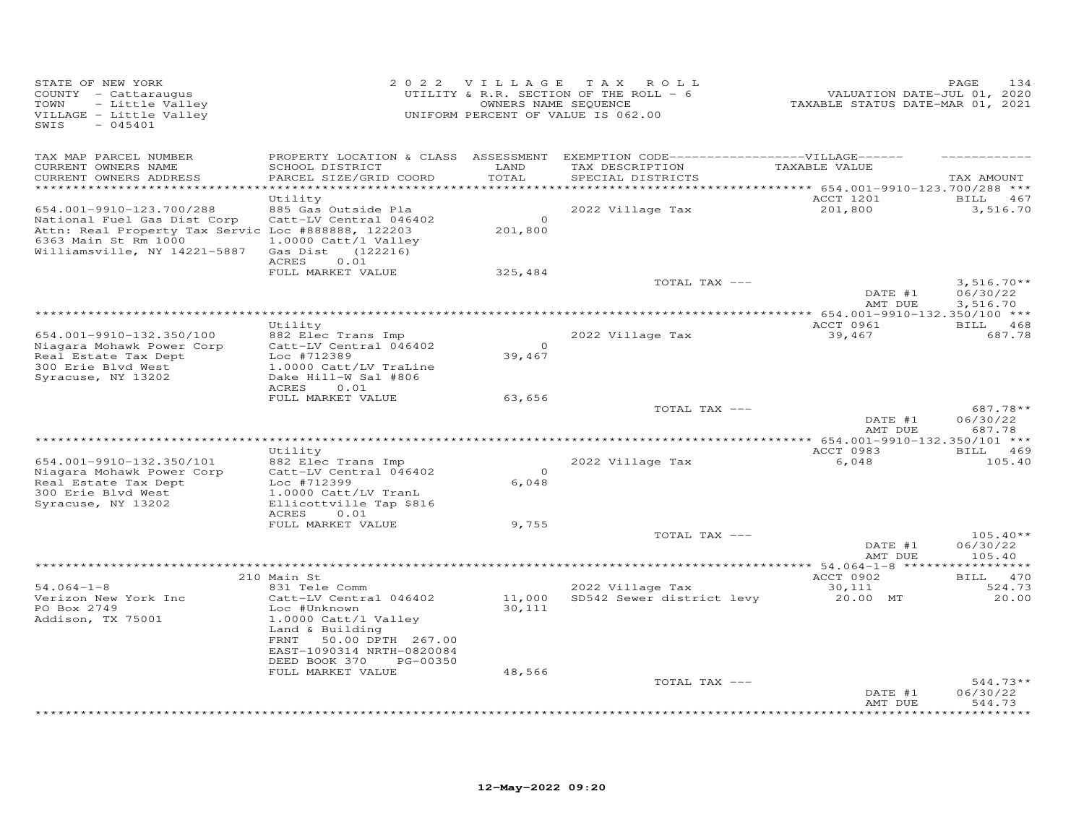| STATE OF NEW YORK<br>COUNTY - Cattaraugus<br>- Little Valley<br>TOWN<br>VILLAGE - Little Valley<br>SWIS<br>$-045401$                                                  |                                                                                                                                 | 2022 VILLAGE            | T A X<br>ROLL<br>UTILITY & R.R. SECTION OF THE ROLL - 6<br>OWNERS NAME SEQUENCE<br>UNIFORM PERCENT OF VALUE IS 062.00 | VALUATION DATE-JUL 01, 2020<br>TAXABLE STATUS DATE-MAR 01, 2021 | 134<br>PAGE                      |
|-----------------------------------------------------------------------------------------------------------------------------------------------------------------------|---------------------------------------------------------------------------------------------------------------------------------|-------------------------|-----------------------------------------------------------------------------------------------------------------------|-----------------------------------------------------------------|----------------------------------|
| TAX MAP PARCEL NUMBER<br>CURRENT OWNERS NAME<br>CURRENT OWNERS ADDRESS                                                                                                | PROPERTY LOCATION & CLASS ASSESSMENT<br>SCHOOL DISTRICT<br>PARCEL SIZE/GRID COORD                                               | LAND<br>TOTAL<br>****** | EXEMPTION CODE-------------------VILLAGE------<br>TAX DESCRIPTION<br>SPECIAL DISTRICTS                                | TAXABLE VALUE<br>******** 654.001-9910-123.700/288 ***          | TAX AMOUNT                       |
| 654.001-9910-123.700/288<br>National Fuel Gas Dist Corp<br>Attn: Real Property Tax Servic Loc #888888, 122203<br>6363 Main St Rm 1000<br>Williamsville, NY 14221-5887 | Utility<br>885 Gas Outside Pla<br>Catt-LV Central 046402<br>1.0000 Catt/l Valley<br>Gas Dist (122216)<br>ACRES<br>0.01          | $\Omega$<br>201,800     | 2022 Village Tax                                                                                                      | ACCT 1201<br>201,800                                            | 467<br>BILL<br>3,516.70          |
|                                                                                                                                                                       | FULL MARKET VALUE                                                                                                               | 325,484                 | TOTAL TAX ---                                                                                                         | DATE #1                                                         | $3,516.70**$<br>06/30/22         |
| ****************************                                                                                                                                          |                                                                                                                                 |                         |                                                                                                                       | AMT DUE                                                         | 3,516.70                         |
|                                                                                                                                                                       | Utility                                                                                                                         |                         |                                                                                                                       | ACCT 0961                                                       | BILL 468                         |
| 654.001-9910-132.350/100<br>Niagara Mohawk Power Corp<br>Real Estate Tax Dept<br>300 Erie Blvd West<br>Syracuse, NY 13202                                             | 882 Elec Trans Imp<br>Catt-LV Central 046402<br>Loc #712389<br>1.0000 Catt/LV TraLine<br>Dake Hill-W Sal #806<br>ACRES<br>0.01  | $\Omega$<br>39,467      | 2022 Village Tax                                                                                                      | 39,467                                                          | 687.78                           |
|                                                                                                                                                                       | FULL MARKET VALUE                                                                                                               | 63,656                  | TOTAL TAX ---                                                                                                         | DATE #1                                                         | $687.78**$<br>06/30/22           |
|                                                                                                                                                                       |                                                                                                                                 |                         | *********************************                                                                                     | AMT DUE                                                         | 687.78                           |
|                                                                                                                                                                       | Utility                                                                                                                         |                         |                                                                                                                       | ************* 654.001-9910-132.350/101 ***<br>ACCT 0983         | BILL 469                         |
| 654.001-9910-132.350/101<br>Niagara Mohawk Power Corp<br>Real Estate Tax Dept<br>300 Erie Blvd West                                                                   | 882 Elec Trans Imp<br>Catt-LV Central 046402<br>Loc #712399<br>1.0000 Catt/LV TranL                                             | $\Omega$<br>6,048       | 2022 Village Tax                                                                                                      | 6,048                                                           | 105.40                           |
| Syracuse, NY 13202                                                                                                                                                    | Ellicottville Tap \$816<br>ACRES<br>0.01                                                                                        |                         |                                                                                                                       |                                                                 |                                  |
|                                                                                                                                                                       | FULL MARKET VALUE                                                                                                               | 9,755                   |                                                                                                                       |                                                                 |                                  |
|                                                                                                                                                                       |                                                                                                                                 |                         | TOTAL TAX ---                                                                                                         | DATE #1<br>AMT DUE                                              | $105.40**$<br>06/30/22<br>105.40 |
|                                                                                                                                                                       | **********************************                                                                                              |                         | ********************************* 54.064-1-8 *****                                                                    |                                                                 |                                  |
|                                                                                                                                                                       | 210 Main St                                                                                                                     |                         |                                                                                                                       | ACCT 0902                                                       | 470<br>BILL                      |
| $54.064 - 1 - 8$<br>Verizon New York Inc<br>PO Box 2749<br>Addison, TX 75001                                                                                          | 831 Tele Comm<br>Catt-LV Central 046402<br>Loc #Unknown<br>1.0000 Catt/l Valley<br>Land & Building<br>FRNT<br>50.00 DPTH 267.00 | 11,000<br>30,111        | 2022 Village Tax<br>SD542 Sewer district levy                                                                         | 30,111<br>20.00 MT                                              | 524.73<br>20,00                  |
|                                                                                                                                                                       | EAST-1090314 NRTH-0820084<br>DEED BOOK 370<br>PG-00350                                                                          |                         |                                                                                                                       |                                                                 |                                  |
|                                                                                                                                                                       | FULL MARKET VALUE                                                                                                               | 48,566                  | TOTAL TAX ---                                                                                                         |                                                                 | $544.73**$                       |
|                                                                                                                                                                       |                                                                                                                                 |                         |                                                                                                                       | DATE #1<br>AMT DUE                                              | 06/30/22<br>544.73<br>*********  |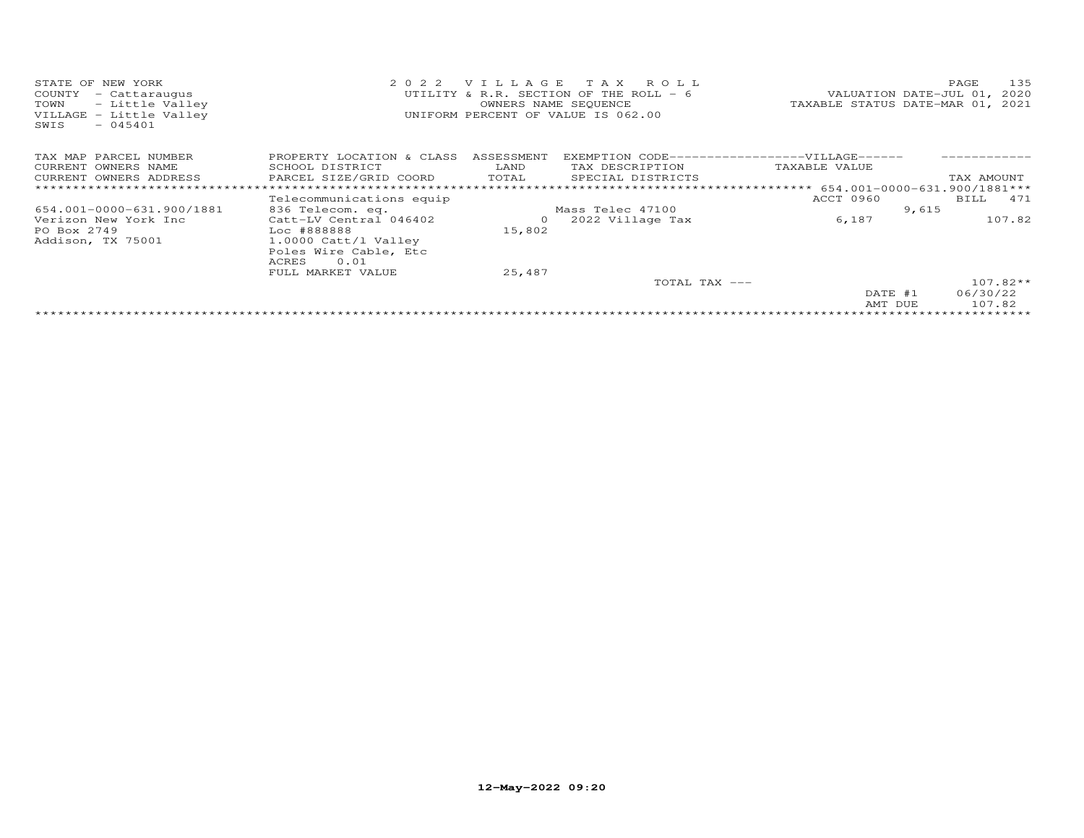| STATE OF NEW YORK                            | 2022                                          |                          | VILLAGE TAX ROLL                       |                                                                | 135<br>PAGE                      |
|----------------------------------------------|-----------------------------------------------|--------------------------|----------------------------------------|----------------------------------------------------------------|----------------------------------|
| COUNTY<br>- Cattaraugus                      |                                               |                          | UTILITY & R.R. SECTION OF THE ROLL - 6 |                                                                | VALUATION DATE-JUL 01, 2020      |
| - Little Valley<br>TOWN                      |                                               |                          | OWNERS NAME SEQUENCE                   |                                                                | TAXABLE STATUS DATE-MAR 01, 2021 |
| VILLAGE - Little Valley<br>SWIS<br>$-045401$ |                                               |                          | UNIFORM PERCENT OF VALUE IS 062.00     |                                                                |                                  |
| TAX MAP PARCEL NUMBER                        | PROPERTY LOCATION & CLASS                     | ASSESSMENT               |                                        | EXEMPTION CODE------------------VILLAGE------                  |                                  |
| CURRENT OWNERS NAME                          | SCHOOL DISTRICT                               | LAND                     | TAX DESCRIPTION                        | TAXABLE VALUE                                                  |                                  |
| CURRENT OWNERS ADDRESS                       | PARCEL SIZE/GRID COORD                        | TOTAL                    | SPECIAL DISTRICTS                      |                                                                | TAX AMOUNT                       |
|                                              |                                               |                          |                                        | ********************************* 654.001-0000-631.900/1881*** |                                  |
|                                              | Telecommunications equip                      |                          |                                        | ACCT 0960                                                      | BILL 471                         |
| 654.001-0000-631.900/1881                    | 836 Telecom. eq.                              |                          | Mass Telec 47100                       |                                                                | 9,615                            |
| Verizon New York Inc<br>PO Box 2749          | Catt-LV Central 046402<br>Loc #888888         | $\overline{O}$<br>15,802 | 2022 Village Tax                       | 6,187                                                          | 107.82                           |
| Addison, TX 75001                            | 1.0000 Catt/l Valley<br>Poles Wire Cable, Etc |                          |                                        |                                                                |                                  |
|                                              | 0.01<br>ACRES                                 |                          |                                        |                                                                |                                  |
|                                              | FULL MARKET VALUE                             | 25,487                   |                                        |                                                                |                                  |
|                                              |                                               |                          | TOTAL TAX ---                          |                                                                | $107.82**$                       |
|                                              |                                               |                          |                                        | DATE #1<br>AMT DUE                                             | 06/30/22<br>107.82               |
|                                              |                                               |                          |                                        |                                                                |                                  |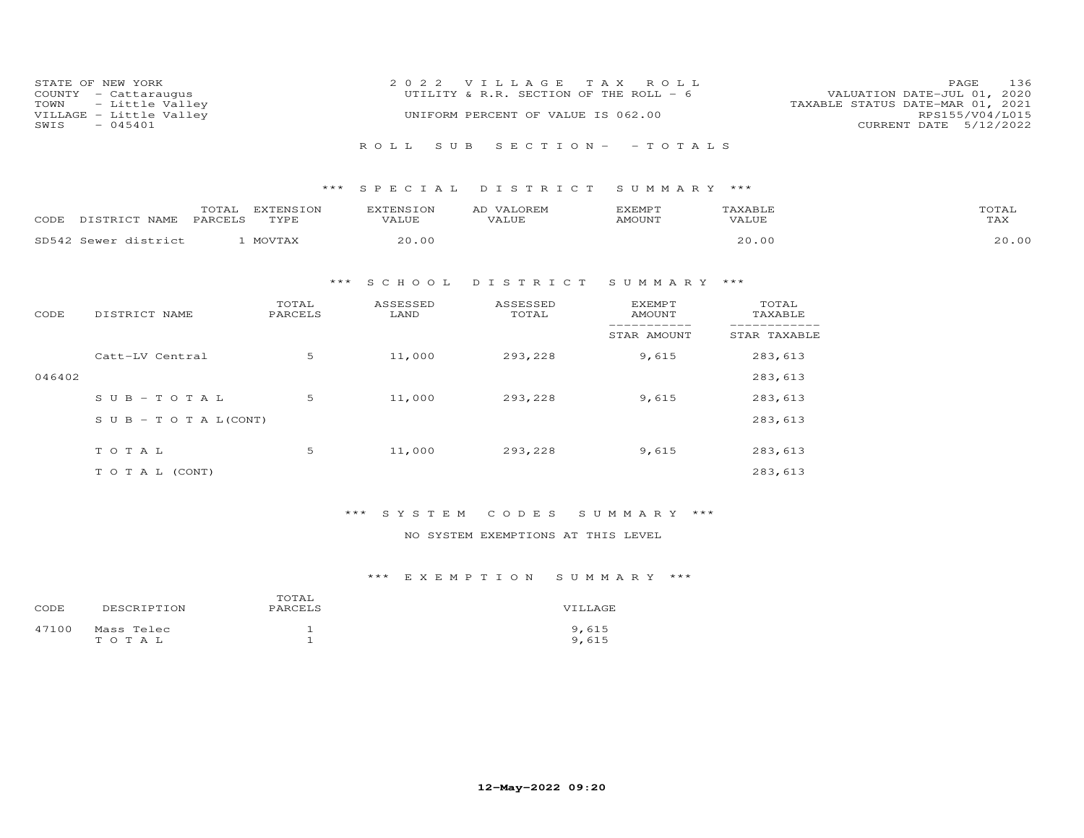| STATE OF NEW YORK       | 2022 VILLAGE TAX ROLL                  | 136<br>PAGE                      |
|-------------------------|----------------------------------------|----------------------------------|
| COUNTY - Cattaraugus    | UTILITY & R.R. SECTION OF THE ROLL - 6 | VALUATION DATE-JUL 01, 2020      |
| TOWN - Little Valley    |                                        | TAXABLE STATUS DATE-MAR 01, 2021 |
| VILLAGE - Little Valley | UNIFORM PERCENT OF VALUE IS 062.00     | RPS155/V04/L015                  |
| $-045401$<br>SWIS       |                                        | CURRENT DATE 5/12/2022           |
|                         |                                        |                                  |
|                         | ROLL SUB SECTION- - TOTALS             |                                  |

| CODF  | $- - - -$<br><b>NAMF</b>      | <b>DADOUT C</b> | --------<br>TVDF<br>- - - - - | <b>VALUE</b> | AI.<br>"JUE- | , , <i>, o</i> , <del>, ,</del> , , | $\mathbf{Y}^T \wedge \mathbf{R}$ $\mathbf{T} \cdot \mathbf{R}^T$<br>.T.UF<br>.7 Z | $m \wedge m$<br>L'AX |
|-------|-------------------------------|-----------------|-------------------------------|--------------|--------------|-------------------------------------|-----------------------------------------------------------------------------------|----------------------|
| SD542 | $S = M \cap T$<br>$i$ et rict |                 |                               | n c          |              |                                     |                                                                                   | ΩO                   |

### \*\*\* S C H O O L D I S T R I C T S U M M A R Y \*\*\*

| CODE   | DISTRICT NAME                    | TOTAL<br>PARCELS | ASSESSED<br>LAND | ASSESSED<br>TOTAL | EXEMPT<br>AMOUNT | TOTAL<br>TAXABLE |
|--------|----------------------------------|------------------|------------------|-------------------|------------------|------------------|
|        |                                  |                  |                  |                   | STAR AMOUNT      | STAR TAXABLE     |
|        | Catt-LV Central                  | 5                | 11,000           | 293,228           | 9,615            | 283,613          |
| 046402 |                                  |                  |                  |                   |                  | 283,613          |
|        | $SUB - TO TAL$                   | 5                | 11,000           | 293,228           | 9,615            | 283,613          |
|        | $S \cup B - T \cup T A L (CONT)$ |                  |                  |                   |                  | 283,613          |
|        | TOTAL                            | 5                | 11,000           | 293,228           | 9,615            | 283,613          |
|        |                                  |                  |                  |                   |                  |                  |
|        | T O T A L (CONT)                 |                  |                  |                   |                  | 283,613          |

### \*\*\* S Y S T E M C O D E S S U M M A R Y \*\*\*

### NO SYSTEM EXEMPTIONS AT THIS LEVEL

| CODE  | DESCRIPTION         | TOTAL<br>PARCELS | VILLAGE        |
|-------|---------------------|------------------|----------------|
| 47100 | Mass Telec<br>TOTAL |                  | 9,615<br>9,615 |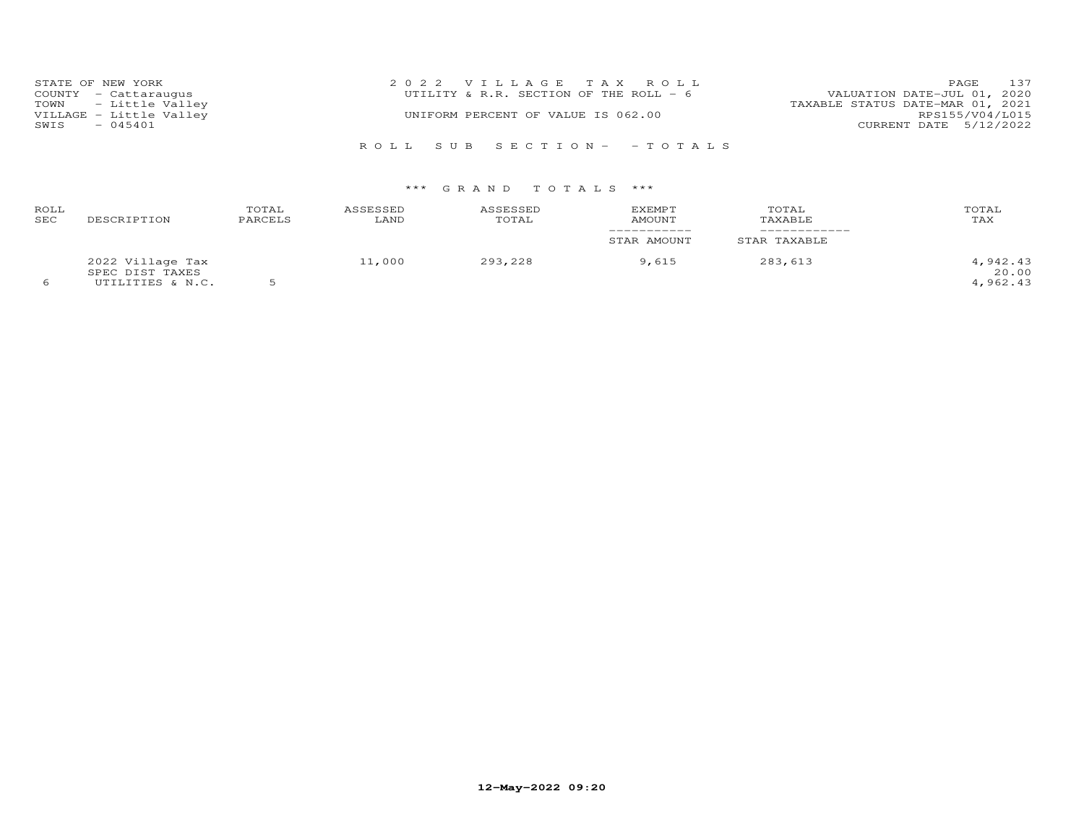| STATE OF NEW YORK       | 2022 VILLAGE TAX ROLL                  | PAGE 137                         |
|-------------------------|----------------------------------------|----------------------------------|
| COUNTY - Cattaraugus    | UTILITY & R.R. SECTION OF THE ROLL - 6 | VALUATION DATE-JUL 01, 2020      |
| TOWN - Little Valley    |                                        | TAXABLE STATUS DATE-MAR 01, 2021 |
| VILLAGE - Little Valley | UNIFORM PERCENT OF VALUE IS 062.00     | RPS155/V04/L015                  |
| SWIS - 045401           |                                        | CURRENT DATE 5/12/2022           |
|                         |                                        |                                  |
|                         | ROLL SUB SECTION- - TOTALS             |                                  |

| ROLL<br>SEC | DESCRIPTION                                             | TOTAL<br>PARCELS | ASSESSED<br>LAND | ASSESSED<br>TOTAL | EXEMPT<br>AMOUNT<br>___________<br>STAR AMOUNT | TOTAL<br>TAXABLE<br>STAR TAXABLE | TOTAL<br>TAX                  |
|-------------|---------------------------------------------------------|------------------|------------------|-------------------|------------------------------------------------|----------------------------------|-------------------------------|
|             | 2022 Village Tax<br>SPEC DIST TAXES<br>UTILITIES & N.C. |                  | 11,000           | 293,228           | 9.615                                          | 283,613                          | 4,942.43<br>20.00<br>4,962.43 |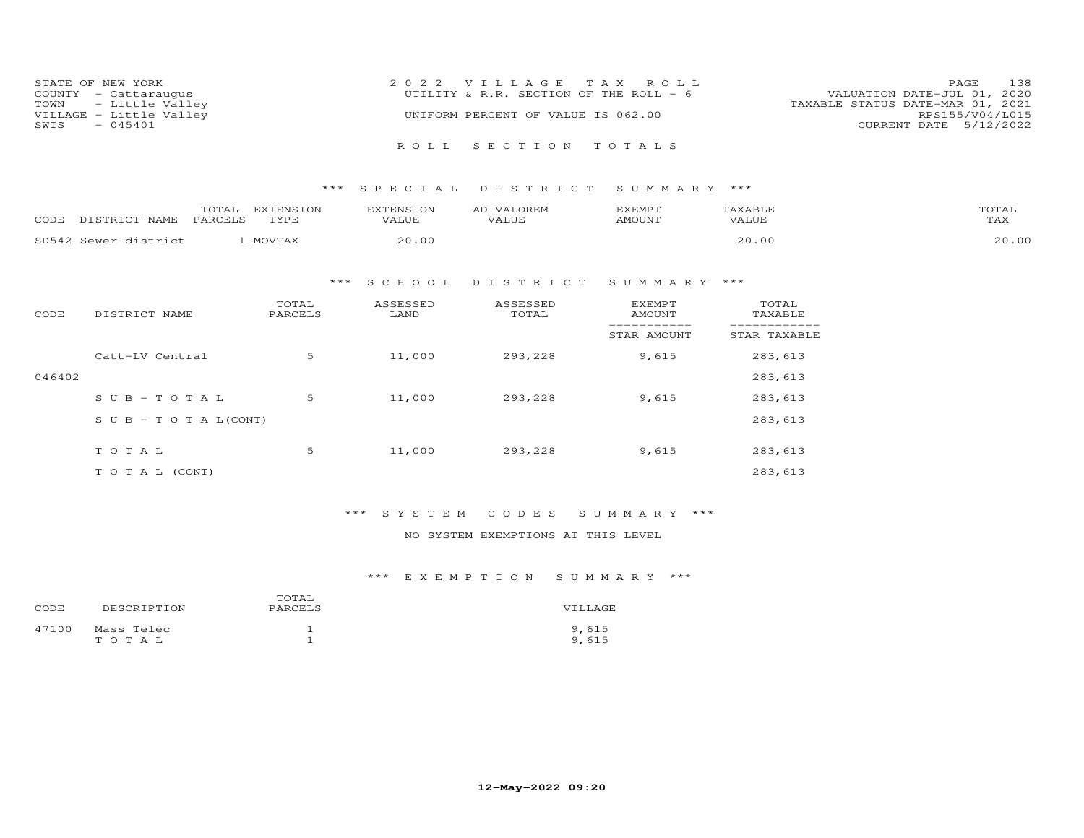| STATE OF NEW YORK       | 2022 VILLAGE TAX ROLL                  | 138<br><b>PAGE</b>               |
|-------------------------|----------------------------------------|----------------------------------|
| COUNTY - Cattaraugus    | UTILITY & R.R. SECTION OF THE ROLL - 6 | VALUATION DATE-JUL 01, 2020      |
| TOWN - Little Valley    |                                        | TAXABLE STATUS DATE-MAR 01, 2021 |
| VILLAGE - Little Valley | UNIFORM PERCENT OF VALUE IS 062.00     | RPS155/V04/L015                  |
| $-045401$<br>SWIS       |                                        | CURRENT DATE 5/12/2022           |
|                         |                                        |                                  |
|                         | ROLL SECTION TOTALS                    |                                  |

| CODF  | $- - - -$<br><b>NAMF</b>      | <b>DADOUT C</b> | --------<br>TVDF<br>- - - - - | <b>VALUE</b> | AI.<br>"JUE- | , , <i>, o</i> , <del>, ,</del> , , | $\mathbf{Y}^T \wedge \mathbf{R}$ $\mathbf{T} \cdot \mathbf{R}^T$<br>.T.UF<br>.7 Z | $m \wedge m$<br>L'AX |
|-------|-------------------------------|-----------------|-------------------------------|--------------|--------------|-------------------------------------|-----------------------------------------------------------------------------------|----------------------|
| SD542 | $S = M \cap T$<br>$i$ et rict |                 |                               | n c          |              |                                     |                                                                                   | ΩO                   |

### \*\*\* S C H O O L D I S T R I C T S U M M A R Y \*\*\*

| CODE   | DISTRICT NAME                    | TOTAL<br>PARCELS | ASSESSED<br>LAND | ASSESSED<br>TOTAL | EXEMPT<br>AMOUNT | TOTAL<br>TAXABLE |
|--------|----------------------------------|------------------|------------------|-------------------|------------------|------------------|
|        |                                  |                  |                  |                   | STAR AMOUNT      | STAR TAXABLE     |
|        | Catt-LV Central                  | 5                | 11,000           | 293,228           | 9,615            | 283,613          |
| 046402 |                                  |                  |                  |                   |                  | 283,613          |
|        | $SUB - TO T AL$                  | 5                | 11,000           | 293,228           | 9,615            | 283,613          |
|        | $S \cup B - T \cup T A L (CONT)$ |                  |                  |                   |                  | 283,613          |
|        | TOTAL                            | 5                | 11,000           | 293,228           | 9,615            | 283,613          |
|        |                                  |                  |                  |                   |                  |                  |
|        | T O T A L (CONT)                 |                  |                  |                   |                  | 283,613          |

### \*\*\* S Y S T E M C O D E S S U M M A R Y \*\*\*

### NO SYSTEM EXEMPTIONS AT THIS LEVEL

| CODE  | DESCRIPTION         | TOTAL<br>PARCELS | VTLLAGE        |
|-------|---------------------|------------------|----------------|
| 47100 | Mass Telec<br>TOTAL |                  | 9,615<br>9.615 |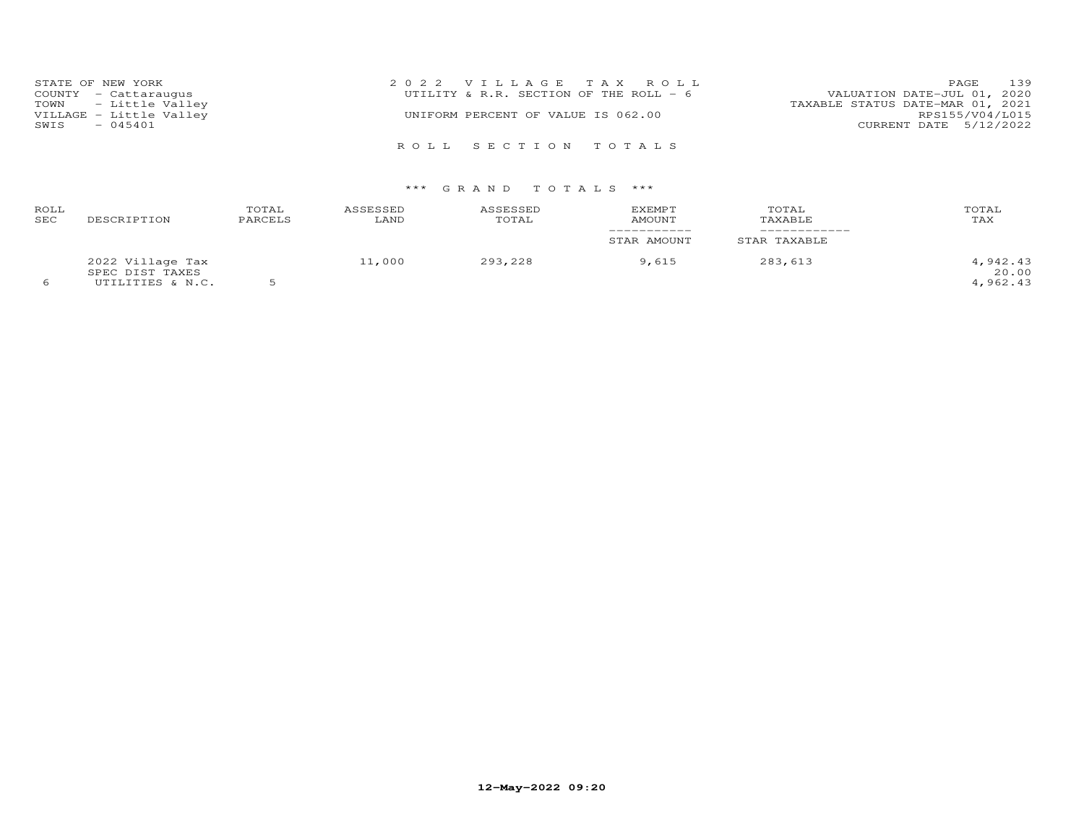| STATE OF NEW YORK       | 2022 VILLAGE TAX ROLL                  | 139<br>PAGE                      |
|-------------------------|----------------------------------------|----------------------------------|
| COUNTY - Cattaraugus    | UTILITY & R.R. SECTION OF THE ROLL - 6 | VALUATION DATE-JUL 01, 2020      |
| TOWN - Little Valley    |                                        | TAXABLE STATUS DATE-MAR 01, 2021 |
| VILLAGE - Little Valley | UNIFORM PERCENT OF VALUE IS 062.00     | RPS155/V04/L015                  |
| $-045401$<br>SWIS       |                                        | CURRENT DATE 5/12/2022           |
|                         |                                        |                                  |
|                         | ROLL SECTION TOTALS                    |                                  |

| ROLL<br>SEC | DESCRIPTION                                             | TOTAL<br>PARCELS | ASSESSED<br>LAND | ASSESSED<br>TOTAL | EXEMPT<br>AMOUNT<br>___________<br>STAR AMOUNT | TOTAL<br>TAXABLE<br>STAR TAXABLE | TOTAL<br>TAX                  |
|-------------|---------------------------------------------------------|------------------|------------------|-------------------|------------------------------------------------|----------------------------------|-------------------------------|
|             | 2022 Village Tax<br>SPEC DIST TAXES<br>UTILITIES & N.C. |                  | 11,000           | 293,228           | 9.615                                          | 283,613                          | 4,942.43<br>20.00<br>4,962.43 |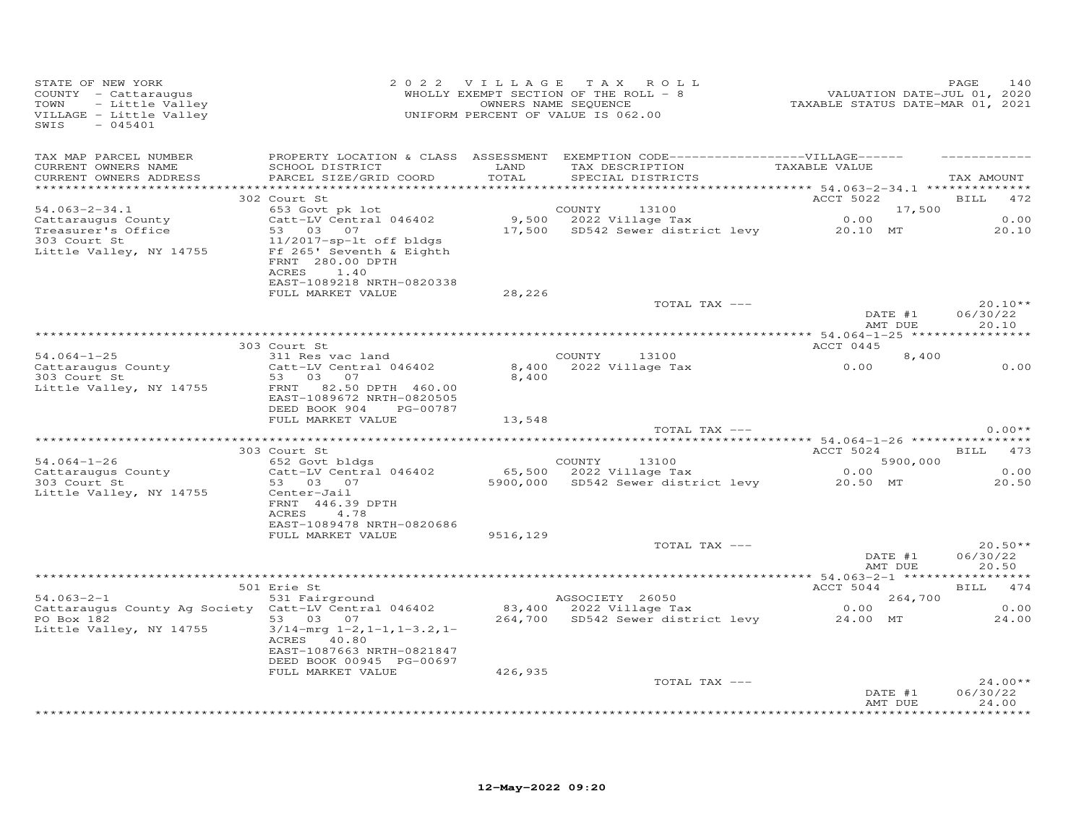| STATE OF NEW YORK<br>COUNTY - Cattaraugus<br>TOWN<br>VILLAGE - Little Valley<br>SWIS<br>$-045401$                                                                                                                             |                                                                                       |          | OF NEW YORK CORRECTION OF THE ROLL TO A SAME SERVICE AND PAGE 140 MADE TRIM AND PAGE 140 MADE PAGE 140 MADE PAGE 140 MADE PAGE 140 MADE PAGE 140 MADE PAGE 140 MADE PAGE 140 MADE PAGE 140 MADE PAGE 140 MADE PAGE 140 MADE PA |                    |                                  |
|-------------------------------------------------------------------------------------------------------------------------------------------------------------------------------------------------------------------------------|---------------------------------------------------------------------------------------|----------|--------------------------------------------------------------------------------------------------------------------------------------------------------------------------------------------------------------------------------|--------------------|----------------------------------|
| TAX MAP PARCEL NUMBER<br>CURRENT OWNERS NAME<br>CURRENT OWNERS ADDRESS                                                                                                                                                        | SCHOOL DISTRICT LAND<br>PARCEL SIZE/GRID COORD                                        | TOTAL    | PROPERTY LOCATION & CLASS ASSESSMENT EXEMPTION CODE------------------VILLAGE------<br>TAX DESCRIPTION TAXABLE VALUE<br>SPECIAL DISTRICTS                                                                                       |                    | TAX AMOUNT                       |
|                                                                                                                                                                                                                               | 302 Court St                                                                          |          |                                                                                                                                                                                                                                | ACCT 5022 BILL 472 |                                  |
| $54.063 - 2 - 34.1$<br>Cattaraugus County                                                                                                                                                                                     |                                                                                       |          | 653 Govt pk lot<br>Catt-LV Central 046402 9,500 2022 Village Tax 0.00 0.00<br>53 03 07 0.00 17,500 8D542 Sewer district levy 20.10 MT 20.10<br>11/2017-00-11 of bldgs 17,500 SD542 Sewer district levy 20.10 MT 20.10          |                    |                                  |
| Exploration of the service of the same of the service of the service of the service of the service of the service of the service of the service of the service of the service of the service of the service of the service of |                                                                                       |          |                                                                                                                                                                                                                                |                    |                                  |
| 303 Court St<br>Little Valley, NY 14755                                                                                                                                                                                       | 11/2017-sp-lt off bldgs<br>Ff 265' Seventh & Eighth<br>FRNT 280.00 DPTH<br>ACRES 1.40 |          |                                                                                                                                                                                                                                |                    |                                  |
|                                                                                                                                                                                                                               | EAST-1089218 NRTH-0820338<br>FULL MARKET VALUE                                        | 28,226   |                                                                                                                                                                                                                                |                    |                                  |
|                                                                                                                                                                                                                               |                                                                                       |          | TOTAL TAX ---                                                                                                                                                                                                                  | DATE #1            | $20.10**$                        |
|                                                                                                                                                                                                                               |                                                                                       |          |                                                                                                                                                                                                                                |                    | 06/30/22                         |
|                                                                                                                                                                                                                               |                                                                                       |          |                                                                                                                                                                                                                                | AMT DUE            | 20.10                            |
|                                                                                                                                                                                                                               | 303 Court St                                                                          |          |                                                                                                                                                                                                                                | ACCT 0445          |                                  |
|                                                                                                                                                                                                                               |                                                                                       |          | COUNTY 13100<br>$8,400$ 2022 Village Tax 0.00<br>8.400 2022 Village Tax 0.00                                                                                                                                                   | 8,400              |                                  |
|                                                                                                                                                                                                                               |                                                                                       | 8,400    |                                                                                                                                                                                                                                |                    | 0.00                             |
| Capture 311 Res vac land<br>Cattaraugus County<br>303 Court St<br>53 03 07<br>Catt-LV Central 046402<br>53 03 07                                                                                                              | EAST-1089672 NRTH-0820505<br>DEED BOOK 904 PG-00787                                   |          |                                                                                                                                                                                                                                |                    |                                  |
|                                                                                                                                                                                                                               | FULL MARKET VALUE                                                                     | 13,548   | TOTAL TAX ---                                                                                                                                                                                                                  |                    | $0.00**$                         |
|                                                                                                                                                                                                                               |                                                                                       |          |                                                                                                                                                                                                                                |                    |                                  |
|                                                                                                                                                                                                                               | 303 Court St                                                                          |          |                                                                                                                                                                                                                                | ACCT 5024 BILL 473 |                                  |
|                                                                                                                                                                                                                               |                                                                                       |          |                                                                                                                                                                                                                                |                    | 0.00                             |
| Little Valley, NY 14755                                                                                                                                                                                                       | Center-Jail                                                                           |          |                                                                                                                                                                                                                                |                    | 20.50                            |
|                                                                                                                                                                                                                               | FRNT 446.39 DPTH<br>4.78<br>ACRES<br>EAST-1089478 NRTH-0820686                        |          |                                                                                                                                                                                                                                |                    |                                  |
|                                                                                                                                                                                                                               | FULL MARKET VALUE                                                                     | 9516,129 |                                                                                                                                                                                                                                |                    |                                  |
|                                                                                                                                                                                                                               |                                                                                       |          | TOTAL TAX ---                                                                                                                                                                                                                  | DATE #1<br>AMT DUE | $20.50**$<br>06/30/22<br>20.50   |
|                                                                                                                                                                                                                               |                                                                                       |          |                                                                                                                                                                                                                                |                    |                                  |
|                                                                                                                                                                                                                               | 501 Erie St                                                                           |          |                                                                                                                                                                                                                                | ACCT 5044 BILL 474 |                                  |
|                                                                                                                                                                                                                               |                                                                                       |          |                                                                                                                                                                                                                                |                    | 0.00                             |
| 301 Extrapred on AGSOCIETY 26050<br>531 Fairground<br>264,700 2022 Village Tax 0.00<br>264,700 553 03 07 264,700 2022 Village Tax 0.00<br>264,700 SD542 Sewer district levy 24.00 MT 2<br>Little Valley, NY 14755             | $3/14$ -mrg $1-2$ , $1-1$ , $1-3.2$ , $1-$<br>ACRES 40.80                             |          |                                                                                                                                                                                                                                |                    | 24.00                            |
|                                                                                                                                                                                                                               | EAST-1087663 NRTH-0821847<br>DEED BOOK 00945 PG-00697                                 |          |                                                                                                                                                                                                                                |                    |                                  |
|                                                                                                                                                                                                                               | FULL MARKET VALUE                                                                     | 426,935  |                                                                                                                                                                                                                                |                    |                                  |
|                                                                                                                                                                                                                               |                                                                                       |          | TOTAL TAX ---                                                                                                                                                                                                                  |                    | $24.00**$                        |
|                                                                                                                                                                                                                               |                                                                                       |          |                                                                                                                                                                                                                                | DATE #1<br>AMT DUE | 06/30/22<br>24.00<br>*********** |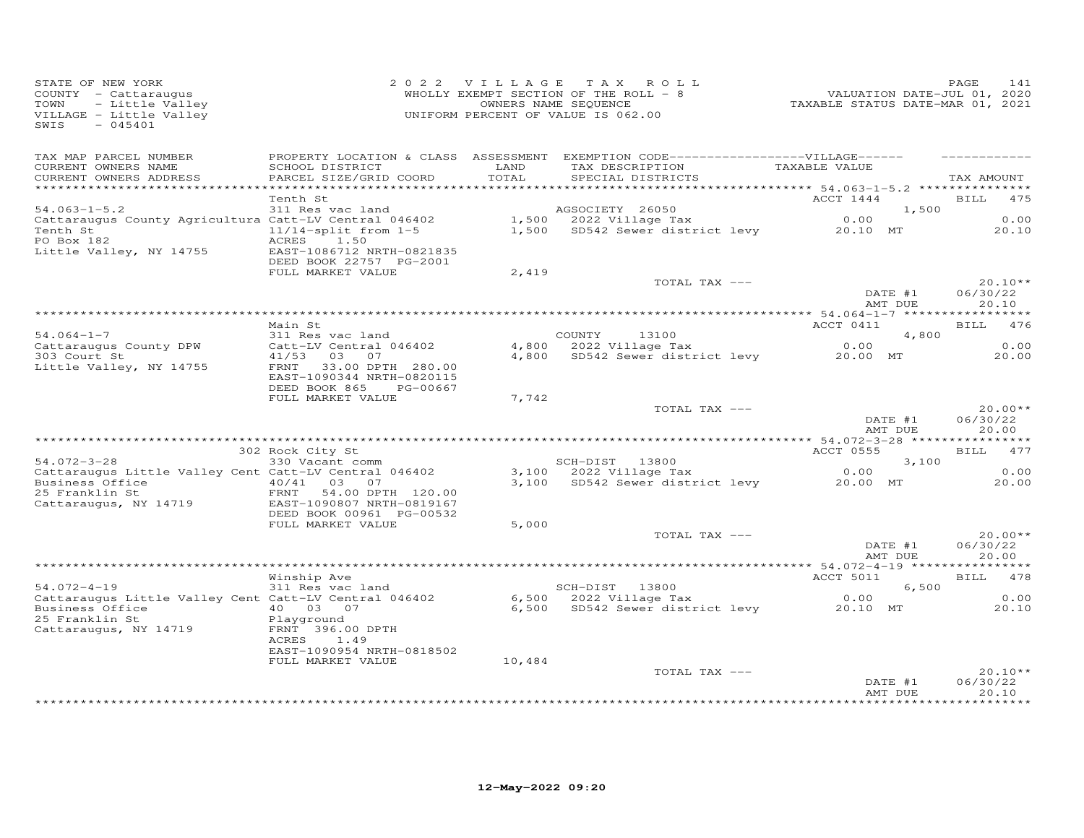| STATE OF NEW YORK<br>COUNTY - Cattaraugus<br>- Little Valley<br>TOWN<br>VILLAGE - Little Valley<br>$-045401$<br>SWIS                                                       |                                                                                                 |               | 2022 VILLAGE TAX ROLL<br>WHOLLY EXEMPT SECTION OF THE ROLL - 8<br>OWNERS NAME SEQUENCE<br>UNIFORM PERCENT OF VALUE IS 062.00 | 241 - PAGE<br>2020 , VALUATION DATE-JUL<br>2021 TAXABLE STATUS DATE-MAR | PAGE<br>141                    |
|----------------------------------------------------------------------------------------------------------------------------------------------------------------------------|-------------------------------------------------------------------------------------------------|---------------|------------------------------------------------------------------------------------------------------------------------------|-------------------------------------------------------------------------|--------------------------------|
| TAX MAP PARCEL NUMBER<br>CURRENT OWNERS NAME<br>CURRENT OWNERS ADDRESS<br>*************************                                                                        | SCHOOL DISTRICT<br>PARCEL SIZE/GRID COORD                                                       | LAND<br>TOTAL | PROPERTY LOCATION & CLASS ASSESSMENT EXEMPTION CODE-----------------VILLAGE------<br>TAX DESCRIPTION<br>SPECIAL DISTRICTS    | TAXABLE VALUE                                                           | TAX AMOUNT                     |
|                                                                                                                                                                            | Tenth St                                                                                        |               |                                                                                                                              | ACCT 1444                                                               | <b>BILL</b><br>475             |
| $54.063 - 1 - 5.2$                                                                                                                                                         | 311 Res vac land                                                                                |               | AGSOCIETY 26050                                                                                                              | 1,500                                                                   |                                |
| Cattaraugus County Agricultura Catt-LV Central 046402<br>Tenth St 11/14-split from 1-5                                                                                     |                                                                                                 |               | 1,500 2022 Village Tax 0.00<br>1,500 SD542 Sewer district levy 20.10 MT                                                      |                                                                         | 0.00                           |
| PO Box 182                                                                                                                                                                 | 1.50<br>ACRES                                                                                   |               |                                                                                                                              |                                                                         | 20.10                          |
| Little Valley, NY 14755                                                                                                                                                    | EAST-1086712 NRTH-0821835<br>DEED BOOK 22757 PG-2001                                            |               |                                                                                                                              |                                                                         |                                |
|                                                                                                                                                                            | FULL MARKET VALUE                                                                               | 2,419         |                                                                                                                              |                                                                         |                                |
|                                                                                                                                                                            |                                                                                                 |               | TOTAL TAX ---                                                                                                                | DATE #1<br>AMT DUE                                                      | $20.10**$<br>06/30/22<br>20.10 |
|                                                                                                                                                                            |                                                                                                 |               |                                                                                                                              |                                                                         |                                |
|                                                                                                                                                                            | Main St                                                                                         |               |                                                                                                                              | ACCT 0411                                                               | BILL 476                       |
| $54.064 - 1 - 7$                                                                                                                                                           | 311 Res vac land                                                                                |               | COUNTY 13100                                                                                                                 | 4,800                                                                   |                                |
| Cattaraugus County DPW                                                                                                                                                     | Catt-LV Central 046402                                                                          |               | $4,800$ 2022 Village Tax<br>4,800 SD542 Sewer district levy 20.00 MT                                                         | 0.00                                                                    | 0.00                           |
| 303 Court St<br>Little Valley, NY 14755                                                                                                                                    | 41/53 03 07<br>FRNT 33.00 DPTH 280.00<br>EAST-1090344 NRTH-0820115<br>DEED BOOK 865<br>PG-00667 |               |                                                                                                                              |                                                                         | 20.00                          |
|                                                                                                                                                                            | FULL MARKET VALUE                                                                               | 7,742         |                                                                                                                              |                                                                         |                                |
|                                                                                                                                                                            |                                                                                                 |               | TOTAL TAX ---                                                                                                                | DATE #1<br>AMT DUE                                                      | $20.00**$<br>06/30/22<br>20.00 |
|                                                                                                                                                                            |                                                                                                 |               |                                                                                                                              |                                                                         |                                |
|                                                                                                                                                                            | 302 Rock City St                                                                                |               |                                                                                                                              | ACCT 0555                                                               | BILL 477                       |
| $54.072 - 3 - 28$                                                                                                                                                          | 330 Vacant comm                                                                                 |               | SCH-DIST 13800                                                                                                               | 3,100                                                                   |                                |
| Cattaraugus Little Valley Cent Catt-LV Central 046402                                                                                                                      |                                                                                                 |               | 3,100 2022 Village Tax<br>3,100 SD542 Sewer district levy 20.00 MT                                                           | 0.00                                                                    | 0.00<br>20.00                  |
| Business Office $\begin{array}{cccc} 40/41 & 03 & 07 \\ 25 & Franklin St & \text{FRNT} & 54.00 \text{ DPTH} & 120. \end{array}$<br>25 Franklin St<br>Cattaraugus, NY 14719 | FRNT 54.00 DPTH 120.00<br>EAST-1090807 NRTH-0819167<br>DEED BOOK 00961 PG-00532                 |               |                                                                                                                              |                                                                         |                                |
|                                                                                                                                                                            | FULL MARKET VALUE                                                                               | 5,000         |                                                                                                                              |                                                                         |                                |
|                                                                                                                                                                            |                                                                                                 |               | TOTAL TAX ---                                                                                                                | DATE #1<br>AMT DUE                                                      | $20.00**$<br>06/30/22<br>20.00 |
|                                                                                                                                                                            |                                                                                                 |               |                                                                                                                              |                                                                         |                                |
| $54.072 - 4 - 19$                                                                                                                                                          | Winship Ave<br>$311$ Res vac land                                                               |               |                                                                                                                              | ACCT 5011                                                               | BILL 478                       |
| S4.072-4-19<br>Cattaraugus Little Valley Cent Catt-LV Central 046402                                                                                                       |                                                                                                 |               | SCH-DIST 13800<br>6,500 2022 Village Tax                                                                                     | 6,500<br>0.00                                                           | 0.00                           |
| Business Office $\begin{array}{cccc} 40 & 03 & 07 \\ 25 & \text{Franklin } \text{St} & \text{Blavround} \end{array}$                                                       |                                                                                                 |               | 6,500 SD542 Sewer district levy 20.10 MT                                                                                     |                                                                         | 20.10                          |
| 25 Franklin St<br>Cattaraugus, NY 14719                                                                                                                                    | Playground<br>FRNT 396.00 DPTH                                                                  |               |                                                                                                                              |                                                                         |                                |
|                                                                                                                                                                            | ACRES<br>1.49                                                                                   |               |                                                                                                                              |                                                                         |                                |
|                                                                                                                                                                            | EAST-1090954 NRTH-0818502<br>FULL MARKET VALUE                                                  | 10,484        |                                                                                                                              |                                                                         |                                |
|                                                                                                                                                                            |                                                                                                 |               | TOTAL TAX ---                                                                                                                | DATE #1                                                                 | $20.10**$<br>06/30/22          |
|                                                                                                                                                                            |                                                                                                 |               |                                                                                                                              | AMT DUE                                                                 | 20.10<br>************          |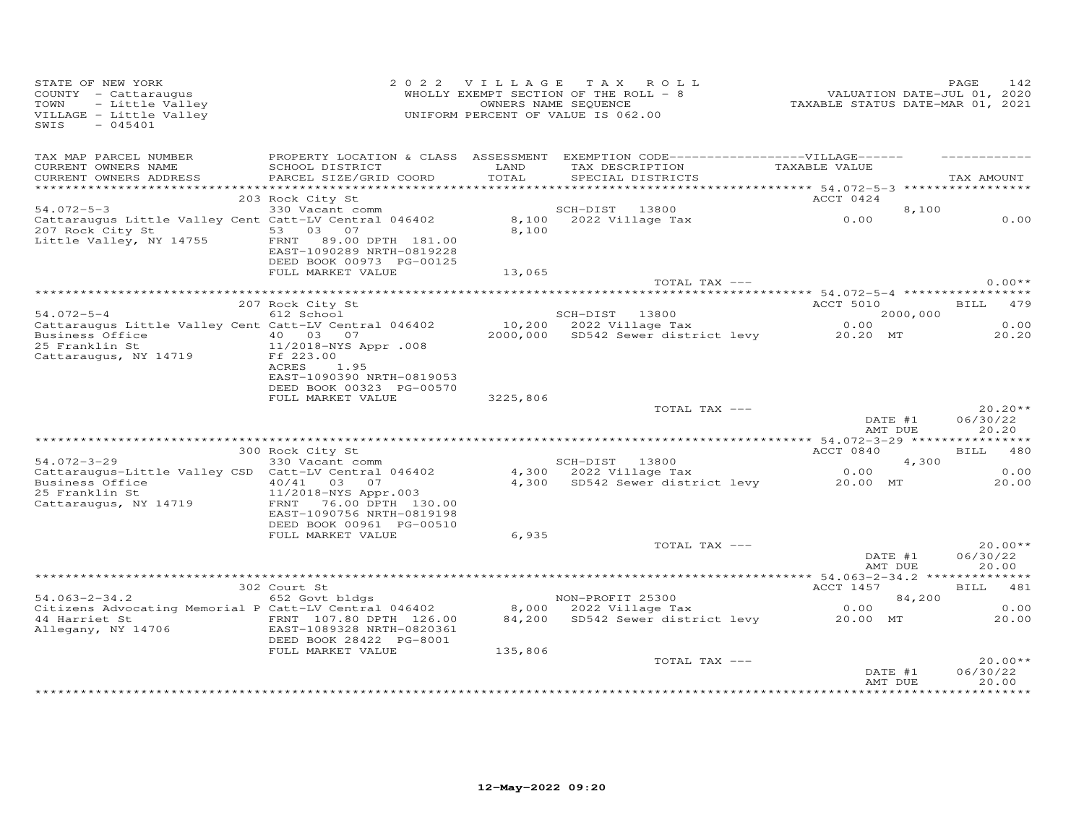| PROPERTY LOCATION & CLASS ASSESSMENT EXEMPTION CODE-----------------VILLAGE------<br>TAX MAP PARCEL NUMBER<br>TAX DESCRIPTION<br>CURRENT OWNERS NAME<br>LAND<br>TOTAL<br>TAXABLE VALUE<br>SCHOOL DISTRICT<br>PARCEL SIZE/GRID COORD<br>CURRENT OWNERS ADDRESS<br>SPECIAL DISTRICTS<br>ACCT 0424<br>203 Rock City St<br>1999 - 1999 - 1999 - 1999 - 1999 - 1999 - 1999 - 1999 - 1999 - 1999 - 1999 - 1999 - 1999 - 1999 - 1999 - 1999<br>Cattaraugus Little Valley Cent Catt-LV Central 046402 - 1999 - 1999 - 1999 - 1999 - 1999 - 1999 - 1999 - 1999<br>20<br>8,100<br>207 Rock City St 53 03 07<br>8,100<br>Little Valley, NY 14755<br>FRNT 89.00 DPTH 181.00<br>EAST-1090289 NRTH-0819228<br>DEED BOOK 00973 PG-00125<br>FULL MARKET VALUE<br>13,065<br>TOTAL TAX ---<br>ACCT 5010 BILL 479<br>207 Rock City St<br>34.072-5-4 612 School SCH-DIST 13800 2000,000<br>Cattaraugus Little Valley Cent Catt-LV Central 046402 10,200 2022 Village Tax 0.00<br>25 Franklin St 10,000 2000,000 5D542 Sewer district levy 20.20 MT<br>Business Office $\begin{array}{cccc} 40 & 03 & 07 \\ 25 & Franklin St & 11/2018-NYS & Appr .008 \end{array}$<br>25 Franklin St<br>11/2018-NYS Appr .008<br>Cattaraugus, NY 14719<br>Ff 223.00<br>ACRES<br>1.95<br>EAST-1090390 NRTH-0819053<br>DEED BOOK 00323 PG-00570<br>3225,806<br>FULL MARKET VALUE<br>DATE #1<br>AT DUE<br>TOTAL TAX ---<br>ACCT 0840<br>300 Rock City St<br>BILL 480<br>Rock City St<br>330 Vacant comm<br>SCH-DIST 13800 4,300<br>4,300 2022 Village Tax 0.00<br>4,300 SD542 Sewer district levy 20.00 MT<br>54.072-3-29<br>4,300<br>34.072-3-29<br>Cattaraugus-Little Valley CSD Catt-LV Central 046402<br>Business Office                         40/41     03     07<br>Business Office<br>25 Franklin St<br>11/2018-NYS Appr.003<br>Cattaraugus, NY 14719<br>FRNT 76.00 DPTH 130.00<br>EAST-1090756 NRTH-0819198<br>DEED BOOK 00961 PG-00510<br>6,935<br>FULL MARKET VALUE<br>TOTAL TAX ---<br>DATE #1<br>AMT DUE<br>20.00<br>ACCT 1457<br>302 Court St<br>NON-PROFIT 25300<br>8,000 2022 Village Tax 0.00<br>84,200 SD542 Sewer district levy 20.00 MT<br>$54.063 - 2 - 34.2$<br>652 Govt bldgs<br>84,200<br>Citizens Advocating Memorial P Catt-LV Central 046402<br>DEED BOOK 28422 PG-8001<br>135,806<br>FULL MARKET VALUE<br>TOTAL TAX ---<br>DATE #1 | C OF NEW YORK<br>"Y - Cattaraugus<br>- Little Valley<br>GE - Little Valley<br>- 045401<br>STATE OF NEW YORK<br>COUNTY - Cattaraugus<br>TOWN<br>VILLAGE - Little Valley<br>SWIS |  | 2022 VILLAGE TAX ROLL<br>WHOLLY EXEMPT SECTION OF THE ROLL - 8<br>OWNERS NAME SEQUENCE<br>UNIFORM PERCENT OF VALUE IS 062.00 | 242<br>142 ,2010 VALUATION DATE-JUL<br>2021 TAXABLE STATUS DATE-MAR | 142<br>PAGE                    |
|--------------------------------------------------------------------------------------------------------------------------------------------------------------------------------------------------------------------------------------------------------------------------------------------------------------------------------------------------------------------------------------------------------------------------------------------------------------------------------------------------------------------------------------------------------------------------------------------------------------------------------------------------------------------------------------------------------------------------------------------------------------------------------------------------------------------------------------------------------------------------------------------------------------------------------------------------------------------------------------------------------------------------------------------------------------------------------------------------------------------------------------------------------------------------------------------------------------------------------------------------------------------------------------------------------------------------------------------------------------------------------------------------------------------------------------------------------------------------------------------------------------------------------------------------------------------------------------------------------------------------------------------------------------------------------------------------------------------------------------------------------------------------------------------------------------------------------------------------------------------------------------------------------------------------------------------------------------------------------------------------------------------------------------------------------------------------------------------------------------------------------------------------------------------------------------------------------------------------------------------------------------------------------------------------------------------------|--------------------------------------------------------------------------------------------------------------------------------------------------------------------------------|--|------------------------------------------------------------------------------------------------------------------------------|---------------------------------------------------------------------|--------------------------------|
|                                                                                                                                                                                                                                                                                                                                                                                                                                                                                                                                                                                                                                                                                                                                                                                                                                                                                                                                                                                                                                                                                                                                                                                                                                                                                                                                                                                                                                                                                                                                                                                                                                                                                                                                                                                                                                                                                                                                                                                                                                                                                                                                                                                                                                                                                                                          |                                                                                                                                                                                |  |                                                                                                                              |                                                                     | TAX AMOUNT                     |
|                                                                                                                                                                                                                                                                                                                                                                                                                                                                                                                                                                                                                                                                                                                                                                                                                                                                                                                                                                                                                                                                                                                                                                                                                                                                                                                                                                                                                                                                                                                                                                                                                                                                                                                                                                                                                                                                                                                                                                                                                                                                                                                                                                                                                                                                                                                          |                                                                                                                                                                                |  |                                                                                                                              |                                                                     |                                |
|                                                                                                                                                                                                                                                                                                                                                                                                                                                                                                                                                                                                                                                                                                                                                                                                                                                                                                                                                                                                                                                                                                                                                                                                                                                                                                                                                                                                                                                                                                                                                                                                                                                                                                                                                                                                                                                                                                                                                                                                                                                                                                                                                                                                                                                                                                                          |                                                                                                                                                                                |  |                                                                                                                              |                                                                     |                                |
|                                                                                                                                                                                                                                                                                                                                                                                                                                                                                                                                                                                                                                                                                                                                                                                                                                                                                                                                                                                                                                                                                                                                                                                                                                                                                                                                                                                                                                                                                                                                                                                                                                                                                                                                                                                                                                                                                                                                                                                                                                                                                                                                                                                                                                                                                                                          |                                                                                                                                                                                |  |                                                                                                                              |                                                                     | 0.00                           |
|                                                                                                                                                                                                                                                                                                                                                                                                                                                                                                                                                                                                                                                                                                                                                                                                                                                                                                                                                                                                                                                                                                                                                                                                                                                                                                                                                                                                                                                                                                                                                                                                                                                                                                                                                                                                                                                                                                                                                                                                                                                                                                                                                                                                                                                                                                                          |                                                                                                                                                                                |  |                                                                                                                              |                                                                     |                                |
|                                                                                                                                                                                                                                                                                                                                                                                                                                                                                                                                                                                                                                                                                                                                                                                                                                                                                                                                                                                                                                                                                                                                                                                                                                                                                                                                                                                                                                                                                                                                                                                                                                                                                                                                                                                                                                                                                                                                                                                                                                                                                                                                                                                                                                                                                                                          |                                                                                                                                                                                |  |                                                                                                                              |                                                                     | $0.00**$                       |
|                                                                                                                                                                                                                                                                                                                                                                                                                                                                                                                                                                                                                                                                                                                                                                                                                                                                                                                                                                                                                                                                                                                                                                                                                                                                                                                                                                                                                                                                                                                                                                                                                                                                                                                                                                                                                                                                                                                                                                                                                                                                                                                                                                                                                                                                                                                          |                                                                                                                                                                                |  |                                                                                                                              |                                                                     |                                |
|                                                                                                                                                                                                                                                                                                                                                                                                                                                                                                                                                                                                                                                                                                                                                                                                                                                                                                                                                                                                                                                                                                                                                                                                                                                                                                                                                                                                                                                                                                                                                                                                                                                                                                                                                                                                                                                                                                                                                                                                                                                                                                                                                                                                                                                                                                                          |                                                                                                                                                                                |  |                                                                                                                              |                                                                     |                                |
|                                                                                                                                                                                                                                                                                                                                                                                                                                                                                                                                                                                                                                                                                                                                                                                                                                                                                                                                                                                                                                                                                                                                                                                                                                                                                                                                                                                                                                                                                                                                                                                                                                                                                                                                                                                                                                                                                                                                                                                                                                                                                                                                                                                                                                                                                                                          |                                                                                                                                                                                |  |                                                                                                                              |                                                                     | 0.00                           |
|                                                                                                                                                                                                                                                                                                                                                                                                                                                                                                                                                                                                                                                                                                                                                                                                                                                                                                                                                                                                                                                                                                                                                                                                                                                                                                                                                                                                                                                                                                                                                                                                                                                                                                                                                                                                                                                                                                                                                                                                                                                                                                                                                                                                                                                                                                                          |                                                                                                                                                                                |  |                                                                                                                              |                                                                     | 20.20                          |
|                                                                                                                                                                                                                                                                                                                                                                                                                                                                                                                                                                                                                                                                                                                                                                                                                                                                                                                                                                                                                                                                                                                                                                                                                                                                                                                                                                                                                                                                                                                                                                                                                                                                                                                                                                                                                                                                                                                                                                                                                                                                                                                                                                                                                                                                                                                          |                                                                                                                                                                                |  |                                                                                                                              |                                                                     |                                |
|                                                                                                                                                                                                                                                                                                                                                                                                                                                                                                                                                                                                                                                                                                                                                                                                                                                                                                                                                                                                                                                                                                                                                                                                                                                                                                                                                                                                                                                                                                                                                                                                                                                                                                                                                                                                                                                                                                                                                                                                                                                                                                                                                                                                                                                                                                                          |                                                                                                                                                                                |  |                                                                                                                              |                                                                     | $20.20**$<br>06/30/22<br>20.20 |
|                                                                                                                                                                                                                                                                                                                                                                                                                                                                                                                                                                                                                                                                                                                                                                                                                                                                                                                                                                                                                                                                                                                                                                                                                                                                                                                                                                                                                                                                                                                                                                                                                                                                                                                                                                                                                                                                                                                                                                                                                                                                                                                                                                                                                                                                                                                          |                                                                                                                                                                                |  |                                                                                                                              |                                                                     |                                |
|                                                                                                                                                                                                                                                                                                                                                                                                                                                                                                                                                                                                                                                                                                                                                                                                                                                                                                                                                                                                                                                                                                                                                                                                                                                                                                                                                                                                                                                                                                                                                                                                                                                                                                                                                                                                                                                                                                                                                                                                                                                                                                                                                                                                                                                                                                                          |                                                                                                                                                                                |  |                                                                                                                              |                                                                     |                                |
|                                                                                                                                                                                                                                                                                                                                                                                                                                                                                                                                                                                                                                                                                                                                                                                                                                                                                                                                                                                                                                                                                                                                                                                                                                                                                                                                                                                                                                                                                                                                                                                                                                                                                                                                                                                                                                                                                                                                                                                                                                                                                                                                                                                                                                                                                                                          |                                                                                                                                                                                |  |                                                                                                                              |                                                                     | 0.00                           |
|                                                                                                                                                                                                                                                                                                                                                                                                                                                                                                                                                                                                                                                                                                                                                                                                                                                                                                                                                                                                                                                                                                                                                                                                                                                                                                                                                                                                                                                                                                                                                                                                                                                                                                                                                                                                                                                                                                                                                                                                                                                                                                                                                                                                                                                                                                                          |                                                                                                                                                                                |  |                                                                                                                              |                                                                     | 20.00                          |
|                                                                                                                                                                                                                                                                                                                                                                                                                                                                                                                                                                                                                                                                                                                                                                                                                                                                                                                                                                                                                                                                                                                                                                                                                                                                                                                                                                                                                                                                                                                                                                                                                                                                                                                                                                                                                                                                                                                                                                                                                                                                                                                                                                                                                                                                                                                          |                                                                                                                                                                                |  |                                                                                                                              |                                                                     |                                |
|                                                                                                                                                                                                                                                                                                                                                                                                                                                                                                                                                                                                                                                                                                                                                                                                                                                                                                                                                                                                                                                                                                                                                                                                                                                                                                                                                                                                                                                                                                                                                                                                                                                                                                                                                                                                                                                                                                                                                                                                                                                                                                                                                                                                                                                                                                                          |                                                                                                                                                                                |  |                                                                                                                              |                                                                     | $20.00**$<br>06/30/22          |
|                                                                                                                                                                                                                                                                                                                                                                                                                                                                                                                                                                                                                                                                                                                                                                                                                                                                                                                                                                                                                                                                                                                                                                                                                                                                                                                                                                                                                                                                                                                                                                                                                                                                                                                                                                                                                                                                                                                                                                                                                                                                                                                                                                                                                                                                                                                          |                                                                                                                                                                                |  |                                                                                                                              |                                                                     |                                |
|                                                                                                                                                                                                                                                                                                                                                                                                                                                                                                                                                                                                                                                                                                                                                                                                                                                                                                                                                                                                                                                                                                                                                                                                                                                                                                                                                                                                                                                                                                                                                                                                                                                                                                                                                                                                                                                                                                                                                                                                                                                                                                                                                                                                                                                                                                                          |                                                                                                                                                                                |  |                                                                                                                              |                                                                     | BILL 481                       |
|                                                                                                                                                                                                                                                                                                                                                                                                                                                                                                                                                                                                                                                                                                                                                                                                                                                                                                                                                                                                                                                                                                                                                                                                                                                                                                                                                                                                                                                                                                                                                                                                                                                                                                                                                                                                                                                                                                                                                                                                                                                                                                                                                                                                                                                                                                                          |                                                                                                                                                                                |  |                                                                                                                              |                                                                     |                                |
|                                                                                                                                                                                                                                                                                                                                                                                                                                                                                                                                                                                                                                                                                                                                                                                                                                                                                                                                                                                                                                                                                                                                                                                                                                                                                                                                                                                                                                                                                                                                                                                                                                                                                                                                                                                                                                                                                                                                                                                                                                                                                                                                                                                                                                                                                                                          |                                                                                                                                                                                |  |                                                                                                                              |                                                                     | 0.00<br>20.00                  |
|                                                                                                                                                                                                                                                                                                                                                                                                                                                                                                                                                                                                                                                                                                                                                                                                                                                                                                                                                                                                                                                                                                                                                                                                                                                                                                                                                                                                                                                                                                                                                                                                                                                                                                                                                                                                                                                                                                                                                                                                                                                                                                                                                                                                                                                                                                                          |                                                                                                                                                                                |  |                                                                                                                              |                                                                     |                                |
| AMT DUE                                                                                                                                                                                                                                                                                                                                                                                                                                                                                                                                                                                                                                                                                                                                                                                                                                                                                                                                                                                                                                                                                                                                                                                                                                                                                                                                                                                                                                                                                                                                                                                                                                                                                                                                                                                                                                                                                                                                                                                                                                                                                                                                                                                                                                                                                                                  |                                                                                                                                                                                |  |                                                                                                                              |                                                                     | $20.00**$<br>06/30/22<br>20.00 |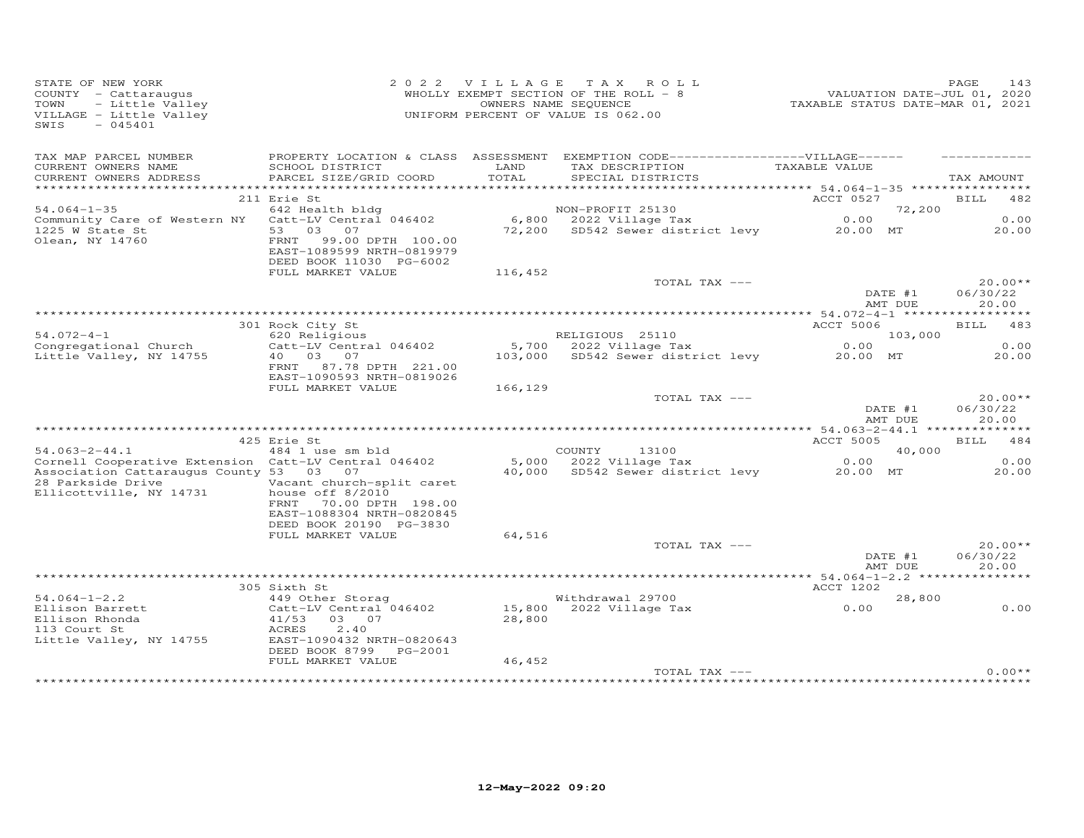| STATE OF NEW YORK<br>COUNTY - Cattaraugus<br>- Little Valley<br>TOWN<br>VILLAGE - Little Valley<br>SWIS<br>$-045401$                            |                                                                                               |                 | 2022 VILLAGE TAX ROLL<br>WHOLLY EXEMPT SECTION OF THE ROLL - 8<br>OWNERS NAME SEQUENCE<br>UNIFORM PERCENT OF VALUE IS 062.00 | VALUATION DATE-JUL 01, 2020<br>TAXABLE STATUS DATE-MAR 01, 2021 | PAGE<br>143                    |
|-------------------------------------------------------------------------------------------------------------------------------------------------|-----------------------------------------------------------------------------------------------|-----------------|------------------------------------------------------------------------------------------------------------------------------|-----------------------------------------------------------------|--------------------------------|
| TAX MAP PARCEL NUMBER                                                                                                                           | PROPERTY LOCATION & CLASS ASSESSMENT                                                          |                 | EXEMPTION CODE------------------VILLAGE------                                                                                |                                                                 |                                |
| CURRENT OWNERS NAME<br>CURRENT OWNERS ADDRESS                                                                                                   | SCHOOL DISTRICT<br>PARCEL SIZE/GRID COORD                                                     | LAND<br>TOTAL   | TAX DESCRIPTION<br>SPECIAL DISTRICTS                                                                                         | TAXABLE VALUE                                                   | TAX AMOUNT                     |
|                                                                                                                                                 |                                                                                               |                 |                                                                                                                              |                                                                 |                                |
|                                                                                                                                                 | 211 Erie St                                                                                   |                 |                                                                                                                              | ACCT 0527                                                       | BILL 482                       |
| $54.064 - 1 - 35$                                                                                                                               | 642 Health bldg                                                                               |                 | NON-PROFIT 25130                                                                                                             | 72,200                                                          |                                |
| Community Care of Western NY                                                                                                                    | Catt-LV Central 046402                                                                        |                 | $6,800$ 2022 Village Tax                                                                                                     | 0.00                                                            | 0.00                           |
| 1225 W State St<br>Olean, NY 14760                                                                                                              | 53 03 07<br>99.00 DPTH 100.00<br>FRNT<br>EAST-1089599 NRTH-0819979<br>DEED BOOK 11030 PG-6002 |                 | 72,200 SD542 Sewer district levy 20.00 MT                                                                                    |                                                                 | 20.00                          |
|                                                                                                                                                 | FULL MARKET VALUE                                                                             | 116,452         |                                                                                                                              |                                                                 |                                |
|                                                                                                                                                 |                                                                                               |                 | TOTAL TAX ---                                                                                                                | DATE #1<br>AMT DUE                                              | $20.00**$<br>06/30/22<br>20.00 |
|                                                                                                                                                 |                                                                                               |                 |                                                                                                                              |                                                                 |                                |
| $54.072 - 4 - 1$                                                                                                                                | 301 Rock City St                                                                              |                 |                                                                                                                              | ACCT 5006                                                       | BILL 483                       |
| Congregational Church                                                                                                                           | 620 Religious<br>Catt-LV Central 046402                                                       |                 | RELIGIOUS 25110<br>5,700 2022 Village Tax                                                                                    | 103,000<br>0.00                                                 | 0.00                           |
| Little Valley, NY 14755                                                                                                                         | 40  03  07<br>FRNT 87.78 DPTH 221.00<br>EAST-1090593 NRTH-0819026                             | 103,000         | SD542 Sewer district levy                                                                                                    | 20.00 MT                                                        | 20.00                          |
|                                                                                                                                                 | FULL MARKET VALUE                                                                             | 166,129         |                                                                                                                              |                                                                 |                                |
|                                                                                                                                                 |                                                                                               |                 | TOTAL TAX ---                                                                                                                | DATE #1<br>AMT DUE                                              | $20.00**$<br>06/30/22<br>20.00 |
|                                                                                                                                                 |                                                                                               |                 |                                                                                                                              |                                                                 |                                |
|                                                                                                                                                 | 425 Erie St                                                                                   |                 |                                                                                                                              | ACCT 5005                                                       | BILL 484                       |
| $54.063 - 2 - 44.1$                                                                                                                             | 484 1 use sm bld                                                                              |                 | COUNTY<br>13100                                                                                                              | 40,000                                                          | 0.00                           |
| Cornell Cooperative Extension Catt-LV Central 046402<br>Association Cattaraugus County 53 03 07<br>28 Parkside Drive<br>Ellicottville, NY 14731 | Vacant church-split caret<br>house off 8/2010<br>FRNT 70.00 DPTH 198.00                       | 5,000<br>40,000 | 2022 Village Tax<br>SD542 Sewer district levy                                                                                | 0.00<br>20.00 MT                                                | 20.00                          |
|                                                                                                                                                 | EAST-1088304 NRTH-0820845<br>DEED BOOK 20190 PG-3830<br>FULL MARKET VALUE                     | 64,516          |                                                                                                                              |                                                                 |                                |
|                                                                                                                                                 |                                                                                               |                 | TOTAL TAX ---                                                                                                                | DATE #1<br>AMT DUE                                              | $20.00**$<br>06/30/22<br>20.00 |
|                                                                                                                                                 |                                                                                               |                 |                                                                                                                              |                                                                 |                                |
|                                                                                                                                                 | 305 Sixth St                                                                                  |                 |                                                                                                                              | ACCT 1202                                                       |                                |
| $54.064 - 1 - 2.2$                                                                                                                              | 449 Other Storag                                                                              |                 | Withdrawal 29700                                                                                                             | 28,800                                                          |                                |
| Ellison Barrett<br>Ellison Rhonda<br>113 Court St<br>Little Valley, NY 14755                                                                    | Catt-LV Central 046402<br>41/53<br>03 07<br>2.40<br>ACRES<br>EAST-1090432 NRTH-0820643        | 28,800          | 15,800 2022 Village Tax                                                                                                      | 0.00                                                            | 0.00                           |
|                                                                                                                                                 | DEED BOOK 8799 PG-2001                                                                        |                 |                                                                                                                              |                                                                 |                                |
|                                                                                                                                                 | FULL MARKET VALUE                                                                             | 46,452          |                                                                                                                              |                                                                 |                                |
|                                                                                                                                                 |                                                                                               |                 | TOTAL TAX ---                                                                                                                |                                                                 | $0.00**$                       |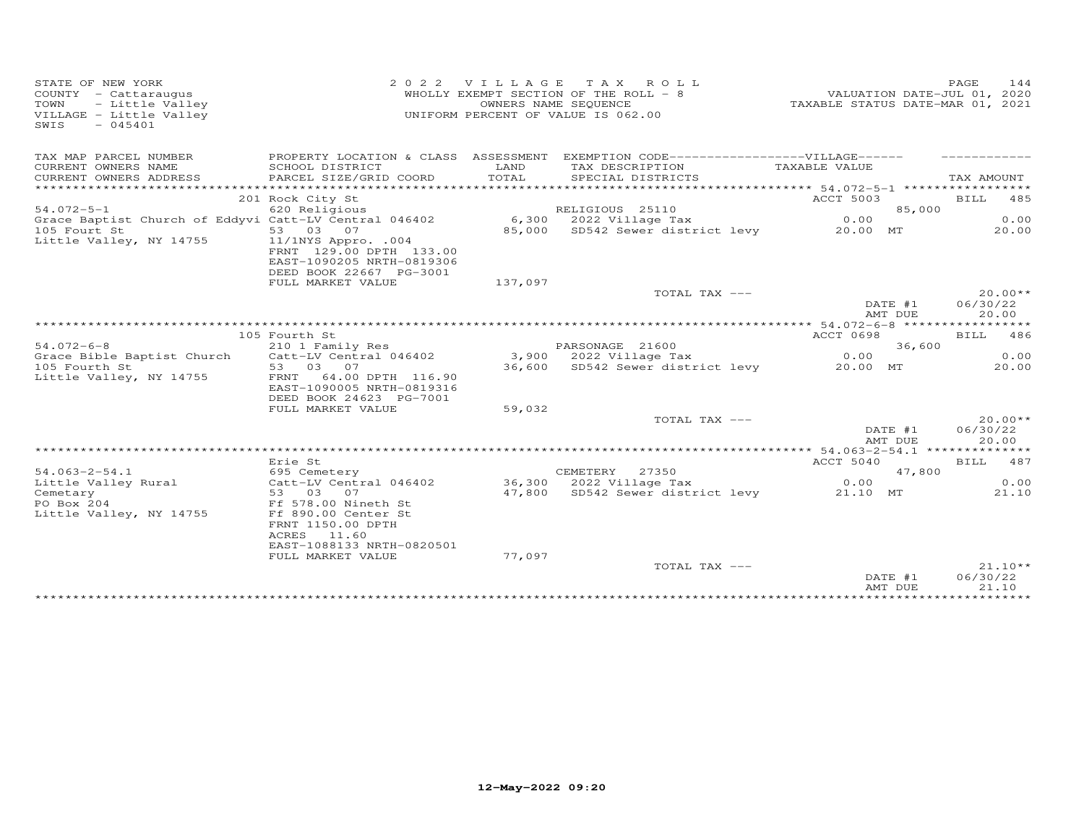| STATE OF NEW YORK<br>$COUNTY - Cattarauqus$<br>- Little Valley<br>TOWN<br>VILLAGE - Little Valley<br>SWIS<br>$-045401$ | 2 0 2 2                                                                                                                       |               | VILLAGE TAX ROLL<br>WHOLLY EXEMPT SECTION OF THE ROLL - 8<br>OWNERS NAME SEQUENCE<br>UNIFORM PERCENT OF VALUE IS 062.00 | VALUATION DATE-JUL 01, 2020<br>TAXABLE STATUS DATE-MAR 01, 2021 | PAGE<br>144                    |
|------------------------------------------------------------------------------------------------------------------------|-------------------------------------------------------------------------------------------------------------------------------|---------------|-------------------------------------------------------------------------------------------------------------------------|-----------------------------------------------------------------|--------------------------------|
| TAX MAP PARCEL NUMBER                                                                                                  |                                                                                                                               |               | PROPERTY LOCATION & CLASS ASSESSMENT EXEMPTION CODE------------------VILLAGE------                                      |                                                                 |                                |
| CURRENT OWNERS NAME<br>CURRENT OWNERS ADDRESS<br>************************                                              | SCHOOL DISTRICT<br>PARCEL SIZE/GRID COORD                                                                                     | LAND<br>TOTAL | TAX DESCRIPTION<br>SPECIAL DISTRICTS                                                                                    | TAXABLE VALUE                                                   | TAX AMOUNT                     |
|                                                                                                                        | 201 Rock City St                                                                                                              |               |                                                                                                                         | ACCT 5003                                                       | BILL 485                       |
| $54.072 - 5 - 1$                                                                                                       | 620 Religious                                                                                                                 |               | RELIGIOUS 25110                                                                                                         | 85,000                                                          |                                |
| Grace Baptist Church of Eddyvi Catt-LV Central 046402                                                                  |                                                                                                                               |               | $6,300$ 2022 Village Tax                                                                                                | 0.00                                                            | 0.00                           |
| 105 Fourt St<br>Little Valley, NY 14755                                                                                | 53 03 07<br>$11/1$ NYS Appro. .004<br>FRNT 129.00 DPTH 133.00<br>EAST-1090205 NRTH-0819306<br>DEED BOOK 22667 PG-3001         |               | 85,000 SD542 Sewer district levy                                                                                        | 20.00 MT                                                        | 20.00                          |
|                                                                                                                        | FULL MARKET VALUE                                                                                                             | 137,097       |                                                                                                                         |                                                                 |                                |
|                                                                                                                        |                                                                                                                               |               | TOTAL TAX ---                                                                                                           | DATE #1<br>AMT DUE                                              | $20.00**$<br>06/30/22<br>20.00 |
|                                                                                                                        |                                                                                                                               |               |                                                                                                                         |                                                                 |                                |
|                                                                                                                        | 105 Fourth St                                                                                                                 |               |                                                                                                                         | ACCT 0698                                                       | BILL 486                       |
| $54.072 - 6 - 8$                                                                                                       | 210 1 Family Res                                                                                                              |               | PARSONAGE 21600                                                                                                         | 36,600                                                          | 0.00                           |
| Grace Bible Baptist Church<br>105 Fourth St                                                                            | Catt-LV Central 046402<br>53 03 07                                                                                            |               | 3,900 2022 Village Tax<br>36,600 SD542 Sewer district levy                                                              | 0.00<br>20.00 MT                                                | 20.00                          |
| Little Valley, NY 14755                                                                                                | FRNT 64.00 DPTH 116.90<br>EAST-1090005 NRTH-0819316<br>DEED BOOK 24623 PG-7001<br>FULL MARKET VALUE                           | 59,032        |                                                                                                                         |                                                                 |                                |
|                                                                                                                        |                                                                                                                               |               | TOTAL TAX ---                                                                                                           |                                                                 | $20.00**$                      |
|                                                                                                                        |                                                                                                                               |               |                                                                                                                         | DATE #1<br>AMT DUE                                              | 06/30/22<br>20.00              |
|                                                                                                                        | Erie St                                                                                                                       |               |                                                                                                                         | ACCT 5040                                                       | BILL 487                       |
| $54.063 - 2 - 54.1$                                                                                                    | 695 Cemetery                                                                                                                  |               | CEMETERY<br>27350                                                                                                       | 47,800                                                          |                                |
| Little Valley Rural                                                                                                    | Catt-LV Central 046402                                                                                                        |               | 36,300 2022 Village Tax                                                                                                 | 0.00                                                            | 0.00                           |
| Cemetary<br>PO Box 204<br>Little Valley, NY 14755                                                                      | 53 03<br>07<br>Ff 578.00 Nineth St<br>Ff 890.00 Center St<br>FRNT 1150.00 DPTH<br>ACRES<br>11.60<br>EAST-1088133 NRTH-0820501 |               | 47,800 SD542 Sewer district levy                                                                                        | 21.10 MT                                                        | 21.10                          |
|                                                                                                                        | FULL MARKET VALUE                                                                                                             | 77,097        |                                                                                                                         |                                                                 |                                |
|                                                                                                                        |                                                                                                                               |               | TOTAL TAX ---                                                                                                           | DATE #1<br>AMT DUE                                              | $21.10**$<br>06/30/22<br>21.10 |
|                                                                                                                        |                                                                                                                               |               |                                                                                                                         |                                                                 |                                |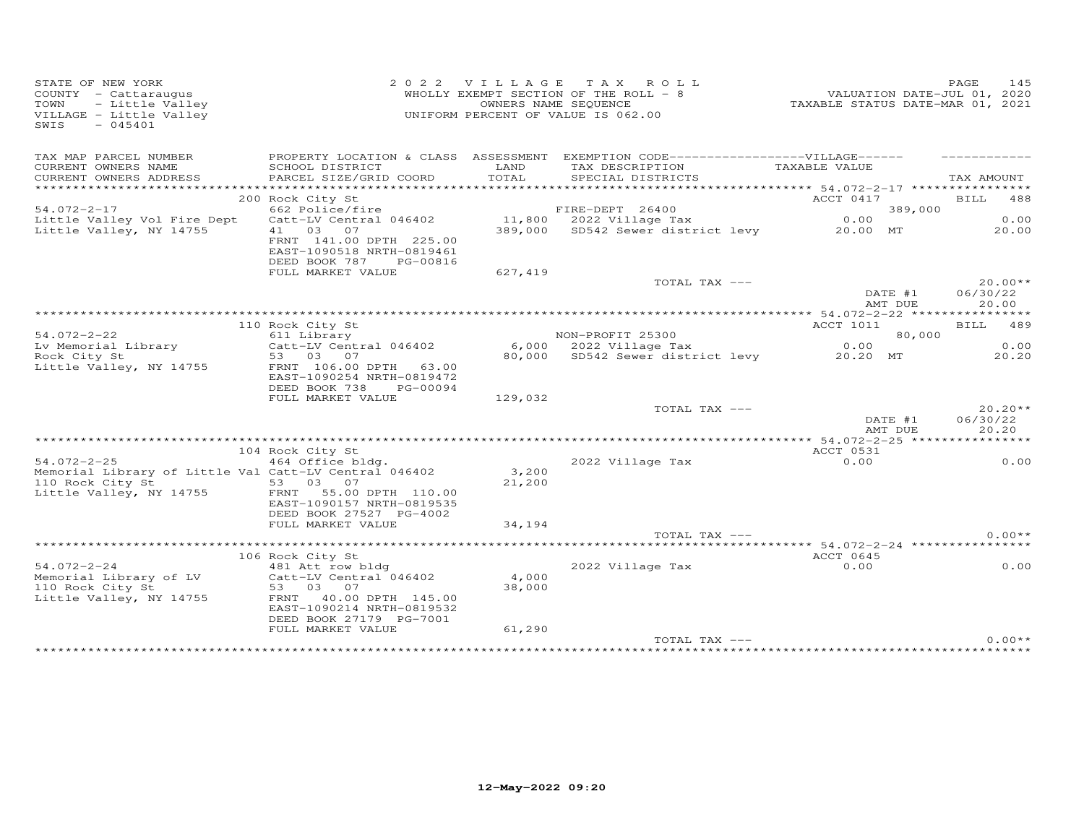| STATE OF NEW YORK<br>2 0 2 2<br>COUNTY - Cattaraugus<br>- Little Valley<br>TOWN<br>VILLAGE - Little Valley<br>$-045401$<br>SWIS |                                                                                                                                                                 | OWNERS NAME SEQUENCE | VILLAGE TAX ROLL<br>WHOLLY EXEMPT SECTION OF THE ROLL - 8<br>UNIFORM PERCENT OF VALUE IS 062.00 |                    | 145<br>PAGE<br>VALUATION DATE-JUL 01, 2020<br>TAXABLE STATUS DATE-MAR 01, 2021 |  |  |
|---------------------------------------------------------------------------------------------------------------------------------|-----------------------------------------------------------------------------------------------------------------------------------------------------------------|----------------------|-------------------------------------------------------------------------------------------------|--------------------|--------------------------------------------------------------------------------|--|--|
| TAX MAP PARCEL NUMBER<br>CURRENT OWNERS NAME<br>CURRENT OWNERS ADDRESS                                                          | PROPERTY LOCATION & CLASS ASSESSMENT EXEMPTION CODE------------------VILLAGE------<br>SCHOOL DISTRICT<br>PARCEL SIZE/GRID COORD                                 | LAND<br>TOTAL        | TAX DESCRIPTION<br>SPECIAL DISTRICTS                                                            | TAXABLE VALUE      | TAX AMOUNT                                                                     |  |  |
|                                                                                                                                 |                                                                                                                                                                 |                      |                                                                                                 |                    |                                                                                |  |  |
|                                                                                                                                 | 200 Rock City St                                                                                                                                                |                      |                                                                                                 | ACCT 0417          | BILL 488                                                                       |  |  |
| $54.072 - 2 - 17$                                                                                                               | 662 Police/fire                                                                                                                                                 |                      | FIRE-DEPT 26400                                                                                 | 389,000            |                                                                                |  |  |
| Little Valley Vol Fire Dept<br>Little Valley, NY 14755                                                                          | Catt-LV Central 046402<br>41 03 07<br>FRNT 141.00 DPTH 225.00<br>EAST-1090518 NRTH-0819461<br>DEED BOOK 787<br>PG-00816                                         |                      | 11,800 2022 Village Tax<br>389,000 SD542 Sewer district levy 20.00 MT                           | 0.00               | 0.00<br>20.00                                                                  |  |  |
|                                                                                                                                 | FULL MARKET VALUE                                                                                                                                               | 627,419              |                                                                                                 |                    |                                                                                |  |  |
|                                                                                                                                 |                                                                                                                                                                 |                      | TOTAL TAX ---                                                                                   |                    | $20.00**$                                                                      |  |  |
|                                                                                                                                 |                                                                                                                                                                 |                      |                                                                                                 | DATE #1<br>AMT DUE | 06/30/22<br>20.00                                                              |  |  |
|                                                                                                                                 |                                                                                                                                                                 |                      |                                                                                                 |                    |                                                                                |  |  |
|                                                                                                                                 | 110 Rock City St                                                                                                                                                |                      |                                                                                                 | ACCT 1011          | <b>BILL</b><br>489                                                             |  |  |
| $54.072 - 2 - 22$<br>Lv Memorial Library                                                                                        | 611 Library<br>Catt-LV Central 046402                                                                                                                           |                      | NON-PROFIT 25300<br>6,000 2022 Village Tax                                                      | 80,000<br>0.00     | 0.00                                                                           |  |  |
| Rock City St                                                                                                                    | 53 03 07                                                                                                                                                        |                      | 80,000 SD542 Sewer district levy                                                                | 20.20 MT           | 20.20                                                                          |  |  |
| Little Valley, NY 14755                                                                                                         | FRNT 106.00 DPTH 63.00<br>EAST-1090254 NRTH-0819472<br>DEED BOOK 738<br>PG-00094                                                                                |                      |                                                                                                 |                    |                                                                                |  |  |
|                                                                                                                                 | FULL MARKET VALUE                                                                                                                                               | 129,032              | TOTAL TAX ---                                                                                   |                    | $20.20**$                                                                      |  |  |
|                                                                                                                                 |                                                                                                                                                                 |                      |                                                                                                 | DATE #1<br>AMT DUE | 06/30/22<br>20.20                                                              |  |  |
|                                                                                                                                 |                                                                                                                                                                 |                      |                                                                                                 |                    |                                                                                |  |  |
| $54.072 - 2 - 25$                                                                                                               | 104 Rock City St                                                                                                                                                |                      |                                                                                                 | ACCT 0531          | 0.00                                                                           |  |  |
| Memorial Library of Little Val Catt-LV Central 046402<br>110 Rock City St<br>Little Valley, NY 14755                            | 464 Office bldg.<br>53 03 07<br>FRNT 55.00 DPTH 110.00<br>EAST-1090157 NRTH-0819535                                                                             | 3,200<br>21,200      | 2022 Village Tax                                                                                | 0.00               |                                                                                |  |  |
|                                                                                                                                 | DEED BOOK 27527 PG-4002<br>FULL MARKET VALUE                                                                                                                    | 34,194               |                                                                                                 |                    |                                                                                |  |  |
|                                                                                                                                 |                                                                                                                                                                 |                      | TOTAL TAX ---                                                                                   |                    | $0.00**$                                                                       |  |  |
|                                                                                                                                 |                                                                                                                                                                 |                      |                                                                                                 |                    |                                                                                |  |  |
| $54.072 - 2 - 24$<br>Memorial Library of LV<br>110 Rock City St<br>Little Valley, NY 14755                                      | 106 Rock City St<br>481 Att row bldg<br>Catt-LV Central 046402<br>53 03<br>07<br>FRNT 40.00 DPTH 145.00<br>EAST-1090214 NRTH-0819532<br>DEED BOOK 27179 PG-7001 | 4,000<br>38,000      | 2022 Village Tax                                                                                | ACCT 0645<br>0.00  | 0.00                                                                           |  |  |
|                                                                                                                                 | FULL MARKET VALUE                                                                                                                                               | 61,290               |                                                                                                 |                    |                                                                                |  |  |
|                                                                                                                                 |                                                                                                                                                                 |                      | TOTAL TAX ---                                                                                   |                    | $0.00**$                                                                       |  |  |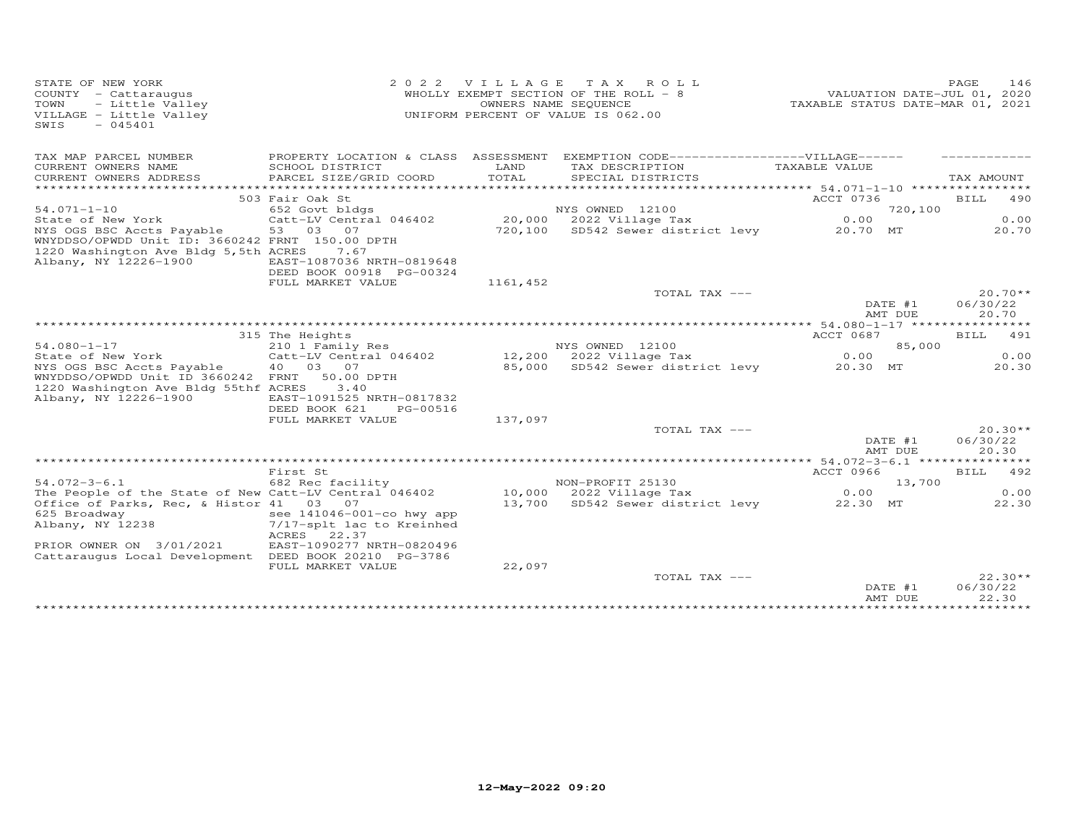| STATE OF NEW YORK<br>COUNTY - Cattaraugus<br>- Little Valley<br>TOWN<br>VILLAGE - Little Valley<br>SWIS<br>$-045401$ | 2 0 2 2                                                |               | VILLAGE TAX ROLL<br>WHOLLY EXEMPT SECTION OF THE ROLL - 8<br>OWNERS NAME SEQUENCE<br>UNIFORM PERCENT OF VALUE IS 062.00 | VALUATION DATE-JUL 01, 2020<br>TAXABLE STATUS DATE-MAR 01, 2021 | PAGE                           | 146   |
|----------------------------------------------------------------------------------------------------------------------|--------------------------------------------------------|---------------|-------------------------------------------------------------------------------------------------------------------------|-----------------------------------------------------------------|--------------------------------|-------|
| TAX MAP PARCEL NUMBER                                                                                                |                                                        |               | PROPERTY LOCATION & CLASS ASSESSMENT EXEMPTION CODE-----------------VILLAGE------                                       |                                                                 |                                |       |
| CURRENT OWNERS NAME<br>CURRENT OWNERS ADDRESS<br>**********************                                              | SCHOOL DISTRICT<br>PARCEL SIZE/GRID COORD              | LAND<br>TOTAL | TAX DESCRIPTION<br>SPECIAL DISTRICTS                                                                                    | TAXABLE VALUE                                                   | TAX AMOUNT                     |       |
|                                                                                                                      | 503 Fair Oak St                                        |               |                                                                                                                         | ACCT 0736                                                       | <b>BILL</b> 490                |       |
| $54.071 - 1 - 10$                                                                                                    | 652 Govt bldgs                                         |               | NYS OWNED 12100                                                                                                         |                                                                 | 720,100                        |       |
| State of New York                                                                                                    | Catt-LV Central 046402                                 |               | 20,000 2022 Village Tax                                                                                                 | 0.00                                                            | 0.00                           |       |
| NYS OGS BSC Accts Payable 53 03 07                                                                                   |                                                        |               | 720,100 SD542 Sewer district levy 20.70 MT                                                                              |                                                                 | 20.70                          |       |
| WNYDDSO/OPWDD Unit ID: 3660242 FRNT 150.00 DPTH<br>1220 Washington Ave Bldg 5, 5th ACRES                             | 7.67                                                   |               |                                                                                                                         |                                                                 |                                |       |
| Albany, NY 12226-1900                                                                                                | EAST-1087036 NRTH-0819648                              |               |                                                                                                                         |                                                                 |                                |       |
|                                                                                                                      | DEED BOOK 00918 PG-00324                               |               |                                                                                                                         |                                                                 |                                |       |
|                                                                                                                      | FULL MARKET VALUE                                      | 1161,452      |                                                                                                                         |                                                                 |                                |       |
|                                                                                                                      |                                                        |               | TOTAL TAX ---                                                                                                           | DATE #1<br>AMT DUE                                              | $20.70**$<br>06/30/22<br>20.70 |       |
|                                                                                                                      |                                                        |               |                                                                                                                         |                                                                 | *********                      |       |
|                                                                                                                      | 315 The Heights                                        |               |                                                                                                                         | ACCT 0687                                                       | BILL 491                       |       |
| $54.080 - 1 - 17$                                                                                                    | 210 1 Family Res                                       |               | NYS OWNED 12100                                                                                                         |                                                                 | 85,000                         |       |
| State of New York                                                                                                    | Catt-LV Central 046402                                 |               | NIS OWNED 12100<br>12,200 2022 Village Tax                                                                              | 0.00                                                            | 0.00                           |       |
| NYS OGS BSC Accts Payable<br>WNYDDSO/OPWDD Unit ID 3660242 FRNT                                                      | 40  03  07<br>50.00 DPTH                               |               | 85,000 SD542 Sewer district levy 20.30 MT                                                                               |                                                                 | 20.30                          |       |
| 1220 Washington Ave Bldg 55thf ACRES                                                                                 | 3.40                                                   |               |                                                                                                                         |                                                                 |                                |       |
| Albany, NY 12226-1900                                                                                                | EAST-1091525 NRTH-0817832                              |               |                                                                                                                         |                                                                 |                                |       |
|                                                                                                                      | DEED BOOK 621<br>PG-00516                              |               |                                                                                                                         |                                                                 |                                |       |
|                                                                                                                      | FULL MARKET VALUE                                      | 137,097       |                                                                                                                         |                                                                 |                                |       |
|                                                                                                                      |                                                        |               | TOTAL TAX ---                                                                                                           |                                                                 | $20.30**$                      |       |
|                                                                                                                      |                                                        |               |                                                                                                                         | DATE #1<br>AMT DUE                                              | 06/30/22<br>20.30              |       |
|                                                                                                                      |                                                        |               |                                                                                                                         |                                                                 |                                |       |
|                                                                                                                      | First St                                               |               |                                                                                                                         | ACCT 0966                                                       | BILL 492                       |       |
| $54.072 - 3 - 6.1$                                                                                                   | 682 Rec facility                                       |               | NON-PROFIT 25130<br>10,000 2022 Village Tax                                                                             |                                                                 | 13,700                         |       |
| The People of the State of New Catt-LV Central 046402                                                                |                                                        |               |                                                                                                                         | 0.00                                                            | 0.00                           |       |
| Office of Parks, Rec, & Histor 41 03 07                                                                              |                                                        |               | 13,700 SD542 Sewer district levy 22.30 MT                                                                               |                                                                 |                                | 22.30 |
| 625 Broadway<br>Albany, NY 12238                                                                                     | see 141046-001-co hwy app<br>7/17-splt lac to Kreinhed |               |                                                                                                                         |                                                                 |                                |       |
|                                                                                                                      | ACRES 22.37                                            |               |                                                                                                                         |                                                                 |                                |       |
| PRIOR OWNER ON 3/01/2021                                                                                             | EAST-1090277 NRTH-0820496                              |               |                                                                                                                         |                                                                 |                                |       |
| Cattarauqus Local Development DEED BOOK 20210 PG-3786                                                                |                                                        |               |                                                                                                                         |                                                                 |                                |       |
|                                                                                                                      | FULL MARKET VALUE                                      | 22,097        |                                                                                                                         |                                                                 |                                |       |
|                                                                                                                      |                                                        |               | TOTAL TAX ---                                                                                                           | DATE #1                                                         | $22.30**$<br>06/30/22          |       |
|                                                                                                                      |                                                        |               |                                                                                                                         | AMT DUE                                                         | 22.30                          |       |
|                                                                                                                      |                                                        |               |                                                                                                                         |                                                                 |                                |       |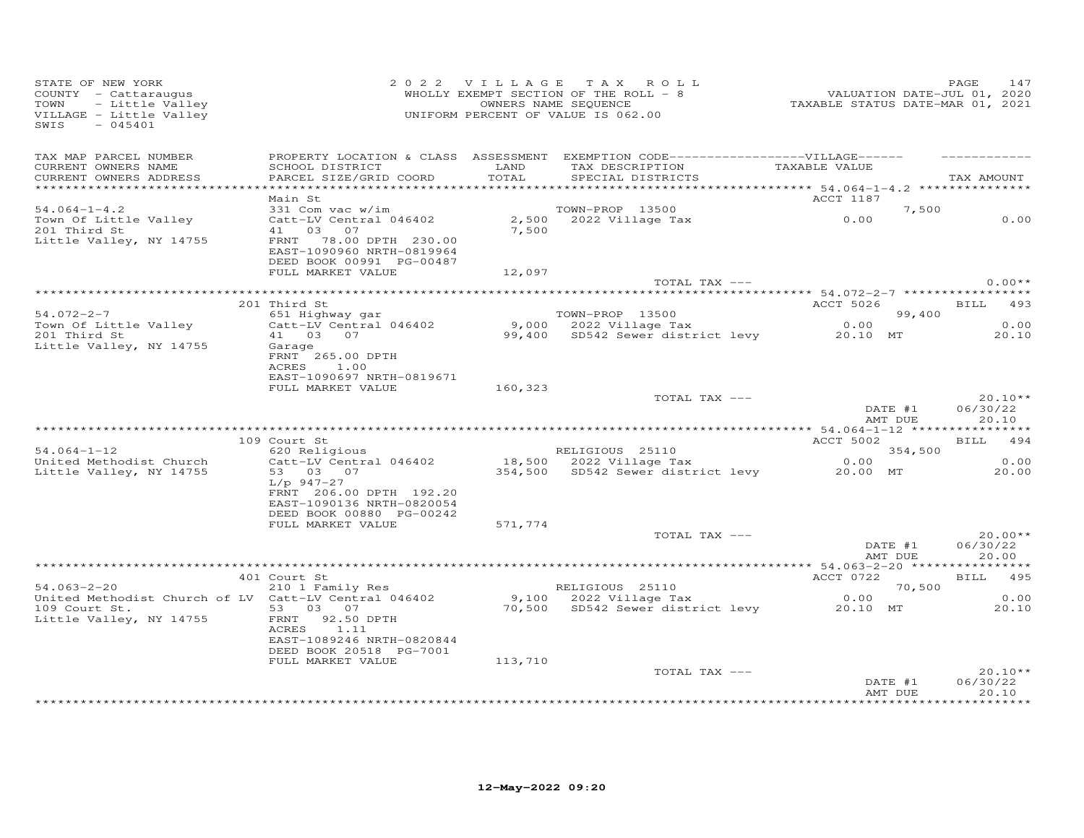| STATE OF NEW YORK<br>COUNTY - Cattaraugus<br>TOWN<br>- Little Valley<br>VILLAGE - Little Valley<br>$-045401$<br>SWIS | 2 0 2 2 V I L L A G E T A X R O L<br>WHOLLY EXEMPT SECTION OF THE ROLL - 8<br>OWNERS NAME SEQUENCE<br>UNIFORM PERCENT OF VALUE IS 062.00 |         | 2022 VILLAGE TAX ROLL<br>WHOLLY EXEMPT SECTION OF THE ROLL - 8                                                                           |                    |        | PAGE<br>147                    |
|----------------------------------------------------------------------------------------------------------------------|------------------------------------------------------------------------------------------------------------------------------------------|---------|------------------------------------------------------------------------------------------------------------------------------------------|--------------------|--------|--------------------------------|
| TAX MAP PARCEL NUMBER<br>CURRENT OWNERS NAME<br>CURRENT OWNERS ADDRESS                                               | SCHOOL DISTRICT LAND<br>PARCEL SIZE/GRID COORD                                                                                           | TOTAL   | PROPERTY LOCATION & CLASS ASSESSMENT EXEMPTION CODE------------------VILLAGE------<br>TAX DESCRIPTION TAXABLE VALUE<br>SPECIAL DISTRICTS |                    |        | TAX AMOUNT                     |
|                                                                                                                      | Main St                                                                                                                                  |         |                                                                                                                                          | ACCT 1187          |        |                                |
| $54.064 - 1 - 4.2$                                                                                                   | 331 Com vac w/im                                                                                                                         |         | TOWN-PROP 13500                                                                                                                          |                    | 7,500  |                                |
| Town Of Little Valley<br>201 Third St<br>Little Valley, NY 14755                                                     | Catt-LV Central 046402<br>41 03 07<br>FRNT 78.00 DPTH 230.00                                                                             | 7,500   | TOWN-PROP 13500<br>2,500 2022 Village Tax 0.00                                                                                           |                    |        | 0.00                           |
|                                                                                                                      | EAST-1090960 NRTH-0819964<br>DEED BOOK 00991 PG-00487                                                                                    |         |                                                                                                                                          |                    |        |                                |
|                                                                                                                      | FULL MARKET VALUE                                                                                                                        | 12,097  |                                                                                                                                          |                    |        |                                |
|                                                                                                                      |                                                                                                                                          |         | TOTAL TAX ---                                                                                                                            |                    |        | $0.00**$                       |
|                                                                                                                      | 201 Third St                                                                                                                             |         |                                                                                                                                          | ACCT 5026 BILL 493 |        |                                |
| $54.072 - 2 - 7$                                                                                                     | 651 Highway gar<br>Catt-LV Central 046402                                                                                                |         | TOWN-PROP 13500                                                                                                                          |                    | 99,400 |                                |
| Town Of Little Valley                                                                                                |                                                                                                                                          |         | 10000-10000-2022 Village Tax<br>9,000 2022 Village Tax 0.00<br>99,400 SD542 Sewer district levy 20.10 MT                                 | $0.00$ 99          |        | 0.00                           |
| 201 Third St                                                                                                         | 41 03 07                                                                                                                                 |         |                                                                                                                                          |                    |        | 20.10                          |
| Little Valley, NY 14755                                                                                              | Garage<br>FRNT 265.00 DPTH                                                                                                               |         |                                                                                                                                          |                    |        |                                |
|                                                                                                                      | 1.00<br>ACRES                                                                                                                            |         |                                                                                                                                          |                    |        |                                |
|                                                                                                                      | EAST-1090697 NRTH-0819671<br>FULL MARKET VALUE                                                                                           | 160,323 |                                                                                                                                          |                    |        |                                |
|                                                                                                                      |                                                                                                                                          |         | TOTAL TAX ---                                                                                                                            |                    |        | $20.10**$                      |
|                                                                                                                      |                                                                                                                                          |         |                                                                                                                                          | DATE #1<br>AMT DUE |        | 06/30/22<br>20.10              |
|                                                                                                                      |                                                                                                                                          |         |                                                                                                                                          |                    |        |                                |
| $54.064 - 1 - 12$                                                                                                    | 109 Court St<br>620 Religious                                                                                                            |         |                                                                                                                                          | ACCT 5002          |        | BILL 494                       |
| United Methodist Church                                                                                              | Catt-LV Central 046402                                                                                                                   |         |                                                                                                                                          | 354,500            |        | 0.00                           |
| Little Valley, NY 14755                                                                                              | 53 03 07                                                                                                                                 |         | RELIGIOUS 25110 354,50<br>18,500 2022 Village Tax 0.00<br>354,500 SD542 Sewer district levy 20.00 MT                                     |                    |        | 20.00                          |
|                                                                                                                      | L/p 947-27<br>FRNT 206.00 DPTH 192.20                                                                                                    |         |                                                                                                                                          |                    |        |                                |
|                                                                                                                      | EAST-1090136 NRTH-0820054<br>DEED BOOK 00880 PG-00242                                                                                    |         |                                                                                                                                          |                    |        |                                |
|                                                                                                                      | FULL MARKET VALUE                                                                                                                        | 571,774 |                                                                                                                                          |                    |        |                                |
|                                                                                                                      |                                                                                                                                          |         | TOTAL TAX ---                                                                                                                            | DATE #1<br>AMT DUE |        | $20.00**$<br>06/30/22<br>20.00 |
|                                                                                                                      |                                                                                                                                          |         |                                                                                                                                          |                    |        |                                |
|                                                                                                                      | 401 Court St<br>210 1 Family Res                                                                                                         |         |                                                                                                                                          | ACCT 0722          |        | BILL 495                       |
| $54.063 - 2 - 20$<br>United Methodist Church of LV Catt-LV Central 046402                                            |                                                                                                                                          |         |                                                                                                                                          | 70,500<br>0.00     |        | 0.00                           |
| 109 Court St.                                                                                                        | 53 03 07                                                                                                                                 |         | RELIGIOUS 25110 70,50<br>9,100 2022 Village Tax 0.00<br>70,500 SD542 Sewer district levy 20.10 MT                                        |                    |        | 20.10                          |
| Little Valley, NY 14755                                                                                              | FRNT 92.50 DPTH<br>ACRES 1.11                                                                                                            |         |                                                                                                                                          |                    |        |                                |
|                                                                                                                      | EAST-1089246 NRTH-0820844<br>DEED BOOK 20518 PG-7001                                                                                     |         |                                                                                                                                          |                    |        |                                |
|                                                                                                                      | FULL MARKET VALUE                                                                                                                        | 113,710 |                                                                                                                                          |                    |        |                                |
|                                                                                                                      |                                                                                                                                          |         | TOTAL TAX ---                                                                                                                            |                    |        | $20.10**$                      |
|                                                                                                                      |                                                                                                                                          |         |                                                                                                                                          | DATE #1<br>AMT DUE |        | 06/30/22<br>20.10              |
|                                                                                                                      |                                                                                                                                          |         |                                                                                                                                          |                    |        | *******                        |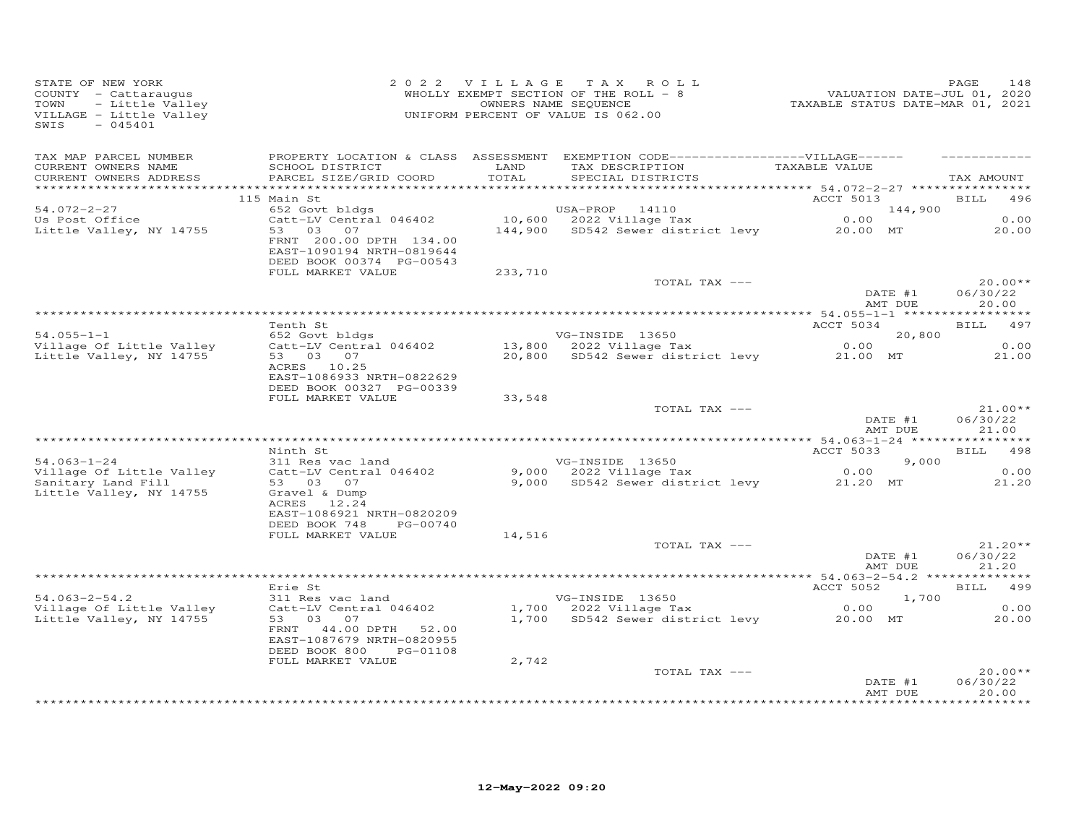| STATE OF NEW YORK<br>COUNTY - Cattaraugus<br>TOWN<br>- Little Valley<br>VILLAGE - Little Valley<br>SWIS<br>$-045401$ | 2 0 2 2 V I L L A G E T A X R O L<br>WHOLLY EXEMPT SECTION OF THE ROLL - 8<br>OWNERS NAME SEQUENCE<br>UNIFORM PERCENT OF VALUE IS 062.00 |               | 2022 VILLAGE TAX ROLL<br>V 2 2 V 1 L L A G E 3 1 A A K O L L<br>WHOLLY EXEMPT SECTION OF THE ROLL - 8 VALUATION DATE-JUL 01, 2020<br>OWNERS NAME SEQUENCE TAXABLE STATUS DATE-MAR 01, 2021 |                     | PAGE<br>148                    |
|----------------------------------------------------------------------------------------------------------------------|------------------------------------------------------------------------------------------------------------------------------------------|---------------|--------------------------------------------------------------------------------------------------------------------------------------------------------------------------------------------|---------------------|--------------------------------|
| TAX MAP PARCEL NUMBER<br>CURRENT OWNERS NAME<br>CURRENT OWNERS ADDRESS                                               | SCHOOL DISTRICT<br>PARCEL SIZE/GRID COORD                                                                                                | LAND<br>TOTAL | PROPERTY LOCATION & CLASS ASSESSMENT EXEMPTION CODE-----------------VILLAGE------<br>TAX DESCRIPTION TAXABLE VALUE<br>SPECIAL DISTRICTS                                                    |                     | TAX AMOUNT                     |
|                                                                                                                      | 115 Main St                                                                                                                              |               |                                                                                                                                                                                            | ACCT 5013           | BILL 496                       |
| 54.072-2-27                                                                                                          | 652 Govt bldgs                                                                                                                           |               | USA-PROP 14110                                                                                                                                                                             | 144,900             |                                |
| Us Post Office<br>Little Valley, NY 14755                                                                            | 53 03 07<br>FRNT 200.00 DPTH 134.00<br>EAST-1090194 NRTH-0819644                                                                         |               | Catt-LV Central 046402 10,600 2022 Village Tax<br>144,900 SD542 Sewer district levy 20.00 MT                                                                                               | 0.00                | 0.00<br>20.00                  |
|                                                                                                                      | DEED BOOK 00374 PG-00543                                                                                                                 |               |                                                                                                                                                                                            |                     |                                |
|                                                                                                                      | FULL MARKET VALUE                                                                                                                        | 233,710       | TOTAL TAX ---                                                                                                                                                                              |                     | $20.00**$                      |
|                                                                                                                      |                                                                                                                                          |               |                                                                                                                                                                                            | DATE #1<br>AMT DUE  | 06/30/22<br>20.00              |
|                                                                                                                      |                                                                                                                                          |               |                                                                                                                                                                                            |                     |                                |
| $54.055 - 1 - 1$                                                                                                     | Tenth St<br>652 Govt bldgs                                                                                                               |               | VG-INSIDE 13650                                                                                                                                                                            | ACCT 5034<br>20,800 | BILL 497                       |
| Village Of Little Valley                                                                                             | Catt-LV Central 046402                                                                                                                   |               | 13,800 2022 Village Tax                                                                                                                                                                    | 0.00                | 0.00                           |
| Little Valley, NY 14755                                                                                              | 53 03 07<br>ACRES 10.25<br>EAST-1086933 NRTH-0822629<br>DEED BOOK 00327 PG-00339                                                         |               | 20,800 SD542 Sewer district levy 21.00 MT                                                                                                                                                  |                     | 21.00                          |
|                                                                                                                      | FULL MARKET VALUE                                                                                                                        | 33,548        |                                                                                                                                                                                            |                     |                                |
|                                                                                                                      |                                                                                                                                          |               | TOTAL TAX ---                                                                                                                                                                              | DATE #1<br>AMT DUE  | $21.00**$<br>06/30/22<br>21.00 |
|                                                                                                                      |                                                                                                                                          |               |                                                                                                                                                                                            |                     |                                |
|                                                                                                                      | Ninth St                                                                                                                                 |               |                                                                                                                                                                                            | ACCT 5033           | BILL 498<br>9,000              |
| $54.063 - 1 - 24$<br>Village Of Little Valley                                                                        | 311 Res vac land<br>Catt-LV Central 046402                                                                                               |               | VG-INSIDE 13650<br>9,000 - 2022 Village Tax<br>9,000 - 2022 Village Tax<br>9,000 - SD542 Sewer district low-                                                                               | 0.00                | 0.00                           |
| Sanitary Land Fill<br>Little Valley, NY 14755                                                                        | 53 03 07<br>Gravel & Dump<br>ACRES 12.24<br>EAST-1086921 NRTH-0820209<br>DEED BOOK 748<br>PG-00740                                       |               | 9,000 SD542 Sewer district levy 21.20 MT                                                                                                                                                   |                     | 21.20                          |
|                                                                                                                      | FULL MARKET VALUE                                                                                                                        | 14,516        |                                                                                                                                                                                            |                     |                                |
|                                                                                                                      |                                                                                                                                          |               | TOTAL TAX ---                                                                                                                                                                              | DATE #1<br>AMT DUE  | $21.20**$<br>06/30/22<br>21.20 |
|                                                                                                                      |                                                                                                                                          |               |                                                                                                                                                                                            |                     |                                |
|                                                                                                                      | Erie St                                                                                                                                  |               |                                                                                                                                                                                            | ACCT 5052           | BILL 499                       |
| $54.063 - 2 - 54.2$<br>Village Of Little Valley                                                                      | 311 Res vac land<br>Catt-LV Central 046402                                                                                               |               | VG-INSIDE 13650<br>$1,700$ 2022 Village Tax                                                                                                                                                | 1,700<br>0.00       | 0.00                           |
| Little Valley, NY 14755                                                                                              | 53 03 07<br>FRNT 44.00 DPTH 52.00<br>EAST-1087679 NRTH-0820955<br>DEED BOOK 800<br>PG-01108                                              |               | 1,700 SD542 Sewer district levy                                                                                                                                                            | 20.00 MT            | 20.00                          |
|                                                                                                                      | FULL MARKET VALUE                                                                                                                        | 2,742         | TOTAL TAX ---                                                                                                                                                                              |                     | $20.00**$                      |
|                                                                                                                      |                                                                                                                                          |               |                                                                                                                                                                                            | DATE #1<br>AMT DUE  | 06/30/22<br>20.00<br>********  |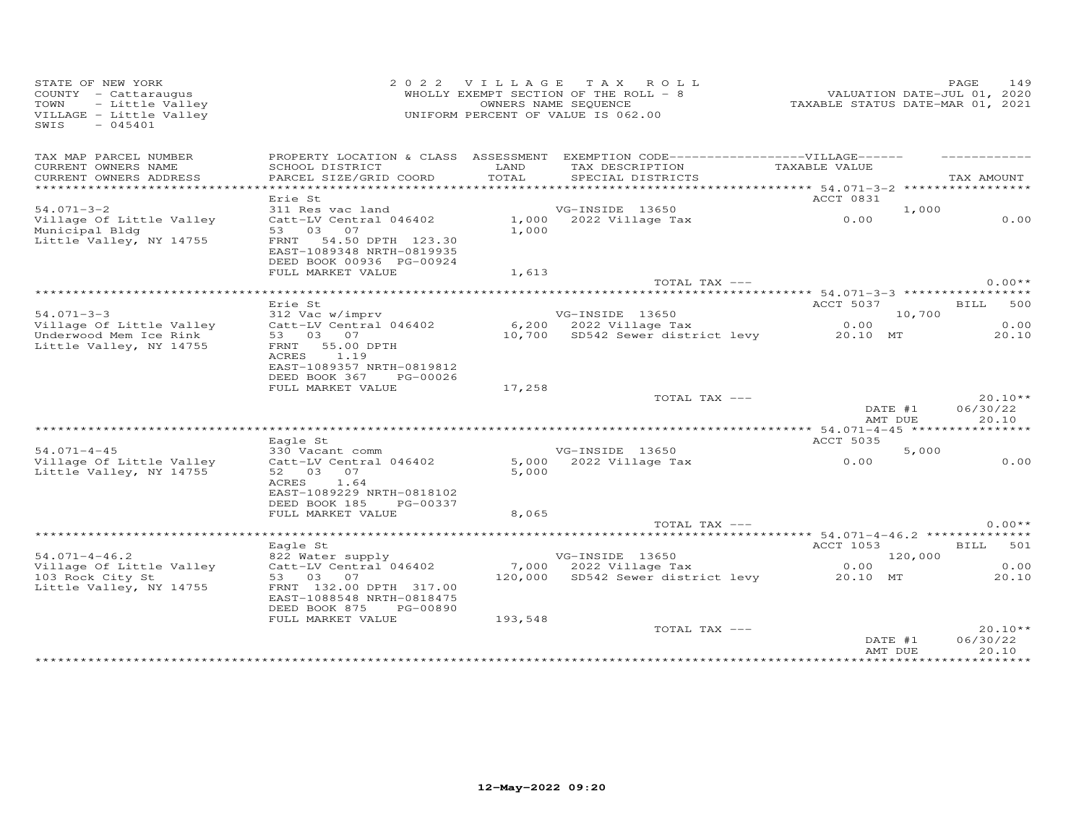| STATE OF NEW YORK<br>COUNTY - Cattaraugus<br>- Little Valley<br>TOWN<br>VILLAGE - Little Valley<br>$-045401$<br>SWIS | 2 0 2 2                                                                                               |                | VILLAGE TAX ROLL<br>WHOLLY EXEMPT SECTION OF THE ROLL $-$ 8<br>OWNERS NAME SEQUENCE<br>UNIFORM PERCENT OF VALUE IS 062.00 | VALUATION DATE-JUL 01, 2020<br>TAXABLE STATUS DATE-MAR 01, 2021 | 149<br>PAGE                    |
|----------------------------------------------------------------------------------------------------------------------|-------------------------------------------------------------------------------------------------------|----------------|---------------------------------------------------------------------------------------------------------------------------|-----------------------------------------------------------------|--------------------------------|
| TAX MAP PARCEL NUMBER<br>CURRENT OWNERS NAME                                                                         | PROPERTY LOCATION & CLASS ASSESSMENT EXEMPTION CODE------------------VILLAGE------<br>SCHOOL DISTRICT | LAND           | TAX DESCRIPTION                                                                                                           | TAXABLE VALUE                                                   |                                |
| CURRENT OWNERS ADDRESS                                                                                               | PARCEL SIZE/GRID COORD                                                                                | TOTAL          | SPECIAL DISTRICTS                                                                                                         |                                                                 | TAX AMOUNT                     |
|                                                                                                                      |                                                                                                       |                |                                                                                                                           |                                                                 |                                |
| $54.071 - 3 - 2$                                                                                                     | Erie St<br>311 Res vac land                                                                           |                | VG-INSIDE 13650                                                                                                           | ACCT 0831<br>1,000                                              |                                |
| Village Of Little Valley<br>Municipal Bldg                                                                           | Catt-LV Central 046402<br>53 03 07                                                                    | 1,000          | $1,000$ 2022 Village Tax                                                                                                  | 0.00                                                            | 0.00                           |
| Little Valley, NY 14755                                                                                              | 54.50 DPTH 123.30<br>FRNT<br>EAST-1089348 NRTH-0819935<br>DEED BOOK 00936 PG-00924                    |                |                                                                                                                           |                                                                 |                                |
|                                                                                                                      | FULL MARKET VALUE                                                                                     | 1,613          |                                                                                                                           |                                                                 |                                |
| *******************************                                                                                      |                                                                                                       |                | TOTAL TAX ---                                                                                                             |                                                                 | $0.00**$                       |
|                                                                                                                      | Erie St                                                                                               |                |                                                                                                                           | ACCT 5037                                                       | <b>BILL</b><br>500             |
| $54.071 - 3 - 3$                                                                                                     | 312 Vac w/imprv                                                                                       |                | VG-INSIDE 13650                                                                                                           | 10,700                                                          |                                |
| Village Of Little Valley                                                                                             | Catt-LV Central 046402                                                                                |                | $6,200$ 2022 Village Tax                                                                                                  | 0.00                                                            | 0.00                           |
| Underwood Mem Ice Rink<br>Little Valley, NY 14755                                                                    | 53 03 07<br>FRNT<br>55.00 DPTH<br>ACRES<br>1.19                                                       |                | 10,700 SD542 Sewer district levy                                                                                          | 20.10 MT                                                        | 20.10                          |
|                                                                                                                      | EAST-1089357 NRTH-0819812<br>DEED BOOK 367<br>PG-00026                                                |                |                                                                                                                           |                                                                 |                                |
|                                                                                                                      | FULL MARKET VALUE                                                                                     | 17,258         |                                                                                                                           |                                                                 |                                |
|                                                                                                                      |                                                                                                       |                | TOTAL TAX ---                                                                                                             | DATE #1<br>AMT DUE                                              | $20.10**$<br>06/30/22<br>20.10 |
|                                                                                                                      |                                                                                                       |                |                                                                                                                           |                                                                 |                                |
|                                                                                                                      | Eagle St                                                                                              |                |                                                                                                                           | <b>ACCT 5035</b>                                                |                                |
| $54.071 - 4 - 45$                                                                                                    | 330 Vacant comm                                                                                       |                | VG-INSIDE 13650                                                                                                           | 5,000                                                           |                                |
| Village Of Little Valley<br>Little Valley, NY 14755                                                                  | Catt-LV Central 046402<br>52 03 07<br>ACRES<br>1.64                                                   | 5,000<br>5,000 | 2022 Village Tax                                                                                                          | 0.00                                                            | 0.00                           |
|                                                                                                                      | EAST-1089229 NRTH-0818102<br>DEED BOOK 185<br>PG-00337<br>FULL MARKET VALUE                           | 8,065          |                                                                                                                           |                                                                 |                                |
|                                                                                                                      |                                                                                                       |                | TOTAL TAX ---                                                                                                             |                                                                 | $0.00**$                       |
|                                                                                                                      |                                                                                                       |                | **********************                                                                                                    | ******* 54.071-4-46.2 **************                            |                                |
|                                                                                                                      | Eagle St                                                                                              |                |                                                                                                                           | ACCT 1053                                                       | BILL 501                       |
| $54.071 - 4 - 46.2$<br>Village Of Little Valley                                                                      | 822 Water supply<br>Catt-LV Central 046402                                                            |                | VG-INSIDE 13650<br>7,000 2022 Village Tax                                                                                 | 120,000<br>0.00                                                 | 0.00                           |
| 103 Rock City St<br>Little Valley, NY 14755                                                                          | 53 03 07<br>FRNT 132.00 DPTH 317.00<br>EAST-1088548 NRTH-0818475                                      |                | 120,000 SD542 Sewer district levy                                                                                         | 20.10 MT                                                        | 20.10                          |
|                                                                                                                      | DEED BOOK 875<br>PG-00890                                                                             |                |                                                                                                                           |                                                                 |                                |
|                                                                                                                      | FULL MARKET VALUE                                                                                     | 193,548        |                                                                                                                           |                                                                 |                                |
|                                                                                                                      |                                                                                                       |                | TOTAL TAX ---                                                                                                             | DATE #1<br>AMT DUE                                              | $20.10**$<br>06/30/22<br>20.10 |
|                                                                                                                      |                                                                                                       |                | **********************************                                                                                        | * * * * * * * * * * * * * * *                                   | **********                     |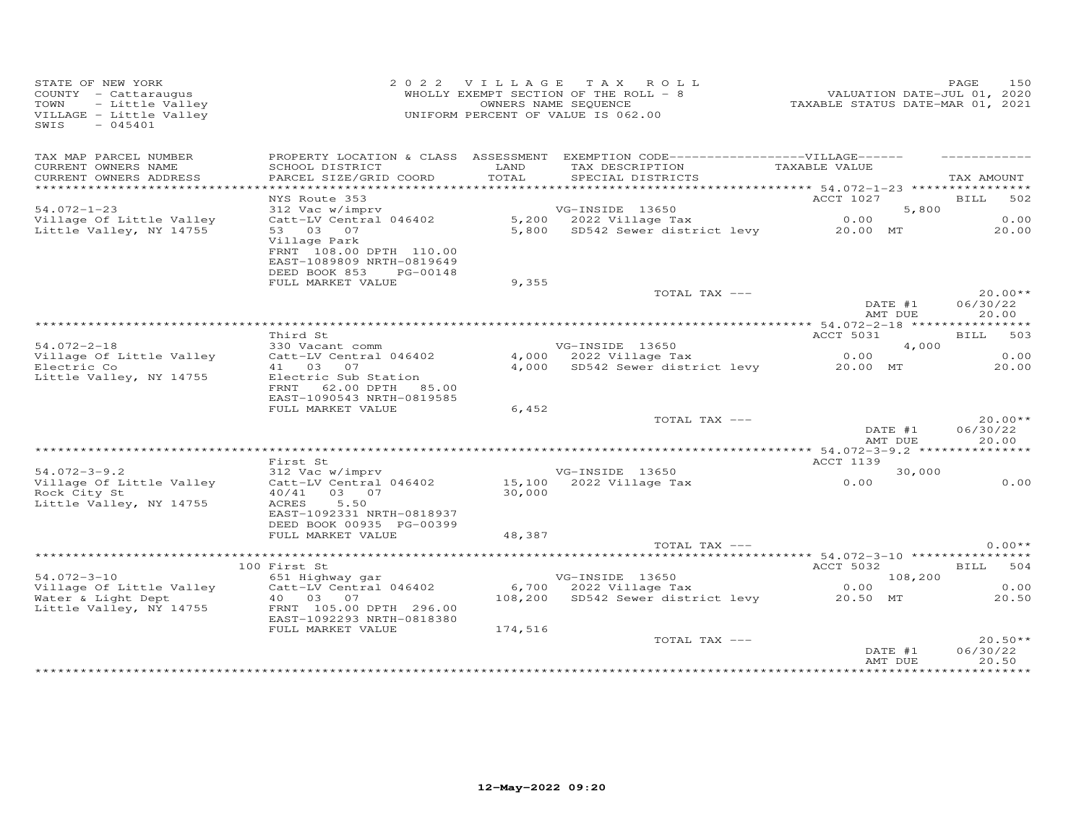| STATE OF NEW YORK<br>OF NEW YORK<br>Y - Cattaraugus<br>- Little Valley<br>GE - Little Valley<br>- 045401<br>COUNTY - Cattaraugus<br>TOWN<br>VILLAGE - Little Valley<br>$-045401$<br>SWIS |                                                                                                             |         | 2022 VILLAGE TAX ROLL<br>WHOLLY EXEMPT SECTION OF THE ROLL - 8<br>OWNERS NAME SEQUENCE<br>UNIFORM PERCENT OF VALUE IS 062.00 | ۲AGE 150<br>2020 VALUATION DATE-JUL 01, 2020<br>2021 TAXABLE STATUS DATE-MAR | PAGE<br>150                    |
|------------------------------------------------------------------------------------------------------------------------------------------------------------------------------------------|-------------------------------------------------------------------------------------------------------------|---------|------------------------------------------------------------------------------------------------------------------------------|------------------------------------------------------------------------------|--------------------------------|
| TAX MAP PARCEL NUMBER<br>CURRENT OWNERS NAME                                                                                                                                             | SCHOOL DISTRICT                                                                                             | LAND    | PROPERTY LOCATION & CLASS ASSESSMENT EXEMPTION CODE------------------VILLAGE------<br>TAX DESCRIPTION TAXABLE VALUE          |                                                                              |                                |
| CURRENT OWNERS ADDRESS                                                                                                                                                                   | PARCEL SIZE/GRID COORD                                                                                      | TOTAL   | SPECIAL DISTRICTS                                                                                                            |                                                                              | TAX AMOUNT                     |
| ***********************                                                                                                                                                                  |                                                                                                             |         |                                                                                                                              | ACCT 1027                                                                    |                                |
| $54.072 - 1 - 23$                                                                                                                                                                        | NYS Route 353<br>312 Vac w/imprv                                                                            |         | VG-INSIDE 13650                                                                                                              | 5,800                                                                        | BILL 502                       |
| Village Of Little Valley                                                                                                                                                                 | Catt-LV Central 046402                                                                                      |         | $5,200$ 2022 Village Tax                                                                                                     |                                                                              | 0.00                           |
| Little Valley, NY 14755                                                                                                                                                                  | 53 03 07<br>Village Park<br>FRNT 108.00 DPTH 110.00<br>EAST-1089809 NRTH-0819649<br>DEED BOOK 853 PG-00148  |         | 5,200 2022 Village Tax 0.00<br>5,800 SD542 Sewer district levy 20.00 MT                                                      |                                                                              | 20.00                          |
|                                                                                                                                                                                          | FULL MARKET VALUE                                                                                           | 9,355   |                                                                                                                              |                                                                              |                                |
|                                                                                                                                                                                          |                                                                                                             |         | TOTAL TAX ---                                                                                                                | DATE #1<br>AMT DUE                                                           | $20.00**$<br>06/30/22<br>20.00 |
|                                                                                                                                                                                          |                                                                                                             |         |                                                                                                                              |                                                                              |                                |
|                                                                                                                                                                                          | Third St                                                                                                    |         |                                                                                                                              | ACCT 5031                                                                    | <b>BILL</b><br>503             |
| $54.072 - 2 - 18$                                                                                                                                                                        | 330 Vacant comm                                                                                             |         | VG-INSIDE 13650                                                                                                              | 4,000                                                                        |                                |
| Village Of Little Valley                                                                                                                                                                 | Catt-LV Central 046402                                                                                      |         | $4,000$ 2022 Village Tax                                                                                                     | 0.00                                                                         | 0.00                           |
| Electric Co<br>Little Valley, NY 14755                                                                                                                                                   | 41 03 07<br>Electric Sub Station<br>FRNT 62.00 DPTH 85.00<br>EAST-1090543 NRTH-0819585<br>FULL MARKET VALUE | 6,452   | 4,000 SD542 Sewer district levy 20.00 MT                                                                                     |                                                                              | 20.00                          |
|                                                                                                                                                                                          |                                                                                                             |         | TOTAL TAX ---                                                                                                                |                                                                              | $20.00**$                      |
|                                                                                                                                                                                          |                                                                                                             |         |                                                                                                                              | DATE #1<br>AMT DUE                                                           | 06/30/22<br>20.00              |
|                                                                                                                                                                                          | First St                                                                                                    |         |                                                                                                                              | ACCT 1139                                                                    |                                |
| $54.072 - 3 - 9.2$                                                                                                                                                                       | 312 Vac w/imprv                                                                                             |         |                                                                                                                              | 30,000                                                                       |                                |
| Village Of Little Valley<br>Rock City St<br>Little Valley, NY 14755                                                                                                                      | Catt-LV Central 046402<br>40/41 03 07<br>5.50<br>ACRES                                                      |         | VG-INSIDE 13650<br>15,100 2022 Village Tax 0.00<br>30,000                                                                    |                                                                              | 0.00                           |
|                                                                                                                                                                                          | EAST-1092331 NRTH-0818937<br>DEED BOOK 00935 PG-00399                                                       |         |                                                                                                                              |                                                                              |                                |
|                                                                                                                                                                                          | FULL MARKET VALUE                                                                                           | 48,387  | TOTAL TAX ---                                                                                                                |                                                                              | $0.00**$                       |
|                                                                                                                                                                                          |                                                                                                             |         |                                                                                                                              |                                                                              |                                |
|                                                                                                                                                                                          | 100 First St                                                                                                |         |                                                                                                                              | <b>ACCT 5032</b>                                                             | BILL 504                       |
| $54.072 - 3 - 10$                                                                                                                                                                        | 651 Highway gar                                                                                             |         | VG-INSIDE 13650 108,200<br>6,700 2022 Village Tax 0.00<br>108,200 SD542 Sewer district levy 20.50 MT                         | 108,200                                                                      |                                |
| 54.072-3-10<br>Village Of Little Valley                                                                                                                                                  | $Catt-LV$ Central 046402                                                                                    |         |                                                                                                                              |                                                                              | 0.00                           |
| Water & Light Dept<br>Little Valley, NY 14755                                                                                                                                            | 40  03  07<br>FRNT 105.00 DPTH 296.00<br>EAST-1092293 NRTH-0818380                                          |         |                                                                                                                              |                                                                              | 20.50                          |
|                                                                                                                                                                                          | FULL MARKET VALUE                                                                                           | 174,516 |                                                                                                                              |                                                                              |                                |
|                                                                                                                                                                                          |                                                                                                             |         | TOTAL TAX ---                                                                                                                | DATE #1<br>AMT DUE                                                           | $20.50**$<br>06/30/22<br>20.50 |
|                                                                                                                                                                                          |                                                                                                             |         |                                                                                                                              |                                                                              | ***********                    |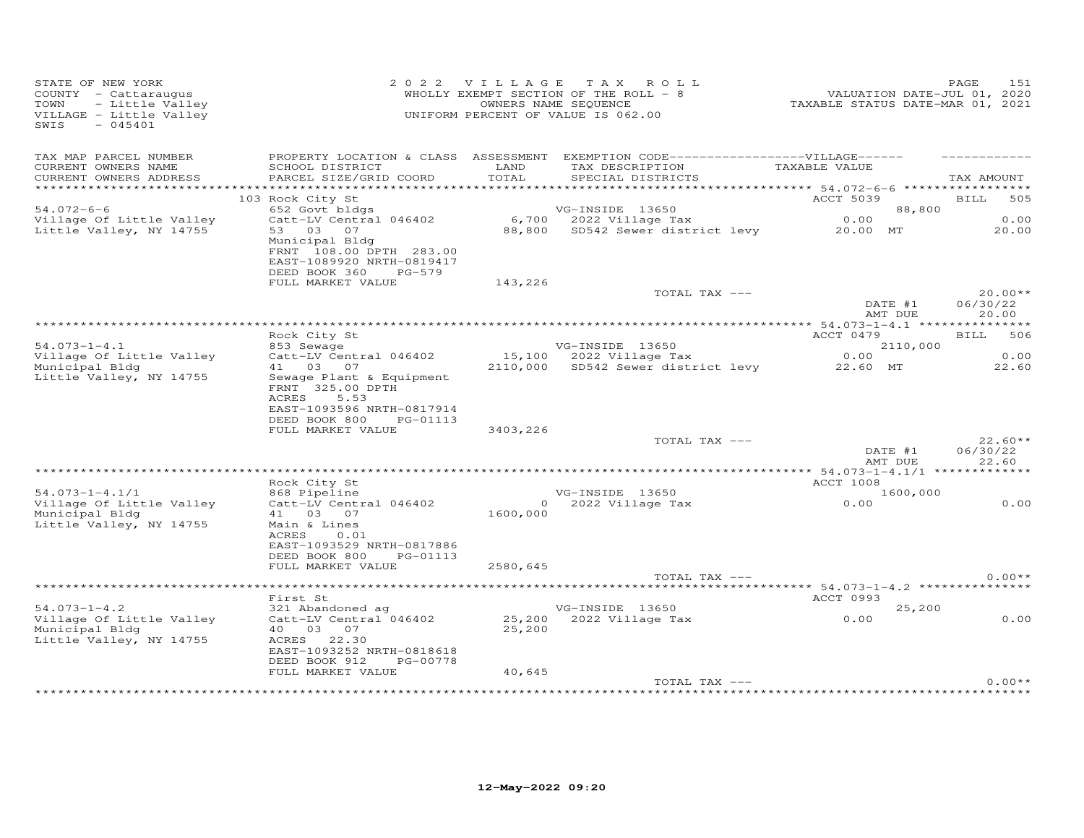| STATE OF NEW YORK<br>OF NEW YORK<br>Y - Cattaraugus<br>- Little Valley<br>GE - Little Valley<br>COUNTY - Cattaraugus<br>TOWN<br>VILLAGE - Little Valley<br>SWIS<br>$-045401$ |                                                                                                                                              |               | 2022 VILLAGE TAX ROLL<br>WHOLLY EXEMPT SECTION OF THE ROLL - 8<br>OWNERS NAME SEQUENCE<br>UNIFORM PERCENT OF VALUE IS 062.00            | 215 HAGE<br>VALUATION DATE-JUL 01, 2020<br>TAXABLE STATUS DATE-MAR 01, 2021 | 151<br>PAGE           |
|------------------------------------------------------------------------------------------------------------------------------------------------------------------------------|----------------------------------------------------------------------------------------------------------------------------------------------|---------------|-----------------------------------------------------------------------------------------------------------------------------------------|-----------------------------------------------------------------------------|-----------------------|
| TAX MAP PARCEL NUMBER<br>CURRENT OWNERS NAME<br>CURRENT OWNERS ADDRESS                                                                                                       | SCHOOL DISTRICT<br>PARCEL SIZE/GRID COORD                                                                                                    | LAND<br>TOTAL | PROPERTY LOCATION & CLASS ASSESSMENT EXEMPTION CODE-----------------VILLAGE------<br>TAX DESCRIPTION TAXABLE VALUE<br>SPECIAL DISTRICTS |                                                                             | TAX AMOUNT            |
|                                                                                                                                                                              |                                                                                                                                              |               |                                                                                                                                         |                                                                             |                       |
| $54.072 - 6 - 6$                                                                                                                                                             | 103 Rock City St<br>Rock City St<br>652 Govt bldgs<br>Catt-LV Central 046402                                                                 |               |                                                                                                                                         | ACCT 5039 BILL<br>88,800                                                    | 505                   |
| Village Of Little Valley                                                                                                                                                     |                                                                                                                                              |               |                                                                                                                                         |                                                                             | 0.00                  |
| Little Valley, NY 14755                                                                                                                                                      |                                                                                                                                              |               | VG-INSIDE 13650 88,800<br>6,700 2022 Village Tax 0.00<br>88,800 SD542 Sewer district levy 20.00 MT 20.00                                |                                                                             | 20.00                 |
|                                                                                                                                                                              | 53    03    07<br>Municipal Bldg<br>FRNT 108.00 DPTH 283.00<br>EAST-1089920 NRTH-0819417<br>DEED BOOK 360<br>PG-579<br>FULL MARKET VALUE     | 143,226       |                                                                                                                                         |                                                                             |                       |
|                                                                                                                                                                              |                                                                                                                                              |               | TOTAL TAX ---                                                                                                                           | DATE #1                                                                     | $20.00**$             |
|                                                                                                                                                                              |                                                                                                                                              |               |                                                                                                                                         |                                                                             | 06/30/22              |
|                                                                                                                                                                              |                                                                                                                                              |               |                                                                                                                                         | AMT DUE                                                                     | 20.00                 |
|                                                                                                                                                                              | Rock City St                                                                                                                                 |               |                                                                                                                                         | ACCT 0479                                                                   | BILL 506              |
| $54.073 - 1 - 4.1$                                                                                                                                                           | 853 Sewage                                                                                                                                   |               |                                                                                                                                         |                                                                             |                       |
| Village Of Little Valley                                                                                                                                                     | Catt-LV Central 046402                                                                                                                       |               | $15,100$ 2022 Village Tax                                                                                                               |                                                                             | 0.00                  |
| Municipal Bldg                                                                                                                                                               | 41 03 07                                                                                                                                     |               | VG-INSIDE 13650 2110,000<br>15,100 2022 Village Tax 0.00<br>2110,000 SD542 Sewer district levy 22.60 MT                                 |                                                                             | 22.60                 |
| Little Valley, NY 14755                                                                                                                                                      | Sewage Plant & Equipment<br>FRNT 325.00 DPTH<br>ACRES<br>5.53<br>EAST-1093596 NRTH-0817914<br>DEED BOOK 800<br>PG-01113<br>FULL MARKET VALUE | 3403,226      |                                                                                                                                         |                                                                             |                       |
|                                                                                                                                                                              |                                                                                                                                              |               | TOTAL TAX ---                                                                                                                           | DATE #1                                                                     | $22.60**$<br>06/30/22 |
|                                                                                                                                                                              |                                                                                                                                              |               |                                                                                                                                         | AMT DUE                                                                     | 22.60                 |
|                                                                                                                                                                              |                                                                                                                                              |               |                                                                                                                                         |                                                                             |                       |
|                                                                                                                                                                              | Rock City St<br>868 Pipeline<br>Catt-LV Central 046402                                                                                       |               |                                                                                                                                         | <b>ACCT 1008</b>                                                            |                       |
| $54.073 - 1 - 4.1/1$                                                                                                                                                         |                                                                                                                                              |               |                                                                                                                                         | 1600,000                                                                    |                       |
| Village Of Little Valley<br>Municipal Bldg<br>Little Valley, NY 14755                                                                                                        | 41 03 07<br>Main & Lines<br>ACRES<br>0.01<br>EAST-1093529 NRTH-0817886<br>DEED BOOK 800<br>PG-01113                                          |               | VG-INSIDE 13650<br>0 2022 Village Tax<br>1600,000                                                                                       | 0.00                                                                        | 0.00                  |
|                                                                                                                                                                              | FULL MARKET VALUE                                                                                                                            | 2580,645      |                                                                                                                                         |                                                                             |                       |
|                                                                                                                                                                              |                                                                                                                                              |               | TOTAL TAX ---                                                                                                                           |                                                                             | $0.00**$              |
|                                                                                                                                                                              |                                                                                                                                              |               |                                                                                                                                         |                                                                             |                       |
|                                                                                                                                                                              | First St                                                                                                                                     |               |                                                                                                                                         | <b>ACCT 0993</b>                                                            |                       |
| $54.073 - 1 - 4.2$                                                                                                                                                           | 321 Abandoned ag                                                                                                                             |               | VG-INSIDE 13650<br>25,200 2022 Village Tax                                                                                              | 25,200                                                                      |                       |
| Village Of Little Valley<br>Municipal Bldg<br>Little Valley, NY 14755                                                                                                        | Catt-LV Central 046402<br>40  03  07<br>ACRES 22.30<br>EAST-1093252 NRTH-0818618<br>DEED BOOK 912<br>PG-00778                                | 25,200        |                                                                                                                                         | 0.00                                                                        | 0.00                  |
|                                                                                                                                                                              | FULL MARKET VALUE                                                                                                                            | 40,645        |                                                                                                                                         |                                                                             |                       |
|                                                                                                                                                                              |                                                                                                                                              |               | TOTAL TAX ---                                                                                                                           |                                                                             | $0.00**$              |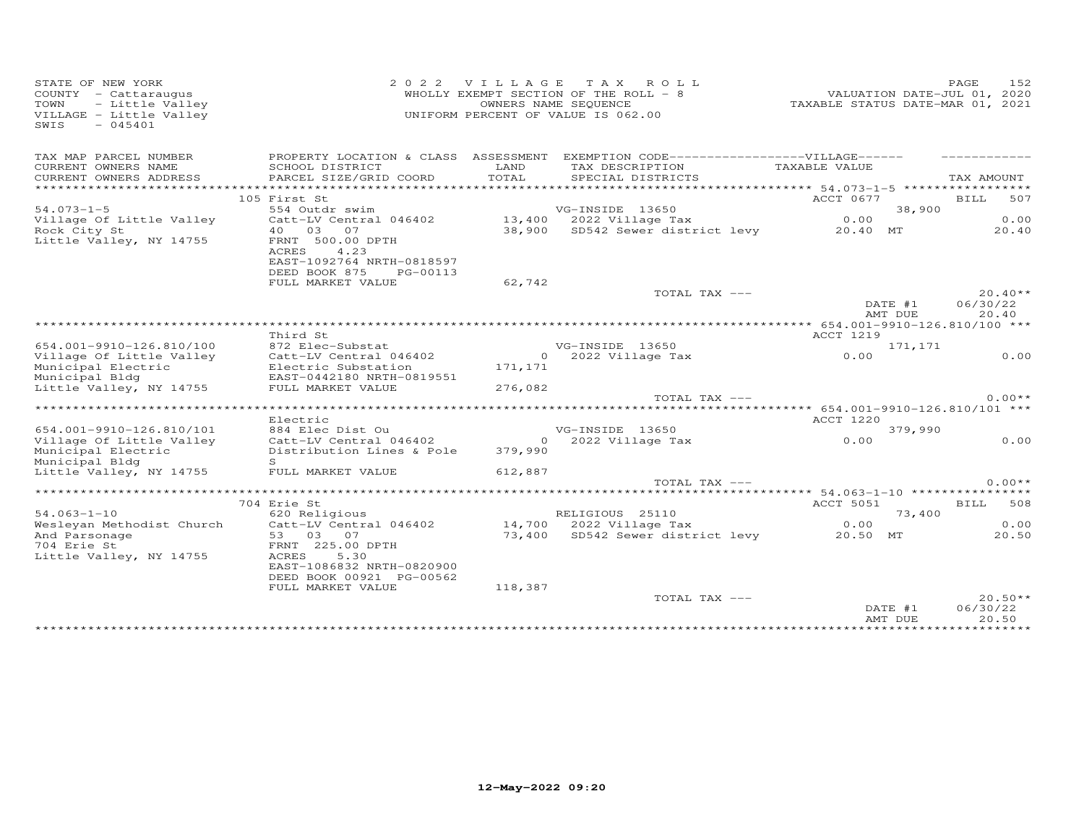| STATE OF NEW YORK<br>COUNTY - Cattaraugus<br>- Little Valley<br>TOWN<br>VILLAGE - Little Valley<br>SWIS<br>$-045401$ | 2 0 2 2                                                                                                 | VILLAGE       | TAX ROLL<br>WHOLLY EXEMPT SECTION OF THE ROLL - 8<br>OWNERS NAME SEQUENCE<br>UNIFORM PERCENT OF VALUE IS 062.00 | VALUATION DATE-JUL 01, 2020<br>TAXABLE STATUS DATE-MAR 01, 2021 | 152<br>PAGE                    |
|----------------------------------------------------------------------------------------------------------------------|---------------------------------------------------------------------------------------------------------|---------------|-----------------------------------------------------------------------------------------------------------------|-----------------------------------------------------------------|--------------------------------|
| TAX MAP PARCEL NUMBER                                                                                                | PROPERTY LOCATION & CLASS ASSESSMENT                                                                    |               | EXEMPTION CODE------------------VILLAGE------                                                                   |                                                                 |                                |
| CURRENT OWNERS NAME<br>CURRENT OWNERS ADDRESS                                                                        | SCHOOL DISTRICT<br>PARCEL SIZE/GRID COORD                                                               | LAND<br>TOTAL | TAX DESCRIPTION<br>SPECIAL DISTRICTS                                                                            | TAXABLE VALUE                                                   | TAX AMOUNT                     |
| ***********************                                                                                              |                                                                                                         |               |                                                                                                                 |                                                                 |                                |
| $54.073 - 1 - 5$                                                                                                     | 105 First St<br>554 Outdr swim                                                                          |               | VG-INSIDE 13650                                                                                                 | ACCT 0677<br>38,900                                             | 507<br>BILL                    |
| Village Of Little Valley                                                                                             | Catt-LV Central 046402                                                                                  |               | 13,400 2022 Village Tax                                                                                         | 0.00                                                            | 0.00                           |
| Rock City St<br>Little Valley, NY 14755                                                                              | 40 03 07<br>FRNT 500.00 DPTH<br>4.23<br>ACRES<br>EAST-1092764 NRTH-0818597<br>DEED BOOK 875<br>PG-00113 |               | 38,900 SD542 Sewer district levy 20.40 MT                                                                       |                                                                 | 20.40                          |
|                                                                                                                      | FULL MARKET VALUE                                                                                       | 62,742        |                                                                                                                 |                                                                 |                                |
|                                                                                                                      |                                                                                                         |               | TOTAL TAX ---                                                                                                   | DATE #1<br>AMT DUE                                              | $20.40**$<br>06/30/22<br>20.40 |
|                                                                                                                      |                                                                                                         |               |                                                                                                                 |                                                                 |                                |
|                                                                                                                      | Third St                                                                                                |               |                                                                                                                 | ACCT 1219                                                       |                                |
| 654.001-9910-126.810/100<br>Village Of Little Valley                                                                 | 872 Elec-Substat<br>Catt-LV Central 046402                                                              |               | VG-INSIDE 13650<br>0 2022 Village Tax                                                                           | 171,171<br>0.00                                                 | 0.00                           |
| Municipal Electric<br>Municipal Bldg                                                                                 | Electric Substation<br>EAST-0442180 NRTH-0819551                                                        | 171,171       |                                                                                                                 |                                                                 |                                |
| Little Valley, NY 14755                                                                                              | FULL MARKET VALUE                                                                                       | 276,082       |                                                                                                                 |                                                                 |                                |
|                                                                                                                      |                                                                                                         |               | TOTAL TAX ---                                                                                                   |                                                                 | $0.00**$                       |
|                                                                                                                      |                                                                                                         |               |                                                                                                                 |                                                                 |                                |
| 654.001-9910-126.810/101                                                                                             | Electric<br>884 Elec Dist Ou                                                                            |               | VG-INSIDE 13650                                                                                                 | ACCT 1220<br>379,990                                            |                                |
| Village Of Little Valley                                                                                             | Catt-LV Central 046402                                                                                  |               | 0 2022 Village Tax                                                                                              | 0.00                                                            | 0.00                           |
| Municipal Electric<br>Municipal Bldg                                                                                 | Distribution Lines & Pole<br>S                                                                          | 379,990       |                                                                                                                 |                                                                 |                                |
| Little Valley, NY 14755                                                                                              | FULL MARKET VALUE                                                                                       | 612,887       |                                                                                                                 |                                                                 |                                |
|                                                                                                                      |                                                                                                         |               | TOTAL TAX ---                                                                                                   |                                                                 | $0.00**$                       |
|                                                                                                                      |                                                                                                         |               |                                                                                                                 |                                                                 |                                |
| $54.063 - 1 - 10$                                                                                                    | 704 Erie St<br>620 Religious                                                                            |               | RELIGIOUS 25110                                                                                                 | ACCT 5051                                                       | BILL 508                       |
| Wesleyan Methodist Church                                                                                            | Catt-LV Central 046402                                                                                  |               | 14,700 2022 Village Tax                                                                                         | 73,400<br>0.00                                                  | 0.00                           |
| And Parsonage                                                                                                        | 53 03 07                                                                                                |               | 73,400 SD542 Sewer district levy                                                                                | 20.50 MT                                                        | 20.50                          |
| 704 Erie St<br>Little Valley, NY 14755                                                                               | FRNT 225.00 DPTH<br>ACRES<br>5.30<br>EAST-1086832 NRTH-0820900<br>DEED BOOK 00921 PG-00562              |               |                                                                                                                 |                                                                 |                                |
|                                                                                                                      | FULL MARKET VALUE                                                                                       | 118,387       | TOTAL TAX ---                                                                                                   |                                                                 | $20.50**$                      |
|                                                                                                                      |                                                                                                         |               |                                                                                                                 | DATE #1<br>AMT DUE                                              | 06/30/22<br>20.50              |
|                                                                                                                      |                                                                                                         |               |                                                                                                                 |                                                                 |                                |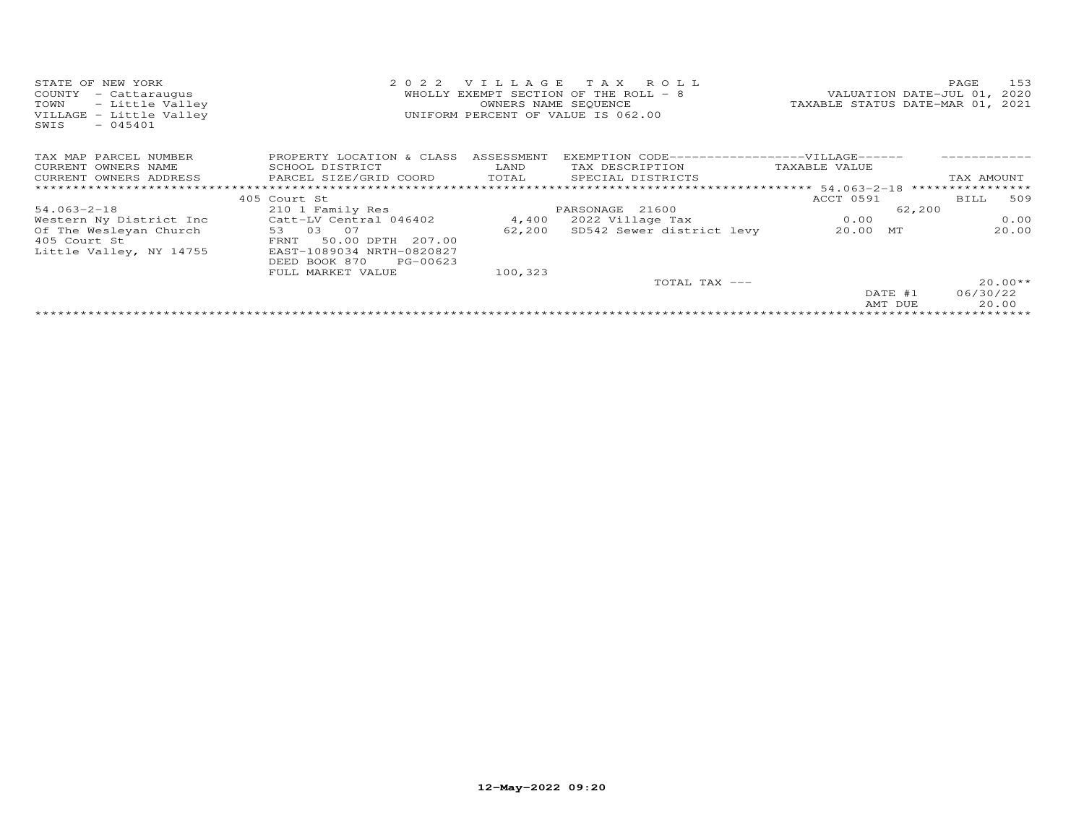| STATE OF NEW YORK<br>COUNTY<br>- Cattaraugus<br>- Little Valley<br>TOWN<br>VILLAGE - Little Valley<br>$-045401$<br>SWIS | 2 0 2 2                              |         | VILLAGE TAX ROLL<br>WHOLLY EXEMPT SECTION OF THE ROLL - 8<br>OWNERS NAME SEQUENCE<br>UNIFORM PERCENT OF VALUE IS 062.00 |               | 153<br>PAGE<br>VALUATION DATE-JUL 01, 2020<br>TAXABLE STATUS DATE-MAR 01, 2021 |
|-------------------------------------------------------------------------------------------------------------------------|--------------------------------------|---------|-------------------------------------------------------------------------------------------------------------------------|---------------|--------------------------------------------------------------------------------|
| TAX MAP PARCEL NUMBER                                                                                                   | PROPERTY LOCATION & CLASS ASSESSMENT |         | EXEMPTION CODE------------------VILLAGE------                                                                           |               |                                                                                |
| CURRENT OWNERS NAME                                                                                                     | SCHOOL DISTRICT                      | LAND    | TAX DESCRIPTION                                                                                                         | TAXABLE VALUE |                                                                                |
| CURRENT OWNERS ADDRESS                                                                                                  | PARCEL SIZE/GRID COORD               |         | TOTAL SPECIAL DISTRICTS                                                                                                 |               | TAX AMOUNT                                                                     |
| *******************                                                                                                     |                                      |         |                                                                                                                         |               |                                                                                |
|                                                                                                                         | 405 Court St                         |         |                                                                                                                         | ACCT 0591     | BILL 509                                                                       |
| $54.063 - 2 - 18$                                                                                                       | 210 1 Family Res                     |         | PARSONAGE 21600                                                                                                         |               | 62,200                                                                         |
| Western Ny District Inc                                                                                                 | Catt-LV Central 046402               | 4,400   | 2022 Village Tax                                                                                                        | 0.00          | 0.00                                                                           |
| Of The Wesleyan Church                                                                                                  | 53 03 07                             | 62,200  | SD542 Sewer district levy                                                                                               | 20.00 MT      | 20.00                                                                          |
| 405 Court St                                                                                                            | 50.00 DPTH 207.00<br>FRNT            |         |                                                                                                                         |               |                                                                                |
| Little Valley, NY 14755                                                                                                 | EAST-1089034 NRTH-0820827            |         |                                                                                                                         |               |                                                                                |
|                                                                                                                         | DEED BOOK 870<br>PG-00623            |         |                                                                                                                         |               |                                                                                |
|                                                                                                                         | FULL MARKET VALUE                    | 100,323 |                                                                                                                         |               |                                                                                |
|                                                                                                                         |                                      |         | TOTAL TAX ---                                                                                                           |               | $20.00**$                                                                      |
|                                                                                                                         |                                      |         |                                                                                                                         | DATE #1       | 06/30/22                                                                       |
|                                                                                                                         |                                      |         |                                                                                                                         | AMT DUE       | 20.00                                                                          |
|                                                                                                                         |                                      |         |                                                                                                                         |               |                                                                                |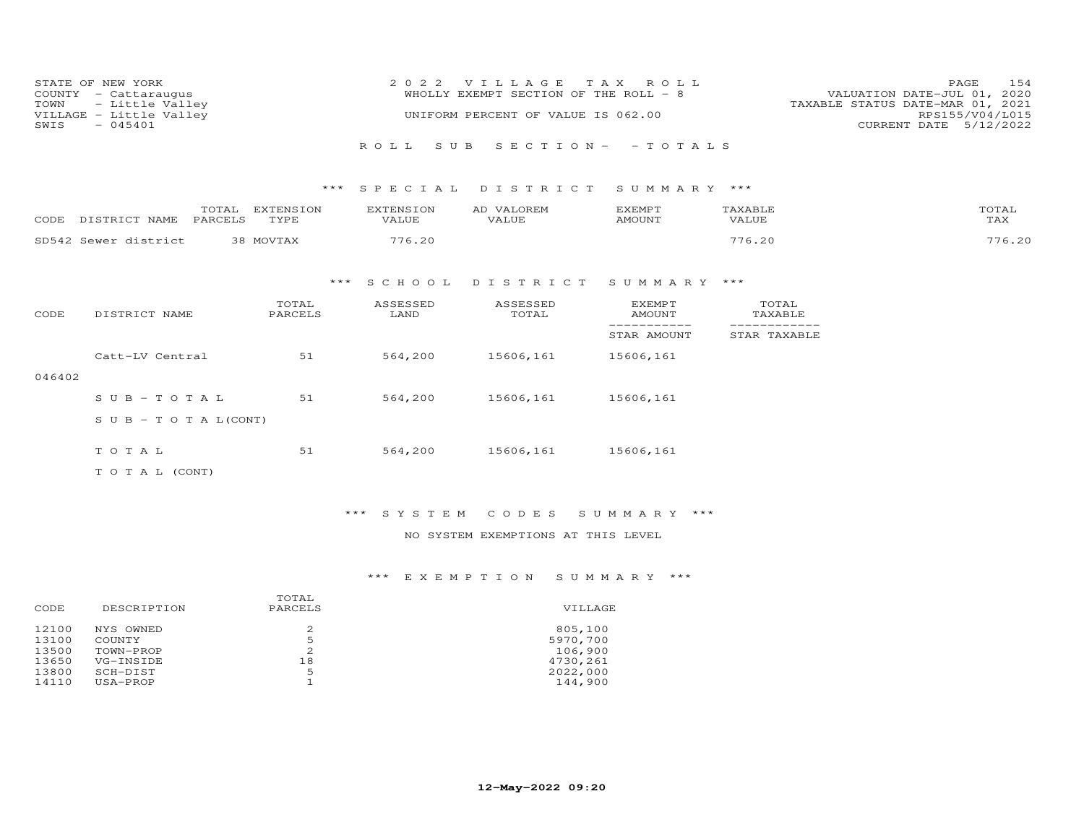| STATE OF NEW YORK<br>COUNTY - Cattaraugus<br>TOWN - Little Valley<br>VILLAGE - Little Valley | 2022 VILLAGE TAX ROLL<br>WHOLLY EXEMPT SECTION OF THE ROLL - 8<br>UNIFORM PERCENT OF VALUE IS 062.00 | 154<br>PAGE<br>VALUATION DATE-JUL 01, 2020<br>TAXABLE STATUS DATE-MAR 01, 2021<br>RPS155/V04/L015 |
|----------------------------------------------------------------------------------------------|------------------------------------------------------------------------------------------------------|---------------------------------------------------------------------------------------------------|
| SWIS<br>$-045401$                                                                            |                                                                                                      | CURRENT DATE 5/12/2022                                                                            |
|                                                                                              | ROLL SUB SECTION- - TOTALS                                                                           |                                                                                                   |

### \*\*\* S P E C I A L D I S T R I C T S U M M A R Y \*\*\*

| CODE  | <b>NAME</b>    | ΙA<br><b>DADCET C</b> | FYTEMSION<br>TVDI<br>- - - - - | VALUE | VALOREM<br><b>TZATTTE</b> | EXEMPT<br>AMOUNT | <b>AVART</b><br><b>VALUE</b> | ™OTA⊥<br>TAX |
|-------|----------------|-----------------------|--------------------------------|-------|---------------------------|------------------|------------------------------|--------------|
| SD542 | Sewer district |                       |                                |       |                           |                  |                              |              |

# \*\*\* S C H O O L D I S T R I C T S U M M A R Y \*\*\*

| CODE   | DISTRICT NAME                    | TOTAL<br>PARCELS | ASSESSED<br>LAND | ASSESSED<br>TOTAL | <b>EXEMPT</b><br>AMOUNT | TOTAL<br>TAXABLE |
|--------|----------------------------------|------------------|------------------|-------------------|-------------------------|------------------|
|        |                                  |                  |                  |                   | STAR AMOUNT             | STAR TAXABLE     |
|        | Catt-LV Central                  | 51               | 564,200          | 15606,161         | 15606,161               |                  |
| 046402 |                                  |                  |                  |                   |                         |                  |
|        | $S \cup B - TO T A L$            | 51               | 564,200          | 15606,161         | 15606,161               |                  |
|        | $S \cup B - T \cup T A L (CONT)$ |                  |                  |                   |                         |                  |
|        | TOTAL                            | 51               | 564,200          | 15606,161         | 15606,161               |                  |
|        |                                  |                  |                  |                   |                         |                  |
|        | T O T A L (CONT)                 |                  |                  |                   |                         |                  |

### \*\*\* S Y S T E M C O D E S S U M M A R Y \*\*\*

### NO SYSTEM EXEMPTIONS AT THIS LEVEL

### \*\*\* E X E M P T I O N S U M M A R Y \*\*\*

| CODE  | DESCRIPTION | TOTAL<br>PARCELS | VILLAGE  |
|-------|-------------|------------------|----------|
| 12100 | NYS OWNED   | 2                | 805,100  |
| 13100 | COUNTY      | 5                | 5970,700 |
| 13500 | TOWN-PROP   | 2                | 106,900  |
| 13650 | VG-INSIDE   | 18               | 4730,261 |
| 13800 | SCH-DIST    | 5                | 2022,000 |
| 14110 | USA-PROP    |                  | 144,900  |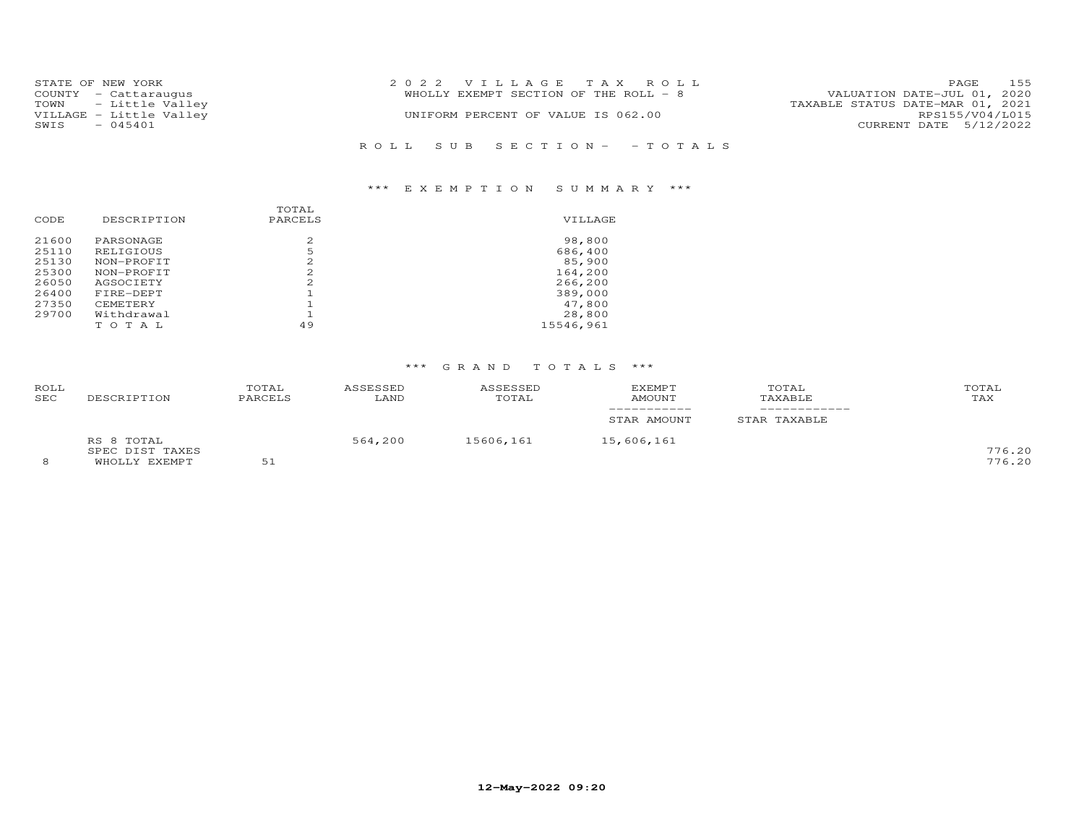| STATE OF NEW YORK<br>COUNTY - Cattaraugus<br>TOWN - Little Valley | 2022 VILLAGE TAX ROLL<br>WHOLLY EXEMPT SECTION OF THE ROLL - 8 | 155<br>PAGE<br>VALUATION DATE-JUL 01, 2020<br>TAXABLE STATUS DATE-MAR 01, 2021 |
|-------------------------------------------------------------------|----------------------------------------------------------------|--------------------------------------------------------------------------------|
| VILLAGE - Little Valley<br>- 045401<br>SWIS                       | UNIFORM PERCENT OF VALUE IS 062.00                             | RPS155/V04/L015<br>CURRENT DATE 5/12/2022                                      |
|                                                                   | ROLL SUB SECTION- -TOTALS                                      |                                                                                |

# \*\*\* E X E M P T I O N S U M M A R Y \*\*\*

|       |             | TOTAL   |           |
|-------|-------------|---------|-----------|
| CODE  | DESCRIPTION | PARCELS | VILLAGE   |
| 21600 | PARSONAGE   | 2.      | 98,800    |
| 25110 | RELIGIOUS   | 5       | 686,400   |
| 25130 | NON-PROFIT  | 2.      | 85,900    |
| 25300 | NON-PROFIT  | 2.      | 164,200   |
| 26050 | AGSOCIETY   | 2.      | 266,200   |
| 26400 | FIRE-DEPT   |         | 389,000   |
| 27350 | CEMETERY    |         | 47,800    |
| 29700 | Withdrawal  |         | 28,800    |
|       | TOTAL       | 49      | 15546,961 |
|       |             |         |           |

### \*\*\* G R A N D T O T A L S \*\*\*

| ROLL<br>SEC | DESCRIPTION     | TOTAL<br>PARCELS | ASSESSED<br>LAND | ASSESSED<br>TOTAL | <b>EXEMPT</b><br>AMOUNT | TOTAL<br>TAXABLE | TOTAL<br>TAX |
|-------------|-----------------|------------------|------------------|-------------------|-------------------------|------------------|--------------|
|             |                 |                  |                  |                   | STAR AMOUNT             | STAR TAXABLE     |              |
|             | RS 8 TOTAL      |                  | 564,200          | 15606,161         | 15,606,161              |                  |              |
|             | SPEC DIST TAXES |                  |                  |                   |                         |                  | 776.20       |
| 8           | WHOLLY EXEMPT   | 51               |                  |                   |                         |                  | 776.20       |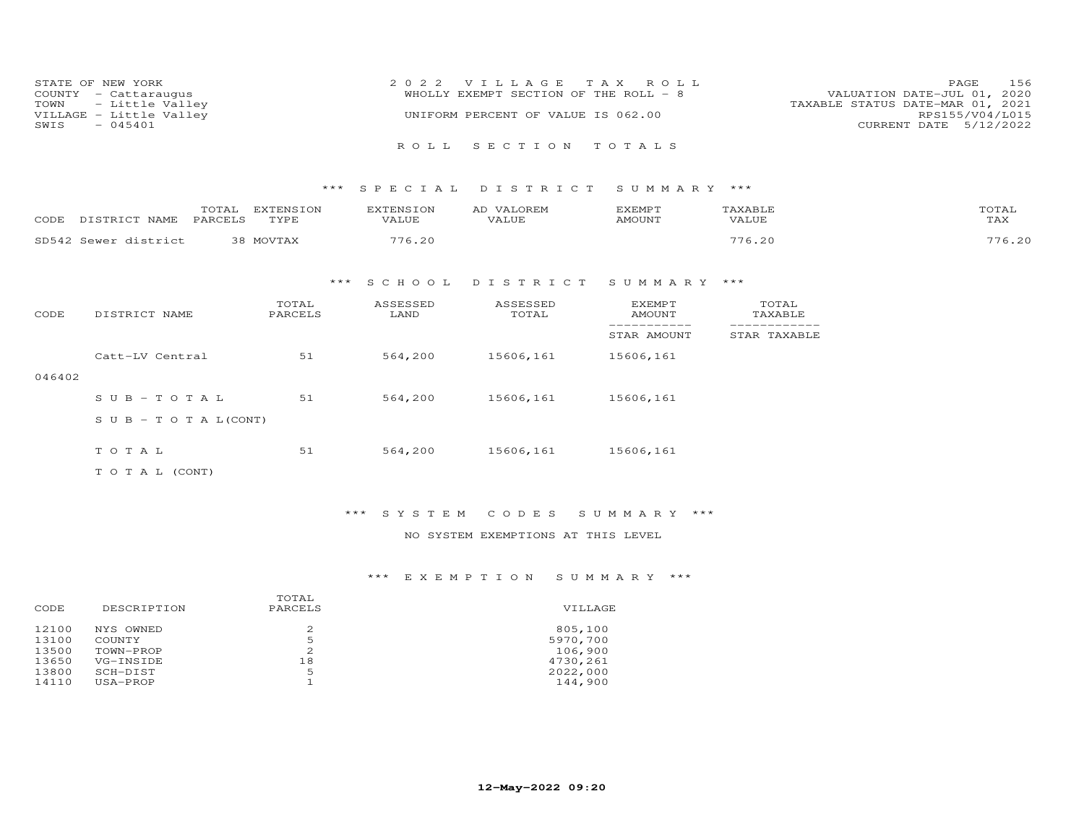| STATE OF NEW YORK       | 2022 VILLAGE TAX ROLL                 | 156<br>PAGE                      |
|-------------------------|---------------------------------------|----------------------------------|
| COUNTY - Cattaraugus    | WHOLLY EXEMPT SECTION OF THE ROLL - 8 | VALUATION DATE-JUL 01, 2020      |
| TOWN - Little Valley    |                                       | TAXABLE STATUS DATE-MAR 01, 2021 |
| VILLAGE - Little Valley | UNIFORM PERCENT OF VALUE IS 062.00    | RPS155/V04/L015                  |
| $-045401$<br>SWIS       |                                       | CURRENT DATE 5/12/2022           |
|                         |                                       |                                  |
|                         | ROLL SECTION TOTALS                   |                                  |

### \*\*\* S P E C I A L D I S T R I C T S U M M A R Y \*\*\*

| CODE  | <b>NAME</b><br>ננינר. | DADODI O | TVDF<br>- - - - - | VALUE | <b>VALUF</b> | EXEMP.<br>amoun <sup>-</sup> | VALUE | $T$ $\cap$ $T$ $\Delta$<br>TAX |
|-------|-----------------------|----------|-------------------|-------|--------------|------------------------------|-------|--------------------------------|
| SD542 | Sawar district        |          |                   |       |              |                              |       |                                |

### \*\*\* S C H O O L D I S T R I C T S U M M A R Y \*\*\*

| CODE   | DISTRICT NAME                    | TOTAL<br>PARCELS | ASSESSED<br>LAND | ASSESSED<br>TOTAL | <b>EXEMPT</b><br>AMOUNT | TOTAL<br>TAXABLE |
|--------|----------------------------------|------------------|------------------|-------------------|-------------------------|------------------|
|        |                                  |                  |                  |                   | STAR AMOUNT             | STAR TAXABLE     |
|        | Catt-LV Central                  | 51               | 564,200          | 15606,161         | 15606,161               |                  |
| 046402 |                                  |                  |                  |                   |                         |                  |
|        | $SUB - TO T AL$                  | 51               | 564,200          | 15606,161         | 15606,161               |                  |
|        | $S \cup B - T \cup T A L (CONT)$ |                  |                  |                   |                         |                  |
|        | TOTAL                            | 51               | 564,200          | 15606,161         | 15606,161               |                  |
|        | T O T A L (CONT)                 |                  |                  |                   |                         |                  |

### \*\*\* S Y S T E M C O D E S S U M M A R Y \*\*\*

### NO SYSTEM EXEMPTIONS AT THIS LEVEL

### \*\*\* E X E M P T I O N S U M M A R Y \*\*\*

| DESCRIPTION | TOTAL<br>PARCELS | VILLAGE  |
|-------------|------------------|----------|
| NYS OWNED   | 2                | 805,100  |
| COUNTY      | 5                | 5970,700 |
| TOWN-PROP   | 2                | 106,900  |
| VG-INSIDE   | 18               | 4730,261 |
| SCH-DIST    | 5                | 2022,000 |
| USA-PROP    |                  | 144,900  |
|             |                  |          |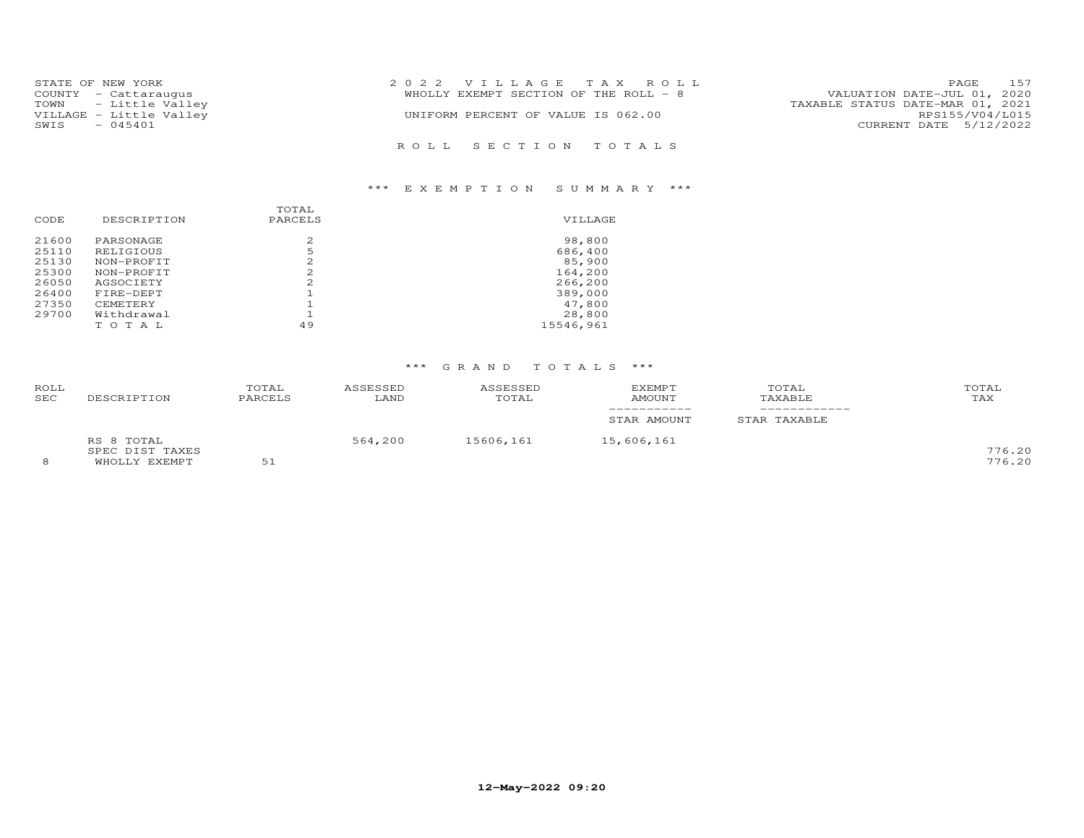| STATE OF NEW YORK       | 2022 VILLAGE TAX ROLL                 | 157<br>PAGE                      |
|-------------------------|---------------------------------------|----------------------------------|
| COUNTY - Cattaraugus    | WHOLLY EXEMPT SECTION OF THE ROLL - 8 | VALUATION DATE-JUL 01, 2020      |
| TOWN - Little Valley    |                                       | TAXABLE STATUS DATE-MAR 01, 2021 |
| VILLAGE - Little Valley | UNIFORM PERCENT OF VALUE IS 062.00    | RPS155/V04/L015                  |
| $-045401$<br>SWIS       |                                       | CURRENT DATE 5/12/2022           |
|                         |                                       |                                  |
|                         | ROLL SECTION TOTALS                   |                                  |

### \*\*\* E X E M P T I O N S U M M A R Y \*\*\*

|       |             | TOTAL   |           |
|-------|-------------|---------|-----------|
| CODE  | DESCRIPTION | PARCELS | VILLAGE   |
| 21600 | PARSONAGE   | 2       | 98,800    |
| 25110 | RELIGIOUS   | 5       | 686,400   |
| 25130 | NON-PROFIT  | 2       | 85,900    |
| 25300 | NON-PROFIT  |         | 164,200   |
| 26050 | AGSOCIETY   |         | 266,200   |
| 26400 | FIRE-DEPT   |         | 389,000   |
| 27350 | CEMETERY    |         | 47,800    |
| 29700 | Withdrawal  |         | 28,800    |
|       | тотаь       | 49      | 15546,961 |

### \*\*\* G R A N D T O T A L S \*\*\*

| ROLL<br>SEC | DESCRIPTION     | TOTAL<br>PARCELS | ASSESSED<br>LAND | ASSESSED<br>TOTAL | <b>EXEMPT</b><br>AMOUNT | TOTAL<br>TAXABLE | TOTAL<br>TAX |
|-------------|-----------------|------------------|------------------|-------------------|-------------------------|------------------|--------------|
|             |                 |                  |                  |                   | STAR AMOUNT             | STAR TAXABLE     |              |
|             | RS 8 TOTAL      |                  | 564,200          | 15606,161         | 15,606,161              |                  |              |
|             | SPEC DIST TAXES |                  |                  |                   |                         |                  | 776.20       |
| 8           | WHOLLY EXEMPT   | 51               |                  |                   |                         |                  | 776.20       |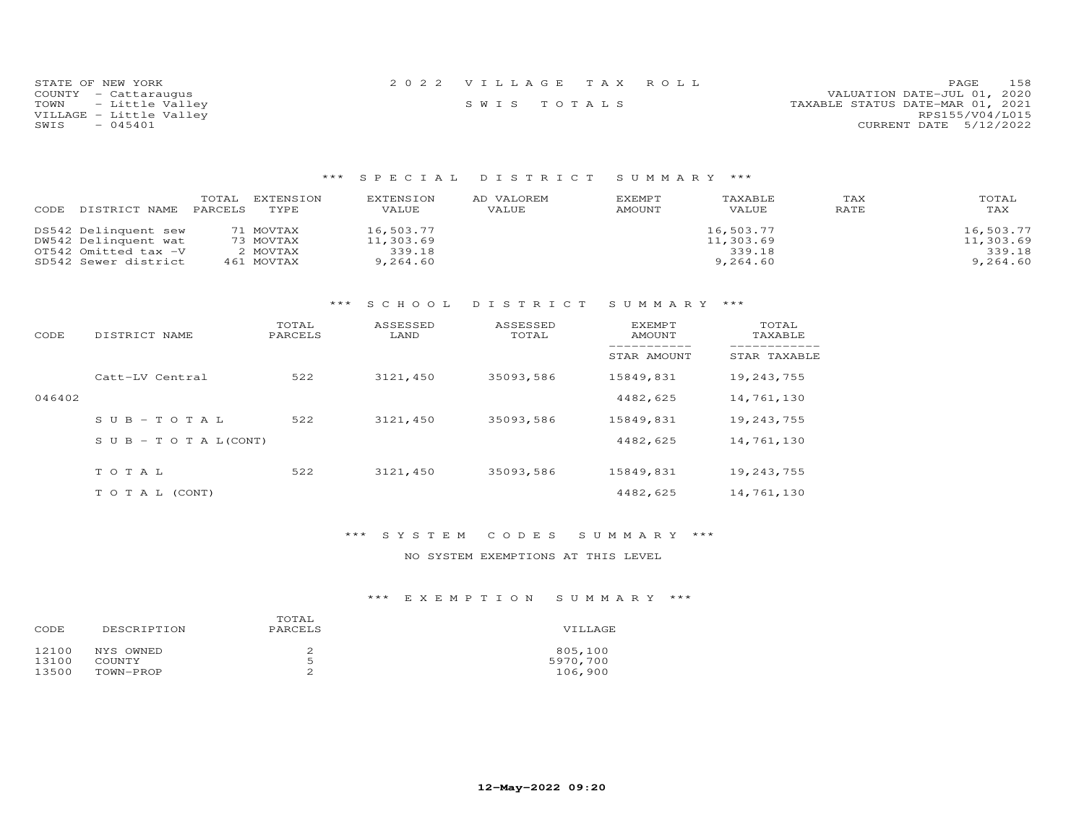| STATE OF NEW YORK       | 2022 VILLAGE TAX ROLL | 158<br><b>PAGE</b>               |
|-------------------------|-----------------------|----------------------------------|
| COUNTY - Cattaraugus    |                       | VALUATION DATE-JUL 01, 2020      |
| TOWN - Little Valley    | SWIS TOTALS           | TAXABLE STATUS DATE-MAR 01, 2021 |
| VILLAGE - Little Valley |                       | RPS155/V04/L015                  |
| SWIS<br>$-045401$       |                       | CURRENT DATE 5/12/2022           |
|                         |                       |                                  |

### \*\*\* S P E C I A L D I S T R I C T S U M M A R Y \*\*\*

| CODE<br>DISTRICT NAME | TOTAL<br>PARCELS | EXTENSION<br>TYPE. | EXTENSION<br>VALUE | AD VALOREM<br>VALUE | <b>EXEMPT</b><br>AMOUNT | TAXABLE<br>VALUE | TAX<br>RATE | TOTAL<br>TAX |
|-----------------------|------------------|--------------------|--------------------|---------------------|-------------------------|------------------|-------------|--------------|
| DS542 Delinquent sew  |                  | 71 MOVTAX          | 16,503.77          |                     |                         | 16,503.77        |             | 16,503.77    |
| DW542 Delinquent wat  |                  | 73 MOVTAX          | 11,303.69          |                     |                         | 11,303.69        |             | 11,303.69    |
| OT542 Omitted tax -V  |                  | 2 MOVTAX           | 339.18             |                     |                         | 339.18           |             | 339.18       |
| SD542 Sewer district  |                  | 461 MOVTAX         | 9,264.60           |                     |                         | 9,264.60         |             | 9,264.60     |

### \*\*\* S C H O O L D I S T R I C T S U M M A R Y \*\*\*

| CODE   | DISTRICT NAME                    | TOTAL<br>PARCELS | ASSESSED<br>LAND | ASSESSED<br>TOTAL | <b>EXEMPT</b><br>AMOUNT | TOTAL<br>TAXABLE |
|--------|----------------------------------|------------------|------------------|-------------------|-------------------------|------------------|
|        |                                  |                  |                  |                   | STAR AMOUNT             | STAR TAXABLE     |
|        | Catt-LV Central                  | 522              | 3121,450         | 35093,586         | 15849,831               | 19,243,755       |
| 046402 |                                  |                  |                  |                   | 4482,625                | 14,761,130       |
|        | $SUB-TOTAL$                      | 522              | 3121,450         | 35093,586         | 15849,831               | 19,243,755       |
|        | $S \cup B - T \cup T A L (CONT)$ |                  |                  |                   | 4482,625                | 14,761,130       |
|        | TOTAL                            | 522              | 3121,450         | 35093,586         | 15849,831               | 19,243,755       |
|        |                                  |                  |                  |                   |                         |                  |
|        | T O T A L (CONT)                 |                  |                  |                   | 4482,625                | 14,761,130       |

### \*\*\* S Y S T E M C O D E S S U M M A R Y \*\*\*

### NO SYSTEM EXEMPTIONS AT THIS LEVEL

# \*\*\* E X E M P T I O N S U M M A R Y \*\*\*

| CODE           | DESCRIPTION                | TOTAL.<br>PARCELS | VILLAGE             |
|----------------|----------------------------|-------------------|---------------------|
| 12100<br>13100 | NYS OWNED<br><b>COUNTY</b> | ╱.<br>Б           | 805,100<br>5970,700 |
| 13500          | TOWN-PROP                  |                   | 106,900             |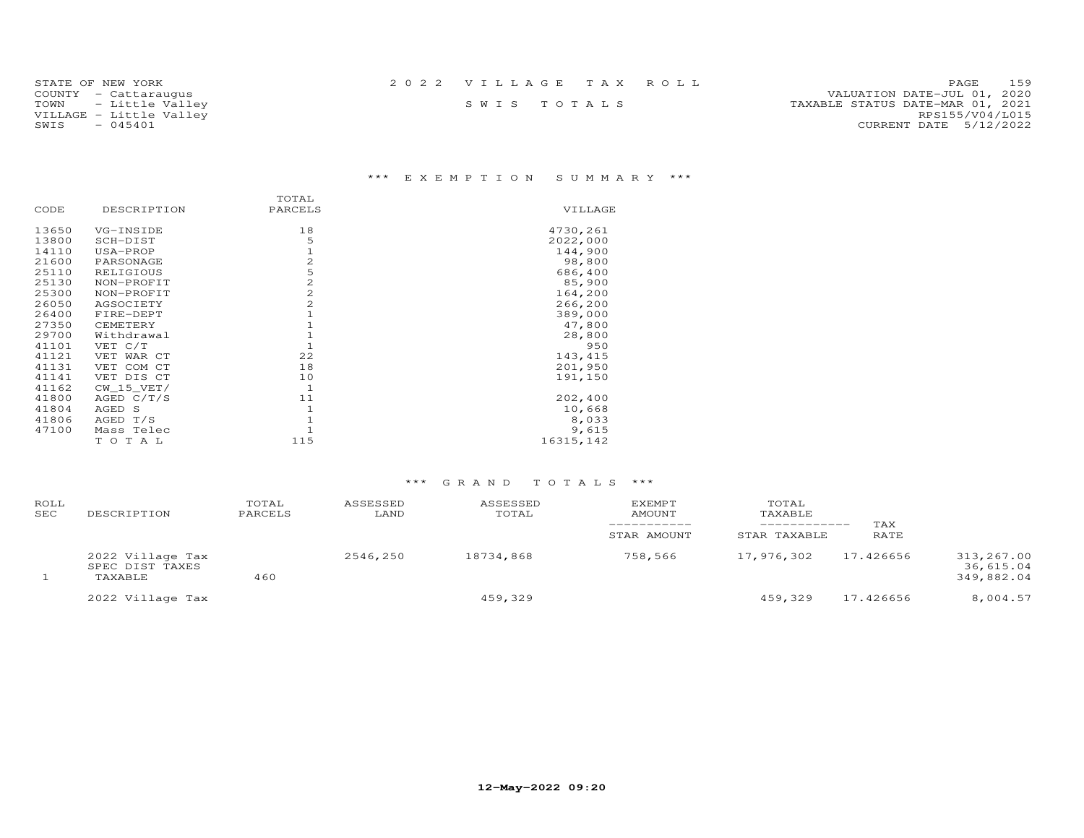| STATE OF NEW YORK       | 2022 VILLAGE TAX ROLL |  | PAGE 159                         |
|-------------------------|-----------------------|--|----------------------------------|
| COUNTY - Cattaraugus    |                       |  | VALUATION DATE-JUL 01, 2020      |
| TOWN - Little Valley    | SWIS TOTALS           |  | TAXABLE STATUS DATE-MAR 01, 2021 |
| VILLAGE - Little Valley |                       |  | RPS155/V04/L015                  |
| $-045401$<br>SWIS       |                       |  | CURRENT DATE 5/12/2022           |
|                         |                       |  |                                  |

# \*\*\* E X E M P T I O N S U M M A R Y \*\*\*

|       |              | TOTAL          |            |
|-------|--------------|----------------|------------|
| CODE  | DESCRIPTION  | PARCELS        | VILLAGE    |
| 13650 | VG-INSIDE    | 18             | 4730,261   |
| 13800 | SCH-DIST     | 5              | 2022,000   |
| 14110 | USA-PROP     | $\mathbf{1}$   | 144,900    |
| 21600 | PARSONAGE    | $\overline{c}$ | 98,800     |
| 25110 | RELIGIOUS    | 5              | 686,400    |
| 25130 | NON-PROFIT   | $\overline{c}$ | 85,900     |
| 25300 | NON-PROFIT   | $\overline{c}$ | 164,200    |
| 26050 | AGSOCIETY    | $\overline{c}$ | 266,200    |
| 26400 | FIRE-DEPT    |                | 389,000    |
| 27350 | CEMETERY     |                | 47,800     |
| 29700 | Withdrawal   |                | 28,800     |
| 41101 | VET C/T      |                | 950        |
| 41121 | VET WAR CT   | 22             | 143,415    |
| 41131 | VET COM CT   | 18             | 201,950    |
| 41141 | VET DIS CT   | 10             | 191,150    |
| 41162 | $CW_15_VET/$ | $\mathbf{1}$   |            |
| 41800 | AGED $C/T/S$ | 11             | 202,400    |
| 41804 | AGED S       |                | 10,668     |
| 41806 | AGED T/S     |                | 8,033      |
| 47100 | Mass Telec   |                | 9,615      |
|       | TOTAL        | 115            | 16315, 142 |

# \*\*\* G R A N D T O T A L S \*\*\*

| ROLL<br>SEC | DESCRIPTION                                    | TOTAL<br>PARCELS | ASSESSED<br>LAND | ASSESSED<br>TOTAL | EXEMPT<br><b>AMOUNT</b><br>STAR AMOUNT | TOTAL<br>TAXABLE<br>STAR TAXABLE | TAX<br>RATE |                                       |
|-------------|------------------------------------------------|------------------|------------------|-------------------|----------------------------------------|----------------------------------|-------------|---------------------------------------|
|             | 2022 Village Tax<br>SPEC DIST TAXES<br>TAXABLE | 460              | 2546,250         | 18734,868         | 758,566                                | 17,976,302                       | 17.426656   | 313,267.00<br>36,615.04<br>349,882.04 |
|             | 2022 Village Tax                               |                  |                  | 459,329           |                                        | 459,329                          | 17.426656   | 8,004.57                              |